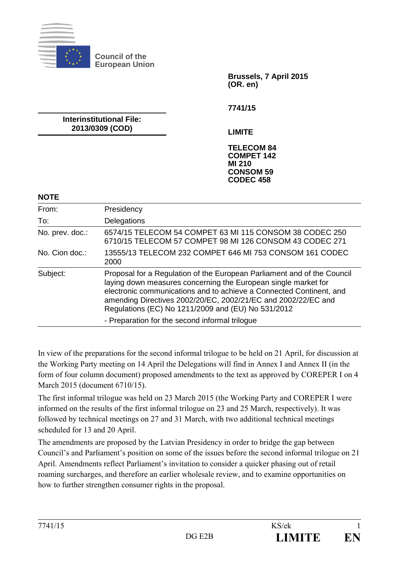

**Council of the European Union** 

> **Brussels, 7 April 2015 (OR. en)**

**7741/15** 

**Interinstitutional File: 2013/0309 (COD)** 

**LIMITE** 

**TELECOM 84 COMPET 142 MI 210 CONSOM 59 CODEC 458** 

#### **NOTE**

| From:           | Presidency                                                                                                                                                                                                                                                                                                                                                                                |
|-----------------|-------------------------------------------------------------------------------------------------------------------------------------------------------------------------------------------------------------------------------------------------------------------------------------------------------------------------------------------------------------------------------------------|
| To:             | Delegations                                                                                                                                                                                                                                                                                                                                                                               |
| No. prev. doc.: | 6574/15 TELECOM 54 COMPET 63 MI 115 CONSOM 38 CODEC 250<br>6710/15 TELECOM 57 COMPET 98 MI 126 CONSOM 43 CODEC 271                                                                                                                                                                                                                                                                        |
| No. Cion doc.:  | 13555/13 TELECOM 232 COMPET 646 MI 753 CONSOM 161 CODEC<br>2000                                                                                                                                                                                                                                                                                                                           |
| Subject:        | Proposal for a Regulation of the European Parliament and of the Council<br>laying down measures concerning the European single market for<br>electronic communications and to achieve a Connected Continent, and<br>amending Directives 2002/20/EC, 2002/21/EC and 2002/22/EC and<br>Regulations (EC) No 1211/2009 and (EU) No 531/2012<br>- Preparation for the second informal trilogue |

In view of the preparations for the second informal trilogue to be held on 21 April, for discussion at the Working Party meeting on 14 April the Delegations will find in Annex I and Annex II (in the form of four column document) proposed amendments to the text as approved by COREPER I on 4 March 2015 (document 6710/15).

The first informal trilogue was held on 23 March 2015 (the Working Party and COREPER I were informed on the results of the first informal trilogue on 23 and 25 March, respectively). It was followed by technical meetings on 27 and 31 March, with two additional technical meetings scheduled for 13 and 20 April.

The amendments are proposed by the Latvian Presidency in order to bridge the gap between Council's and Parliament's position on some of the issues before the second informal trilogue on 21 April. Amendments reflect Parliament's invitation to consider a quicker phasing out of retail roaming surcharges, and therefore an earlier wholesale review, and to examine opportunities on how to further strengthen consumer rights in the proposal.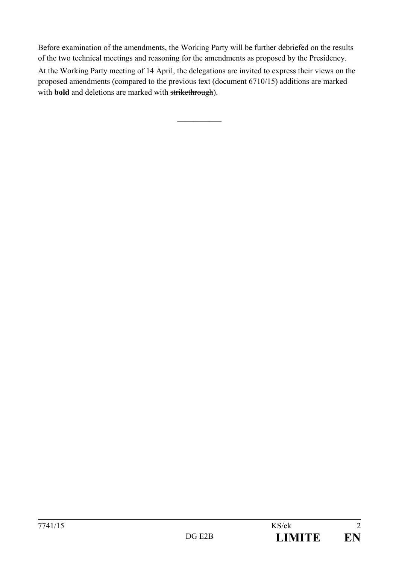Before examination of the amendments, the Working Party will be further debriefed on the results of the two technical meetings and reasoning for the amendments as proposed by the Presidency. At the Working Party meeting of 14 April, the delegations are invited to express their views on the proposed amendments (compared to the previous text (document 6710/15) additions are marked with **bold** and deletions are marked with strikethrough).

 $\frac{1}{2}$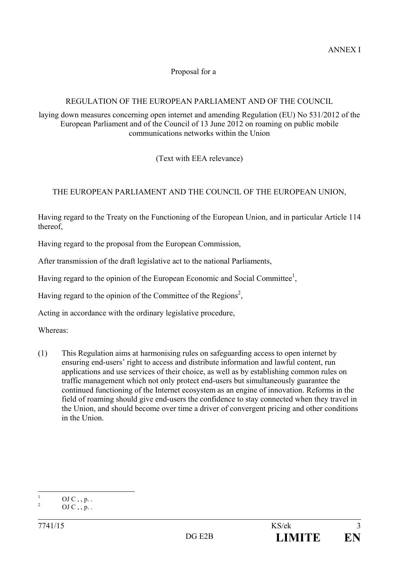# Proposal for a

# REGULATION OF THE EUROPEAN PARLIAMENT AND OF THE COUNCIL

laying down measures concerning open internet and amending Regulation (EU) No 531/2012 of the European Parliament and of the Council of 13 June 2012 on roaming on public mobile communications networks within the Union

(Text with EEA relevance)

# THE EUROPEAN PARLIAMENT AND THE COUNCIL OF THE EUROPEAN UNION,

Having regard to the Treaty on the Functioning of the European Union, and in particular Article 114 thereof,

Having regard to the proposal from the European Commission,

After transmission of the draft legislative act to the national Parliaments,

Having regard to the opinion of the European Economic and Social Committee<sup>1</sup>,

Having regard to the opinion of the Committee of the Regions<sup>2</sup>,

Acting in accordance with the ordinary legislative procedure,

Whereas:

(1) This Regulation aims at harmonising rules on safeguarding access to open internet by ensuring end-users' right to access and distribute information and lawful content, run applications and use services of their choice, as well as by establishing common rules on traffic management which not only protect end-users but simultaneously guarantee the continued functioning of the Internet ecosystem as an engine of innovation. Reforms in the field of roaming should give end-users the confidence to stay connected when they travel in the Union, and should become over time a driver of convergent pricing and other conditions in the Union.

 $\frac{1}{1}$ OJ  $C$ , , p. .  $\overline{2}$ 

OJ  $C$ , , p. .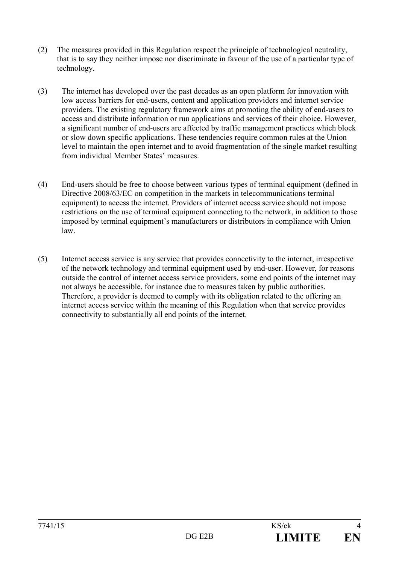- (2) The measures provided in this Regulation respect the principle of technological neutrality, that is to say they neither impose nor discriminate in favour of the use of a particular type of technology.
- (3) The internet has developed over the past decades as an open platform for innovation with low access barriers for end-users, content and application providers and internet service providers. The existing regulatory framework aims at promoting the ability of end-users to access and distribute information or run applications and services of their choice. However, a significant number of end-users are affected by traffic management practices which block or slow down specific applications. These tendencies require common rules at the Union level to maintain the open internet and to avoid fragmentation of the single market resulting from individual Member States' measures.
- (4) End-users should be free to choose between various types of terminal equipment (defined in Directive 2008/63/EC on competition in the markets in telecommunications terminal equipment) to access the internet. Providers of internet access service should not impose restrictions on the use of terminal equipment connecting to the network, in addition to those imposed by terminal equipment's manufacturers or distributors in compliance with Union law.
- (5) Internet access service is any service that provides connectivity to the internet, irrespective of the network technology and terminal equipment used by end-user. However, for reasons outside the control of internet access service providers, some end points of the internet may not always be accessible, for instance due to measures taken by public authorities. Therefore, a provider is deemed to comply with its obligation related to the offering an internet access service within the meaning of this Regulation when that service provides connectivity to substantially all end points of the internet.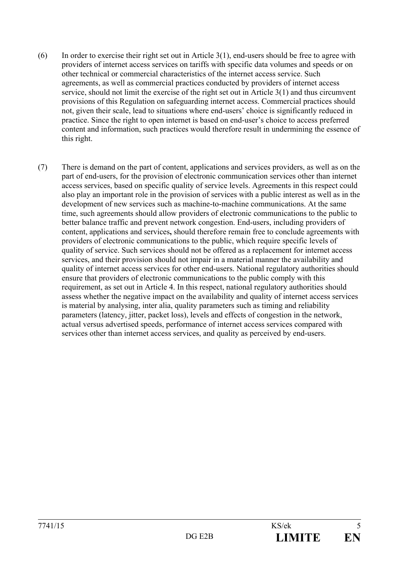- $(6)$  In order to exercise their right set out in Article 3(1), end-users should be free to agree with providers of internet access services on tariffs with specific data volumes and speeds or on other technical or commercial characteristics of the internet access service. Such agreements, as well as commercial practices conducted by providers of internet access service, should not limit the exercise of the right set out in Article 3(1) and thus circumvent provisions of this Regulation on safeguarding internet access. Commercial practices should not, given their scale, lead to situations where end-users' choice is significantly reduced in practice. Since the right to open internet is based on end-user's choice to access preferred content and information, such practices would therefore result in undermining the essence of this right.
- (7) There is demand on the part of content, applications and services providers, as well as on the part of end-users, for the provision of electronic communication services other than internet access services, based on specific quality of service levels. Agreements in this respect could also play an important role in the provision of services with a public interest as well as in the development of new services such as machine-to-machine communications. At the same time, such agreements should allow providers of electronic communications to the public to better balance traffic and prevent network congestion. End-users, including providers of content, applications and services**,** should therefore remain free to conclude agreements with providers of electronic communications to the public, which require specific levels of quality of service. Such services should not be offered as a replacement for internet access services, and their provision should not impair in a material manner the availability and quality of internet access services for other end-users. National regulatory authorities should ensure that providers of electronic communications to the public comply with this requirement, as set out in Article 4. In this respect, national regulatory authorities should assess whether the negative impact on the availability and quality of internet access services is material by analysing, inter alia, quality parameters such as timing and reliability parameters (latency, jitter, packet loss), levels and effects of congestion in the network, actual versus advertised speeds, performance of internet access services compared with services other than internet access services, and quality as perceived by end-users.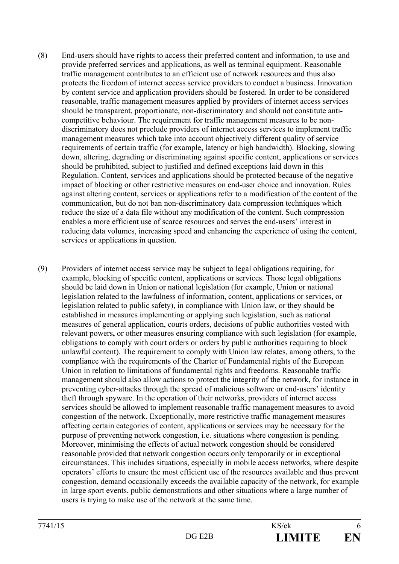- (8) End-users should have rights to access their preferred content and information, to use and provide preferred services and applications, as well as terminal equipment. Reasonable traffic management contributes to an efficient use of network resources and thus also protects the freedom of internet access service providers to conduct a business. Innovation by content service and application providers should be fostered. In order to be considered reasonable, traffic management measures applied by providers of internet access services should be transparent, proportionate, non-discriminatory and should not constitute anticompetitive behaviour. The requirement for traffic management measures to be nondiscriminatory does not preclude providers of internet access services to implement traffic management measures which take into account objectively different quality of service requirements of certain traffic (for example, latency or high bandwidth). Blocking, slowing down, altering, degrading or discriminating against specific content, applications or services should be prohibited, subject to justified and defined exceptions laid down in this Regulation. Content, services and applications should be protected because of the negative impact of blocking or other restrictive measures on end-user choice and innovation. Rules against altering content, services or applications refer to a modification of the content of the communication, but do not ban non-discriminatory data compression techniques which reduce the size of a data file without any modification of the content. Such compression enables a more efficient use of scarce resources and serves the end-users' interest in reducing data volumes, increasing speed and enhancing the experience of using the content, services or applications in question.
- (9) Providers of internet access service may be subject to legal obligations requiring, for example, blocking of specific content, applications or services. Those legal obligations should be laid down in Union or national legislation (for example, Union or national legislation related to the lawfulness of information, content, applications or services**,** or legislation related to public safety), in compliance with Union law, or they should be established in measures implementing or applying such legislation, such as national measures of general application, courts orders, decisions of public authorities vested with relevant powers**,** or other measures ensuring compliance with such legislation (for example, obligations to comply with court orders or orders by public authorities requiring to block unlawful content). The requirement to comply with Union law relates, among others, to the compliance with the requirements of the Charter of Fundamental rights of the European Union in relation to limitations of fundamental rights and freedoms. Reasonable traffic management should also allow actions to protect the integrity of the network, for instance in preventing cyber-attacks through the spread of malicious software or end-users' identity theft through spyware. In the operation of their networks, providers of internet access services should be allowed to implement reasonable traffic management measures to avoid congestion of the network. Exceptionally, more restrictive traffic management measures affecting certain categories of content, applications or services may be necessary for the purpose of preventing network congestion, i.e. situations where congestion is pending. Moreover, minimising the effects of actual network congestion should be considered reasonable provided that network congestion occurs only temporarily or in exceptional circumstances. This includes situations, especially in mobile access networks, where despite operators' efforts to ensure the most efficient use of the resources available and thus prevent congestion, demand occasionally exceeds the available capacity of the network, for example in large sport events, public demonstrations and other situations where a large number of users is trying to make use of the network at the same time.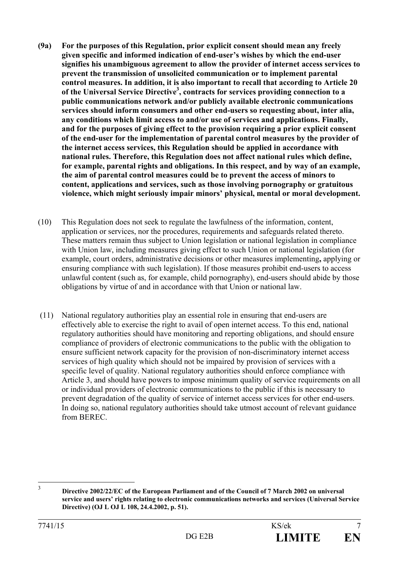- **(9a) For the purposes of this Regulation, prior explicit consent should mean any freely given specific and informed indication of end-user's wishes by which the end-user signifies his unambiguous agreement to allow the provider of internet access services to prevent the transmission of unsolicited communication or to implement parental control measures. In addition, it is also important to recall that according to Article 20**  of the Universal Service Directive<sup>3</sup>, contracts for services providing connection to a **public communications network and/or publicly available electronic communications services should inform consumers and other end-users so requesting about, inter alia, any conditions which limit access to and/or use of services and applications. Finally, and for the purposes of giving effect to the provision requiring a prior explicit consent of the end-user for the implementation of parental control measures by the provider of the internet access services, this Regulation should be applied in accordance with national rules. Therefore, this Regulation does not affect national rules which define, for example, parental rights and obligations. In this respect, and by way of an example, the aim of parental control measures could be to prevent the access of minors to content, applications and services, such as those involving pornography or gratuitous violence, which might seriously impair minors' physical, mental or moral development.**
- (10) This Regulation does not seek to regulate the lawfulness of the information, content, application or services, nor the procedures, requirements and safeguards related thereto. These matters remain thus subject to Union legislation or national legislation in compliance with Union law, including measures giving effect to such Union or national legislation (for example, court orders, administrative decisions or other measures implementing**,** applying or ensuring compliance with such legislation). If those measures prohibit end-users to access unlawful content (such as, for example, child pornography), end-users should abide by those obligations by virtue of and in accordance with that Union or national law.
- (11) National regulatory authorities play an essential role in ensuring that end-users are effectively able to exercise the right to avail of open internet access. To this end, national regulatory authorities should have monitoring and reporting obligations, and should ensure compliance of providers of electronic communications to the public with the obligation to ensure sufficient network capacity for the provision of non-discriminatory internet access services of high quality which should not be impaired by provision of services with a specific level of quality. National regulatory authorities should enforce compliance with Article 3, and should have powers to impose minimum quality of service requirements on all or individual providers of electronic communications to the public if this is necessary to prevent degradation of the quality of service of internet access services for other end-users. In doing so, national regulatory authorities should take utmost account of relevant guidance from BEREC.

 $\frac{1}{3}$ 

**Directive 2002/22/EC of the European Parliament and of the Council of 7 March 2002 on universal service and users' rights relating to electronic communications networks and services (Universal Service Directive) (OJ L OJ L 108, 24.4.2002, p. 51).**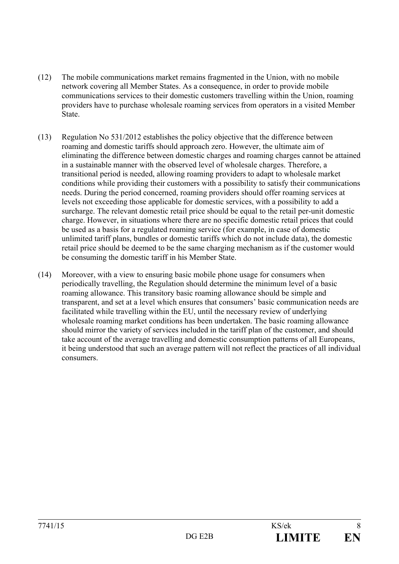- (12) The mobile communications market remains fragmented in the Union, with no mobile network covering all Member States. As a consequence, in order to provide mobile communications services to their domestic customers travelling within the Union, roaming providers have to purchase wholesale roaming services from operators in a visited Member State.
- (13) Regulation No 531/2012 establishes the policy objective that the difference between roaming and domestic tariffs should approach zero. However, the ultimate aim of eliminating the difference between domestic charges and roaming charges cannot be attained in a sustainable manner with the observed level of wholesale charges. Therefore, a transitional period is needed, allowing roaming providers to adapt to wholesale market conditions while providing their customers with a possibility to satisfy their communications needs. During the period concerned, roaming providers should offer roaming services at levels not exceeding those applicable for domestic services, with a possibility to add a surcharge. The relevant domestic retail price should be equal to the retail per-unit domestic charge. However, in situations where there are no specific domestic retail prices that could be used as a basis for a regulated roaming service (for example, in case of domestic unlimited tariff plans, bundles or domestic tariffs which do not include data), the domestic retail price should be deemed to be the same charging mechanism as if the customer would be consuming the domestic tariff in his Member State.
- (14) Moreover, with a view to ensuring basic mobile phone usage for consumers when periodically travelling, the Regulation should determine the minimum level of a basic roaming allowance. This transitory basic roaming allowance should be simple and transparent, and set at a level which ensures that consumers' basic communication needs are facilitated while travelling within the EU, until the necessary review of underlying wholesale roaming market conditions has been undertaken. The basic roaming allowance should mirror the variety of services included in the tariff plan of the customer, and should take account of the average travelling and domestic consumption patterns of all Europeans, it being understood that such an average pattern will not reflect the practices of all individual consumers.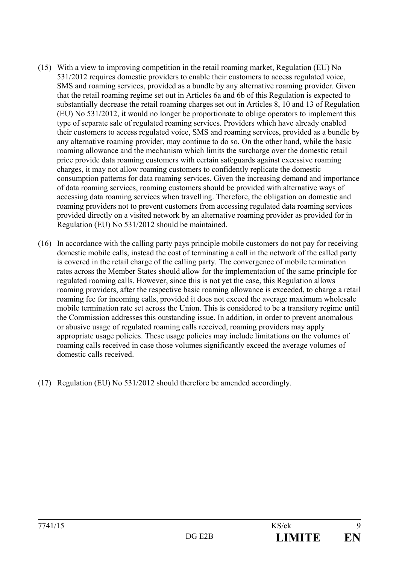- (15) With a view to improving competition in the retail roaming market, Regulation (EU) No 531/2012 requires domestic providers to enable their customers to access regulated voice, SMS and roaming services, provided as a bundle by any alternative roaming provider. Given that the retail roaming regime set out in Articles 6a and 6b of this Regulation is expected to substantially decrease the retail roaming charges set out in Articles 8, 10 and 13 of Regulation (EU) No 531/2012, it would no longer be proportionate to oblige operators to implement this type of separate sale of regulated roaming services. Providers which have already enabled their customers to access regulated voice, SMS and roaming services, provided as a bundle by any alternative roaming provider, may continue to do so. On the other hand, while the basic roaming allowance and the mechanism which limits the surcharge over the domestic retail price provide data roaming customers with certain safeguards against excessive roaming charges, it may not allow roaming customers to confidently replicate the domestic consumption patterns for data roaming services. Given the increasing demand and importance of data roaming services, roaming customers should be provided with alternative ways of accessing data roaming services when travelling. Therefore, the obligation on domestic and roaming providers not to prevent customers from accessing regulated data roaming services provided directly on a visited network by an alternative roaming provider as provided for in Regulation (EU) No 531/2012 should be maintained.
- (16) In accordance with the calling party pays principle mobile customers do not pay for receiving domestic mobile calls, instead the cost of terminating a call in the network of the called party is covered in the retail charge of the calling party. The convergence of mobile termination rates across the Member States should allow for the implementation of the same principle for regulated roaming calls. However, since this is not yet the case, this Regulation allows roaming providers, after the respective basic roaming allowance is exceeded, to charge a retail roaming fee for incoming calls, provided it does not exceed the average maximum wholesale mobile termination rate set across the Union. This is considered to be a transitory regime until the Commission addresses this outstanding issue. In addition, in order to prevent anomalous or abusive usage of regulated roaming calls received, roaming providers may apply appropriate usage policies. These usage policies may include limitations on the volumes of roaming calls received in case those volumes significantly exceed the average volumes of domestic calls received.
- (17) Regulation (EU) No 531/2012 should therefore be amended accordingly.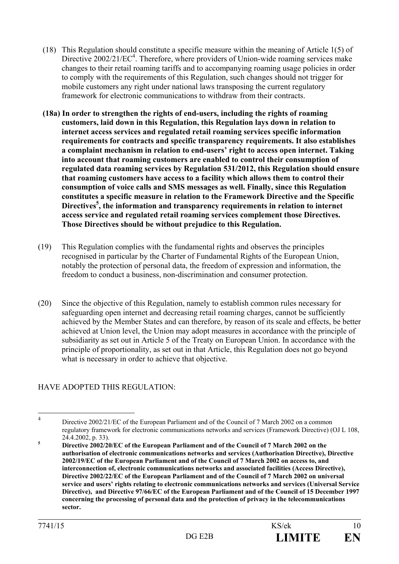- (18) This Regulation should constitute a specific measure within the meaning of Article 1(5) of Directive 2002/21/EC<sup>4</sup>. Therefore, where providers of Union-wide roaming services make changes to their retail roaming tariffs and to accompanying roaming usage policies in order to comply with the requirements of this Regulation, such changes should not trigger for mobile customers any right under national laws transposing the current regulatory framework for electronic communications to withdraw from their contracts.
- **(18a) In order to strengthen the rights of end-users, including the rights of roaming customers, laid down in this Regulation, this Regulation lays down in relation to internet access services and regulated retail roaming services specific information requirements for contracts and specific transparency requirements. It also establishes a complaint mechanism in relation to end-users' right to access open internet. Taking into account that roaming customers are enabled to control their consumption of regulated data roaming services by Regulation 531/2012, this Regulation should ensure that roaming customers have access to a facility which allows them to control their consumption of voice calls and SMS messages as well. Finally, since this Regulation constitutes a specific measure in relation to the Framework Directive and the Specific**  Directives<sup>5</sup>, the information and transparency requirements in relation to internet **access service and regulated retail roaming services complement those Directives. Those Directives should be without prejudice to this Regulation.**
- (19) This Regulation complies with the fundamental rights and observes the principles recognised in particular by the Charter of Fundamental Rights of the European Union, notably the protection of personal data, the freedom of expression and information, the freedom to conduct a business, non-discrimination and consumer protection.
- (20) Since the objective of this Regulation, namely to establish common rules necessary for safeguarding open internet and decreasing retail roaming charges, cannot be sufficiently achieved by the Member States and can therefore, by reason of its scale and effects, be better achieved at Union level, the Union may adopt measures in accordance with the principle of subsidiarity as set out in Article 5 of the Treaty on European Union. In accordance with the principle of proportionality, as set out in that Article, this Regulation does not go beyond what is necessary in order to achieve that objective.

# HAVE ADOPTED THIS REGULATION:

 $\frac{1}{4}$ 

Directive 2002/21/EC of the European Parliament and of the Council of 7 March 2002 on a common regulatory framework for electronic communications networks and services (Framework Directive) (OJ L 108, 24.4.2002, p. 33).<br>**5** Directive 2002/20

**Directive 2002/20/EC of the European Parliament and of the Council of 7 March 2002 on the authorisation of electronic communications networks and services (Authorisation Directive), Directive 2002/19/EC of the European Parliament and of the Council of 7 March 2002 on access to, and interconnection of, electronic communications networks and associated facilities (Access Directive), Directive 2002/22/EC of the European Parliament and of the Council of 7 March 2002 on universal service and users' rights relating to electronic communications networks and services (Universal Service Directive), and Directive 97/66/EC of the European Parliament and of the Council of 15 December 1997 concerning the processing of personal data and the protection of privacy in the telecommunications sector.**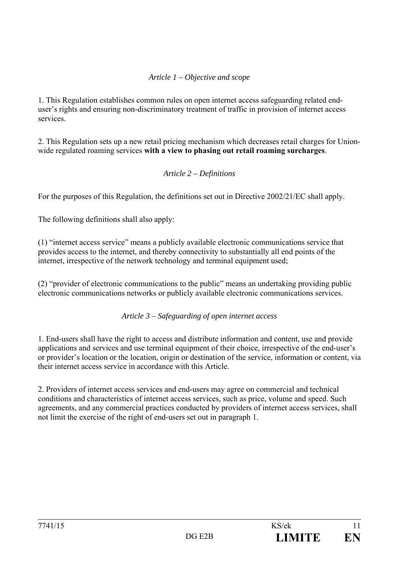# *Article 1 – Objective and scope*

1. This Regulation establishes common rules on open internet access safeguarding related enduser's rights and ensuring non-discriminatory treatment of traffic in provision of internet access services.

2. This Regulation sets up a new retail pricing mechanism which decreases retail charges for Unionwide regulated roaming services **with a view to phasing out retail roaming surcharges**.

#### *Article 2 – Definitions*

For the purposes of this Regulation, the definitions set out in Directive 2002/21/EC shall apply.

The following definitions shall also apply:

(1) "internet access service" means a publicly available electronic communications service that provides access to the internet, and thereby connectivity to substantially all end points of the internet, irrespective of the network technology and terminal equipment used;

(2) "provider of electronic communications to the public" means an undertaking providing public electronic communications networks or publicly available electronic communications services.

*Article 3 – Safeguarding of open internet access* 

1. End-users shall have the right to access and distribute information and content, use and provide applications and services and use terminal equipment of their choice, irrespective of the end-user's or provider's location or the location, origin or destination of the service, information or content, via their internet access service in accordance with this Article.

2. Providers of internet access services and end-users may agree on commercial and technical conditions and characteristics of internet access services, such as price, volume and speed. Such agreements, and any commercial practices conducted by providers of internet access services, shall not limit the exercise of the right of end-users set out in paragraph 1.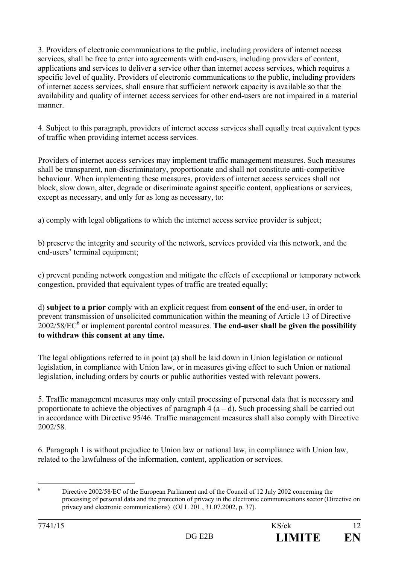3. Providers of electronic communications to the public, including providers of internet access services, shall be free to enter into agreements with end-users, including providers of content, applications and services to deliver a service other than internet access services, which requires a specific level of quality. Providers of electronic communications to the public, including providers of internet access services, shall ensure that sufficient network capacity is available so that the availability and quality of internet access services for other end-users are not impaired in a material manner.

4. Subject to this paragraph, providers of internet access services shall equally treat equivalent types of traffic when providing internet access services.

Providers of internet access services may implement traffic management measures. Such measures shall be transparent, non-discriminatory, proportionate and shall not constitute anti-competitive behaviour. When implementing these measures, providers of internet access services shall not block, slow down, alter, degrade or discriminate against specific content, applications or services, except as necessary, and only for as long as necessary, to:

a) comply with legal obligations to which the internet access service provider is subject;

b) preserve the integrity and security of the network, services provided via this network, and the end-users' terminal equipment;

c) prevent pending network congestion and mitigate the effects of exceptional or temporary network congestion, provided that equivalent types of traffic are treated equally;

d) **subject to a prior** comply with an explicit request from **consent of** the end-user, in order to prevent transmission of unsolicited communication within the meaning of Article 13 of Directive 2002/58/EC6 or implement parental control measures. **The end-user shall be given the possibility to withdraw this consent at any time.**

The legal obligations referred to in point (a) shall be laid down in Union legislation or national legislation, in compliance with Union law, or in measures giving effect to such Union or national legislation, including orders by courts or public authorities vested with relevant powers.

5. Traffic management measures may only entail processing of personal data that is necessary and proportionate to achieve the objectives of paragraph  $4(a-d)$ . Such processing shall be carried out in accordance with Directive 95/46. Traffic management measures shall also comply with Directive 2002/58.

6. Paragraph 1 is without prejudice to Union law or national law, in compliance with Union law, related to the lawfulness of the information, content, application or services.

 $\frac{1}{6}$ 

Directive 2002/58/EC of the European Parliament and of the Council of 12 July 2002 concerning the processing of personal data and the protection of privacy in the electronic communications sector (Directive on privacy and electronic communications) (OJ L 201 , 31.07.2002, p. 37).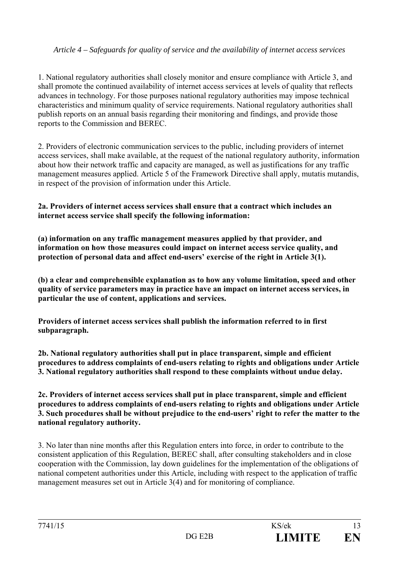# *Article 4 – Safeguards for quality of service and the availability of internet access services*

1. National regulatory authorities shall closely monitor and ensure compliance with Article 3, and shall promote the continued availability of internet access services at levels of quality that reflects advances in technology. For those purposes national regulatory authorities may impose technical characteristics and minimum quality of service requirements. National regulatory authorities shall publish reports on an annual basis regarding their monitoring and findings, and provide those reports to the Commission and BEREC.

2. Providers of electronic communication services to the public, including providers of internet access services, shall make available, at the request of the national regulatory authority, information about how their network traffic and capacity are managed, as well as justifications for any traffic management measures applied. Article 5 of the Framework Directive shall apply, mutatis mutandis, in respect of the provision of information under this Article.

#### **2a. Providers of internet access services shall ensure that a contract which includes an internet access service shall specify the following information:**

**(a) information on any traffic management measures applied by that provider, and information on how those measures could impact on internet access service quality, and protection of personal data and affect end-users' exercise of the right in Article 3(1).** 

**(b) a clear and comprehensible explanation as to how any volume limitation, speed and other quality of service parameters may in practice have an impact on internet access services, in particular the use of content, applications and services.** 

**Providers of internet access services shall publish the information referred to in first subparagraph.** 

**2b. National regulatory authorities shall put in place transparent, simple and efficient procedures to address complaints of end-users relating to rights and obligations under Article 3. National regulatory authorities shall respond to these complaints without undue delay.** 

**2c. Providers of internet access services shall put in place transparent, simple and efficient procedures to address complaints of end-users relating to rights and obligations under Article 3. Such procedures shall be without prejudice to the end-users' right to refer the matter to the national regulatory authority.** 

3. No later than nine months after this Regulation enters into force, in order to contribute to the consistent application of this Regulation, BEREC shall, after consulting stakeholders and in close cooperation with the Commission, lay down guidelines for the implementation of the obligations of national competent authorities under this Article, including with respect to the application of traffic management measures set out in Article 3(4) and for monitoring of compliance.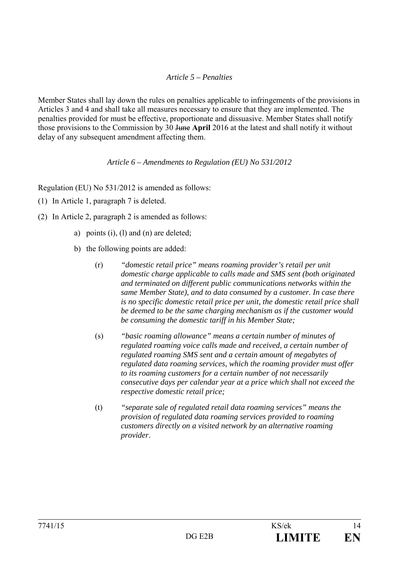# *Article 5 – Penalties*

Member States shall lay down the rules on penalties applicable to infringements of the provisions in Articles 3 and 4 and shall take all measures necessary to ensure that they are implemented. The penalties provided for must be effective, proportionate and dissuasive. Member States shall notify those provisions to the Commission by 30 June **April** 2016 at the latest and shall notify it without delay of any subsequent amendment affecting them.

#### *Article 6 – Amendments to Regulation (EU) No 531/2012*

Regulation (EU) No 531/2012 is amended as follows:

- (1) In Article 1, paragraph 7 is deleted.
- (2) In Article 2, paragraph 2 is amended as follows:
	- a) points (i), (l) and (n) are deleted;
	- b) the following points are added:
		- (r) *"domestic retail price" means roaming provider's retail per unit domestic charge applicable to calls made and SMS sent (both originated and terminated on different public communications networks within the same Member State), and to data consumed by a customer. In case there is no specific domestic retail price per unit, the domestic retail price shall be deemed to be the same charging mechanism as if the customer would be consuming the domestic tariff in his Member State;*
		- (s) *"basic roaming allowance" means a certain number of minutes of regulated roaming voice calls made and received, a certain number of regulated roaming SMS sent and a certain amount of megabytes of regulated data roaming services, which the roaming provider must offer to its roaming customers for a certain number of not necessarily consecutive days per calendar year at a price which shall not exceed the respective domestic retail price;*
		- (t) *"separate sale of regulated retail data roaming services" means the provision of regulated data roaming services provided to roaming customers directly on a visited network by an alternative roaming provider*.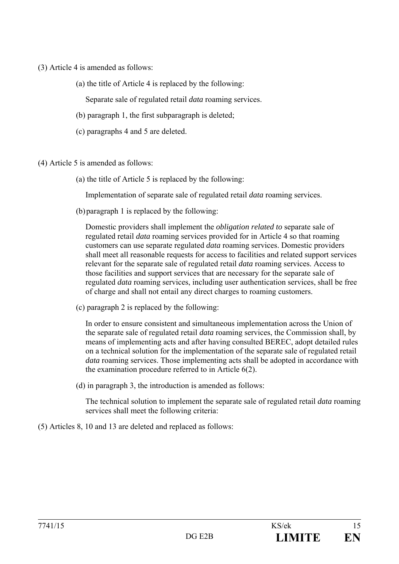- (3) Article 4 is amended as follows:
	- (a) the title of Article 4 is replaced by the following:

Separate sale of regulated retail *data* roaming services.

- (b) paragraph 1, the first subparagraph is deleted;
- (c) paragraphs 4 and 5 are deleted.
- (4) Article 5 is amended as follows:
	- (a) the title of Article 5 is replaced by the following:

Implementation of separate sale of regulated retail *data* roaming services.

(b)paragraph 1 is replaced by the following:

Domestic providers shall implement the *obligation related to* separate sale of regulated retail *data* roaming services provided for in Article 4 so that roaming customers can use separate regulated *data* roaming services. Domestic providers shall meet all reasonable requests for access to facilities and related support services relevant for the separate sale of regulated retail *data* roaming services. Access to those facilities and support services that are necessary for the separate sale of regulated *data* roaming services, including user authentication services, shall be free of charge and shall not entail any direct charges to roaming customers.

(c) paragraph 2 is replaced by the following:

In order to ensure consistent and simultaneous implementation across the Union of the separate sale of regulated retail *data* roaming services, the Commission shall, by means of implementing acts and after having consulted BEREC, adopt detailed rules on a technical solution for the implementation of the separate sale of regulated retail *data* roaming services. Those implementing acts shall be adopted in accordance with the examination procedure referred to in Article 6(2).

(d) in paragraph 3, the introduction is amended as follows:

The technical solution to implement the separate sale of regulated retail *data* roaming services shall meet the following criteria:

(5) Articles 8, 10 and 13 are deleted and replaced as follows: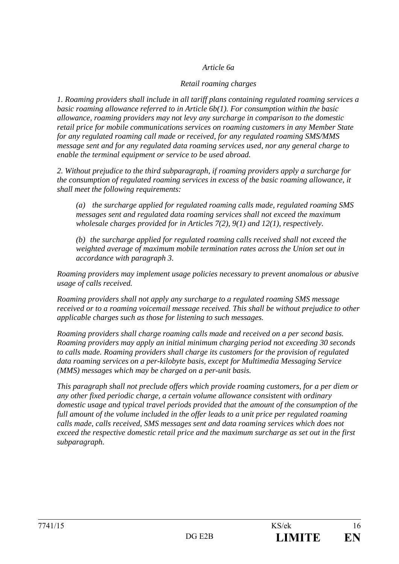### *Article 6a*

#### *Retail roaming charges*

*1. Roaming providers shall include in all tariff plans containing regulated roaming services a basic roaming allowance referred to in Article 6b(1). For consumption within the basic allowance, roaming providers may not levy any surcharge in comparison to the domestic retail price for mobile communications services on roaming customers in any Member State for any regulated roaming call made or received, for any regulated roaming SMS/MMS message sent and for any regulated data roaming services used, nor any general charge to enable the terminal equipment or service to be used abroad.* 

*2. Without prejudice to the third subparagraph, if roaming providers apply a surcharge for the consumption of regulated roaming services in excess of the basic roaming allowance, it shall meet the following requirements:* 

*(a) the surcharge applied for regulated roaming calls made, regulated roaming SMS messages sent and regulated data roaming services shall not exceed the maximum wholesale charges provided for in Articles 7(2), 9(1) and 12(1), respectively.* 

*(b) the surcharge applied for regulated roaming calls received shall not exceed the weighted average of maximum mobile termination rates across the Union set out in accordance with paragraph 3.* 

*Roaming providers may implement usage policies necessary to prevent anomalous or abusive usage of calls received.* 

*Roaming providers shall not apply any surcharge to a regulated roaming SMS message received or to a roaming voicemail message received. This shall be without prejudice to other applicable charges such as those for listening to such messages.* 

*Roaming providers shall charge roaming calls made and received on a per second basis. Roaming providers may apply an initial minimum charging period not exceeding 30 seconds to calls made. Roaming providers shall charge its customers for the provision of regulated data roaming services on a per-kilobyte basis, except for Multimedia Messaging Service (MMS) messages which may be charged on a per-unit basis.* 

*This paragraph shall not preclude offers which provide roaming customers, for a per diem or any other fixed periodic charge, a certain volume allowance consistent with ordinary domestic usage and typical travel periods provided that the amount of the consumption of the full amount of the volume included in the offer leads to a unit price per regulated roaming calls made, calls received, SMS messages sent and data roaming services which does not exceed the respective domestic retail price and the maximum surcharge as set out in the first subparagraph.*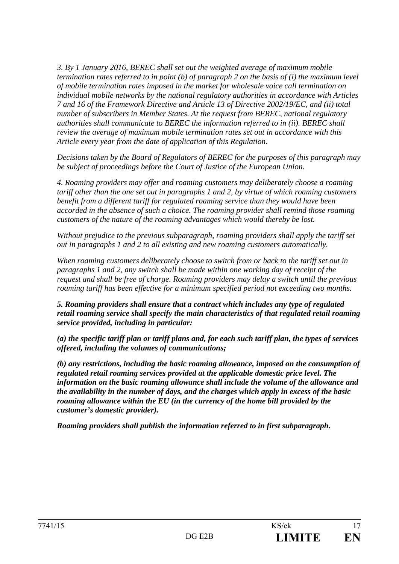*3. By 1 January 2016, BEREC shall set out the weighted average of maximum mobile termination rates referred to in point (b) of paragraph 2 on the basis of (i) the maximum level of mobile termination rates imposed in the market for wholesale voice call termination on individual mobile networks by the national regulatory authorities in accordance with Articles 7 and 16 of the Framework Directive and Article 13 of Directive 2002/19/EC, and (ii) total number of subscribers in Member States. At the request from BEREC, national regulatory authorities shall communicate to BEREC the information referred to in (ii). BEREC shall review the average of maximum mobile termination rates set out in accordance with this Article every year from the date of application of this Regulation.*

*Decisions taken by the Board of Regulators of BEREC for the purposes of this paragraph may be subject of proceedings before the Court of Justice of the European Union.* 

*4. Roaming providers may offer and roaming customers may deliberately choose a roaming tariff other than the one set out in paragraphs 1 and 2, by virtue of which roaming customers benefit from a different tariff for regulated roaming service than they would have been accorded in the absence of such a choice. The roaming provider shall remind those roaming customers of the nature of the roaming advantages which would thereby be lost.* 

*Without prejudice to the previous subparagraph, roaming providers shall apply the tariff set out in paragraphs 1 and 2 to all existing and new roaming customers automatically.* 

*When roaming customers deliberately choose to switch from or back to the tariff set out in paragraphs 1 and 2, any switch shall be made within one working day of receipt of the request and shall be free of charge. Roaming providers may delay a switch until the previous roaming tariff has been effective for a minimum specified period not exceeding two months.* 

*5. Roaming providers shall ensure that a contract which includes any type of regulated retail roaming service shall specify the main characteristics of that regulated retail roaming service provided, including in particular:* 

*(a) the specific tariff plan or tariff plans and, for each such tariff plan, the types of services offered, including the volumes of communications;* 

*(b) any restrictions, including the basic roaming allowance, imposed on the consumption of regulated retail roaming services provided at the applicable domestic price level. The information on the basic roaming allowance shall include the volume of the allowance and the availability in the number of days, and the charges which apply in excess of the basic roaming allowance within the EU (in the currency of the home bill provided by the customer's domestic provider).* 

*Roaming providers shall publish the information referred to in first subparagraph.*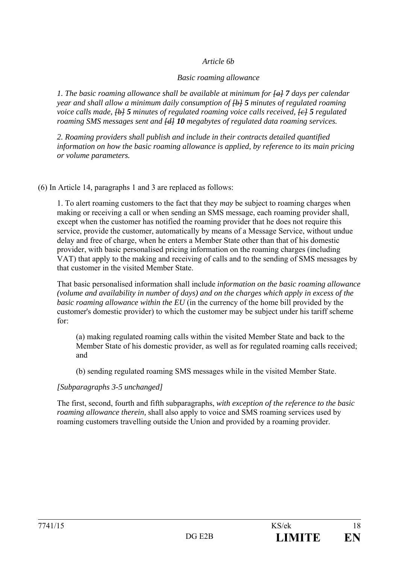#### *Article 6b*

#### *Basic roaming allowance*

*1. The basic roaming allowance shall be available at minimum for [a] 7 days per calendar year and shall allow a minimum daily consumption of [b] 5 minutes of regulated roaming voice calls made,*  $\overline{\text{+b+5}}$  *minutes of regulated roaming voice calls received,*  $\overline{\text{+c+5}}$  *regulated roaming SMS messages sent and [d] 10 megabytes of regulated data roaming services.* 

*2. Roaming providers shall publish and include in their contracts detailed quantified information on how the basic roaming allowance is applied, by reference to its main pricing or volume parameters.* 

(6) In Article 14, paragraphs 1 and 3 are replaced as follows:

1. To alert roaming customers to the fact that they *may* be subject to roaming charges when making or receiving a call or when sending an SMS message, each roaming provider shall, except when the customer has notified the roaming provider that he does not require this service, provide the customer, automatically by means of a Message Service, without undue delay and free of charge, when he enters a Member State other than that of his domestic provider, with basic personalised pricing information on the roaming charges (including VAT) that apply to the making and receiving of calls and to the sending of SMS messages by that customer in the visited Member State.

That basic personalised information shall include *information on the basic roaming allowance (volume and availability in number of days) and on the charges which apply in excess of the basic roaming allowance within the EU* (in the currency of the home bill provided by the customer's domestic provider) to which the customer may be subject under his tariff scheme for:

(a) making regulated roaming calls within the visited Member State and back to the Member State of his domestic provider, as well as for regulated roaming calls received; and

(b) sending regulated roaming SMS messages while in the visited Member State.

# *[Subparagraphs 3-5 unchanged]*

The first, second, fourth and fifth subparagraphs, *with exception of the reference to the basic roaming allowance therein,* shall also apply to voice and SMS roaming services used by roaming customers travelling outside the Union and provided by a roaming provider.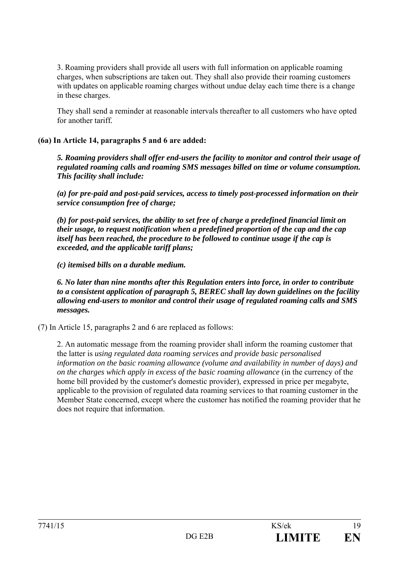3. Roaming providers shall provide all users with full information on applicable roaming charges, when subscriptions are taken out. They shall also provide their roaming customers with updates on applicable roaming charges without undue delay each time there is a change in these charges.

They shall send a reminder at reasonable intervals thereafter to all customers who have opted for another tariff*.*

### **(6a) In Article 14, paragraphs 5 and 6 are added:**

*5. Roaming providers shall offer end-users the facility to monitor and control their usage of regulated roaming calls and roaming SMS messages billed on time or volume consumption. This facility shall include:* 

*(a) for pre-paid and post-paid services, access to timely post-processed information on their service consumption free of charge;* 

*(b) for post-paid services, the ability to set free of charge a predefined financial limit on their usage, to request notification when a predefined proportion of the cap and the cap itself has been reached, the procedure to be followed to continue usage if the cap is exceeded, and the applicable tariff plans;* 

*(c) itemised bills on a durable medium.* 

*6. No later than nine months after this Regulation enters into force, in order to contribute to a consistent application of paragraph 5, BEREC shall lay down guidelines on the facility allowing end-users to monitor and control their usage of regulated roaming calls and SMS messages.* 

(7) In Article 15, paragraphs 2 and 6 are replaced as follows:

2. An automatic message from the roaming provider shall inform the roaming customer that the latter is *using regulated data roaming services and provide basic personalised information on the basic roaming allowance (volume and availability in number of days) and on the charges which apply in excess of the basic roaming allowance* (in the currency of the home bill provided by the customer's domestic provider), expressed in price per megabyte, applicable to the provision of regulated data roaming services to that roaming customer in the Member State concerned, except where the customer has notified the roaming provider that he does not require that information.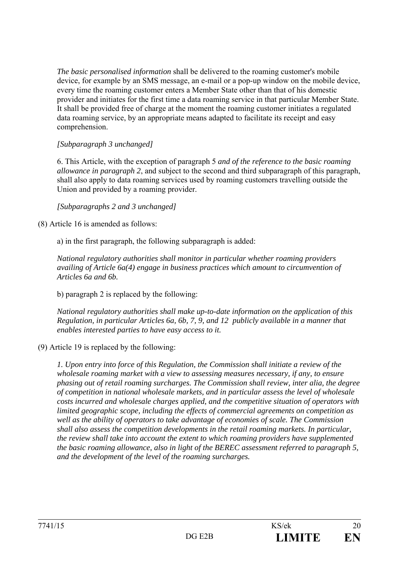*The basic personalised information* shall be delivered to the roaming customer's mobile device, for example by an SMS message, an e-mail or a pop-up window on the mobile device, every time the roaming customer enters a Member State other than that of his domestic provider and initiates for the first time a data roaming service in that particular Member State. It shall be provided free of charge at the moment the roaming customer initiates a regulated data roaming service, by an appropriate means adapted to facilitate its receipt and easy comprehension.

# *[Subparagraph 3 unchanged]*

6. This Article, with the exception of paragraph 5 *and of the reference to the basic roaming allowance in paragraph 2*, and subject to the second and third subparagraph of this paragraph, shall also apply to data roaming services used by roaming customers travelling outside the Union and provided by a roaming provider.

*[Subparagraphs 2 and 3 unchanged]*

(8) Article 16 is amended as follows:

a) in the first paragraph, the following subparagraph is added:

*National regulatory authorities shall monitor in particular whether roaming providers availing of Article 6a(4) engage in business practices which amount to circumvention of Articles 6a and 6b.* 

b) paragraph 2 is replaced by the following:

*National regulatory authorities shall make up-to-date information on the application of this Regulation, in particular Articles 6a, 6b, 7, 9, and 12 publicly available in a manner that enables interested parties to have easy access to it.* 

(9) Article 19 is replaced by the following:

*1. Upon entry into force of this Regulation, the Commission shall initiate a review of the wholesale roaming market with a view to assessing measures necessary, if any, to ensure phasing out of retail roaming surcharges. The Commission shall review, inter alia, the degree of competition in national wholesale markets, and in particular assess the level of wholesale costs incurred and wholesale charges applied, and the competitive situation of operators with limited geographic scope, including the effects of commercial agreements on competition as well as the ability of operators to take advantage of economies of scale. The Commission shall also assess the competition developments in the retail roaming markets. In particular, the review shall take into account the extent to which roaming providers have supplemented the basic roaming allowance, also in light of the BEREC assessment referred to paragraph 5, and the development of the level of the roaming surcharges.*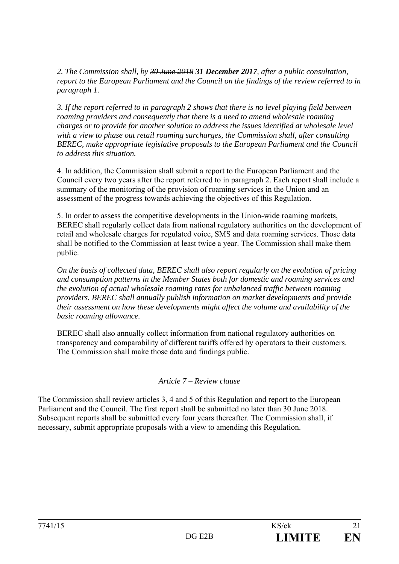*2. The Commission shall, by 30 June 2018 31 December 2017, after a public consultation, report to the European Parliament and the Council on the findings of the review referred to in paragraph 1.* 

*3. If the report referred to in paragraph 2 shows that there is no level playing field between roaming providers and consequently that there is a need to amend wholesale roaming charges or to provide for another solution to address the issues identified at wholesale level with a view to phase out retail roaming surcharges, the Commission shall, after consulting BEREC, make appropriate legislative proposals to the European Parliament and the Council to address this situation.* 

4. In addition, the Commission shall submit a report to the European Parliament and the Council every two years after the report referred to in paragraph 2. Each report shall include a summary of the monitoring of the provision of roaming services in the Union and an assessment of the progress towards achieving the objectives of this Regulation.

5. In order to assess the competitive developments in the Union-wide roaming markets, BEREC shall regularly collect data from national regulatory authorities on the development of retail and wholesale charges for regulated voice, SMS and data roaming services. Those data shall be notified to the Commission at least twice a year. The Commission shall make them public.

*On the basis of collected data, BEREC shall also report regularly on the evolution of pricing and consumption patterns in the Member States both for domestic and roaming services and the evolution of actual wholesale roaming rates for unbalanced traffic between roaming providers. BEREC shall annually publish information on market developments and provide their assessment on how these developments might affect the volume and availability of the basic roaming allowance.* 

BEREC shall also annually collect information from national regulatory authorities on transparency and comparability of different tariffs offered by operators to their customers. The Commission shall make those data and findings public.

# *Article 7 – Review clause*

The Commission shall review articles 3, 4 and 5 of this Regulation and report to the European Parliament and the Council. The first report shall be submitted no later than 30 June 2018. Subsequent reports shall be submitted every four years thereafter. The Commission shall, if necessary, submit appropriate proposals with a view to amending this Regulation.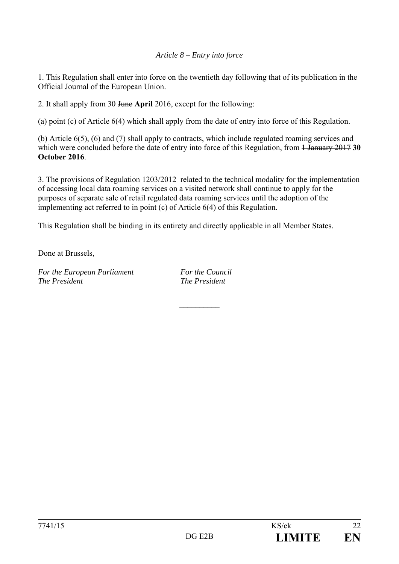### *Article 8 – Entry into force*

1. This Regulation shall enter into force on the twentieth day following that of its publication in the Official Journal of the European Union.

2. It shall apply from 30 June **April** 2016, except for the following:

(a) point (c) of Article 6(4) which shall apply from the date of entry into force of this Regulation.

(b) Article 6(5), (6) and (7) shall apply to contracts, which include regulated roaming services and which were concluded before the date of entry into force of this Regulation, from <del>1 January 2017</del> 30 **October 2016**.

3. The provisions of Regulation 1203/2012 related to the technical modality for the implementation of accessing local data roaming services on a visited network shall continue to apply for the purposes of separate sale of retail regulated data roaming services until the adoption of the implementing act referred to in point (c) of Article 6(4) of this Regulation.

This Regulation shall be binding in its entirety and directly applicable in all Member States.

Done at Brussels,

*For the European Parliament For the Council The President The President* 

 $\mathcal{L}_\text{max}$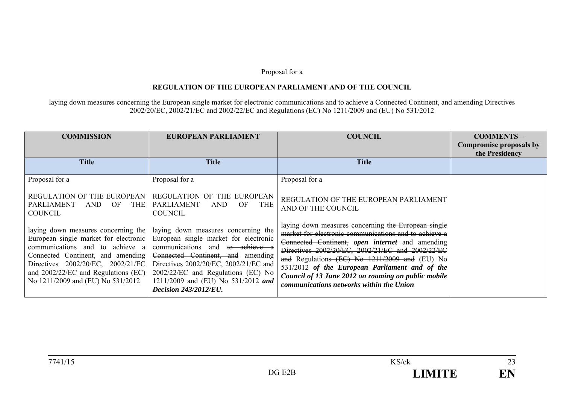#### Proposal for a

#### **REGULATION OF THE EUROPEAN PARLIAMENT AND OF THE COUNCIL**

laying down measures concerning the European single market for electronic communications and to achieve a Connected Continent, and amending Directives 2002/20/EC, 2002/21/EC and 2002/22/EC and Regulations (EC) No 1211/2009 and (EU) No 531/2012

| <b>COMMISSION</b>                                                                                                                                                                                                                                                       | <b>EUROPEAN PARLIAMENT</b>                                                                                                                                                                                                                                                                                | <b>COUNCIL</b>                                                                                                                                                                                                                                                                                                                                                                                                            | <b>COMMENTS-</b><br>Compromise proposals by<br>the Presidency |
|-------------------------------------------------------------------------------------------------------------------------------------------------------------------------------------------------------------------------------------------------------------------------|-----------------------------------------------------------------------------------------------------------------------------------------------------------------------------------------------------------------------------------------------------------------------------------------------------------|---------------------------------------------------------------------------------------------------------------------------------------------------------------------------------------------------------------------------------------------------------------------------------------------------------------------------------------------------------------------------------------------------------------------------|---------------------------------------------------------------|
| <b>Title</b>                                                                                                                                                                                                                                                            | <b>Title</b>                                                                                                                                                                                                                                                                                              | <b>Title</b>                                                                                                                                                                                                                                                                                                                                                                                                              |                                                               |
| Proposal for a                                                                                                                                                                                                                                                          | Proposal for a                                                                                                                                                                                                                                                                                            | Proposal for a                                                                                                                                                                                                                                                                                                                                                                                                            |                                                               |
| <b>REGULATION OF THE EUROPEAN</b><br>PARLIAMENT<br>OF.<br>THE<br>AND<br><b>COUNCIL</b>                                                                                                                                                                                  | REGULATION OF THE EUROPEAN<br><b>PARLIAMENT</b><br>OF<br>AND<br><b>THE</b><br><b>COUNCIL</b>                                                                                                                                                                                                              | REGULATION OF THE EUROPEAN PARLIAMENT<br>AND OF THE COUNCIL                                                                                                                                                                                                                                                                                                                                                               |                                                               |
| laying down measures concerning the<br>European single market for electronic<br>communications and to achieve a<br>Connected Continent, and amending<br>Directives 2002/20/EC, 2002/21/EC<br>and $2002/22/EC$ and Regulations (EC)<br>No 1211/2009 and (EU) No 531/2012 | laying down measures concerning the<br>European single market for electronic<br>communications and to achieve a<br>Connected Continent, and amending<br>Directives 2002/20/EC, 2002/21/EC and<br>2002/22/EC and Regulations (EC) No<br>1211/2009 and (EU) No 531/2012 and<br><b>Decision 243/2012/EU.</b> | laying down measures concerning the European single<br>market for electronic communications and to achieve a<br>Connected Continent, open internet and amending<br>Directives 2002/20/EC, 2002/21/EC and 2002/22/EC<br>and Regulations (EC) No 1211/2009 and (EU) No<br>531/2012 of the European Parliament and of the<br>Council of 13 June 2012 on roaming on public mobile<br>communications networks within the Union |                                                               |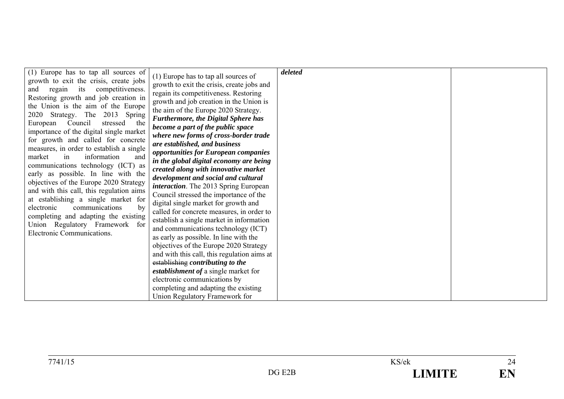| (1) Europe has to tap all sources of     |                                               | deleted |  |
|------------------------------------------|-----------------------------------------------|---------|--|
|                                          | (1) Europe has to tap all sources of          |         |  |
| growth to exit the crisis, create jobs   | growth to exit the crisis, create jobs and    |         |  |
| and regain its competitiveness.          | regain its competitiveness. Restoring         |         |  |
| Restoring growth and job creation in     | growth and job creation in the Union is       |         |  |
| the Union is the aim of the Europe       | the aim of the Europe 2020 Strategy.          |         |  |
| 2020 Strategy. The 2013 Spring           | <b>Furthermore, the Digital Sphere has</b>    |         |  |
| Council<br>stressed<br>European<br>the   | become a part of the public space             |         |  |
| importance of the digital single market  |                                               |         |  |
| for growth and called for concrete       | where new forms of cross-border trade         |         |  |
| measures, in order to establish a single | are established, and business                 |         |  |
| information<br>and<br>market<br>in       | opportunities for European companies          |         |  |
| communications technology (ICT) as       | in the global digital economy are being       |         |  |
| early as possible. In line with the      | created along with innovative market          |         |  |
| objectives of the Europe 2020 Strategy   | development and social and cultural           |         |  |
| and with this call, this regulation aims | <i>interaction</i> . The 2013 Spring European |         |  |
|                                          | Council stressed the importance of the        |         |  |
| at establishing a single market for      | digital single market for growth and          |         |  |
| electronic<br>communications<br>by       | called for concrete measures, in order to     |         |  |
| completing and adapting the existing     | establish a single market in information      |         |  |
| Union Regulatory Framework for           | and communications technology (ICT)           |         |  |
| Electronic Communications.               | as early as possible. In line with the        |         |  |
|                                          | objectives of the Europe 2020 Strategy        |         |  |
|                                          | and with this call, this regulation aims at   |         |  |
|                                          | establishing contributing to the              |         |  |
|                                          | establishment of a single market for          |         |  |
|                                          | electronic communications by                  |         |  |
|                                          | completing and adapting the existing          |         |  |
|                                          | Union Regulatory Framework for                |         |  |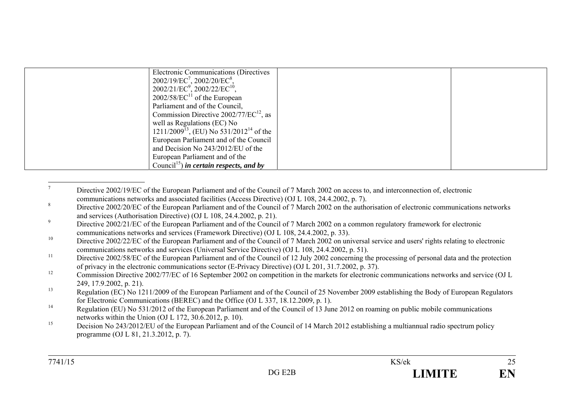| <b>Electronic Communications (Directives)</b>            |  |
|----------------------------------------------------------|--|
|                                                          |  |
| $2002/19/EC^7$ , $2002/20/EC^8$ ,                        |  |
| $2002/21/EC^9$ , $2002/22/EC^{10}$ ,                     |  |
| $2002/58/EC^{11}$ of the European                        |  |
| Parliament and of the Council,                           |  |
| Commission Directive $2002/77/EC^{12}$ , as              |  |
| well as Regulations (EC) No                              |  |
| $1211/2009^{13}$ , (EU) No 531/2012 <sup>14</sup> of the |  |
| European Parliament and of the Council                   |  |
| and Decision No 243/2012/EU of the                       |  |
| European Parliament and of the                           |  |
| Council <sup>15</sup> ) in certain respects, and by      |  |

<sup>7</sup> Directive 2002/19/EC of the European Parliament and of the Council of 7 March 2002 on access to, and interconnection of, electronic communications networks and associated facilities (Access Directive) (OJ L 108, 24.4.2002, p. 7).<br><sup>8</sup> Directive 2002/20/EC of the European Parliament and of the Council of 7 March 2002 on the authorisation of electronic co and services (Authorisation Directive) (OJ L 108, 24.4.2002, p. 21).<br><sup>9</sup> Directive 2002/21/EC of the European Parliament and of the Council of 7 March 2002 on a common regulatory framework for electronic communications networks and services (Framework Directive) (OJ L 108, 24.4.2002, p. 33). <sup>10</sup> Directive 2002/22/EC of the European Parliament and of the Council of 7 March 2002 on universal service and users' rights relating to electronic communications networks and services (Universal Service Directive) (OJ L 108, 24.4.2002, p. 51).  $11$  Directive 2002/58/EC of the European Parliament and of the Council of 12 July 2002 concerning the processing of personal data and the protection of privacy in the electronic communications sector (E-Privacy Directive) (OJ L 201, 31.7.2002, p. 37). <sup>12</sup> Commission Directive 2002/77/EC of 16 September 2002 on competition in the markets for electronic communications networks and service (OJ L 249, 17.9.2002, p. 21).  $R$ egulation (EC) No 1211/2009 of the European Parliament and of the Council of 25 November 2009 establishing the Body of European Regulators for Electronic Communications (BEREC) and the Office (OJ L 337, 18.12.2009, p. 1).  $14$  Regulation (EU) No 531/2012 of the European Parliament and of the Council of 13 June 2012 on roaming on public mobile communications networks within the Union (OJ L 172, 30.6.2012, p. 10). <sup>15</sup> Decision No 243/2012/EU of the European Parliament and of the Council of 14 March 2012 establishing a multiannual radio spectrum policy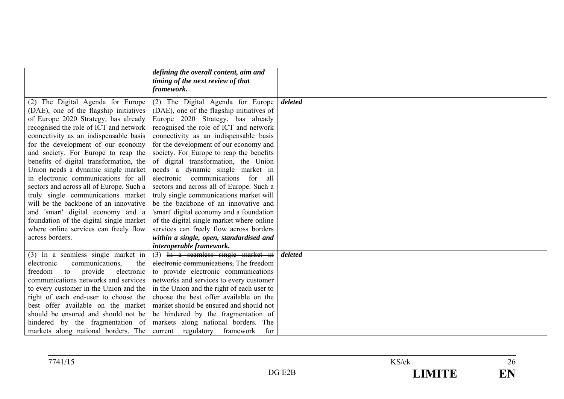|                                          | defining the overall content, aim and<br>timing of the next review of that<br>framework. |         |
|------------------------------------------|------------------------------------------------------------------------------------------|---------|
| (2) The Digital Agenda for Europe        | (2) The Digital Agenda for Europe                                                        | deleted |
| (DAE), one of the flagship initiatives   | (DAE), one of the flagship initiatives of                                                |         |
| of Europe 2020 Strategy, has already     | Europe 2020 Strategy, has already                                                        |         |
| recognised the role of ICT and network   | recognised the role of ICT and network                                                   |         |
| connectivity as an indispensable basis   | connectivity as an indispensable basis                                                   |         |
| for the development of our economy       | for the development of our economy and                                                   |         |
| and society. For Europe to reap the      | society. For Europe to reap the benefits                                                 |         |
| benefits of digital transformation, the  | of digital transformation, the Union                                                     |         |
| Union needs a dynamic single market      | needs a dynamic single market in                                                         |         |
| in electronic communications for all     | electronic communications for all                                                        |         |
| sectors and across all of Europe. Such a | sectors and across all of Europe. Such a                                                 |         |
| truly single communications market       | truly single communications market will                                                  |         |
| will be the backbone of an innovative    | be the backbone of an innovative and                                                     |         |
| and 'smart' digital economy and a        | 'smart' digital economy and a foundation                                                 |         |
| foundation of the digital single market  | of the digital single market where online                                                |         |
| where online services can freely flow    | services can freely flow across borders                                                  |         |
| across borders.                          | within a single, open, standardised and                                                  |         |
|                                          | interoperable framework.                                                                 |         |
| (3) In a seamless single market in       | $(3)$ In a seamless single market in                                                     | deleted |
| communications.<br>the<br>electronic     | electronic communications. The freedom                                                   |         |
| freedom<br>provide<br>to<br>electronic   | to provide electronic communications                                                     |         |
| communications networks and services     | networks and services to every customer                                                  |         |
| to every customer in the Union and the   | in the Union and the right of each user to                                               |         |
| right of each end-user to choose the     | choose the best offer available on the                                                   |         |
| best offer available on the market       | market should be ensured and should not                                                  |         |
| should be ensured and should not be      | be hindered by the fragmentation of                                                      |         |
| hindered by the fragmentation of         | markets along national borders. The                                                      |         |
| markets along national borders. The      | current regulatory framework<br>for                                                      |         |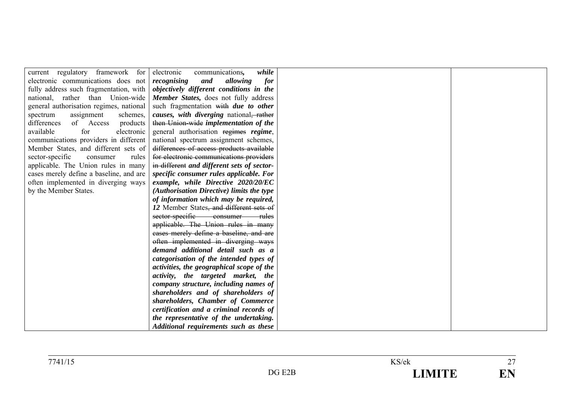| current regulatory framework for        | while<br>electronic<br>communications,                    |
|-----------------------------------------|-----------------------------------------------------------|
| electronic communications does not      | recognising<br>and<br>allowing<br>for                     |
| fully address such fragmentation, with  | objectively different conditions in the                   |
| national, rather than Union-wide        | <b>Member States, does not fully address</b>              |
| general authorisation regimes, national | such fragmentation with due to other                      |
| assignment<br>schemes,<br>spectrum      | <i>causes, with diverging national<del>, rather</del></i> |
| of Access<br>differences<br>products    | then Union-wide implementation of the                     |
| available<br>for<br>electronic          | general authorisation regimes regime,                     |
| communications providers in different   | national spectrum assignment schemes,                     |
| Member States, and different sets of    | differences of access products available                  |
| sector-specific<br>consumer<br>rules    | for electronic communications providers                   |
| applicable. The Union rules in many     | in different and different sets of sector-                |
| cases merely define a baseline, and are | specific consumer rules applicable. For                   |
| often implemented in diverging ways     | example, while Directive 2020/20/EC                       |
| by the Member States.                   | (Authorisation Directive) limits the type                 |
|                                         | of information which may be required,                     |
|                                         | 12 Member States, and different sets of                   |
|                                         | sector-specific consumer rules                            |
|                                         | applicable. The Union rules in many                       |
|                                         | cases merely define a baseline, and are                   |
|                                         | often implemented in diverging ways                       |
|                                         | demand additional detail such as a                        |
|                                         | categorisation of the intended types of                   |
|                                         | activities, the geographical scope of the                 |
|                                         | activity, the targeted market, the                        |
|                                         | company structure, including names of                     |
|                                         | shareholders and of shareholders of                       |
|                                         | shareholders, Chamber of Commerce                         |
|                                         | certification and a criminal records of                   |
|                                         | the representative of the undertaking.                    |
|                                         | Additional requirements such as these                     |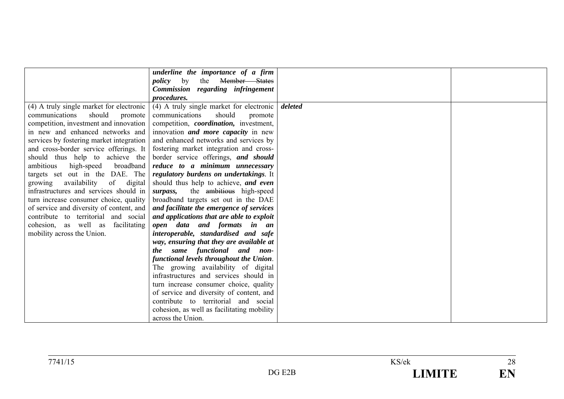|                                          | underline the importance of a firm             |         |  |
|------------------------------------------|------------------------------------------------|---------|--|
|                                          | Member States<br>by<br>the<br>policy           |         |  |
|                                          | Commission regarding infringement              |         |  |
|                                          | procedures.                                    |         |  |
| (4) A truly single market for electronic | (4) A truly single market for electronic       | deleted |  |
| should<br>communications<br>promote      | should<br>communications<br>promote            |         |  |
| competition, investment and innovation   | competition, <i>coordination</i> , investment, |         |  |
| in new and enhanced networks and         | innovation <i>and more capacity</i> in new     |         |  |
| services by fostering market integration | and enhanced networks and services by          |         |  |
| and cross-border service offerings. It   | fostering market integration and cross-        |         |  |
| should thus help to achieve the          | border service offerings, and should           |         |  |
| ambitious<br>broadband<br>high-speed     | reduce to a minimum unnecessary                |         |  |
| targets set out in the DAE. The          | regulatory burdens on undertakings. It         |         |  |
| availability of<br>digital<br>growing    | should thus help to achieve, and even          |         |  |
| infrastructures and services should in   | the ambitious high-speed<br>surpass,           |         |  |
| turn increase consumer choice, quality   | broadband targets set out in the DAE           |         |  |
| of service and diversity of content, and | and facilitate the emergence of services       |         |  |
| contribute to territorial and social     | and applications that are able to exploit      |         |  |
| cohesion, as well as<br>facilitating     | open data and formats in an                    |         |  |
| mobility across the Union.               | interoperable, standardised and safe           |         |  |
|                                          | way, ensuring that they are available at       |         |  |
|                                          | same functional and non-<br><i>the</i>         |         |  |
|                                          | functional levels throughout the Union.        |         |  |
|                                          | The growing availability of digital            |         |  |
|                                          | infrastructures and services should in         |         |  |
|                                          | turn increase consumer choice, quality         |         |  |
|                                          | of service and diversity of content, and       |         |  |
|                                          | contribute to territorial and social           |         |  |
|                                          | cohesion, as well as facilitating mobility     |         |  |
|                                          | across the Union.                              |         |  |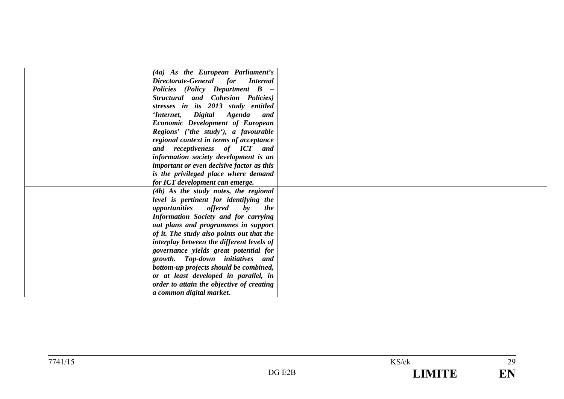| (4a) As the European Parliament's                                    |  |
|----------------------------------------------------------------------|--|
| Directorate-General for Internal                                     |  |
| Policies (Policy Department B -                                      |  |
| Structural and Cohesion Policies)                                    |  |
| stresses in its 2013 study entitled                                  |  |
| 'Internet, Digital Agenda<br>and                                     |  |
| <b>Economic Development of European</b>                              |  |
| Regions' ('the study'), a favourable                                 |  |
| regional context in terms of acceptance                              |  |
| and receptiveness of ICT and                                         |  |
| information society development is an                                |  |
| <i>important or even decisive factor as this</i>                     |  |
| is the privileged place where demand                                 |  |
| for ICT development can emerge.                                      |  |
| (4b) As the study notes, the regional                                |  |
| level is pertinent for identifying the                               |  |
| <i>opportunities offered</i><br>$\mathbf{b}\mathbf{v}$<br><i>the</i> |  |
| Information Society and for carrying                                 |  |
| out plans and programmes in support                                  |  |
| of it. The study also points out that the                            |  |
| interplay between the different levels of                            |  |
| governance yields great potential for                                |  |
| growth. Top-down initiatives and                                     |  |
| bottom-up projects should be combined,                               |  |
| or at least developed in parallel, in                                |  |
| order to attain the objective of creating                            |  |
| a common digital market.                                             |  |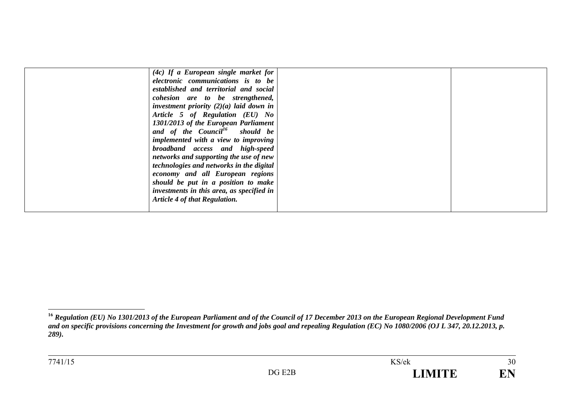| $(4c)$ If a European single market for     |  |
|--------------------------------------------|--|
| electronic communications is to be         |  |
| established and territorial and social     |  |
| cohesion are to be strengthened,           |  |
| investment priority $(2)(a)$ laid down in  |  |
| Article 5 of Regulation (EU) No            |  |
| 1301/2013 of the European Parliament       |  |
| and of the Council <sup>16</sup> should be |  |
| implemented with a view to improving       |  |
| broadband access and high-speed            |  |
| networks and supporting the use of new     |  |
| technologies and networks in the digital   |  |
| economy and all European regions           |  |
| should be put in a position to make        |  |
| investments in this area, as specified in  |  |
| <b>Article 4 of that Regulation.</b>       |  |
|                                            |  |

**<sup>16</sup>** *Regulation (EU) No 1301/2013 of the European Parliament and of the Council of 17 December 2013 on the European Regional Development Fund and on specific provisions concerning the Investment for growth and jobs goal and repealing Regulation (EC) No 1080/2006 (OJ L 347, 20.12.2013, p. 289).*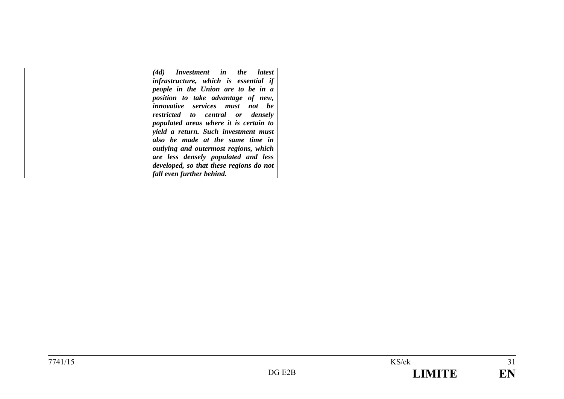| (4d)<br>Investment in the latest        |  |
|-----------------------------------------|--|
| infrastructure, which is essential if   |  |
| people in the Union are to be in a      |  |
| position to take advantage of new,      |  |
| <i>innovative</i> services must not be  |  |
| restricted to central or densely        |  |
| populated areas where it is certain to  |  |
| yield a return. Such investment must    |  |
| also be made at the same time in        |  |
| outlying and outermost regions, which   |  |
| are less densely populated and less     |  |
| developed, so that these regions do not |  |
| fall even further behind.               |  |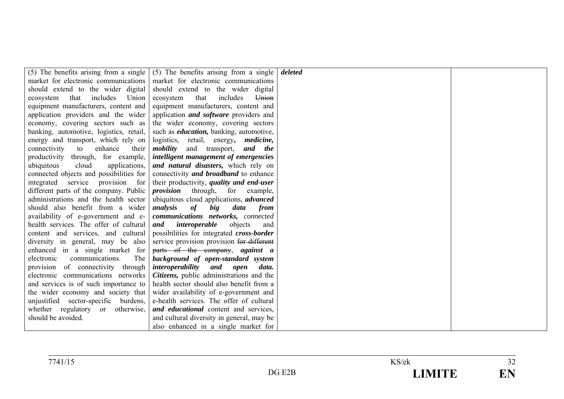|                                         | (5) The benefits arising from a single $(5)$ The benefits arising from a single | deleted |  |
|-----------------------------------------|---------------------------------------------------------------------------------|---------|--|
| market for electronic communications    | market for electronic communications                                            |         |  |
| should extend to the wider digital      | should extend to the wider digital                                              |         |  |
| that includes<br>Union<br>ecosystem     | includes<br>Union<br>ecosystem<br>that                                          |         |  |
| equipment manufacturers, content and    | equipment manufacturers, content and                                            |         |  |
| application providers and the wider     | application <i>and software</i> providers and                                   |         |  |
| economy, covering sectors such as       | the wider economy, covering sectors                                             |         |  |
| banking, automotive, logistics, retail, | such as <i>education</i> , banking, automotive,                                 |         |  |
| energy and transport, which rely on     | logistics, retail, energy, <i>medicine</i> ,                                    |         |  |
| connectivity<br>to<br>enhance<br>their  | <i>mobility</i> and transport, <i>and the</i>                                   |         |  |
| productivity through, for example,      | intelligent management of emergencies                                           |         |  |
| cloud<br>applications,<br>ubiquitous    | and natural disasters, which rely on                                            |         |  |
| connected objects and possibilities for | connectivity and broadband to enhance                                           |         |  |
| integrated service provision for        | their productivity, quality and end-user                                        |         |  |
| different parts of the company. Public  | <i>provision</i> through, for<br>example,                                       |         |  |
| administrations and the health sector   | ubiquitous cloud applications, <i>advanced</i>                                  |         |  |
| should also benefit from a wider        | analysis<br><b>of</b><br>big<br>data<br>from                                    |         |  |
| availability of e-government and e-     | communications networks, connected                                              |         |  |
| health services. The offer of cultural  | and<br>interoperable<br>objects<br>and                                          |         |  |
| content and services, and cultural      | possibilities for integrated <i>cross-border</i>                                |         |  |
| diversity in general, may be also       | service provision provision for different                                       |         |  |
| enhanced in a single market for         | parts of the company, against a                                                 |         |  |
| The<br>communications.<br>electronic    | background of open-standard system                                              |         |  |
| provision of connectivity through       | <i>interoperability</i> and<br>open<br>data.                                    |         |  |
| electronic communications networks      | Citizens, public administrations and the                                        |         |  |
| and services is of such importance to   | health sector should also benefit from a                                        |         |  |
| the wider economy and society that      | wider availability of e-government and                                          |         |  |
| unjustified sector-specific burdens,    | e-health services. The offer of cultural                                        |         |  |
| whether regulatory or otherwise,        | and educational content and services,                                           |         |  |
| should be avoided.                      | and cultural diversity in general, may be                                       |         |  |
|                                         | also enhanced in a single market for                                            |         |  |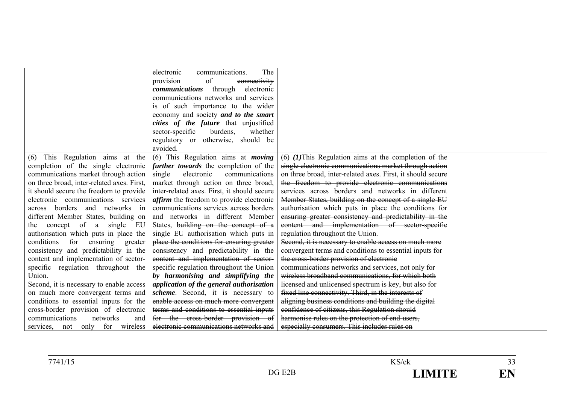|                                            | The<br>electronic<br>communications.            |                                                             |  |
|--------------------------------------------|-------------------------------------------------|-------------------------------------------------------------|--|
|                                            | of<br>connectivity<br>provision                 |                                                             |  |
|                                            | <i>communications</i> through electronic        |                                                             |  |
|                                            | communications networks and services            |                                                             |  |
|                                            | is of such importance to the wider              |                                                             |  |
|                                            | economy and society and to the smart            |                                                             |  |
|                                            | cities of the future that unjustified           |                                                             |  |
|                                            | sector-specific<br>burdens.<br>whether          |                                                             |  |
|                                            | regulatory or otherwise, should be              |                                                             |  |
|                                            | avoided.                                        |                                                             |  |
| (6) This Regulation aims at the            | (6) This Regulation aims at <i>moving</i>       | $(6)$ (1) This Regulation aims at the completion of the     |  |
| completion of the single electronic        | further towards the completion of the           | single electronic communications market through action      |  |
| communications market through action       | electronic<br>single<br>communications          | on three broad, inter-related axes. First, it should secure |  |
| on three broad, inter-related axes. First, | market through action on three broad,           | the freedom to provide electronic communications            |  |
| it should secure the freedom to provide    | inter-related axes. First, it should secure     | services across borders and networks in different           |  |
| electronic communications services         | <i>affirm</i> the freedom to provide electronic | Member States, building on the concept of a single EU       |  |
| across borders and networks in             | communications services across borders          | authorisation which puts in place the conditions for        |  |
| different Member States, building on       | and networks in different Member                | ensuring greater consistency and predictability in the      |  |
| the concept of a single EU                 | States, building on the concept of a            | content and implementation of sector-specific               |  |
| authorisation which puts in place the      | single EU authorisation which puts in           | regulation throughout the Union.                            |  |
| conditions for ensuring greater            | place the conditions for ensuring greater       | Second, it is necessary to enable access on much more       |  |
| consistency and predictability in the      | consistency and predictability in the           | convergent terms and conditions to essential inputs for     |  |
| content and implementation of sector-      | content and implementation of sector-           | the cross-border provision of electronic                    |  |
| specific regulation throughout the         | specific regulation throughout the Union        | communications networks and services, not only for          |  |
| Union.                                     | by harmonising and simplifying the              | wireless broadband communications, for which both           |  |
| Second, it is necessary to enable access   | application of the general authorisation        | licensed and unlicensed spectrum is key, but also for       |  |
| on much more convergent terms and          | scheme. Second, it is necessary to              | fixed line connectivity. Third, in the interests of         |  |
| conditions to essential inputs for the     | enable access on much more convergent           | aligning business conditions and building the digital       |  |
| cross-border provision of electronic       | terms and conditions to essential inputs        | confidence of citizens, this Regulation should              |  |
| communications<br>networks<br>and          | for the cross-border provision of               | harmonise rules on the protection of end-users,             |  |
| services, not only for wireless            | electronic communications networks and          | especially consumers. This includes rules on                |  |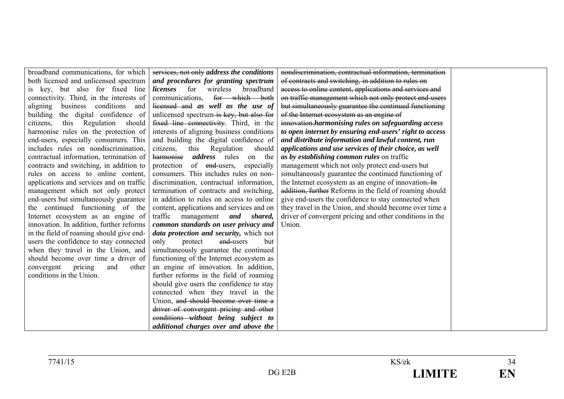| broadband communications, for which       | services, not only address the conditions    | nondiscrimination, contractual information, termination  |  |
|-------------------------------------------|----------------------------------------------|----------------------------------------------------------|--|
| both licensed and unlicensed spectrum     | and procedures for granting spectrum         | of contracts and switching, in addition to rules on      |  |
| is key, but also for fixed line           | <i>licenses</i> for<br>wireless<br>broadband | access to online content, applications and services and  |  |
| connectivity. Third, in the interests of  | for which both<br>communications,            | on traffic management which not only protect end-users   |  |
| business conditions and<br>aligning       | licensed and as well as the use of           | but simultaneously guarantee the continued functioning   |  |
| the digital confidence of<br>building     | unlicensed spectrum is key, but also for     | of the Internet ecosystem as an engine of                |  |
| Regulation<br>this<br>should<br>citizens, | fixed line connectivity. Third, in the       | innovation harmonising rules on safeguarding access      |  |
| harmonise rules on the protection of      | interests of aligning business conditions    | to open internet by ensuring end-users' right to access  |  |
| end-users, especially consumers. This     | and building the digital confidence of       | and distribute information and lawful content, run       |  |
| includes rules on nondiscrimination,      | citizens,<br>this Regulation<br>should       | applications and use services of their choice, as well   |  |
| contractual information, termination of   | <i>address</i> rules<br>harmonise<br>on the  | as by establishing common rules on traffic               |  |
| contracts and switching, in addition to   | of end-users,<br>protection<br>especially    | management which not only protect end-users but          |  |
| rules on access to online content,        | consumers. This includes rules on non-       | simultaneously guarantee the continued functioning of    |  |
| applications and services and on traffic  | discrimination, contractual information,     | the Internet ecosystem as an engine of innovation. In    |  |
| management which not only protect         | termination of contracts and switching,      | addition, further Reforms in the field of roaming should |  |
| end-users but simultaneously guarantee    | in addition to rules on access to online     | give end-users the confidence to stay connected when     |  |
| the continued functioning of the          | content, applications and services and on    | they travel in the Union, and should become over time a  |  |
| Internet ecosystem as an engine of        | traffic<br>management<br>and shared,         | driver of convergent pricing and other conditions in the |  |
| innovation. In addition, further reforms  | common standards on user privacy and         | Union.                                                   |  |
| in the field of roaming should give end-  | data protection and security, which not      |                                                          |  |
| users the confidence to stay connected    | end-users<br>only<br>protect<br>but          |                                                          |  |
| when they travel in the Union, and        | simultaneously guarantee the continued       |                                                          |  |
| should become over time a driver of       | functioning of the Internet ecosystem as     |                                                          |  |
| convergent<br>pricing<br>and<br>other     | an engine of innovation. In addition,        |                                                          |  |
| conditions in the Union.                  | further reforms in the field of roaming      |                                                          |  |
|                                           | should give users the confidence to stay     |                                                          |  |
|                                           | connected when they travel in the            |                                                          |  |
|                                           | Union, and should become over time a         |                                                          |  |
|                                           | driver of convergent pricing and other       |                                                          |  |
|                                           | eonditions without being subject to          |                                                          |  |
|                                           | additional charges over and above the        |                                                          |  |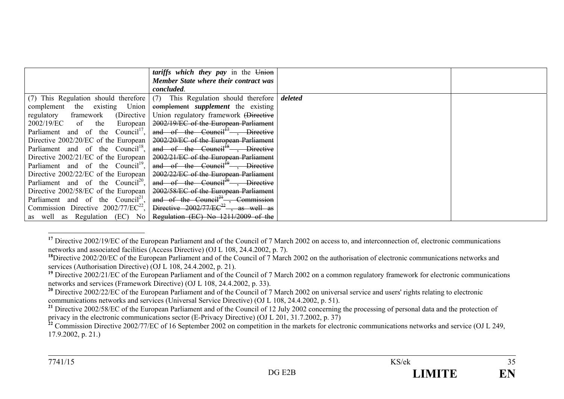|                                               | tariffs which they pay in the Union                                       |         |  |
|-----------------------------------------------|---------------------------------------------------------------------------|---------|--|
|                                               | <b>Member State where their contract was</b>                              |         |  |
|                                               | concluded.                                                                |         |  |
|                                               | (7) This Regulation should therefore (7) This Regulation should therefore | deleted |  |
| complement the existing Union                 | complement <i>supplement</i> the existing                                 |         |  |
| regulatory framework (Directive               | Union regulatory framework (Directive                                     |         |  |
| 2002/19/EC of the<br>European                 | 2002/19/EC of the European Parliament                                     |         |  |
| Parliament and of the Council <sup>17</sup> , | and of the Council <sup><math>H</math></sup> , Directive                  |         |  |
| Directive $2002/20$ /EC of the European       | 2002/20/EC of the European Parliament                                     |         |  |
| Parliament and of the Council <sup>18</sup> , | and of the Council <sup>18</sup> , Directive                              |         |  |
| Directive $2002/21/EC$ of the European        | 2002/21/EC of the European Parliament                                     |         |  |
| Parliament and of the Council <sup>19</sup> , | and of the Council <sup>19</sup> , Directive                              |         |  |
| Directive $2002/22/EC$ of the European        | 2002/22/EC of the European Parliament                                     |         |  |
| Parliament and of the Council <sup>20</sup> , | and of the Council <sup>20</sup> , Directive                              |         |  |
| Directive 2002/58/EC of the European          | 2002/58/EC of the European Parliament                                     |         |  |
| Parliament and of the Council <sup>21</sup> , | and of the Council <sup>21</sup> , Commission                             |         |  |
| Commission Directive $2002/77/EC^{22}$ ,      | Directive $2002/77/EC^{22}$ , as well as                                  |         |  |
| as well as Regulation (EC) No                 | Regulation (EC) No 1211/2009 of the                                       |         |  |

<sup>&</sup>lt;sup>17</sup> Directive 2002/19/EC of the European Parliament and of the Council of 7 March 2002 on access to, and interconnection of, electronic communications networks and associated facilities (Access Directive) (OJ L 108, 24.4.2002, p. 7).

<sup>&</sup>lt;sup>18</sup>Directive 2002/20/EC of the European Parliament and of the Council of 7 March 2002 on the authorisation of electronic communications networks and services (Authorisation Directive) (OJ L 108, 24.4.2002, p. 21).

<sup>&</sup>lt;sup>19</sup> Directive 2002/21/EC of the European Parliament and of the Council of 7 March 2002 on a common regulatory framework for electronic communications networks and services (Framework Directive) (OJ L 108, 24.4.2002, p. 33).

<sup>&</sup>lt;sup>20</sup> Directive 2002/22/EC of the European Parliament and of the Council of 7 March 2002 on universal service and users' rights relating to electronic communications networks and services (Universal Service Directive) (OJ L 108, 24.4.2002, p. 51).

<sup>&</sup>lt;sup>21</sup> Directive 2002/58/EC of the European Parliament and of the Council of 12 July 2002 concerning the processing of personal data and the protection of privacy in the electronic communications sector (E-Privacy Directive) (OJ L 201, 31.7.2002, p. 37)

<sup>&</sup>lt;sup>22</sup> Commission Directive 2002/77/EC of 16 September 2002 on competition in the markets for electronic communications networks and service (OJ L 249, 17.9.2002, p. 21.)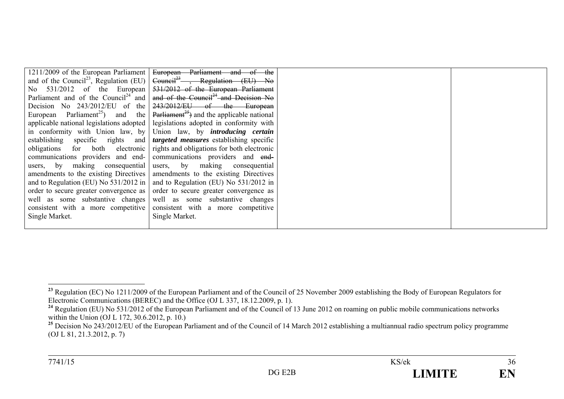|                                                 | 1211/2009 of the European Parliament   European Parliament and of the                                  |
|-------------------------------------------------|--------------------------------------------------------------------------------------------------------|
|                                                 | and of the Council <sup>23</sup> , Regulation (EU) $\left $ Council <sup>23</sup> , Regulation (EU) No |
| No $531/2012$ of the European                   | 531/2012 of the European Parliament                                                                    |
| Parliament and of the Council <sup>24</sup> and | and of the Council <sup>24</sup> and Decision No                                                       |
| Decision No $243/2012/EU$ of the                | 243/2012/EU of the European                                                                            |
| European Parliament <sup>25</sup> ) and the     | $Parti$ <sub>3</sub> <sup>25</sup> ) and the applicable national                                       |
|                                                 | applicable national legislations adopted   legislations adopted in conformity with                     |
|                                                 | in conformity with Union law, by Union law, by <i>introducing certain</i>                              |
|                                                 | establishing specific rights and <i>targeted measures</i> establishing specific                        |
| obligations for both electronic                 | rights and obligations for both electronic                                                             |
| communications providers and end-               | communications providers and end-                                                                      |
| users, by making consequential                  | users, by making consequential                                                                         |
|                                                 | amendments to the existing Directives amendments to the existing Directives                            |
| and to Regulation (EU) No $531/2012$ in         | and to Regulation (EU) No 531/2012 in                                                                  |
|                                                 | order to secure greater convergence as order to secure greater convergence as                          |
| well as some substantive changes                | well as some substantive changes                                                                       |
| consistent with a more competitive              | consistent with a more competitive                                                                     |
| Single Market.                                  | Single Market.                                                                                         |
|                                                 |                                                                                                        |

<sup>&</sup>lt;sup>23</sup> Regulation (EC) No 1211/2009 of the European Parliament and of the Council of 25 November 2009 establishing the Body of European Regulators for Electronic Communications (BEREC) and the Office (OJ L 337, 18.12.2009, p. 1).

<sup>&</sup>lt;sup>24</sup> Regulation (EU) No 531/2012 of the European Parliament and of the Council of 13 June 2012 on roaming on public mobile communications networks within the Union (OJ L 172, 30.6.2012, p. 10.)

<sup>&</sup>lt;sup>25</sup> Decision No 243/2012/EU of the European Parliament and of the Council of 14 March 2012 establishing a multiannual radio spectrum policy programme (OJ L 81, 21.3.2012, p. 7)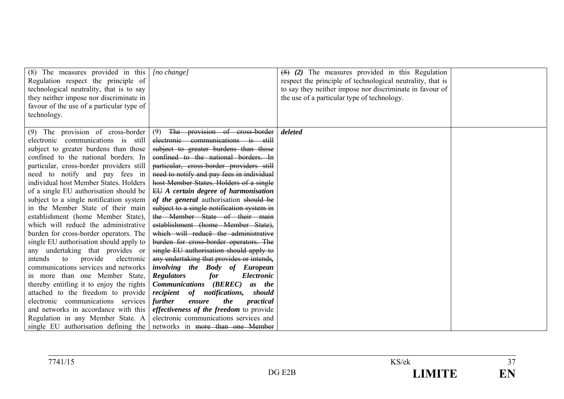| (8) The measures provided in this $\int$ [no change]<br>Regulation respect the principle of<br>technological neutrality, that is to say<br>they neither impose nor discriminate in<br>favour of the use of a particular type of                                                                                                                                                                                                                                                                                                                                                                                                                                                                                                                                                                                                                                                                                                              |                                                                                                                                                                                                                                                                                                                                                                                                                                                                                                                                                                                                                                                                                                                                                                                                                                                                                                                                                                                                   | $(8)$ (2) The measures provided in this Regulation<br>respect the principle of technological neutrality, that is<br>to say they neither impose nor discriminate in favour of<br>the use of a particular type of technology. |  |
|----------------------------------------------------------------------------------------------------------------------------------------------------------------------------------------------------------------------------------------------------------------------------------------------------------------------------------------------------------------------------------------------------------------------------------------------------------------------------------------------------------------------------------------------------------------------------------------------------------------------------------------------------------------------------------------------------------------------------------------------------------------------------------------------------------------------------------------------------------------------------------------------------------------------------------------------|---------------------------------------------------------------------------------------------------------------------------------------------------------------------------------------------------------------------------------------------------------------------------------------------------------------------------------------------------------------------------------------------------------------------------------------------------------------------------------------------------------------------------------------------------------------------------------------------------------------------------------------------------------------------------------------------------------------------------------------------------------------------------------------------------------------------------------------------------------------------------------------------------------------------------------------------------------------------------------------------------|-----------------------------------------------------------------------------------------------------------------------------------------------------------------------------------------------------------------------------|--|
| technology.                                                                                                                                                                                                                                                                                                                                                                                                                                                                                                                                                                                                                                                                                                                                                                                                                                                                                                                                  |                                                                                                                                                                                                                                                                                                                                                                                                                                                                                                                                                                                                                                                                                                                                                                                                                                                                                                                                                                                                   |                                                                                                                                                                                                                             |  |
| $(9)$ The provision of cross-border<br>electronic communications is still<br>subject to greater burdens than those<br>confined to the national borders. In<br>particular, cross-border providers still<br>need to notify and pay fees in<br>individual host Member States. Holders<br>of a single EU authorisation should be<br>subject to a single notification system<br>in the Member State of their main<br>establishment (home Member State),<br>which will reduce the administrative<br>burden for cross-border operators. The<br>single EU authorisation should apply to<br>any undertaking that provides or<br>provide<br>electronic<br>intends<br>to<br>communications services and networks<br>in more than one Member State,<br>thereby entitling it to enjoy the rights<br>attached to the freedom to provide<br>electronic communications services<br>and networks in accordance with this<br>Regulation in any Member State. A | The provision of cross-border<br>(9)<br>electronic communications is still<br>subject to greater burdens than those<br>confined to the national borders. In<br>particular, cross-border providers still<br>need to notify and pay fees in individual<br>host Member States. Holders of a single<br>$EU$ A certain degree of harmonisation<br>of the general authorisation should be<br>subject to a single notification system in<br>the Member State of their main<br>establishment (home Member State).<br>which will reduce the administrative<br>burden for cross-border operators. The<br>single EU authorisation should apply to<br>any undertaking that provides or intends,<br>involving the Body of European<br>for<br>Electronic<br><b>Regulators</b><br><b>Communications</b> ( <b>BEREC</b> )<br>as the<br>recipient of notifications,<br>should<br>the<br>further<br>practical<br>ensure<br><i>effectiveness of the freedom to provide</i><br>electronic communications services and | deleted                                                                                                                                                                                                                     |  |
| single EU authorisation defining the                                                                                                                                                                                                                                                                                                                                                                                                                                                                                                                                                                                                                                                                                                                                                                                                                                                                                                         | networks in more than one Member                                                                                                                                                                                                                                                                                                                                                                                                                                                                                                                                                                                                                                                                                                                                                                                                                                                                                                                                                                  |                                                                                                                                                                                                                             |  |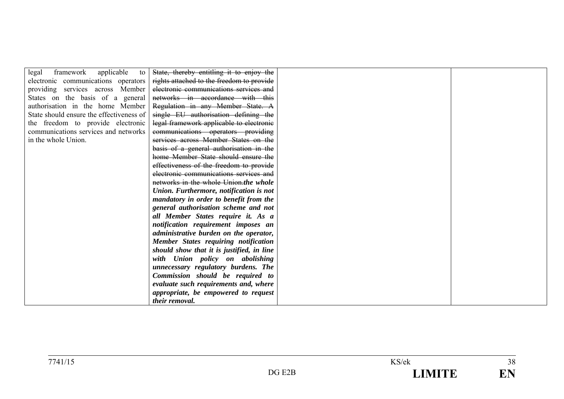| framework applicable<br>legal<br>to      | State, thereby entitling it to enjoy the  |  |
|------------------------------------------|-------------------------------------------|--|
| electronic communications operators      | rights attached to the freedom to provide |  |
| providing services across Member         | electronic communications services and    |  |
| States on the basis of a general         | networks in accordance with this          |  |
| authorisation in the home Member         | Regulation in any Member State. A         |  |
| State should ensure the effectiveness of | single EU authorisation defining the      |  |
| the freedom to provide electronic        | legal framework applicable to electronic  |  |
| communications services and networks     | communications operators providing        |  |
| in the whole Union.                      | services across Member States on the      |  |
|                                          | basis of a general authorisation in the   |  |
|                                          | home Member State should ensure the       |  |
|                                          | effectiveness of the freedom to provide   |  |
|                                          | electronic communications services and    |  |
|                                          | networks in the whole Union.the whole     |  |
|                                          | Union. Furthermore, notification is not   |  |
|                                          | mandatory in order to benefit from the    |  |
|                                          | general authorisation scheme and not      |  |
|                                          | all Member States require it. As a        |  |
|                                          | notification requirement imposes an       |  |
|                                          | administrative burden on the operator,    |  |
|                                          | Member States requiring notification      |  |
|                                          | should show that it is justified, in line |  |
|                                          | with Union policy on abolishing           |  |
|                                          | unnecessary regulatory burdens. The       |  |
|                                          | Commission should be required to          |  |
|                                          | evaluate such requirements and, where     |  |
|                                          | appropriate, be empowered to request      |  |
|                                          | their removal.                            |  |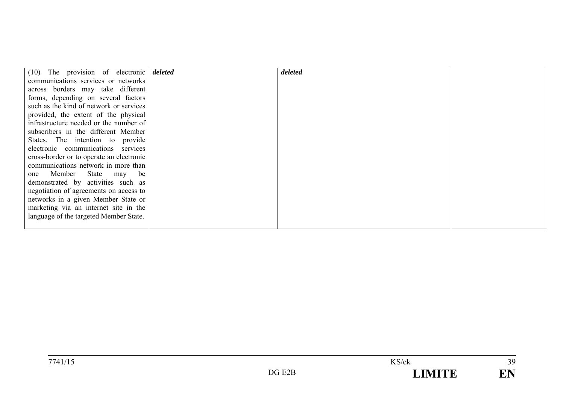| $(10)$ The provision of electronic <i>deleted</i> | deleted |  |
|---------------------------------------------------|---------|--|
| communications services or networks               |         |  |
| across borders may take different                 |         |  |
| forms, depending on several factors               |         |  |
| such as the kind of network or services           |         |  |
| provided, the extent of the physical              |         |  |
| infrastructure needed or the number of            |         |  |
| subscribers in the different Member               |         |  |
| States. The intention to provide                  |         |  |
| electronic communications services                |         |  |
| cross-border or to operate an electronic          |         |  |
| communications network in more than               |         |  |
| one Member State may be                           |         |  |
| demonstrated by activities such as                |         |  |
| negotiation of agreements on access to            |         |  |
| networks in a given Member State or               |         |  |
| marketing via an internet site in the             |         |  |
| language of the targeted Member State.            |         |  |
|                                                   |         |  |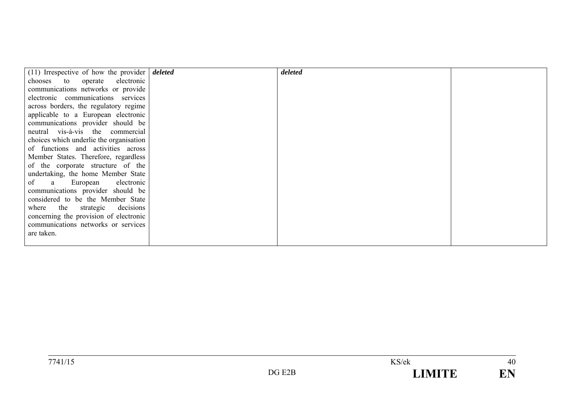| (11) Irrespective of how the provider $\vert$ <i>deleted</i> | deleted |  |
|--------------------------------------------------------------|---------|--|
| chooses to operate electronic                                |         |  |
| communications networks or provide                           |         |  |
| electronic communications services                           |         |  |
|                                                              |         |  |
| across borders, the regulatory regime                        |         |  |
| applicable to a European electronic                          |         |  |
| communications provider should be                            |         |  |
| neutral vis-à-vis the commercial                             |         |  |
| choices which underlie the organisation                      |         |  |
| of functions and activities across                           |         |  |
| Member States. Therefore, regardless                         |         |  |
| of the corporate structure of the                            |         |  |
| undertaking, the home Member State                           |         |  |
| of a European electronic                                     |         |  |
| communications provider should be                            |         |  |
| considered to be the Member State                            |         |  |
| where the strategic decisions                                |         |  |
| concerning the provision of electronic                       |         |  |
| communications networks or services                          |         |  |
| are taken.                                                   |         |  |
|                                                              |         |  |
|                                                              |         |  |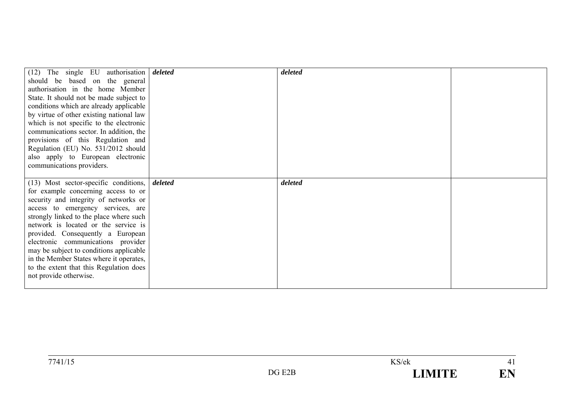|                                          |         | deleted |  |
|------------------------------------------|---------|---------|--|
| $(12)$ The single EU authorisation       | deleted |         |  |
| should be based on the general           |         |         |  |
| authorisation in the home Member         |         |         |  |
| State. It should not be made subject to  |         |         |  |
| conditions which are already applicable  |         |         |  |
| by virtue of other existing national law |         |         |  |
| which is not specific to the electronic  |         |         |  |
| communications sector. In addition, the  |         |         |  |
| provisions of this Regulation and        |         |         |  |
| Regulation (EU) No. 531/2012 should      |         |         |  |
| also apply to European electronic        |         |         |  |
| communications providers.                |         |         |  |
|                                          |         |         |  |
|                                          |         |         |  |
|                                          | deleted | deleted |  |
| $(13)$ Most sector-specific conditions,  |         |         |  |
| for example concerning access to or      |         |         |  |
| security and integrity of networks or    |         |         |  |
| access to emergency services, are        |         |         |  |
| strongly linked to the place where such  |         |         |  |
| network is located or the service is     |         |         |  |
| provided. Consequently a European        |         |         |  |
| electronic communications provider       |         |         |  |
| may be subject to conditions applicable  |         |         |  |
| in the Member States where it operates,  |         |         |  |
| to the extent that this Regulation does  |         |         |  |
| not provide otherwise.                   |         |         |  |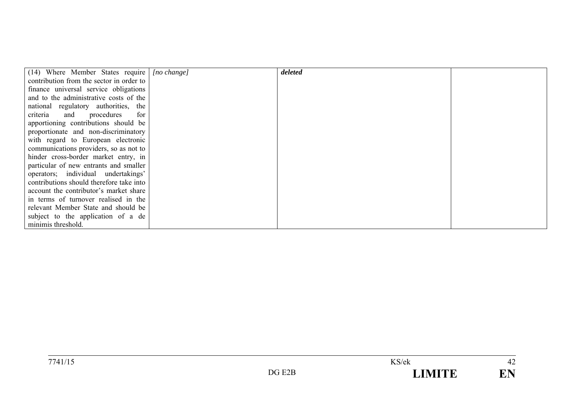| (14) Where Member States require         | $[no \space change]$ | deleted |  |
|------------------------------------------|----------------------|---------|--|
| contribution from the sector in order to |                      |         |  |
| finance universal service obligations    |                      |         |  |
| and to the administrative costs of the   |                      |         |  |
| national regulatory authorities, the     |                      |         |  |
| criteria and procedures<br>for           |                      |         |  |
| apportioning contributions should be     |                      |         |  |
| proportionate and non-discriminatory     |                      |         |  |
| with regard to European electronic       |                      |         |  |
| communications providers, so as not to   |                      |         |  |
| hinder cross-border market entry, in     |                      |         |  |
| particular of new entrants and smaller   |                      |         |  |
| operators; individual undertakings'      |                      |         |  |
| contributions should therefore take into |                      |         |  |
| account the contributor's market share   |                      |         |  |
| in terms of turnover realised in the     |                      |         |  |
| relevant Member State and should be      |                      |         |  |
| subject to the application of a de       |                      |         |  |
| minimis threshold.                       |                      |         |  |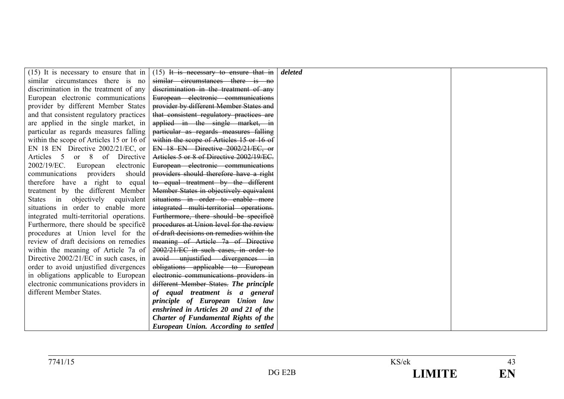| $(15)$ It is necessary to ensure that in | $(15)$ It is necessary to ensure that in  | deleted |  |
|------------------------------------------|-------------------------------------------|---------|--|
| similar circumstances there is no        | similar circumstances there is no         |         |  |
| discrimination in the treatment of any   | discrimination in the treatment of any    |         |  |
| European electronic communications       | European electronic communications        |         |  |
| provider by different Member States      | provider by different Member States and   |         |  |
| and that consistent regulatory practices | that consistent regulatory practices are  |         |  |
| are applied in the single market, in     | applied in the single market, in          |         |  |
| particular as regards measures falling   | particular as regards measures falling    |         |  |
| within the scope of Articles 15 or 16 of | within the scope of Articles 15 or 16 of  |         |  |
| EN 18 EN Directive 2002/21/EC, or        | EN 18 EN Directive 2002/21/EC, or         |         |  |
| Articles 5 or 8 of Directive             | Articles 5 or 8 of Directive 2002/19/EC.  |         |  |
| 2002/19/EC.<br>European<br>electronic    | European electronic communications        |         |  |
| communications providers<br>should       | providers should therefore have a right   |         |  |
| therefore have a right to equal          | to equal treatment by the different       |         |  |
| treatment by the different Member        | Member States in objectively equivalent   |         |  |
| objectively equivalent<br>States in      | situations in order to enable more        |         |  |
| situations in order to enable more       | integrated multi-territorial operations.  |         |  |
| integrated multi-territorial operations. | Furthermore, there should be specifice    |         |  |
| Furthermore, there should be specifice   | procedures at Union level for the review  |         |  |
| procedures at Union level for the        | of draft decisions on remedies within the |         |  |
| review of draft decisions on remedies    | meaning of Article 7a of Directive        |         |  |
| within the meaning of Article 7a of      | 2002/21/EC in such cases, in order to     |         |  |
| Directive 2002/21/EC in such cases, in   | avoid unjustified divergences in          |         |  |
| order to avoid unjustified divergences   | obligations applicable to European        |         |  |
| in obligations applicable to European    | electronic communications providers in    |         |  |
| electronic communications providers in   | different Member States. The principle    |         |  |
| different Member States.                 | of equal treatment is a general           |         |  |
|                                          | principle of European Union law           |         |  |
|                                          | enshrined in Articles 20 and 21 of the    |         |  |
|                                          | Charter of Fundamental Rights of the      |         |  |
|                                          | European Union. According to settled      |         |  |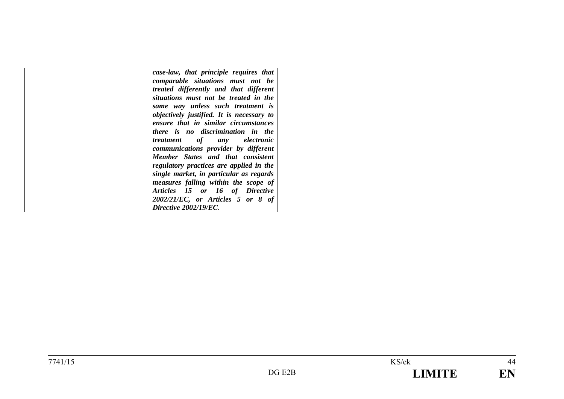| case-law, that principle requires that    |  |
|-------------------------------------------|--|
| comparable situations must not be         |  |
| treated differently and that different    |  |
| situations must not be treated in the     |  |
| same way unless such treatment is         |  |
| objectively justified. It is necessary to |  |
| ensure that in similar circumstances      |  |
| there is no discrimination in the         |  |
| <i>treatment</i> of any electronic        |  |
| communications provider by different      |  |
| Member States and that consistent         |  |
| regulatory practices are applied in the   |  |
| single market, in particular as regards   |  |
| measures falling within the scope of      |  |
| Articles 15 or 16 of Directive            |  |
| $2002/21/EC$ , or Articles 5 or 8 of      |  |
| Directive 2002/19/EC.                     |  |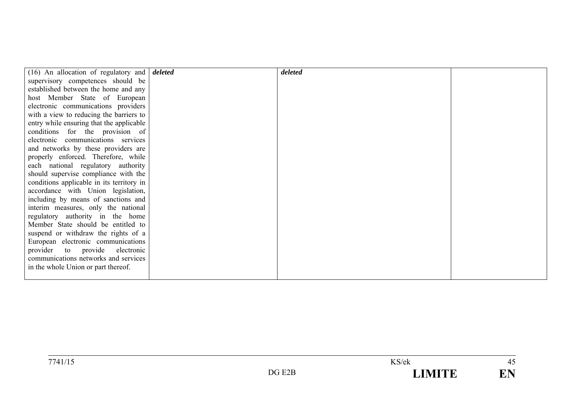| $(16)$ An allocation of regulatory and $\frac{d}{dt}$ <i>deleted</i> | deleted |  |
|----------------------------------------------------------------------|---------|--|
| supervisory competences should be                                    |         |  |
| established between the home and any                                 |         |  |
| host Member State of European                                        |         |  |
| electronic communications providers                                  |         |  |
| with a view to reducing the barriers to                              |         |  |
| entry while ensuring that the applicable                             |         |  |
| conditions for the provision of                                      |         |  |
| electronic communications services                                   |         |  |
| and networks by these providers are                                  |         |  |
| properly enforced. Therefore, while                                  |         |  |
| each national regulatory authority                                   |         |  |
| should supervise compliance with the                                 |         |  |
| conditions applicable in its territory in                            |         |  |
| accordance with Union legislation,                                   |         |  |
| including by means of sanctions and                                  |         |  |
| interim measures, only the national                                  |         |  |
| regulatory authority in the home                                     |         |  |
| Member State should be entitled to                                   |         |  |
| suspend or withdraw the rights of a                                  |         |  |
| European electronic communications                                   |         |  |
| provider to provide electronic                                       |         |  |
| communications networks and services                                 |         |  |
| in the whole Union or part thereof.                                  |         |  |
|                                                                      |         |  |
|                                                                      |         |  |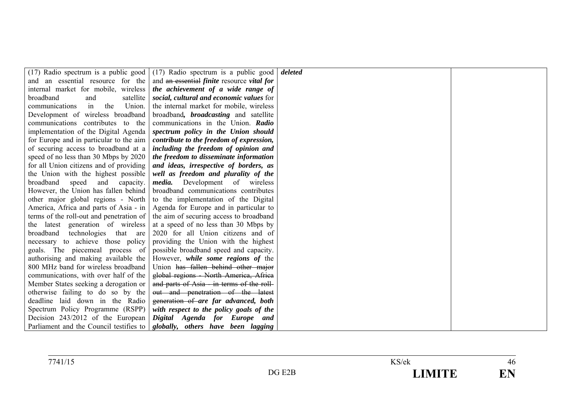| $(17)$ Radio spectrum is a public good   | (17) Radio spectrum is a public good                     | deleted |  |
|------------------------------------------|----------------------------------------------------------|---------|--|
| and an essential resource for the        | and an essential <i>finite</i> resource <i>vital for</i> |         |  |
| internal market for mobile, wireless     | the achievement of a wide range of                       |         |  |
| broadband<br>satellite<br>and            | social, cultural and economic values for                 |         |  |
| the<br>Union.<br>communications<br>in    | the internal market for mobile, wireless                 |         |  |
| Development of wireless broadband        | broadband, <i>broadcasting</i> and satellite             |         |  |
| communications contributes to the        | communications in the Union. Radio                       |         |  |
| implementation of the Digital Agenda     | spectrum policy in the Union should                      |         |  |
| for Europe and in particular to the aim  | contribute to the freedom of expression,                 |         |  |
| of securing access to broadband at a     | including the freedom of opinion and                     |         |  |
| speed of no less than 30 Mbps by 2020    | the freedom to disseminate information                   |         |  |
| for all Union citizens and of providing  | and ideas, irrespective of borders, as                   |         |  |
| the Union with the highest possible      | well as freedom and plurality of the                     |         |  |
| broadband<br>speed<br>and<br>capacity.   | <i>media</i> . Development of wireless                   |         |  |
| However, the Union has fallen behind     | broadband communications contributes                     |         |  |
| other major global regions - North       | to the implementation of the Digital                     |         |  |
| America, Africa and parts of Asia - in   | Agenda for Europe and in particular to                   |         |  |
| terms of the roll-out and penetration of | the aim of securing access to broadband                  |         |  |
| the latest generation of wireless        | at a speed of no less than 30 Mbps by                    |         |  |
| broadband technologies that are          | 2020 for all Union citizens and of                       |         |  |
| necessary to achieve those policy        | providing the Union with the highest                     |         |  |
| goals. The piecemeal process of          | possible broadband speed and capacity.                   |         |  |
| authorising and making available the     | However, <i>while some regions of</i> the                |         |  |
| 800 MHz band for wireless broadband      | Union has fallen behind other major                      |         |  |
| communications, with over half of the    | global regions - North America, Africa                   |         |  |
| Member States seeking a derogation or    | and parts of Asia - in terms of the roll-                |         |  |
| otherwise failing to do so by the        | out and penetration of the latest                        |         |  |
| deadline laid down in the Radio          | generation of are far advanced, both                     |         |  |
| Spectrum Policy Programme (RSPP)         | with respect to the policy goals of the                  |         |  |
| Decision 243/2012 of the European        | Digital Agenda for Europe and                            |         |  |
| Parliament and the Council testifies to  | globally, others have been lagging                       |         |  |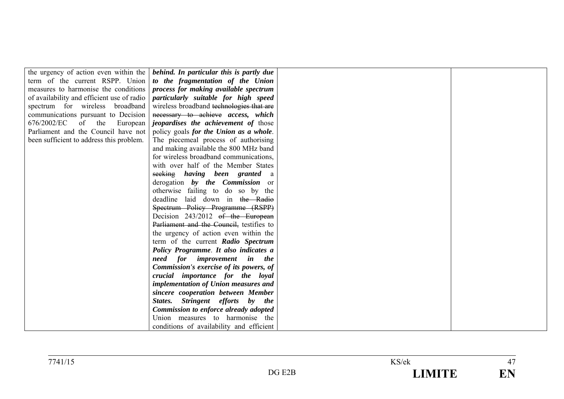|                                            | the urgency of action even within the <i>behind. In particular this is partly due</i> |
|--------------------------------------------|---------------------------------------------------------------------------------------|
| term of the current RSPP. Union            | to the fragmentation of the Union                                                     |
| measures to harmonise the conditions       | process for making available spectrum                                                 |
| of availability and efficient use of radio | particularly suitable for high speed                                                  |
| spectrum for wireless broadband            | wireless broadband technologies that are                                              |
| communications pursuant to Decision        | necessary to achieve access, which                                                    |
| 676/2002/EC of the<br>European             | <i>jeopardises the achievement of those</i>                                           |
| Parliament and the Council have not        | policy goals for the Union as a whole.                                                |
| been sufficient to address this problem.   | The piecemeal process of authorising                                                  |
|                                            | and making available the 800 MHz band                                                 |
|                                            | for wireless broadband communications,                                                |
|                                            | with over half of the Member States                                                   |
|                                            | seeking having been granted a                                                         |
|                                            | derogation by the Commission or                                                       |
|                                            | otherwise failing to do so by the                                                     |
|                                            | deadline laid down in the Radio                                                       |
|                                            | Spectrum Policy Programme (RSPP)                                                      |
|                                            | Decision 243/2012 of the European                                                     |
|                                            | Parliament and the Council, testifies to                                              |
|                                            | the urgency of action even within the                                                 |
|                                            | term of the current Radio Spectrum                                                    |
|                                            | Policy Programme. It also indicates a                                                 |
|                                            | need for improvement in the                                                           |
|                                            | Commission's exercise of its powers, of                                               |
|                                            | crucial importance for the loyal                                                      |
|                                            | implementation of Union measures and                                                  |
|                                            | sincere cooperation between Member                                                    |
|                                            | States. Stringent efforts by the                                                      |
|                                            | Commission to enforce already adopted                                                 |
|                                            | Union measures to harmonise the                                                       |
|                                            | conditions of availability and efficient                                              |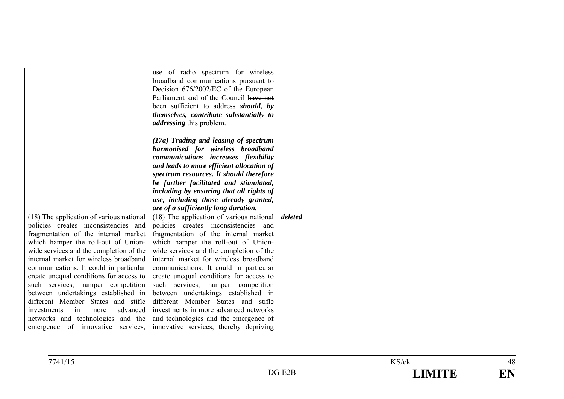|                                          | use of radio spectrum for wireless                                       |         |  |
|------------------------------------------|--------------------------------------------------------------------------|---------|--|
|                                          | broadband communications pursuant to                                     |         |  |
|                                          | Decision 676/2002/EC of the European                                     |         |  |
|                                          | Parliament and of the Council have not                                   |         |  |
|                                          | been sufficient to address should, by                                    |         |  |
|                                          | themselves, contribute substantially to                                  |         |  |
|                                          | <i>addressing</i> this problem.                                          |         |  |
|                                          |                                                                          |         |  |
|                                          | (17a) Trading and leasing of spectrum                                    |         |  |
|                                          | harmonised for wireless broadband                                        |         |  |
|                                          | communications increases flexibility                                     |         |  |
|                                          | and leads to more efficient allocation of                                |         |  |
|                                          | spectrum resources. It should therefore                                  |         |  |
|                                          | be further facilitated and stimulated,                                   |         |  |
|                                          | including by ensuring that all rights of                                 |         |  |
|                                          | use, including those already granted,                                    |         |  |
|                                          | are of a sufficiently long duration.                                     |         |  |
| (18) The application of various national | (18) The application of various national                                 | deleted |  |
| policies creates inconsistencies and     | policies creates inconsistencies and                                     |         |  |
| fragmentation of the internal market     | fragmentation of the internal market                                     |         |  |
| which hamper the roll-out of Union-      | which hamper the roll-out of Union-                                      |         |  |
| wide services and the completion of the  | wide services and the completion of the                                  |         |  |
| internal market for wireless broadband   | internal market for wireless broadband                                   |         |  |
| communications. It could in particular   | communications. It could in particular                                   |         |  |
| create unequal conditions for access to  | create unequal conditions for access to                                  |         |  |
| such services, hamper competition        | such services, hamper competition                                        |         |  |
| between undertakings established in      | between undertakings established in                                      |         |  |
| different Member States and stifle       | different Member States and stifle                                       |         |  |
| advanced<br>investments<br>in<br>more    | investments in more advanced networks                                    |         |  |
| networks and technologies and the        | and technologies and the emergence of                                    |         |  |
|                                          | emergence of innovative services, innovative services, thereby depriving |         |  |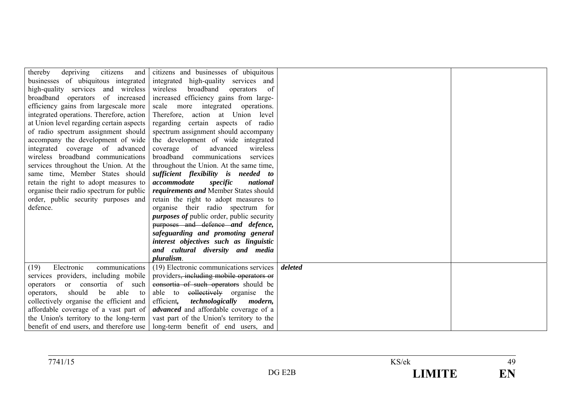| depriving<br>thereby                     | citizens and citizens and businesses of ubiquitous                                 |         |  |
|------------------------------------------|------------------------------------------------------------------------------------|---------|--|
|                                          | businesses of ubiquitous integrated integrated high-quality services and           |         |  |
| high-quality services and wireless       | wireless<br>broadband<br>operators<br>0f                                           |         |  |
| broadband operators of increased         | increased efficiency gains from large-                                             |         |  |
| efficiency gains from largescale more    | scale more integrated operations.                                                  |         |  |
|                                          | integrated operations. Therefore, action   Therefore, action at Union level        |         |  |
| at Union level regarding certain aspects | regarding certain aspects of radio                                                 |         |  |
| of radio spectrum assignment should      | spectrum assignment should accompany                                               |         |  |
| accompany the development of wide        | the development of wide integrated                                                 |         |  |
| integrated coverage of advanced          | coverage<br>wireless<br>of<br>advanced                                             |         |  |
| wireless broadband communications        | broadband<br>communications<br>services                                            |         |  |
| services throughout the Union. At the    | throughout the Union. At the same time,                                            |         |  |
| same time, Member States should          | sufficient flexibility is needed to                                                |         |  |
| retain the right to adopt measures to    | accommodate<br>national<br>specific                                                |         |  |
| organise their radio spectrum for public | requirements and Member States should                                              |         |  |
| order, public security purposes and      | retain the right to adopt measures to                                              |         |  |
| defence.                                 | organise their radio spectrum for                                                  |         |  |
|                                          | <i>purposes of public order, public security</i>                                   |         |  |
|                                          | purposes and defence and defence,                                                  |         |  |
|                                          | safeguarding and promoting general                                                 |         |  |
|                                          | interest objectives such as linguistic                                             |         |  |
|                                          | and cultural diversity and media                                                   |         |  |
|                                          | pluralism.                                                                         |         |  |
| communications<br>Electronic<br>(19)     | (19) Electronic communications services                                            | deleted |  |
| services providers, including mobile     | providers, including mobile operators or                                           |         |  |
| operators or consortia of such           | consortia of such operators should be                                              |         |  |
| should be<br>able<br>to<br>operators,    | able to collectively organise the                                                  |         |  |
| collectively organise the efficient and  | efficient,<br>technologically<br>modern,                                           |         |  |
| affordable coverage of a vast part of    | <i>advanced</i> and affordable coverage of a                                       |         |  |
|                                          | the Union's territory to the long-term   vast part of the Union's territory to the |         |  |
|                                          | benefit of end users, and therefore use   long-term benefit of end users, and      |         |  |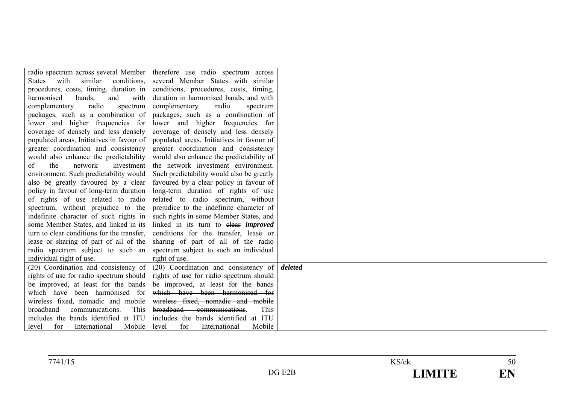|                                            | radio spectrum across several Member therefore use radio spectrum across |         |  |
|--------------------------------------------|--------------------------------------------------------------------------|---------|--|
| similar<br>conditions,<br>States<br>with   | several Member States with similar                                       |         |  |
| procedures, costs, timing, duration in     | conditions, procedures, costs, timing,                                   |         |  |
| harmonised<br>bands,<br>and<br>with        | duration in harmonised bands, and with                                   |         |  |
| radio<br>complementary<br>spectrum         | complementary<br>radio<br>spectrum                                       |         |  |
| packages, such as a combination of         | packages, such as a combination of                                       |         |  |
| lower and higher frequencies for           | lower and higher frequencies for                                         |         |  |
| coverage of densely and less densely       | coverage of densely and less densely                                     |         |  |
| populated areas. Initiatives in favour of  | populated areas. Initiatives in favour of                                |         |  |
| greater coordination and consistency       | greater coordination and consistency                                     |         |  |
| would also enhance the predictability      | would also enhance the predictability of                                 |         |  |
| the<br>network<br>οf<br>investment         | the network investment environment.                                      |         |  |
| environment. Such predictability would     | Such predictability would also be greatly                                |         |  |
| also be greatly favoured by a clear        | favoured by a clear policy in favour of                                  |         |  |
| policy in favour of long-term duration     | long-term duration of rights of use                                      |         |  |
| of rights of use related to radio          | related to radio spectrum, without                                       |         |  |
| spectrum, without prejudice to the         | prejudice to the indefinite character of                                 |         |  |
| indefinite character of such rights in     | such rights in some Member States, and                                   |         |  |
| some Member States, and linked in its      | linked in its turn to elear <i>improved</i>                              |         |  |
| turn to clear conditions for the transfer, | conditions for the transfer, lease or                                    |         |  |
| lease or sharing of part of all of the     | sharing of part of all of the radio                                      |         |  |
| radio spectrum subject to such an          | spectrum subject to such an individual                                   |         |  |
| individual right of use.                   | right of use.                                                            |         |  |
| (20) Coordination and consistency of       | (20) Coordination and consistency of                                     | deleted |  |
| rights of use for radio spectrum should    | rights of use for radio spectrum should                                  |         |  |
| be improved, at least for the bands        | be improved <del>, at least for the bands</del>                          |         |  |
| which have been harmonised for             | which have been harmonised for                                           |         |  |
| wireless fixed, nomadic and mobile         | wireless fixed, nomadic and mobile                                       |         |  |
| broadband<br>communications.<br>This       | broadband communications.<br>This                                        |         |  |
| includes the bands identified at ITU       | includes the bands identified at ITU                                     |         |  |
| for<br>level<br>International<br>Mobile    | for<br>International<br>Mobile<br>level                                  |         |  |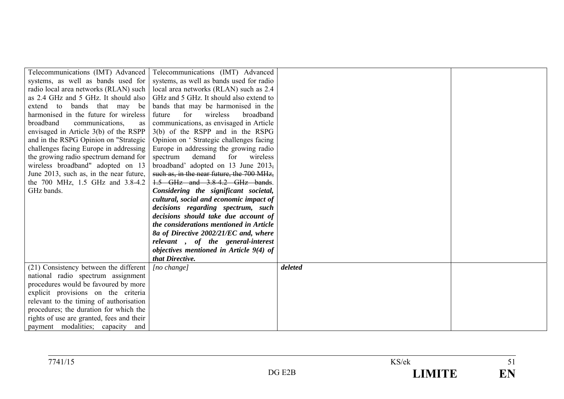| Telecommunications (IMT) Advanced         | Telecommunications (IMT) Advanced         |         |  |
|-------------------------------------------|-------------------------------------------|---------|--|
| systems, as well as bands used for        | systems, as well as bands used for radio  |         |  |
| radio local area networks (RLAN) such     | local area networks (RLAN) such as 2.4    |         |  |
| as 2.4 GHz and 5 GHz. It should also      | GHz and 5 GHz. It should also extend to   |         |  |
| bands that may be<br>extend to            | bands that may be harmonised in the       |         |  |
| harmonised in the future for wireless     | for<br>wireless<br>broadband<br>future    |         |  |
| broadband<br>communications,<br>as        | communications, as envisaged in Article   |         |  |
| envisaged in Article 3(b) of the RSPP     | $3(b)$ of the RSPP and in the RSPG        |         |  |
| and in the RSPG Opinion on "Strategic     | Opinion on 'Strategic challenges facing   |         |  |
| challenges facing Europe in addressing    | Europe in addressing the growing radio    |         |  |
| the growing radio spectrum demand for     | spectrum<br>demand<br>for<br>wireless     |         |  |
| wireless broadband" adopted on 13         | broadband' adopted on 13 June 2013,       |         |  |
| June 2013, such as, in the near future,   | such as, in the near future, the 700 MHz, |         |  |
| the 700 MHz, 1.5 GHz and 3.8-4.2          | 1.5 GHz and 3.8-4.2 GHz bands.            |         |  |
| GHz bands.                                | Considering the significant societal,     |         |  |
|                                           | cultural, social and economic impact of   |         |  |
|                                           | decisions regarding spectrum, such        |         |  |
|                                           | decisions should take due account of      |         |  |
|                                           | the considerations mentioned in Article   |         |  |
|                                           | 8a of Directive 2002/21/EC and, where     |         |  |
|                                           | relevant, of the general-interest         |         |  |
|                                           | objectives mentioned in Article 9(4) of   |         |  |
|                                           | that Directive.                           |         |  |
| (21) Consistency between the different    | [no change]                               | deleted |  |
| national radio spectrum assignment        |                                           |         |  |
| procedures would be favoured by more      |                                           |         |  |
| explicit provisions on the criteria       |                                           |         |  |
| relevant to the timing of authorisation   |                                           |         |  |
| procedures; the duration for which the    |                                           |         |  |
| rights of use are granted, fees and their |                                           |         |  |
| payment modalities; capacity and          |                                           |         |  |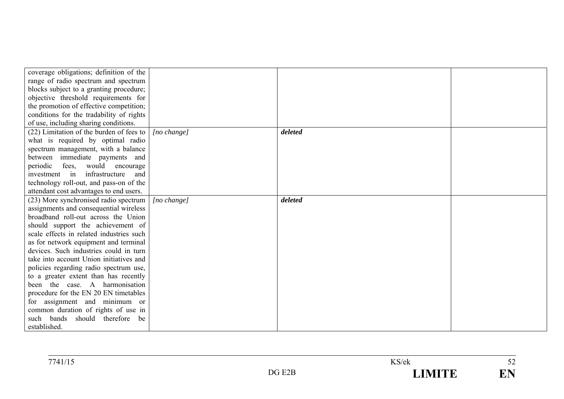| coverage obligations; definition of the  |                      |         |  |
|------------------------------------------|----------------------|---------|--|
| range of radio spectrum and spectrum     |                      |         |  |
| blocks subject to a granting procedure;  |                      |         |  |
| objective threshold requirements for     |                      |         |  |
| the promotion of effective competition;  |                      |         |  |
| conditions for the tradability of rights |                      |         |  |
| of use, including sharing conditions.    |                      |         |  |
| (22) Limitation of the burden of fees to | [no change]          | deleted |  |
| what is required by optimal radio        |                      |         |  |
| spectrum management, with a balance      |                      |         |  |
| between immediate payments and           |                      |         |  |
| periodic fees, would encourage           |                      |         |  |
| infrastructure<br>investment in<br>and   |                      |         |  |
| technology roll-out, and pass-on of the  |                      |         |  |
| attendant cost advantages to end users.  |                      |         |  |
| (23) More synchronised radio spectrum    | $[no \space change]$ | deleted |  |
| assignments and consequential wireless   |                      |         |  |
| broadband roll-out across the Union      |                      |         |  |
| should support the achievement of        |                      |         |  |
| scale effects in related industries such |                      |         |  |
| as for network equipment and terminal    |                      |         |  |
| devices. Such industries could in turn   |                      |         |  |
| take into account Union initiatives and  |                      |         |  |
| policies regarding radio spectrum use,   |                      |         |  |
| to a greater extent than has recently    |                      |         |  |
| been the case. A harmonisation           |                      |         |  |
| procedure for the EN 20 EN timetables    |                      |         |  |
| for assignment and minimum or            |                      |         |  |
| common duration of rights of use in      |                      |         |  |
| such bands should therefore be           |                      |         |  |
| established.                             |                      |         |  |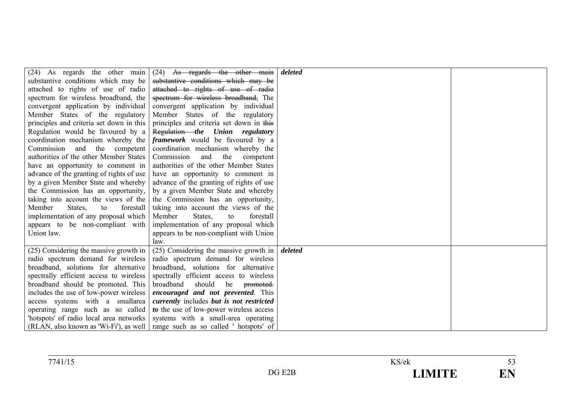| (24) As regards the other main           | $(24)$ As regards the other main                                                | deleted |  |
|------------------------------------------|---------------------------------------------------------------------------------|---------|--|
| substantive conditions which may be      | substantive conditions which may be                                             |         |  |
| attached to rights of use of radio       | attached to rights of use of radio                                              |         |  |
| spectrum for wireless broadband, the     | spectrum for wireless broadband, The                                            |         |  |
| convergent application by individual     | convergent application by individual                                            |         |  |
| Member States of the regulatory          | Member States of the regulatory                                                 |         |  |
| principles and criteria set down in this | principles and criteria set down in this                                        |         |  |
| Regulation would be favoured by a        | Regulation the Union regulatory                                                 |         |  |
| coordination mechanism whereby the       | <i>framework</i> would be favoured by a                                         |         |  |
| Commission and the competent             | coordination mechanism whereby the                                              |         |  |
| authorities of the other Member States   | Commission<br>the<br>and<br>competent                                           |         |  |
| have an opportunity to comment in        | authorities of the other Member States                                          |         |  |
| advance of the granting of rights of use | have an opportunity to comment in                                               |         |  |
| by a given Member State and whereby      | advance of the granting of rights of use                                        |         |  |
| the Commission has an opportunity,       | by a given Member State and whereby                                             |         |  |
| taking into account the views of the     | the Commission has an opportunity,                                              |         |  |
| Member<br>forestall<br>States,<br>to     | taking into account the views of the                                            |         |  |
| implementation of any proposal which     | Member<br>States,<br>forestall<br>to                                            |         |  |
| appears to be non-compliant with         | implementation of any proposal which                                            |         |  |
| Union law.                               | appears to be non-compliant with Union                                          |         |  |
|                                          | law.                                                                            |         |  |
| $(25)$ Considering the massive growth in | (25) Considering the massive growth in                                          | deleted |  |
| radio spectrum demand for wireless       | radio spectrum demand for wireless                                              |         |  |
| broadband, solutions for alternative     | broadband, solutions for alternative                                            |         |  |
| spectrally efficient access to wireless  | spectrally efficient access to wireless                                         |         |  |
| broadband should be promoted. This       | broadband<br>should<br>be<br>promoted.                                          |         |  |
| includes the use of low-power wireless   | encouraged and not prevented. This                                              |         |  |
| access systems with a smallarea          | currently includes but is not restricted                                        |         |  |
| operating range such as so called        | to the use of low-power wireless access                                         |         |  |
| "hotspots" of radio local area networks  | systems with a small-area operating                                             |         |  |
|                                          | (RLAN, also known as 'Wi-Fi'), as well   range such as so called ' hotspots' of |         |  |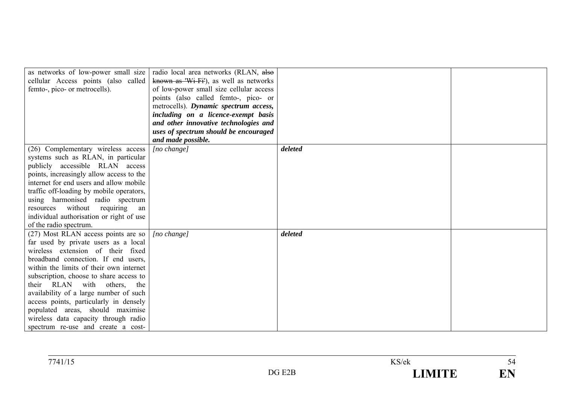| as networks of low-power small size      | radio local area networks (RLAN, also   |         |  |
|------------------------------------------|-----------------------------------------|---------|--|
| cellular Access points (also called)     | known as 'Wi-Fi'), as well as networks  |         |  |
| femto-, pico- or metrocells).            | of low-power small size cellular access |         |  |
|                                          | points (also called femto-, pico- or    |         |  |
|                                          | metrocells). Dynamic spectrum access,   |         |  |
|                                          | including on a licence-exempt basis     |         |  |
|                                          | and other innovative technologies and   |         |  |
|                                          | uses of spectrum should be encouraged   |         |  |
|                                          | and made possible.                      |         |  |
| (26) Complementary wireless access       | $[no \space change]$                    | deleted |  |
| systems such as RLAN, in particular      |                                         |         |  |
| publicly accessible RLAN access          |                                         |         |  |
| points, increasingly allow access to the |                                         |         |  |
| internet for end users and allow mobile  |                                         |         |  |
| traffic off-loading by mobile operators, |                                         |         |  |
| using harmonised radio spectrum          |                                         |         |  |
| without requiring<br>resources<br>an     |                                         |         |  |
| individual authorisation or right of use |                                         |         |  |
| of the radio spectrum.                   |                                         |         |  |
| (27) Most RLAN access points are so      | $[no \space change]$                    | deleted |  |
| far used by private users as a local     |                                         |         |  |
| wireless extension of their fixed        |                                         |         |  |
| broadband connection. If end users,      |                                         |         |  |
| within the limits of their own internet  |                                         |         |  |
| subscription, choose to share access to  |                                         |         |  |
| their RLAN with others, the              |                                         |         |  |
| availability of a large number of such   |                                         |         |  |
| access points, particularly in densely   |                                         |         |  |
| populated areas, should maximise         |                                         |         |  |
| wireless data capacity through radio     |                                         |         |  |
| spectrum re-use and create a cost-       |                                         |         |  |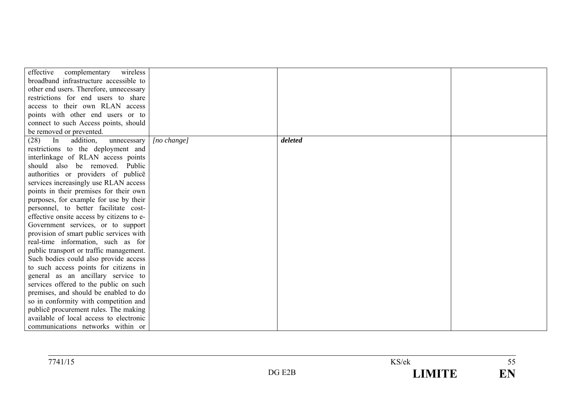| effective<br>complementary<br>wireless    |             |         |  |
|-------------------------------------------|-------------|---------|--|
| broadband infrastructure accessible to    |             |         |  |
| other end users. Therefore, unnecessary   |             |         |  |
| restrictions for end users to share       |             |         |  |
| access to their own RLAN access           |             |         |  |
| points with other end users or to         |             |         |  |
| connect to such Access points, should     |             |         |  |
| be removed or prevented.                  |             |         |  |
| In<br>addition,<br>(28)<br>unnecessary    | [no change] | deleted |  |
| restrictions to the deployment and        |             |         |  |
| interlinkage of RLAN access points        |             |         |  |
| should also be removed. Public            |             |         |  |
| authorities or providers of publice       |             |         |  |
| services increasingly use RLAN access     |             |         |  |
| points in their premises for their own    |             |         |  |
| purposes, for example for use by their    |             |         |  |
| personnel, to better facilitate cost-     |             |         |  |
| effective onsite access by citizens to e- |             |         |  |
| Government services, or to support        |             |         |  |
| provision of smart public services with   |             |         |  |
| real-time information, such as for        |             |         |  |
| public transport or traffic management.   |             |         |  |
| Such bodies could also provide access     |             |         |  |
| to such access points for citizens in     |             |         |  |
| general as an ancillary service to        |             |         |  |
| services offered to the public on such    |             |         |  |
| premises, and should be enabled to do     |             |         |  |
| so in conformity with competition and     |             |         |  |
| publice procurement rules. The making     |             |         |  |
| available of local access to electronic   |             |         |  |
| communications networks within or         |             |         |  |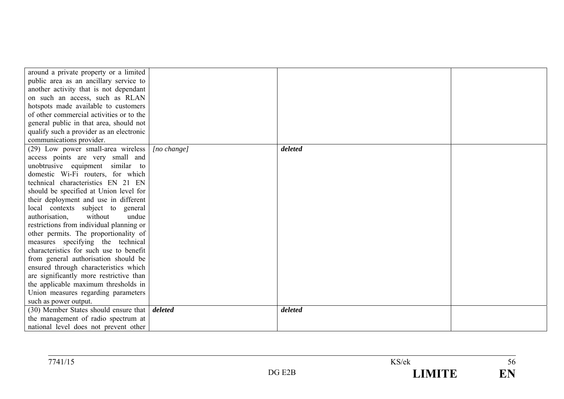| around a private property or a limited   |                      |         |  |
|------------------------------------------|----------------------|---------|--|
| public area as an ancillary service to   |                      |         |  |
| another activity that is not dependant   |                      |         |  |
| on such an access, such as RLAN          |                      |         |  |
| hotspots made available to customers     |                      |         |  |
| of other commercial activities or to the |                      |         |  |
| general public in that area, should not  |                      |         |  |
| qualify such a provider as an electronic |                      |         |  |
| communications provider.                 |                      |         |  |
| (29) Low power small-area wireless       | $[no \space change]$ | deleted |  |
| access points are very small and         |                      |         |  |
| unobtrusive equipment similar to         |                      |         |  |
| domestic Wi-Fi routers, for which        |                      |         |  |
| technical characteristics EN 21 EN       |                      |         |  |
| should be specified at Union level for   |                      |         |  |
| their deployment and use in different    |                      |         |  |
| local contexts subject to general        |                      |         |  |
| without<br>undue<br>authorisation.       |                      |         |  |
| restrictions from individual planning or |                      |         |  |
| other permits. The proportionality of    |                      |         |  |
| measures specifying the technical        |                      |         |  |
| characteristics for such use to benefit  |                      |         |  |
| from general authorisation should be     |                      |         |  |
| ensured through characteristics which    |                      |         |  |
| are significantly more restrictive than  |                      |         |  |
| the applicable maximum thresholds in     |                      |         |  |
| Union measures regarding parameters      |                      |         |  |
| such as power output.                    |                      |         |  |
| (30) Member States should ensure that    | deleted              | deleted |  |
| the management of radio spectrum at      |                      |         |  |
| national level does not prevent other    |                      |         |  |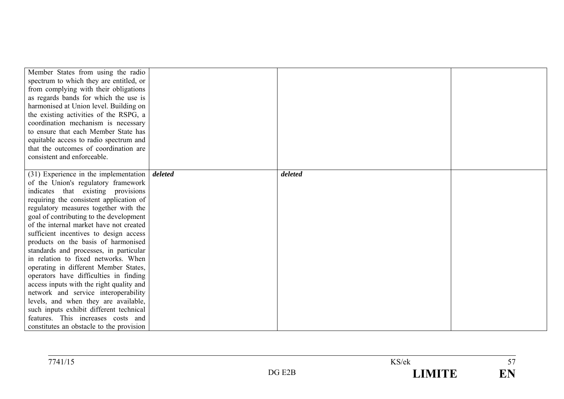| Member States from using the radio<br>spectrum to which they are entitled, or<br>from complying with their obligations<br>as regards bands for which the use is<br>harmonised at Union level. Building on<br>the existing activities of the RSPG, a<br>coordination mechanism is necessary<br>to ensure that each Member State has<br>equitable access to radio spectrum and |         |         |  |
|------------------------------------------------------------------------------------------------------------------------------------------------------------------------------------------------------------------------------------------------------------------------------------------------------------------------------------------------------------------------------|---------|---------|--|
| that the outcomes of coordination are                                                                                                                                                                                                                                                                                                                                        |         |         |  |
| consistent and enforceable.                                                                                                                                                                                                                                                                                                                                                  |         |         |  |
|                                                                                                                                                                                                                                                                                                                                                                              |         |         |  |
| $(31)$ Experience in the implementation                                                                                                                                                                                                                                                                                                                                      | deleted | deleted |  |
| of the Union's regulatory framework                                                                                                                                                                                                                                                                                                                                          |         |         |  |
| indicates that existing provisions<br>requiring the consistent application of                                                                                                                                                                                                                                                                                                |         |         |  |
| regulatory measures together with the                                                                                                                                                                                                                                                                                                                                        |         |         |  |
| goal of contributing to the development                                                                                                                                                                                                                                                                                                                                      |         |         |  |
| of the internal market have not created                                                                                                                                                                                                                                                                                                                                      |         |         |  |
| sufficient incentives to design access                                                                                                                                                                                                                                                                                                                                       |         |         |  |
| products on the basis of harmonised                                                                                                                                                                                                                                                                                                                                          |         |         |  |
| standards and processes, in particular                                                                                                                                                                                                                                                                                                                                       |         |         |  |
| in relation to fixed networks. When                                                                                                                                                                                                                                                                                                                                          |         |         |  |
| operating in different Member States,                                                                                                                                                                                                                                                                                                                                        |         |         |  |
| operators have difficulties in finding                                                                                                                                                                                                                                                                                                                                       |         |         |  |
| access inputs with the right quality and                                                                                                                                                                                                                                                                                                                                     |         |         |  |
| network and service interoperability                                                                                                                                                                                                                                                                                                                                         |         |         |  |
| levels, and when they are available,                                                                                                                                                                                                                                                                                                                                         |         |         |  |
| such inputs exhibit different technical                                                                                                                                                                                                                                                                                                                                      |         |         |  |
| features. This increases costs and                                                                                                                                                                                                                                                                                                                                           |         |         |  |
| constitutes an obstacle to the provision                                                                                                                                                                                                                                                                                                                                     |         |         |  |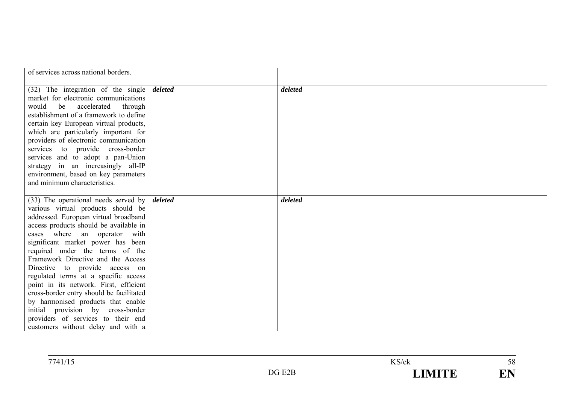| of services across national borders.                                  |         |  |
|-----------------------------------------------------------------------|---------|--|
|                                                                       |         |  |
| $(32)$ The integration of the single deleted                          | deleted |  |
| market for electronic communications                                  |         |  |
| be accelerated<br>would<br>through                                    |         |  |
| establishment of a framework to define                                |         |  |
| certain key European virtual products,                                |         |  |
| which are particularly important for                                  |         |  |
| providers of electronic communication                                 |         |  |
| services to provide cross-border                                      |         |  |
| services and to adopt a pan-Union                                     |         |  |
| strategy in an increasingly all-IP                                    |         |  |
| environment, based on key parameters                                  |         |  |
| and minimum characteristics.                                          |         |  |
|                                                                       |         |  |
| $(33)$ The operational needs served by <i>deleted</i>                 | deleted |  |
| various virtual products should be                                    |         |  |
| addressed. European virtual broadband                                 |         |  |
| access products should be available in                                |         |  |
| cases where an operator with                                          |         |  |
| significant market power has been                                     |         |  |
| required under the terms of the<br>Framework Directive and the Access |         |  |
| Directive to provide access on                                        |         |  |
| regulated terms at a specific access                                  |         |  |
| point in its network. First, efficient                                |         |  |
| cross-border entry should be facilitated                              |         |  |
| by harmonised products that enable                                    |         |  |
| initial provision by cross-border                                     |         |  |
| providers of services to their end                                    |         |  |
| customers without delay and with a                                    |         |  |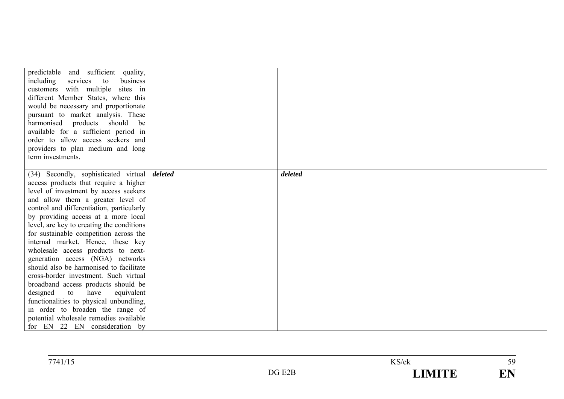| predictable and sufficient quality,<br>including<br>services<br>to<br>business<br>customers with multiple sites in<br>different Member States, where this<br>would be necessary and proportionate<br>pursuant to market analysis. These<br>harmonised products should<br>be<br>available for a sufficient period in<br>order to allow access seekers and<br>providers to plan medium and long<br>term investments. |         |         |  |
|--------------------------------------------------------------------------------------------------------------------------------------------------------------------------------------------------------------------------------------------------------------------------------------------------------------------------------------------------------------------------------------------------------------------|---------|---------|--|
| (34) Secondly, sophisticated virtual<br>access products that require a higher                                                                                                                                                                                                                                                                                                                                      | deleted | deleted |  |
| level of investment by access seekers                                                                                                                                                                                                                                                                                                                                                                              |         |         |  |
| and allow them a greater level of                                                                                                                                                                                                                                                                                                                                                                                  |         |         |  |
| control and differentiation, particularly                                                                                                                                                                                                                                                                                                                                                                          |         |         |  |
| by providing access at a more local                                                                                                                                                                                                                                                                                                                                                                                |         |         |  |
| level, are key to creating the conditions                                                                                                                                                                                                                                                                                                                                                                          |         |         |  |
| for sustainable competition across the                                                                                                                                                                                                                                                                                                                                                                             |         |         |  |
| internal market. Hence, these key                                                                                                                                                                                                                                                                                                                                                                                  |         |         |  |
| wholesale access products to next-                                                                                                                                                                                                                                                                                                                                                                                 |         |         |  |
| generation access (NGA) networks                                                                                                                                                                                                                                                                                                                                                                                   |         |         |  |
| should also be harmonised to facilitate                                                                                                                                                                                                                                                                                                                                                                            |         |         |  |
| cross-border investment. Such virtual                                                                                                                                                                                                                                                                                                                                                                              |         |         |  |
| broadband access products should be                                                                                                                                                                                                                                                                                                                                                                                |         |         |  |
| designed<br>to<br>have<br>equivalent                                                                                                                                                                                                                                                                                                                                                                               |         |         |  |
| functionalities to physical unbundling,                                                                                                                                                                                                                                                                                                                                                                            |         |         |  |
| in order to broaden the range of                                                                                                                                                                                                                                                                                                                                                                                   |         |         |  |
| potential wholesale remedies available                                                                                                                                                                                                                                                                                                                                                                             |         |         |  |
| for EN 22 EN consideration by                                                                                                                                                                                                                                                                                                                                                                                      |         |         |  |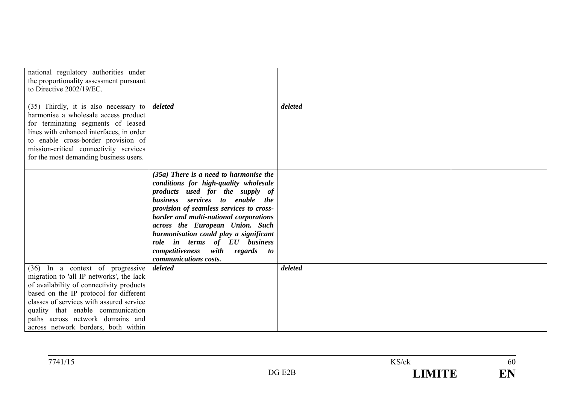| national regulatory authorities under<br>the proportionality assessment pursuant<br>to Directive 2002/19/EC.                                                                                                                                                                                                                   |                                                                                                                                                                                                                                                                                                                                                                                                                              |         |  |
|--------------------------------------------------------------------------------------------------------------------------------------------------------------------------------------------------------------------------------------------------------------------------------------------------------------------------------|------------------------------------------------------------------------------------------------------------------------------------------------------------------------------------------------------------------------------------------------------------------------------------------------------------------------------------------------------------------------------------------------------------------------------|---------|--|
| $(35)$ Thirdly, it is also necessary to<br>harmonise a wholesale access product<br>for terminating segments of leased<br>lines with enhanced interfaces, in order<br>to enable cross-border provision of<br>mission-critical connectivity services<br>for the most demanding business users.                                   | deleted                                                                                                                                                                                                                                                                                                                                                                                                                      | deleted |  |
|                                                                                                                                                                                                                                                                                                                                | $(35a)$ There is a need to harmonise the<br>conditions for high-quality wholesale<br>products used for the supply of<br>business services to enable the<br>provision of seamless services to cross-<br>border and multi-national corporations<br>across the European Union. Such<br>harmonisation could play a significant<br>role in terms of EU business<br>competitiveness<br>with<br>regards to<br>communications costs. |         |  |
| (36) In a context of progressive<br>migration to 'all IP networks', the lack<br>of availability of connectivity products<br>based on the IP protocol for different<br>classes of services with assured service<br>quality that enable communication<br>paths across network domains and<br>across network borders, both within | deleted                                                                                                                                                                                                                                                                                                                                                                                                                      | deleted |  |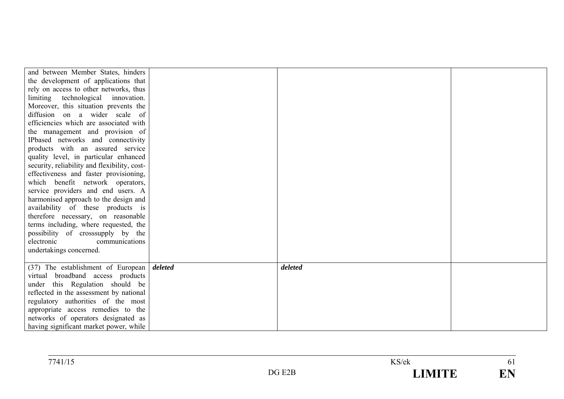| and between Member States, hinders                                                                                                                                                                                                                                                                            |         |  |
|---------------------------------------------------------------------------------------------------------------------------------------------------------------------------------------------------------------------------------------------------------------------------------------------------------------|---------|--|
| the development of applications that                                                                                                                                                                                                                                                                          |         |  |
| rely on access to other networks, thus                                                                                                                                                                                                                                                                        |         |  |
| limiting technological innovation.                                                                                                                                                                                                                                                                            |         |  |
| Moreover, this situation prevents the                                                                                                                                                                                                                                                                         |         |  |
| diffusion on a wider scale of                                                                                                                                                                                                                                                                                 |         |  |
| efficiencies which are associated with                                                                                                                                                                                                                                                                        |         |  |
| the management and provision of                                                                                                                                                                                                                                                                               |         |  |
| IPbased networks and connectivity                                                                                                                                                                                                                                                                             |         |  |
| products with an assured service                                                                                                                                                                                                                                                                              |         |  |
| quality level, in particular enhanced                                                                                                                                                                                                                                                                         |         |  |
| security, reliability and flexibility, cost-                                                                                                                                                                                                                                                                  |         |  |
| effectiveness and faster provisioning,                                                                                                                                                                                                                                                                        |         |  |
| which benefit network operators,                                                                                                                                                                                                                                                                              |         |  |
| service providers and end users. A                                                                                                                                                                                                                                                                            |         |  |
| harmonised approach to the design and                                                                                                                                                                                                                                                                         |         |  |
| availability of these products is                                                                                                                                                                                                                                                                             |         |  |
| therefore necessary, on reasonable                                                                                                                                                                                                                                                                            |         |  |
| terms including, where requested, the                                                                                                                                                                                                                                                                         |         |  |
| possibility of crosssupply by the                                                                                                                                                                                                                                                                             |         |  |
| electronic<br>communications                                                                                                                                                                                                                                                                                  |         |  |
|                                                                                                                                                                                                                                                                                                               |         |  |
|                                                                                                                                                                                                                                                                                                               |         |  |
|                                                                                                                                                                                                                                                                                                               |         |  |
|                                                                                                                                                                                                                                                                                                               |         |  |
|                                                                                                                                                                                                                                                                                                               |         |  |
|                                                                                                                                                                                                                                                                                                               |         |  |
|                                                                                                                                                                                                                                                                                                               |         |  |
|                                                                                                                                                                                                                                                                                                               |         |  |
| having significant market power, while                                                                                                                                                                                                                                                                        |         |  |
| undertakings concerned.<br>$(37)$ The establishment of European deleted<br>virtual broadband access products<br>under this Regulation should be<br>reflected in the assessment by national<br>regulatory authorities of the most<br>appropriate access remedies to the<br>networks of operators designated as | deleted |  |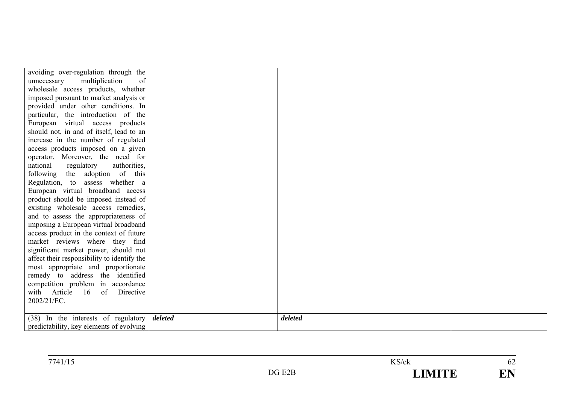| avoiding over-regulation through the          |         |  |
|-----------------------------------------------|---------|--|
| multiplication<br>unnecessary<br>of           |         |  |
| wholesale access products, whether            |         |  |
| imposed pursuant to market analysis or        |         |  |
| provided under other conditions. In           |         |  |
| particular, the introduction of the           |         |  |
| European virtual access products              |         |  |
| should not, in and of itself, lead to an      |         |  |
| increase in the number of regulated           |         |  |
| access products imposed on a given            |         |  |
| operator. Moreover, the need for              |         |  |
| regulatory<br>national<br>authorities,        |         |  |
| following the adoption of this                |         |  |
| Regulation, to assess whether a               |         |  |
| European virtual broadband access             |         |  |
| product should be imposed instead of          |         |  |
| existing wholesale access remedies,           |         |  |
| and to assess the appropriateness of          |         |  |
| imposing a European virtual broadband         |         |  |
| access product in the context of future       |         |  |
| market reviews where they find                |         |  |
| significant market power, should not          |         |  |
| affect their responsibility to identify the   |         |  |
| most appropriate and proportionate            |         |  |
| remedy to address the identified              |         |  |
| competition problem in accordance             |         |  |
| with Article 16 of Directive                  |         |  |
| 2002/21/EC.                                   |         |  |
|                                               |         |  |
| $(38)$ In the interests of regulatory deleted | deleted |  |
| predictability, key elements of evolving      |         |  |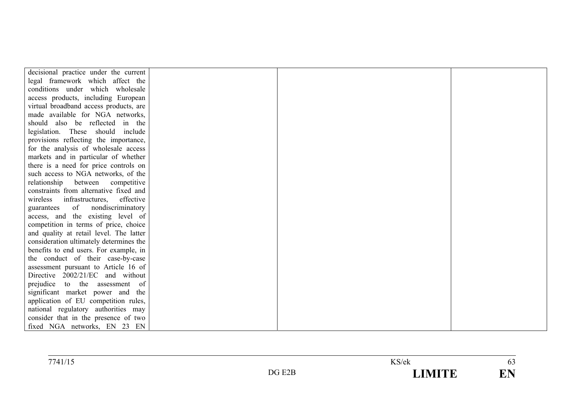| decisional practice under the current     |  |  |
|-------------------------------------------|--|--|
| legal framework which affect the          |  |  |
| conditions under which wholesale          |  |  |
| access products, including European       |  |  |
| virtual broadband access products, are    |  |  |
| made available for NGA networks,          |  |  |
| should also be reflected in the           |  |  |
| legislation. These should include         |  |  |
| provisions reflecting the importance,     |  |  |
| for the analysis of wholesale access      |  |  |
| markets and in particular of whether      |  |  |
| there is a need for price controls on     |  |  |
| such access to NGA networks, of the       |  |  |
| relationship between<br>competitive       |  |  |
| constraints from alternative fixed and    |  |  |
| infrastructures,<br>effective<br>wireless |  |  |
| of<br>nondiscriminatory<br>guarantees     |  |  |
| access, and the existing level of         |  |  |
| competition in terms of price, choice     |  |  |
| and quality at retail level. The latter   |  |  |
| consideration ultimately determines the   |  |  |
| benefits to end users. For example, in    |  |  |
| the conduct of their case-by-case         |  |  |
| assessment pursuant to Article 16 of      |  |  |
| Directive 2002/21/EC and without          |  |  |
| prejudice<br>to the assessment of         |  |  |
| significant market power and the          |  |  |
| application of EU competition rules,      |  |  |
| national regulatory authorities may       |  |  |
| consider that in the presence of two      |  |  |
| fixed NGA networks, EN 23 EN              |  |  |

| 7741/15 |           | KS/ek             | <b>UJ</b>                |  |
|---------|-----------|-------------------|--------------------------|--|
|         | E2B<br>DG | <b>IMITE</b><br>_ | <b>THE</b><br><b>LIA</b> |  |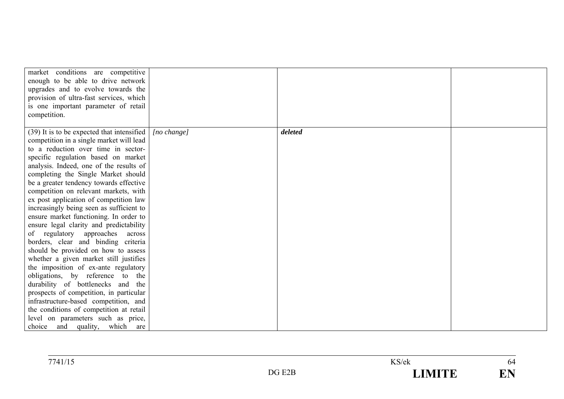| market conditions are competitive<br>enough to be able to drive network<br>upgrades and to evolve towards the<br>provision of ultra-fast services, which<br>is one important parameter of retail<br>competition.                                                                                                                                                                                                                                                                                                                                                                                                                                                                                                                                                                                                                                |             |         |  |
|-------------------------------------------------------------------------------------------------------------------------------------------------------------------------------------------------------------------------------------------------------------------------------------------------------------------------------------------------------------------------------------------------------------------------------------------------------------------------------------------------------------------------------------------------------------------------------------------------------------------------------------------------------------------------------------------------------------------------------------------------------------------------------------------------------------------------------------------------|-------------|---------|--|
|                                                                                                                                                                                                                                                                                                                                                                                                                                                                                                                                                                                                                                                                                                                                                                                                                                                 |             |         |  |
| (39) It is to be expected that intensified<br>competition in a single market will lead<br>to a reduction over time in sector-<br>specific regulation based on market<br>analysis. Indeed, one of the results of<br>completing the Single Market should<br>be a greater tendency towards effective<br>competition on relevant markets, with<br>ex post application of competition law<br>increasingly being seen as sufficient to<br>ensure market functioning. In order to<br>ensure legal clarity and predictability<br>of regulatory approaches<br>across<br>borders, clear and binding criteria<br>should be provided on how to assess<br>whether a given market still justifies<br>the imposition of ex-ante regulatory<br>obligations, by reference to the<br>durability of bottlenecks and the<br>prospects of competition, in particular | [no change] | deleted |  |
| infrastructure-based competition, and<br>the conditions of competition at retail<br>level on parameters such as price,                                                                                                                                                                                                                                                                                                                                                                                                                                                                                                                                                                                                                                                                                                                          |             |         |  |
| choice and quality, which are                                                                                                                                                                                                                                                                                                                                                                                                                                                                                                                                                                                                                                                                                                                                                                                                                   |             |         |  |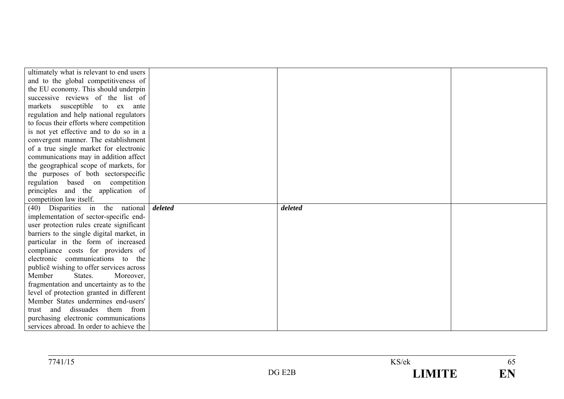| ultimately what is relevant to end users                                         |         |         |  |
|----------------------------------------------------------------------------------|---------|---------|--|
| and to the global competitiveness of                                             |         |         |  |
| the EU economy. This should underpin                                             |         |         |  |
| successive reviews of the list of                                                |         |         |  |
| markets susceptible to ex ante                                                   |         |         |  |
| regulation and help national regulators                                          |         |         |  |
| to focus their efforts where competition                                         |         |         |  |
| is not yet effective and to do so in a                                           |         |         |  |
| convergent manner. The establishment                                             |         |         |  |
| of a true single market for electronic                                           |         |         |  |
| communications may in addition affect                                            |         |         |  |
| the geographical scope of markets, for                                           |         |         |  |
| the purposes of both sectorspecific                                              |         |         |  |
| regulation based on competition                                                  |         |         |  |
| principles and the application of                                                |         |         |  |
| competition law itself.                                                          |         |         |  |
|                                                                                  |         |         |  |
| (40) Disparities in the national                                                 | deleted | deleted |  |
| implementation of sector-specific end-                                           |         |         |  |
| user protection rules create significant                                         |         |         |  |
| barriers to the single digital market, in                                        |         |         |  |
| particular in the form of increased                                              |         |         |  |
| compliance costs for providers of                                                |         |         |  |
| electronic communications to the                                                 |         |         |  |
| publice wishing to offer services across                                         |         |         |  |
| Member<br>States.<br>Moreover,                                                   |         |         |  |
| fragmentation and uncertainty as to the                                          |         |         |  |
| level of protection granted in different                                         |         |         |  |
| Member States undermines end-users'                                              |         |         |  |
| and dissuades them from<br>trust                                                 |         |         |  |
| purchasing electronic communications<br>services abroad. In order to achieve the |         |         |  |

| 7741/15<br>741/15 |                               | $T/T$ $($<br>S/ek | $\upsilon$ |
|-------------------|-------------------------------|-------------------|------------|
|                   | <b>EOE</b><br>DG <sub>l</sub> | $     -$<br>- - - | TIT.       |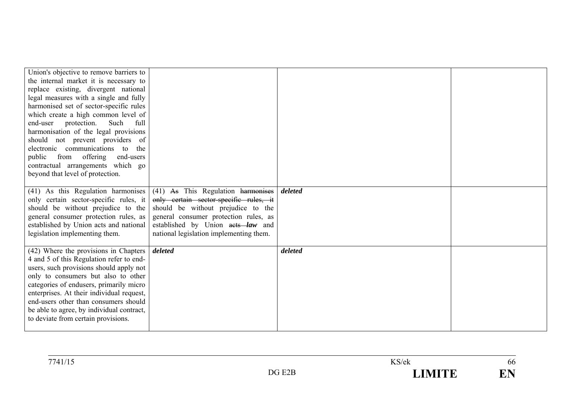| Union's objective to remove barriers to<br>the internal market it is necessary to<br>replace existing, divergent national<br>legal measures with a single and fully<br>harmonised set of sector-specific rules<br>which create a high common level of<br>protection. Such<br>end-user<br>full<br>harmonisation of the legal provisions<br>should not prevent providers of<br>electronic communications to<br>the<br>from offering<br>public<br>end-users<br>contractual arrangements which go<br>beyond that level of protection. |                                                                                                                                                                                                                                             |         |  |
|-----------------------------------------------------------------------------------------------------------------------------------------------------------------------------------------------------------------------------------------------------------------------------------------------------------------------------------------------------------------------------------------------------------------------------------------------------------------------------------------------------------------------------------|---------------------------------------------------------------------------------------------------------------------------------------------------------------------------------------------------------------------------------------------|---------|--|
| (41) As this Regulation harmonises<br>only certain sector-specific rules, it<br>should be without prejudice to the<br>general consumer protection rules, as<br>established by Union acts and national<br>legislation implementing them.                                                                                                                                                                                                                                                                                           | (41) As This Regulation harmonises<br>only certain sector-specific rules, it<br>should be without prejudice to the<br>general consumer protection rules, as<br>established by Union acts law and<br>national legislation implementing them. | deleted |  |
| (42) Where the provisions in Chapters<br>4 and 5 of this Regulation refer to end-<br>users, such provisions should apply not<br>only to consumers but also to other<br>categories of endusers, primarily micro<br>enterprises. At their individual request,<br>end-users other than consumers should<br>be able to agree, by individual contract,<br>to deviate from certain provisions.                                                                                                                                          | deleted                                                                                                                                                                                                                                     | deleted |  |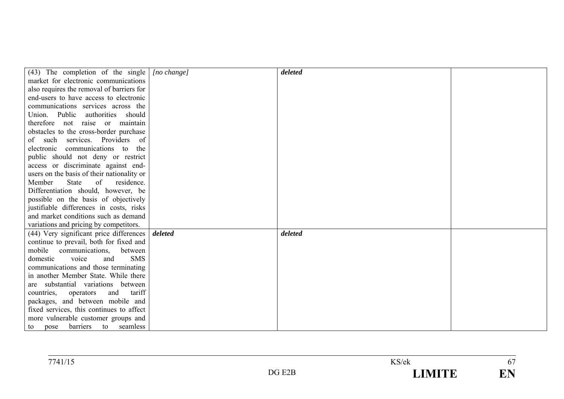| $(43)$ The completion of the single        | $[no \ change]$ | deleted |  |
|--------------------------------------------|-----------------|---------|--|
| market for electronic communications       |                 |         |  |
| also requires the removal of barriers for  |                 |         |  |
| end-users to have access to electronic     |                 |         |  |
| communications services across the         |                 |         |  |
| Union. Public<br>authorities<br>should     |                 |         |  |
| therefore not raise or maintain            |                 |         |  |
| obstacles to the cross-border purchase     |                 |         |  |
| of such services. Providers<br>of          |                 |         |  |
| communications to<br>electronic<br>the     |                 |         |  |
| public should not deny or restrict         |                 |         |  |
| access or discriminate against end-        |                 |         |  |
| users on the basis of their nationality or |                 |         |  |
| <b>State</b><br>of<br>residence.<br>Member |                 |         |  |
| Differentiation should, however, be        |                 |         |  |
| possible on the basis of objectively       |                 |         |  |
| justifiable differences in costs, risks    |                 |         |  |
| and market conditions such as demand       |                 |         |  |
| variations and pricing by competitors.     |                 |         |  |
| (44) Very significant price differences    | deleted         | deleted |  |
| continue to prevail, both for fixed and    |                 |         |  |
| mobile<br>communications,<br>between       |                 |         |  |
| <b>SMS</b><br>voice<br>domestic<br>and     |                 |         |  |
| communications and those terminating       |                 |         |  |
| in another Member State. While there       |                 |         |  |
| are substantial variations between         |                 |         |  |
| tariff<br>countries,<br>operators<br>and   |                 |         |  |
| packages, and between mobile and           |                 |         |  |
| fixed services, this continues to affect   |                 |         |  |
| more vulnerable customer groups and        |                 |         |  |
| seamless<br>barriers to<br>to<br>pose      |                 |         |  |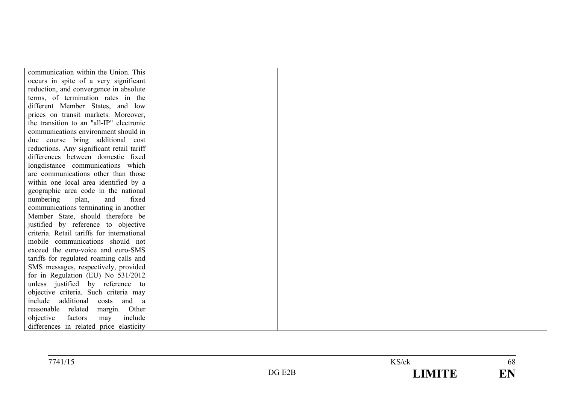| communication within the Union. This       |  |  |
|--------------------------------------------|--|--|
| occurs in spite of a very significant      |  |  |
| reduction, and convergence in absolute     |  |  |
| terms, of termination rates in the         |  |  |
| different Member States, and low           |  |  |
| prices on transit markets. Moreover,       |  |  |
| the transition to an "all-IP" electronic   |  |  |
| communications environment should in       |  |  |
| due course bring additional cost           |  |  |
| reductions. Any significant retail tariff  |  |  |
| differences between domestic fixed         |  |  |
| longdistance communications which          |  |  |
| are communications other than those        |  |  |
| within one local area identified by a      |  |  |
| geographic area code in the national       |  |  |
| fixed<br>numbering<br>plan,<br>and         |  |  |
| communications terminating in another      |  |  |
| Member State, should therefore be          |  |  |
| justified by reference to objective        |  |  |
| criteria. Retail tariffs for international |  |  |
| mobile communications should not           |  |  |
| exceed the euro-voice and euro-SMS         |  |  |
| tariffs for regulated roaming calls and    |  |  |
| SMS messages, respectively, provided       |  |  |
| for in Regulation (EU) No 531/2012         |  |  |
| unless justified by reference to           |  |  |
| objective criteria. Such criteria may      |  |  |
| include<br>additional<br>costs and a       |  |  |
| reasonable related<br>margin. Other        |  |  |
| include<br>objective<br>factors<br>may     |  |  |
| differences in related price elasticity    |  |  |

| 7741/15 |                      | $\mathrm{Y}S/\mathrm{ek}$ | 68 |
|---------|----------------------|---------------------------|----|
|         | $\blacksquare$<br>70 | <b>AITE</b>               | டப |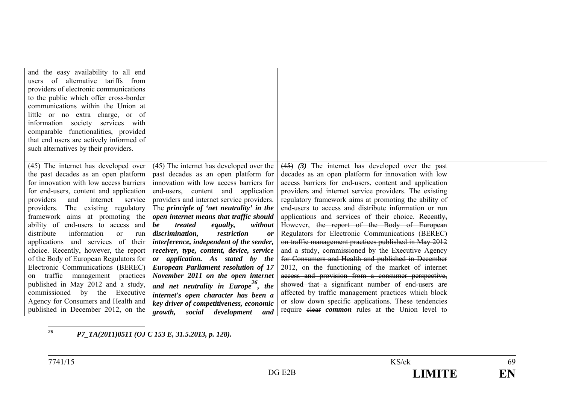| and the easy availability to all end<br>of alternative tariffs from<br>users<br>providers of electronic communications<br>to the public which offer cross-border<br>communications within the Union at<br>little or no extra charge, or of<br>information society services with<br>comparable functionalities, provided<br>that end users are actively informed of<br>such alternatives by their providers.                                                                                                                                                                                                                                                                                                                                       |                                                                                                                                                                                                                                                                                                                                                                                                                                                                                                                                                                                                                                                                                                                                                                                           |                                                                                                                                                                                                                                                                                                                                                                                                                                                                                                                                                                                                                                                                                                                                                                                                                                                                                                                                                                                                                            |  |
|---------------------------------------------------------------------------------------------------------------------------------------------------------------------------------------------------------------------------------------------------------------------------------------------------------------------------------------------------------------------------------------------------------------------------------------------------------------------------------------------------------------------------------------------------------------------------------------------------------------------------------------------------------------------------------------------------------------------------------------------------|-------------------------------------------------------------------------------------------------------------------------------------------------------------------------------------------------------------------------------------------------------------------------------------------------------------------------------------------------------------------------------------------------------------------------------------------------------------------------------------------------------------------------------------------------------------------------------------------------------------------------------------------------------------------------------------------------------------------------------------------------------------------------------------------|----------------------------------------------------------------------------------------------------------------------------------------------------------------------------------------------------------------------------------------------------------------------------------------------------------------------------------------------------------------------------------------------------------------------------------------------------------------------------------------------------------------------------------------------------------------------------------------------------------------------------------------------------------------------------------------------------------------------------------------------------------------------------------------------------------------------------------------------------------------------------------------------------------------------------------------------------------------------------------------------------------------------------|--|
| (45) The internet has developed over<br>the past decades as an open platform<br>for innovation with low access barriers<br>for end-users, content and application<br>providers<br>and<br>internet<br>service<br>providers. The existing regulatory<br>framework aims at promoting the<br>ability of end-users to access and<br>distribute<br>information<br><sub>or</sub><br>run<br>applications and services of<br>their<br>choice. Recently, however, the report<br>of the Body of European Regulators for<br>Electronic Communications (BEREC)<br>traffic<br>management<br>practices<br>on<br>published in May 2012 and a study,<br>commissioned by the Executive<br>Agency for Consumers and Health and<br>published in December 2012, on the | (45) The internet has developed over the<br>past decades as an open platform for<br>innovation with low access barriers for<br>end-users, content and application<br>providers and internet service providers.<br>The principle of 'net neutrality' in the<br>open internet means that traffic should<br>be<br>treated<br><i>equally,</i><br>without<br>discrimination,<br>restriction<br>or<br>interference, independent of the sender,<br>receiver, type, content, device, service<br>or application. As stated by the<br><b>European Parliament resolution of 17</b><br>November 2011 on the open internet<br>and net neutrality in Europe <sup>20</sup> , the<br>internet's open character has been a<br>key driver of competitiveness, economic<br>growth, social development<br>and | $(45)$ (3) The internet has developed over the past<br>decades as an open platform for innovation with low<br>access barriers for end-users, content and application<br>providers and internet service providers. The existing<br>regulatory framework aims at promoting the ability of<br>end-users to access and distribute information or run<br>applications and services of their choice. Recently,<br>However, the report of the Body of European<br>Regulators for Electronic Communications (BEREC)<br>on traffic management practices published in May 2012<br>and a study, commissioned by the Executive Agency<br>for Consumers and Health and published in December<br>2012, on the functioning of the market of internet<br>access and provision from a consumer perspective,<br>showed that a significant number of end-users are<br>affected by traffic management practices which block<br>or slow down specific applications. These tendencies<br>require elear <i>common</i> rules at the Union level to |  |

*26P7\_TA(2011)0511 (OJ C 153 E, 31.5.2013, p. 128).*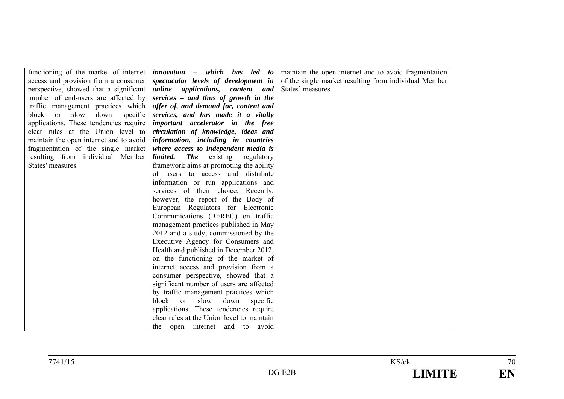|                                         | functioning of the market of internet   <i>innovation - which has led to</i> | maintain the open internet and to avoid fragmentation |  |
|-----------------------------------------|------------------------------------------------------------------------------|-------------------------------------------------------|--|
| access and provision from a consumer    | spectacular levels of development in                                         | of the single market resulting from individual Member |  |
| perspective, showed that a significant  | online applications, content and                                             | States' measures.                                     |  |
| number of end-users are affected by     | services – and thus of growth in the                                         |                                                       |  |
| traffic management practices which      | offer of, and demand for, content and                                        |                                                       |  |
| block or slow down specific             | services, and has made it a vitally                                          |                                                       |  |
| applications. These tendencies require  | important accelerator in the free                                            |                                                       |  |
| clear rules at the Union level to       | circulation of knowledge, ideas and                                          |                                                       |  |
| maintain the open internet and to avoid | information, including in countries                                          |                                                       |  |
| fragmentation of the single market      | where access to independent media is                                         |                                                       |  |
| resulting from individual Member        | <b>The</b> existing regulatory<br>limited.                                   |                                                       |  |
| States' measures.                       | framework aims at promoting the ability                                      |                                                       |  |
|                                         | of users to access and distribute                                            |                                                       |  |
|                                         | information or run applications and                                          |                                                       |  |
|                                         | services of their choice. Recently,                                          |                                                       |  |
|                                         | however, the report of the Body of                                           |                                                       |  |
|                                         | European Regulators for Electronic                                           |                                                       |  |
|                                         | Communications (BEREC) on traffic                                            |                                                       |  |
|                                         | management practices published in May                                        |                                                       |  |
|                                         | 2012 and a study, commissioned by the                                        |                                                       |  |
|                                         | Executive Agency for Consumers and                                           |                                                       |  |
|                                         | Health and published in December 2012,                                       |                                                       |  |
|                                         | on the functioning of the market of                                          |                                                       |  |
|                                         | internet access and provision from a                                         |                                                       |  |
|                                         | consumer perspective, showed that a                                          |                                                       |  |
|                                         | significant number of users are affected                                     |                                                       |  |
|                                         | by traffic management practices which                                        |                                                       |  |
|                                         | slow<br>down<br>block or<br>specific                                         |                                                       |  |
|                                         | applications. These tendencies require                                       |                                                       |  |
|                                         | clear rules at the Union level to maintain                                   |                                                       |  |
|                                         | the open internet and to avoid                                               |                                                       |  |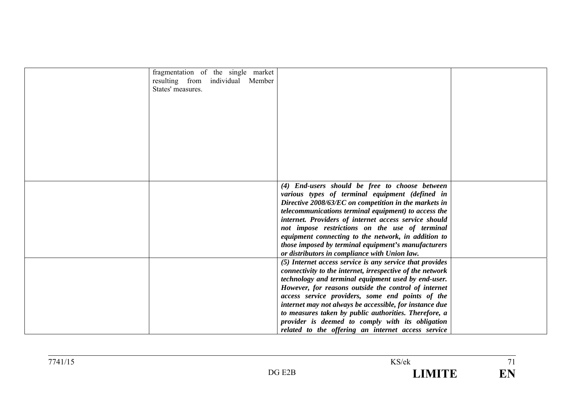| fragmentation of the single market<br>resulting from individual Member<br>States' measures. |                                                                                                                                                                                                                                                                                                                                                                                                                                                                                                                        |  |
|---------------------------------------------------------------------------------------------|------------------------------------------------------------------------------------------------------------------------------------------------------------------------------------------------------------------------------------------------------------------------------------------------------------------------------------------------------------------------------------------------------------------------------------------------------------------------------------------------------------------------|--|
|                                                                                             | (4) End-users should be free to choose between<br>various types of terminal equipment (defined in<br>Directive 2008/63/EC on competition in the markets in<br>telecommunications terminal equipment) to access the<br>internet. Providers of internet access service should<br>not impose restrictions on the use of terminal<br>equipment connecting to the network, in addition to<br><i>those imposed by terminal equipment's manufacturers</i><br>or distributors in compliance with Union law.                    |  |
|                                                                                             | (5) Internet access service is any service that provides<br>connectivity to the internet, irrespective of the network<br>technology and terminal equipment used by end-user.<br>However, for reasons outside the control of internet<br>access service providers, some end points of the<br>internet may not always be accessible, for instance due<br>to measures taken by public authorities. Therefore, a<br>provider is deemed to comply with its obligation<br>related to the offering an internet access service |  |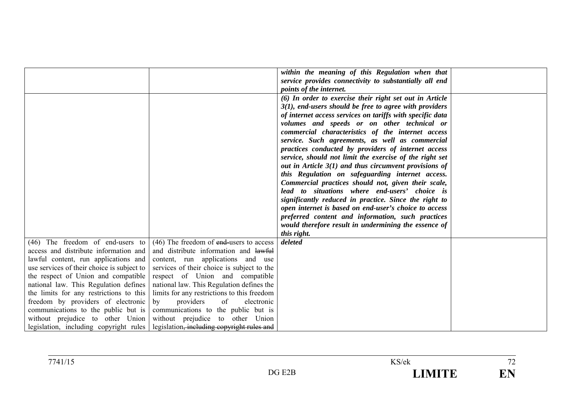|                                            |                                             | within the meaning of this Regulation when that           |  |
|--------------------------------------------|---------------------------------------------|-----------------------------------------------------------|--|
|                                            |                                             | service provides connectivity to substantially all end    |  |
|                                            |                                             | points of the internet.                                   |  |
|                                            |                                             | (6) In order to exercise their right set out in Article   |  |
|                                            |                                             | $3(1)$ , end-users should be free to agree with providers |  |
|                                            |                                             | of internet access services on tariffs with specific data |  |
|                                            |                                             | volumes and speeds or on other technical or               |  |
|                                            |                                             | commercial characteristics of the internet access         |  |
|                                            |                                             | service. Such agreements, as well as commercial           |  |
|                                            |                                             | practices conducted by providers of internet access       |  |
|                                            |                                             | service, should not limit the exercise of the right set   |  |
|                                            |                                             | out in Article $3(1)$ and thus circumvent provisions of   |  |
|                                            |                                             | this Regulation on safeguarding internet access.          |  |
|                                            |                                             | Commercial practices should not, given their scale,       |  |
|                                            |                                             | lead to situations where end-users' choice is             |  |
|                                            |                                             | significantly reduced in practice. Since the right to     |  |
|                                            |                                             | open internet is based on end-user's choice to access     |  |
|                                            |                                             | preferred content and information, such practices         |  |
|                                            |                                             | would therefore result in undermining the essence of      |  |
|                                            |                                             | this right.                                               |  |
| (46) The freedom of end-users to           | $(46)$ The freedom of end-users to access   | deleted                                                   |  |
| access and distribute information and      | and distribute information and lawful       |                                                           |  |
| lawful content, run applications and       | content, run applications and use           |                                                           |  |
| use services of their choice is subject to | services of their choice is subject to the  |                                                           |  |
| the respect of Union and compatible        | respect of Union and compatible             |                                                           |  |
| national law. This Regulation defines      | national law. This Regulation defines the   |                                                           |  |
| the limits for any restrictions to this    | limits for any restrictions to this freedom |                                                           |  |
| freedom by providers of electronic         | providers<br>of<br>electronic<br>by         |                                                           |  |
| communications to the public but is        | communications to the public but is         |                                                           |  |
| without prejudice to other Union           | without prejudice to other Union            |                                                           |  |
| legislation, including copyright rules     | legislation, including copyright rules and  |                                                           |  |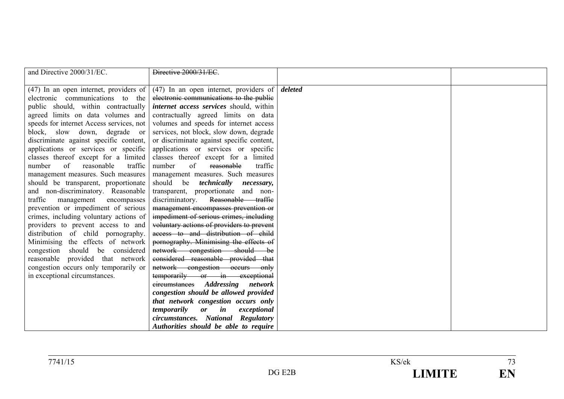| and Directive 2000/31/EC.                | Directive 2000/31/EC                      |         |  |
|------------------------------------------|-------------------------------------------|---------|--|
|                                          |                                           |         |  |
| $(47)$ In an open internet, providers of | $(47)$ In an open internet, providers of  | deleted |  |
| electronic communications to the         | electronic communications to the public   |         |  |
| public should, within contractually      | internet access services should, within   |         |  |
| agreed limits on data volumes and        | contractually agreed limits on data       |         |  |
| speeds for internet Access services, not | volumes and speeds for internet access    |         |  |
| block, slow down, degrade or             | services, not block, slow down, degrade   |         |  |
| discriminate against specific content,   | or discriminate against specific content, |         |  |
| applications or services or specific     | applications or services or specific      |         |  |
| classes thereof except for a limited     | classes thereof except for a limited      |         |  |
| number<br>of<br>traffic<br>reasonable    | number<br>of<br>reasonable<br>traffic     |         |  |
| management measures. Such measures       | management measures. Such measures        |         |  |
| should be transparent, proportionate     | should be <i>technically necessary</i> ,  |         |  |
| and non-discriminatory. Reasonable       | transparent, proportionate and non-       |         |  |
| traffic<br>management<br>encompasses     | Reasonable traffic<br>discriminatory.     |         |  |
| prevention or impediment of serious      | management encompasses prevention or      |         |  |
| crimes, including voluntary actions of   | impediment of serious crimes, including   |         |  |
| providers to prevent access to and       | voluntary actions of providers to prevent |         |  |
| distribution of child pornography.       | access to and distribution of child       |         |  |
| Minimising the effects of network        | pornography. Minimising the effects of    |         |  |
| should be considered<br>congestion       | network congestion should be              |         |  |
| reasonable provided that network         | considered reasonable provided that       |         |  |
| congestion occurs only temporarily or    | network congestion occurs only            |         |  |
| in exceptional circumstances.            | temporarily or in exceptional             |         |  |
|                                          | eireumstances Addressing network          |         |  |
|                                          | congestion should be allowed provided     |         |  |
|                                          | that network congestion occurs only       |         |  |
|                                          | temporarily<br>or in<br>exceptional       |         |  |
|                                          | circumstances. National Regulatory        |         |  |
|                                          | Authorities should be able to require     |         |  |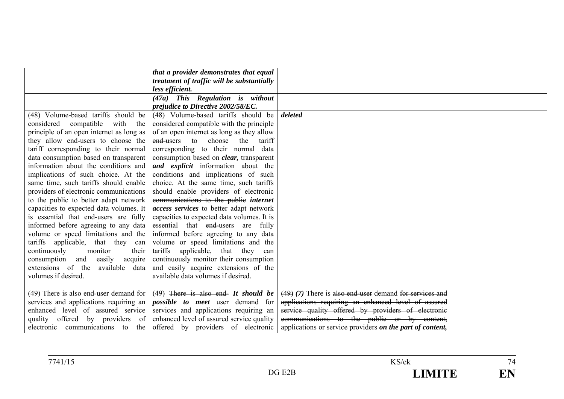|                                          | that a provider demonstrates that equal         |                                                           |  |
|------------------------------------------|-------------------------------------------------|-----------------------------------------------------------|--|
|                                          |                                                 |                                                           |  |
|                                          | treatment of traffic will be substantially      |                                                           |  |
|                                          | less efficient.                                 |                                                           |  |
|                                          | (47a) This Regulation is without                |                                                           |  |
|                                          | prejudice to Directive 2002/58/EC.              |                                                           |  |
| (48) Volume-based tariffs should be      | (48) Volume-based tariffs should be             | deleted                                                   |  |
| compatible<br>with<br>considered<br>the  | considered compatible with the principle        |                                                           |  |
| principle of an open internet as long as | of an open internet as long as they allow       |                                                           |  |
| they allow end-users to choose the       | end-users<br>choose<br>the<br>tariff<br>to      |                                                           |  |
| tariff corresponding to their normal     | corresponding to their normal data              |                                                           |  |
| data consumption based on transparent    | consumption based on <i>clear</i> , transparent |                                                           |  |
| information about the conditions and     | and explicit information about the              |                                                           |  |
| implications of such choice. At the      | conditions and implications of such             |                                                           |  |
| same time, such tariffs should enable    | choice. At the same time, such tariffs          |                                                           |  |
| providers of electronic communications   | should enable providers of electronic           |                                                           |  |
| to the public to better adapt network    | communications to the public internet           |                                                           |  |
| capacities to expected data volumes. It  | access services to better adapt network         |                                                           |  |
| is essential that end-users are fully    | capacities to expected data volumes. It is      |                                                           |  |
| informed before agreeing to any data     | essential that end-users are fully              |                                                           |  |
| volume or speed limitations and the      | informed before agreeing to any data            |                                                           |  |
| tariffs applicable, that they can        | volume or speed limitations and the             |                                                           |  |
| continuously<br>monitor<br>their         | tariffs<br>applicable, that they<br>can         |                                                           |  |
| easily<br>consumption<br>and<br>acquire  | continuously monitor their consumption          |                                                           |  |
| extensions of the<br>available data      | and easily acquire extensions of the            |                                                           |  |
| volumes if desired.                      | available data volumes if desired.              |                                                           |  |
|                                          |                                                 |                                                           |  |
| $(49)$ There is also end-user demand for | $(49)$ There is also end- It should be          | $(49)$ (7) There is also end-user demand for services and |  |
| services and applications requiring an   | <i>possible to meet</i> user demand for         | applications requiring an enhanced level of assured       |  |
| enhanced level of assured service        | services and applications requiring an          | service quality offered by providers of electronic        |  |
| quality offered by providers of          | enhanced level of assured service quality       | communications to the public or by content,               |  |
| electronic communications to<br>the      | offered by providers of electronic              | applications or service providers on the part of content, |  |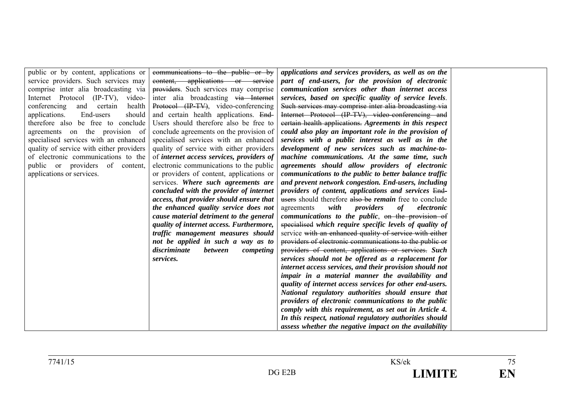| public or by content, applications or    | communications to the public or by          | applications and services providers, as well as on the        |  |
|------------------------------------------|---------------------------------------------|---------------------------------------------------------------|--|
| service providers. Such services may     | content, applications or service            | part of end-users, for the provision of electronic            |  |
| comprise inter alia broadcasting via     | providers. Such services may comprise       | communication services other than internet access             |  |
| Internet Protocol (IP-TV),<br>video-     | inter alia broadcasting via Internet        | services, based on specific quality of service levels.        |  |
| conferencing<br>and certain<br>health    | Protocol (IP-TV), video-conferencing        | Such services may comprise inter alia broadcasting via        |  |
| End-users<br>applications.<br>should     | and certain health applications. End-       | Internet Protocol (IP-TV), video-conferencing and             |  |
| therefore also be free to conclude       | Users should therefore also be free to      | eertain health applications. Agreements in this respect       |  |
| agreements on the provision of           | conclude agreements on the provision of     | could also play an important role in the provision of         |  |
| specialised services with an enhanced    | specialised services with an enhanced       | services with a public interest as well as in the             |  |
| quality of service with either providers | quality of service with either providers    | development of new services such as machine-to-               |  |
| of electronic communications to the      | of internet access services, providers of   | machine communications. At the same time, such                |  |
| public or providers of content,          | electronic communications to the public     | agreements should allow providers of electronic               |  |
| applications or services.                | or providers of content, applications or    | communications to the public to better balance traffic        |  |
|                                          | services. Where such agreements are         | and prevent network congestion. End-users, including          |  |
|                                          | concluded with the provider of internet     | providers of content, applications and services End-          |  |
|                                          | access, that provider should ensure that    | users should therefore also be <i>remain</i> free to conclude |  |
|                                          | the enhanced quality service does not       | with<br>providers<br>of<br>agreements<br>electronic           |  |
|                                          | cause material detriment to the general     | communications to the public, on the provision of             |  |
|                                          | quality of internet access. Furthermore,    | specialised which require specific levels of quality of       |  |
|                                          | traffic management measures should          | service with an enhanced quality of service with either       |  |
|                                          | not be applied in such a way as to          | providers of electronic communications to the public or       |  |
|                                          | discriminate<br><i>between</i><br>competing | providers of content, applications or services. Such          |  |
|                                          | services.                                   | services should not be offered as a replacement for           |  |
|                                          |                                             | internet access services, and their provision should not      |  |
|                                          |                                             | impair in a material manner the availability and              |  |
|                                          |                                             | quality of internet access services for other end-users.      |  |
|                                          |                                             | National regulatory authorities should ensure that            |  |
|                                          |                                             | providers of electronic communications to the public          |  |
|                                          |                                             | comply with this requirement, as set out in Article 4.        |  |
|                                          |                                             | In this respect, national regulatory authorities should       |  |
|                                          |                                             | assess whether the negative impact on the availability        |  |
|                                          |                                             |                                                               |  |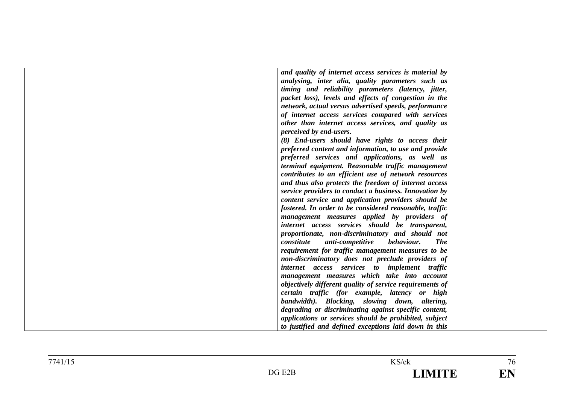| and quality of internet access services is material by     |  |
|------------------------------------------------------------|--|
| analysing, inter alia, quality parameters such as          |  |
| timing and reliability parameters (latency, jitter,        |  |
| packet loss), levels and effects of congestion in the      |  |
| network, actual versus advertised speeds, performance      |  |
| of internet access services compared with services         |  |
| other than internet access services, and quality as        |  |
| perceived by end-users.                                    |  |
| (8) End-users should have rights to access their           |  |
| preferred content and information, to use and provide      |  |
| preferred services and applications, as well as            |  |
| terminal equipment. Reasonable traffic management          |  |
| contributes to an efficient use of network resources       |  |
| and thus also protects the freedom of internet access      |  |
| service providers to conduct a business. Innovation by     |  |
| content service and application providers should be        |  |
| fostered. In order to be considered reasonable, traffic    |  |
| management measures applied by providers of                |  |
| internet access services should be transparent,            |  |
| proportionate, non-discriminatory and should not           |  |
| constitute<br>anti-competitive<br>behaviour.<br><b>The</b> |  |
| requirement for traffic management measures to be          |  |
| non-discriminatory does not preclude providers of          |  |
| internet access services to implement traffic              |  |
| management measures which take into account                |  |
| objectively different quality of service requirements of   |  |
| certain traffic (for example, latency or high              |  |
| bandwidth). Blocking, slowing down, altering,              |  |
| degrading or discriminating against specific content,      |  |
| applications or services should be prohibited, subject     |  |
| to justified and defined exceptions laid down in this      |  |
|                                                            |  |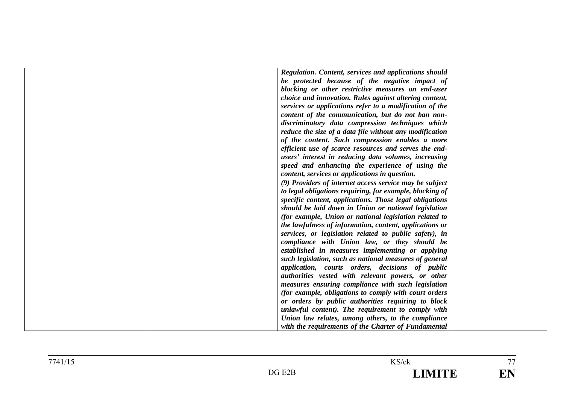| Regulation. Content, services and applications should<br>be protected because of the negative impact of           |
|-------------------------------------------------------------------------------------------------------------------|
| blocking or other restrictive measures on end-user                                                                |
| choice and innovation. Rules against altering content,<br>services or applications refer to a modification of the |
| content of the communication, but do not ban non-                                                                 |
| discriminatory data compression techniques which                                                                  |
| reduce the size of a data file without any modification                                                           |
| of the content. Such compression enables a more                                                                   |
| efficient use of scarce resources and serves the end-                                                             |
| users' interest in reducing data volumes, increasing                                                              |
| speed and enhancing the experience of using the                                                                   |
| content, services or applications in question.                                                                    |
| (9) Providers of internet access service may be subject                                                           |
| to legal obligations requiring, for example, blocking of                                                          |
| specific content, applications. Those legal obligations                                                           |
| should be laid down in Union or national legislation                                                              |
| (for example, Union or national legislation related to                                                            |
| the lawfulness of information, content, applications or                                                           |
| services, or legislation related to public safety), in                                                            |
| compliance with Union law, or they should be                                                                      |
| established in measures implementing or applying                                                                  |
| such legislation, such as national measures of general                                                            |
| application, courts orders, decisions of public                                                                   |
| authorities vested with relevant powers, or other                                                                 |
| measures ensuring compliance with such legislation                                                                |
| (for example, obligations to comply with court orders                                                             |
| or orders by public authorities requiring to block                                                                |
| unlawful content). The requirement to comply with                                                                 |
| Union law relates, among others, to the compliance                                                                |
| with the requirements of the Charter of Fundamental                                                               |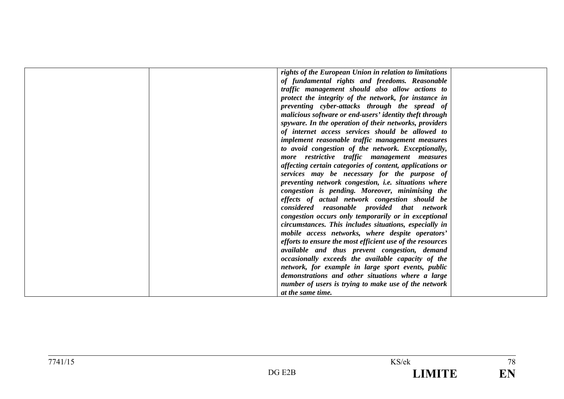| rights of the European Union in relation to limitations   |  |
|-----------------------------------------------------------|--|
| of fundamental rights and freedoms. Reasonable            |  |
| traffic management should also allow actions to           |  |
| protect the integrity of the network, for instance in     |  |
| preventing cyber-attacks through the spread of            |  |
| malicious software or end-users' identity theft through   |  |
| spyware. In the operation of their networks, providers    |  |
| of internet access services should be allowed to          |  |
| implement reasonable traffic management measures          |  |
| to avoid congestion of the network. Exceptionally,        |  |
| more restrictive traffic management measures              |  |
| affecting certain categories of content, applications or  |  |
| services may be necessary for the purpose of              |  |
| preventing network congestion, i.e. situations where      |  |
| congestion is pending. Moreover, minimising the           |  |
| effects of actual network congestion should be            |  |
| considered reasonable provided that network               |  |
| congestion occurs only temporarily or in exceptional      |  |
| circumstances. This includes situations, especially in    |  |
| mobile access networks, where despite operators'          |  |
| efforts to ensure the most efficient use of the resources |  |
| available and thus prevent congestion, demand             |  |
| occasionally exceeds the available capacity of the        |  |
| network, for example in large sport events, public        |  |
| demonstrations and other situations where a large         |  |
| number of users is trying to make use of the network      |  |
| at the same time.                                         |  |
|                                                           |  |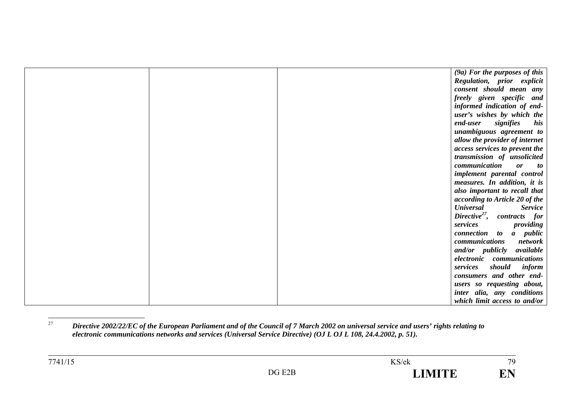|  | $(9a)$ For the purposes of this         |
|--|-----------------------------------------|
|  | Regulation, prior explicit              |
|  | consent should mean any                 |
|  | freely given specific and               |
|  | informed indication of end-             |
|  | user's wishes by which the              |
|  | end-user<br>signifies<br>his            |
|  | unambiguous agreement to                |
|  | allow the provider of internet          |
|  | <i>access services to prevent the</i>   |
|  | transmission of unsolicited             |
|  | communication<br><b>or</b><br>to        |
|  | implement parental control              |
|  | measures. In addition, it is            |
|  | also important to recall that           |
|  | according to Article 20 of the          |
|  | <b>Universal</b><br><b>Service</b>      |
|  | Directive <sup>27</sup> , contracts for |
|  | services<br>providing                   |
|  | connection to a public                  |
|  | communications<br>network               |
|  | and/or publicly<br>available            |
|  | electronic communications               |
|  | services<br>should<br>inform            |
|  | consumers and other end-                |
|  | users so requesting about,              |
|  | inter alia, any conditions              |
|  | which limit access to and/or            |

<sup>27</sup> *Directive 2002/22/EC of the European Parliament and of the Council of 7 March 2002 on universal service and users' rights relating to electronic communications networks and services (Universal Service Directive) (OJ L OJ L 108, 24.4.2002, p. 51).*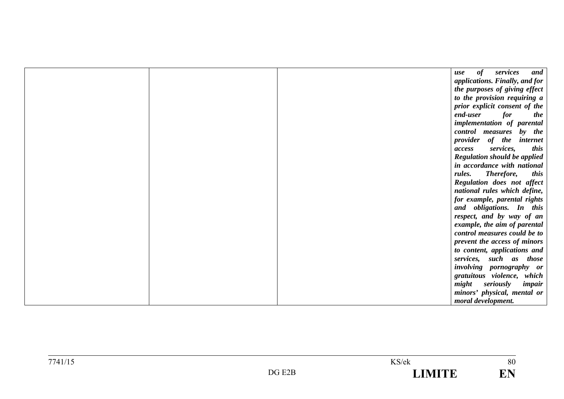|  | services<br>of<br>and<br>use          |
|--|---------------------------------------|
|  | applications. Finally, and for        |
|  | the purposes of giving effect         |
|  | to the provision requiring a          |
|  | prior explicit consent of the         |
|  | end-user<br>for<br>the                |
|  | implementation of parental            |
|  | control measures<br>by the            |
|  | provider<br>of the<br><i>internet</i> |
|  | services,<br>this<br>access           |
|  | <b>Regulation should be applied</b>   |
|  | in accordance with national           |
|  | Therefore,<br>rules.<br>this          |
|  | Regulation does not affect            |
|  | national rules which define,          |
|  | for example, parental rights          |
|  | and obligations. In this              |
|  | respect, and by way of an             |
|  | example, the aim of parental          |
|  | control measures could be to          |
|  | prevent the access of minors          |
|  | to content, applications and          |
|  | services, such as those               |
|  | involving pornography or              |
|  | gratuitous violence, which            |
|  | might<br>seriously<br>impair          |
|  | minors' physical, mental or           |
|  | moral development.                    |

 $\overline{80}$ 

EN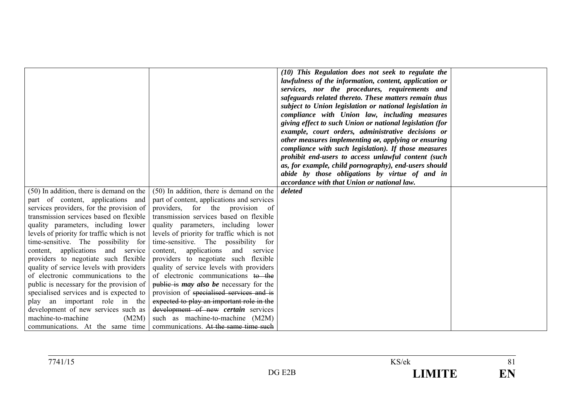|                                             |                                                                          | (10) This Regulation does not seek to regulate the<br>lawfulness of the information, content, application or<br>services, nor the procedures, requirements and<br>safeguards related thereto. These matters remain thus<br>subject to Union legislation or national legislation in<br>compliance with Union law, including measures<br>giving effect to such Union or national legislation (for<br>example, court orders, administrative decisions or<br>other measures implementing $\theta$ , applying or ensuring<br>compliance with such legislation). If those measures<br>prohibit end-users to access unlawful content (such<br>as, for example, child pornography), end-users should<br>abide by those obligations by virtue of and in<br>accordance with that Union or national law. |  |
|---------------------------------------------|--------------------------------------------------------------------------|-----------------------------------------------------------------------------------------------------------------------------------------------------------------------------------------------------------------------------------------------------------------------------------------------------------------------------------------------------------------------------------------------------------------------------------------------------------------------------------------------------------------------------------------------------------------------------------------------------------------------------------------------------------------------------------------------------------------------------------------------------------------------------------------------|--|
| $(50)$ In addition, there is demand on the  | (50) In addition, there is demand on the                                 | deleted                                                                                                                                                                                                                                                                                                                                                                                                                                                                                                                                                                                                                                                                                                                                                                                       |  |
| part of content, applications and           | part of content, applications and services                               |                                                                                                                                                                                                                                                                                                                                                                                                                                                                                                                                                                                                                                                                                                                                                                                               |  |
| services providers, for the provision of    | providers, for the provision of                                          |                                                                                                                                                                                                                                                                                                                                                                                                                                                                                                                                                                                                                                                                                                                                                                                               |  |
| transmission services based on flexible     | transmission services based on flexible                                  |                                                                                                                                                                                                                                                                                                                                                                                                                                                                                                                                                                                                                                                                                                                                                                                               |  |
| quality parameters, including lower         | quality parameters, including lower                                      |                                                                                                                                                                                                                                                                                                                                                                                                                                                                                                                                                                                                                                                                                                                                                                                               |  |
| levels of priority for traffic which is not | levels of priority for traffic which is not                              |                                                                                                                                                                                                                                                                                                                                                                                                                                                                                                                                                                                                                                                                                                                                                                                               |  |
| time-sensitive. The possibility for         | time-sensitive. The possibility for                                      |                                                                                                                                                                                                                                                                                                                                                                                                                                                                                                                                                                                                                                                                                                                                                                                               |  |
| content, applications and service           | applications<br>content,<br>and<br>service                               |                                                                                                                                                                                                                                                                                                                                                                                                                                                                                                                                                                                                                                                                                                                                                                                               |  |
| providers to negotiate such flexible        | providers to negotiate such flexible                                     |                                                                                                                                                                                                                                                                                                                                                                                                                                                                                                                                                                                                                                                                                                                                                                                               |  |
| quality of service levels with providers    | quality of service levels with providers                                 |                                                                                                                                                                                                                                                                                                                                                                                                                                                                                                                                                                                                                                                                                                                                                                                               |  |
| of electronic communications to the         | of electronic communications to the                                      |                                                                                                                                                                                                                                                                                                                                                                                                                                                                                                                                                                                                                                                                                                                                                                                               |  |
| public is necessary for the provision of    | public is <i>may also be</i> necessary for the                           |                                                                                                                                                                                                                                                                                                                                                                                                                                                                                                                                                                                                                                                                                                                                                                                               |  |
| specialised services and is expected to     | provision of specialised services and is                                 |                                                                                                                                                                                                                                                                                                                                                                                                                                                                                                                                                                                                                                                                                                                                                                                               |  |
| play an important role in the               | expected to play an important role in the                                |                                                                                                                                                                                                                                                                                                                                                                                                                                                                                                                                                                                                                                                                                                                                                                                               |  |
| development of new services such as         | development of new certain services                                      |                                                                                                                                                                                                                                                                                                                                                                                                                                                                                                                                                                                                                                                                                                                                                                                               |  |
| machine-to-machine<br>(M2M)                 | such as machine-to-machine (M2M)                                         |                                                                                                                                                                                                                                                                                                                                                                                                                                                                                                                                                                                                                                                                                                                                                                                               |  |
|                                             | communications. At the same time   communications. At the same time such |                                                                                                                                                                                                                                                                                                                                                                                                                                                                                                                                                                                                                                                                                                                                                                                               |  |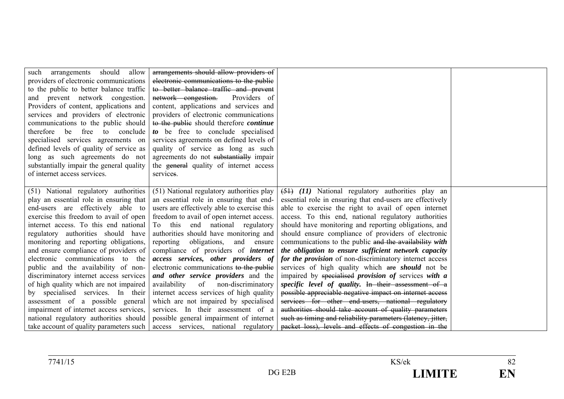| should<br>allow<br>arrangements<br>such<br>providers of electronic communications<br>to the public to better balance traffic<br>and prevent network congestion.<br>Providers of content, applications and<br>services and providers of electronic<br>communications to the public should<br>therefore be<br>free<br>to conclude<br>specialised services agreements on<br>defined levels of quality of service as<br>long as such agreements do not<br>substantially impair the general quality<br>of internet access services.                                                                                                                                                                           | arrangements should allow providers of<br>electronic communications to the public<br>to better balance traffic and prevent<br>network congestion.<br>Providers of<br>content, applications and services and<br>providers of electronic communications<br>to the public should therefore <i>continue</i><br>to be free to conclude specialised<br>services agreements on defined levels of<br>quality of service as long as such<br>agreements do not substantially impair<br>the general quality of internet access<br>services.                                                                                                                                                                                                    |                                                                                                                                                                                                                                                                                                                                                                                                                                                                                                                                                                                                                                                                                                                                                                                                                                                                                                                                                                                                            |  |
|----------------------------------------------------------------------------------------------------------------------------------------------------------------------------------------------------------------------------------------------------------------------------------------------------------------------------------------------------------------------------------------------------------------------------------------------------------------------------------------------------------------------------------------------------------------------------------------------------------------------------------------------------------------------------------------------------------|-------------------------------------------------------------------------------------------------------------------------------------------------------------------------------------------------------------------------------------------------------------------------------------------------------------------------------------------------------------------------------------------------------------------------------------------------------------------------------------------------------------------------------------------------------------------------------------------------------------------------------------------------------------------------------------------------------------------------------------|------------------------------------------------------------------------------------------------------------------------------------------------------------------------------------------------------------------------------------------------------------------------------------------------------------------------------------------------------------------------------------------------------------------------------------------------------------------------------------------------------------------------------------------------------------------------------------------------------------------------------------------------------------------------------------------------------------------------------------------------------------------------------------------------------------------------------------------------------------------------------------------------------------------------------------------------------------------------------------------------------------|--|
| (51) National regulatory authorities<br>play an essential role in ensuring that<br>end-users are effectively able to<br>exercise this freedom to avail of open<br>internet access. To this end national<br>regulatory authorities should have<br>monitoring and reporting obligations,<br>and ensure compliance of providers of<br>electronic communications to the<br>public and the availability of non-<br>discriminatory internet access services<br>of high quality which are not impaired<br>by specialised services. In their<br>assessment of a possible general<br>impairment of internet access services,<br>national regulatory authorities should<br>take account of quality parameters such | (51) National regulatory authorities play<br>an essential role in ensuring that end-<br>users are effectively able to exercise this<br>freedom to avail of open internet access.<br>To this end national regulatory<br>authorities should have monitoring and<br>reporting obligations,<br>and ensure<br>compliance of providers of <i>internet</i><br>access services, other providers of<br>electronic communications to the public<br>and other service providers and the<br>availability<br>of non-discriminatory<br>internet access services of high quality<br>which are not impaired by specialised<br>services. In their assessment of a<br>possible general impairment of internet<br>access services, national regulatory | $(51)$ $(11)$ National regulatory authorities play an<br>essential role in ensuring that end-users are effectively<br>able to exercise the right to avail of open internet<br>access. To this end, national regulatory authorities<br>should have monitoring and reporting obligations, and<br>should ensure compliance of providers of electronic<br>communications to the public and the availability with<br>the obligation to ensure sufficient network capacity<br>for the provision of non-discriminatory internet access<br>services of high quality which are <i>should</i> not be<br>impaired by specialised provision of services with a<br>specific level of quality. In their assessment of a<br>possible appreciable negative impact on internet access<br>services for other end-users, national regulatory<br>authorities should take account of quality parameters<br>such as timing and reliability parameters (latency, jitter,<br>packet loss), levels and effects of congestion in the |  |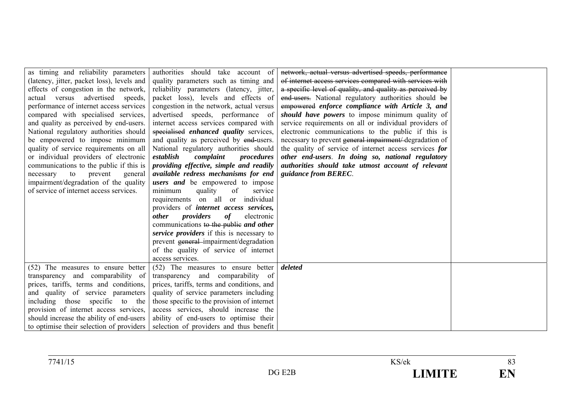| as timing and reliability parameters       | authorities should take account of            | network, actual versus advertised speeds, performance    |  |
|--------------------------------------------|-----------------------------------------------|----------------------------------------------------------|--|
| (latency, jitter, packet loss), levels and | quality parameters such as timing and         | of internet access services compared with services with  |  |
| effects of congestion in the network,      | reliability parameters (latency, jitter,      | a specific level of quality, and quality as perceived by |  |
| actual versus advertised speeds,           | packet loss), levels and effects of           | end-users. National regulatory authorities should be     |  |
| performance of internet access services    | congestion in the network, actual versus      | empowered enforce compliance with Article 3, and         |  |
| compared with specialised services,        | advertised speeds, performance of             | should have powers to impose minimum quality of          |  |
| and quality as perceived by end-users.     | internet access services compared with        | service requirements on all or individual providers of   |  |
| National regulatory authorities should     | specialised enhanced quality services,        | electronic communications to the public if this is       |  |
| be empowered to impose minimum             | and quality as perceived by end-users.        | necessary to prevent general impairment/degradation of   |  |
| quality of service requirements on all     | National regulatory authorities should        | the quality of service of internet access services for   |  |
| or individual providers of electronic      | establish<br>complaint<br>procedures          | other end-users. In doing so, national regulatory        |  |
| communications to the public if this is    | providing effective, simple and readily       | authorities should take utmost account of relevant       |  |
| necessary<br>to<br>prevent<br>general      | available redress mechanisms for end          | <i>guidance from BEREC.</i>                              |  |
| impairment/degradation of the quality      | <i>users</i> and be empowered to impose       |                                                          |  |
| of service of internet access services.    | quality<br>of<br>minimum<br>service           |                                                          |  |
|                                            | requirements on all or individual             |                                                          |  |
|                                            | providers of <i>internet</i> access services, |                                                          |  |
|                                            | providers<br><i>other</i><br>of<br>electronic |                                                          |  |
|                                            | communications to the public and other        |                                                          |  |
|                                            | service providers if this is necessary to     |                                                          |  |
|                                            | prevent general-impairment/degradation        |                                                          |  |
|                                            | of the quality of service of internet         |                                                          |  |
|                                            | access services.                              |                                                          |  |
| (52) The measures to ensure better         | (52) The measures to ensure better            | deleted                                                  |  |
| transparency and comparability of          | transparency and comparability of             |                                                          |  |
| prices, tariffs, terms and conditions,     | prices, tariffs, terms and conditions, and    |                                                          |  |
| and quality of service parameters          | quality of service parameters including       |                                                          |  |
| including those specific to the            | those specific to the provision of internet   |                                                          |  |
| provision of internet access services,     | access services, should increase the          |                                                          |  |
| should increase the ability of end-users   | ability of end-users to optimise their        |                                                          |  |
| to optimise their selection of providers   | selection of providers and thus benefit       |                                                          |  |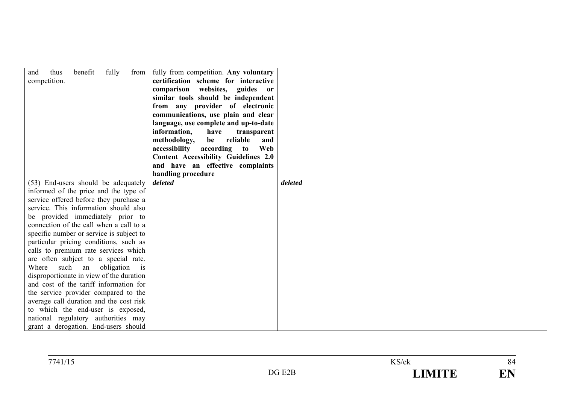| benefit<br>fully<br>from $\vert$<br>and<br>thus         | fully from competition. Any voluntary       |         |  |
|---------------------------------------------------------|---------------------------------------------|---------|--|
| competition.                                            | certification scheme for interactive        |         |  |
|                                                         | comparison websites, guides or              |         |  |
|                                                         | similar tools should be independent         |         |  |
|                                                         | from any provider of electronic             |         |  |
|                                                         | communications, use plain and clear         |         |  |
|                                                         | language, use complete and up-to-date       |         |  |
|                                                         | information,<br>have<br>transparent         |         |  |
|                                                         | reliable<br>methodology,<br>be<br>and       |         |  |
|                                                         | accessibility according to<br>Web           |         |  |
|                                                         | <b>Content Accessibility Guidelines 2.0</b> |         |  |
|                                                         | and have an effective complaints            |         |  |
|                                                         | handling procedure                          |         |  |
| (53) End-users should be adequately                     | deleted                                     | deleted |  |
| informed of the price and the type of                   |                                             |         |  |
| service offered before they purchase a                  |                                             |         |  |
| service. This information should also                   |                                             |         |  |
| be provided immediately prior to                        |                                             |         |  |
| connection of the call when a call to a                 |                                             |         |  |
| specific number or service is subject to                |                                             |         |  |
| particular pricing conditions, such as                  |                                             |         |  |
| calls to premium rate services which                    |                                             |         |  |
| are often subject to a special rate.                    |                                             |         |  |
| Where such an obligation<br>$\overline{\phantom{a}}$ is |                                             |         |  |
| disproportionate in view of the duration                |                                             |         |  |
| and cost of the tariff information for                  |                                             |         |  |
| the service provider compared to the                    |                                             |         |  |
| average call duration and the cost risk                 |                                             |         |  |
| to which the end-user is exposed,                       |                                             |         |  |
| national regulatory authorities may                     |                                             |         |  |
| grant a derogation. End-users should                    |                                             |         |  |

| 7741/15 |                      | KS/ek        | 04                   |
|---------|----------------------|--------------|----------------------|
|         | <b>DAT</b><br>$DG$ ! | ------<br>-- | TI R<br>- 13<br>L'IN |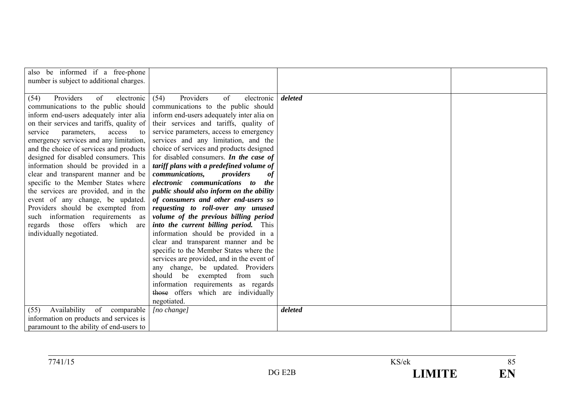| also be informed if a free-phone<br>number is subject to additional charges.                                                                                                                                                                                                                                                                                                                                                                                                                                                                                                                                                                                                               |                                                                                                                                                                                                                                                                                                                                                                                                                                                                                                                                                                                                                                                                                                                                                                                                                                                                                                                                                                                                                             |         |  |
|--------------------------------------------------------------------------------------------------------------------------------------------------------------------------------------------------------------------------------------------------------------------------------------------------------------------------------------------------------------------------------------------------------------------------------------------------------------------------------------------------------------------------------------------------------------------------------------------------------------------------------------------------------------------------------------------|-----------------------------------------------------------------------------------------------------------------------------------------------------------------------------------------------------------------------------------------------------------------------------------------------------------------------------------------------------------------------------------------------------------------------------------------------------------------------------------------------------------------------------------------------------------------------------------------------------------------------------------------------------------------------------------------------------------------------------------------------------------------------------------------------------------------------------------------------------------------------------------------------------------------------------------------------------------------------------------------------------------------------------|---------|--|
| Providers<br>of<br>electronic<br>(54)<br>communications to the public should<br>inform end-users adequately inter alia<br>on their services and tariffs, quality of<br>service<br>parameters,<br>access<br>to<br>emergency services and any limitation,<br>and the choice of services and products<br>designed for disabled consumers. This<br>information should be provided in a<br>clear and transparent manner and be<br>specific to the Member States where<br>the services are provided, and in the<br>event of any change, be updated.<br>Providers should be exempted from<br>such information requirements as<br>regards those offers<br>which<br>are<br>individually negotiated. | Providers<br>of<br>electronic<br>(54)<br>communications to the public should<br>inform end-users adequately inter alia on<br>their services and tariffs, quality of<br>service parameters, access to emergency<br>services and any limitation, and the<br>choice of services and products designed<br>for disabled consumers. In the case of<br>tariff plans with a predefined volume of<br>communications,<br>providers<br>0f<br>electronic communications to<br><i>the</i><br><i>public should also inform on the ability</i><br>of consumers and other end-users so<br>requesting to roll-over any unused<br>volume of the previous billing period<br>into the current billing period. This<br>information should be provided in a<br>clear and transparent manner and be<br>specific to the Member States where the<br>services are provided, and in the event of<br>any change, be updated. Providers<br>should be exempted<br>from such<br>information requirements as regards<br>those offers which are individually | deleted |  |
|                                                                                                                                                                                                                                                                                                                                                                                                                                                                                                                                                                                                                                                                                            | negotiated.                                                                                                                                                                                                                                                                                                                                                                                                                                                                                                                                                                                                                                                                                                                                                                                                                                                                                                                                                                                                                 |         |  |
| Availability<br>of comparable<br>(55)<br>information on products and services is<br>paramount to the ability of end-users to                                                                                                                                                                                                                                                                                                                                                                                                                                                                                                                                                               | [no change]                                                                                                                                                                                                                                                                                                                                                                                                                                                                                                                                                                                                                                                                                                                                                                                                                                                                                                                                                                                                                 | deleted |  |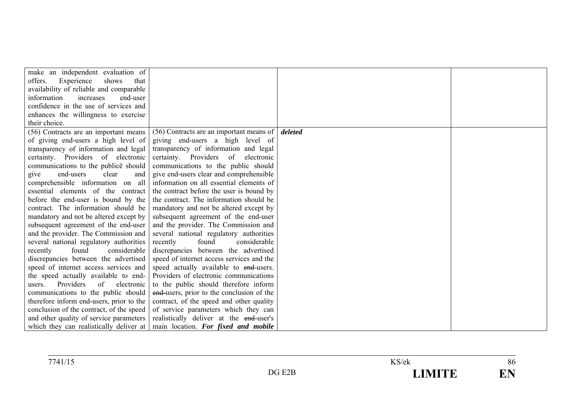| make an independent evaluation of               |                                                                            |         |  |
|-------------------------------------------------|----------------------------------------------------------------------------|---------|--|
| Experience<br>shows<br>offers.<br>that          |                                                                            |         |  |
| availability of reliable and comparable         |                                                                            |         |  |
| information<br>increases<br>end-user            |                                                                            |         |  |
| confidence in the use of services and           |                                                                            |         |  |
| enhances the willingness to exercise            |                                                                            |         |  |
| their choice.                                   |                                                                            |         |  |
| (56) Contracts are an important means           | (56) Contracts are an important means of                                   | deleted |  |
| of giving end-users a high level of             | giving end-users a high level of                                           |         |  |
| transparency of information and legal           | transparency of information and legal                                      |         |  |
| certainty. Providers of electronic              | certainty. Providers of<br>electronic                                      |         |  |
| communications to the publice should            | communications to the public should                                        |         |  |
| end-users<br>clear<br>give<br>and               | give end-users clear and comprehensible                                    |         |  |
|                                                 | comprehensible information on all information on all essential elements of |         |  |
| essential elements of the contract              | the contract before the user is bound by                                   |         |  |
| before the end-user is bound by the             | the contract. The information should be                                    |         |  |
| contract. The information should be             | mandatory and not be altered except by                                     |         |  |
| mandatory and not be altered except by          | subsequent agreement of the end-user                                       |         |  |
| subsequent agreement of the end-user            | and the provider. The Commission and                                       |         |  |
| and the provider. The Commission and            | several national regulatory authorities                                    |         |  |
| several national regulatory authorities         | recently<br>found<br>considerable                                          |         |  |
| found<br>considerable<br>recently               | discrepancies between the advertised                                       |         |  |
| discrepancies between the advertised            | speed of internet access services and the                                  |         |  |
| speed of internet access services and           | speed actually available to end-users.                                     |         |  |
| the speed actually available to end-            | Providers of electronic communications                                     |         |  |
| Providers<br>$\alpha$ f<br>electronic<br>users. | to the public should therefore inform                                      |         |  |
| communications to the public should             | end-users, prior to the conclusion of the                                  |         |  |
| therefore inform end-users, prior to the        | contract, of the speed and other quality                                   |         |  |
| conclusion of the contract, of the speed        | of service parameters which they can                                       |         |  |
| and other quality of service parameters         | realistically deliver at the end-user's                                    |         |  |
| which they can realistically deliver at         | main location. For fixed and mobile                                        |         |  |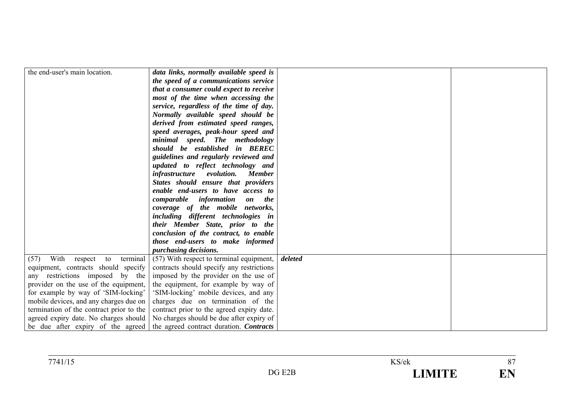| the end-user's main location.             | data links, normally available speed is                                   |         |  |
|-------------------------------------------|---------------------------------------------------------------------------|---------|--|
|                                           |                                                                           |         |  |
|                                           | the speed of a communications service                                     |         |  |
|                                           | that a consumer could expect to receive                                   |         |  |
|                                           | most of the time when accessing the                                       |         |  |
|                                           | service, regardless of the time of day.                                   |         |  |
|                                           | Normally available speed should be                                        |         |  |
|                                           | derived from estimated speed ranges,                                      |         |  |
|                                           | speed averages, peak-hour speed and                                       |         |  |
|                                           | minimal speed. The methodology                                            |         |  |
|                                           | should be established in BEREC                                            |         |  |
|                                           | guidelines and regularly reviewed and                                     |         |  |
|                                           | updated to reflect technology and                                         |         |  |
|                                           | <i>infrastructure</i> evolution.<br><b>Member</b>                         |         |  |
|                                           | States should ensure that providers                                       |         |  |
|                                           | enable end-users to have access to                                        |         |  |
|                                           | comparable information on the                                             |         |  |
|                                           | coverage of the mobile networks,                                          |         |  |
|                                           | including different technologies in                                       |         |  |
|                                           | their Member State, prior to the                                          |         |  |
|                                           | conclusion of the contract, to enable                                     |         |  |
|                                           | those end-users to make informed                                          |         |  |
|                                           | purchasing decisions.                                                     |         |  |
| With<br>(57)<br>terminal<br>respect<br>to | (57) With respect to terminal equipment,                                  | deleted |  |
| equipment, contracts should specify       | contracts should specify any restrictions                                 |         |  |
| any restrictions imposed by the           | imposed by the provider on the use of                                     |         |  |
| provider on the use of the equipment,     | the equipment, for example by way of                                      |         |  |
| for example by way of 'SIM-locking'       | 'SIM-locking' mobile devices, and any                                     |         |  |
| mobile devices, and any charges due on    | charges due on termination of the                                         |         |  |
| termination of the contract prior to the  | contract prior to the agreed expiry date.                                 |         |  |
| agreed expiry date. No charges should     | No charges should be due after expiry of                                  |         |  |
|                                           | be due after expiry of the agreed the agreed contract duration. Contracts |         |  |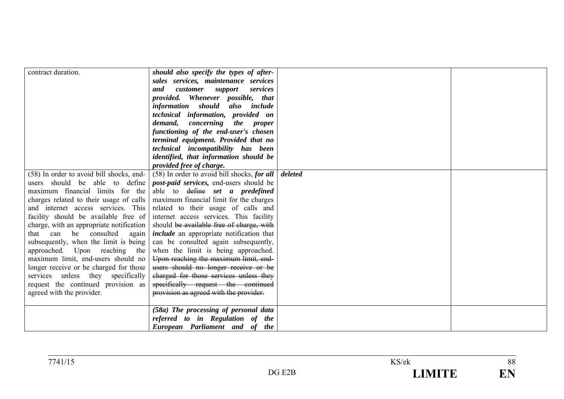| contract duration.<br>(58) In order to avoid bill shocks, end-<br>users should be able to define<br>maximum financial limits for the<br>charges related to their usage of calls<br>and internet access services. This<br>facility should be available free of<br>charge, with an appropriate notification<br>that can be consulted<br>again<br>subsequently, when the limit is being<br>approached. Upon reaching the<br>maximum limit, end-users should no<br>longer receive or be charged for those<br>services unless they specifically<br>request the continued provision as<br>agreed with the provider. | should also specify the types of after-<br>sales services, maintenance services<br>customer support<br>services<br>and<br>provided. Whenever possible, that<br>information should also include<br>technical information, provided on<br>demand, concerning the proper<br>functioning of the end-user's chosen<br>terminal equipment. Provided that no<br>technical incompatibility has been<br>identified, that information should be<br>provided free of charge.<br>(58) In order to avoid bill shocks, for all<br><i>post-paid services</i> , end-users should be<br>able to <del>define</del> set a predefined<br>maximum financial limit for the charges<br>related to their usage of calls and<br>internet access services. This facility<br>should be available free of charge, with<br><i>include</i> an appropriate notification that<br>can be consulted again subsequently,<br>when the limit is being approached.<br>Upon reaching the maximum limit, end-<br>users should no longer receive or be<br>charged for those services unless they<br>specifically request the continued<br>provision as agreed with the provider. | deleted |  |
|---------------------------------------------------------------------------------------------------------------------------------------------------------------------------------------------------------------------------------------------------------------------------------------------------------------------------------------------------------------------------------------------------------------------------------------------------------------------------------------------------------------------------------------------------------------------------------------------------------------|-----------------------------------------------------------------------------------------------------------------------------------------------------------------------------------------------------------------------------------------------------------------------------------------------------------------------------------------------------------------------------------------------------------------------------------------------------------------------------------------------------------------------------------------------------------------------------------------------------------------------------------------------------------------------------------------------------------------------------------------------------------------------------------------------------------------------------------------------------------------------------------------------------------------------------------------------------------------------------------------------------------------------------------------------------------------------------------------------------------------------------------------|---------|--|
|                                                                                                                                                                                                                                                                                                                                                                                                                                                                                                                                                                                                               | (58a) The processing of personal data<br>referred to in Regulation of the<br>European Parliament and of the                                                                                                                                                                                                                                                                                                                                                                                                                                                                                                                                                                                                                                                                                                                                                                                                                                                                                                                                                                                                                             |         |  |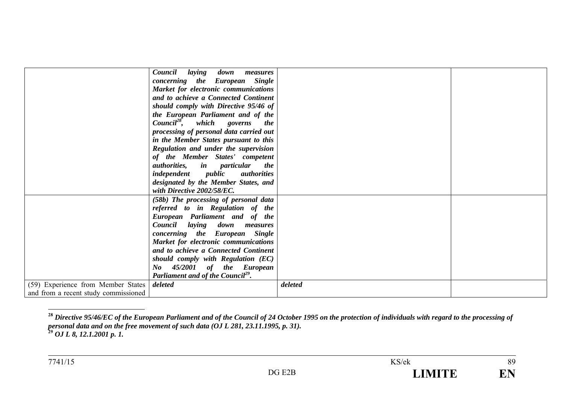|                                      | Council<br>laying<br>down<br>measures                   |         |  |
|--------------------------------------|---------------------------------------------------------|---------|--|
|                                      | concerning the European Single                          |         |  |
|                                      | Market for electronic communications                    |         |  |
|                                      | and to achieve a Connected Continent                    |         |  |
|                                      | should comply with Directive 95/46 of                   |         |  |
|                                      | the European Parliament and of the                      |         |  |
|                                      | $Count^{28}$ , which governs<br><i>the</i>              |         |  |
|                                      | processing of personal data carried out                 |         |  |
|                                      | in the Member States pursuant to this                   |         |  |
|                                      | Regulation and under the supervision                    |         |  |
|                                      | of the Member States' competent                         |         |  |
|                                      | <i>authorities</i> , <i>in particular</i><br><i>the</i> |         |  |
|                                      | <i>independent public</i><br><i>authorities</i>         |         |  |
|                                      | designated by the Member States, and                    |         |  |
|                                      | with Directive 2002/58/EC.                              |         |  |
|                                      |                                                         |         |  |
|                                      | (58b) The processing of personal data                   |         |  |
|                                      | referred to in Regulation of the                        |         |  |
|                                      | European Parliament and of the                          |         |  |
|                                      | Council laying down measures                            |         |  |
|                                      | concerning the European Single                          |         |  |
|                                      | Market for electronic communications                    |         |  |
|                                      | and to achieve a Connected Continent                    |         |  |
|                                      | should comply with Regulation (EC)                      |         |  |
|                                      | No 45/2001 of the European                              |         |  |
|                                      | Parliament and of the Council <sup>29</sup> .           |         |  |
| (59) Experience from Member States   | deleted                                                 | deleted |  |
| and from a recent study commissioned |                                                         |         |  |

**<sup>28</sup>** *Directive 95/46/EC of the European Parliament and of the Council of 24 October 1995 on the protection of individuals with regard to the processing of personal data and on the free movement of such data (OJ L 281, 23.11.1995, p. 31).* **29** *OJ L 8, 12.1.2001 p. 1.*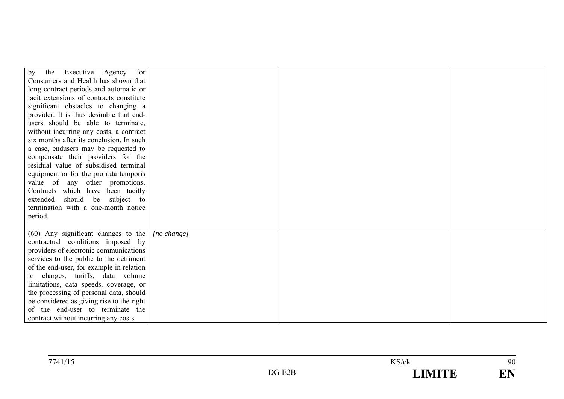| Executive Agency<br>the<br>for<br>by                                              |             |  |
|-----------------------------------------------------------------------------------|-------------|--|
| Consumers and Health has shown that                                               |             |  |
| long contract periods and automatic or                                            |             |  |
| tacit extensions of contracts constitute                                          |             |  |
| significant obstacles to changing a                                               |             |  |
| provider. It is thus desirable that end-                                          |             |  |
| users should be able to terminate,                                                |             |  |
| without incurring any costs, a contract                                           |             |  |
| six months after its conclusion. In such                                          |             |  |
| a case, endusers may be requested to                                              |             |  |
| compensate their providers for the                                                |             |  |
| residual value of subsidised terminal                                             |             |  |
| equipment or for the pro rata temporis                                            |             |  |
| value of any other promotions.                                                    |             |  |
| Contracts which have been tacitly                                                 |             |  |
| extended<br>should be subject to                                                  |             |  |
| termination with a one-month notice                                               |             |  |
| period.                                                                           |             |  |
|                                                                                   |             |  |
| $(60)$ Any significant changes to the                                             | [no change] |  |
| contractual conditions imposed by                                                 |             |  |
| providers of electronic communications                                            |             |  |
| services to the public to the detriment                                           |             |  |
| of the end-user, for example in relation                                          |             |  |
| to charges, tariffs, data volume                                                  |             |  |
| limitations, data speeds, coverage, or<br>the processing of personal data, should |             |  |
| be considered as giving rise to the right                                         |             |  |
| of the end-user to terminate the                                                  |             |  |
| contract without incurring any costs.                                             |             |  |
|                                                                                   |             |  |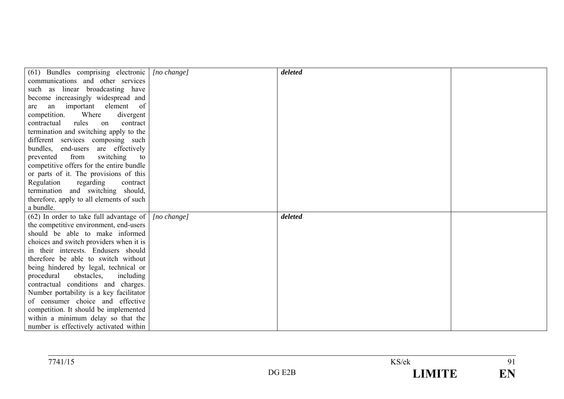| (61) Bundles comprising electronic                                           | [no change] | deleted |  |
|------------------------------------------------------------------------------|-------------|---------|--|
| communications and other services                                            |             |         |  |
| such as linear broadcasting have                                             |             |         |  |
| become increasingly widespread and                                           |             |         |  |
| an important element of<br>are                                               |             |         |  |
| competition.<br>Where<br>divergent                                           |             |         |  |
| contractual<br>rules<br>on<br>contract                                       |             |         |  |
| termination and switching apply to the                                       |             |         |  |
| different services composing such                                            |             |         |  |
| bundles, end-users are effectively                                           |             |         |  |
| from<br>switching<br>prevented<br>to                                         |             |         |  |
| competitive offers for the entire bundle                                     |             |         |  |
| or parts of it. The provisions of this                                       |             |         |  |
| Regulation<br>regarding<br>contract                                          |             |         |  |
| termination and switching should,                                            |             |         |  |
| therefore, apply to all elements of such                                     |             |         |  |
| a bundle.                                                                    |             |         |  |
| $(62)$ In order to take full advantage of                                    | [no change] | deleted |  |
| the competitive environment, end-users                                       |             |         |  |
| should be able to make informed                                              |             |         |  |
| choices and switch providers when it is                                      |             |         |  |
| in their interests. Endusers should                                          |             |         |  |
| therefore be able to switch without                                          |             |         |  |
| being hindered by legal, technical or                                        |             |         |  |
| obstacles, including<br>procedural                                           |             |         |  |
| contractual conditions and charges.                                          |             |         |  |
| Number portability is a key facilitator                                      |             |         |  |
| of consumer choice and effective                                             |             |         |  |
| competition. It should be implemented                                        |             |         |  |
|                                                                              |             |         |  |
| within a minimum delay so that the<br>number is effectively activated within |             |         |  |

| 7741/1 |     | KS/ek |                      |
|--------|-----|-------|----------------------|
|        | --- |       | ПЪ<br>ш<br><b>LT</b> |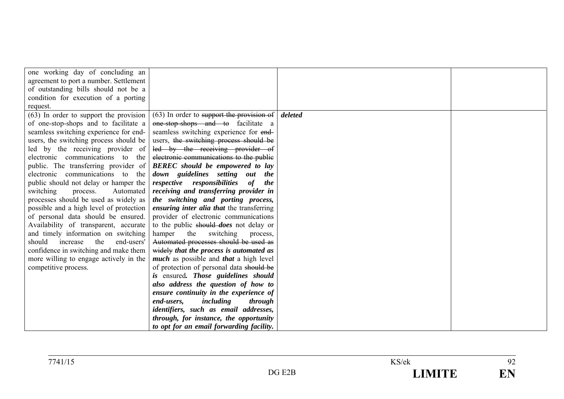| one working day of concluding an         |                                               |         |  |
|------------------------------------------|-----------------------------------------------|---------|--|
| agreement to port a number. Settlement   |                                               |         |  |
| of outstanding bills should not be a     |                                               |         |  |
| condition for execution of a porting     |                                               |         |  |
| request.                                 |                                               |         |  |
| $(63)$ In order to support the provision | (63) In order to support the provision of     | deleted |  |
| of one-stop-shops and to facilitate a    | one-stop-shops and to facilitate a            |         |  |
| seamless switching experience for end-   | seamless switching experience for end-        |         |  |
| users, the switching process should be   | users, the switching process should be        |         |  |
| led by the receiving provider of         | led by the receiving provider of              |         |  |
| electronic communications to the         | electronic communications to the public       |         |  |
| public. The transferring provider of     | <b>BEREC</b> should be empowered to lay       |         |  |
| electronic communications to the         | down guidelines setting out the               |         |  |
| public should not delay or hamper the    | respective responsibilities<br>of<br>the      |         |  |
| switching<br>Automated<br>process.       | receiving and transferring provider in        |         |  |
| processes should be used as widely as    | the switching and porting process,            |         |  |
| possible and a high level of protection  | ensuring inter alia that the transferring     |         |  |
| of personal data should be ensured.      | provider of electronic communications         |         |  |
| Availability of transparent, accurate    | to the public should <i>does</i> not delay or |         |  |
| and timely information on switching      | hamper<br>the<br>switching<br>process,        |         |  |
| should<br>increase<br>end-users'<br>the  | Automated processes should be used as         |         |  |
| confidence in switching and make them    | widely that the process is automated as       |         |  |
| more willing to engage actively in the   | much as possible and that a high level        |         |  |
| competitive process.                     | of protection of personal data should be      |         |  |
|                                          | is ensured. Those guidelines should           |         |  |
|                                          | also address the question of how to           |         |  |
|                                          | ensure continuity in the experience of        |         |  |
|                                          | including<br>end-users,<br>through            |         |  |
|                                          | identifiers, such as email addresses,         |         |  |
|                                          | through, for instance, the opportunity        |         |  |
|                                          | to opt for an email forwarding facility.      |         |  |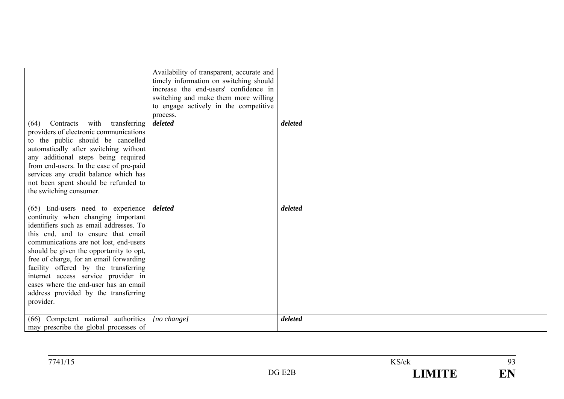|                                                                                                                                                                                                                                                                                                                                                                                                                                                                       | Availability of transparent, accurate and<br>timely information on switching should<br>increase the end-users' confidence in<br>switching and make them more willing<br>to engage actively in the competitive<br>process. |         |  |
|-----------------------------------------------------------------------------------------------------------------------------------------------------------------------------------------------------------------------------------------------------------------------------------------------------------------------------------------------------------------------------------------------------------------------------------------------------------------------|---------------------------------------------------------------------------------------------------------------------------------------------------------------------------------------------------------------------------|---------|--|
| with<br>transferring<br>Contracts<br>(64)<br>providers of electronic communications<br>to the public should be cancelled<br>automatically after switching without<br>any additional steps being required<br>from end-users. In the case of pre-paid<br>services any credit balance which has<br>not been spent should be refunded to<br>the switching consumer.                                                                                                       | deleted                                                                                                                                                                                                                   | deleted |  |
| (65) End-users need to experience<br>continuity when changing important<br>identifiers such as email addresses. To<br>this end, and to ensure that email<br>communications are not lost, end-users<br>should be given the opportunity to opt,<br>free of charge, for an email forwarding<br>facility offered by the transferring<br>internet access service provider in<br>cases where the end-user has an email<br>address provided by the transferring<br>provider. | deleted                                                                                                                                                                                                                   | deleted |  |
| Competent national authorities<br>(66)<br>may prescribe the global processes of                                                                                                                                                                                                                                                                                                                                                                                       | [no change]                                                                                                                                                                                                               | deleted |  |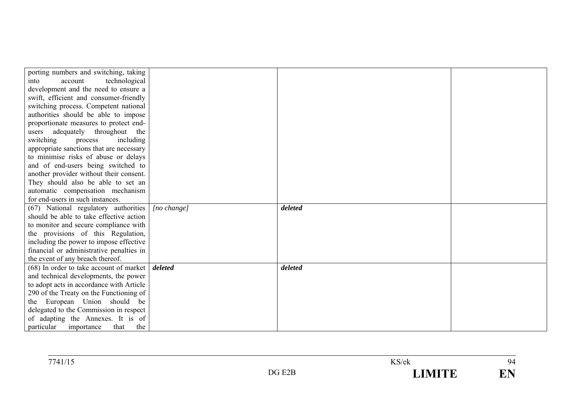| porting numbers and switching, taking             |             |         |  |
|---------------------------------------------------|-------------|---------|--|
| technological<br>into<br>account                  |             |         |  |
| development and the need to ensure a              |             |         |  |
| swift, efficient and consumer-friendly            |             |         |  |
| switching process. Competent national             |             |         |  |
| authorities should be able to impose              |             |         |  |
| proportionate measures to protect end-            |             |         |  |
| adequately throughout the<br>users                |             |         |  |
| switching<br>including<br>process                 |             |         |  |
| appropriate sanctions that are necessary          |             |         |  |
| to minimise risks of abuse or delays              |             |         |  |
| and of end-users being switched to                |             |         |  |
| another provider without their consent.           |             |         |  |
| They should also be able to set an                |             |         |  |
| automatic compensation mechanism                  |             |         |  |
| for end-users in such instances.                  |             |         |  |
| (67) National regulatory authorities              | [no change] | deleted |  |
| should be able to take effective action           |             |         |  |
| to monitor and secure compliance with             |             |         |  |
| the provisions of this Regulation,                |             |         |  |
| including the power to impose effective           |             |         |  |
| financial or administrative penalties in          |             |         |  |
| the event of any breach thereof.                  |             |         |  |
| (68) In order to take account of market   deleted |             | deleted |  |
| and technical developments, the power             |             |         |  |
| to adopt acts in accordance with Article          |             |         |  |
| 290 of the Treaty on the Functioning of           |             |         |  |
| the European Union should be                      |             |         |  |
| delegated to the Commission in respect            |             |         |  |
| of adapting the Annexes. It is of                 |             |         |  |
| particular importance<br>that<br>the              |             |         |  |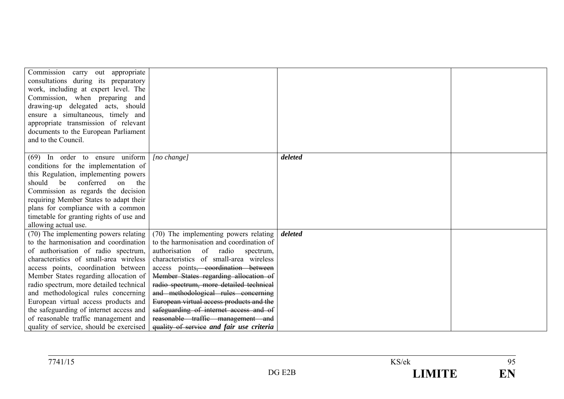| Commission carry out appropriate<br>consultations during its preparatory<br>work, including at expert level. The<br>Commission, when preparing and<br>drawing-up delegated acts, should<br>ensure a simultaneous, timely and<br>appropriate transmission of relevant<br>documents to the European Parliament<br>and to the Council.                                                                                                                                                                     |                                                                                                                                                                                                                                                                                                                                                                                                                                                                                                                      |         |  |
|---------------------------------------------------------------------------------------------------------------------------------------------------------------------------------------------------------------------------------------------------------------------------------------------------------------------------------------------------------------------------------------------------------------------------------------------------------------------------------------------------------|----------------------------------------------------------------------------------------------------------------------------------------------------------------------------------------------------------------------------------------------------------------------------------------------------------------------------------------------------------------------------------------------------------------------------------------------------------------------------------------------------------------------|---------|--|
|                                                                                                                                                                                                                                                                                                                                                                                                                                                                                                         |                                                                                                                                                                                                                                                                                                                                                                                                                                                                                                                      |         |  |
| $(69)$ In order to ensure uniform<br>conditions for the implementation of<br>this Regulation, implementing powers<br>should<br>conferred<br>be<br>the<br>on<br>Commission as regards the decision<br>requiring Member States to adapt their<br>plans for compliance with a common<br>timetable for granting rights of use and<br>allowing actual use.                                                                                                                                                   | $[no \space change]$                                                                                                                                                                                                                                                                                                                                                                                                                                                                                                 | deleted |  |
| (70) The implementing powers relating<br>to the harmonisation and coordination<br>of authorisation of radio spectrum,<br>characteristics of small-area wireless<br>access points, coordination between<br>Member States regarding allocation of<br>radio spectrum, more detailed technical<br>and methodological rules concerning<br>European virtual access products and<br>the safeguarding of internet access and<br>of reasonable traffic management and<br>quality of service, should be exercised | (70) The implementing powers relating<br>to the harmonisation and coordination of<br>authorisation of radio spectrum,<br>characteristics of small-area wireless<br>access points <del>, coordination between</del><br>Member States regarding allocation of<br>radio spectrum, more detailed technical<br>and methodological rules concerning<br>European virtual access products and the<br>safeguarding of internet access and of<br>reasonable traffic management and<br>quality of service and fair use criteria | deleted |  |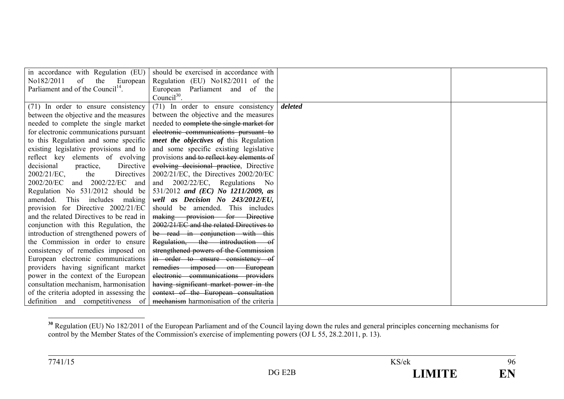| in accordance with Regulation (EU)            | should be exercised in accordance with        |         |  |
|-----------------------------------------------|-----------------------------------------------|---------|--|
| No182/2011<br>of<br>the<br>European           | Regulation (EU) No182/2011 of the             |         |  |
| Parliament and of the Council <sup>14</sup> . | European Parliament and of the                |         |  |
|                                               | Counci $l^{30}$ .                             |         |  |
| (71) In order to ensure consistency           | (71) In order to ensure consistency           | deleted |  |
| between the objective and the measures        | between the objective and the measures        |         |  |
| needed to complete the single market          | needed to complete the single market for      |         |  |
| for electronic communications pursuant        | electronic communications pursuant to         |         |  |
| to this Regulation and some specific          | <i>meet the objectives of this Regulation</i> |         |  |
| existing legislative provisions and to        | and some specific existing legislative        |         |  |
| reflect key elements of evolving              | provisions and to reflect key elements of     |         |  |
| decisional<br>Directive<br>practice,          | evolving decisional practice, Directive       |         |  |
| $2002/21/EC$ ,<br>Directives<br>the           | $2002/21/EC$ , the Directives $2002/20/EC$    |         |  |
| and 2002/22/EC and<br>2002/20/EC              | and 2002/22/EC, Regulations No                |         |  |
| Regulation No 531/2012 should be              | 531/2012 and (EC) No 1211/2009, as            |         |  |
| This includes making<br>amended.              | well as Decision No 243/2012/EU,              |         |  |
| provision for Directive 2002/21/EC            | should be amended. This includes              |         |  |
| and the related Directives to be read in      | making provision for Directive                |         |  |
| conjunction with this Regulation, the         | 2002/21/EC and the related Directives to      |         |  |
| introduction of strengthened powers of        | be read in conjunction with this              |         |  |
| the Commission in order to ensure             | Regulation, the introduction                  |         |  |
| consistency of remedies imposed on            | strengthened powers of the Commission         |         |  |
| European electronic communications            | in order to ensure consistency of             |         |  |
| providers having significant market           | remedies imposed on European                  |         |  |
| power in the context of the European          | electronic communications providers           |         |  |
| consultation mechanism, harmonisation         | having significant market power in the        |         |  |
| of the criteria adopted in assessing the      | context of the European consultation          |         |  |
| definition and competitiveness of             | mechanism harmonisation of the criteria       |         |  |

<sup>&</sup>lt;sup>30</sup> Regulation (EU) No 182/2011 of the European Parliament and of the Council laying down the rules and general principles concerning mechanisms for control by the Member States of the Commission's exercise of implementing powers (OJ L 55, 28.2.2011, p. 13).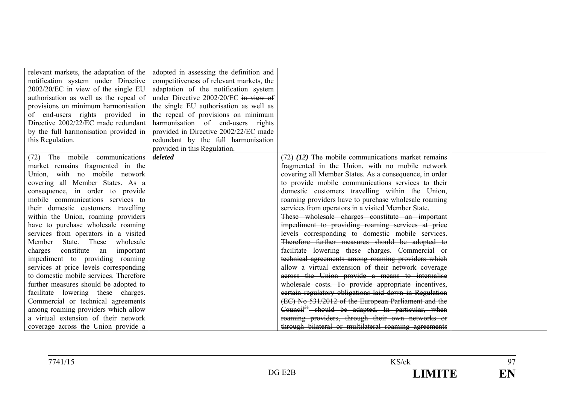| relevant markets, the adaptation of the | adopted in assessing the definition and  |                                                              |  |
|-----------------------------------------|------------------------------------------|--------------------------------------------------------------|--|
| notification system under Directive     | competitiveness of relevant markets, the |                                                              |  |
| $2002/20$ /EC in view of the single EU  | adaptation of the notification system    |                                                              |  |
| authorisation as well as the repeal of  | under Directive 2002/20/EC in view of    |                                                              |  |
| provisions on minimum harmonisation     | the single EU authorisation as well as   |                                                              |  |
| of end-users rights provided in         | the repeal of provisions on minimum      |                                                              |  |
| Directive 2002/22/EC made redundant     | harmonisation of end-users rights        |                                                              |  |
| by the full harmonisation provided in   | provided in Directive 2002/22/EC made    |                                                              |  |
| this Regulation.                        | redundant by the full harmonisation      |                                                              |  |
|                                         | provided in this Regulation.             |                                                              |  |
| (72) The mobile communications          | deleted                                  | $(72)$ (12) The mobile communications market remains         |  |
| market remains fragmented in the        |                                          | fragmented in the Union, with no mobile network              |  |
| Union, with no mobile network           |                                          | covering all Member States. As a consequence, in order       |  |
| covering all Member States. As a        |                                          | to provide mobile communications services to their           |  |
| consequence, in order to provide        |                                          | domestic customers travelling within the Union,              |  |
| mobile communications services to       |                                          | roaming providers have to purchase wholesale roaming         |  |
| their domestic customers travelling     |                                          | services from operators in a visited Member State.           |  |
| within the Union, roaming providers     |                                          | These wholesale charges constitute an important              |  |
| have to purchase wholesale roaming      |                                          | impediment to providing roaming services at price            |  |
| services from operators in a visited    |                                          | levels corresponding to domestic mobile services.            |  |
| Member State. These wholesale           |                                          | Therefore further measures should be adopted to              |  |
| charges constitute an important         |                                          | facilitate lowering these charges. Commercial or             |  |
| impediment to providing roaming         |                                          | technical agreements among roaming providers which           |  |
| services at price levels corresponding  |                                          | allow a virtual extension of their network coverage          |  |
| to domestic mobile services. Therefore  |                                          | across the Union provide a means to internalise              |  |
| further measures should be adopted to   |                                          | wholesale costs. To provide appropriate incentives,          |  |
| facilitate lowering these charges.      |                                          | certain regulatory obligations laid down in Regulation       |  |
| Commercial or technical agreements      |                                          | (EC) No 531/2012 of the European Parliament and the          |  |
| among roaming providers which allow     |                                          | Council <sup>31</sup> should be adapted. In particular, when |  |
| a virtual extension of their network    |                                          | roaming providers, through their own networks or             |  |
| coverage across the Union provide a     |                                          | through bilateral or multilateral roaming agreements         |  |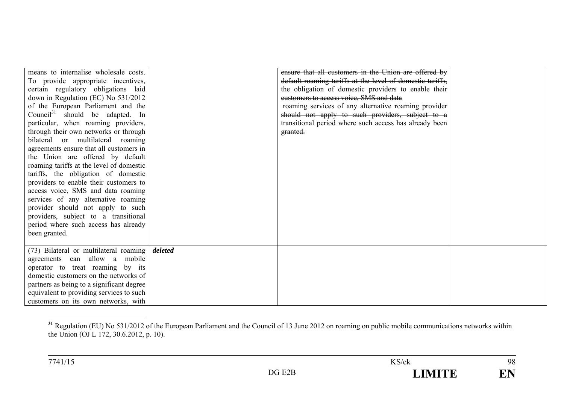| means to internalise wholesale costs.<br>To provide appropriate incentives,<br>certain regulatory obligations laid<br>down in Regulation (EC) No 531/2012<br>of the European Parliament and the<br>Council <sup>31</sup> should be adapted. In<br>particular, when roaming providers,<br>through their own networks or through<br>bilateral or multilateral roaming<br>agreements ensure that all customers in<br>the Union are offered by default<br>roaming tariffs at the level of domestic |         | ensure that all customers in the Union are offered by<br>default roaming tariffs at the level of domestic tariffs,<br>the obligation of domestic providers to enable their<br>customers to access voice, SMS and data<br>roaming services of any alternative roaming provider<br>should not apply to such providers, subject to a<br>transitional period where such access has already been<br>granted. |  |
|------------------------------------------------------------------------------------------------------------------------------------------------------------------------------------------------------------------------------------------------------------------------------------------------------------------------------------------------------------------------------------------------------------------------------------------------------------------------------------------------|---------|---------------------------------------------------------------------------------------------------------------------------------------------------------------------------------------------------------------------------------------------------------------------------------------------------------------------------------------------------------------------------------------------------------|--|
| tariffs, the obligation of domestic<br>providers to enable their customers to<br>access voice, SMS and data roaming<br>services of any alternative roaming<br>provider should not apply to such<br>providers, subject to a transitional<br>period where such access has already<br>been granted.                                                                                                                                                                                               |         |                                                                                                                                                                                                                                                                                                                                                                                                         |  |
| (73) Bilateral or multilateral roaming<br>agreements can allow a<br>mobile<br>operator to treat roaming by its<br>domestic customers on the networks of<br>partners as being to a significant degree<br>equivalent to providing services to such<br>customers on its own networks, with                                                                                                                                                                                                        | deleted |                                                                                                                                                                                                                                                                                                                                                                                                         |  |

<sup>&</sup>lt;sup>31</sup> Regulation (EU) No 531/2012 of the European Parliament and the Council of 13 June 2012 on roaming on public mobile communications networks within the Union (OJ L 172, 30.6.2012, p. 10).

98

EN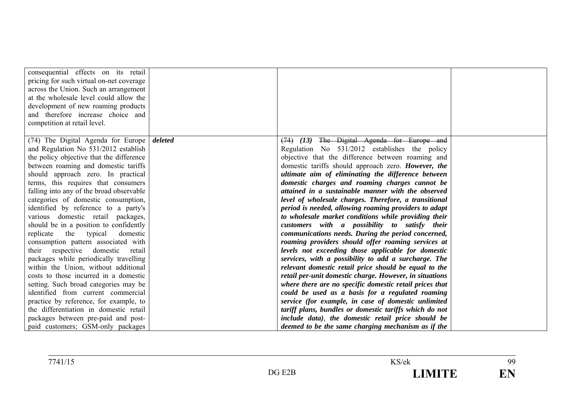| consequential effects on its retail<br>pricing for such virtual on-net coverage<br>across the Union. Such an arrangement<br>at the wholesale level could allow the<br>development of new roaming products<br>and therefore increase choice and<br>competition at retail level.                                                                                                                                                                                                                                                                                                                                                                                                                                                               |         |                                                                                                                                                                                                                                                                                                                                                                                                                                                                                                                                                                                                                                                                                                                                                                                                                                                                                                                                                                                                                   |  |
|----------------------------------------------------------------------------------------------------------------------------------------------------------------------------------------------------------------------------------------------------------------------------------------------------------------------------------------------------------------------------------------------------------------------------------------------------------------------------------------------------------------------------------------------------------------------------------------------------------------------------------------------------------------------------------------------------------------------------------------------|---------|-------------------------------------------------------------------------------------------------------------------------------------------------------------------------------------------------------------------------------------------------------------------------------------------------------------------------------------------------------------------------------------------------------------------------------------------------------------------------------------------------------------------------------------------------------------------------------------------------------------------------------------------------------------------------------------------------------------------------------------------------------------------------------------------------------------------------------------------------------------------------------------------------------------------------------------------------------------------------------------------------------------------|--|
| (74) The Digital Agenda for Europe<br>and Regulation No 531/2012 establish<br>the policy objective that the difference<br>between roaming and domestic tariffs<br>should approach zero. In practical<br>terms, this requires that consumers<br>falling into any of the broad observable<br>categories of domestic consumption,<br>identified by reference to a party's<br>various domestic retail packages,<br>should be in a position to confidently<br>replicate the typical<br>domestic<br>consumption pattern associated with<br>their respective domestic<br>retail<br>packages while periodically travelling<br>within the Union, without additional<br>costs to those incurred in a domestic<br>setting. Such broad categories may be | deleted | The Digital Agenda for Europe and<br>$(74)$ $(13)$<br>Regulation No 531/2012 establishes the policy<br>objective that the difference between roaming and<br>domestic tariffs should approach zero. However, the<br>ultimate aim of eliminating the difference between<br>domestic charges and roaming charges cannot be<br>attained in a sustainable manner with the observed<br>level of wholesale charges. Therefore, a transitional<br>period is needed, allowing roaming providers to adapt<br>to wholesale market conditions while providing their<br>customers with a possibility to satisfy their<br>communications needs. During the period concerned,<br>roaming providers should offer roaming services at<br>levels not exceeding those applicable for domestic<br>services, with a possibility to add a surcharge. The<br>relevant domestic retail price should be equal to the<br>retail per-unit domestic charge. However, in situations<br>where there are no specific domestic retail prices that |  |
| identified from current commercial<br>practice by reference, for example, to<br>the differentiation in domestic retail<br>packages between pre-paid and post-<br>paid customers; GSM-only packages                                                                                                                                                                                                                                                                                                                                                                                                                                                                                                                                           |         | could be used as a basis for a regulated roaming<br>service (for example, in case of domestic unlimited<br>tariff plans, bundles or domestic tariffs which do not<br>include data), the domestic retail price should be<br>deemed to be the same charging mechanism as if the                                                                                                                                                                                                                                                                                                                                                                                                                                                                                                                                                                                                                                                                                                                                     |  |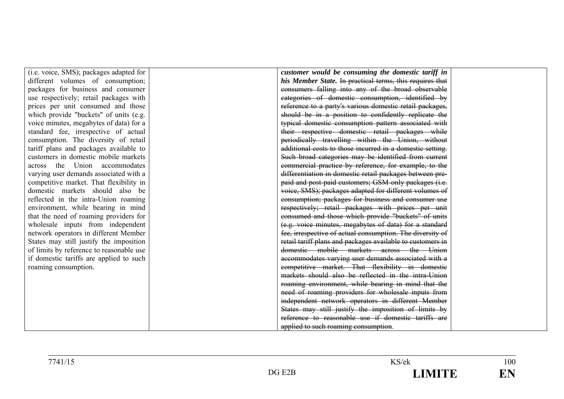| (i.e. voice, SMS); packages adapted for  |
|------------------------------------------|
| different volumes of consumption;        |
| packages for business and consumer       |
| use respectively; retail packages with   |
| prices per unit consumed and those       |
| which provide "buckets" of units (e.g.   |
| voice minutes, megabytes of data) for a  |
| standard fee, irrespective of actual     |
| consumption. The diversity of retail     |
| tariff plans and packages available to   |
| customers in domestic mobile markets     |
| across the Union accommodates            |
| varying user demands associated with a   |
| competitive market. That flexibility in  |
| domestic markets should also be          |
| reflected in the intra-Union roaming     |
| environment, while bearing in mind       |
| that the need of roaming providers for   |
| wholesale inputs from independent        |
| network operators in different Member    |
| States may still justify the imposition  |
| of limits by reference to reasonable use |
| if domestic tariffs are applied to such  |
| roaming consumption.                     |
|                                          |

*customer would be consuming the domestic tariff in his Member State.* In practical terms, this requires that consumers falling into any of the broad observable categories of domestic consumption, identified by reference to a party's various domestic retail packages, should be in a position to confidently replicate the typical domestic consumption pattern associated with their respective domestic retail packages while periodically travelling within the Union, without additional costs to those incurred in a domestic setting. Such broad categories may be identified from current commercial practice by reference, for example, to the differentiation in domestic retail packages between prepaid and post-paid customers; GSM-only packages (i.e. voice, SMS); packages adapted for different volumes of consumption; packages for business and consumer use respectively; retail packages with prices per unit consumed and those which provide "buckets" of units (e.g. voice minutes, megabytes of data) for a standard fee, irrespective of actual consumption. The diversity of retail tariff plans and packages available to customers in domestic mobile markets across the <del>– Union</del> accommodates varying user demands associated with a competitive market. That flexibility in domestic markets should also be reflected in the intra-Union roaming environment, while bearing in mind that the need of roaming providers for wholesale inputs from independent network operators in different Member States may still justify the imposition of limits by reference to reasonable use if domestic tariffs are applied to such roaming consumption.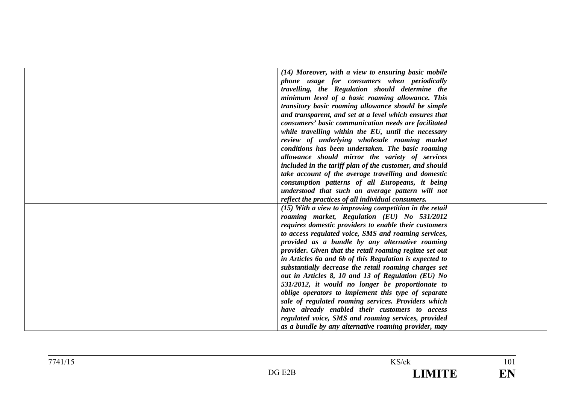| (14) Moreover, with a view to ensuring basic mobile       |
|-----------------------------------------------------------|
| phone usage for consumers when periodically               |
| travelling, the Regulation should determine the           |
| minimum level of a basic roaming allowance. This          |
|                                                           |
| transitory basic roaming allowance should be simple       |
| and transparent, and set at a level which ensures that    |
| consumers' basic communication needs are facilitated      |
| while travelling within the EU, until the necessary       |
| review of underlying wholesale roaming market             |
| conditions has been undertaken. The basic roaming         |
| allowance should mirror the variety of services           |
| included in the tariff plan of the customer, and should   |
| take account of the average travelling and domestic       |
| consumption patterns of all Europeans, it being           |
| understood that such an average pattern will not          |
| reflect the practices of all individual consumers.        |
| $(15)$ With a view to improving competition in the retail |
| roaming market, Regulation (EU) No 531/2012               |
| requires domestic providers to enable their customers     |
| to access regulated voice, SMS and roaming services,      |
| provided as a bundle by any alternative roaming           |
| provider. Given that the retail roaming regime set out    |
| in Articles 6a and 6b of this Regulation is expected to   |
| substantially decrease the retail roaming charges set     |
| out in Articles 8, 10 and 13 of Regulation (EU) No        |
| 531/2012, it would no longer be proportionate to          |
| oblige operators to implement this type of separate       |
| sale of regulated roaming services. Providers which       |
| have already enabled their customers to access            |
| regulated voice, SMS and roaming services, provided       |
| as a bundle by any alternative roaming provider, may      |
|                                                           |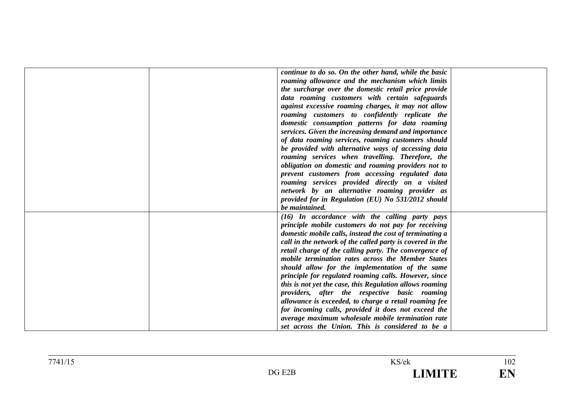| continue to do so. On the other hand, while the basic     |
|-----------------------------------------------------------|
| roaming allowance and the mechanism which limits          |
| the surcharge over the domestic retail price provide      |
| data roaming customers with certain safeguards            |
| against excessive roaming charges, it may not allow       |
| roaming customers to confidently replicate the            |
| domestic consumption patterns for data roaming            |
| services. Given the increasing demand and importance      |
| of data roaming services, roaming customers should        |
|                                                           |
| be provided with alternative ways of accessing data       |
| roaming services when travelling. Therefore, the          |
| obligation on domestic and roaming providers not to       |
| prevent customers from accessing regulated data           |
| roaming services provided directly on a visited           |
| network by an alternative roaming provider as             |
| provided for in Regulation (EU) No 531/2012 should        |
| be maintained.                                            |
| $(16)$ In accordance with the calling party pays          |
| principle mobile customers do not pay for receiving       |
| domestic mobile calls, instead the cost of terminating a  |
| call in the network of the called party is covered in the |
| retail charge of the calling party. The convergence of    |
| mobile termination rates across the Member States         |
| should allow for the implementation of the same           |
| principle for regulated roaming calls. However, since     |
| this is not yet the case, this Regulation allows roaming  |
| providers, after the respective basic roaming             |
| allowance is exceeded, to charge a retail roaming fee     |
| for incoming calls, provided it does not exceed the       |
| average maximum wholesale mobile termination rate         |
| set across the Union. This is considered to be a          |
|                                                           |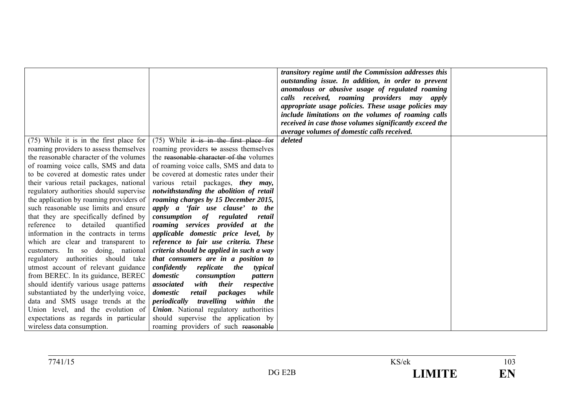|                                         |                                               | transitory regime until the Commission addresses this<br>outstanding issue. In addition, in order to prevent<br>anomalous or abusive usage of regulated roaming<br>calls received, roaming providers may apply<br>appropriate usage policies. These usage policies may<br>include limitations on the volumes of roaming calls<br>received in case those volumes significantly exceed the<br>average volumes of domestic calls received. |  |
|-----------------------------------------|-----------------------------------------------|-----------------------------------------------------------------------------------------------------------------------------------------------------------------------------------------------------------------------------------------------------------------------------------------------------------------------------------------------------------------------------------------------------------------------------------------|--|
| (75) While it is in the first place for | $(75)$ While it is in the first place for     | deleted                                                                                                                                                                                                                                                                                                                                                                                                                                 |  |
| roaming providers to assess themselves  | roaming providers to assess themselves        |                                                                                                                                                                                                                                                                                                                                                                                                                                         |  |
| the reasonable character of the volumes | the reasonable character of the volumes       |                                                                                                                                                                                                                                                                                                                                                                                                                                         |  |
| of roaming voice calls, SMS and data    | of roaming voice calls, SMS and data to       |                                                                                                                                                                                                                                                                                                                                                                                                                                         |  |
| to be covered at domestic rates under   | be covered at domestic rates under their      |                                                                                                                                                                                                                                                                                                                                                                                                                                         |  |
| their various retail packages, national | various retail packages, they may,            |                                                                                                                                                                                                                                                                                                                                                                                                                                         |  |
| regulatory authorities should supervise | notwithstanding the abolition of retail       |                                                                                                                                                                                                                                                                                                                                                                                                                                         |  |
| the application by roaming providers of | roaming charges by 15 December 2015,          |                                                                                                                                                                                                                                                                                                                                                                                                                                         |  |
| such reasonable use limits and ensure   | apply a 'fair use clause' to the              |                                                                                                                                                                                                                                                                                                                                                                                                                                         |  |
| that they are specifically defined by   | <i>consumption of</i><br>regulated<br>retail  |                                                                                                                                                                                                                                                                                                                                                                                                                                         |  |
| detailed quantified<br>reference to     | roaming services provided at the              |                                                                                                                                                                                                                                                                                                                                                                                                                                         |  |
| information in the contracts in terms   | applicable domestic price level, by           |                                                                                                                                                                                                                                                                                                                                                                                                                                         |  |
| which are clear and transparent to      | reference to fair use criteria. These         |                                                                                                                                                                                                                                                                                                                                                                                                                                         |  |
| customers. In so doing, national        | criteria should be applied in such a way      |                                                                                                                                                                                                                                                                                                                                                                                                                                         |  |
| regulatory authorities should take      | that consumers are in a position to           |                                                                                                                                                                                                                                                                                                                                                                                                                                         |  |
| utmost account of relevant guidance     | confidently<br>replicate the<br>typical       |                                                                                                                                                                                                                                                                                                                                                                                                                                         |  |
| from BEREC. In its guidance, BEREC      | domestic<br>consumption<br>pattern            |                                                                                                                                                                                                                                                                                                                                                                                                                                         |  |
| should identify various usage patterns  | with<br>associated<br>their<br>respective     |                                                                                                                                                                                                                                                                                                                                                                                                                                         |  |
| substantiated by the underlying voice,  | domestic<br>retail<br>packages<br>while       |                                                                                                                                                                                                                                                                                                                                                                                                                                         |  |
| data and SMS usage trends at the        | travelling<br>within the<br>periodically      |                                                                                                                                                                                                                                                                                                                                                                                                                                         |  |
| Union level, and the evolution of       | <b>Union.</b> National regulatory authorities |                                                                                                                                                                                                                                                                                                                                                                                                                                         |  |
| expectations as regards in particular   | should supervise the application by           |                                                                                                                                                                                                                                                                                                                                                                                                                                         |  |
| wireless data consumption.              | roaming providers of such reasonable          |                                                                                                                                                                                                                                                                                                                                                                                                                                         |  |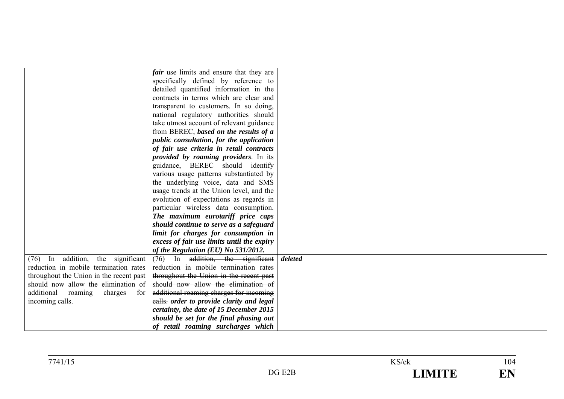|                                         | <i>fair</i> use limits and ensure that they are |         |  |
|-----------------------------------------|-------------------------------------------------|---------|--|
|                                         | specifically defined by reference to            |         |  |
|                                         | detailed quantified information in the          |         |  |
|                                         | contracts in terms which are clear and          |         |  |
|                                         | transparent to customers. In so doing,          |         |  |
|                                         | national regulatory authorities should          |         |  |
|                                         | take utmost account of relevant guidance        |         |  |
|                                         | from BEREC, based on the results of a           |         |  |
|                                         | public consultation, for the application        |         |  |
|                                         | of fair use criteria in retail contracts        |         |  |
|                                         | provided by roaming providers. In its           |         |  |
|                                         | guidance, BEREC should identify                 |         |  |
|                                         | various usage patterns substantiated by         |         |  |
|                                         | the underlying voice, data and SMS              |         |  |
|                                         | usage trends at the Union level, and the        |         |  |
|                                         | evolution of expectations as regards in         |         |  |
|                                         | particular wireless data consumption.           |         |  |
|                                         | The maximum eurotariff price caps               |         |  |
|                                         | should continue to serve as a safeguard         |         |  |
|                                         | limit for charges for consumption in            |         |  |
|                                         | excess of fair use limits until the expiry      |         |  |
|                                         | of the Regulation (EU) No 531/2012.             |         |  |
| In addition,<br>the significant<br>(76) | In addition, the significant<br>(76)            | deleted |  |
| reduction in mobile termination rates   | reduction in mobile termination rates           |         |  |
| throughout the Union in the recent past | throughout the Union in the recent past         |         |  |
| should now allow the elimination of     | should now allow the elimination of             |         |  |
| additional roaming charges<br>for       | additional roaming charges for incoming         |         |  |
| incoming calls.                         | ealls. order to provide clarity and legal       |         |  |
|                                         | certainty, the date of 15 December 2015         |         |  |
|                                         | should be set for the final phasing out         |         |  |
|                                         | of retail roaming surcharges which              |         |  |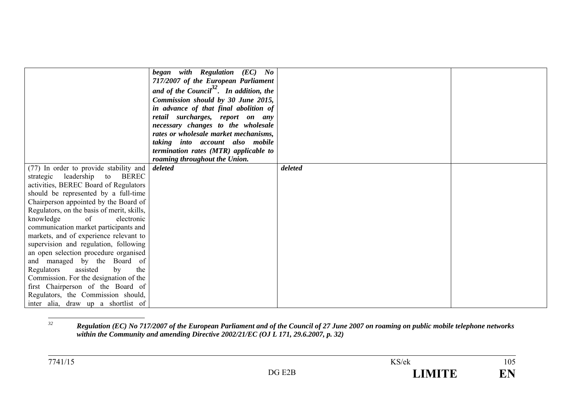|                                                                            | began with Regulation (EC) No<br>717/2007 of the European Parliament<br>and of the Council <sup>32</sup> . In addition, the<br>Commission should by 30 June 2015,<br>in advance of that final abolition of<br>retail surcharges, report on any<br>necessary changes to the wholesale<br>rates or wholesale market mechanisms,<br>taking into account also mobile<br>termination rates (MTR) applicable to<br>roaming throughout the Union. |         |  |
|----------------------------------------------------------------------------|--------------------------------------------------------------------------------------------------------------------------------------------------------------------------------------------------------------------------------------------------------------------------------------------------------------------------------------------------------------------------------------------------------------------------------------------|---------|--|
| (77) In order to provide stability and<br>leadership to BEREC<br>strategic | deleted                                                                                                                                                                                                                                                                                                                                                                                                                                    | deleted |  |
| activities, BEREC Board of Regulators                                      |                                                                                                                                                                                                                                                                                                                                                                                                                                            |         |  |
| should be represented by a full-time                                       |                                                                                                                                                                                                                                                                                                                                                                                                                                            |         |  |
| Chairperson appointed by the Board of                                      |                                                                                                                                                                                                                                                                                                                                                                                                                                            |         |  |
| Regulators, on the basis of merit, skills,                                 |                                                                                                                                                                                                                                                                                                                                                                                                                                            |         |  |
| of<br>knowledge<br>electronic                                              |                                                                                                                                                                                                                                                                                                                                                                                                                                            |         |  |
| communication market participants and                                      |                                                                                                                                                                                                                                                                                                                                                                                                                                            |         |  |
| markets, and of experience relevant to                                     |                                                                                                                                                                                                                                                                                                                                                                                                                                            |         |  |
| supervision and regulation, following                                      |                                                                                                                                                                                                                                                                                                                                                                                                                                            |         |  |
| an open selection procedure organised                                      |                                                                                                                                                                                                                                                                                                                                                                                                                                            |         |  |
| and managed by the Board of                                                |                                                                                                                                                                                                                                                                                                                                                                                                                                            |         |  |
| assisted<br>the<br>Regulators<br>by                                        |                                                                                                                                                                                                                                                                                                                                                                                                                                            |         |  |
| Commission. For the designation of the                                     |                                                                                                                                                                                                                                                                                                                                                                                                                                            |         |  |
| first Chairperson of the Board of                                          |                                                                                                                                                                                                                                                                                                                                                                                                                                            |         |  |
| Regulators, the Commission should,                                         |                                                                                                                                                                                                                                                                                                                                                                                                                                            |         |  |
| inter alia, draw up a shortlist of                                         |                                                                                                                                                                                                                                                                                                                                                                                                                                            |         |  |

*<sup>32</sup> Regulation (EC) No 717/2007 of the European Parliament and of the Council of 27 June 2007 on roaming on public mobile telephone networks within the Community and amending Directive 2002/21/EC (OJ L 171, 29.6.2007, p. 32)*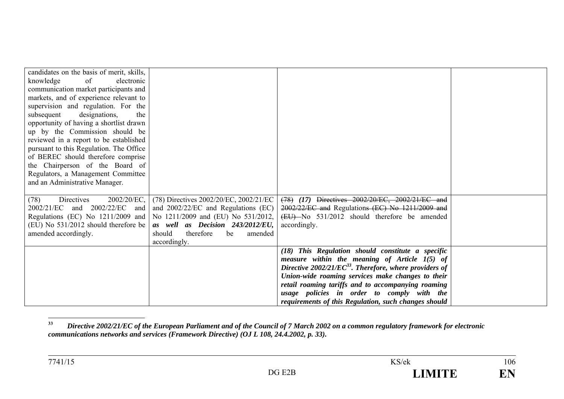| candidates on the basis of merit, skills,<br>of<br>knowledge<br>electronic<br>communication market participants and<br>markets, and of experience relevant to<br>supervision and regulation. For the<br>subsequent<br>designations,<br>the<br>opportunity of having a shortlist drawn<br>up by the Commission should be<br>reviewed in a report to be established<br>pursuant to this Regulation. The Office<br>of BEREC should therefore comprise<br>the Chairperson of the Board of<br>Regulators, a Management Committee<br>and an Administrative Manager. |                                                                                                                                                                                                                                                                        |                                                                                                                                                                                                                                                                                                                                                                                             |  |
|---------------------------------------------------------------------------------------------------------------------------------------------------------------------------------------------------------------------------------------------------------------------------------------------------------------------------------------------------------------------------------------------------------------------------------------------------------------------------------------------------------------------------------------------------------------|------------------------------------------------------------------------------------------------------------------------------------------------------------------------------------------------------------------------------------------------------------------------|---------------------------------------------------------------------------------------------------------------------------------------------------------------------------------------------------------------------------------------------------------------------------------------------------------------------------------------------------------------------------------------------|--|
| $2002/20/EC$ ,<br>(78)<br>Directives<br>2002/21/EC<br>(EU) No $531/2012$ should therefore be<br>amended accordingly.                                                                                                                                                                                                                                                                                                                                                                                                                                          | (78) Directives 2002/20/EC, 2002/21/EC<br>and 2002/22/EC and and 2002/22/EC and Regulations (EC)<br>Regulations (EC) No 1211/2009 and   No 1211/2009 and (EU) No 531/2012,<br>as well as Decision 243/2012/EU,<br>therefore<br>should<br>be<br>amended<br>accordingly. | (78) (17) Directives 2002/20/EC, 2002/21/EC and<br>2002/22/EC and Regulations (EC) No 1211/2009 and<br>(EU)-No 531/2012 should therefore be amended<br>accordingly.                                                                                                                                                                                                                         |  |
|                                                                                                                                                                                                                                                                                                                                                                                                                                                                                                                                                               |                                                                                                                                                                                                                                                                        | (18) This Regulation should constitute a specific<br>measure within the meaning of Article $1(5)$ of<br>Directive 2002/21/EC <sup>33</sup> . Therefore, where providers of<br>Union-wide roaming services make changes to their<br>retail roaming tariffs and to accompanying roaming<br>usage policies in order to comply with the<br>requirements of this Regulation, such changes should |  |

**<sup>33</sup>** *Directive 2002/21/EC of the European Parliament and of the Council of 7 March 2002 on a common regulatory framework for electronic communications networks and services (Framework Directive) (OJ L 108, 24.4.2002, p. 33).*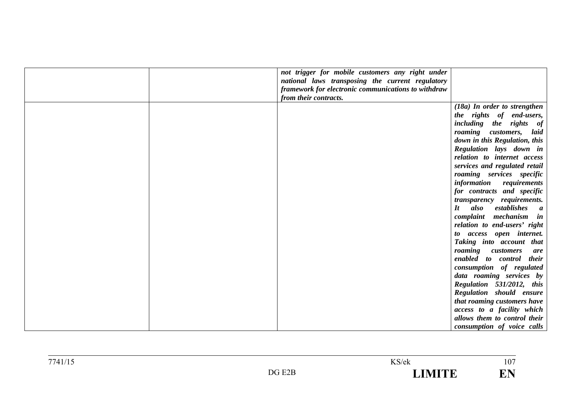| not trigger for mobile customers any right under    |                                                           |
|-----------------------------------------------------|-----------------------------------------------------------|
| national laws transposing the current regulatory    |                                                           |
| framework for electronic communications to withdraw |                                                           |
| from their contracts.                               |                                                           |
|                                                     | (18a) In order to strengthen                              |
|                                                     | the rights of end-users,                                  |
|                                                     | including the rights of                                   |
|                                                     | roaming customers,<br>laid                                |
|                                                     | down in this Regulation, this                             |
|                                                     | Regulation lays down in                                   |
|                                                     | relation to internet access                               |
|                                                     | services and regulated retail                             |
|                                                     | roaming services specific                                 |
|                                                     | information<br>requirements                               |
|                                                     | for contracts and specific                                |
|                                                     | <i>transparency requirements.</i>                         |
|                                                     | also<br>$\mathbf{I}$ t<br>establishes<br>$\boldsymbol{a}$ |
|                                                     | complaint mechanism in                                    |
|                                                     | relation to end-users' right                              |
|                                                     | to access open internet.                                  |
|                                                     | Taking into account that                                  |
|                                                     | roaming customers<br>are                                  |
|                                                     | enabled to control their                                  |
|                                                     | consumption of regulated                                  |
|                                                     | data roaming services by                                  |
|                                                     | Regulation 531/2012, this                                 |
|                                                     | Regulation should ensure                                  |
|                                                     | that roaming customers have                               |
|                                                     | access to a facility which                                |
|                                                     | allows them to control their                              |
|                                                     | consumption of voice calls                                |

 $\frac{107}{107}$ 

EN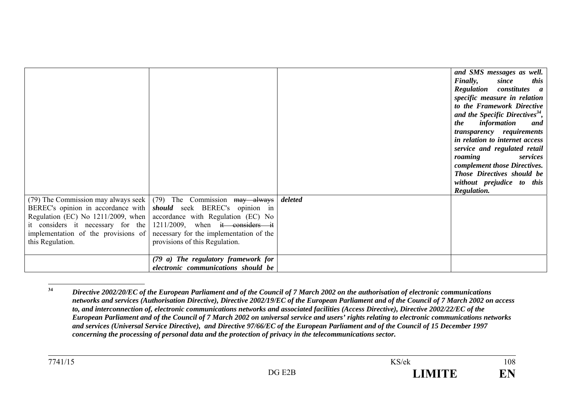|                                                         |                                                                                                                                                                                                                                                                                                                                                                             |         | and SMS messages as well.<br>Finally,<br>since<br>this<br><b>Regulation</b> constitutes<br>$\boldsymbol{a}$<br>specific measure in relation<br>to the Framework Directive<br>and the Specific Directives <sup>34</sup> ,<br>information<br>the<br>and<br><i>transparency requirements</i><br>in relation to internet access<br>service and regulated retail<br>roaming<br>services<br>complement those Directives.<br>Those Directives should be<br>without prejudice to this<br>Regulation. |
|---------------------------------------------------------|-----------------------------------------------------------------------------------------------------------------------------------------------------------------------------------------------------------------------------------------------------------------------------------------------------------------------------------------------------------------------------|---------|----------------------------------------------------------------------------------------------------------------------------------------------------------------------------------------------------------------------------------------------------------------------------------------------------------------------------------------------------------------------------------------------------------------------------------------------------------------------------------------------|
| implementation of the provisions of<br>this Regulation. | (79) The Commission may always seek $(79)$ The Commission may always<br>BEREC's opinion in accordance with <i>should</i> seek BEREC's opinion in<br>Regulation (EC) No 1211/2009, when accordance with Regulation (EC) No<br>it considers it necessary for the 1211/2009, when it considers it<br>necessary for the implementation of the<br>provisions of this Regulation. | deleted |                                                                                                                                                                                                                                                                                                                                                                                                                                                                                              |
|                                                         | (79 a) The regulatory framework for<br>electronic communications should be                                                                                                                                                                                                                                                                                                  |         |                                                                                                                                                                                                                                                                                                                                                                                                                                                                                              |

**<sup>34</sup>** *Directive 2002/20/EC of the European Parliament and of the Council of 7 March 2002 on the authorisation of electronic communications networks and services (Authorisation Directive), Directive 2002/19/EC of the European Parliament and of the Council of 7 March 2002 on access to, and interconnection of, electronic communications networks and associated facilities (Access Directive), Directive 2002/22/EC of the European Parliament and of the Council of 7 March 2002 on universal service and users' rights relating to electronic communications networks and services (Universal Service Directive), and Directive 97/66/EC of the European Parliament and of the Council of 15 December 1997 concerning the processing of personal data and the protection of privacy in the telecommunications sector.*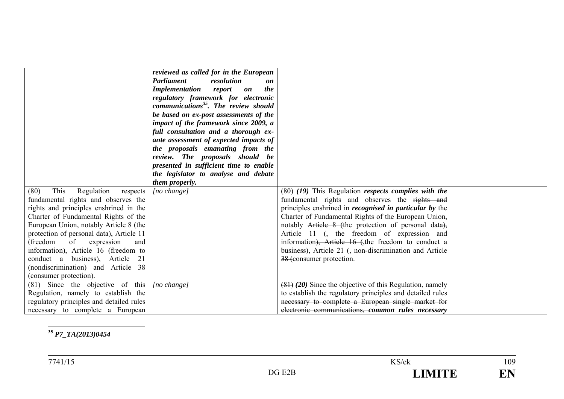| This<br>Regulation<br>(80)<br>respects<br>fundamental rights and observes the<br>rights and principles enshrined in the<br>Charter of Fundamental Rights of the<br>European Union, notably Article 8 (the | reviewed as called for in the European<br>Parliament<br>resolution<br>on<br><b>Implementation</b> report<br><i>the</i><br>on<br>regulatory framework for electronic<br>communications <sup>35</sup> . The review should<br>be based on ex-post assessments of the<br>impact of the framework since 2009, a<br>full consultation and a thorough ex-<br>ante assessment of expected impacts of<br>the proposals emanating from the<br>review. The proposals should be<br>presented in sufficient time to enable<br>the legislator to analyse and debate<br><i>them properly.</i><br>[no change] | $(80)$ (19) This Regulation respects complies with the<br>fundamental rights and observes the rights and<br>principles enshrined in <i>recognised in particular by</i> the<br>Charter of Fundamental Rights of the European Union,<br>notably Article 8 (the protection of personal data), |  |
|-----------------------------------------------------------------------------------------------------------------------------------------------------------------------------------------------------------|-----------------------------------------------------------------------------------------------------------------------------------------------------------------------------------------------------------------------------------------------------------------------------------------------------------------------------------------------------------------------------------------------------------------------------------------------------------------------------------------------------------------------------------------------------------------------------------------------|--------------------------------------------------------------------------------------------------------------------------------------------------------------------------------------------------------------------------------------------------------------------------------------------|--|
| protection of personal data), Article 11<br>(freedom of expression<br>and<br>information), Article 16 (freedom to                                                                                         |                                                                                                                                                                                                                                                                                                                                                                                                                                                                                                                                                                                               | Article 11 (, the freedom of expression and<br>information), Article 16 (the freedom to conduct a<br>business), Article 21 (, non-discrimination and Article                                                                                                                               |  |
| conduct a business), Article 21<br>(nondiscrimination) and Article 38<br>(consumer protection).                                                                                                           |                                                                                                                                                                                                                                                                                                                                                                                                                                                                                                                                                                                               | 38 (consumer protection.                                                                                                                                                                                                                                                                   |  |
| $(81)$ Since the objective of this<br>Regulation, namely to establish the<br>regulatory principles and detailed rules<br>necessary to complete a European                                                 | [no change]                                                                                                                                                                                                                                                                                                                                                                                                                                                                                                                                                                                   | $(81)$ (20) Since the objective of this Regulation, namely<br>to establish the regulatory principles and detailed rules<br>necessary to complete a European single market for<br>electronic communications, common rules necessary                                                         |  |

## **35** *P7\_TA(2013)0454*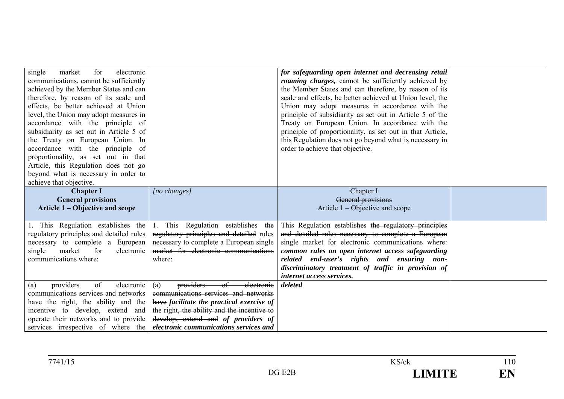| market<br>electronic<br>single<br>for<br>communications, cannot be sufficiently<br>achieved by the Member States and can<br>therefore, by reason of its scale and<br>effects, be better achieved at Union<br>level, the Union may adopt measures in<br>accordance with the principle of<br>subsidiarity as set out in Article 5 of<br>the Treaty on European Union. In<br>accordance with the principle of<br>proportionality, as set out in that<br>Article, this Regulation does not go |                                                                                                                                                                                                                                                                 | for safeguarding open internet and decreasing retail<br>roaming charges, cannot be sufficiently achieved by<br>the Member States and can therefore, by reason of its<br>scale and effects, be better achieved at Union level, the<br>Union may adopt measures in accordance with the<br>principle of subsidiarity as set out in Article 5 of the<br>Treaty on European Union. In accordance with the<br>principle of proportionality, as set out in that Article,<br>this Regulation does not go beyond what is necessary in<br>order to achieve that objective. |  |
|-------------------------------------------------------------------------------------------------------------------------------------------------------------------------------------------------------------------------------------------------------------------------------------------------------------------------------------------------------------------------------------------------------------------------------------------------------------------------------------------|-----------------------------------------------------------------------------------------------------------------------------------------------------------------------------------------------------------------------------------------------------------------|------------------------------------------------------------------------------------------------------------------------------------------------------------------------------------------------------------------------------------------------------------------------------------------------------------------------------------------------------------------------------------------------------------------------------------------------------------------------------------------------------------------------------------------------------------------|--|
| beyond what is necessary in order to<br>achieve that objective.                                                                                                                                                                                                                                                                                                                                                                                                                           |                                                                                                                                                                                                                                                                 |                                                                                                                                                                                                                                                                                                                                                                                                                                                                                                                                                                  |  |
| <b>Chapter I</b><br><b>General provisions</b><br>Article 1 – Objective and scope                                                                                                                                                                                                                                                                                                                                                                                                          | [no changes]                                                                                                                                                                                                                                                    | Chapter I<br>General provisions<br>Article $1 -$ Objective and scope                                                                                                                                                                                                                                                                                                                                                                                                                                                                                             |  |
| 1. This Regulation establishes the<br>regulatory principles and detailed rules<br>necessary to complete a European<br>single<br>market for<br>electronic<br>communications where:                                                                                                                                                                                                                                                                                                         | 1. This Regulation establishes the<br>regulatory principles and detailed rules<br>necessary to complete a European single<br>market for electronic communications<br>where:                                                                                     | This Regulation establishes the regulatory principles<br>and detailed rules necessary to complete a European<br>single market for electronic communications where:<br>common rules on open internet access safeguarding<br>related end-user's rights and ensuring non-<br>discriminatory treatment of traffic in provision of<br>internet access services.                                                                                                                                                                                                       |  |
| providers<br>of<br>electronic<br>(a)<br>communications services and networks<br>have the right, the ability and the<br>incentive to develop, extend and<br>operate their networks and to provide<br>services irrespective of where the                                                                                                                                                                                                                                                    | providers<br>$\theta$<br>(a)<br>electronie<br>communications services and networks<br>have facilitate the practical exercise of<br>the right, the ability and the incentive to<br>develop, extend and of providers of<br>electronic communications services and | deleted                                                                                                                                                                                                                                                                                                                                                                                                                                                                                                                                                          |  |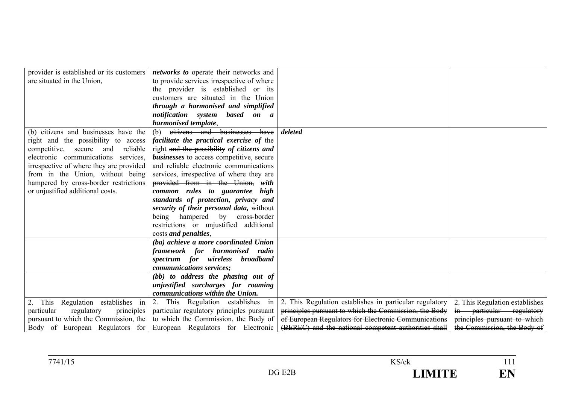| provider is established or its customers | networks to operate their networks and          |                                                         |                                |
|------------------------------------------|-------------------------------------------------|---------------------------------------------------------|--------------------------------|
| are situated in the Union,               | to provide services irrespective of where       |                                                         |                                |
|                                          |                                                 |                                                         |                                |
|                                          | the provider is established or its              |                                                         |                                |
|                                          | customers are situated in the Union             |                                                         |                                |
|                                          | through a harmonised and simplified             |                                                         |                                |
|                                          | notification system based on a                  |                                                         |                                |
|                                          | harmonised template,                            |                                                         |                                |
| (b) citizens and businesses have the     | eitizens and businesses have<br>(b)             | deleted                                                 |                                |
| right and the possibility to access      | <i>facilitate the practical exercise of the</i> |                                                         |                                |
| competitive, secure and reliable         | right and the possibility of citizens and       |                                                         |                                |
| electronic communications services,      | <b>businesses</b> to access competitive, secure |                                                         |                                |
| irrespective of where they are provided  | and reliable electronic communications          |                                                         |                                |
| from in the Union, without being         | services, irrespective of where they are        |                                                         |                                |
| hampered by cross-border restrictions    | provided from in the Union, with                |                                                         |                                |
| or unjustified additional costs.         | common rules to guarantee high                  |                                                         |                                |
|                                          | standards of protection, privacy and            |                                                         |                                |
|                                          | security of their personal data, without        |                                                         |                                |
|                                          | being hampered by cross-border                  |                                                         |                                |
|                                          | restrictions or unjustified additional          |                                                         |                                |
|                                          | costs and penalties,                            |                                                         |                                |
|                                          |                                                 |                                                         |                                |
|                                          | (ba) achieve a more coordinated Union           |                                                         |                                |
|                                          | framework for harmonised radio                  |                                                         |                                |
|                                          | spectrum for wireless broadband                 |                                                         |                                |
|                                          | communications services;                        |                                                         |                                |
|                                          | (bb) to address the phasing out of              |                                                         |                                |
|                                          | unjustified surcharges for roaming              |                                                         |                                |
|                                          | communications within the Union.                |                                                         |                                |
| 2. This Regulation establishes in        | 2. This Regulation establishes in               | 2. This Regulation establishes in particular regulatory | 2. This Regulation establishes |
| particular<br>regulatory<br>principles   | particular regulatory principles pursuant       | principles pursuant to which the Commission, the Body   | in particular regulatory       |
| pursuant to which the Commission, the    | to which the Commission, the Body of            | of European Regulators for Electronic Communications    | principles pursuant to which   |
| Body of European Regulators for          | European Regulators for Electronic              | (BEREC) and the national competent authorities shall    | the Commission, the Body of    |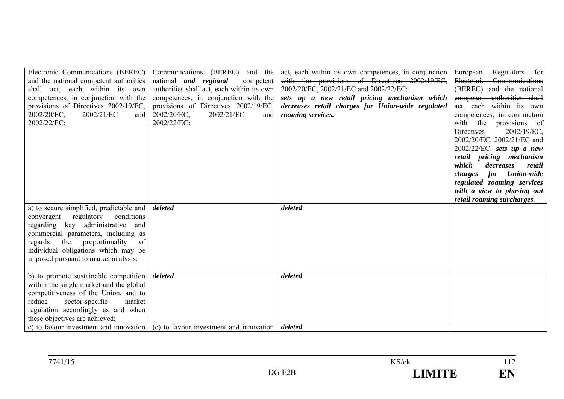| Electronic Communications (BEREC)        | Communications (BEREC)<br>the<br>and                                                   | act, each within its own competences, in conjunction | European Regulators for             |
|------------------------------------------|----------------------------------------------------------------------------------------|------------------------------------------------------|-------------------------------------|
| and the national competent authorities   | national <i>and regional</i><br>competent                                              | with the provisions of Directives 2002/19/EC,        | Electronic Communications           |
| shall act, each within its own           | authorities shall act, each within its own                                             | 2002/20/EC, 2002/21/EC and 2002/22/EC:               | (BEREC) and the national            |
| competences, in conjunction with the     | competences, in conjunction with the                                                   | sets up a new retail pricing mechanism which         | competent authorities shall         |
| provisions of Directives 2002/19/EC,     | provisions of Directives 2002/19/EC,                                                   | decreases retail charges for Union-wide regulated    | act, each within its own            |
| 2002/20/EC,<br>2002/21/EC<br>and         | 2002/20/EC.<br>2002/21/EC<br>and                                                       | roaming services.                                    | competences, in conjunction         |
| 2002/22/EC:                              | 2002/22/EC:                                                                            |                                                      | with the provisions of              |
|                                          |                                                                                        |                                                      | Directives 2002/19/EC.              |
|                                          |                                                                                        |                                                      | 2002/20/EC, 2002/21/EC and          |
|                                          |                                                                                        |                                                      | $2002/22/EC$ : sets up a new        |
|                                          |                                                                                        |                                                      | retail pricing mechanism            |
|                                          |                                                                                        |                                                      | which<br>decreases<br>retail        |
|                                          |                                                                                        |                                                      | for<br><b>Union-wide</b><br>charges |
|                                          |                                                                                        |                                                      | regulated roaming services          |
|                                          |                                                                                        |                                                      | with a view to phasing out          |
|                                          |                                                                                        |                                                      | retail roaming surcharges.          |
| a) to secure simplified, predictable and | deleted                                                                                | deleted                                              |                                     |
| regulatory conditions<br>convergent      |                                                                                        |                                                      |                                     |
| regarding key administrative and         |                                                                                        |                                                      |                                     |
| commercial parameters, including as      |                                                                                        |                                                      |                                     |
| proportionality<br>the<br>regards<br>of  |                                                                                        |                                                      |                                     |
| individual obligations which may be      |                                                                                        |                                                      |                                     |
| imposed pursuant to market analysis;     |                                                                                        |                                                      |                                     |
|                                          |                                                                                        |                                                      |                                     |
| b) to promote sustainable competition    | deleted                                                                                | deleted                                              |                                     |
| within the single market and the global  |                                                                                        |                                                      |                                     |
| competitiveness of the Union, and to     |                                                                                        |                                                      |                                     |
| market<br>reduce<br>sector-specific      |                                                                                        |                                                      |                                     |
| regulation accordingly as and when       |                                                                                        |                                                      |                                     |
| these objectives are achieved;           |                                                                                        |                                                      |                                     |
|                                          | c) to favour investment and innovation $\vert$ (c) to favour investment and innovation | deleted                                              |                                     |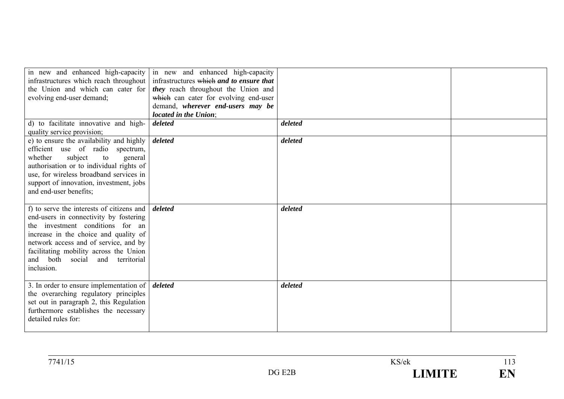| in new and enhanced high-capacity<br>infrastructures which reach throughout  <br>the Union and which can cater for<br>evolving end-user demand;                                                                                                                                                         | in new and enhanced high-capacity<br>infrastructures which and to ensure that<br>they reach throughout the Union and<br>which can cater for evolving end-user<br>demand, wherever end-users may be<br>located in the Union; |         |  |
|---------------------------------------------------------------------------------------------------------------------------------------------------------------------------------------------------------------------------------------------------------------------------------------------------------|-----------------------------------------------------------------------------------------------------------------------------------------------------------------------------------------------------------------------------|---------|--|
| d) to facilitate innovative and high-<br>quality service provision;                                                                                                                                                                                                                                     | deleted                                                                                                                                                                                                                     | deleted |  |
| e) to ensure the availability and highly<br>efficient use of radio spectrum,<br>subject<br>whether<br>to<br>general<br>authorisation or to individual rights of<br>use, for wireless broadband services in<br>support of innovation, investment, jobs<br>and end-user benefits;                         | deleted                                                                                                                                                                                                                     | deleted |  |
| f) to serve the interests of citizens and<br>end-users in connectivity by fostering<br>the investment conditions for an<br>increase in the choice and quality of<br>network access and of service, and by<br>facilitating mobility across the Union<br>and both social<br>and territorial<br>inclusion. | deleted                                                                                                                                                                                                                     | deleted |  |
| 3. In order to ensure implementation of $\vert$ <i>deleted</i><br>the overarching regulatory principles<br>set out in paragraph 2, this Regulation<br>furthermore establishes the necessary<br>detailed rules for:                                                                                      |                                                                                                                                                                                                                             | deleted |  |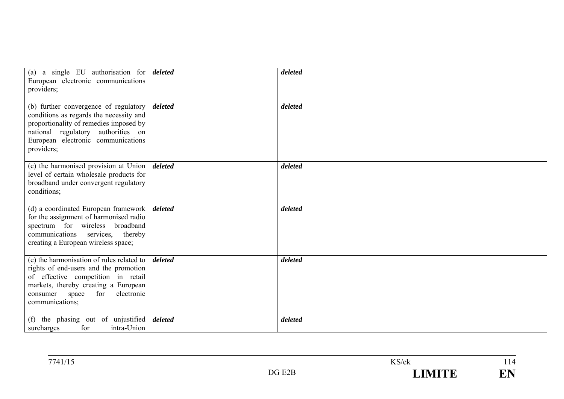| (a) a single EU authorisation for $\frac{d}{delta}$<br>European electronic communications<br>providers;                                                                                                                       |         | deleted |  |
|-------------------------------------------------------------------------------------------------------------------------------------------------------------------------------------------------------------------------------|---------|---------|--|
| (b) further convergence of regulatory<br>conditions as regards the necessity and<br>proportionality of remedies imposed by<br>national regulatory authorities on<br>European electronic communications<br>providers;          | deleted | deleted |  |
| (c) the harmonised provision at Union<br>level of certain wholesale products for<br>broadband under convergent regulatory<br>conditions;                                                                                      | deleted | deleted |  |
| (d) a coordinated European framework  <br>for the assignment of harmonised radio<br>spectrum for wireless broadband<br>communications services, thereby<br>creating a European wireless space;                                | deleted | deleted |  |
| (e) the harmonisation of rules related to<br>rights of end-users and the promotion<br>of effective competition in retail<br>markets, thereby creating a European<br>for<br>electronic<br>space<br>consumer<br>communications; | deleted | deleted |  |
| the phasing out of unjustified <i>deleted</i><br>(f)<br>for<br>intra-Union<br>surcharges                                                                                                                                      |         | deleted |  |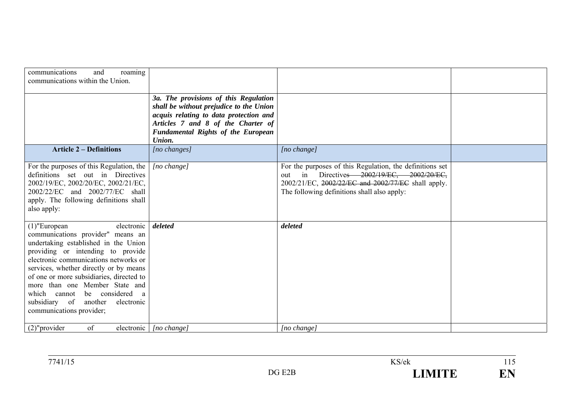| roaming<br>communications<br>and<br>communications within the Union.                                                                                                                                                                                                                                                                                                                                                  |                                                                                                                                                                                                                         |                                                                                                                                                                                                                  |  |
|-----------------------------------------------------------------------------------------------------------------------------------------------------------------------------------------------------------------------------------------------------------------------------------------------------------------------------------------------------------------------------------------------------------------------|-------------------------------------------------------------------------------------------------------------------------------------------------------------------------------------------------------------------------|------------------------------------------------------------------------------------------------------------------------------------------------------------------------------------------------------------------|--|
|                                                                                                                                                                                                                                                                                                                                                                                                                       | 3a. The provisions of this Regulation<br>shall be without prejudice to the Union<br>acquis relating to data protection and<br>Articles 7 and 8 of the Charter of<br><b>Fundamental Rights of the European</b><br>Union. |                                                                                                                                                                                                                  |  |
| <b>Article 2 – Definitions</b>                                                                                                                                                                                                                                                                                                                                                                                        | $[no\ changes]$                                                                                                                                                                                                         | $[no \space change]$                                                                                                                                                                                             |  |
| For the purposes of this Regulation, the<br>definitions set out in Directives<br>2002/19/EC, 2002/20/EC, 2002/21/EC,<br>2002/22/EC and 2002/77/EC shall<br>apply. The following definitions shall<br>also apply:                                                                                                                                                                                                      | [no change]                                                                                                                                                                                                             | For the purposes of this Regulation, the definitions set<br>Directives 2002/19/EC, 2002/20/EC,<br>in<br>out<br>2002/21/EC, 2002/22/EC and 2002/77/EC shall apply.<br>The following definitions shall also apply: |  |
| electronic  <br>$(1)$ "European<br>communications provider" means an<br>undertaking established in the Union<br>providing or intending to provide<br>electronic communications networks or<br>services, whether directly or by means<br>of one or more subsidiaries, directed to<br>more than one Member State and<br>which cannot be considered a<br>subsidiary of another<br>electronic<br>communications provider; | deleted                                                                                                                                                                                                                 | deleted                                                                                                                                                                                                          |  |
| $(2)$ "provider<br>of<br>electronic                                                                                                                                                                                                                                                                                                                                                                                   | [no change]                                                                                                                                                                                                             | [no change]                                                                                                                                                                                                      |  |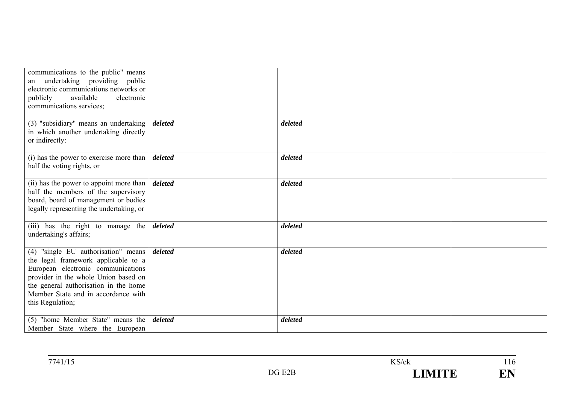| communications to the public" means<br>undertaking providing<br>public<br>an<br>electronic communications networks or<br>available<br>electronic<br>publicly<br>communications services;                                                                       |         |         |  |
|----------------------------------------------------------------------------------------------------------------------------------------------------------------------------------------------------------------------------------------------------------------|---------|---------|--|
| (3) "subsidiary" means an undertaking<br>in which another undertaking directly<br>or indirectly:                                                                                                                                                               | deleted | deleted |  |
| (i) has the power to exercise more than<br>half the voting rights, or                                                                                                                                                                                          | deleted | deleted |  |
| (ii) has the power to appoint more than<br>half the members of the supervisory<br>board, board of management or bodies<br>legally representing the undertaking, or                                                                                             | deleted | deleted |  |
| (iii) has the right to manage the<br>undertaking's affairs;                                                                                                                                                                                                    | deleted | deleted |  |
| $(4)$ "single EU authorisation" means<br>the legal framework applicable to a<br>European electronic communications<br>provider in the whole Union based on<br>the general authorisation in the home<br>Member State and in accordance with<br>this Regulation; | deleted | deleted |  |
| $(5)$ "home Member State" means the<br>Member State where the European                                                                                                                                                                                         | deleted | deleted |  |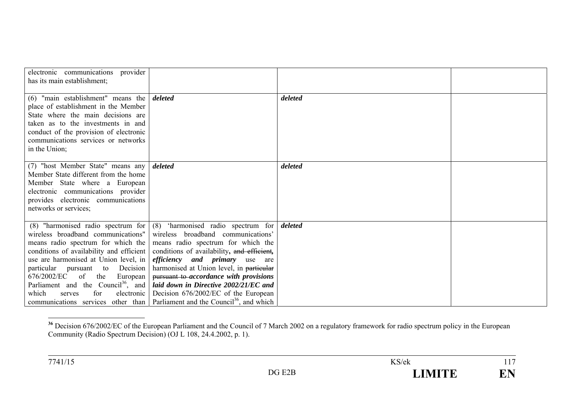| electronic communications provider<br>has its main establishment;                                                                                                                                                                                                                                                               |                                                                                                                                                                                                                                                                                                                                                                                                                                                                                                                       |         |  |
|---------------------------------------------------------------------------------------------------------------------------------------------------------------------------------------------------------------------------------------------------------------------------------------------------------------------------------|-----------------------------------------------------------------------------------------------------------------------------------------------------------------------------------------------------------------------------------------------------------------------------------------------------------------------------------------------------------------------------------------------------------------------------------------------------------------------------------------------------------------------|---------|--|
| $(6)$ "main establishment" means the<br>place of establishment in the Member<br>State where the main decisions are<br>taken as to the investments in and<br>conduct of the provision of electronic<br>communications services or networks<br>in the Union;                                                                      | deleted                                                                                                                                                                                                                                                                                                                                                                                                                                                                                                               | deleted |  |
| (7) "host Member State" means any<br>Member State different from the home<br>Member State where a European<br>electronic communications provider<br>provides electronic communications<br>networks or services;                                                                                                                 | deleted                                                                                                                                                                                                                                                                                                                                                                                                                                                                                                               | deleted |  |
| wireless broadband communications"<br>means radio spectrum for which the<br>conditions of availability and efficient<br>use are harmonised at Union level, in<br>particular pursuant to<br>Decision<br>676/2002/EC of the<br>European<br>Parliament and the Council <sup>36</sup> , and<br>for<br>which<br>electronic<br>serves | (8) "harmonised radio spectrum for $(8)$ 'harmonised radio spectrum for<br>wireless broadband communications'<br>means radio spectrum for which the<br>conditions of availability, and efficient,<br><i>efficiency</i> and <i>primary</i> use are<br>harmonised at Union level, in particular<br>pursuant to accordance with provisions<br>laid down in Directive 2002/21/EC and<br>Decision 676/2002/EC of the European<br>communications services other than   Parliament and the Council <sup>36</sup> , and which | deleted |  |

<sup>&</sup>lt;sup>36</sup> Decision 676/2002/EC of the European Parliament and the Council of 7 March 2002 on a regulatory framework for radio spectrum policy in the European Community (Radio Spectrum Decision) (OJ L 108, 24.4.2002, p. 1).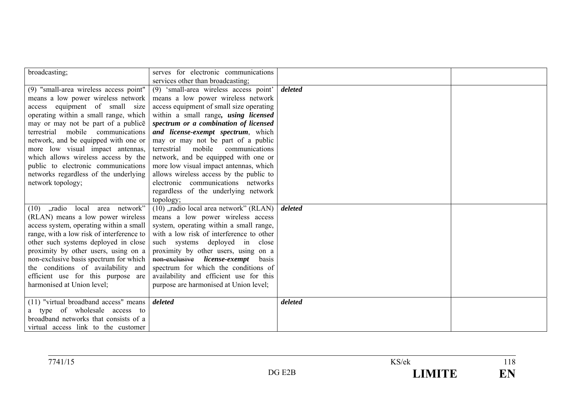| broadcasting;                             | serves for electronic communications     |         |  |
|-------------------------------------------|------------------------------------------|---------|--|
|                                           | services other than broadcasting;        |         |  |
| (9) "small-area wireless access point"    | (9) 'small-area wireless access point'   | deleted |  |
| means a low power wireless network        | means a low power wireless network       |         |  |
| access equipment of small size            | access equipment of small size operating |         |  |
| operating within a small range, which     | within a small range, using licensed     |         |  |
| may or may not be part of a publice       | spectrum or a combination of licensed    |         |  |
| terrestrial mobile communications         | and license-exempt spectrum, which       |         |  |
| network, and be equipped with one or      | may or may not be part of a public       |         |  |
| more low visual impact antennas,          | terrestrial mobile<br>communications     |         |  |
| which allows wireless access by the       | network, and be equipped with one or     |         |  |
| public to electronic communications       | more low visual impact antennas, which   |         |  |
| networks regardless of the underlying     | allows wireless access by the public to  |         |  |
| network topology;                         | electronic communications networks       |         |  |
|                                           | regardless of the underlying network     |         |  |
|                                           | topology;                                |         |  |
| (10) "radio local area network"           | (10), radio local area network" (RLAN)   | deleted |  |
| (RLAN) means a low power wireless         | means a low power wireless access        |         |  |
| access system, operating within a small   | system, operating within a small range,  |         |  |
| range, with a low risk of interference to | with a low risk of interference to other |         |  |
| other such systems deployed in close      | such systems deployed in close           |         |  |
| proximity by other users, using on a      | proximity by other users, using on a     |         |  |
| non-exclusive basis spectrum for which    | non-exclusive license-exempt<br>basis    |         |  |
| the conditions of availability and        | spectrum for which the conditions of     |         |  |
| efficient use for this purpose are        | availability and efficient use for this  |         |  |
| harmonised at Union level;                | purpose are harmonised at Union level;   |         |  |
|                                           |                                          |         |  |
| (11) "virtual broadband access" means     | deleted                                  | deleted |  |
| a type of wholesale access to             |                                          |         |  |
| broadband networks that consists of a     |                                          |         |  |
| virtual access link to the customer       |                                          |         |  |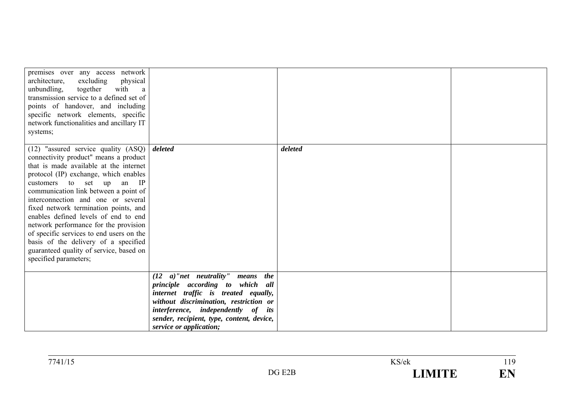| premises over any access network<br>architecture,<br>physical<br>excluding<br>with<br>unbundling,<br>together<br>a<br>transmission service to a defined set of<br>points of handover, and including<br>specific network elements, specific<br>network functionalities and ancillary IT<br>systems;                                                                                                                                                                                                                                                                   |                                                                                                                                                                                                                                                                           |         |  |
|----------------------------------------------------------------------------------------------------------------------------------------------------------------------------------------------------------------------------------------------------------------------------------------------------------------------------------------------------------------------------------------------------------------------------------------------------------------------------------------------------------------------------------------------------------------------|---------------------------------------------------------------------------------------------------------------------------------------------------------------------------------------------------------------------------------------------------------------------------|---------|--|
| $(12)$ "assured service quality $(ASQ)$<br>connectivity product" means a product<br>that is made available at the internet<br>protocol (IP) exchange, which enables<br>customers to set up<br>an IP<br>communication link between a point of<br>interconnection and one or several<br>fixed network termination points, and<br>enables defined levels of end to end<br>network performance for the provision<br>of specific services to end users on the<br>basis of the delivery of a specified<br>guaranteed quality of service, based on<br>specified parameters; | deleted                                                                                                                                                                                                                                                                   | deleted |  |
|                                                                                                                                                                                                                                                                                                                                                                                                                                                                                                                                                                      | $(12 \ a)$ "net neutrality" means the<br>principle according to which all<br>internet traffic is treated equally,<br>without discrimination, restriction or<br>interference, independently of its<br>sender, recipient, type, content, device,<br>service or application; |         |  |

 $\frac{119}{119}$ 

EN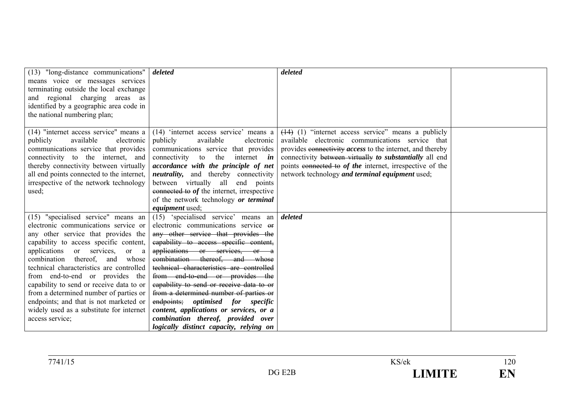| (13) "long-distance communications"       | deleted                                      | deleted                                                          |  |
|-------------------------------------------|----------------------------------------------|------------------------------------------------------------------|--|
| means voice or messages services          |                                              |                                                                  |  |
| terminating outside the local exchange    |                                              |                                                                  |  |
| and regional charging areas as            |                                              |                                                                  |  |
| identified by a geographic area code in   |                                              |                                                                  |  |
| the national numbering plan;              |                                              |                                                                  |  |
|                                           |                                              |                                                                  |  |
| $(14)$ "internet access service" means a  | (14) 'internet access service' means a       | $(14)$ (1) "internet access service" means a publicly            |  |
| publicly<br>available<br>electronic       | available<br>publicly<br>electronic          | available electronic communications service that                 |  |
| communications service that provides      | communications service that provides         | provides connectivity <i>access</i> to the internet, and thereby |  |
| connectivity to the internet, and         | connectivity to the<br>internet <i>in</i>    | connectivity between virtually to substantially all end          |  |
| thereby connectivity between virtually    | accordance with the principle of net         | points connected to of the internet, irrespective of the         |  |
| all end points connected to the internet, | <i>neutrality</i> , and thereby connectivity | network technology and terminal equipment used;                  |  |
| irrespective of the network technology    | between virtually all end points             |                                                                  |  |
| used;                                     | connected to of the internet, irrespective   |                                                                  |  |
|                                           | of the network technology or terminal        |                                                                  |  |
|                                           | <i>equipment</i> used;                       |                                                                  |  |
| (15) "specialised service" means an       | (15) 'specialised service' means an          | deleted                                                          |  |
| electronic communications service or      | electronic communications service or         |                                                                  |  |
| any other service that provides the       | any other service that provides the          |                                                                  |  |
| capability to access specific content,    | capability to access specific content,       |                                                                  |  |
| applications or services,<br>or a         | applications or services, or a               |                                                                  |  |
| combination thereof, and<br>whose         | combination thereof, and whose               |                                                                  |  |
| technical characteristics are controlled  | technical characteristics are controlled     |                                                                  |  |
| from end-to-end or provides the           | from end-to-end or provides the              |                                                                  |  |
| capability to send or receive data to or  | capability to send or receive data to or     |                                                                  |  |
| from a determined number of parties or    | from a determined number of parties or       |                                                                  |  |
| endpoints; and that is not marketed or    | endpoints; optimised for specific            |                                                                  |  |
| widely used as a substitute for internet  | content, applications or services, or a      |                                                                  |  |
| access service;                           | combination thereof, provided over           |                                                                  |  |
|                                           | logically distinct capacity, relying on      |                                                                  |  |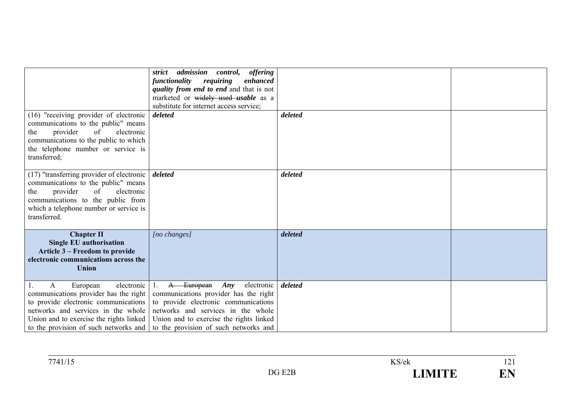|                                                                                                                                                                                                                                                   | strict admission control, offering<br>functionality<br>requiring<br>enhanced<br>quality from end to end and that is not<br>marketed or widely used usable as a<br>substitute for internet access service;                                      |         |  |
|---------------------------------------------------------------------------------------------------------------------------------------------------------------------------------------------------------------------------------------------------|------------------------------------------------------------------------------------------------------------------------------------------------------------------------------------------------------------------------------------------------|---------|--|
| (16) "receiving provider of electronic<br>communications to the public" means<br>provider<br>of<br>electronic<br>the<br>communications to the public to which<br>the telephone number or service is<br>transferred;                               | deleted                                                                                                                                                                                                                                        | deleted |  |
| $(17)$ "transferring provider of electronic  <br>communications to the public" means<br>of<br>electronic<br>provider<br>the<br>communications to the public from<br>which a telephone number or service is<br>transferred.                        | deleted                                                                                                                                                                                                                                        | deleted |  |
| <b>Chapter II</b><br><b>Single EU authorisation</b><br>Article 3 – Freedom to provide<br>electronic communications across the<br><b>Union</b>                                                                                                     | [no changes]                                                                                                                                                                                                                                   | deleted |  |
| electronic<br>$\mathbf{A}$<br>European<br>communications provider has the right<br>to provide electronic communications<br>networks and services in the whole<br>Union and to exercise the rights linked<br>to the provision of such networks and | A European <i>Any</i><br>electronic<br>communications provider has the right<br>to provide electronic communications<br>networks and services in the whole<br>Union and to exercise the rights linked<br>to the provision of such networks and | deleted |  |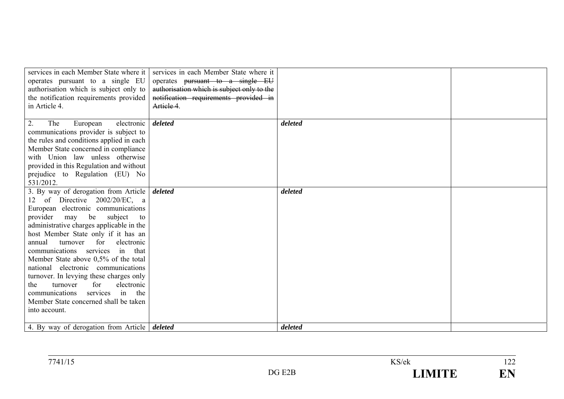| services in each Member State where it              | services in each Member State where it     |         |  |
|-----------------------------------------------------|--------------------------------------------|---------|--|
| operates pursuant to a single EU                    | operates pursuant to a single EU           |         |  |
| authorisation which is subject only to              | authorisation which is subject only to the |         |  |
| the notification requirements provided              | notification requirements provided in      |         |  |
| in Article 4.                                       | Artiele 4.                                 |         |  |
|                                                     |                                            |         |  |
| 2.<br>The<br>electronic<br>European                 | deleted                                    | deleted |  |
| communications provider is subject to               |                                            |         |  |
| the rules and conditions applied in each            |                                            |         |  |
| Member State concerned in compliance                |                                            |         |  |
| with Union law unless otherwise                     |                                            |         |  |
| provided in this Regulation and without             |                                            |         |  |
| prejudice to Regulation (EU) No                     |                                            |         |  |
| 531/2012.                                           |                                            |         |  |
| 3. By way of derogation from Article                | deleted                                    | deleted |  |
| 12 of Directive 2002/20/EC, a                       |                                            |         |  |
| European electronic communications                  |                                            |         |  |
| provider<br>be<br>subject<br>may<br>to              |                                            |         |  |
| administrative charges applicable in the            |                                            |         |  |
| host Member State only if it has an                 |                                            |         |  |
| for<br>annual<br>turnover<br>electronic             |                                            |         |  |
| communications services in that                     |                                            |         |  |
| Member State above 0,5% of the total                |                                            |         |  |
| national electronic communications                  |                                            |         |  |
| turnover. In levying these charges only             |                                            |         |  |
| electronic<br>turnover<br>for<br>the                |                                            |         |  |
| services in the<br>communications                   |                                            |         |  |
| Member State concerned shall be taken               |                                            |         |  |
| into account.                                       |                                            |         |  |
|                                                     |                                            |         |  |
| 4. By way of derogation from Article <i>deleted</i> |                                            | deleted |  |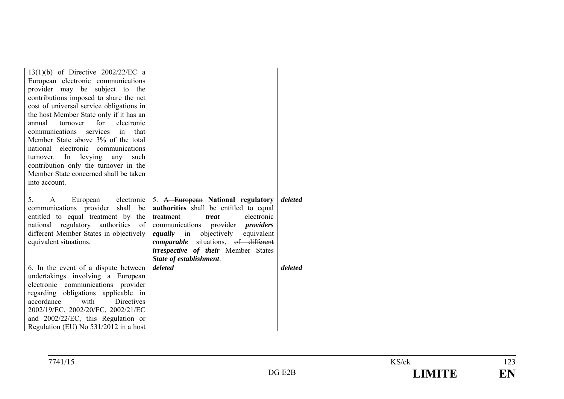| 13(1)(b) of Directive $2002/22/EC$ a                                        |                                                      |         |  |
|-----------------------------------------------------------------------------|------------------------------------------------------|---------|--|
| European electronic communications                                          |                                                      |         |  |
| provider may be subject to the                                              |                                                      |         |  |
| contributions imposed to share the net                                      |                                                      |         |  |
| cost of universal service obligations in                                    |                                                      |         |  |
| the host Member State only if it has an                                     |                                                      |         |  |
| turnover for<br>electronic<br>annual                                        |                                                      |         |  |
| communications services in that                                             |                                                      |         |  |
| Member State above 3% of the total                                          |                                                      |         |  |
| national electronic communications                                          |                                                      |         |  |
| turnover. In levying any such                                               |                                                      |         |  |
| contribution only the turnover in the                                       |                                                      |         |  |
| Member State concerned shall be taken                                       |                                                      |         |  |
| into account.                                                               |                                                      |         |  |
|                                                                             |                                                      |         |  |
| 5.<br>$\mathbf{A}$<br>European                                              | electronic $\vert$ 5. A European National regulatory | deleted |  |
| communications provider shall be                                            | authorities shall be entitled to equal               |         |  |
| entitled to equal treatment by the                                          | treatment<br>electronic<br>treat                     |         |  |
| national regulatory authorities of                                          | communications provider <i>providers</i>             |         |  |
| different Member States in objectively                                      | equally in objectively equivalent                    |         |  |
| equivalent situations.                                                      | <i>comparable</i> situations, of different           |         |  |
|                                                                             | <i>irrespective of their</i> Member States           |         |  |
|                                                                             | State of establishment.                              |         |  |
| 6. In the event of a dispute between                                        | deleted                                              | deleted |  |
| undertakings involving a European                                           |                                                      |         |  |
| electronic communications provider                                          |                                                      |         |  |
| regarding obligations applicable in                                         |                                                      |         |  |
| accordance<br>with<br>Directives                                            |                                                      |         |  |
| 2002/19/EC, 2002/20/EC, 2002/21/EC                                          |                                                      |         |  |
| and 2002/22/EC, this Regulation or<br>Regulation (EU) No 531/2012 in a host |                                                      |         |  |
|                                                                             |                                                      |         |  |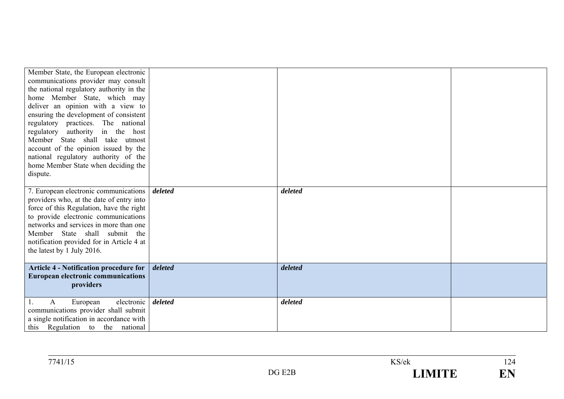| Member State, the European electronic<br>communications provider may consult<br>the national regulatory authority in the<br>home Member State, which may<br>deliver an opinion with a view to<br>ensuring the development of consistent<br>regulatory practices. The national<br>authority in the host<br>regulatory<br>Member State shall take utmost<br>account of the opinion issued by the<br>national regulatory authority of the<br>home Member State when deciding the<br>dispute. |         |         |  |
|-------------------------------------------------------------------------------------------------------------------------------------------------------------------------------------------------------------------------------------------------------------------------------------------------------------------------------------------------------------------------------------------------------------------------------------------------------------------------------------------|---------|---------|--|
| 7. European electronic communications  <br>providers who, at the date of entry into<br>force of this Regulation, have the right<br>to provide electronic communications<br>networks and services in more than one<br>Member State shall submit the<br>notification provided for in Article 4 at<br>the latest by 1 July 2016.                                                                                                                                                             | deleted | deleted |  |
| <b>Article 4 - Notification procedure for</b><br><b>European electronic communications</b><br>providers                                                                                                                                                                                                                                                                                                                                                                                   | deleted | deleted |  |
| electronic  <br>European<br>$\mathbf{A}$<br>1.<br>communications provider shall submit<br>a single notification in accordance with<br>this Regulation to the national                                                                                                                                                                                                                                                                                                                     | deleted | deleted |  |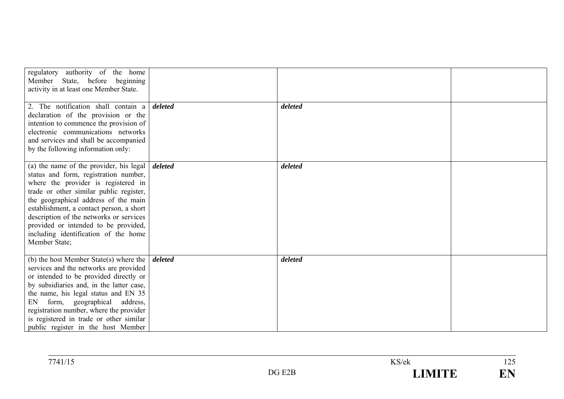| regulatory authority of the home<br>Member State, before beginning<br>activity in at least one Member State.<br>2. The notification shall contain a $\delta$ <i>deleted</i><br>declaration of the provision or the<br>intention to commence the provision of<br>electronic communications networks<br>and services and shall be accompanied<br>by the following information only:                  |         | deleted |  |
|----------------------------------------------------------------------------------------------------------------------------------------------------------------------------------------------------------------------------------------------------------------------------------------------------------------------------------------------------------------------------------------------------|---------|---------|--|
| (a) the name of the provider, his legal<br>status and form, registration number,<br>where the provider is registered in<br>trade or other similar public register,<br>the geographical address of the main<br>establishment, a contact person, a short<br>description of the networks or services<br>provided or intended to be provided,<br>including identification of the home<br>Member State; | deleted | deleted |  |
| (b) the host Member State(s) where the<br>services and the networks are provided<br>or intended to be provided directly or<br>by subsidiaries and, in the latter case,<br>the name, his legal status and EN 35<br>form, geographical<br>address,<br>EN<br>registration number, where the provider<br>is registered in trade or other similar<br>public register in the host Member                 | deleted | deleted |  |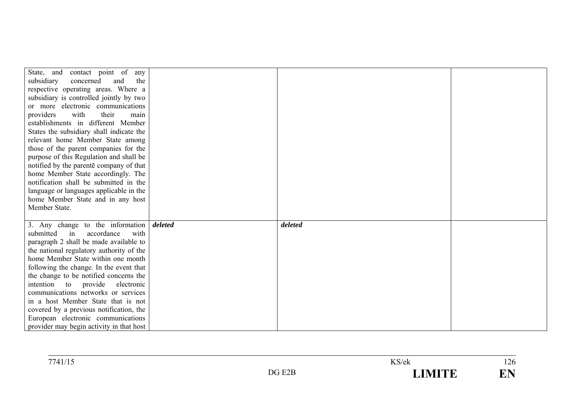| State, and contact point of any<br>and<br>the<br>subsidiary<br>concerned<br>respective operating areas. Where a<br>subsidiary is controlled jointly by two<br>or more electronic communications<br>providers<br>with<br>their<br>main<br>establishments in different Member<br>States the subsidiary shall indicate the<br>relevant home Member State among<br>those of the parent companies for the<br>purpose of this Regulation and shall be<br>notified by the parente company of that<br>home Member State accordingly. The<br>notification shall be submitted in the |         |         |  |
|----------------------------------------------------------------------------------------------------------------------------------------------------------------------------------------------------------------------------------------------------------------------------------------------------------------------------------------------------------------------------------------------------------------------------------------------------------------------------------------------------------------------------------------------------------------------------|---------|---------|--|
| language or languages applicable in the                                                                                                                                                                                                                                                                                                                                                                                                                                                                                                                                    |         |         |  |
| home Member State and in any host                                                                                                                                                                                                                                                                                                                                                                                                                                                                                                                                          |         |         |  |
| Member State.                                                                                                                                                                                                                                                                                                                                                                                                                                                                                                                                                              |         |         |  |
| 3. Any change to the information<br>submitted<br>in<br>accordance<br>with<br>paragraph 2 shall be made available to<br>the national regulatory authority of the<br>home Member State within one month<br>following the change. In the event that<br>the change to be notified concerns the<br>intention to provide electronic<br>communications networks or services<br>in a host Member State that is not<br>covered by a previous notification, the                                                                                                                      | deleted | deleted |  |

| 77/11/15<br>14111 | S/ek           | $\sim$ $\sim$<br>1 ∠ J                     |
|-------------------|----------------|--------------------------------------------|
|                   | - ------<br>-- | - -<br>and the contract of the contract of |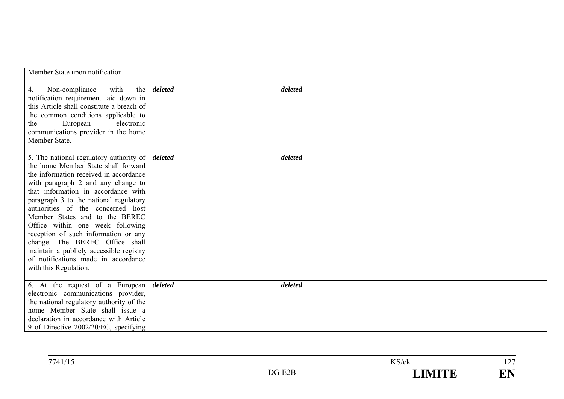| Member State upon notification.                                                                                                                                                                                                                                                                                                                                                                                                                                                                                                                 |         |         |  |
|-------------------------------------------------------------------------------------------------------------------------------------------------------------------------------------------------------------------------------------------------------------------------------------------------------------------------------------------------------------------------------------------------------------------------------------------------------------------------------------------------------------------------------------------------|---------|---------|--|
| 4.<br>Non-compliance<br>with<br>the<br>notification requirement laid down in<br>this Article shall constitute a breach of<br>the common conditions applicable to<br>European<br>electronic<br>the<br>communications provider in the home<br>Member State.                                                                                                                                                                                                                                                                                       | deleted | deleted |  |
| 5. The national regulatory authority of<br>the home Member State shall forward<br>the information received in accordance<br>with paragraph 2 and any change to<br>that information in accordance with<br>paragraph 3 to the national regulatory<br>authorities of the concerned host<br>Member States and to the BEREC<br>Office within one week following<br>reception of such information or any<br>change. The BEREC Office shall<br>maintain a publicly accessible registry<br>of notifications made in accordance<br>with this Regulation. | deleted | deleted |  |
| 6. At the request of a European<br>electronic communications provider,<br>the national regulatory authority of the<br>home Member State shall issue a<br>declaration in accordance with Article<br>9 of Directive 2002/20/EC, specifying                                                                                                                                                                                                                                                                                                        | deleted | deleted |  |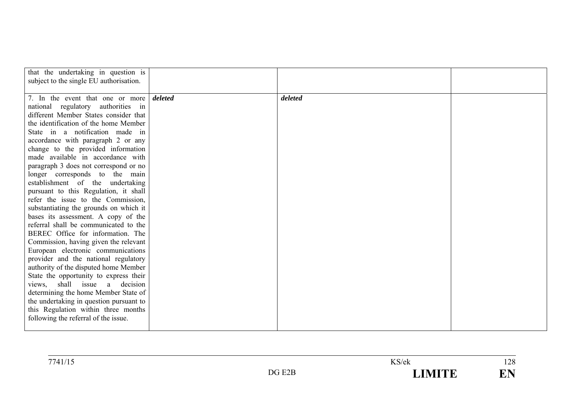| that the undertaking in question is<br>subject to the single EU authorisation.                                                                                                                                                                                                                                                                                                                                                                                                                                                                                                                                                                                                                                                                                                                                                                                                                                                                                                                          |         |         |  |
|---------------------------------------------------------------------------------------------------------------------------------------------------------------------------------------------------------------------------------------------------------------------------------------------------------------------------------------------------------------------------------------------------------------------------------------------------------------------------------------------------------------------------------------------------------------------------------------------------------------------------------------------------------------------------------------------------------------------------------------------------------------------------------------------------------------------------------------------------------------------------------------------------------------------------------------------------------------------------------------------------------|---------|---------|--|
| 7. In the event that one or more<br>national regulatory authorities in<br>different Member States consider that<br>the identification of the home Member<br>State in a notification made in<br>accordance with paragraph 2 or any<br>change to the provided information<br>made available in accordance with<br>paragraph 3 does not correspond or no<br>longer corresponds to the main<br>establishment of the undertaking<br>pursuant to this Regulation, it shall<br>refer the issue to the Commission,<br>substantiating the grounds on which it<br>bases its assessment. A copy of the<br>referral shall be communicated to the<br>BEREC Office for information. The<br>Commission, having given the relevant<br>European electronic communications<br>provider and the national regulatory<br>authority of the disputed home Member<br>State the opportunity to express their<br>views, shall issue a decision<br>determining the home Member State of<br>the undertaking in question pursuant to | deleted | deleted |  |
| this Regulation within three months<br>following the referral of the issue.                                                                                                                                                                                                                                                                                                                                                                                                                                                                                                                                                                                                                                                                                                                                                                                                                                                                                                                             |         |         |  |

| 7741/1 |             | KS/ek                                     | $\cdot$ $\sim$<br>1/20<br>$\sim$ |
|--------|-------------|-------------------------------------------|----------------------------------|
|        | E2D<br>7G . | $\overline{ }$ (in $\overline{ }$<br>- 19 | $\sim$<br>N<br><b>LT</b>         |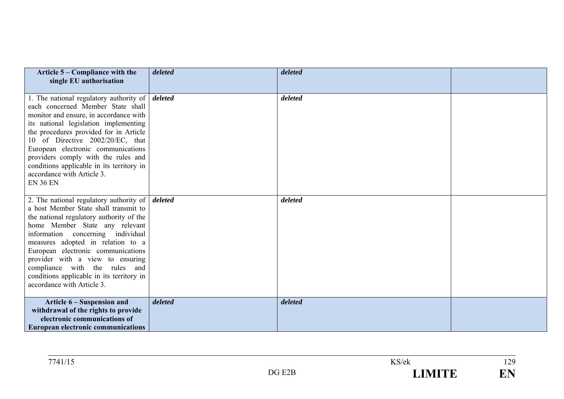| Article 5 – Compliance with the<br>single EU authorisation                                                                                                                                                                                                                                                                                                                                                                                            | deleted | deleted |  |
|-------------------------------------------------------------------------------------------------------------------------------------------------------------------------------------------------------------------------------------------------------------------------------------------------------------------------------------------------------------------------------------------------------------------------------------------------------|---------|---------|--|
| 1. The national regulatory authority of $\vert$ <i>deleted</i><br>each concerned Member State shall<br>monitor and ensure, in accordance with<br>its national legislation implementing<br>the procedures provided for in Article<br>10 of Directive 2002/20/EC, that<br>European electronic communications<br>providers comply with the rules and<br>conditions applicable in its territory in<br>accordance with Article 3.<br><b>EN 36 EN</b>       |         | deleted |  |
| 2. The national regulatory authority of $\vert$ <i>deleted</i><br>a host Member State shall transmit to<br>the national regulatory authority of the<br>home Member State any relevant<br>information concerning individual<br>measures adopted in relation to a<br>European electronic communications<br>provider with a view to ensuring<br>compliance with the rules and<br>conditions applicable in its territory in<br>accordance with Article 3. |         | deleted |  |
| Article 6 – Suspension and<br>withdrawal of the rights to provide<br>electronic communications of<br><b>European electronic communications</b>                                                                                                                                                                                                                                                                                                        | deleted | deleted |  |

| 7711<br>$\sqrt{1}$<br>(41/1) |                             | KS/ek | 170<br>$\frac{1}{2}$     |
|------------------------------|-----------------------------|-------|--------------------------|
|                              | $T^{\bullet}$               |       | $\overline{\phantom{a}}$ |
|                              | DG.                         |       | --                       |
|                              | ،ZE                         | ----  | $\overline{\phantom{a}}$ |
|                              | $\sim$ $\sim$ $\sim$ $\sim$ |       |                          |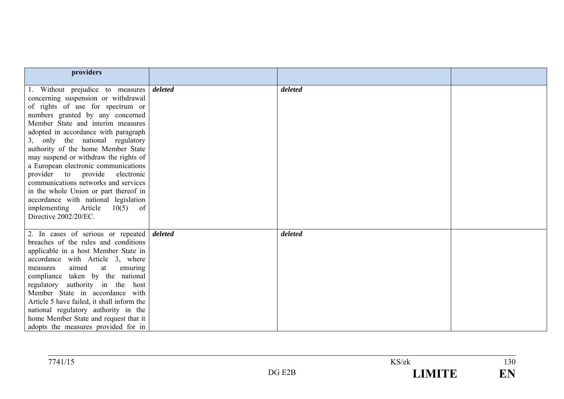| providers                                                                                                                                                                                                                                                                                                                                                                                                                                                                                                                                                                                                         |         |         |  |
|-------------------------------------------------------------------------------------------------------------------------------------------------------------------------------------------------------------------------------------------------------------------------------------------------------------------------------------------------------------------------------------------------------------------------------------------------------------------------------------------------------------------------------------------------------------------------------------------------------------------|---------|---------|--|
|                                                                                                                                                                                                                                                                                                                                                                                                                                                                                                                                                                                                                   |         |         |  |
| 1. Without prejudice to measures<br>concerning suspension or withdrawal<br>of rights of use for spectrum or<br>numbers granted by any concerned<br>Member State and interim measures<br>adopted in accordance with paragraph<br>3, only the national regulatory<br>authority of the home Member State<br>may suspend or withdraw the rights of<br>a European electronic communications<br>provider to provide electronic<br>communications networks and services<br>in the whole Union or part thereof in<br>accordance with national legislation<br>implementing Article<br>10(5)<br>of<br>Directive 2002/20/EC. | deleted | deleted |  |
| 2. In cases of serious or repeated <i>deleted</i><br>breaches of the rules and conditions<br>applicable in a host Member State in<br>accordance with Article 3, where<br>aimed<br>at<br>ensuring<br>measures<br>compliance taken by the national<br>regulatory authority in the host<br>Member State in accordance with<br>Article 5 have failed, it shall inform the<br>national regulatory authority in the<br>home Member State and request that it<br>adopts the measures provided for in                                                                                                                     |         | deleted |  |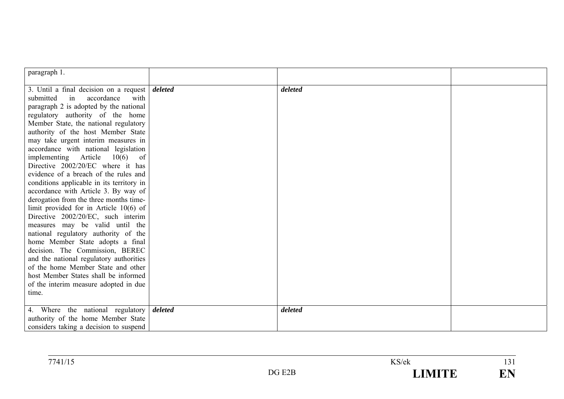| paragraph 1.                              |         |         |  |
|-------------------------------------------|---------|---------|--|
| 3. Until a final decision on a request    | deleted | deleted |  |
| accordance<br>with<br>submitted<br>in     |         |         |  |
| paragraph 2 is adopted by the national    |         |         |  |
| regulatory authority of the home          |         |         |  |
| Member State, the national regulatory     |         |         |  |
| authority of the host Member State        |         |         |  |
| may take urgent interim measures in       |         |         |  |
| accordance with national legislation      |         |         |  |
| implementing Article $10(6)$ of           |         |         |  |
| Directive 2002/20/EC where it has         |         |         |  |
| evidence of a breach of the rules and     |         |         |  |
| conditions applicable in its territory in |         |         |  |
| accordance with Article 3. By way of      |         |         |  |
| derogation from the three months time-    |         |         |  |
| limit provided for in Article $10(6)$ of  |         |         |  |
| Directive 2002/20/EC, such interim        |         |         |  |
| measures may be valid until the           |         |         |  |
| national regulatory authority of the      |         |         |  |
| home Member State adopts a final          |         |         |  |
| decision. The Commission, BEREC           |         |         |  |
| and the national regulatory authorities   |         |         |  |
| of the home Member State and other        |         |         |  |
| host Member States shall be informed      |         |         |  |
| of the interim measure adopted in due     |         |         |  |
| time.                                     |         |         |  |
|                                           |         |         |  |
| 4. Where the national regulatory          | deleted | deleted |  |
| authority of the home Member State        |         |         |  |
| considers taking a decision to suspend    |         |         |  |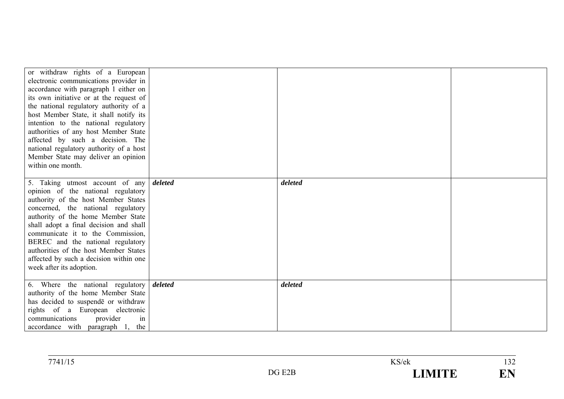| or withdraw rights of a European<br>electronic communications provider in<br>accordance with paragraph 1 either on<br>its own initiative or at the request of<br>the national regulatory authority of a<br>host Member State, it shall notify its<br>intention to the national regulatory<br>authorities of any host Member State<br>affected by such a decision. The<br>national regulatory authority of a host<br>Member State may deliver an opinion<br>within one month. |         | deleted |  |
|------------------------------------------------------------------------------------------------------------------------------------------------------------------------------------------------------------------------------------------------------------------------------------------------------------------------------------------------------------------------------------------------------------------------------------------------------------------------------|---------|---------|--|
| 5. Taking utmost account of any <i>deleted</i><br>opinion of the national regulatory                                                                                                                                                                                                                                                                                                                                                                                         |         |         |  |
| authority of the host Member States<br>concerned, the national regulatory                                                                                                                                                                                                                                                                                                                                                                                                    |         |         |  |
| authority of the home Member State<br>shall adopt a final decision and shall                                                                                                                                                                                                                                                                                                                                                                                                 |         |         |  |
| communicate it to the Commission,                                                                                                                                                                                                                                                                                                                                                                                                                                            |         |         |  |
| BEREC and the national regulatory<br>authorities of the host Member States                                                                                                                                                                                                                                                                                                                                                                                                   |         |         |  |
| affected by such a decision within one                                                                                                                                                                                                                                                                                                                                                                                                                                       |         |         |  |
| week after its adoption.                                                                                                                                                                                                                                                                                                                                                                                                                                                     |         |         |  |
| 6. Where the national regulatory                                                                                                                                                                                                                                                                                                                                                                                                                                             | deleted | deleted |  |
| authority of the home Member State                                                                                                                                                                                                                                                                                                                                                                                                                                           |         |         |  |
| has decided to suspende or withdraw                                                                                                                                                                                                                                                                                                                                                                                                                                          |         |         |  |
| rights of a European electronic<br>provider<br>communications<br>in                                                                                                                                                                                                                                                                                                                                                                                                          |         |         |  |
| accordance with paragraph 1, the                                                                                                                                                                                                                                                                                                                                                                                                                                             |         |         |  |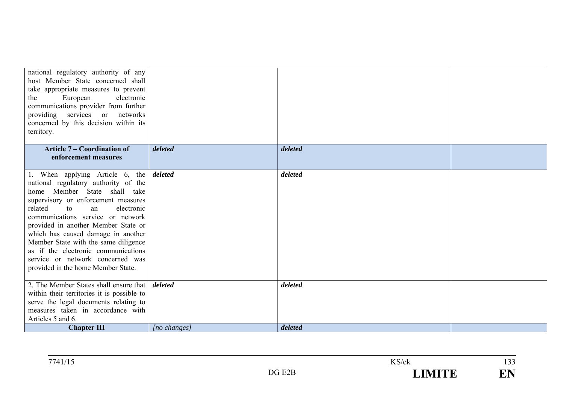| national regulatory authority of any       |              |         |  |
|--------------------------------------------|--------------|---------|--|
| host Member State concerned shall          |              |         |  |
| take appropriate measures to prevent       |              |         |  |
| electronic<br>European<br>the              |              |         |  |
| communications provider from further       |              |         |  |
| providing services or networks             |              |         |  |
| concerned by this decision within its      |              |         |  |
| territory.                                 |              |         |  |
|                                            |              |         |  |
| <b>Article 7 – Coordination of</b>         | deleted      | deleted |  |
| enforcement measures                       |              |         |  |
|                                            |              |         |  |
| 1. When applying Article 6, the            | deleted      | deleted |  |
| national regulatory authority of the       |              |         |  |
| home Member State shall take               |              |         |  |
| supervisory or enforcement measures        |              |         |  |
| related<br>electronic<br>to<br>an          |              |         |  |
| communications service or network          |              |         |  |
| provided in another Member State or        |              |         |  |
| which has caused damage in another         |              |         |  |
| Member State with the same diligence       |              |         |  |
| as if the electronic communications        |              |         |  |
| service or network concerned was           |              |         |  |
| provided in the home Member State.         |              |         |  |
|                                            |              |         |  |
| 2. The Member States shall ensure that     | deleted      | deleted |  |
| within their territories it is possible to |              |         |  |
| serve the legal documents relating to      |              |         |  |
| measures taken in accordance with          |              |         |  |
| Articles 5 and 6.                          |              |         |  |
| <b>Chapter III</b>                         | [no changes] | deleted |  |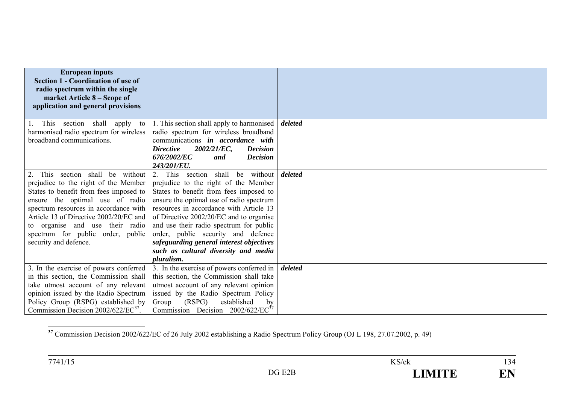| <b>European inputs</b><br><b>Section 1 - Coordination of use of</b><br>radio spectrum within the single<br>market Article 8 – Scope of                                                                                                                                                                                                       |                                                                                                                                                                                                                                                                                                                                                                                                                                               |         |  |
|----------------------------------------------------------------------------------------------------------------------------------------------------------------------------------------------------------------------------------------------------------------------------------------------------------------------------------------------|-----------------------------------------------------------------------------------------------------------------------------------------------------------------------------------------------------------------------------------------------------------------------------------------------------------------------------------------------------------------------------------------------------------------------------------------------|---------|--|
| application and general provisions                                                                                                                                                                                                                                                                                                           |                                                                                                                                                                                                                                                                                                                                                                                                                                               |         |  |
| This section shall apply<br>to<br>harmonised radio spectrum for wireless<br>broadband communications.                                                                                                                                                                                                                                        | 1. This section shall apply to harmonised<br>radio spectrum for wireless broadband<br>communications in accordance with<br>2002/21/EC,<br><b>Directive</b><br><b>Decision</b><br>676/2002/EC<br><b>Decision</b><br>and<br>243/201/EU.                                                                                                                                                                                                         | deleted |  |
| This section shall be without<br>2.<br>prejudice to the right of the Member<br>States to benefit from fees imposed to<br>ensure the optimal use of radio<br>spectrum resources in accordance with<br>Article 13 of Directive 2002/20/EC and<br>to organise and use their radio<br>spectrum for public order, public<br>security and defence. | 2. This section shall<br>without<br>be<br>prejudice to the right of the Member<br>States to benefit from fees imposed to<br>ensure the optimal use of radio spectrum<br>resources in accordance with Article 13<br>of Directive 2002/20/EC and to organise<br>and use their radio spectrum for public<br>order, public security and defence<br>safeguarding general interest objectives<br>such as cultural diversity and media<br>pluralism. | deleted |  |
| 3. In the exercise of powers conferred<br>in this section, the Commission shall<br>take utmost account of any relevant<br>opinion issued by the Radio Spectrum<br>Policy Group (RSPG) established by<br>Commission Decision 2002/622/EC <sup>37</sup> .                                                                                      | 3. In the exercise of powers conferred in<br>this section, the Commission shall take<br>utmost account of any relevant opinion<br>issued by the Radio Spectrum Policy<br>(RSPG)<br>established<br>Group<br>by<br>Commission Decision $2002/622/EC^{37}$                                                                                                                                                                                       | deleted |  |

<sup>&</sup>lt;sup>37</sup> Commission Decision 2002/622/EC of 26 July 2002 establishing a Radio Spectrum Policy Group (OJ L 198, 27.07.2002, p. 49)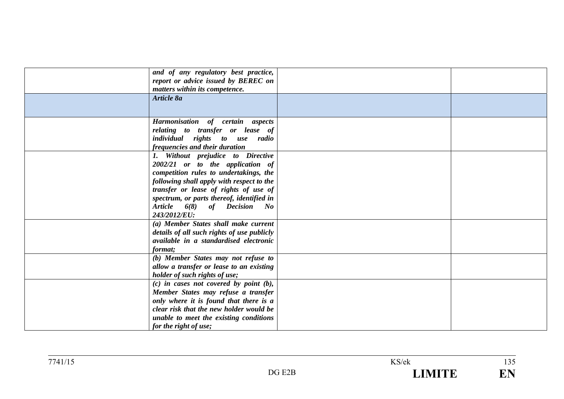| and of any regulatory best practice,<br>report or advice issued by BEREC on<br>matters within its competence.<br>Article 8a                                                                                                                                                                       |  |
|---------------------------------------------------------------------------------------------------------------------------------------------------------------------------------------------------------------------------------------------------------------------------------------------------|--|
| Harmonisation of certain aspects<br>relating to transfer or lease of<br>individual rights to use radio<br>frequencies and their duration                                                                                                                                                          |  |
| 1. Without prejudice to Directive<br>2002/21 or to the application of<br>competition rules to undertakings, the<br>following shall apply with respect to the<br>transfer or lease of rights of use of<br>spectrum, or parts thereof, identified in<br>Article 6(8) of Decision No<br>243/2012/EU: |  |
| (a) Member States shall make current<br>details of all such rights of use publicly<br>available in a standardised electronic<br>format;                                                                                                                                                           |  |
| (b) Member States may not refuse to<br>allow a transfer or lease to an existing<br>holder of such rights of use;                                                                                                                                                                                  |  |
| $(c)$ in cases not covered by point $(b)$ ,<br>Member States may refuse a transfer<br>only where it is found that there is a<br>clear risk that the new holder would be<br>unable to meet the existing conditions<br>for the right of use;                                                        |  |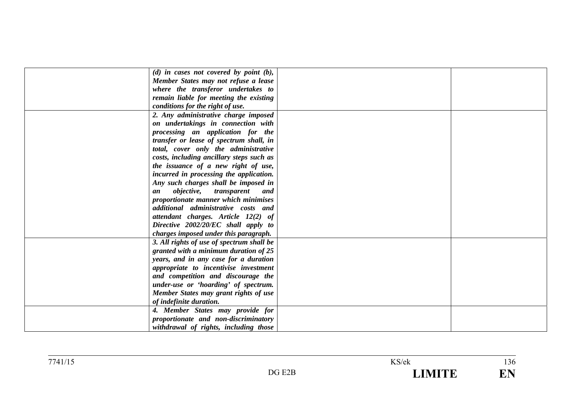| $(d)$ in cases not covered by point $(b)$ ,           |  |
|-------------------------------------------------------|--|
| Member States may not refuse a lease                  |  |
| where the transferor undertakes to                    |  |
| remain liable for meeting the existing                |  |
| conditions for the right of use.                      |  |
| 2. Any administrative charge imposed                  |  |
| on undertakings in connection with                    |  |
| processing an application for the                     |  |
| transfer or lease of spectrum shall, in               |  |
| total, cover only the administrative                  |  |
| costs, including ancillary steps such as              |  |
| the issuance of a new right of use,                   |  |
| incurred in processing the application.               |  |
| Any such charges shall be imposed in                  |  |
| <i>objective</i> ,<br><i>transparent</i><br>and<br>an |  |
| proportionate manner which minimises                  |  |
| additional administrative costs and                   |  |
| attendant charges. Article 12(2) of                   |  |
| Directive 2002/20/EC shall apply to                   |  |
| charges imposed under this paragraph.                 |  |
| 3. All rights of use of spectrum shall be             |  |
| granted with a minimum duration of 25                 |  |
| years, and in any case for a duration                 |  |
| appropriate to incentivise investment                 |  |
| and competition and discourage the                    |  |
| under-use or 'hoarding' of spectrum.                  |  |
| Member States may grant rights of use                 |  |
| of indefinite duration.                               |  |
| 4. Member States may provide for                      |  |
| proportionate and non-discriminatory                  |  |
| withdrawal of rights, including those                 |  |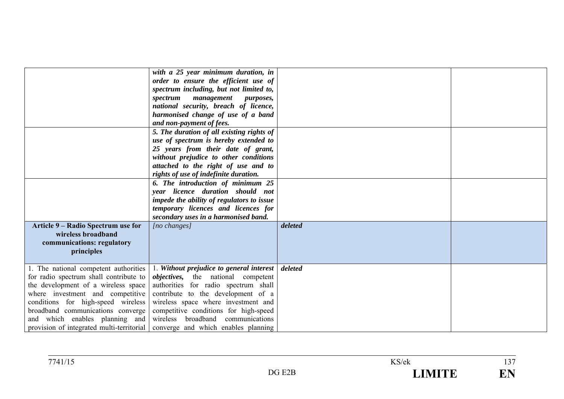|                                                                                                                                                                                                                                       | with a 25 year minimum duration, in<br>order to ensure the efficient use of<br>spectrum including, but not limited to,<br>spectrum management purposes,<br>national security, breach of licence,<br>harmonised change of use of a band<br>and non-payment of fees.<br>5. The duration of all existing rights of<br>use of spectrum is hereby extended to<br>25 years from their date of grant,<br>without prejudice to other conditions |         |  |
|---------------------------------------------------------------------------------------------------------------------------------------------------------------------------------------------------------------------------------------|-----------------------------------------------------------------------------------------------------------------------------------------------------------------------------------------------------------------------------------------------------------------------------------------------------------------------------------------------------------------------------------------------------------------------------------------|---------|--|
|                                                                                                                                                                                                                                       | attached to the right of use and to<br>rights of use of indefinite duration.<br>6. The introduction of minimum 25<br>vear licence duration should not<br>impede the ability of regulators to issue<br>temporary licences and licences for                                                                                                                                                                                               |         |  |
| Article 9 – Radio Spectrum use for<br>wireless broadband<br>communications: regulatory<br>principles                                                                                                                                  | secondary uses in a harmonised band.<br>[no changes]                                                                                                                                                                                                                                                                                                                                                                                    | deleted |  |
| 1. The national competent authorities<br>for radio spectrum shall contribute to<br>the development of a wireless space<br>where investment and competitive<br>conditions for high-speed wireless<br>broadband communications converge | 1. Without prejudice to general interest<br><i>objectives</i> , the national competent<br>authorities for radio spectrum shall<br>contribute to the development of a<br>wireless space where investment and<br>competitive conditions for high-speed<br>and which enables planning and wireless broadband communications<br>provision of integrated multi-territorial converge and which enables planning                               | deleted |  |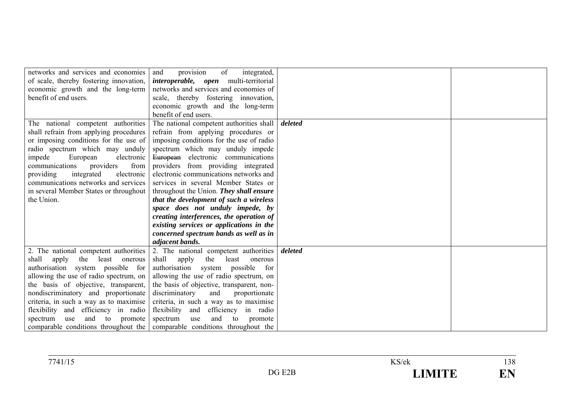| networks and services and economies       | provision<br>of<br>and<br>integrated,                                     |         |  |
|-------------------------------------------|---------------------------------------------------------------------------|---------|--|
| of scale, thereby fostering innovation,   | <i>interoperable, open</i> multi-territorial                              |         |  |
| economic growth and the long-term         | networks and services and economies of                                    |         |  |
| benefit of end users.                     | scale, thereby fostering innovation,                                      |         |  |
|                                           | economic growth and the long-term                                         |         |  |
|                                           | benefit of end users.                                                     |         |  |
| The national competent authorities        | The national competent authorities shall                                  | deleted |  |
| shall refrain from applying procedures    | refrain from applying procedures or                                       |         |  |
| or imposing conditions for the use of     | imposing conditions for the use of radio                                  |         |  |
| radio spectrum which may unduly           | spectrum which may unduly impede                                          |         |  |
| impede<br>European<br>electronic          | European electronic communications                                        |         |  |
| from<br>communications<br>providers       | providers from providing integrated                                       |         |  |
| providing<br>integrated<br>electronic     | electronic communications networks and                                    |         |  |
| communications networks and services      | services in several Member States or                                      |         |  |
| in several Member States or throughout    | throughout the Union. They shall ensure                                   |         |  |
| the Union.                                | that the development of such a wireless                                   |         |  |
|                                           | space does not unduly impede, by                                          |         |  |
|                                           | creating interferences, the operation of                                  |         |  |
|                                           | existing services or applications in the                                  |         |  |
|                                           | concerned spectrum bands as well as in                                    |         |  |
|                                           | adjacent bands.                                                           |         |  |
| 2. The national competent authorities     | 2. The national competent authorities                                     | deleted |  |
| shall<br>apply<br>the<br>least<br>onerous | shall<br>the<br>apply<br>least<br>onerous                                 |         |  |
| authorisation system possible for         | authorisation system possible<br>for                                      |         |  |
| allowing the use of radio spectrum, on    | allowing the use of radio spectrum, on                                    |         |  |
| the basis of objective, transparent,      | the basis of objective, transparent, non-                                 |         |  |
| nondiscriminatory and proportionate       | discriminatory<br>and<br>proportionate                                    |         |  |
| criteria, in such a way as to maximise    | criteria, in such a way as to maximise                                    |         |  |
| flexibility and efficiency in radio       | flexibility<br>efficiency in radio<br>and                                 |         |  |
| and<br>to<br>spectrum<br>promote<br>use   | and<br>spectrum<br>to<br>use<br>promote                                   |         |  |
|                                           | comparable conditions throughout the comparable conditions throughout the |         |  |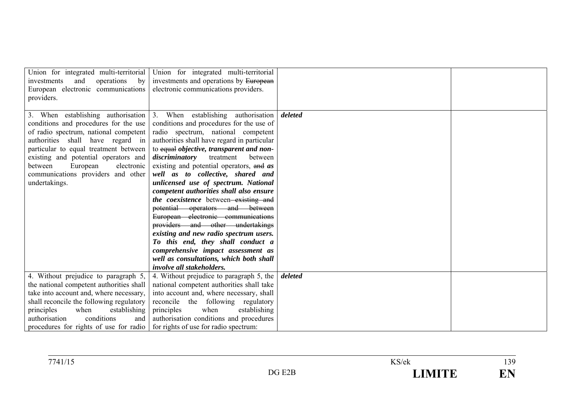| Union for integrated multi-territorial<br>operations<br>investments<br>and<br>by<br>European electronic communications<br>providers.                                                                                                                                                            | Union for integrated multi-territorial<br>investments and operations by European<br>electronic communications providers.                                                                                                                                                                                                                                                                                                                                                                                                                                                                                                                                                                                                                                                                                           |         |  |
|-------------------------------------------------------------------------------------------------------------------------------------------------------------------------------------------------------------------------------------------------------------------------------------------------|--------------------------------------------------------------------------------------------------------------------------------------------------------------------------------------------------------------------------------------------------------------------------------------------------------------------------------------------------------------------------------------------------------------------------------------------------------------------------------------------------------------------------------------------------------------------------------------------------------------------------------------------------------------------------------------------------------------------------------------------------------------------------------------------------------------------|---------|--|
| conditions and procedures for the use<br>of radio spectrum, national competent<br>authorities shall have regard in<br>particular to equal treatment between<br>existing and potential operators and<br>European<br>electronic<br>between<br>communications providers and other<br>undertakings. | 3. When establishing authorisation 3. When establishing authorisation<br>conditions and procedures for the use of<br>radio spectrum, national competent<br>authorities shall have regard in particular<br>to equal objective, transparent and non-<br>discriminatory<br>treatment<br>between<br>existing and potential operators, and as<br>well as to collective, shared and<br>unlicensed use of spectrum. National<br>competent authorities shall also ensure<br>the coexistence between-existing and<br>potential operators and between<br>European electronic communications<br>providers and other undertakings<br>existing and new radio spectrum users.<br>To this end, they shall conduct a<br>comprehensive impact assessment as<br>well as consultations, which both shall<br>involve all stakeholders. | deleted |  |
| 4. Without prejudice to paragraph 5.                                                                                                                                                                                                                                                            | 4. Without prejudice to paragraph 5, the                                                                                                                                                                                                                                                                                                                                                                                                                                                                                                                                                                                                                                                                                                                                                                           | deleted |  |
| the national competent authorities shall                                                                                                                                                                                                                                                        | national competent authorities shall take                                                                                                                                                                                                                                                                                                                                                                                                                                                                                                                                                                                                                                                                                                                                                                          |         |  |
| take into account and, where necessary.                                                                                                                                                                                                                                                         | into account and, where necessary, shall                                                                                                                                                                                                                                                                                                                                                                                                                                                                                                                                                                                                                                                                                                                                                                           |         |  |
| shall reconcile the following regulatory                                                                                                                                                                                                                                                        | reconcile the following regulatory                                                                                                                                                                                                                                                                                                                                                                                                                                                                                                                                                                                                                                                                                                                                                                                 |         |  |
| principles<br>when<br>establishing<br>conditions                                                                                                                                                                                                                                                | principles<br>when<br>establishing                                                                                                                                                                                                                                                                                                                                                                                                                                                                                                                                                                                                                                                                                                                                                                                 |         |  |
| authorisation<br>and                                                                                                                                                                                                                                                                            | authorisation conditions and procedures                                                                                                                                                                                                                                                                                                                                                                                                                                                                                                                                                                                                                                                                                                                                                                            |         |  |
| procedures for rights of use for radio                                                                                                                                                                                                                                                          | for rights of use for radio spectrum:                                                                                                                                                                                                                                                                                                                                                                                                                                                                                                                                                                                                                                                                                                                                                                              |         |  |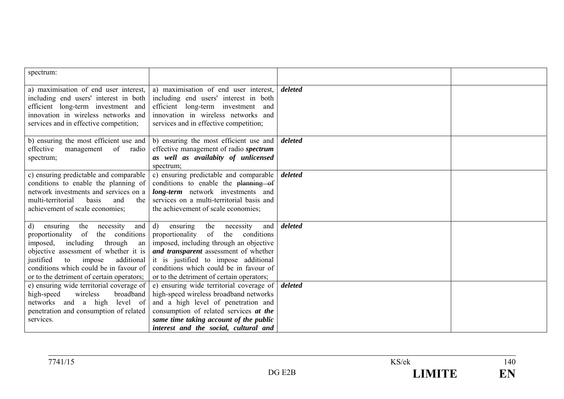| spectrum:                                                                                                                                                                                                                                                                                          |                                                                                                                                                                                                                                                                                                            |         |  |
|----------------------------------------------------------------------------------------------------------------------------------------------------------------------------------------------------------------------------------------------------------------------------------------------------|------------------------------------------------------------------------------------------------------------------------------------------------------------------------------------------------------------------------------------------------------------------------------------------------------------|---------|--|
| a) maximisation of end user interest,<br>including end users' interest in both<br>efficient long-term investment and<br>innovation in wireless networks and<br>services and in effective competition;                                                                                              | a) maximisation of end user interest,<br>including end users' interest in both<br>efficient long-term investment and<br>innovation in wireless networks and<br>services and in effective competition;                                                                                                      | deleted |  |
| of<br>effective<br>management<br>radio<br>spectrum;                                                                                                                                                                                                                                                | b) ensuring the most efficient use and $\vert$ b) ensuring the most efficient use and<br>effective management of radio spectrum<br>as well as availabity of unlicensed<br>spectrum;                                                                                                                        | deleted |  |
| c) ensuring predictable and comparable<br>conditions to enable the planning of<br>network investments and services on a<br>multi-territorial<br>basis<br>and<br>the<br>achievement of scale economies;                                                                                             | c) ensuring predictable and comparable<br>conditions to enable the planning of<br>long-term network investments and<br>services on a multi-territorial basis and<br>the achievement of scale economies;                                                                                                    | deleted |  |
| and  <br>the<br>ensuring<br>necessity<br>d)<br>the conditions<br>proportionality of<br>imposed, including through<br>an<br>objective assessment of whether it is<br>justified<br>impose<br>additional<br>to<br>conditions which could be in favour of<br>or to the detriment of certain operators; | d)<br>and<br>the<br>necessity<br>ensuring<br>of<br>the<br>conditions<br>proportionality<br>imposed, including through an objective<br>and transparent assessment of whether<br>it is justified to impose additional<br>conditions which could be in favour of<br>or to the detriment of certain operators; | deleted |  |
| e) ensuring wide territorial coverage of<br>high-speed<br>wireless<br>broadband<br>networks and a high<br>level of<br>penetration and consumption of related<br>services.                                                                                                                          | e) ensuring wide territorial coverage of<br>high-speed wireless broadband networks<br>and a high level of penetration and<br>consumption of related services at the<br>same time taking account of the public<br>interest and the social, cultural and                                                     | deleted |  |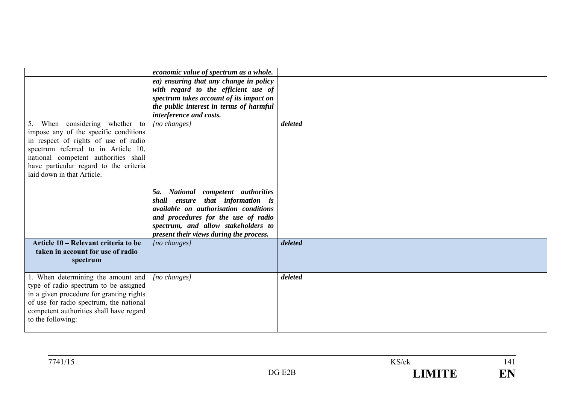|                                                                                   | economic value of spectrum as a whole.                                    |         |  |
|-----------------------------------------------------------------------------------|---------------------------------------------------------------------------|---------|--|
|                                                                                   | ea) ensuring that any change in policy                                    |         |  |
|                                                                                   | with regard to the efficient use of                                       |         |  |
|                                                                                   | spectrum takes account of its impact on                                   |         |  |
|                                                                                   | the public interest in terms of harmful                                   |         |  |
| 5. When considering whether to                                                    | interference and costs.                                                   | deleted |  |
| impose any of the specific conditions                                             | [no changes]                                                              |         |  |
| in respect of rights of use of radio                                              |                                                                           |         |  |
| spectrum referred to in Article 10,                                               |                                                                           |         |  |
| national competent authorities shall                                              |                                                                           |         |  |
| have particular regard to the criteria                                            |                                                                           |         |  |
| laid down in that Article.                                                        |                                                                           |         |  |
|                                                                                   |                                                                           |         |  |
|                                                                                   | National competent authorities<br>5a.                                     |         |  |
|                                                                                   | shall ensure that information is<br>available on authorisation conditions |         |  |
|                                                                                   | and procedures for the use of radio                                       |         |  |
|                                                                                   | spectrum, and allow stakeholders to                                       |         |  |
|                                                                                   | present their views during the process.                                   |         |  |
| Article 10 – Relevant criteria to be                                              | [no changes]                                                              | deleted |  |
| taken in account for use of radio                                                 |                                                                           |         |  |
| spectrum                                                                          |                                                                           |         |  |
|                                                                                   |                                                                           |         |  |
| 1. When determining the amount and                                                | $[no\ changes]$                                                           | deleted |  |
| type of radio spectrum to be assigned<br>in a given procedure for granting rights |                                                                           |         |  |
| of use for radio spectrum, the national                                           |                                                                           |         |  |
| competent authorities shall have regard                                           |                                                                           |         |  |
| to the following:                                                                 |                                                                           |         |  |
|                                                                                   |                                                                           |         |  |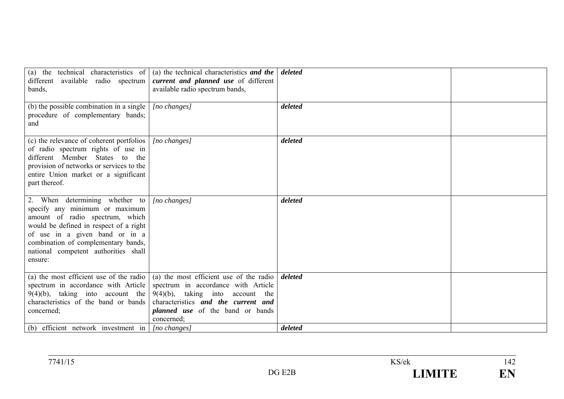| different available radio spectrum<br>bands,                                                                                                                                                                                                                              | (a) the technical characteristics of $\vert$ (a) the technical characteristics and the<br>current and planned use of different<br>available radio spectrum bands,                                                        | deleted            |  |
|---------------------------------------------------------------------------------------------------------------------------------------------------------------------------------------------------------------------------------------------------------------------------|--------------------------------------------------------------------------------------------------------------------------------------------------------------------------------------------------------------------------|--------------------|--|
| (b) the possible combination in a single $\vert$<br>procedure of complementary bands;<br>and                                                                                                                                                                              | $[no\ changes]$                                                                                                                                                                                                          | deleted            |  |
| (c) the relevance of coherent portfolios<br>of radio spectrum rights of use in<br>different Member States to the<br>provision of networks or services to the<br>entire Union market or a significant<br>part thereof.                                                     | $[no\, changes]$                                                                                                                                                                                                         | deleted            |  |
| 2. When determining whether to<br>specify any minimum or maximum<br>amount of radio spectrum, which<br>would be defined in respect of a right<br>of use in a given band or in a<br>combination of complementary bands,<br>national competent authorities shall<br>ensure: | $[no\ changes]$                                                                                                                                                                                                          | deleted            |  |
| (a) the most efficient use of the radio<br>spectrum in accordance with Article<br>$9(4)(b)$ , taking into account the<br>characteristics of the band or bands<br>concerned;<br>(b) efficient network investment in $ $ [no changes]                                       | (a) the most efficient use of the radio<br>spectrum in accordance with Article<br>$9(4)(b)$ , taking into<br>account the<br>characteristics and the current and<br><i>planned</i> use of the band or bands<br>concerned; | deleted<br>deleted |  |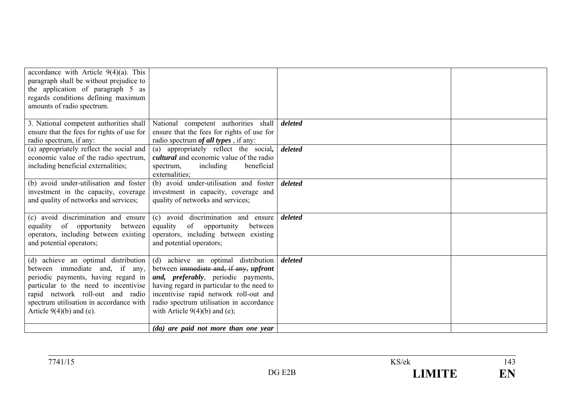| accordance with Article $9(4)(a)$ . This<br>paragraph shall be without prejudice to<br>the application of paragraph 5 as<br>regards conditions defining maximum<br>amounts of radio spectrum.                                                                      |                                                                                                                                                                                                                                                                                             |         |  |
|--------------------------------------------------------------------------------------------------------------------------------------------------------------------------------------------------------------------------------------------------------------------|---------------------------------------------------------------------------------------------------------------------------------------------------------------------------------------------------------------------------------------------------------------------------------------------|---------|--|
| 3. National competent authorities shall<br>ensure that the fees for rights of use for<br>radio spectrum, if any:                                                                                                                                                   | National competent authorities shall<br>ensure that the fees for rights of use for<br>radio spectrum <i>of all types</i> , if any:                                                                                                                                                          | deleted |  |
| (a) appropriately reflect the social and<br>economic value of the radio spectrum,<br>including beneficial externalities;                                                                                                                                           | (a) appropriately reflect the social,<br><i>cultural</i> and economic value of the radio<br>including<br>beneficial<br>spectrum,<br>externalities:                                                                                                                                          | deleted |  |
| (b) avoid under-utilisation and foster<br>investment in the capacity, coverage<br>and quality of networks and services;                                                                                                                                            | (b) avoid under-utilisation and foster<br>investment in capacity, coverage and<br>quality of networks and services;                                                                                                                                                                         | deleted |  |
| (c) avoid discrimination and ensure<br>of opportunity<br>between  <br>equality<br>operators, including between existing<br>and potential operators;                                                                                                                | (c) avoid discrimination and ensure<br>equality<br>of opportunity<br>between<br>operators, including between existing<br>and potential operators;                                                                                                                                           | deleted |  |
| (d) achieve an optimal distribution<br>between immediate and, if any,<br>periodic payments, having regard in<br>particular to the need to incentivise<br>rapid network roll-out and radio<br>spectrum utilisation in accordance with<br>Article $9(4)(b)$ and (e). | (d) achieve an optimal distribution<br>between immediate and, if any, upfront<br>and, preferably, periodic payments,<br>having regard in particular to the need to<br>incentivise rapid network roll-out and<br>radio spectrum utilisation in accordance<br>with Article $9(4)(b)$ and (e); | deleted |  |
|                                                                                                                                                                                                                                                                    | (da) are paid not more than one year                                                                                                                                                                                                                                                        |         |  |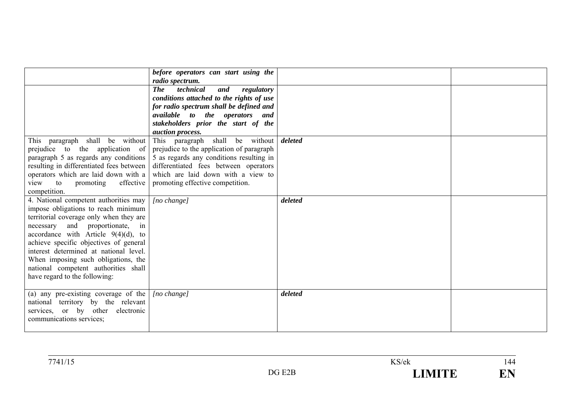|                                                                                                                                                                                                                                                                                                                                                                                                                | before operators can start using the<br>radio spectrum.<br>technical<br><b>The</b><br>and<br>regulatory<br>conditions attached to the rights of use                                                                                         |         |  |
|----------------------------------------------------------------------------------------------------------------------------------------------------------------------------------------------------------------------------------------------------------------------------------------------------------------------------------------------------------------------------------------------------------------|---------------------------------------------------------------------------------------------------------------------------------------------------------------------------------------------------------------------------------------------|---------|--|
|                                                                                                                                                                                                                                                                                                                                                                                                                | for radio spectrum shall be defined and<br>available to the operators and<br>stakeholders prior the start of the<br>auction process.                                                                                                        |         |  |
| This paragraph shall be without<br>prejudice to the application of<br>paragraph 5 as regards any conditions<br>resulting in differentiated fees between<br>operators which are laid down with a<br>effective<br>promoting<br>view<br>to<br>competition.                                                                                                                                                        | This paragraph shall be without<br>prejudice to the application of paragraph<br>5 as regards any conditions resulting in<br>differentiated fees between operators<br>which are laid down with a view to<br>promoting effective competition. | deleted |  |
| 4. National competent authorities may<br>impose obligations to reach minimum<br>territorial coverage only when they are<br>and proportionate,<br>necessary<br>in<br>accordance with Article $9(4)(d)$ , to<br>achieve specific objectives of general<br>interest determined at national level.<br>When imposing such obligations, the<br>national competent authorities shall<br>have regard to the following: | [no change]                                                                                                                                                                                                                                 | deleted |  |
| (a) any pre-existing coverage of the<br>national territory by the relevant<br>services, or by other<br>electronic<br>communications services;                                                                                                                                                                                                                                                                  | $[no \space change]$                                                                                                                                                                                                                        | deleted |  |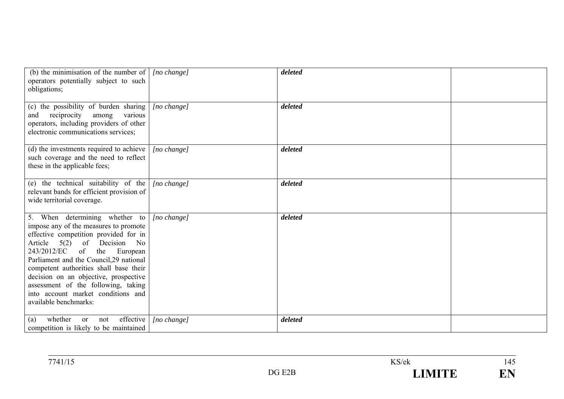| (b) the minimisation of the number of $\int$ [no change]<br>operators potentially subject to such<br>obligations;                                                                                                                                                                                                                                                                                                     |                      | deleted |  |
|-----------------------------------------------------------------------------------------------------------------------------------------------------------------------------------------------------------------------------------------------------------------------------------------------------------------------------------------------------------------------------------------------------------------------|----------------------|---------|--|
| (c) the possibility of burden sharing<br>reciprocity among<br>various<br>and<br>operators, including providers of other<br>electronic communications services;                                                                                                                                                                                                                                                        | [no change]          | deleted |  |
| (d) the investments required to achieve<br>such coverage and the need to reflect<br>these in the applicable fees;                                                                                                                                                                                                                                                                                                     | $[no \space change]$ | deleted |  |
| (e) the technical suitability of the<br>relevant bands for efficient provision of<br>wide territorial coverage.                                                                                                                                                                                                                                                                                                       | [no change]          | deleted |  |
| 5. When determining whether to<br>impose any of the measures to promote<br>effective competition provided for in<br>Article 5(2) of Decision No<br>243/2012/EC of<br>the European<br>Parliament and the Council, 29 national<br>competent authorities shall base their<br>decision on an objective, prospective<br>assessment of the following, taking<br>into account market conditions and<br>available benchmarks: | $[no \space change]$ | deleted |  |
| effective<br>whether<br>not<br><sub>or</sub><br>(a)<br>competition is likely to be maintained                                                                                                                                                                                                                                                                                                                         | $[no \space change]$ | deleted |  |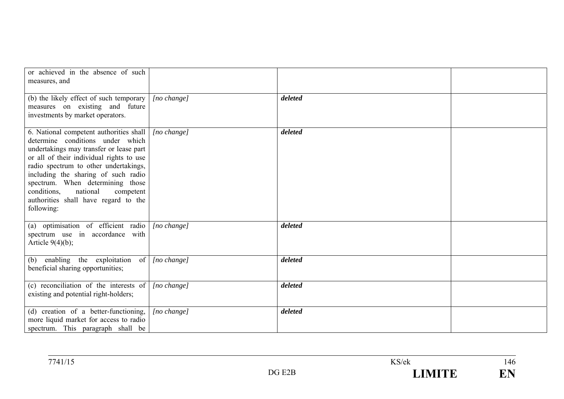| or achieved in the absence of such<br>measures, and                                                                                                                                                                                                                                                                                                                               |                      |         |  |
|-----------------------------------------------------------------------------------------------------------------------------------------------------------------------------------------------------------------------------------------------------------------------------------------------------------------------------------------------------------------------------------|----------------------|---------|--|
| (b) the likely effect of such temporary<br>measures on existing and future<br>investments by market operators.                                                                                                                                                                                                                                                                    | $[no \space change]$ | deleted |  |
| 6. National competent authorities shall<br>determine conditions under which<br>undertakings may transfer or lease part<br>or all of their individual rights to use<br>radio spectrum to other undertakings,<br>including the sharing of such radio<br>spectrum. When determining those<br>conditions, national<br>competent<br>authorities shall have regard to the<br>following: | $[no \space change]$ | deleted |  |
| (a) optimisation of efficient radio<br>spectrum use in accordance with<br>Article $9(4)(b)$ ;                                                                                                                                                                                                                                                                                     | $[no \space change]$ | deleted |  |
| (b) enabling the exploitation<br>$\circ$ of $\vert$<br>beneficial sharing opportunities;                                                                                                                                                                                                                                                                                          | [no change]          | deleted |  |
| (c) reconciliation of the interests of<br>existing and potential right-holders;                                                                                                                                                                                                                                                                                                   | $[no \space change]$ | deleted |  |
| (d) creation of a better-functioning,<br>more liquid market for access to radio<br>spectrum. This paragraph shall be                                                                                                                                                                                                                                                              | [no change]          | deleted |  |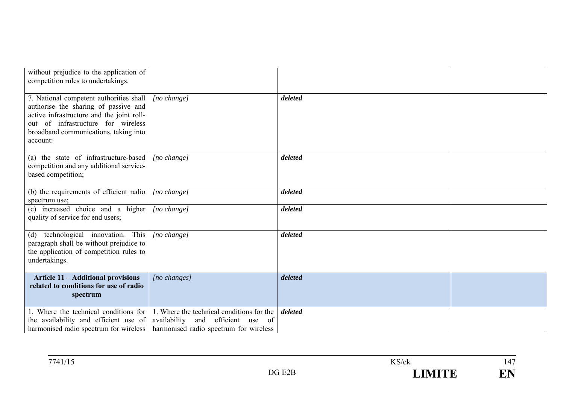| without prejudice to the application of<br>competition rules to undertakings.                                                                                                                                           |                                                                                                                             |         |  |
|-------------------------------------------------------------------------------------------------------------------------------------------------------------------------------------------------------------------------|-----------------------------------------------------------------------------------------------------------------------------|---------|--|
| 7. National competent authorities shall<br>authorise the sharing of passive and<br>active infrastructure and the joint roll-<br>out of infrastructure for wireless<br>broadband communications, taking into<br>account: | $[no \space change]$                                                                                                        | deleted |  |
| (a) the state of infrastructure-based<br>competition and any additional service-<br>based competition;                                                                                                                  | [no change]                                                                                                                 | deleted |  |
| (b) the requirements of efficient radio<br>spectrum use;                                                                                                                                                                | $[no \space change]$                                                                                                        | deleted |  |
| (c) increased choice and a higher<br>quality of service for end users;                                                                                                                                                  | $[no \space change]$                                                                                                        | deleted |  |
| technological innovation. This<br>(d)<br>paragraph shall be without prejudice to<br>the application of competition rules to<br>undertakings.                                                                            | [no change]                                                                                                                 | deleted |  |
| Article 11 - Additional provisions<br>related to conditions for use of radio<br>spectrum                                                                                                                                | [no changes]                                                                                                                | deleted |  |
| 1. Where the technical conditions for<br>the availability and efficient use of<br>harmonised radio spectrum for wireless                                                                                                | 1. Where the technical conditions for the<br>availability<br>and efficient use of<br>harmonised radio spectrum for wireless | deleted |  |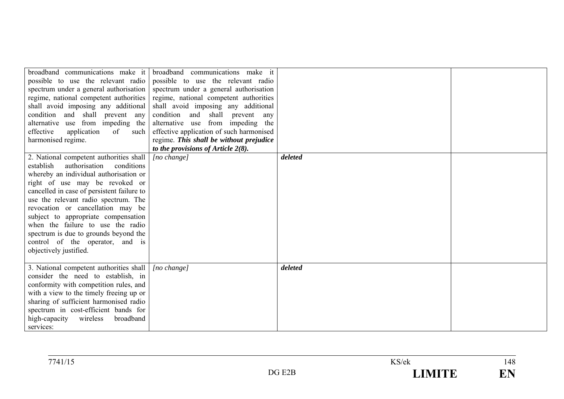| possible to use the relevant radio<br>spectrum under a general authorisation<br>shall avoid imposing any additional<br>condition and shall prevent any<br>alternative use from impeding the<br>effective<br>application<br>of<br>such<br>harmonised regime.                                                                                                                                                                                                                  | broadband communications make it broadband communications make it<br>possible to use the relevant radio<br>spectrum under a general authorisation<br>regime, national competent authorities regime, national competent authorities<br>shall avoid imposing any additional<br>condition and shall prevent<br>any<br>alternative use from impeding the<br>effective application of such harmonised<br>regime. This shall be without prejudice<br>to the provisions of Article $2(8)$ . |         |  |
|------------------------------------------------------------------------------------------------------------------------------------------------------------------------------------------------------------------------------------------------------------------------------------------------------------------------------------------------------------------------------------------------------------------------------------------------------------------------------|--------------------------------------------------------------------------------------------------------------------------------------------------------------------------------------------------------------------------------------------------------------------------------------------------------------------------------------------------------------------------------------------------------------------------------------------------------------------------------------|---------|--|
| 2. National competent authorities shall<br>authorisation<br>conditions<br>establish<br>whereby an individual authorisation or<br>right of use may be revoked or<br>cancelled in case of persistent failure to<br>use the relevant radio spectrum. The<br>revocation or cancellation may be<br>subject to appropriate compensation<br>when the failure to use the radio<br>spectrum is due to grounds beyond the<br>control of the operator, and is<br>objectively justified. | [no change]                                                                                                                                                                                                                                                                                                                                                                                                                                                                          | deleted |  |
| 3. National competent authorities shall<br>consider the need to establish, in<br>conformity with competition rules, and<br>with a view to the timely freeing up or<br>sharing of sufficient harmonised radio<br>spectrum in cost-efficient bands for<br>wireless<br>broadband<br>high-capacity<br>services:                                                                                                                                                                  | [no change]                                                                                                                                                                                                                                                                                                                                                                                                                                                                          | deleted |  |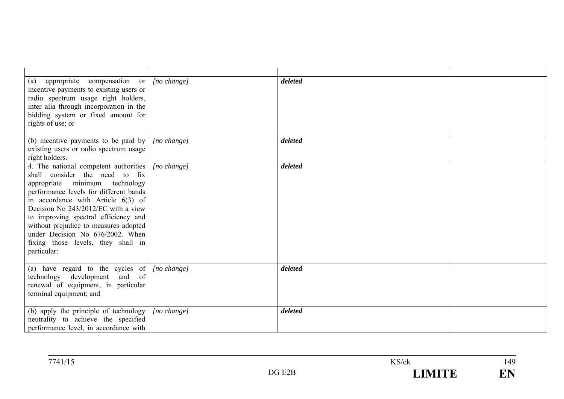| appropriate compensation or<br>(a)<br>incentive payments to existing users or<br>radio spectrum usage right holders,<br>inter alia through incorporation in the<br>bidding system or fixed amount for<br>rights of use; or                                                                                                                                                                                   | $[no \space change]$ | deleted |  |
|--------------------------------------------------------------------------------------------------------------------------------------------------------------------------------------------------------------------------------------------------------------------------------------------------------------------------------------------------------------------------------------------------------------|----------------------|---------|--|
| (b) incentive payments to be paid by<br>existing users or radio spectrum usage<br>right holders.                                                                                                                                                                                                                                                                                                             | [no change]          | deleted |  |
| 4. The national competent authorities<br>shall consider the need to fix<br>appropriate minimum technology<br>performance levels for different bands<br>in accordance with Article $6(3)$ of<br>Decision No 243/2012/EC with a view<br>to improving spectral efficiency and<br>without prejudice to measures adopted<br>under Decision No 676/2002. When<br>fixing those levels, they shall in<br>particular: | [no change]          | deleted |  |
| (a) have regard to the cycles of $[no change]$<br>technology development and of<br>renewal of equipment, in particular<br>terminal equipment; and                                                                                                                                                                                                                                                            |                      | deleted |  |
| (b) apply the principle of technology<br>neutrality to achieve the specified<br>performance level, in accordance with                                                                                                                                                                                                                                                                                        | $[no \space change]$ | deleted |  |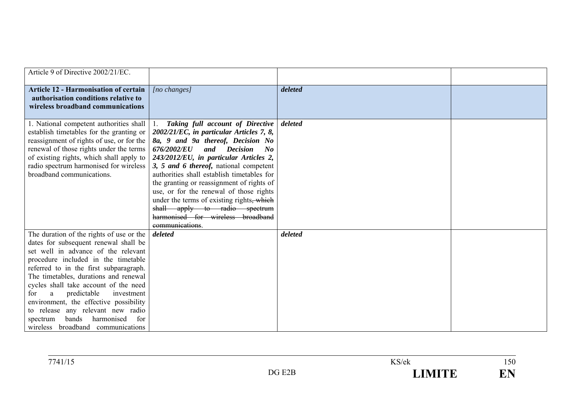| Article 9 of Directive 2002/21/EC.                                                                                                                                                                                                                                                                                                                                                                                                                                                                 |                                                                                                                                                                                                                                                                                                                                                                                                                                                                                                                                        |         |  |
|----------------------------------------------------------------------------------------------------------------------------------------------------------------------------------------------------------------------------------------------------------------------------------------------------------------------------------------------------------------------------------------------------------------------------------------------------------------------------------------------------|----------------------------------------------------------------------------------------------------------------------------------------------------------------------------------------------------------------------------------------------------------------------------------------------------------------------------------------------------------------------------------------------------------------------------------------------------------------------------------------------------------------------------------------|---------|--|
| <b>Article 12 - Harmonisation of certain</b><br>authorisation conditions relative to<br>wireless broadband communications                                                                                                                                                                                                                                                                                                                                                                          | $[no\ changes]$                                                                                                                                                                                                                                                                                                                                                                                                                                                                                                                        | deleted |  |
| 1. National competent authorities shall<br>establish timetables for the granting or<br>reassignment of rights of use, or for the<br>renewal of those rights under the terms<br>of existing rights, which shall apply to<br>radio spectrum harmonised for wireless<br>broadband communications.                                                                                                                                                                                                     | Taking full account of Directive<br>$2002/21/EC$ , in particular Articles 7, 8,<br>8a, 9 and 9a thereof, Decision No<br><i>676/2002/EU</i><br>and Decision<br>$\bm{N}$<br>243/2012/EU, in particular Articles 2,<br>3, 5 and 6 thereof, national competent<br>authorities shall establish timetables for<br>the granting or reassignment of rights of<br>use, or for the renewal of those rights<br>under the terms of existing rights, which<br>shall apply to radio spectrum<br>harmonised for wireless broadband<br>communications. | deleted |  |
| The duration of the rights of use or the<br>dates for subsequent renewal shall be<br>set well in advance of the relevant<br>procedure included in the timetable<br>referred to in the first subparagraph.<br>The timetables, durations and renewal<br>cycles shall take account of the need<br>predictable<br>a<br>investment<br>for<br>environment, the effective possibility<br>to release any relevant new radio<br>bands<br>harmonised<br>for<br>spectrum<br>wireless broadband communications | deleted                                                                                                                                                                                                                                                                                                                                                                                                                                                                                                                                | deleted |  |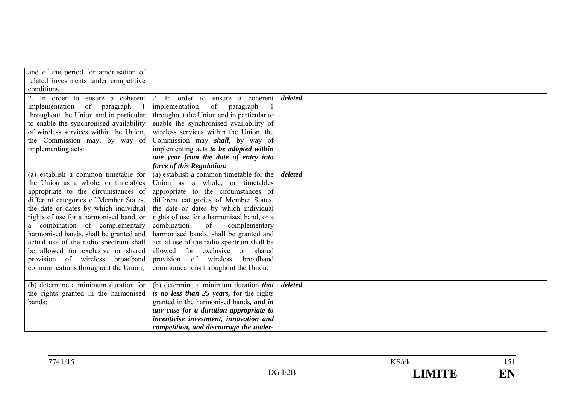| and of the period for amortisation of<br>related investments under competitive<br>conditions.                                                                                                                                                                                                                                                                                                                                                                                              |                                                                                                                                                                                                                                                                                                                                                                                                                                                                                                        |         |  |
|--------------------------------------------------------------------------------------------------------------------------------------------------------------------------------------------------------------------------------------------------------------------------------------------------------------------------------------------------------------------------------------------------------------------------------------------------------------------------------------------|--------------------------------------------------------------------------------------------------------------------------------------------------------------------------------------------------------------------------------------------------------------------------------------------------------------------------------------------------------------------------------------------------------------------------------------------------------------------------------------------------------|---------|--|
| 2. In order to ensure a coherent<br>of paragraph<br>implementation<br>throughout the Union and in particular<br>to enable the synchronised availability<br>of wireless services within the Union,<br>the Commission may, by way of<br>implementing acts:                                                                                                                                                                                                                                   | 2. In order to ensure a coherent<br>implementation<br>of<br>paragraph<br>throughout the Union and in particular to<br>enable the synchronised availability of<br>wireless services within the Union, the<br>Commission may shall, by way of<br>implementing acts to be adopted within<br>one year from the date of entry into<br>force of this Regulation:                                                                                                                                             | deleted |  |
| (a) establish a common timetable for<br>the Union as a whole, or timetables<br>appropriate to the circumstances of<br>different categories of Member States,<br>the date or dates by which individual<br>rights of use for a harmonised band, or<br>a combination of complementary<br>harmonised bands, shall be granted and<br>actual use of the radio spectrum shall<br>be allowed for exclusive or shared<br>provision of wireless<br>broadband<br>communications throughout the Union; | (a) establish a common timetable for the<br>Union as a whole, or timetables<br>appropriate to the circumstances of<br>different categories of Member States,<br>the date or dates by which individual<br>rights of use for a harmonised band, or a<br>combination<br>of<br>complementary<br>harmonised bands, shall be granted and<br>actual use of the radio spectrum shall be<br>allowed for exclusive or shared<br>of<br>provision<br>wireless<br>broadband<br>communications throughout the Union; | deleted |  |
| (b) determine a minimum duration for<br>the rights granted in the harmonised<br>bands;                                                                                                                                                                                                                                                                                                                                                                                                     | (b) determine a minimum duration that<br>is no less than 25 years, for the rights<br>granted in the harmonised bands, and in<br>any case for a duration appropriate to<br>incentivise investment, innovation and<br>competition, and discourage the under-                                                                                                                                                                                                                                             | deleted |  |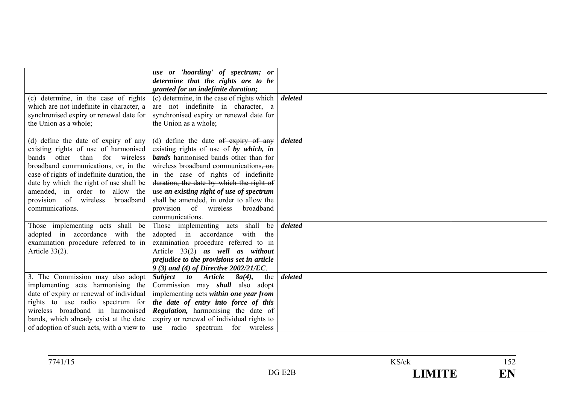|                                            | use or 'hoarding' of spectrum; or            |         |  |
|--------------------------------------------|----------------------------------------------|---------|--|
|                                            | determine that the rights are to be          |         |  |
|                                            | granted for an indefinite duration;          |         |  |
| (c) determine, in the case of rights       | (c) determine, in the case of rights which   | deleted |  |
| which are not indefinite in character, a   | are not indefinite in character, a           |         |  |
| synchronised expiry or renewal date for    | synchronised expiry or renewal date for      |         |  |
| the Union as a whole;                      | the Union as a whole;                        |         |  |
|                                            |                                              |         |  |
| (d) define the date of expiry of any       | (d) define the date $\theta$ expiry of any   | deleted |  |
| existing rights of use of harmonised       | existing rights of use of by which, in       |         |  |
| bands other than for wireless              | <b>bands</b> harmonised bands other than for |         |  |
| broadband communications, or, in the       | wireless broadband communications, or,       |         |  |
| case of rights of indefinite duration, the | in the case of rights of indefinite          |         |  |
| date by which the right of use shall be    | duration, the date by which the right of     |         |  |
| amended, in order to allow the             | use an existing right of use of spectrum     |         |  |
| provision of wireless<br>broadband         | shall be amended, in order to allow the      |         |  |
| communications.                            | provision of wireless<br>broadband           |         |  |
|                                            | communications.                              |         |  |
| Those implementing acts shall be           | Those implementing acts shall<br>be          | deleted |  |
| adopted in accordance with the             | adopted in accordance with the               |         |  |
| examination procedure referred to in       | examination procedure referred to in         |         |  |
| Article $33(2)$ .                          | Article 33(2) as well as without             |         |  |
|                                            | prejudice to the provisions set in article   |         |  |
|                                            | 9 (3) and (4) of Directive 2002/21/EC.       |         |  |
| 3. The Commission may also adopt           | Subject to Article<br>$8a(4)$ ,<br>the       | deleted |  |
| implementing acts harmonising the          | Commission may shall also adopt              |         |  |
| date of expiry or renewal of individual    | implementing acts within one year from       |         |  |
| rights to use radio spectrum for           | the date of entry into force of this         |         |  |
| wireless broadband in harmonised           | Regulation, harmonising the date of          |         |  |
| bands, which already exist at the date     | expiry or renewal of individual rights to    |         |  |
| of adoption of such acts, with a view to   | use radio spectrum for wireless              |         |  |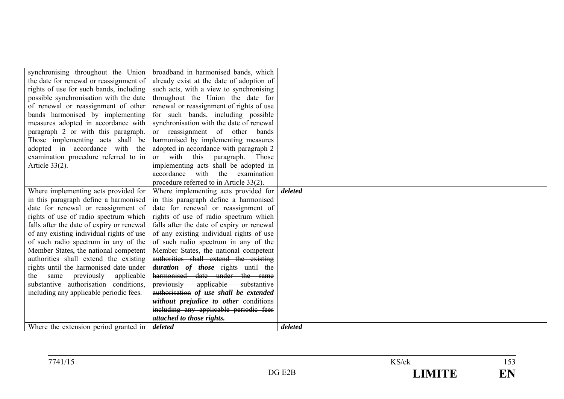| synchronising throughout the Union        | broadband in harmonised bands, which      |         |  |
|-------------------------------------------|-------------------------------------------|---------|--|
| the date for renewal or reassignment of   | already exist at the date of adoption of  |         |  |
| rights of use for such bands, including   | such acts, with a view to synchronising   |         |  |
| possible synchronisation with the date    | throughout the Union the date for         |         |  |
| of renewal or reassignment of other       | renewal or reassignment of rights of use  |         |  |
| bands harmonised by implementing          | for such bands, including possible        |         |  |
| measures adopted in accordance with       | synchronisation with the date of renewal  |         |  |
| paragraph 2 or with this paragraph.       | or reassignment of other<br>bands         |         |  |
| Those implementing acts shall be          | harmonised by implementing measures       |         |  |
| adopted in accordance with the            | adopted in accordance with paragraph 2    |         |  |
| examination procedure referred to in      | or with this paragraph.<br>Those          |         |  |
| Article $33(2)$ .                         | implementing acts shall be adopted in     |         |  |
|                                           | accordance with the examination           |         |  |
|                                           | procedure referred to in Article 33(2).   |         |  |
| Where implementing acts provided for      | Where implementing acts provided for      | deleted |  |
| in this paragraph define a harmonised     | in this paragraph define a harmonised     |         |  |
| date for renewal or reassignment of       | date for renewal or reassignment of       |         |  |
| rights of use of radio spectrum which     | rights of use of radio spectrum which     |         |  |
| falls after the date of expiry or renewal | falls after the date of expiry or renewal |         |  |
| of any existing individual rights of use  | of any existing individual rights of use  |         |  |
| of such radio spectrum in any of the      | of such radio spectrum in any of the      |         |  |
| Member States, the national competent     | Member States, the national competent     |         |  |
| authorities shall extend the existing     | authorities shall extend the existing     |         |  |
| rights until the harmonised date under    | duration of those rights until the        |         |  |
| same previously applicable<br>the         | harmonised date under the same            |         |  |
| substantive authorisation conditions,     | previously applicable substantive         |         |  |
| including any applicable periodic fees.   | authorisation of use shall be extended    |         |  |
|                                           | without prejudice to other conditions     |         |  |
|                                           | including any applicable periodic fees    |         |  |
|                                           | attached to those rights.                 |         |  |
| Where the extension period granted in     | deleted                                   | deleted |  |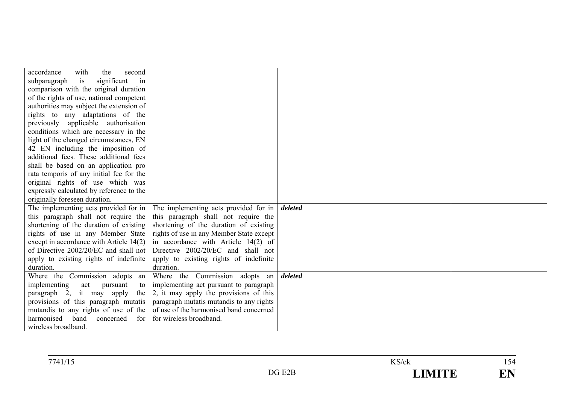| accordance<br>with<br>second<br>the      |                                          |         |  |
|------------------------------------------|------------------------------------------|---------|--|
| significant<br>subparagraph<br>is<br>in  |                                          |         |  |
| comparison with the original duration    |                                          |         |  |
| of the rights of use, national competent |                                          |         |  |
| authorities may subject the extension of |                                          |         |  |
| rights to any adaptations of the         |                                          |         |  |
| previously applicable authorisation      |                                          |         |  |
| conditions which are necessary in the    |                                          |         |  |
| light of the changed circumstances, EN   |                                          |         |  |
| 42 EN including the imposition of        |                                          |         |  |
| additional fees. These additional fees   |                                          |         |  |
| shall be based on an application pro     |                                          |         |  |
| rata temporis of any initial fee for the |                                          |         |  |
| original rights of use which was         |                                          |         |  |
| expressly calculated by reference to the |                                          |         |  |
| originally foreseen duration.            |                                          |         |  |
| The implementing acts provided for in    | The implementing acts provided for in    | deleted |  |
| this paragraph shall not require the     | this paragraph shall not require the     |         |  |
| shortening of the duration of existing   | shortening of the duration of existing   |         |  |
| rights of use in any Member State        | rights of use in any Member State except |         |  |
| except in accordance with Article 14(2)  | in accordance with Article $14(2)$ of    |         |  |
| of Directive 2002/20/EC and shall not    | Directive 2002/20/EC and shall not       |         |  |
| apply to existing rights of indefinite   | apply to existing rights of indefinite   |         |  |
| duration.                                | duration.                                |         |  |
| Where the Commission adopts an           | Where the Commission adopts an           | deleted |  |
| implementing<br>act pursuant<br>to 1     | implementing act pursuant to paragraph   |         |  |
| paragraph 2, it may apply<br>the         | 2, it may apply the provisions of this   |         |  |
| provisions of this paragraph mutatis     | paragraph mutatis mutandis to any rights |         |  |
| mutandis to any rights of use of the     | of use of the harmonised band concerned  |         |  |
| harmonised band<br>concerned<br>for      | for wireless broadband.                  |         |  |
| wireless broadband.                      |                                          |         |  |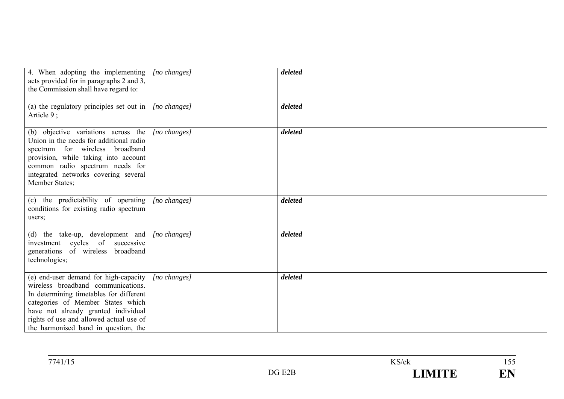| 4. When adopting the implementing<br>acts provided for in paragraphs 2 and 3,<br>the Commission shall have regard to:                                                                                                                                                                 | $[no\ changes]$ | deleted |  |
|---------------------------------------------------------------------------------------------------------------------------------------------------------------------------------------------------------------------------------------------------------------------------------------|-----------------|---------|--|
| (a) the regulatory principles set out in $\vert$<br>Article $9$ ;                                                                                                                                                                                                                     | [no changes]    | deleted |  |
| (b) objective variations across the<br>Union in the needs for additional radio<br>spectrum for wireless broadband<br>provision, while taking into account<br>common radio spectrum needs for<br>integrated networks covering several<br>Member States;                                | $[no\ changes]$ | deleted |  |
| (c) the predictability of operating<br>conditions for existing radio spectrum<br>users;                                                                                                                                                                                               | $[no\ changes]$ | deleted |  |
| (d) the take-up, development and<br>investment cycles of successive<br>generations of wireless broadband<br>technologies;                                                                                                                                                             | $[no\ changes]$ | deleted |  |
| (e) end-user demand for high-capacity<br>wireless broadband communications.<br>In determining timetables for different<br>categories of Member States which<br>have not already granted individual<br>rights of use and allowed actual use of<br>the harmonised band in question, the | $[no\ changes]$ | deleted |  |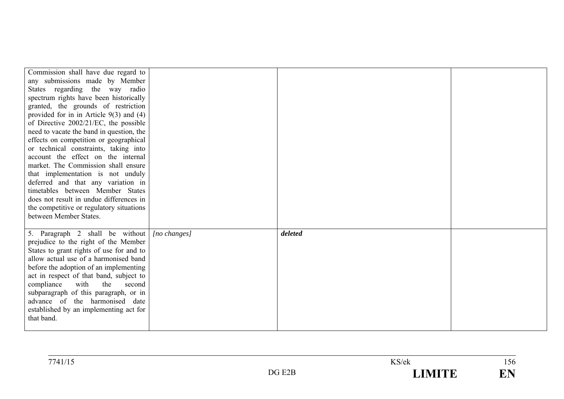| Commission shall have due regard to<br>any submissions made by Member<br>States regarding the way radio<br>spectrum rights have been historically<br>granted, the grounds of restriction<br>provided for in in Article $9(3)$ and $(4)$<br>of Directive $2002/21/EC$ , the possible<br>need to vacate the band in question, the<br>effects on competition or geographical<br>or technical constraints, taking into<br>account the effect on the internal<br>market. The Commission shall ensure<br>that implementation is not unduly<br>deferred and that any variation in<br>timetables between Member States<br>does not result in undue differences in<br>the competitive or regulatory situations |                 |         |  |
|-------------------------------------------------------------------------------------------------------------------------------------------------------------------------------------------------------------------------------------------------------------------------------------------------------------------------------------------------------------------------------------------------------------------------------------------------------------------------------------------------------------------------------------------------------------------------------------------------------------------------------------------------------------------------------------------------------|-----------------|---------|--|
| between Member States.<br>5. Paragraph 2 shall be without<br>prejudice to the right of the Member<br>States to grant rights of use for and to<br>allow actual use of a harmonised band<br>before the adoption of an implementing<br>act in respect of that band, subject to<br>with<br>compliance<br>the<br>second<br>subparagraph of this paragraph, or in<br>advance of the harmonised date<br>established by an implementing act for<br>that band.                                                                                                                                                                                                                                                 | $[no\ changes]$ | deleted |  |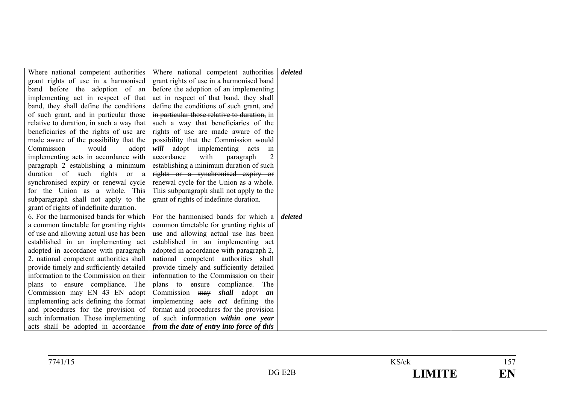| Where national competent authorities     | Where national competent authorities                                          | deleted |  |
|------------------------------------------|-------------------------------------------------------------------------------|---------|--|
| grant rights of use in a harmonised      | grant rights of use in a harmonised band                                      |         |  |
| band before the adoption of an           | before the adoption of an implementing                                        |         |  |
| implementing act in respect of that      | act in respect of that band, they shall                                       |         |  |
| band, they shall define the conditions   | define the conditions of such grant, and                                      |         |  |
| of such grant, and in particular those   | in particular those relative to duration, in                                  |         |  |
| relative to duration, in such a way that | such a way that beneficiaries of the                                          |         |  |
| beneficiaries of the rights of use are   | rights of use are made aware of the                                           |         |  |
| made aware of the possibility that the   | possibility that the Commission would                                         |         |  |
| Commission<br>would<br>adopt             | will adopt implementing acts<br>in                                            |         |  |
| implementing acts in accordance with     | accordance<br>with<br>paragraph                                               |         |  |
| paragraph 2 establishing a minimum       | establishing a minimum duration of such                                       |         |  |
| duration of such rights or a             | rights or a synchronised expiry or                                            |         |  |
| synchronised expiry or renewal cycle     | renewal cycle for the Union as a whole.                                       |         |  |
| for the Union as a whole. This           | This subparagraph shall not apply to the                                      |         |  |
| subparagraph shall not apply to the      | grant of rights of indefinite duration.                                       |         |  |
| grant of rights of indefinite duration.  |                                                                               |         |  |
| 6. For the harmonised bands for which    | For the harmonised bands for which a                                          | deleted |  |
| a common timetable for granting rights   | common timetable for granting rights of                                       |         |  |
| of use and allowing actual use has been  | use and allowing actual use has been                                          |         |  |
| established in an implementing act       | established in an implementing act                                            |         |  |
| adopted in accordance with paragraph     | adopted in accordance with paragraph 2,                                       |         |  |
| 2, national competent authorities shall  | national competent authorities shall                                          |         |  |
| provide timely and sufficiently detailed | provide timely and sufficiently detailed                                      |         |  |
| information to the Commission on their   | information to the Commission on their                                        |         |  |
| plans to ensure compliance. The          | plans to ensure compliance.<br>The                                            |         |  |
| Commission may EN 43 EN adopt            | Commission may shall adopt an                                                 |         |  |
| implementing acts defining the format    | implementing acts <i>act</i> defining the                                     |         |  |
| and procedures for the provision of      | format and procedures for the provision                                       |         |  |
| such information. Those implementing     | of such information within one year                                           |         |  |
|                                          | acts shall be adopted in accordance from the date of entry into force of this |         |  |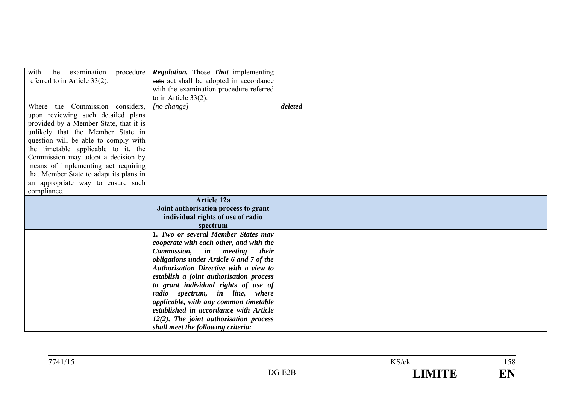| examination<br>with<br>the<br>referred to in Article 33(2).                                                                                                                                                                                                                                                                                                                                                     | procedure <i>Regulation</i> . Those <i>That</i> implementing<br>acts act shall be adopted in accordance<br>with the examination procedure referred<br>to in Article $33(2)$ .                                                                                                                                                                                                                                                                                                                                           |         |  |
|-----------------------------------------------------------------------------------------------------------------------------------------------------------------------------------------------------------------------------------------------------------------------------------------------------------------------------------------------------------------------------------------------------------------|-------------------------------------------------------------------------------------------------------------------------------------------------------------------------------------------------------------------------------------------------------------------------------------------------------------------------------------------------------------------------------------------------------------------------------------------------------------------------------------------------------------------------|---------|--|
| Where the Commission considers,<br>upon reviewing such detailed plans<br>provided by a Member State, that it is<br>unlikely that the Member State in<br>question will be able to comply with<br>the timetable applicable to it, the<br>Commission may adopt a decision by<br>means of implementing act requiring<br>that Member State to adapt its plans in<br>an appropriate way to ensure such<br>compliance. | $[no \space change]$                                                                                                                                                                                                                                                                                                                                                                                                                                                                                                    | deleted |  |
|                                                                                                                                                                                                                                                                                                                                                                                                                 | <b>Article 12a</b><br>Joint authorisation process to grant<br>individual rights of use of radio<br>spectrum                                                                                                                                                                                                                                                                                                                                                                                                             |         |  |
|                                                                                                                                                                                                                                                                                                                                                                                                                 | 1. Two or several Member States may<br>cooperate with each other, and with the<br>Commission,<br><i>in meeting</i><br><i>their</i><br>obligations under Article 6 and 7 of the<br><b>Authorisation Directive with a view to</b><br>establish a joint authorisation process<br>to grant individual rights of use of<br>radio spectrum, in line, where<br>applicable, with any common timetable<br>established in accordance with Article<br>12(2). The joint authorisation process<br>shall meet the following criteria: |         |  |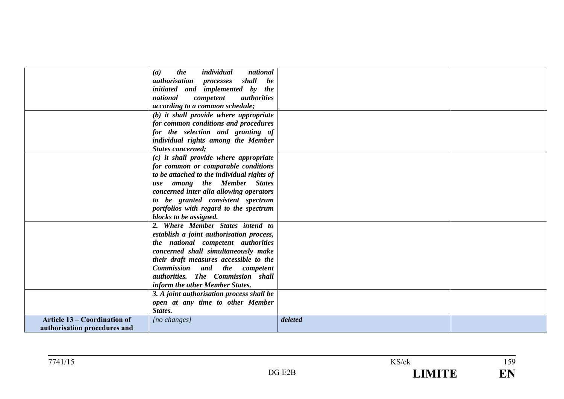|                                     | individual<br>national<br>(a)<br>the        |         |  |
|-------------------------------------|---------------------------------------------|---------|--|
|                                     | <i>authorisation processes</i><br>shall be  |         |  |
|                                     | initiated and implemented by the            |         |  |
|                                     | competent<br>national<br><i>authorities</i> |         |  |
|                                     | <i>according to a common schedule;</i>      |         |  |
|                                     | (b) it shall provide where appropriate      |         |  |
|                                     | for common conditions and procedures        |         |  |
|                                     | for the selection and granting of           |         |  |
|                                     | individual rights among the Member          |         |  |
|                                     | <b>States concerned;</b>                    |         |  |
|                                     | (c) it shall provide where appropriate      |         |  |
|                                     | for common or comparable conditions         |         |  |
|                                     | to be attached to the individual rights of  |         |  |
|                                     | use among the Member States                 |         |  |
|                                     | concerned inter alia allowing operators     |         |  |
|                                     | to be granted consistent spectrum           |         |  |
|                                     | portfolios with regard to the spectrum      |         |  |
|                                     | blocks to be assigned.                      |         |  |
|                                     | 2. Where Member States intend to            |         |  |
|                                     | establish a joint authorisation process,    |         |  |
|                                     | the national competent authorities          |         |  |
|                                     | concerned shall simultaneously make         |         |  |
|                                     | their draft measures accessible to the      |         |  |
|                                     | Commission and the competent                |         |  |
|                                     | authorities. The Commission shall           |         |  |
|                                     | inform the other Member States.             |         |  |
|                                     | 3. A joint authorisation process shall be   |         |  |
|                                     | open at any time to other Member            |         |  |
|                                     | States.                                     |         |  |
| <b>Article 13 – Coordination of</b> | $[no\ changes]$                             | deleted |  |
| authorisation procedures and        |                                             |         |  |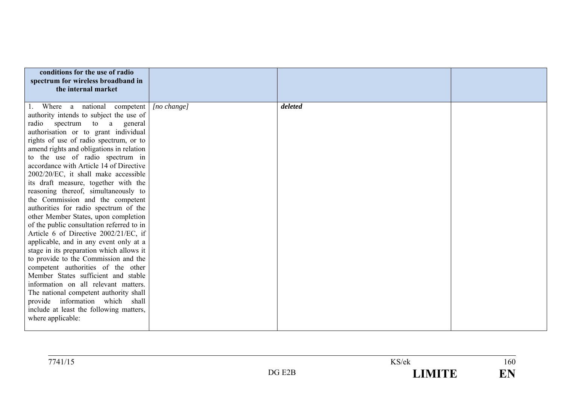| conditions for the use of radio<br>spectrum for wireless broadband in<br>the internal market |             |         |  |
|----------------------------------------------------------------------------------------------|-------------|---------|--|
| 1. Where a national competent                                                                | [no change] | deleted |  |
| authority intends to subject the use of                                                      |             |         |  |
| radio<br>spectrum to a<br>general                                                            |             |         |  |
| authorisation or to grant individual                                                         |             |         |  |
| rights of use of radio spectrum, or to                                                       |             |         |  |
| amend rights and obligations in relation                                                     |             |         |  |
| to the use of radio spectrum in                                                              |             |         |  |
| accordance with Article 14 of Directive                                                      |             |         |  |
| 2002/20/EC, it shall make accessible                                                         |             |         |  |
| its draft measure, together with the<br>reasoning thereof, simultaneously to                 |             |         |  |
| the Commission and the competent                                                             |             |         |  |
| authorities for radio spectrum of the                                                        |             |         |  |
| other Member States, upon completion                                                         |             |         |  |
| of the public consultation referred to in                                                    |             |         |  |
| Article 6 of Directive 2002/21/EC, if                                                        |             |         |  |
| applicable, and in any event only at a                                                       |             |         |  |
| stage in its preparation which allows it                                                     |             |         |  |
| to provide to the Commission and the                                                         |             |         |  |
| competent authorities of the other                                                           |             |         |  |
| Member States sufficient and stable                                                          |             |         |  |
| information on all relevant matters.                                                         |             |         |  |
| The national competent authority shall<br>provide information which shall                    |             |         |  |
| include at least the following matters,                                                      |             |         |  |
| where applicable:                                                                            |             |         |  |
|                                                                                              |             |         |  |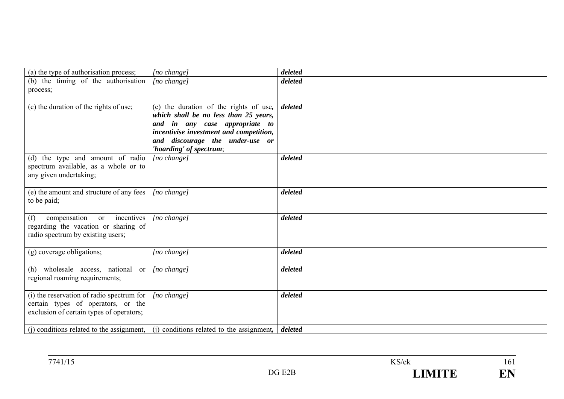| (a) the type of authorisation process;                                                                                          | [no change]                                                                                                                                                                                     | deleted |  |
|---------------------------------------------------------------------------------------------------------------------------------|-------------------------------------------------------------------------------------------------------------------------------------------------------------------------------------------------|---------|--|
| (b) the timing of the authorisation<br>process;                                                                                 | [no change]                                                                                                                                                                                     | deleted |  |
|                                                                                                                                 |                                                                                                                                                                                                 |         |  |
| (c) the duration of the rights of use;                                                                                          | (c) the duration of the rights of use,<br>which shall be no less than 25 years,<br>and in any case appropriate to<br>incentivise investment and competition,<br>and discourage the under-use or | deleted |  |
| (d) the type and amount of radio                                                                                                | 'hoarding' of spectrum;<br>[no change]                                                                                                                                                          | deleted |  |
| spectrum available, as a whole or to<br>any given undertaking;                                                                  |                                                                                                                                                                                                 |         |  |
| (e) the amount and structure of any fees<br>to be paid;                                                                         | $[no \space change]$                                                                                                                                                                            | deleted |  |
| incentives<br>compensation<br>(f)<br><sub>or</sub><br>regarding the vacation or sharing of<br>radio spectrum by existing users; | [no change]                                                                                                                                                                                     | deleted |  |
| (g) coverage obligations;                                                                                                       | [no change]                                                                                                                                                                                     | deleted |  |
| (h) wholesale access, national or<br>regional roaming requirements;                                                             | $[no \space change]$                                                                                                                                                                            | deleted |  |
| (i) the reservation of radio spectrum for<br>certain types of operators, or the<br>exclusion of certain types of operators;     | $[no \space change]$                                                                                                                                                                            | deleted |  |
|                                                                                                                                 | (i) conditions related to the assignment, $($ i) conditions related to the assignment,                                                                                                          | deleted |  |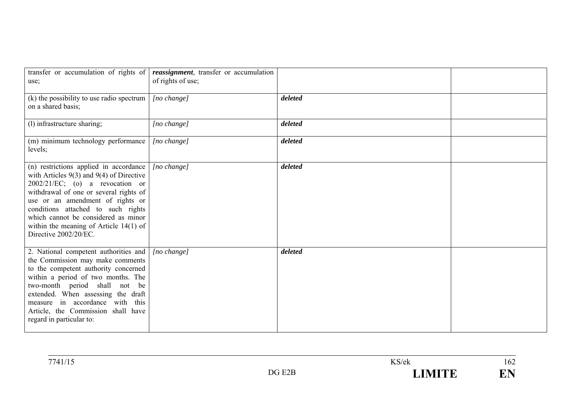| use;                                                                                                                                                                                                                                                                                                                                                         | transfer or accumulation of rights of <i>reassignment</i> , transfer or accumulation<br>of rights of use; |         |  |
|--------------------------------------------------------------------------------------------------------------------------------------------------------------------------------------------------------------------------------------------------------------------------------------------------------------------------------------------------------------|-----------------------------------------------------------------------------------------------------------|---------|--|
| (k) the possibility to use radio spectrum<br>on a shared basis;                                                                                                                                                                                                                                                                                              | [no change]                                                                                               | deleted |  |
| (l) infrastructure sharing;                                                                                                                                                                                                                                                                                                                                  | [no change]                                                                                               | deleted |  |
| (m) minimum technology performance<br>levels;                                                                                                                                                                                                                                                                                                                | $[no \space change]$                                                                                      | deleted |  |
| (n) restrictions applied in accordance<br>with Articles $9(3)$ and $9(4)$ of Directive<br>$2002/21/EC$ ; (o) a revocation or<br>withdrawal of one or several rights of<br>use or an amendment of rights or<br>conditions attached to such rights<br>which cannot be considered as minor<br>within the meaning of Article $14(1)$ of<br>Directive 2002/20/EC. | [no change]                                                                                               | deleted |  |
| 2. National competent authorities and<br>the Commission may make comments<br>to the competent authority concerned<br>within a period of two months. The<br>two-month period shall not be<br>extended. When assessing the draft<br>measure in accordance with this<br>Article, the Commission shall have<br>regard in particular to:                          | [no change]                                                                                               | deleted |  |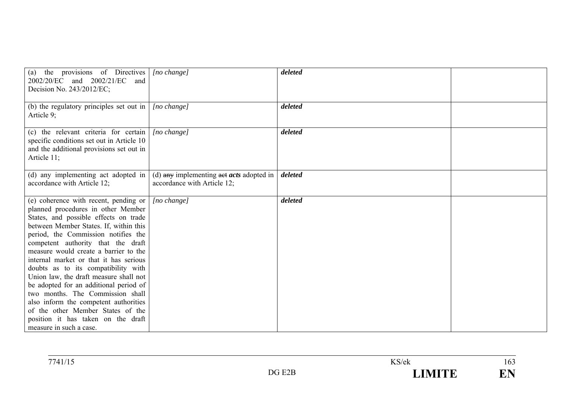| (a) the provisions of Directives<br>2002/20/EC and 2002/21/EC<br>and<br>Decision No. 243/2012/EC;                                                                                                                                                                                                                                                                                                                                                                                                                                                                                                                                            | [no change]                                                                                    | deleted |  |
|----------------------------------------------------------------------------------------------------------------------------------------------------------------------------------------------------------------------------------------------------------------------------------------------------------------------------------------------------------------------------------------------------------------------------------------------------------------------------------------------------------------------------------------------------------------------------------------------------------------------------------------------|------------------------------------------------------------------------------------------------|---------|--|
| (b) the regulatory principles set out in $\vert$<br>Article 9;                                                                                                                                                                                                                                                                                                                                                                                                                                                                                                                                                                               | [no change]                                                                                    | deleted |  |
| (c) the relevant criteria for certain<br>specific conditions set out in Article 10<br>and the additional provisions set out in<br>Article 11;                                                                                                                                                                                                                                                                                                                                                                                                                                                                                                | [no change]                                                                                    | deleted |  |
| (d) any implementing act adopted in<br>accordance with Article 12;                                                                                                                                                                                                                                                                                                                                                                                                                                                                                                                                                                           | (d) $\frac{any}{x}$ implementing $\frac{a}{at}$ acts adopted in<br>accordance with Article 12; | deleted |  |
| (e) coherence with recent, pending or<br>planned procedures in other Member<br>States, and possible effects on trade<br>between Member States. If, within this<br>period, the Commission notifies the<br>competent authority that the draft<br>measure would create a barrier to the<br>internal market or that it has serious<br>doubts as to its compatibility with<br>Union law, the draft measure shall not<br>be adopted for an additional period of<br>two months. The Commission shall<br>also inform the competent authorities<br>of the other Member States of the<br>position it has taken on the draft<br>measure in such a case. | [no change]                                                                                    | deleted |  |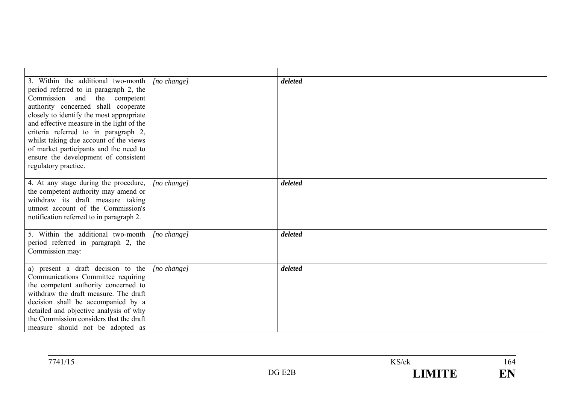| 3. Within the additional two-month<br>period referred to in paragraph 2, the<br>Commission and the competent<br>authority concerned shall cooperate<br>closely to identify the most appropriate<br>and effective measure in the light of the<br>criteria referred to in paragraph 2,<br>whilst taking due account of the views<br>of market participants and the need to<br>ensure the development of consistent<br>regulatory practice. | $[no \space change]$ | deleted |  |
|------------------------------------------------------------------------------------------------------------------------------------------------------------------------------------------------------------------------------------------------------------------------------------------------------------------------------------------------------------------------------------------------------------------------------------------|----------------------|---------|--|
| 4. At any stage during the procedure,<br>the competent authority may amend or<br>withdraw its draft measure taking<br>utmost account of the Commission's<br>notification referred to in paragraph 2.                                                                                                                                                                                                                                     | $[no \space change]$ | deleted |  |
| 5. Within the additional two-month<br>period referred in paragraph 2, the<br>Commission may:                                                                                                                                                                                                                                                                                                                                             | $[no \space change]$ | deleted |  |
| a) present a draft decision to the<br>Communications Committee requiring<br>the competent authority concerned to<br>withdraw the draft measure. The draft<br>decision shall be accompanied by a<br>detailed and objective analysis of why<br>the Commission considers that the draft<br>measure should not be adopted as                                                                                                                 | $[no \space change]$ | deleted |  |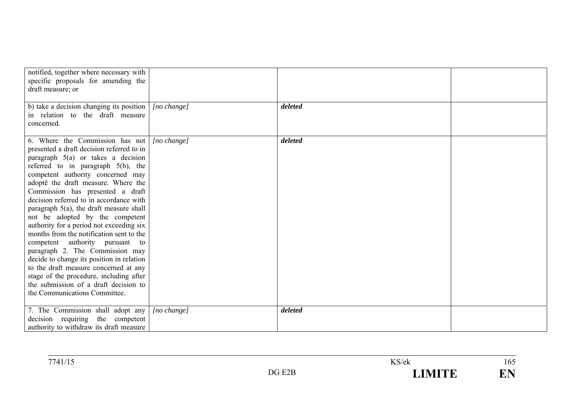| notified, together where necessary with<br>specific proposals for amending the<br>draft measure; or                                                                                                                                                                                                                                                                                                                                                                                                                                                                                                                                                                                                                                                                             |                      |         |  |
|---------------------------------------------------------------------------------------------------------------------------------------------------------------------------------------------------------------------------------------------------------------------------------------------------------------------------------------------------------------------------------------------------------------------------------------------------------------------------------------------------------------------------------------------------------------------------------------------------------------------------------------------------------------------------------------------------------------------------------------------------------------------------------|----------------------|---------|--|
| b) take a decision changing its position<br>in relation to the draft measure<br>concerned.                                                                                                                                                                                                                                                                                                                                                                                                                                                                                                                                                                                                                                                                                      | [no change]          | deleted |  |
| 6. Where the Commission has not<br>presented a draft decision referred to in<br>paragraph $5(a)$ or takes a decision<br>referred to in paragraph $5(b)$ , the<br>competent authority concerned may<br>adopte the draft measure. Where the<br>Commission has presented a draft<br>decision referred to in accordance with<br>paragraph 5(a), the draft measure shall<br>not be adopted by the competent<br>authority for a period not exceeding six<br>months from the notification sent to the<br>competent authority pursuant to<br>paragraph 2. The Commission may<br>decide to change its position in relation<br>to the draft measure concerned at any<br>stage of the procedure, including after<br>the submission of a draft decision to<br>the Communications Committee. | $[no \ change]$      | deleted |  |
| 7. The Commission shall adopt any<br>decision requiring the competent<br>authority to withdraw its draft measure                                                                                                                                                                                                                                                                                                                                                                                                                                                                                                                                                                                                                                                                | $[no \space change]$ | deleted |  |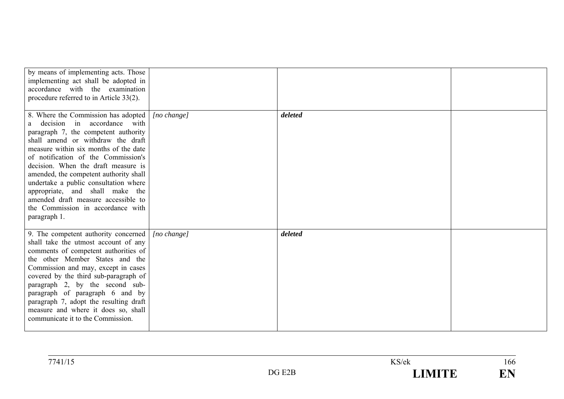| by means of implementing acts. Those<br>implementing act shall be adopted in<br>accordance with the examination<br>procedure referred to in Article 33(2).                                                                                                                                                                                                                                                                                                                                    |                      |         |  |
|-----------------------------------------------------------------------------------------------------------------------------------------------------------------------------------------------------------------------------------------------------------------------------------------------------------------------------------------------------------------------------------------------------------------------------------------------------------------------------------------------|----------------------|---------|--|
| 8. Where the Commission has adopted<br>decision in accordance with<br>a<br>paragraph 7, the competent authority<br>shall amend or withdraw the draft<br>measure within six months of the date<br>of notification of the Commission's<br>decision. When the draft measure is<br>amended, the competent authority shall<br>undertake a public consultation where<br>appropriate, and shall make the<br>amended draft measure accessible to<br>the Commission in accordance with<br>paragraph 1. | $[no \ change]$      | deleted |  |
| 9. The competent authority concerned<br>shall take the utmost account of any<br>comments of competent authorities of<br>the other Member States and the<br>Commission and may, except in cases<br>covered by the third sub-paragraph of<br>paragraph 2, by the second sub-<br>paragraph of paragraph 6 and by<br>paragraph 7, adopt the resulting draft<br>measure and where it does so, shall<br>communicate it to the Commission.                                                           | $[no \space change]$ | deleted |  |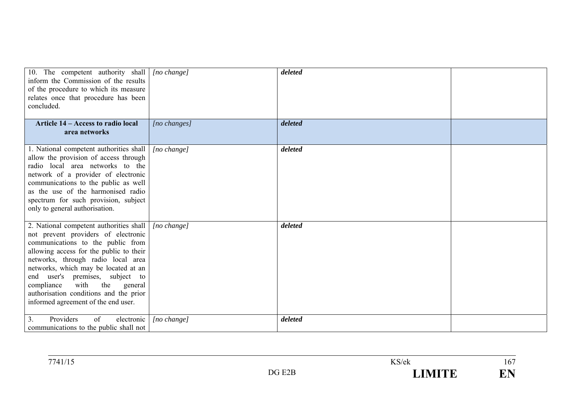| 10. The competent authority shall [ <i>no change</i> ]<br>inform the Commission of the results<br>of the procedure to which its measure<br>relates once that procedure has been<br>concluded.                                                                                                                                                                                                            |                      | deleted |  |
|----------------------------------------------------------------------------------------------------------------------------------------------------------------------------------------------------------------------------------------------------------------------------------------------------------------------------------------------------------------------------------------------------------|----------------------|---------|--|
| Article 14 – Access to radio local<br>area networks                                                                                                                                                                                                                                                                                                                                                      | [no changes]         | deleted |  |
| 1. National competent authorities shall<br>allow the provision of access through<br>radio local area networks to the<br>network of a provider of electronic<br>communications to the public as well<br>as the use of the harmonised radio<br>spectrum for such provision, subject<br>only to general authorisation.                                                                                      | [no change]          | deleted |  |
| 2. National competent authorities shall<br>not prevent providers of electronic<br>communications to the public from<br>allowing access for the public to their<br>networks, through radio local area<br>networks, which may be located at an<br>end user's premises, subject to<br>the<br>compliance<br>with<br>general<br>authorisation conditions and the prior<br>informed agreement of the end user. | [no change]          | deleted |  |
| of<br>3 <sub>1</sub><br>Providers<br>electronic<br>communications to the public shall not                                                                                                                                                                                                                                                                                                                | $[no \space change]$ | deleted |  |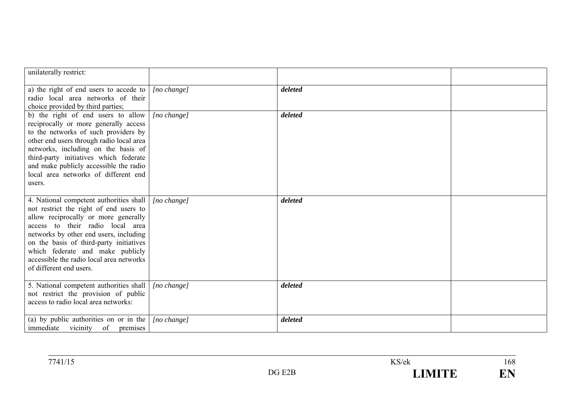| unilaterally restrict:                                                                                                                                                                                                                                                                                                                                        |                      |         |  |
|---------------------------------------------------------------------------------------------------------------------------------------------------------------------------------------------------------------------------------------------------------------------------------------------------------------------------------------------------------------|----------------------|---------|--|
| a) the right of end users to accede to<br>radio local area networks of their<br>choice provided by third parties;                                                                                                                                                                                                                                             | $[no \space change]$ | deleted |  |
| b) the right of end users to allow<br>reciprocally or more generally access<br>to the networks of such providers by<br>other end users through radio local area<br>networks, including on the basis of<br>third-party initiatives which federate<br>and make publicly accessible the radio<br>local area networks of different end<br>users.                  | [no change]          | deleted |  |
| 4. National competent authorities shall<br>not restrict the right of end users to<br>allow reciprocally or more generally<br>access to their radio local area<br>networks by other end users, including<br>on the basis of third-party initiatives<br>which federate and make publicly<br>accessible the radio local area networks<br>of different end users. | $[no \space change]$ | deleted |  |
| 5. National competent authorities shall<br>not restrict the provision of public<br>access to radio local area networks:                                                                                                                                                                                                                                       | [no change]          | deleted |  |
| (a) by public authorities on or in the $\vert$<br>immediate vicinity of premises                                                                                                                                                                                                                                                                              | $[no \space change]$ | deleted |  |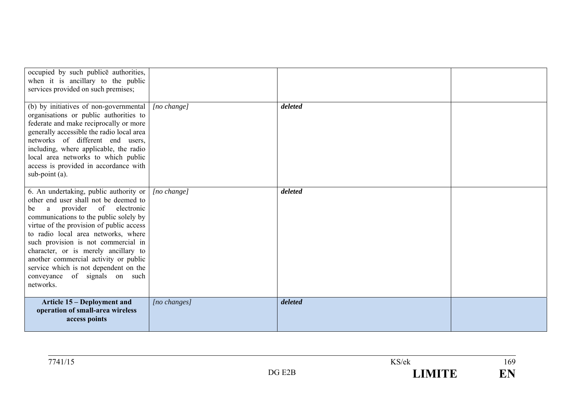| occupied by such publice authorities,<br>when it is ancillary to the public<br>services provided on such premises;                                                                                                                                                                                                                                                                                                                                               |              |         |  |
|------------------------------------------------------------------------------------------------------------------------------------------------------------------------------------------------------------------------------------------------------------------------------------------------------------------------------------------------------------------------------------------------------------------------------------------------------------------|--------------|---------|--|
| (b) by initiatives of non-governmental<br>organisations or public authorities to<br>federate and make reciprocally or more<br>generally accessible the radio local area<br>networks of different end users,<br>including, where applicable, the radio<br>local area networks to which public<br>access is provided in accordance with<br>sub-point (a).                                                                                                          | [no change]  | deleted |  |
| 6. An undertaking, public authority or<br>other end user shall not be deemed to<br>provider of electronic<br>a<br>be<br>communications to the public solely by<br>virtue of the provision of public access<br>to radio local area networks, where<br>such provision is not commercial in<br>character, or is merely ancillary to<br>another commercial activity or public<br>service which is not dependent on the<br>conveyance of signals on such<br>networks. | [no change]  | deleted |  |
| <b>Article 15 – Deployment and</b><br>operation of small-area wireless<br>access points                                                                                                                                                                                                                                                                                                                                                                          | [no changes] | deleted |  |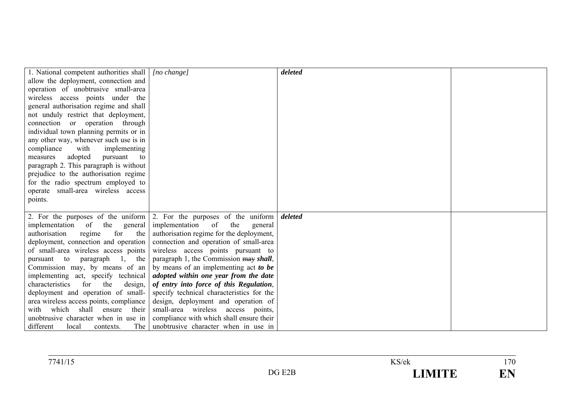| 1. National competent authorities shall           | $[no \ change]$                                                               | deleted |  |
|---------------------------------------------------|-------------------------------------------------------------------------------|---------|--|
| allow the deployment, connection and              |                                                                               |         |  |
| operation of unobtrusive small-area               |                                                                               |         |  |
| wireless access points under the                  |                                                                               |         |  |
| general authorisation regime and shall            |                                                                               |         |  |
| not unduly restrict that deployment,              |                                                                               |         |  |
| connection or operation through                   |                                                                               |         |  |
| individual town planning permits or in            |                                                                               |         |  |
| any other way, whenever such use is in            |                                                                               |         |  |
| compliance<br>with<br>implementing                |                                                                               |         |  |
| adopted<br>measures<br>pursuant<br>to             |                                                                               |         |  |
| paragraph 2. This paragraph is without            |                                                                               |         |  |
| prejudice to the authorisation regime             |                                                                               |         |  |
| for the radio spectrum employed to                |                                                                               |         |  |
| operate small-area wireless access                |                                                                               |         |  |
| points.                                           |                                                                               |         |  |
|                                                   |                                                                               |         |  |
|                                                   | 2. For the purposes of the uniform $\vert$ 2. For the purposes of the uniform | deleted |  |
| of<br>the<br>implementation<br>general            | implementation<br>of<br>the<br>general                                        |         |  |
| for<br>the<br>authorisation<br>regime             | authorisation regime for the deployment,                                      |         |  |
| deployment, connection and operation              | connection and operation of small-area                                        |         |  |
| of small-area wireless access points              | wireless access points pursuant to                                            |         |  |
| pursuant to<br>paragraph<br>the<br>$\mathbf{1}$ . | paragraph 1, the Commission may shall,                                        |         |  |
| Commission may, by means of an                    | by means of an implementing act to be                                         |         |  |
| implementing act, specify technical               | adopted within one year from the date                                         |         |  |
| characteristics<br>for<br>the<br>design,          | of entry into force of this Regulation,                                       |         |  |
| deployment and operation of small-                | specify technical characteristics for the                                     |         |  |
| area wireless access points, compliance           | design, deployment and operation of                                           |         |  |
| with which<br>shall<br>their<br>ensure            | small-area wireless access points,                                            |         |  |
| unobtrusive character when in use in              | compliance with which shall ensure their                                      |         |  |
| different<br>The<br>local<br>contexts.            | unobtrusive character when in use in                                          |         |  |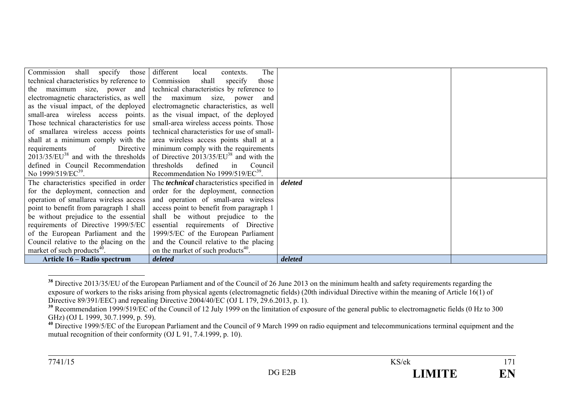| Commission shall specify those            | The<br>different<br>local<br>contexts.            |         |  |
|-------------------------------------------|---------------------------------------------------|---------|--|
| technical characteristics by reference to | Commission<br>shall<br>specify<br>those           |         |  |
| the maximum size, power and               | technical characteristics by reference to         |         |  |
| electromagnetic characteristics, as well  | the maximum size, power and                       |         |  |
| as the visual impact, of the deployed     | electromagnetic characteristics, as well          |         |  |
| small-area wireless access points.        | as the visual impact, of the deployed             |         |  |
| Those technical characteristics for use   | small-area wireless access points. Those          |         |  |
| of smallarea wireless access points       | technical characteristics for use of small-       |         |  |
| shall at a minimum comply with the        | area wireless access points shall at a            |         |  |
| Directive<br>requirements<br>of           | minimum comply with the requirements              |         |  |
| $2013/35/EU^{38}$ and with the thresholds | of Directive $2013/35/EU^{38}$ and with the       |         |  |
| defined in Council Recommendation         | defined<br>thresholds<br>Council<br>$\sin$        |         |  |
| No 1999/519/EC <sup>39</sup> .            | Recommendation No $1999/519/EC^{39}$ .            |         |  |
| The characteristics specified in order    | The <i>technical</i> characteristics specified in | deleted |  |
| for the deployment, connection and        | order for the deployment, connection              |         |  |
| operation of smallarea wireless access    | and operation of small-area wireless              |         |  |
| point to benefit from paragraph 1 shall   | access point to benefit from paragraph 1          |         |  |
| be without prejudice to the essential     | shall be without prejudice to the                 |         |  |
| requirements of Directive 1999/5/EC       | essential requirements of Directive               |         |  |
| of the European Parliament and the        | 1999/5/EC of the European Parliament              |         |  |
| Council relative to the placing on the    | and the Council relative to the placing           |         |  |
| market of such products <sup>40</sup> .   | on the market of such products <sup>40</sup> .    |         |  |
| Article 16 – Radio spectrum               | deleted                                           | deleted |  |

**<sup>38</sup>** Directive 2013/35/EU of the European Parliament and of the Council of 26 June 2013 on the minimum health and safety requirements regarding the exposure of workers to the risks arising from physical agents (electromagnetic fields) (20th individual Directive within the meaning of Article 16(1) of Directive 89/391/EEC) and repealing Directive 2004/40/EC (OJ L 179, 29.6.2013, p. 1).

<sup>&</sup>lt;sup>39</sup> Recommendation 1999/519/EC of the Council of 12 July 1999 on the limitation of exposure of the general public to electromagnetic fields (0 Hz to 300) GHz) (OJ L 1999, 30.7.1999, p. 59).

<sup>&</sup>lt;sup>40</sup> Directive 1999/5/EC of the European Parliament and the Council of 9 March 1999 on radio equipment and telecommunications terminal equipment and the mutual recognition of their conformity (OJ L 91, 7.4.1999, p. 10).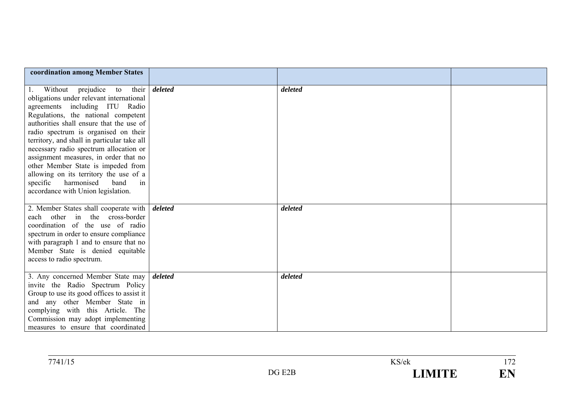| coordination among Member States                                                                                                                                                                                                                                                                                                                                                                                                                                                                                                             |         |         |  |
|----------------------------------------------------------------------------------------------------------------------------------------------------------------------------------------------------------------------------------------------------------------------------------------------------------------------------------------------------------------------------------------------------------------------------------------------------------------------------------------------------------------------------------------------|---------|---------|--|
| Without<br>prejudice<br>to their<br>1.<br>obligations under relevant international<br>agreements including ITU Radio<br>Regulations, the national competent<br>authorities shall ensure that the use of<br>radio spectrum is organised on their<br>territory, and shall in particular take all<br>necessary radio spectrum allocation or<br>assignment measures, in order that no<br>other Member State is impeded from<br>allowing on its territory the use of a<br>specific harmonised<br>in<br>band<br>accordance with Union legislation. | deleted | deleted |  |
| 2. Member States shall cooperate with<br>other in the<br>cross-border<br>each<br>coordination of the use of radio<br>spectrum in order to ensure compliance<br>with paragraph 1 and to ensure that no<br>Member State is denied equitable<br>access to radio spectrum.                                                                                                                                                                                                                                                                       | deleted | deleted |  |
| 3. Any concerned Member State may<br>invite the Radio Spectrum Policy<br>Group to use its good offices to assist it<br>and any other Member State in<br>complying with this Article. The<br>Commission may adopt implementing<br>measures to ensure that coordinated                                                                                                                                                                                                                                                                         | deleted | deleted |  |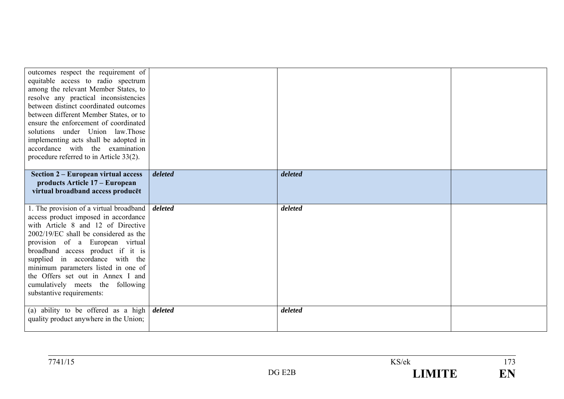| outcomes respect the requirement of<br>equitable access to radio spectrum<br>among the relevant Member States, to<br>resolve any practical inconsistencies<br>between distinct coordinated outcomes<br>between different Member States, or to<br>ensure the enforcement of coordinated<br>solutions under Union law. Those<br>implementing acts shall be adopted in<br>accordance with the examination<br>procedure referred to in Article 33(2). |         |         |  |
|---------------------------------------------------------------------------------------------------------------------------------------------------------------------------------------------------------------------------------------------------------------------------------------------------------------------------------------------------------------------------------------------------------------------------------------------------|---------|---------|--|
| Section 2 – European virtual access<br>products Article 17 – European                                                                                                                                                                                                                                                                                                                                                                             | deleted | deleted |  |
| virtual broadband access producet                                                                                                                                                                                                                                                                                                                                                                                                                 |         |         |  |
| 1. The provision of a virtual broadband<br>access product imposed in accordance<br>with Article 8 and 12 of Directive<br>2002/19/EC shall be considered as the<br>provision of a European virtual<br>broadband access product if it is<br>supplied in accordance with the<br>minimum parameters listed in one of<br>the Offers set out in Annex I and<br>cumulatively meets the following<br>substantive requirements:                            | deleted | deleted |  |
| (a) ability to be offered as a high<br>quality product anywhere in the Union;                                                                                                                                                                                                                                                                                                                                                                     | deleted | deleted |  |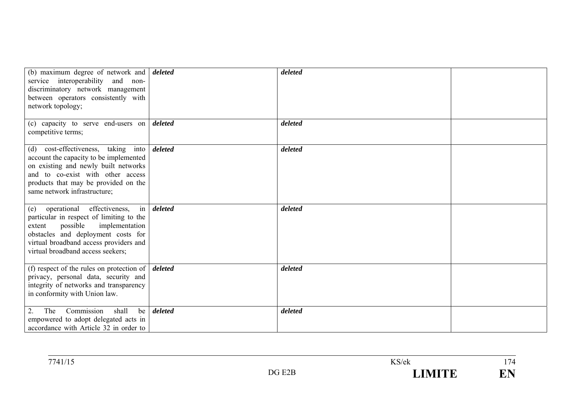| (b) maximum degree of network and <i>deleted</i><br>service interoperability and non-<br>discriminatory network management<br>between operators consistently with<br>network topology;                                                  |                   | deleted |  |
|-----------------------------------------------------------------------------------------------------------------------------------------------------------------------------------------------------------------------------------------|-------------------|---------|--|
| (c) capacity to serve end-users on $\delta$ deleted<br>competitive terms;                                                                                                                                                               |                   | deleted |  |
| (d) cost-effectiveness, taking into<br>account the capacity to be implemented<br>on existing and newly built networks<br>and to co-exist with other access<br>products that may be provided on the<br>same network infrastructure;      | deleted           | deleted |  |
| (e) operational effectiveness,<br>particular in respect of limiting to the<br>implementation<br>possible<br>extent<br>obstacles and deployment costs for<br>virtual broadband access providers and<br>virtual broadband access seekers; | in <i>deleted</i> | deleted |  |
| (f) respect of the rules on protection of $\vert$ <i>deleted</i><br>privacy, personal data, security and<br>integrity of networks and transparency<br>in conformity with Union law.                                                     |                   | deleted |  |
| Commission<br>shall<br>2.<br>be  <br>The<br>empowered to adopt delegated acts in<br>accordance with Article 32 in order to                                                                                                              | deleted           | deleted |  |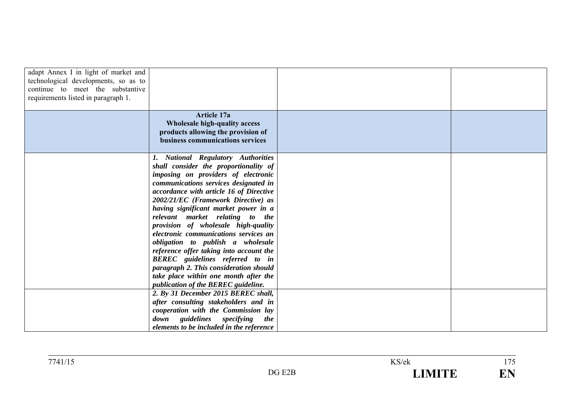| adapt Annex I in light of market and<br>technological developments, so as to<br>continue to meet the substantive<br>requirements listed in paragraph 1. | <b>Article 17a</b>                                                                                                                                                                                                                                                                                                                                                                                                                                                                                                                                                                                                                                    |  |
|---------------------------------------------------------------------------------------------------------------------------------------------------------|-------------------------------------------------------------------------------------------------------------------------------------------------------------------------------------------------------------------------------------------------------------------------------------------------------------------------------------------------------------------------------------------------------------------------------------------------------------------------------------------------------------------------------------------------------------------------------------------------------------------------------------------------------|--|
|                                                                                                                                                         | Wholesale high-quality access<br>products allowing the provision of<br>business communications services                                                                                                                                                                                                                                                                                                                                                                                                                                                                                                                                               |  |
|                                                                                                                                                         | 1. National Regulatory Authorities<br>shall consider the proportionality of<br>imposing on providers of electronic<br>communications services designated in<br>accordance with article 16 of Directive<br>2002/21/EC (Framework Directive) as<br>having significant market power in a<br>relevant market relating to the<br>provision of wholesale high-quality<br>electronic communications services an<br>obligation to publish a wholesale<br>reference offer taking into account the<br>BEREC guidelines referred to in<br>paragraph 2. This consideration should<br>take place within one month after the<br>publication of the BEREC guideline. |  |
|                                                                                                                                                         | 2. By 31 December 2015 BEREC shall,<br>after consulting stakeholders and in<br>cooperation with the Commission lay<br>down guidelines specifying<br><i>the</i><br>elements to be included in the reference                                                                                                                                                                                                                                                                                                                                                                                                                                            |  |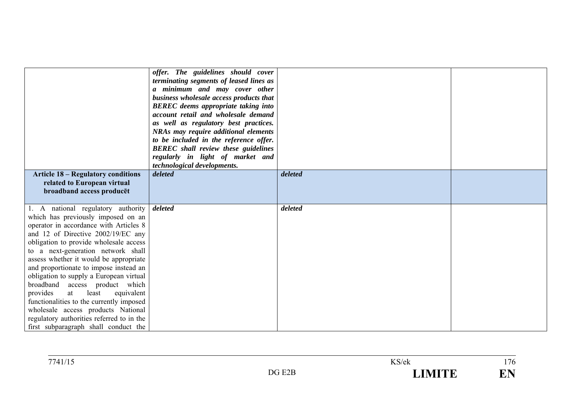| <b>Article 18 – Regulatory conditions</b><br>related to European virtual<br>broadband access producet                                                                                                                                                                                                                                                                                                                                                                                                                                                                                                                     | offer. The guidelines should cover<br>terminating segments of leased lines as<br>a minimum and may cover other<br>business wholesale access products that<br><b>BEREC</b> deems appropriate taking into<br>account retail and wholesale demand<br>as well as regulatory best practices.<br><b>NRAs may require additional elements</b><br>to be included in the reference offer.<br><b>BEREC</b> shall review these guidelines<br>regularly in light of market and<br>technological developments.<br>deleted | deleted |  |
|---------------------------------------------------------------------------------------------------------------------------------------------------------------------------------------------------------------------------------------------------------------------------------------------------------------------------------------------------------------------------------------------------------------------------------------------------------------------------------------------------------------------------------------------------------------------------------------------------------------------------|--------------------------------------------------------------------------------------------------------------------------------------------------------------------------------------------------------------------------------------------------------------------------------------------------------------------------------------------------------------------------------------------------------------------------------------------------------------------------------------------------------------|---------|--|
| 1. A national regulatory authority<br>which has previously imposed on an<br>operator in accordance with Articles 8<br>and 12 of Directive 2002/19/EC any<br>obligation to provide wholesale access<br>to a next-generation network shall<br>assess whether it would be appropriate<br>and proportionate to impose instead an<br>obligation to supply a European virtual<br>broadband access product which<br>least<br>provides<br>equivalent<br>at<br>functionalities to the currently imposed<br>wholesale access products National<br>regulatory authorities referred to in the<br>first subparagraph shall conduct the | deleted                                                                                                                                                                                                                                                                                                                                                                                                                                                                                                      | deleted |  |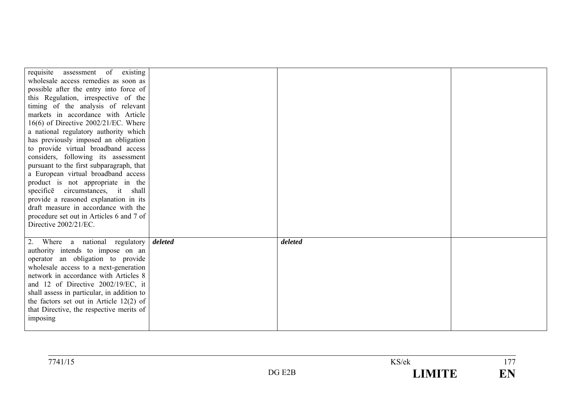| requisite assessment of existing<br>wholesale access remedies as soon as<br>possible after the entry into force of<br>this Regulation, irrespective of the<br>timing of the analysis of relevant<br>markets in accordance with Article<br>$16(6)$ of Directive $2002/21/EC$ . Where<br>a national regulatory authority which<br>has previously imposed an obligation<br>to provide virtual broadband access<br>considers, following its assessment<br>pursuant to the first subparagraph, that<br>a European virtual broadband access<br>product is not appropriate in the<br>specifice circumstances, it shall<br>provide a reasoned explanation in its<br>draft measure in accordance with the<br>procedure set out in Articles 6 and 7 of |         |         |  |
|----------------------------------------------------------------------------------------------------------------------------------------------------------------------------------------------------------------------------------------------------------------------------------------------------------------------------------------------------------------------------------------------------------------------------------------------------------------------------------------------------------------------------------------------------------------------------------------------------------------------------------------------------------------------------------------------------------------------------------------------|---------|---------|--|
| Directive 2002/21/EC.                                                                                                                                                                                                                                                                                                                                                                                                                                                                                                                                                                                                                                                                                                                        |         |         |  |
| 2. Where a national regulatory<br>authority intends to impose on an<br>operator an obligation to provide<br>wholesale access to a next-generation<br>network in accordance with Articles 8<br>and 12 of Directive 2002/19/EC, it<br>shall assess in particular, in addition to<br>the factors set out in Article $12(2)$ of<br>that Directive, the respective merits of<br>imposing                                                                                                                                                                                                                                                                                                                                                          | deleted | deleted |  |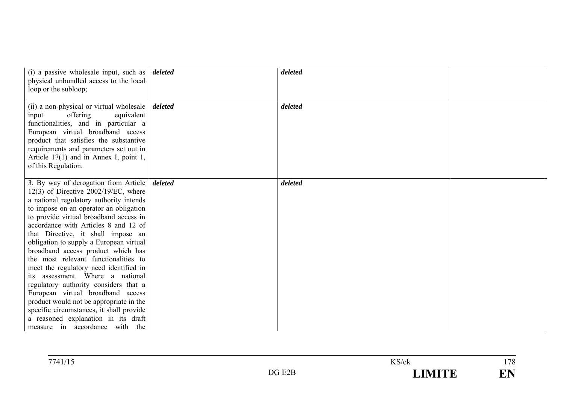| (i) a passive wholesale input, such as $\vert$ <i>deleted</i><br>physical unbundled access to the local<br>loop or the subloop;                                                                                                                                                                                                                                                                                                                                                                                                                                                                                                                                                                                                                     |         | deleted |  |
|-----------------------------------------------------------------------------------------------------------------------------------------------------------------------------------------------------------------------------------------------------------------------------------------------------------------------------------------------------------------------------------------------------------------------------------------------------------------------------------------------------------------------------------------------------------------------------------------------------------------------------------------------------------------------------------------------------------------------------------------------------|---------|---------|--|
| (ii) a non-physical or virtual wholesale  <br>offering<br>equivalent<br>input<br>functionalities, and in particular a<br>European virtual broadband access<br>product that satisfies the substantive<br>requirements and parameters set out in<br>Article $17(1)$ and in Annex I, point 1,<br>of this Regulation.                                                                                                                                                                                                                                                                                                                                                                                                                                   | deleted | deleted |  |
| 3. By way of derogation from Article<br>$12(3)$ of Directive $2002/19$ /EC, where<br>a national regulatory authority intends<br>to impose on an operator an obligation<br>to provide virtual broadband access in<br>accordance with Articles 8 and 12 of<br>that Directive, it shall impose an<br>obligation to supply a European virtual<br>broadband access product which has<br>the most relevant functionalities to<br>meet the regulatory need identified in<br>its assessment. Where a national<br>regulatory authority considers that a<br>European virtual broadband access<br>product would not be appropriate in the<br>specific circumstances, it shall provide<br>a reasoned explanation in its draft<br>measure in accordance with the | deleted | deleted |  |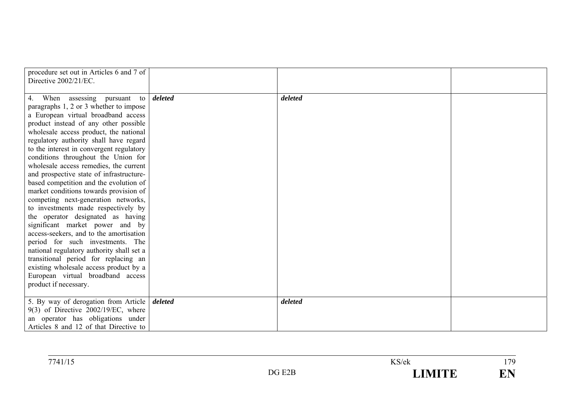| procedure set out in Articles 6 and 7 of<br>Directive 2002/21/EC. |         |         |  |
|-------------------------------------------------------------------|---------|---------|--|
| 4. When assessing pursuant to                                     | deleted | deleted |  |
| paragraphs 1, 2 or 3 whether to impose                            |         |         |  |
| a European virtual broadband access                               |         |         |  |
| product instead of any other possible                             |         |         |  |
| wholesale access product, the national                            |         |         |  |
| regulatory authority shall have regard                            |         |         |  |
| to the interest in convergent regulatory                          |         |         |  |
| conditions throughout the Union for                               |         |         |  |
| wholesale access remedies, the current                            |         |         |  |
| and prospective state of infrastructure-                          |         |         |  |
| based competition and the evolution of                            |         |         |  |
| market conditions towards provision of                            |         |         |  |
| competing next-generation networks,                               |         |         |  |
| to investments made respectively by                               |         |         |  |
| the operator designated as having                                 |         |         |  |
| significant market power and by                                   |         |         |  |
| access-seekers, and to the amortisation                           |         |         |  |
| period for such investments. The                                  |         |         |  |
| national regulatory authority shall set a                         |         |         |  |
| transitional period for replacing an                              |         |         |  |
| existing wholesale access product by a                            |         |         |  |
| European virtual broadband access                                 |         |         |  |
| product if necessary.                                             |         |         |  |
|                                                                   |         |         |  |
| 5. By way of derogation from Article                              | deleted | deleted |  |
| $9(3)$ of Directive 2002/19/EC, where                             |         |         |  |
| an operator has obligations under                                 |         |         |  |
| Articles 8 and 12 of that Directive to                            |         |         |  |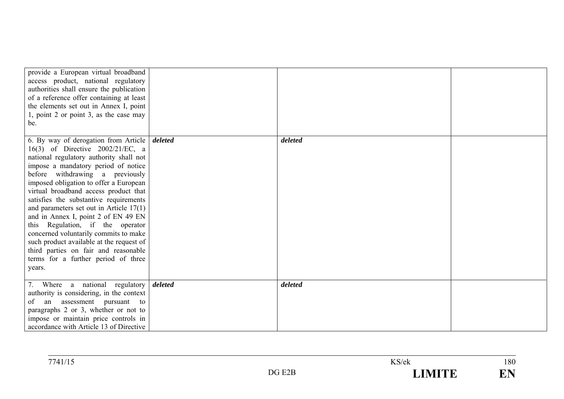| provide a European virtual broadband<br>access product, national regulatory<br>authorities shall ensure the publication<br>of a reference offer containing at least<br>the elements set out in Annex I, point<br>1, point 2 or point 3, as the case may<br>be.                                                                                                                                                                                                                                                                                                                                                                   |         |         |  |
|----------------------------------------------------------------------------------------------------------------------------------------------------------------------------------------------------------------------------------------------------------------------------------------------------------------------------------------------------------------------------------------------------------------------------------------------------------------------------------------------------------------------------------------------------------------------------------------------------------------------------------|---------|---------|--|
| 6. By way of derogation from Article<br>16(3) of Directive 2002/21/EC, a<br>national regulatory authority shall not<br>impose a mandatory period of notice<br>before withdrawing a previously<br>imposed obligation to offer a European<br>virtual broadband access product that<br>satisfies the substantive requirements<br>and parameters set out in Article $17(1)$<br>and in Annex I, point 2 of EN 49 EN<br>this Regulation, if the operator<br>concerned voluntarily commits to make<br>such product available at the request of<br>third parties on fair and reasonable<br>terms for a further period of three<br>years. | deleted | deleted |  |
| 7. Where a national regulatory<br>authority is considering, in the context<br>of<br>an assessment<br>pursuant to<br>paragraphs 2 or 3, whether or not to<br>impose or maintain price controls in<br>accordance with Article 13 of Directive                                                                                                                                                                                                                                                                                                                                                                                      | deleted | deleted |  |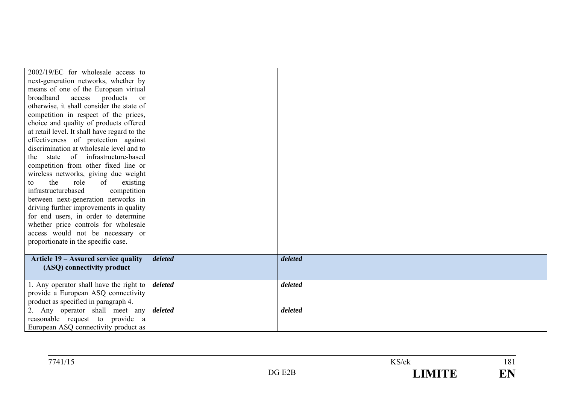| $2002/19/EC$ for wholesale access to                                        |         |         |  |
|-----------------------------------------------------------------------------|---------|---------|--|
| next-generation networks, whether by                                        |         |         |  |
| means of one of the European virtual                                        |         |         |  |
| broadband<br>products<br>access<br><sub>or</sub>                            |         |         |  |
| otherwise, it shall consider the state of                                   |         |         |  |
| competition in respect of the prices,                                       |         |         |  |
| choice and quality of products offered                                      |         |         |  |
| at retail level. It shall have regard to the                                |         |         |  |
| effectiveness of protection against                                         |         |         |  |
| discrimination at wholesale level and to                                    |         |         |  |
| state of infrastructure-based<br>the                                        |         |         |  |
| competition from other fixed line or                                        |         |         |  |
| wireless networks, giving due weight                                        |         |         |  |
| the<br>role<br>of<br>existing<br>to                                         |         |         |  |
| infrastructurebased<br>competition                                          |         |         |  |
| between next-generation networks in                                         |         |         |  |
| driving further improvements in quality                                     |         |         |  |
| for end users, in order to determine                                        |         |         |  |
| whether price controls for wholesale                                        |         |         |  |
| access would not be necessary or                                            |         |         |  |
| proportionate in the specific case.                                         |         |         |  |
|                                                                             |         |         |  |
| Article 19 - Assured service quality                                        | deleted | deleted |  |
| (ASQ) connectivity product                                                  |         |         |  |
|                                                                             | deleted | deleted |  |
| 1. Any operator shall have the right to                                     |         |         |  |
| provide a European ASQ connectivity<br>product as specified in paragraph 4. |         |         |  |
| 2. Any operator shall meet any                                              | deleted | deleted |  |
| reasonable request to provide a                                             |         |         |  |
| European ASQ connectivity product as                                        |         |         |  |
|                                                                             |         |         |  |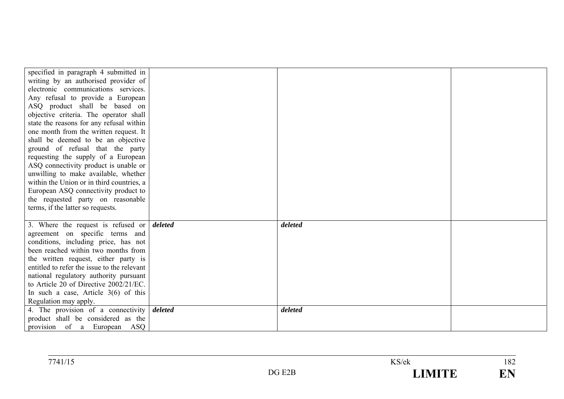| specified in paragraph 4 submitted in                             |         |  |
|-------------------------------------------------------------------|---------|--|
| writing by an authorised provider of                              |         |  |
| electronic communications services.                               |         |  |
| Any refusal to provide a European                                 |         |  |
| ASQ product shall be based on                                     |         |  |
| objective criteria. The operator shall                            |         |  |
| state the reasons for any refusal within                          |         |  |
| one month from the written request. It                            |         |  |
| shall be deemed to be an objective                                |         |  |
| ground of refusal that the party                                  |         |  |
| requesting the supply of a European                               |         |  |
| ASQ connectivity product is unable or                             |         |  |
| unwilling to make available, whether                              |         |  |
| within the Union or in third countries, a                         |         |  |
| European ASQ connectivity product to                              |         |  |
| the requested party on reasonable                                 |         |  |
| terms, if the latter so requests.                                 |         |  |
|                                                                   |         |  |
| 3. Where the request is refused or $\delta$ deleted               | deleted |  |
| agreement on specific terms and                                   |         |  |
| conditions, including price, has not                              |         |  |
| been reached within two months from                               |         |  |
| the written request, either party is                              |         |  |
| entitled to refer the issue to the relevant                       |         |  |
| national regulatory authority pursuant                            |         |  |
| to Article 20 of Directive 2002/21/EC.                            |         |  |
| In such a case, Article $3(6)$ of this                            |         |  |
| Regulation may apply.                                             |         |  |
|                                                                   |         |  |
| 4. The provision of a connectivity $\boldsymbol{delta}$           | deleted |  |
| product shall be considered as the<br>provision of a European ASQ |         |  |

| 7741/15 |        | KS/ek        | 1 ດາ<br>104         |
|---------|--------|--------------|---------------------|
|         | DG E2B | <b>IMITE</b> | $\blacksquare$<br>. |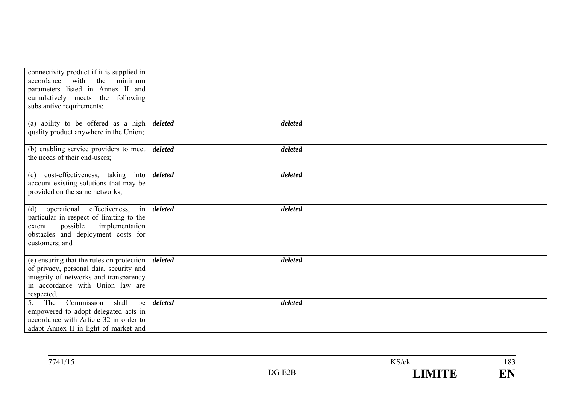| connectivity product if it is supplied in<br>with<br>the<br>minimum<br>accordance<br>parameters listed in Annex II and<br>cumulatively meets the following<br>substantive requirements: |         |         |  |
|-----------------------------------------------------------------------------------------------------------------------------------------------------------------------------------------|---------|---------|--|
| (a) ability to be offered as a high<br>quality product anywhere in the Union;                                                                                                           | deleted | deleted |  |
| (b) enabling service providers to meet<br>the needs of their end-users;                                                                                                                 | deleted | deleted |  |
| (c) cost-effectiveness, taking<br>into<br>account existing solutions that may be<br>provided on the same networks;                                                                      | deleted | deleted |  |
| in<br>operational<br>effectiveness,<br>(d)<br>particular in respect of limiting to the<br>possible<br>implementation<br>extent<br>obstacles and deployment costs for<br>customers; and  | deleted | deleted |  |
| (e) ensuring that the rules on protection<br>of privacy, personal data, security and<br>integrity of networks and transparency<br>in accordance with Union law are<br>respected.        | deleted | deleted |  |
| Commission<br>shall<br>5.<br>The<br>be<br>empowered to adopt delegated acts in<br>accordance with Article 32 in order to<br>adapt Annex II in light of market and                       | deleted | deleted |  |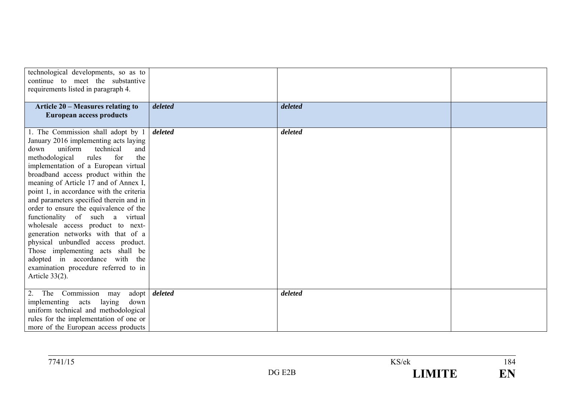| technological developments, so as to<br>continue to meet the substantive<br>requirements listed in paragraph 4.                                                                                                                                                                                                                                                                                                                                                                                                                                                                                                                                                                                                |         |         |  |
|----------------------------------------------------------------------------------------------------------------------------------------------------------------------------------------------------------------------------------------------------------------------------------------------------------------------------------------------------------------------------------------------------------------------------------------------------------------------------------------------------------------------------------------------------------------------------------------------------------------------------------------------------------------------------------------------------------------|---------|---------|--|
| Article 20 - Measures relating to<br><b>European access products</b>                                                                                                                                                                                                                                                                                                                                                                                                                                                                                                                                                                                                                                           | deleted | deleted |  |
| 1. The Commission shall adopt by 1<br>January 2016 implementing acts laying<br>uniform<br>technical<br>down<br>and<br>methodological<br>rules<br>for<br>the<br>implementation of a European virtual<br>broadband access product within the<br>meaning of Article 17 and of Annex I,<br>point 1, in accordance with the criteria<br>and parameters specified therein and in<br>order to ensure the equivalence of the<br>functionality of such a<br>virtual<br>wholesale access product to next-<br>generation networks with that of a<br>physical unbundled access product.<br>Those implementing acts shall be<br>adopted in accordance with the<br>examination procedure referred to in<br>Article $33(2)$ . | deleted | deleted |  |
| Commission<br>2. The<br>adopt<br>may<br>implementing<br>acts<br>laying<br>down<br>uniform technical and methodological<br>rules for the implementation of one or<br>more of the European access products                                                                                                                                                                                                                                                                                                                                                                                                                                                                                                       | deleted | deleted |  |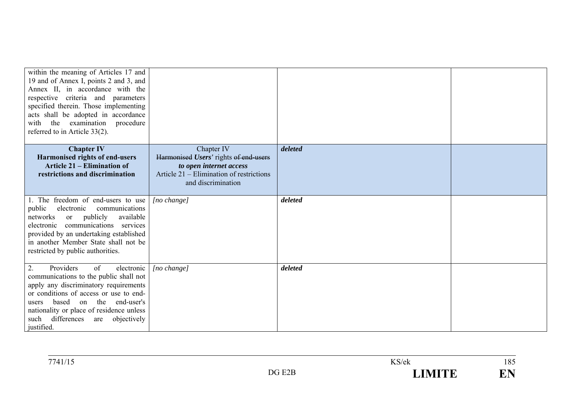| within the meaning of Articles 17 and<br>19 and of Annex I, points 2 and 3, and<br>Annex II, in accordance with the<br>respective criteria and parameters<br>specified therein. Those implementing<br>acts shall be adopted in accordance<br>the examination<br>procedure<br>with<br>referred to in Article 33(2). |                                                                                                                                                  |         |  |
|--------------------------------------------------------------------------------------------------------------------------------------------------------------------------------------------------------------------------------------------------------------------------------------------------------------------|--------------------------------------------------------------------------------------------------------------------------------------------------|---------|--|
| <b>Chapter IV</b><br>Harmonised rights of end-users<br><b>Article 21 – Elimination of</b><br>restrictions and discrimination                                                                                                                                                                                       | Chapter IV<br>Harmonised Users' rights of end-users<br>to open internet access<br>Article 21 – Elimination of restrictions<br>and discrimination | deleted |  |
| 1. The freedom of end-users to use<br>public<br>electronic<br>communications<br>publicly<br>available<br>networks<br><sub>or</sub><br>communications services<br>electronic<br>provided by an undertaking established<br>in another Member State shall not be<br>restricted by public authorities.                 | [no change]                                                                                                                                      | deleted |  |
| 2.<br>Providers<br>of<br>electronic<br>communications to the public shall not<br>apply any discriminatory requirements<br>or conditions of access or use to end-<br>based<br>on the<br>end-user's<br>users<br>nationality or place of residence unless<br>such differences<br>objectively<br>are<br>justified.     | [no change]                                                                                                                                      | deleted |  |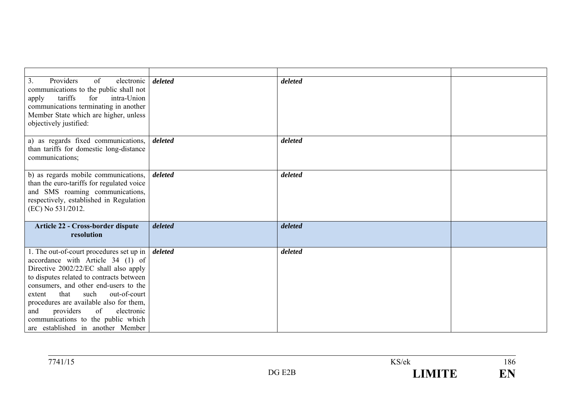| Providers<br>of<br>3.<br>electronic                                              | deleted | deleted |  |
|----------------------------------------------------------------------------------|---------|---------|--|
| communications to the public shall not<br>for<br>intra-Union<br>tariffs<br>apply |         |         |  |
| communications terminating in another                                            |         |         |  |
| Member State which are higher, unless                                            |         |         |  |
| objectively justified:                                                           |         |         |  |
|                                                                                  |         |         |  |
| a) as regards fixed communications,                                              | deleted | deleted |  |
| than tariffs for domestic long-distance<br>communications;                       |         |         |  |
|                                                                                  |         |         |  |
| b) as regards mobile communications,                                             | deleted | deleted |  |
| than the euro-tariffs for regulated voice                                        |         |         |  |
| and SMS roaming communications,                                                  |         |         |  |
| respectively, established in Regulation<br>(EC) No 531/2012.                     |         |         |  |
|                                                                                  |         |         |  |
| Article 22 - Cross-border dispute                                                | deleted | deleted |  |
| resolution                                                                       |         |         |  |
|                                                                                  | deleted | deleted |  |
| 1. The out-of-court procedures set up in<br>accordance with Article 34 (1) of    |         |         |  |
| Directive 2002/22/EC shall also apply                                            |         |         |  |
| to disputes related to contracts between                                         |         |         |  |
| consumers, and other end-users to the                                            |         |         |  |
| that<br>such<br>out-of-court<br>extent                                           |         |         |  |
| procedures are available also for them,<br>of<br>electronic<br>providers<br>and  |         |         |  |
| communications to the public which                                               |         |         |  |
| are established in another Member                                                |         |         |  |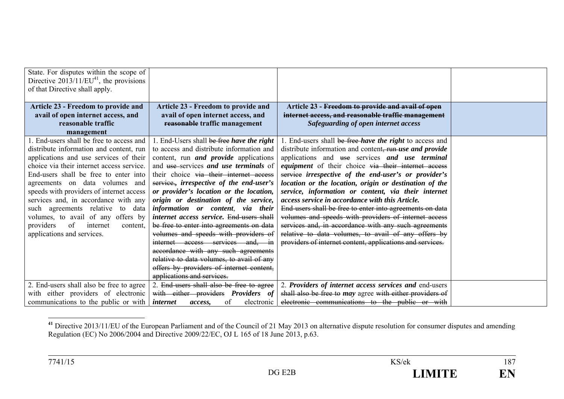| State. For disputes within the scope of<br>Directive $2013/11/EU41$ , the provisions<br>of that Directive shall apply.                                                                                                                                                                                                                                                                                                                                                                          |                                                                                                                                                                                                                                                                                                                                                                                                                                                                                                                                                                                                                                                                                                  |                                                                                                                                                                                                                                                                                                                                                                                                                                                                                                                                                                                                                                                                                                                                                                       |  |
|-------------------------------------------------------------------------------------------------------------------------------------------------------------------------------------------------------------------------------------------------------------------------------------------------------------------------------------------------------------------------------------------------------------------------------------------------------------------------------------------------|--------------------------------------------------------------------------------------------------------------------------------------------------------------------------------------------------------------------------------------------------------------------------------------------------------------------------------------------------------------------------------------------------------------------------------------------------------------------------------------------------------------------------------------------------------------------------------------------------------------------------------------------------------------------------------------------------|-----------------------------------------------------------------------------------------------------------------------------------------------------------------------------------------------------------------------------------------------------------------------------------------------------------------------------------------------------------------------------------------------------------------------------------------------------------------------------------------------------------------------------------------------------------------------------------------------------------------------------------------------------------------------------------------------------------------------------------------------------------------------|--|
| Article 23 - Freedom to provide and<br>avail of open internet access, and<br>reasonable traffic                                                                                                                                                                                                                                                                                                                                                                                                 | Article 23 - Freedom to provide and<br>avail of open internet access, and<br>reasonable traffic management                                                                                                                                                                                                                                                                                                                                                                                                                                                                                                                                                                                       | Article 23 - Freedom to provide and avail of open<br>internet access, and reasonable traffic management<br>Safeguarding of open internet access                                                                                                                                                                                                                                                                                                                                                                                                                                                                                                                                                                                                                       |  |
| management                                                                                                                                                                                                                                                                                                                                                                                                                                                                                      |                                                                                                                                                                                                                                                                                                                                                                                                                                                                                                                                                                                                                                                                                                  |                                                                                                                                                                                                                                                                                                                                                                                                                                                                                                                                                                                                                                                                                                                                                                       |  |
| 1. End-users shall be free to access and<br>distribute information and content, run<br>applications and use services of their<br>choice via their internet access service.<br>End-users shall be free to enter into<br>agreements on data volumes and<br>speeds with providers of internet access<br>services and, in accordance with any<br>such agreements relative<br>to data<br>volumes, to avail of any offers by<br>providers<br>of<br>internet<br>content.<br>applications and services. | 1. End-Users shall be free have the right<br>to access and distribute information and<br>content, run <i>and provide</i> applications<br>and use services and use terminals of<br>their choice via their internet access<br>service, irrespective of the end-user's<br>or provider's location or the location,<br>origin or destination of the service,<br>information or content, via their<br>internet access service. End-users shall<br>be free to enter into agreements on data<br>volumes and speeds with providers of<br>internet access services and, in<br>accordance with any such agreements<br>relative to data volumes, to avail of any<br>offers by providers of internet content, | 1. End-users shall be free <i>have the right</i> to access and<br>distribute information and content, run use and provide<br>applications and use services and use terminal<br><i>equipment</i> of their choice via their internet access<br>service irrespective of the end-user's or provider's<br>location or the location, origin or destination of the<br>service, information or content, via their internet<br>access service in accordance with this Article.<br>End-users shall be free to enter into agreements on data<br>volumes and speeds with providers of internet access<br>services and, in accordance with any such agreements<br>relative to data volumes, to avail of any offers by<br>providers of internet content, applications and services. |  |
|                                                                                                                                                                                                                                                                                                                                                                                                                                                                                                 | applications and services.                                                                                                                                                                                                                                                                                                                                                                                                                                                                                                                                                                                                                                                                       |                                                                                                                                                                                                                                                                                                                                                                                                                                                                                                                                                                                                                                                                                                                                                                       |  |
| 2. End-users shall also be free to agree<br>with either providers of electronic                                                                                                                                                                                                                                                                                                                                                                                                                 | 2. End-users shall also be free to agree<br>with either providers Providers of                                                                                                                                                                                                                                                                                                                                                                                                                                                                                                                                                                                                                   | 2. Providers of internet access services and end-users<br>shall also be free to may agree with either providers of                                                                                                                                                                                                                                                                                                                                                                                                                                                                                                                                                                                                                                                    |  |
| communications to the public or with                                                                                                                                                                                                                                                                                                                                                                                                                                                            | of<br>internet<br>electronic<br>access.                                                                                                                                                                                                                                                                                                                                                                                                                                                                                                                                                                                                                                                          | electronic communications to the public or with                                                                                                                                                                                                                                                                                                                                                                                                                                                                                                                                                                                                                                                                                                                       |  |

<sup>&</sup>lt;sup>41</sup> Directive 2013/11/EU of the European Parliament and of the Council of 21 May 2013 on alternative dispute resolution for consumer disputes and amending Regulation (EC) No 2006/2004 and Directive 2009/22/EC, OJ L 165 of 18 June 2013, p.63.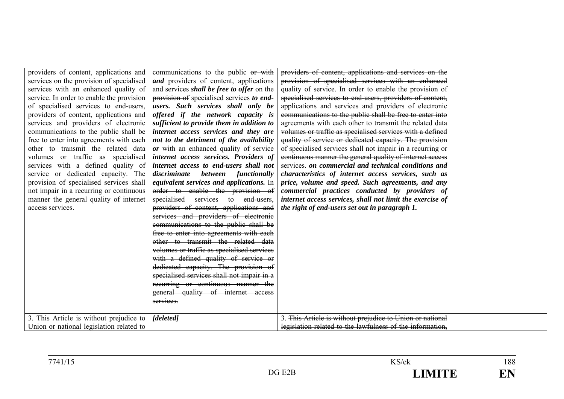| providers of content, applications and    | communications to the public or with              | providers of content, applications and services on the     |  |
|-------------------------------------------|---------------------------------------------------|------------------------------------------------------------|--|
| services on the provision of specialised  | and providers of content, applications            | provision of specialised services with an enhanced         |  |
| services with an enhanced quality of      | and services <i>shall be free to offer</i> on the | quality of service. In order to enable the provision of    |  |
| service. In order to enable the provision | provision of specialised services to end-         | specialised services to end-users, providers of content,   |  |
| of specialised services to end-users,     | users. Such services shall only be                | applications and services and providers of electronic      |  |
| providers of content, applications and    | offered if the network capacity is                | communications to the public shall be free to enter into   |  |
| services and providers of electronic      | sufficient to provide them in addition to         | agreements with each other to transmit the related data    |  |
| communications to the public shall be     | internet access services and they are             | volumes or traffic as specialised services with a defined  |  |
| free to enter into agreements with each   | not to the detriment of the availability          | quality of service or dedicated capacity. The provision    |  |
| other to transmit the related data        | or with an enhanced quality of service            | of specialised services shall not impair in a recurring or |  |
| volumes or traffic as specialised         | internet access services. Providers of            | continuous manner the general quality of internet access   |  |
| services with a defined quality of        | internet access to end-users shall not            | services, on commercial and technical conditions and       |  |
| service or dedicated capacity. The        | discriminate between functionally                 | characteristics of internet access services, such as       |  |
| provision of specialised services shall   | equivalent services and applications. $H_n$       | price, volume and speed. Such agreements, and any          |  |
| not impair in a recurring or continuous   | order to enable the provision of                  | commercial practices conducted by providers of             |  |
| manner the general quality of internet    | specialised services to end-users,                | internet access services, shall not limit the exercise of  |  |
| access services.                          | providers of content, applications and            | the right of end-users set out in paragraph 1.             |  |
|                                           | services and providers of electronic              |                                                            |  |
|                                           | communications to the public shall be             |                                                            |  |
|                                           | free to enter into agreements with each           |                                                            |  |
|                                           | other to transmit the related data                |                                                            |  |
|                                           | volumes or traffic as specialised services        |                                                            |  |
|                                           | with a defined quality of service or              |                                                            |  |
|                                           | dedicated capacity. The provision of              |                                                            |  |
|                                           | specialised services shall not impair in a        |                                                            |  |
|                                           | recurring or continuous manner the                |                                                            |  |
|                                           | general quality of internet access                |                                                            |  |
|                                           | services.                                         |                                                            |  |
|                                           |                                                   |                                                            |  |
| 3. This Article is without prejudice to   | [deleted]                                         | 3. This Article is without prejudice to Union or national  |  |
| Union or national legislation related to  |                                                   | legislation related to the lawfulness of the information,  |  |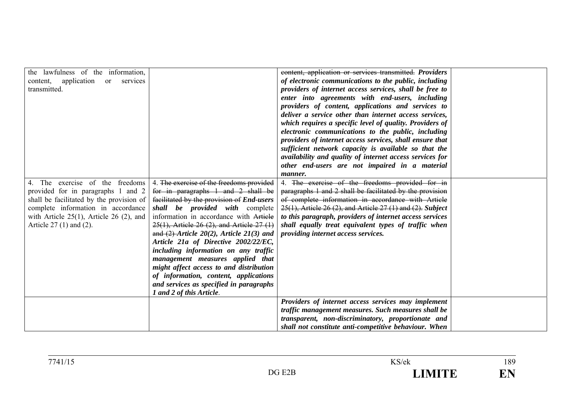| the lawfulness of the information,<br>application or services<br>content,      |                                                                                  | content, application or services transmitted. Providers<br>of electronic communications to the public, including |  |
|--------------------------------------------------------------------------------|----------------------------------------------------------------------------------|------------------------------------------------------------------------------------------------------------------|--|
| transmitted.                                                                   |                                                                                  | providers of internet access services, shall be free to                                                          |  |
|                                                                                |                                                                                  | enter into agreements with end-users, including                                                                  |  |
|                                                                                |                                                                                  | providers of content, applications and services to<br>deliver a service other than internet access services,     |  |
|                                                                                |                                                                                  | which requires a specific level of quality. Providers of                                                         |  |
|                                                                                |                                                                                  | electronic communications to the public, including                                                               |  |
|                                                                                |                                                                                  | providers of internet access services, shall ensure that                                                         |  |
|                                                                                |                                                                                  | sufficient network capacity is available so that the                                                             |  |
|                                                                                |                                                                                  | availability and quality of internet access services for                                                         |  |
|                                                                                |                                                                                  | other end-users are not impaired in a material                                                                   |  |
|                                                                                |                                                                                  | manner.                                                                                                          |  |
| 4. The exercise of the freedoms                                                | 4. The exercise of the freedoms provided                                         | 4. The exercise of the freedoms provided for in<br>paragraphs 1 and 2 shall be facilitated by the provision      |  |
| provided for in paragraphs 1 and 2<br>shall be facilitated by the provision of | for in paragraphs 1 and 2 shall be<br>facilitated by the provision of End-users  | of complete information in accordance with Article                                                               |  |
| complete information in accordance                                             | shall be provided with complete                                                  | $25(1)$ , Article 26 (2), and Article 27 (1) and (2). Subject                                                    |  |
| with Article $25(1)$ , Article 26 (2), and                                     | information in accordance with Article                                           | to this paragraph, providers of internet access services                                                         |  |
| Article $27(1)$ and $(2)$ .                                                    | $25(1)$ , Article 26 (2), and Article 27 (1)                                     | shall equally treat equivalent types of traffic when                                                             |  |
|                                                                                | and $(2)$ -Article 20(2), Article 21(3) and                                      | providing internet access services.                                                                              |  |
|                                                                                | Article 21a of Directive 2002/22/EC,                                             |                                                                                                                  |  |
|                                                                                | including information on any traffic                                             |                                                                                                                  |  |
|                                                                                | management measures applied that                                                 |                                                                                                                  |  |
|                                                                                | might affect access to and distribution<br>of information, content, applications |                                                                                                                  |  |
|                                                                                | and services as specified in paragraphs                                          |                                                                                                                  |  |
|                                                                                | 1 and 2 of this Article.                                                         |                                                                                                                  |  |
|                                                                                |                                                                                  | Providers of internet access services may implement                                                              |  |
|                                                                                |                                                                                  | traffic management measures. Such measures shall be                                                              |  |
|                                                                                |                                                                                  | transparent, non-discriminatory, proportionate and                                                               |  |
|                                                                                |                                                                                  | shall not constitute anti-competitive behaviour. When                                                            |  |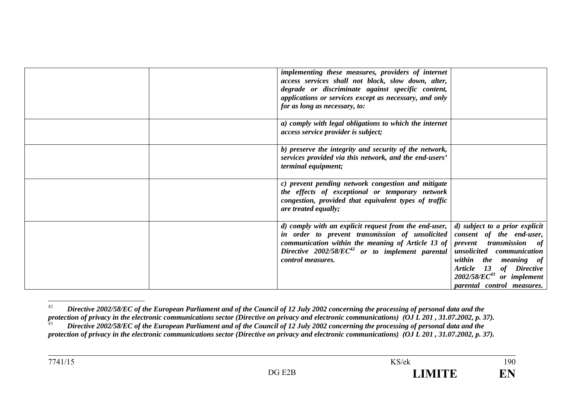| implementing these measures, providers of internet<br>access services shall not block, slow down, alter,<br>degrade or discriminate against specific content,<br>applications or services except as necessary, and only<br>for as long as necessary, to: |                                                                                                                                                                                                                                        |
|----------------------------------------------------------------------------------------------------------------------------------------------------------------------------------------------------------------------------------------------------------|----------------------------------------------------------------------------------------------------------------------------------------------------------------------------------------------------------------------------------------|
| a) comply with legal obligations to which the internet<br>access service provider is subject;                                                                                                                                                            |                                                                                                                                                                                                                                        |
| b) preserve the integrity and security of the network,<br>services provided via this network, and the end-users'<br>terminal equipment;                                                                                                                  |                                                                                                                                                                                                                                        |
| c) prevent pending network congestion and mitigate<br>the effects of exceptional or temporary network<br>congestion, provided that equivalent types of traffic<br>are treated equally;                                                                   |                                                                                                                                                                                                                                        |
| d) comply with an explicit request from the end-user, $ $<br>in order to prevent transmission of unsolicited<br>communication within the meaning of Article 13 of $ $<br>Directive $2002/58/EC^{42}$ or to implement parental<br>control measures.       | d) subject to a prior explicit<br>consent of the end-user,<br>prevent transmission of<br>unsolicited communication<br>within the meaning of<br>Article 13 of Directive<br>$2002/58/EC^{43}$ or implement<br>parental control measures. |

<sup>42</sup> *Directive 2002/58/EC of the European Parliament and of the Council of 12 July 2002 concerning the processing of personal data and the protection of privacy in the electronic communications sector (Directive on privacy and electronic communications) (OJ L 201, 31.07.2002, p. 37).* 

<sup>43</sup> *Directive 2002/58/EC of the European Parliament and of the Council of 12 July 2002 concerning the processing of personal data and the protection of privacy in the electronic communications sector (Directive on privacy and electronic communications) (OJ L 201 , 31.07.2002, p. 37).*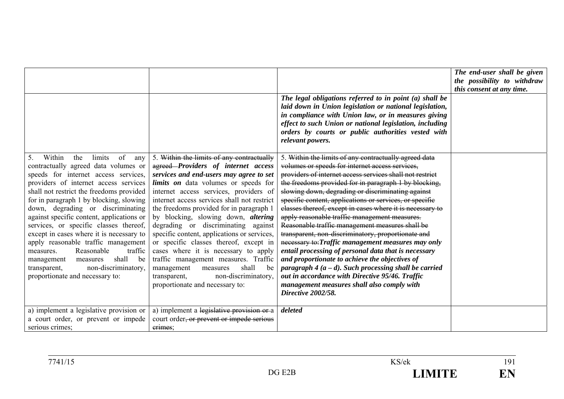|                                                                                                                                                                                                                                                                                                                                                                                                                                                                                                                                                                                                                                    |                                                                                                                                                                                                                                                                                                                                                                                                                                                                                                                                                                                                                                                                                    | The legal obligations referred to in point $(a)$ shall be<br>laid down in Union legislation or national legislation,<br>in compliance with Union law, or in measures giving<br>effect to such Union or national legislation, including<br>orders by courts or public authorities vested with<br>relevant powers.                                                                                                                                                                                                                                                                                                                                                                                                                                                                                                                                                                                                     | The end-user shall be given<br>the possibility to withdraw<br>this consent at any time. |
|------------------------------------------------------------------------------------------------------------------------------------------------------------------------------------------------------------------------------------------------------------------------------------------------------------------------------------------------------------------------------------------------------------------------------------------------------------------------------------------------------------------------------------------------------------------------------------------------------------------------------------|------------------------------------------------------------------------------------------------------------------------------------------------------------------------------------------------------------------------------------------------------------------------------------------------------------------------------------------------------------------------------------------------------------------------------------------------------------------------------------------------------------------------------------------------------------------------------------------------------------------------------------------------------------------------------------|----------------------------------------------------------------------------------------------------------------------------------------------------------------------------------------------------------------------------------------------------------------------------------------------------------------------------------------------------------------------------------------------------------------------------------------------------------------------------------------------------------------------------------------------------------------------------------------------------------------------------------------------------------------------------------------------------------------------------------------------------------------------------------------------------------------------------------------------------------------------------------------------------------------------|-----------------------------------------------------------------------------------------|
| Within<br>limits<br>of<br>5.<br>the<br>any<br>contractually agreed data volumes or<br>speeds for internet access services,<br>providers of internet access services<br>shall not restrict the freedoms provided<br>for in paragraph 1 by blocking, slowing<br>down, degrading or discriminating<br>against specific content, applications or<br>services, or specific classes thereof,<br>except in cases where it is necessary to<br>apply reasonable traffic management<br>Reasonable<br>traffic<br>measures.<br>shall<br>be<br>management<br>measures<br>non-discriminatory,<br>transparent,<br>proportionate and necessary to: | 5. Within the limits of any contractually<br>agreed-Providers of internet access<br>services and end-users may agree to set<br>limits on data volumes or speeds for<br>internet access services, providers of<br>internet access services shall not restrict<br>the freedoms provided for in paragraph 1<br>by blocking, slowing down, altering<br>degrading or discriminating against<br>specific content, applications or services,<br>or specific classes thereof, except in<br>cases where it is necessary to apply<br>traffic management measures. Traffic<br>shall<br>management<br>measures<br>be<br>non-discriminatory.<br>transparent,<br>proportionate and necessary to: | 5. Within the limits of any contractually agreed data<br>volumes or speeds for internet access services,<br>providers of internet access services shall not restrict<br>the freedoms provided for in paragraph 1 by blocking,<br>slowing down, degrading or discriminating against<br>specific content, applications or services, or specific<br>classes thereof, except in cases where it is necessary to<br>apply reasonable traffic management measures.<br>Reasonable traffic management measures shall be<br>transparent, non-discriminatory, proportionate and<br>necessary to: Traffic management measures may only<br>entail processing of personal data that is necessary<br>and proportionate to achieve the objectives of<br>paragraph $4(a-d)$ . Such processing shall be carried<br>out in accordance with Directive 95/46. Traffic<br>management measures shall also comply with<br>Directive 2002/58. |                                                                                         |
| a) implement a legislative provision or<br>a court order, or prevent or impede<br>serious crimes;                                                                                                                                                                                                                                                                                                                                                                                                                                                                                                                                  | a) implement a legislative provision or a<br>court order <del>, or prevent or impede serious</del><br>erimes:                                                                                                                                                                                                                                                                                                                                                                                                                                                                                                                                                                      | deleted                                                                                                                                                                                                                                                                                                                                                                                                                                                                                                                                                                                                                                                                                                                                                                                                                                                                                                              |                                                                                         |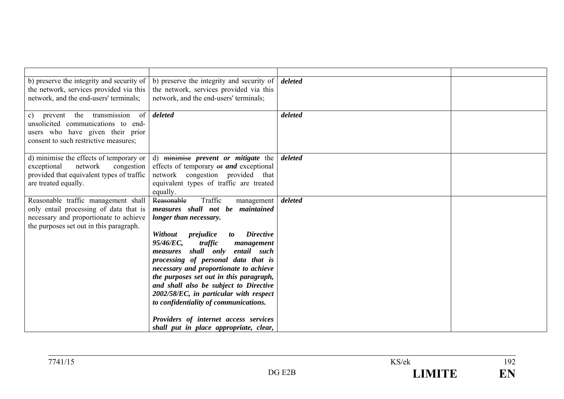| b) preserve the integrity and security of<br>the network, services provided via this<br>network, and the end-users' terminals;                                     | b) preserve the integrity and security of<br>the network, services provided via this<br>network, and the end-users' terminals;                                                                                                                                                                                                                                                                                                                                                                 | deleted |  |
|--------------------------------------------------------------------------------------------------------------------------------------------------------------------|------------------------------------------------------------------------------------------------------------------------------------------------------------------------------------------------------------------------------------------------------------------------------------------------------------------------------------------------------------------------------------------------------------------------------------------------------------------------------------------------|---------|--|
| prevent the transmission<br>$\sigma$ of<br>c)<br>unsolicited communications to end-<br>users who have given their prior<br>consent to such restrictive measures;   | deleted                                                                                                                                                                                                                                                                                                                                                                                                                                                                                        | deleted |  |
| d) minimise the effects of temporary or $\vert$<br>network<br>congestion<br>exceptional<br>provided that equivalent types of traffic<br>are treated equally.       | d) minimise <i>prevent</i> or <i>mitigate</i> the<br>effects of temporary or and exceptional<br>network congestion provided that<br>equivalent types of traffic are treated<br>equally.                                                                                                                                                                                                                                                                                                        | deleted |  |
| Reasonable traffic management shall<br>only entail processing of data that is<br>necessary and proportionate to achieve<br>the purposes set out in this paragraph. | Reasonable<br>Traffic<br>management<br>measures shall not be<br>maintained<br>longer than necessary.<br>Without<br><b>Directive</b><br>prejudice<br>to<br>95/46/EC,<br>traffic<br>management<br>shall only<br>entail such<br>measures<br>processing of personal data that is<br>necessary and proportionate to achieve<br>the purposes set out in this paragraph,<br>and shall also be subject to Directive<br>2002/58/EC, in particular with respect<br>to confidentiality of communications. | deleted |  |
|                                                                                                                                                                    | Providers of internet access services<br>shall put in place appropriate, clear,                                                                                                                                                                                                                                                                                                                                                                                                                |         |  |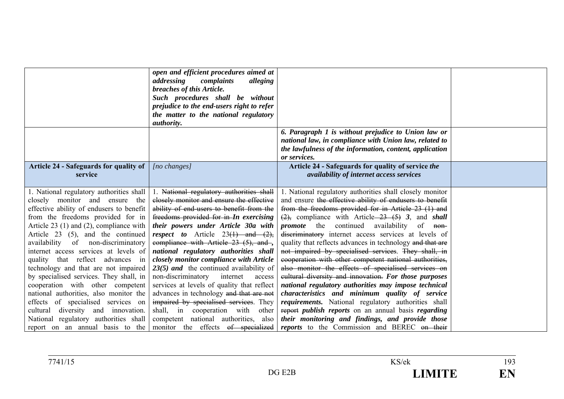|                                               | open and efficient procedures aimed at<br>addressing<br>complaints<br>alleging<br>breaches of this Article.<br>Such procedures shall be without<br>prejudice to the end-users right to refer<br>the matter to the national regulatory<br><i>authority.</i> |                                                                                                                   |  |
|-----------------------------------------------|------------------------------------------------------------------------------------------------------------------------------------------------------------------------------------------------------------------------------------------------------------|-------------------------------------------------------------------------------------------------------------------|--|
|                                               |                                                                                                                                                                                                                                                            | 6. Paragraph 1 is without prejudice to Union law or                                                               |  |
|                                               |                                                                                                                                                                                                                                                            | national law, in compliance with Union law, related to<br>the lawfulness of the information, content, application |  |
|                                               |                                                                                                                                                                                                                                                            | or services.                                                                                                      |  |
| <b>Article 24 - Safeguards for quality of</b> | $[no \; changes]$                                                                                                                                                                                                                                          | Article 24 - Safeguards for quality of service the                                                                |  |
| service                                       |                                                                                                                                                                                                                                                            | <i>availability of internet access services</i>                                                                   |  |
| 1. National regulatory authorities shall      | National regulatory authorities shall                                                                                                                                                                                                                      | 1. National regulatory authorities shall closely monitor                                                          |  |
| closely monitor and ensure<br>the             | closely monitor and ensure the effective                                                                                                                                                                                                                   | and ensure the effective ability of endusers to benefit                                                           |  |
| effective ability of endusers to benefit      | ability of end-users to benefit from the                                                                                                                                                                                                                   | from the freedoms provided for in Article 23 (1) and                                                              |  |
| from the freedoms provided for in             | freedoms provided for in-In exercising                                                                                                                                                                                                                     | $\frac{2}{2}$ , compliance with Article 23 (5) 3, and <i>shall</i>                                                |  |
| Article 23 (1) and (2), compliance with       | their powers under Article 30a with                                                                                                                                                                                                                        | <i>promote</i> the continued availability of non-                                                                 |  |
| Article 23 (5), and the continued             | <i>respect to</i> Article $23(1)$ and $(2)$ ,                                                                                                                                                                                                              | discriminatory internet access services at levels of                                                              |  |
| availability of non-discriminatory            | compliance with Article 23 (5), and,                                                                                                                                                                                                                       | quality that reflects advances in technology and that are                                                         |  |
| internet access services at levels of         | national regulatory authorities shall                                                                                                                                                                                                                      | not impaired by specialised services. They shall, in                                                              |  |
| quality that reflect advances in              | closely monitor compliance with Article                                                                                                                                                                                                                    | cooperation with other competent national authorities,                                                            |  |
| technology and that are not impaired          | $23(5)$ and the continued availability of                                                                                                                                                                                                                  | also monitor the effects of specialised services on                                                               |  |
| by specialised services. They shall, in       | non-discriminatory<br>internet<br>access                                                                                                                                                                                                                   | eultural diversity and innovation. For those purposes                                                             |  |
| cooperation with other competent              | services at levels of quality that reflect                                                                                                                                                                                                                 | national regulatory authorities may impose technical                                                              |  |
| national authorities, also monitor the        | advances in technology and that are not                                                                                                                                                                                                                    | characteristics and minimum quality of service                                                                    |  |
| effects of specialised services on            | impaired by specialised services. They                                                                                                                                                                                                                     | requirements. National regulatory authorities shall                                                               |  |
| cultural diversity and innovation.            | shall, in cooperation with other                                                                                                                                                                                                                           | report <i>publish reports</i> on an annual basis <i>regarding</i>                                                 |  |
| National regulatory authorities shall         | competent national authorities, also                                                                                                                                                                                                                       | their monitoring and findings, and provide those                                                                  |  |
| report on an annual basis to the              | monitor the effects of specialized                                                                                                                                                                                                                         | reports to the Commission and BEREC on their                                                                      |  |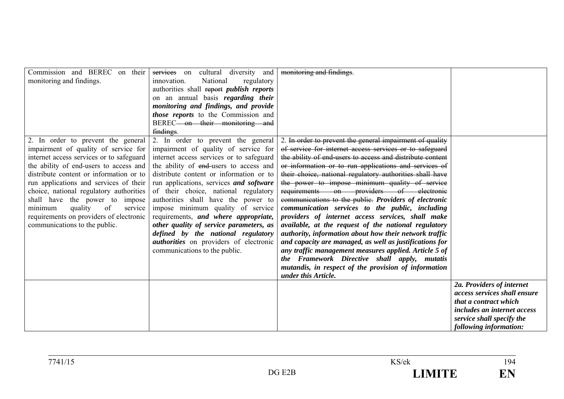| Commission and BEREC on their            | services on<br>cultural diversity and           | monitoring and findings.                                  |                                    |
|------------------------------------------|-------------------------------------------------|-----------------------------------------------------------|------------------------------------|
| monitoring and findings.                 | National<br>regulatory<br>innovation.           |                                                           |                                    |
|                                          | authorities shall report <i>publish reports</i> |                                                           |                                    |
|                                          | on an annual basis <i>regarding their</i>       |                                                           |                                    |
|                                          | monitoring and findings, and provide            |                                                           |                                    |
|                                          | <i>those reports</i> to the Commission and      |                                                           |                                    |
|                                          | BEREC-on their monitoring and                   |                                                           |                                    |
|                                          | findings.                                       |                                                           |                                    |
| 2. In order to prevent the general       | 2. In order to prevent the general              | 2. In order to prevent the general impairment of quality  |                                    |
| impairment of quality of service for     | impairment of quality of service for            | of service for internet access services or to safeguard   |                                    |
| internet access services or to safeguard | internet access services or to safeguard        | the ability of end-users to access and distribute content |                                    |
| the ability of end-users to access and   | the ability of end-users to access and          | or information or to run applications and services of     |                                    |
| distribute content or information or to  | distribute content or information or to         | their choice, national regulatory authorities shall have  |                                    |
| run applications and services of their   | run applications, services and software         | the power to impose minimum quality of service            |                                    |
| choice, national regulatory authorities  | of their choice, national regulatory            | requirements on providers of electronic                   |                                    |
| shall have the power to impose           | authorities shall have the power to             | communications to the public. Providers of electronic     |                                    |
| quality<br>of<br>minimum<br>service      | impose minimum quality of service               | communication services to the public, including           |                                    |
| requirements on providers of electronic  | requirements, and where appropriate,            | providers of internet access services, shall make         |                                    |
| communications to the public.            | other quality of service parameters, as         | available, at the request of the national regulatory      |                                    |
|                                          | defined by the national regulatory              | authority, information about how their network traffic    |                                    |
|                                          | <i>authorities</i> on providers of electronic   | and capacity are managed, as well as justifications for   |                                    |
|                                          | communications to the public.                   | any traffic management measures applied. Article 5 of     |                                    |
|                                          |                                                 | the Framework Directive shall apply, mutatis              |                                    |
|                                          |                                                 | mutandis, in respect of the provision of information      |                                    |
|                                          |                                                 | under this Article.                                       |                                    |
|                                          |                                                 |                                                           | 2a. Providers of internet          |
|                                          |                                                 |                                                           | access services shall ensure       |
|                                          |                                                 |                                                           | that a contract which              |
|                                          |                                                 |                                                           | <i>includes an internet access</i> |
|                                          |                                                 |                                                           | service shall specify the          |
|                                          |                                                 |                                                           | following information:             |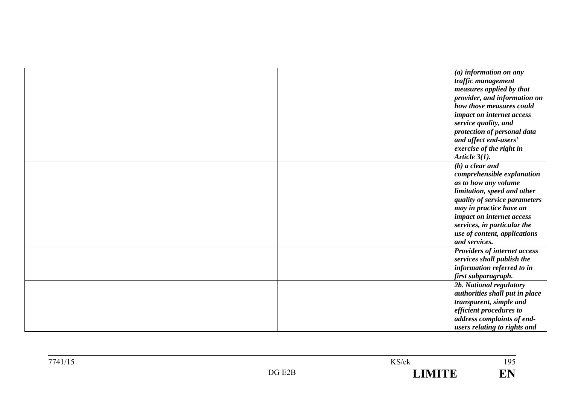|  | (a) information on any         |
|--|--------------------------------|
|  | traffic management             |
|  | measures applied by that       |
|  | provider, and information on   |
|  | how those measures could       |
|  | impact on internet access      |
|  | service quality, and           |
|  | protection of personal data    |
|  | and affect end-users'          |
|  | exercise of the right in       |
|  | Article $3(1)$ .               |
|  | $(b)$ a clear and              |
|  | comprehensible explanation     |
|  | as to how any volume           |
|  | limitation, speed and other    |
|  | quality of service parameters  |
|  | may in practice have an        |
|  | impact on internet access      |
|  | services, in particular the    |
|  | use of content, applications   |
|  | and services.                  |
|  | Providers of internet access   |
|  | services shall publish the     |
|  | information referred to in     |
|  | first subparagraph.            |
|  | 2b. National regulatory        |
|  | authorities shall put in place |
|  | transparent, simple and        |
|  | efficient procedures to        |
|  | address complaints of end-     |
|  | users relating to rights and   |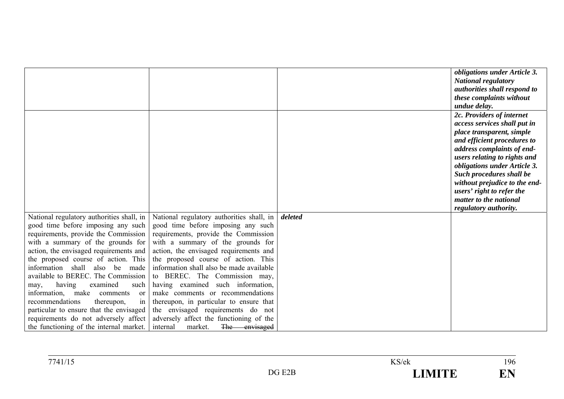|                                                                                                                                                                                                                                                                                                                                                                                                                                                                                                                                                                                       |                                                                                                                                                                                                                                                                                                                                                                                                                                                                                                                                                                        |         | obligations under Article 3.<br><b>National regulatory</b><br>authorities shall respond to<br>these complaints without<br>undue delay.                                                                                                                                                                                                                           |
|---------------------------------------------------------------------------------------------------------------------------------------------------------------------------------------------------------------------------------------------------------------------------------------------------------------------------------------------------------------------------------------------------------------------------------------------------------------------------------------------------------------------------------------------------------------------------------------|------------------------------------------------------------------------------------------------------------------------------------------------------------------------------------------------------------------------------------------------------------------------------------------------------------------------------------------------------------------------------------------------------------------------------------------------------------------------------------------------------------------------------------------------------------------------|---------|------------------------------------------------------------------------------------------------------------------------------------------------------------------------------------------------------------------------------------------------------------------------------------------------------------------------------------------------------------------|
|                                                                                                                                                                                                                                                                                                                                                                                                                                                                                                                                                                                       |                                                                                                                                                                                                                                                                                                                                                                                                                                                                                                                                                                        |         | 2c. Providers of internet<br>access services shall put in<br>place transparent, simple<br>and efficient procedures to<br>address complaints of end-<br>users relating to rights and<br>obligations under Article 3.<br>Such procedures shall be<br>without prejudice to the end-<br>users' right to refer the<br>matter to the national<br>regulatory authority. |
| National regulatory authorities shall, in<br>good time before imposing any such<br>requirements, provide the Commission<br>with a summary of the grounds for<br>action, the envisaged requirements and<br>the proposed course of action. This<br>information shall also be made<br>available to BEREC. The Commission<br>having<br>examined<br>such<br>may,<br>information,<br>make<br>comments<br><sub>or</sub><br>in<br>recommendations<br>thereupon,<br>particular to ensure that the envisaged<br>requirements do not adversely affect<br>the functioning of the internal market. | National regulatory authorities shall, in<br>good time before imposing any such<br>requirements, provide the Commission<br>with a summary of the grounds for<br>action, the envisaged requirements and<br>the proposed course of action. This<br>information shall also be made available<br>to BEREC. The Commission may,<br>having examined such information,<br>make comments or recommendations<br>thereupon, in particular to ensure that<br>the envisaged requirements do not<br>adversely affect the functioning of the<br>The envisaged<br>internal<br>market. | deleted |                                                                                                                                                                                                                                                                                                                                                                  |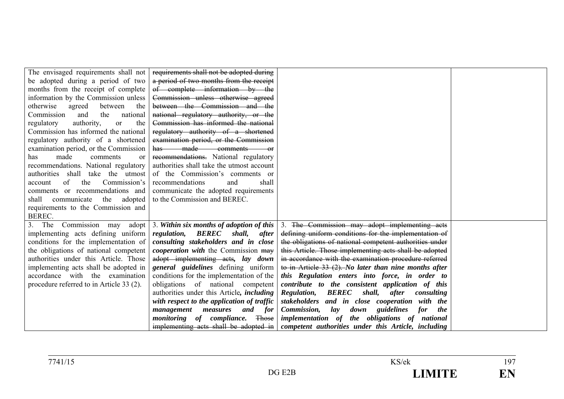| The envisaged requirements shall not     | requirements shall not be adopted during                                        |                                                                                                                 |  |
|------------------------------------------|---------------------------------------------------------------------------------|-----------------------------------------------------------------------------------------------------------------|--|
| be adopted during a period of two        | a period of two months from the receipt                                         |                                                                                                                 |  |
| months from the receipt of complete      | of complete information by the                                                  |                                                                                                                 |  |
| information by the Commission unless     | Commission unless otherwise agreed                                              |                                                                                                                 |  |
| otherwise<br>between<br>agreed<br>the    | between the Commission and the                                                  |                                                                                                                 |  |
| Commission<br>and<br>the<br>national     | national regulatory authority, or the                                           |                                                                                                                 |  |
| authority,<br>regulatory<br>the<br>or    | Commission has informed the national                                            |                                                                                                                 |  |
| Commission has informed the national     | regulatory authority of a shortened                                             |                                                                                                                 |  |
| regulatory authority of a shortened      | examination period, or the Commission                                           |                                                                                                                 |  |
| examination period, or the Commission    | has made comments<br>$-\theta$ f                                                |                                                                                                                 |  |
| made<br>comments<br>has<br>or            | recommendations. National regulatory                                            |                                                                                                                 |  |
| recommendations. National regulatory     | authorities shall take the utmost account                                       |                                                                                                                 |  |
| authorities shall take the utmost        | of the Commission's comments or                                                 |                                                                                                                 |  |
| of<br>Commission's<br>the<br>account     | recommendations<br>and<br>shall                                                 |                                                                                                                 |  |
| comments or recommendations and          | communicate the adopted requirements                                            |                                                                                                                 |  |
| shall communicate<br>the adopted         | to the Commission and BEREC.                                                    |                                                                                                                 |  |
| requirements to the Commission and       |                                                                                 |                                                                                                                 |  |
| BEREC.                                   |                                                                                 |                                                                                                                 |  |
| $3.$ The<br>Commission may<br>adopt      | 3. Within six months of adoption of this                                        | 3. The Commission may adopt implementing acts                                                                   |  |
| implementing acts defining uniform       | regulation, BEREC<br>shall,<br>after                                            | defining uniform conditions for the implementation of                                                           |  |
| conditions for the implementation of     | consulting stakeholders and in close                                            | the obligations of national competent authorities under                                                         |  |
| the obligations of national competent    | <i>cooperation with the Commission may</i>                                      | this Article. Those implementing acts shall be adopted                                                          |  |
| authorities under this Article. Those    | adopt implementing acts, lay down                                               | in accordance with the examination procedure referred                                                           |  |
| implementing acts shall be adopted in    | general guidelines defining uniform                                             | to in Article $33(2)$ . No later than nine months after                                                         |  |
| accordance with the examination          | conditions for the implementation of the                                        | this Regulation enters into force, in order to                                                                  |  |
| procedure referred to in Article 33 (2). | obligations of national competent                                               | contribute to the consistent application of this<br><b>Regulation, BEREC</b><br>shall, after                    |  |
|                                          | authorities under this Article, <i>including</i>                                | consulting                                                                                                      |  |
|                                          | with respect to the application of traffic<br>and for<br>management<br>measures | stakeholders and in close cooperation with the<br>Commission,<br>lay<br>guidelines<br>for<br>down<br><i>the</i> |  |
|                                          | monitoring of compliance.<br>Those                                              | implementation of the obligations of national                                                                   |  |
|                                          | implementing acts shall be adopted in                                           | competent authorities under this Article, including                                                             |  |
|                                          |                                                                                 |                                                                                                                 |  |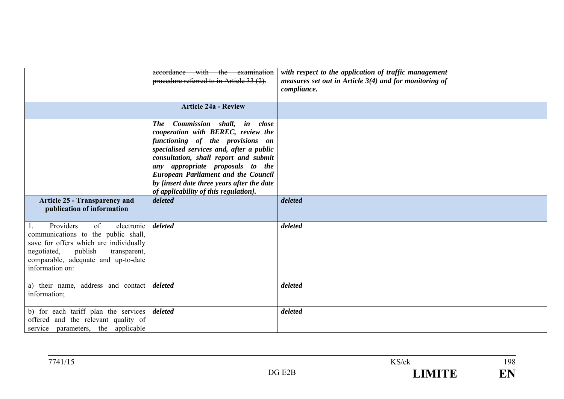|                                                                                                                                                                                                                       | accordance with the examination<br>procedure referred to in Article 33 (2).                                                                                                                                                                                                                                                                                                      | with respect to the application of traffic management<br>measures set out in Article $3(4)$ and for monitoring of<br>compliance. |  |
|-----------------------------------------------------------------------------------------------------------------------------------------------------------------------------------------------------------------------|----------------------------------------------------------------------------------------------------------------------------------------------------------------------------------------------------------------------------------------------------------------------------------------------------------------------------------------------------------------------------------|----------------------------------------------------------------------------------------------------------------------------------|--|
|                                                                                                                                                                                                                       | <b>Article 24a - Review</b>                                                                                                                                                                                                                                                                                                                                                      |                                                                                                                                  |  |
|                                                                                                                                                                                                                       | Commission shall, in close<br><b>The</b><br>cooperation with BEREC, review the<br>functioning of the provisions on<br>specialised services and, after a public<br>consultation, shall report and submit<br>any appropriate proposals to the<br><b>European Parliament and the Council</b><br>by [insert date three years after the date<br>of applicability of this regulation]. |                                                                                                                                  |  |
| <b>Article 25 - Transparency and</b><br>publication of information                                                                                                                                                    | deleted                                                                                                                                                                                                                                                                                                                                                                          | deleted                                                                                                                          |  |
| Providers<br>of<br>electronic<br>1.<br>communications to the public shall,<br>save for offers which are individually<br>negotiated, publish<br>transparent,<br>comparable, adequate and up-to-date<br>information on: | deleted                                                                                                                                                                                                                                                                                                                                                                          | deleted                                                                                                                          |  |
| a) their name, address and contact<br>information;                                                                                                                                                                    | deleted                                                                                                                                                                                                                                                                                                                                                                          | deleted                                                                                                                          |  |
| b) for each tariff plan the services<br>offered and the relevant quality of<br>service parameters, the applicable                                                                                                     | deleted                                                                                                                                                                                                                                                                                                                                                                          | deleted                                                                                                                          |  |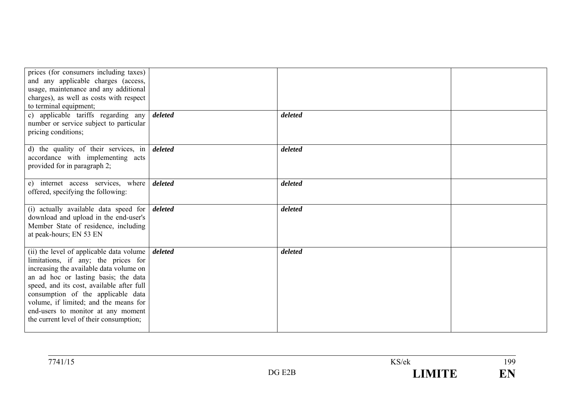| prices (for consumers including taxes)<br>and any applicable charges (access,<br>usage, maintenance and any additional<br>charges), as well as costs with respect<br>to terminal equipment;<br>c) applicable tariffs regarding any<br>number or service subject to particular                                                                                                   | deleted | deleted |  |
|---------------------------------------------------------------------------------------------------------------------------------------------------------------------------------------------------------------------------------------------------------------------------------------------------------------------------------------------------------------------------------|---------|---------|--|
| pricing conditions;                                                                                                                                                                                                                                                                                                                                                             |         |         |  |
| d) the quality of their services, in<br>accordance with implementing acts<br>provided for in paragraph 2;                                                                                                                                                                                                                                                                       | deleted | deleted |  |
| e) internet access services, where<br>offered, specifying the following:                                                                                                                                                                                                                                                                                                        | deleted | deleted |  |
| (i) actually available data speed for<br>download and upload in the end-user's<br>Member State of residence, including<br>at peak-hours; EN 53 EN                                                                                                                                                                                                                               | deleted | deleted |  |
| (ii) the level of applicable data volume<br>limitations, if any; the prices for<br>increasing the available data volume on<br>an ad hoc or lasting basis; the data<br>speed, and its cost, available after full<br>consumption of the applicable data<br>volume, if limited; and the means for<br>end-users to monitor at any moment<br>the current level of their consumption; | deleted | deleted |  |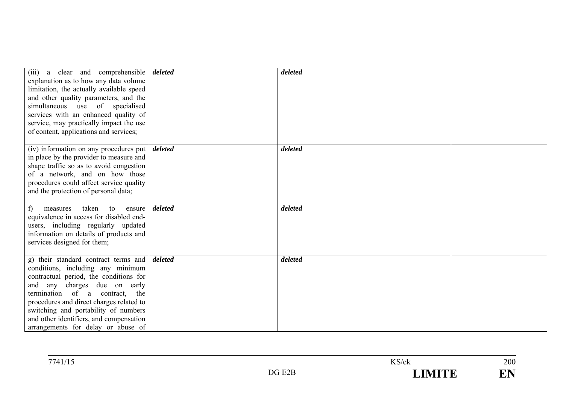| (iii) a clear and comprehensible<br>explanation as to how any data volume<br>limitation, the actually available speed<br>and other quality parameters, and the<br>simultaneous use of specialised<br>services with an enhanced quality of<br>service, may practically impact the use<br>of content, applications and services;                                | deleted | deleted |  |
|---------------------------------------------------------------------------------------------------------------------------------------------------------------------------------------------------------------------------------------------------------------------------------------------------------------------------------------------------------------|---------|---------|--|
| (iv) information on any procedures put<br>in place by the provider to measure and<br>shape traffic so as to avoid congestion<br>of a network, and on how those<br>procedures could affect service quality<br>and the protection of personal data;                                                                                                             | deleted | deleted |  |
| taken<br>f<br>to<br>measures<br>ensure<br>equivalence in access for disabled end-<br>users, including regularly updated<br>information on details of products and<br>services designed for them;                                                                                                                                                              | deleted | deleted |  |
| g) their standard contract terms and<br>conditions, including any minimum<br>contractual period, the conditions for<br>and any charges due on early<br>termination of a contract,<br>the<br>procedures and direct charges related to<br>switching and portability of numbers<br>and other identifiers, and compensation<br>arrangements for delay or abuse of | deleted | deleted |  |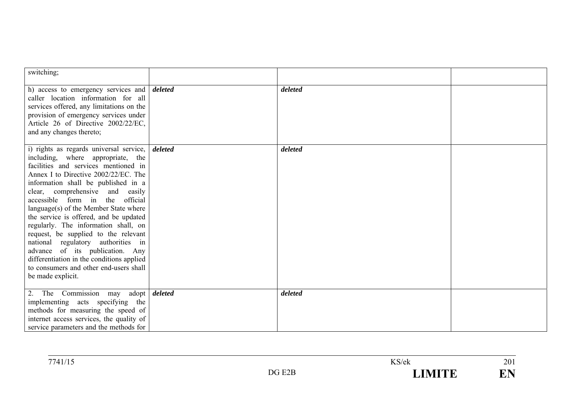| switching;                                                                                                                                                                                                                                                                                                                                                                                                                                                                                                                                                                                                                           |                      |         |  |
|--------------------------------------------------------------------------------------------------------------------------------------------------------------------------------------------------------------------------------------------------------------------------------------------------------------------------------------------------------------------------------------------------------------------------------------------------------------------------------------------------------------------------------------------------------------------------------------------------------------------------------------|----------------------|---------|--|
| h) access to emergency services and <i>deleted</i><br>caller location information for all<br>services offered, any limitations on the<br>provision of emergency services under<br>Article 26 of Directive 2002/22/EC,<br>and any changes thereto;                                                                                                                                                                                                                                                                                                                                                                                    |                      | deleted |  |
| i) rights as regards universal service,<br>including, where appropriate, the<br>facilities and services mentioned in<br>Annex I to Directive 2002/22/EC. The<br>information shall be published in a<br>clear, comprehensive and easily<br>accessible form in the<br>official<br>language(s) of the Member State where<br>the service is offered, and be updated<br>regularly. The information shall, on<br>request, be supplied to the relevant<br>national regulatory authorities in<br>advance of its publication. Any<br>differentiation in the conditions applied<br>to consumers and other end-users shall<br>be made explicit. | deleted              | deleted |  |
| 2. The Commission<br>may<br>implementing acts specifying the<br>methods for measuring the speed of<br>internet access services, the quality of<br>service parameters and the methods for                                                                                                                                                                                                                                                                                                                                                                                                                                             | adopt <i>deleted</i> | deleted |  |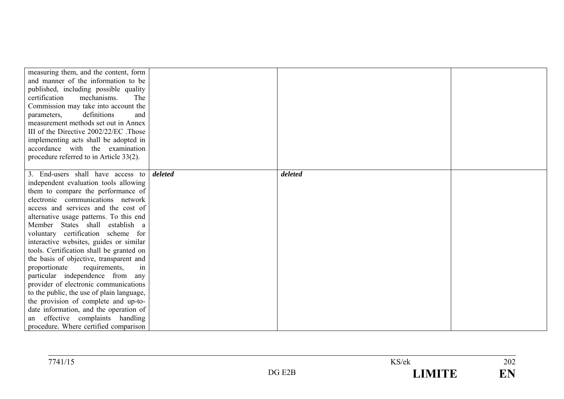| measuring them, and the content, form     |         |         |  |
|-------------------------------------------|---------|---------|--|
| and manner of the information to be       |         |         |  |
| published, including possible quality     |         |         |  |
| mechanisms.<br>certification<br>The       |         |         |  |
| Commission may take into account the      |         |         |  |
| definitions<br>parameters,<br>and         |         |         |  |
| measurement methods set out in Annex      |         |         |  |
| III of the Directive 2002/22/EC. Those    |         |         |  |
| implementing acts shall be adopted in     |         |         |  |
| accordance with the examination           |         |         |  |
| procedure referred to in Article 33(2).   |         |         |  |
|                                           |         |         |  |
| 3. End-users shall have access to         | deleted | deleted |  |
| independent evaluation tools allowing     |         |         |  |
| them to compare the performance of        |         |         |  |
| electronic communications network         |         |         |  |
| access and services and the cost of       |         |         |  |
| alternative usage patterns. To this end   |         |         |  |
| Member States shall establish a           |         |         |  |
| voluntary certification scheme for        |         |         |  |
| interactive websites, guides or similar   |         |         |  |
| tools. Certification shall be granted on  |         |         |  |
| the basis of objective, transparent and   |         |         |  |
| proportionate<br>requirements,<br>in      |         |         |  |
| particular independence from any          |         |         |  |
| provider of electronic communications     |         |         |  |
| to the public, the use of plain language, |         |         |  |
| the provision of complete and up-to-      |         |         |  |
| date information, and the operation of    |         |         |  |
| effective complaints handling<br>an       |         |         |  |
| procedure. Where certified comparison     |         |         |  |

| 7741/15 |                          | KS/ek                | ጎሰ′<br>202          |
|---------|--------------------------|----------------------|---------------------|
|         | E <sub>2</sub> B<br>DG - | <b>TRATTER</b><br>-- | <b>TIRI</b><br>TAT. |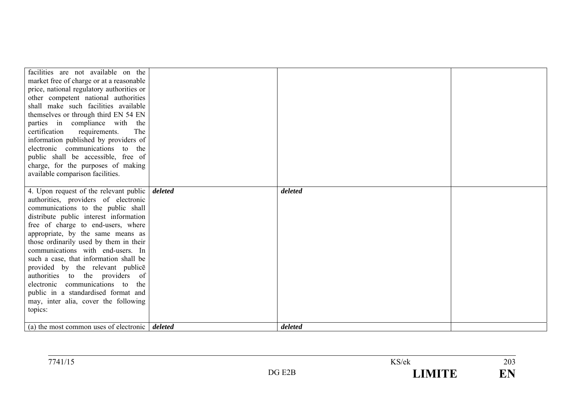| facilities are not available on the<br>market free of charge or at a reasonable<br>price, national regulatory authorities or<br>other competent national authorities<br>shall make such facilities available<br>themselves or through third EN 54 EN<br>parties in compliance with the<br>requirements.<br>The<br>certification<br>information published by providers of<br>electronic communications to the<br>public shall be accessible, free of<br>charge, for the purposes of making<br>available comparison facilities. |         |         |  |
|-------------------------------------------------------------------------------------------------------------------------------------------------------------------------------------------------------------------------------------------------------------------------------------------------------------------------------------------------------------------------------------------------------------------------------------------------------------------------------------------------------------------------------|---------|---------|--|
| 4. Upon request of the relevant public<br>authorities, providers of electronic                                                                                                                                                                                                                                                                                                                                                                                                                                                | deleted | deleted |  |
| communications to the public shall                                                                                                                                                                                                                                                                                                                                                                                                                                                                                            |         |         |  |
| distribute public interest information                                                                                                                                                                                                                                                                                                                                                                                                                                                                                        |         |         |  |
| free of charge to end-users, where                                                                                                                                                                                                                                                                                                                                                                                                                                                                                            |         |         |  |
| appropriate, by the same means as                                                                                                                                                                                                                                                                                                                                                                                                                                                                                             |         |         |  |
| those ordinarily used by them in their<br>communications with end-users. In                                                                                                                                                                                                                                                                                                                                                                                                                                                   |         |         |  |
| such a case, that information shall be                                                                                                                                                                                                                                                                                                                                                                                                                                                                                        |         |         |  |
| provided by the relevant publice                                                                                                                                                                                                                                                                                                                                                                                                                                                                                              |         |         |  |
| authorities to the providers of                                                                                                                                                                                                                                                                                                                                                                                                                                                                                               |         |         |  |
| electronic communications to the                                                                                                                                                                                                                                                                                                                                                                                                                                                                                              |         |         |  |
| public in a standardised format and                                                                                                                                                                                                                                                                                                                                                                                                                                                                                           |         |         |  |
| may, inter alia, cover the following                                                                                                                                                                                                                                                                                                                                                                                                                                                                                          |         |         |  |
| topics:                                                                                                                                                                                                                                                                                                                                                                                                                                                                                                                       |         |         |  |
|                                                                                                                                                                                                                                                                                                                                                                                                                                                                                                                               |         |         |  |
| (a) the most common uses of electronic $\vert$ <i>deleted</i>                                                                                                                                                                                                                                                                                                                                                                                                                                                                 |         | deleted |  |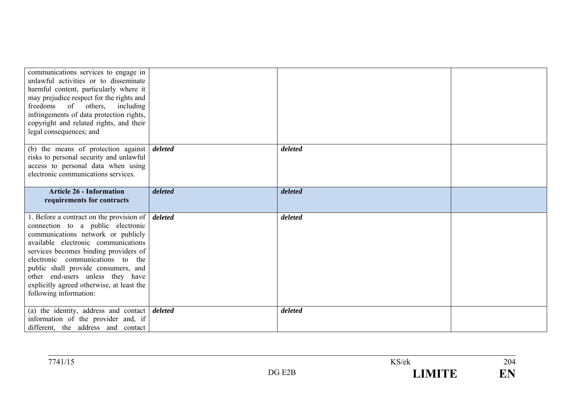| communications services to engage in<br>unlawful activities or to disseminate<br>harmful content, particularly where it<br>may prejudice respect for the rights and<br>freedoms of others, including<br>infringements of data protection rights,<br>copyright and related rights, and their<br>legal consequences; and                                                                                           |         |         |  |
|------------------------------------------------------------------------------------------------------------------------------------------------------------------------------------------------------------------------------------------------------------------------------------------------------------------------------------------------------------------------------------------------------------------|---------|---------|--|
| (b) the means of protection against<br>risks to personal security and unlawful<br>access to personal data when using<br>electronic communications services.                                                                                                                                                                                                                                                      | deleted | deleted |  |
| <b>Article 26 - Information</b><br>requirements for contracts                                                                                                                                                                                                                                                                                                                                                    | deleted | deleted |  |
| 1. Before a contract on the provision of $\vert$ <i>deleted</i><br>connection to a public electronic<br>communications network or publicly<br>available electronic communications<br>services becomes binding providers of<br>electronic communications to the<br>public shall provide consumers, and<br>other end-users unless they have<br>explicitly agreed otherwise, at least the<br>following information: |         | deleted |  |
| (a) the identity, address and contact $\vert$ <i>deleted</i><br>information of the provider and, if<br>different, the address and contact                                                                                                                                                                                                                                                                        |         | deleted |  |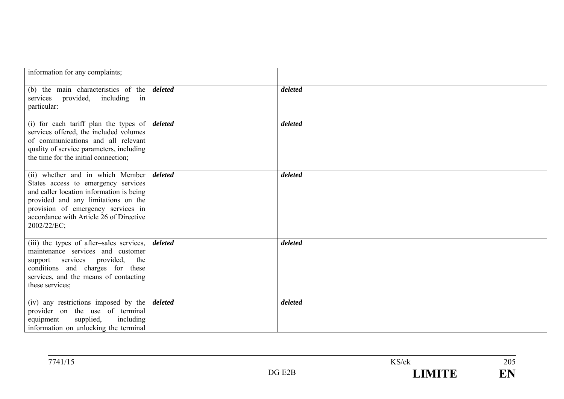| information for any complaints;                                                                                                                                                                                                                                    |         |         |  |
|--------------------------------------------------------------------------------------------------------------------------------------------------------------------------------------------------------------------------------------------------------------------|---------|---------|--|
| (b) the main characteristics of the<br>services provided, including in<br>particular:                                                                                                                                                                              | deleted | deleted |  |
| (i) for each tariff plan the types of $\vert$ deleted<br>services offered, the included volumes<br>of communications and all relevant<br>quality of service parameters, including<br>the time for the initial connection;                                          |         | deleted |  |
| (ii) whether and in which Member deleted<br>States access to emergency services<br>and caller location information is being<br>provided and any limitations on the<br>provision of emergency services in<br>accordance with Article 26 of Directive<br>2002/22/EC; |         | deleted |  |
| (iii) the types of after-sales services,<br>maintenance services and customer<br>support services provided,<br>the<br>conditions and charges for these<br>services, and the means of contacting<br>these services;                                                 | deleted | deleted |  |
| (iv) any restrictions imposed by the $\frac{d}{dt}$<br>provider on the use of terminal<br>supplied,<br>including<br>equipment<br>information on unlocking the terminal                                                                                             |         | deleted |  |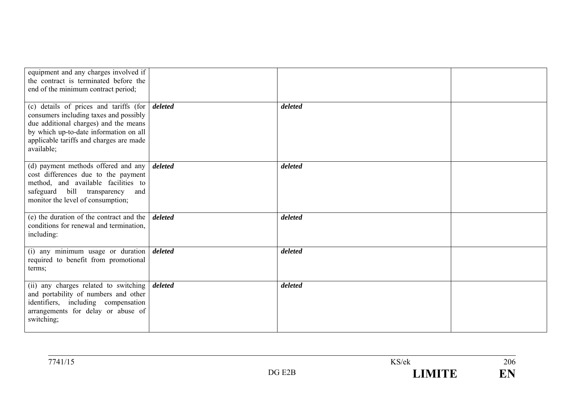| equipment and any charges involved if<br>the contract is terminated before the<br>end of the minimum contract period;<br>(c) details of prices and tariffs (for<br>consumers including taxes and possibly<br>due additional charges) and the means<br>by which up-to-date information on all<br>applicable tariffs and charges are made<br>available; | deleted | deleted |  |
|-------------------------------------------------------------------------------------------------------------------------------------------------------------------------------------------------------------------------------------------------------------------------------------------------------------------------------------------------------|---------|---------|--|
| (d) payment methods offered and any<br>cost differences due to the payment<br>method, and available facilities to<br>safeguard bill transparency<br>and<br>monitor the level of consumption;                                                                                                                                                          | deleted | deleted |  |
| (e) the duration of the contract and the $\vert$<br>conditions for renewal and termination,<br>including:                                                                                                                                                                                                                                             | deleted | deleted |  |
| (i) any minimum usage or duration<br>required to benefit from promotional<br>terms;                                                                                                                                                                                                                                                                   | deleted | deleted |  |
| (ii) any charges related to switching<br>and portability of numbers and other<br>identifiers, including compensation<br>arrangements for delay or abuse of<br>switching;                                                                                                                                                                              | deleted | deleted |  |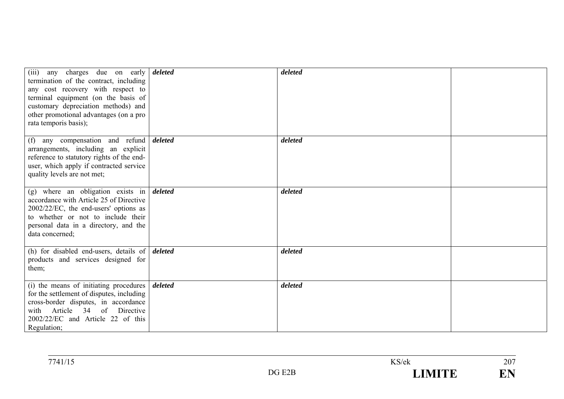| (iii) any charges due on early <i>deleted</i><br>termination of the contract, including<br>any cost recovery with respect to<br>terminal equipment (on the basis of<br>customary depreciation methods) and<br>other promotional advantages (on a pro-<br>rata temporis basis); |         | deleted |  |
|--------------------------------------------------------------------------------------------------------------------------------------------------------------------------------------------------------------------------------------------------------------------------------|---------|---------|--|
| any compensation and refund<br>(f)<br>arrangements, including an explicit<br>reference to statutory rights of the end-<br>user, which apply if contracted service<br>quality levels are not met;                                                                               | deleted | deleted |  |
| (g) where an obligation exists in $\frac{d}{dt}$<br>accordance with Article 25 of Directive<br>2002/22/EC, the end-users' options as<br>to whether or not to include their<br>personal data in a directory, and the<br>data concerned;                                         |         | deleted |  |
| (h) for disabled end-users, details of $\delta$<br>products and services designed for<br>them;                                                                                                                                                                                 |         | deleted |  |
| (i) the means of initiating procedures<br>for the settlement of disputes, including<br>cross-border disputes, in accordance<br>Article 34 of Directive<br>with<br>2002/22/EC and Article 22 of this<br>Regulation;                                                             | deleted | deleted |  |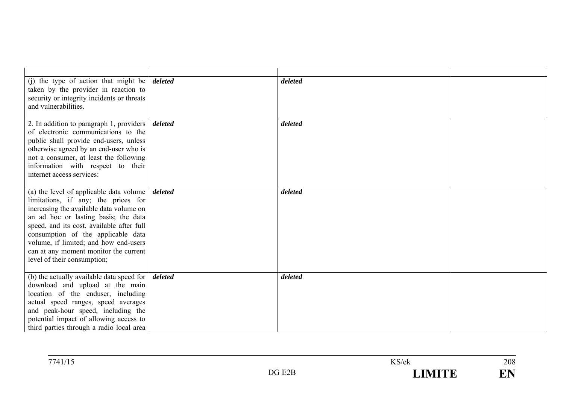| (j) the type of action that might be<br>taken by the provider in reaction to<br>security or integrity incidents or threats<br>and vulnerabilities.                                                                                                                                                                                                                                          | deleted | deleted |  |
|---------------------------------------------------------------------------------------------------------------------------------------------------------------------------------------------------------------------------------------------------------------------------------------------------------------------------------------------------------------------------------------------|---------|---------|--|
| 2. In addition to paragraph 1, providers  <br>of electronic communications to the<br>public shall provide end-users, unless<br>otherwise agreed by an end-user who is<br>not a consumer, at least the following<br>information with respect to their<br>internet access services:                                                                                                           | deleted | deleted |  |
| (a) the level of applicable data volume $\int$ <i>deleted</i><br>limitations, if any; the prices for<br>increasing the available data volume on<br>an ad hoc or lasting basis; the data<br>speed, and its cost, available after full<br>consumption of the applicable data<br>volume, if limited; and how end-users<br>can at any moment monitor the current<br>level of their consumption; |         | deleted |  |
| (b) the actually available data speed for<br>download and upload at the main<br>location of the enduser, including<br>actual speed ranges, speed averages<br>and peak-hour speed, including the<br>potential impact of allowing access to<br>third parties through a radio local area                                                                                                       | deleted | deleted |  |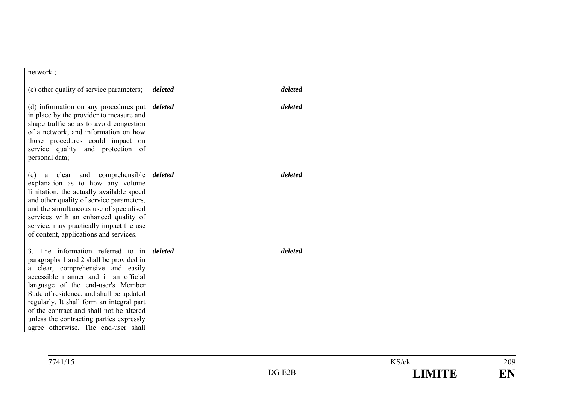| network;                                                                                                                                                                                                                                                                                                                                                                                                               |         |         |  |
|------------------------------------------------------------------------------------------------------------------------------------------------------------------------------------------------------------------------------------------------------------------------------------------------------------------------------------------------------------------------------------------------------------------------|---------|---------|--|
| (c) other quality of service parameters;                                                                                                                                                                                                                                                                                                                                                                               | deleted | deleted |  |
| (d) information on any procedures put<br>in place by the provider to measure and<br>shape traffic so as to avoid congestion<br>of a network, and information on how<br>those procedures could impact on<br>service quality and protection of<br>personal data;                                                                                                                                                         | deleted | deleted |  |
| a clear and comprehensible<br>(e)<br>explanation as to how any volume<br>limitation, the actually available speed<br>and other quality of service parameters,<br>and the simultaneous use of specialised<br>services with an enhanced quality of<br>service, may practically impact the use<br>of content, applications and services.                                                                                  | deleted | deleted |  |
| 3. The information referred to in<br>paragraphs 1 and 2 shall be provided in<br>a clear, comprehensive and easily<br>accessible manner and in an official<br>language of the end-user's Member<br>State of residence, and shall be updated<br>regularly. It shall form an integral part<br>of the contract and shall not be altered<br>unless the contracting parties expressly<br>agree otherwise. The end-user shall | deleted | deleted |  |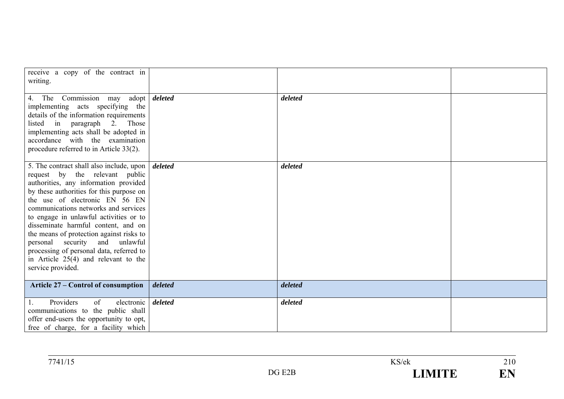| receive a copy of the contract in<br>writing.                                                                                                                                                                                                                                                                                                                                                                                                                                                                       |         |         |  |
|---------------------------------------------------------------------------------------------------------------------------------------------------------------------------------------------------------------------------------------------------------------------------------------------------------------------------------------------------------------------------------------------------------------------------------------------------------------------------------------------------------------------|---------|---------|--|
| 4. The Commission may adopt <i>deleted</i><br>implementing acts specifying the<br>details of the information requirements<br>listed in paragraph 2. Those<br>implementing acts shall be adopted in<br>accordance with the examination<br>procedure referred to in Article $33(2)$ .                                                                                                                                                                                                                                 |         | deleted |  |
| 5. The contract shall also include, upon<br>request by the relevant public<br>authorities, any information provided<br>by these authorities for this purpose on<br>the use of electronic EN 56 EN<br>communications networks and services<br>to engage in unlawful activities or to<br>disseminate harmful content, and on<br>the means of protection against risks to<br>personal security and unlawful<br>processing of personal data, referred to<br>in Article $25(4)$ and relevant to the<br>service provided. | deleted | deleted |  |
| <b>Article 27 – Control of consumption</b>                                                                                                                                                                                                                                                                                                                                                                                                                                                                          | deleted | deleted |  |
| Providers<br>of<br>electronic<br>1.<br>communications to the public shall<br>offer end-users the opportunity to opt,<br>free of charge, for a facility which                                                                                                                                                                                                                                                                                                                                                        | deleted | deleted |  |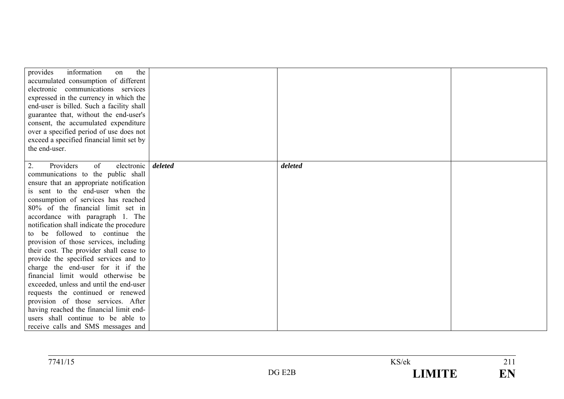| the<br>provides<br>information<br>on      |         |         |  |
|-------------------------------------------|---------|---------|--|
| accumulated consumption of different      |         |         |  |
| electronic communications services        |         |         |  |
| expressed in the currency in which the    |         |         |  |
| end-user is billed. Such a facility shall |         |         |  |
| guarantee that, without the end-user's    |         |         |  |
| consent, the accumulated expenditure      |         |         |  |
| over a specified period of use does not   |         |         |  |
| exceed a specified financial limit set by |         |         |  |
| the end-user.                             |         |         |  |
|                                           |         |         |  |
| electronic<br>Providers<br>of<br>2.       | deleted | deleted |  |
| communications to the public shall        |         |         |  |
| ensure that an appropriate notification   |         |         |  |
| is sent to the end-user when the          |         |         |  |
| consumption of services has reached       |         |         |  |
| 80% of the financial limit set in         |         |         |  |
| accordance with paragraph 1. The          |         |         |  |
| notification shall indicate the procedure |         |         |  |
| to be followed to continue the            |         |         |  |
| provision of those services, including    |         |         |  |
| their cost. The provider shall cease to   |         |         |  |
| provide the specified services and to     |         |         |  |
| charge the end-user for it if the         |         |         |  |
| financial limit would otherwise be        |         |         |  |
| exceeded, unless and until the end-user   |         |         |  |
| requests the continued or renewed         |         |         |  |
| provision of those services. After        |         |         |  |
| having reached the financial limit end-   |         |         |  |
| users shall continue to be able to        |         |         |  |
| receive calls and SMS messages and        |         |         |  |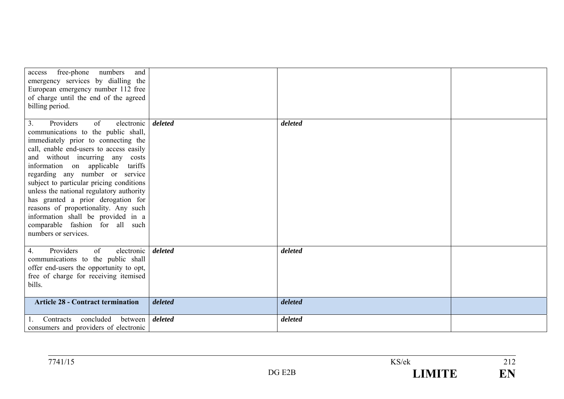| free-phone<br>numbers<br>and<br>access<br>emergency services by dialling the<br>European emergency number 112 free<br>of charge until the end of the agreed<br>billing period.                                                                                                                                                                                                                                                                                                                                                                 |         |         |  |
|------------------------------------------------------------------------------------------------------------------------------------------------------------------------------------------------------------------------------------------------------------------------------------------------------------------------------------------------------------------------------------------------------------------------------------------------------------------------------------------------------------------------------------------------|---------|---------|--|
| Providers<br>electronic<br>3.<br>of<br>communications to the public shall,<br>immediately prior to connecting the<br>call, enable end-users to access easily<br>and without incurring any costs<br>information on applicable tariffs<br>regarding any number or service<br>subject to particular pricing conditions<br>unless the national regulatory authority<br>has granted a prior derogation for<br>reasons of proportionality. Any such<br>information shall be provided in a<br>comparable fashion for all such<br>numbers or services. | deleted | deleted |  |
| Providers<br>electronic<br>4.<br>of<br>communications to the public shall<br>offer end-users the opportunity to opt,<br>free of charge for receiving itemised<br>bills.                                                                                                                                                                                                                                                                                                                                                                        | deleted | deleted |  |
| <b>Article 28 - Contract termination</b>                                                                                                                                                                                                                                                                                                                                                                                                                                                                                                       | deleted | deleted |  |
| concluded<br>Contracts<br>between<br>consumers and providers of electronic                                                                                                                                                                                                                                                                                                                                                                                                                                                                     | deleted | deleted |  |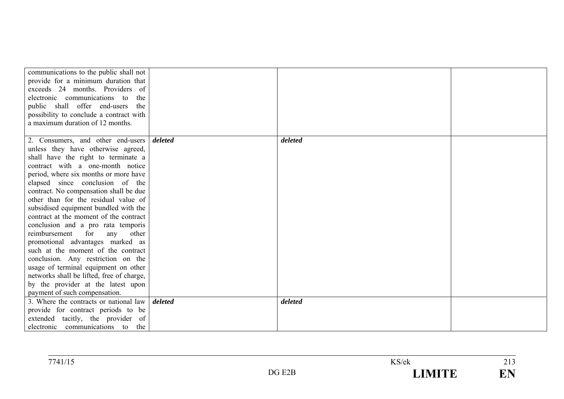| communications to the public shall not<br>provide for a minimum duration that<br>exceeds 24 months. Providers of<br>electronic communications to<br>the<br>public shall offer end-users<br>the<br>possibility to conclude a contract with                                                                                                                                                                                                                                                                                                                                                                                                                                                             |         |         |  |
|-------------------------------------------------------------------------------------------------------------------------------------------------------------------------------------------------------------------------------------------------------------------------------------------------------------------------------------------------------------------------------------------------------------------------------------------------------------------------------------------------------------------------------------------------------------------------------------------------------------------------------------------------------------------------------------------------------|---------|---------|--|
| a maximum duration of 12 months.                                                                                                                                                                                                                                                                                                                                                                                                                                                                                                                                                                                                                                                                      |         |         |  |
| 2. Consumers, and other end-users <i>deleted</i><br>unless they have otherwise agreed,<br>shall have the right to terminate a<br>contract with a one-month notice<br>period, where six months or more have<br>elapsed since conclusion of the<br>contract. No compensation shall be due<br>other than for the residual value of<br>subsidised equipment bundled with the<br>contract at the moment of the contract<br>conclusion and a pro rata temporis<br>reimbursement<br>for<br>other<br>any<br>promotional advantages marked as<br>such at the moment of the contract<br>conclusion. Any restriction on the<br>usage of terminal equipment on other<br>networks shall be lifted, free of charge, |         | deleted |  |
| by the provider at the latest upon<br>payment of such compensation.                                                                                                                                                                                                                                                                                                                                                                                                                                                                                                                                                                                                                                   |         |         |  |
| 3. Where the contracts or national law<br>provide for contract periods to be<br>extended tacitly, the provider of<br>electronic communications to the                                                                                                                                                                                                                                                                                                                                                                                                                                                                                                                                                 | deleted | deleted |  |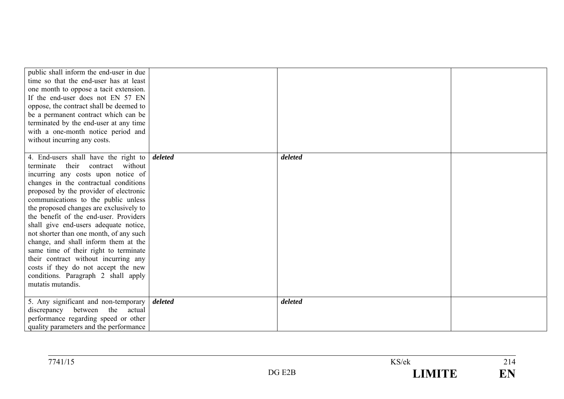| public shall inform the end-user in due<br>time so that the end-user has at least<br>one month to oppose a tacit extension.<br>If the end-user does not EN 57 EN<br>oppose, the contract shall be deemed to<br>be a permanent contract which can be<br>terminated by the end-user at any time<br>with a one-month notice period and<br>without incurring any costs. |         |         |  |
|---------------------------------------------------------------------------------------------------------------------------------------------------------------------------------------------------------------------------------------------------------------------------------------------------------------------------------------------------------------------|---------|---------|--|
| 4. End-users shall have the right to                                                                                                                                                                                                                                                                                                                                | deleted | deleted |  |
| terminate their contract without                                                                                                                                                                                                                                                                                                                                    |         |         |  |
| incurring any costs upon notice of                                                                                                                                                                                                                                                                                                                                  |         |         |  |
| changes in the contractual conditions                                                                                                                                                                                                                                                                                                                               |         |         |  |
| proposed by the provider of electronic                                                                                                                                                                                                                                                                                                                              |         |         |  |
| communications to the public unless                                                                                                                                                                                                                                                                                                                                 |         |         |  |
| the proposed changes are exclusively to<br>the benefit of the end-user. Providers                                                                                                                                                                                                                                                                                   |         |         |  |
| shall give end-users adequate notice,                                                                                                                                                                                                                                                                                                                               |         |         |  |
| not shorter than one month, of any such                                                                                                                                                                                                                                                                                                                             |         |         |  |
| change, and shall inform them at the                                                                                                                                                                                                                                                                                                                                |         |         |  |
| same time of their right to terminate                                                                                                                                                                                                                                                                                                                               |         |         |  |
| their contract without incurring any                                                                                                                                                                                                                                                                                                                                |         |         |  |
| costs if they do not accept the new                                                                                                                                                                                                                                                                                                                                 |         |         |  |
| conditions. Paragraph 2 shall apply                                                                                                                                                                                                                                                                                                                                 |         |         |  |
| mutatis mutandis.                                                                                                                                                                                                                                                                                                                                                   |         |         |  |
| 5. Any significant and non-temporary                                                                                                                                                                                                                                                                                                                                | deleted | deleted |  |
| discrepancy<br>between the<br>actual                                                                                                                                                                                                                                                                                                                                |         |         |  |
| performance regarding speed or other                                                                                                                                                                                                                                                                                                                                |         |         |  |
| quality parameters and the performance                                                                                                                                                                                                                                                                                                                              |         |         |  |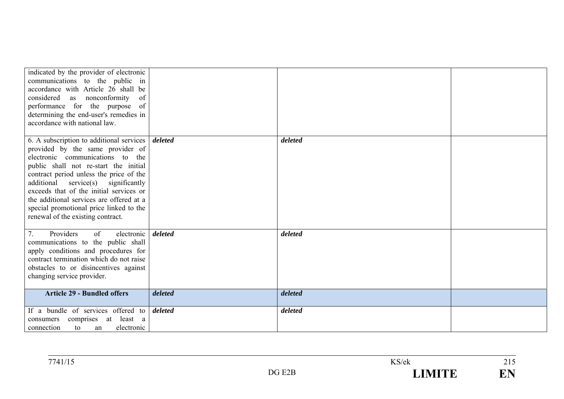| indicated by the provider of electronic<br>communications to the public in<br>accordance with Article 26 shall be<br>nonconformity<br>considered<br>as<br>of<br>performance for the purpose of<br>determining the end-user's remedies in<br>accordance with national law.                                                                                                                                                   |                    |                    |  |
|-----------------------------------------------------------------------------------------------------------------------------------------------------------------------------------------------------------------------------------------------------------------------------------------------------------------------------------------------------------------------------------------------------------------------------|--------------------|--------------------|--|
| 6. A subscription to additional services<br>provided by the same provider of<br>electronic communications to the<br>public shall not re-start the initial<br>contract period unless the price of the<br>additional<br>$s$ ervice $(s)$ significantly<br>exceeds that of the initial services or<br>the additional services are offered at a<br>special promotional price linked to the<br>renewal of the existing contract. | deleted            | deleted            |  |
| 7.<br>Providers<br>electronic<br>of<br>communications to the public shall<br>apply conditions and procedures for<br>contract termination which do not raise<br>obstacles to or disincentives against<br>changing service provider.<br><b>Article 29 - Bundled offers</b>                                                                                                                                                    | deleted<br>deleted | deleted<br>deleted |  |
|                                                                                                                                                                                                                                                                                                                                                                                                                             |                    |                    |  |
| If a bundle of services offered to<br>comprises at least a<br>consumers<br>connection<br>electronic<br>to<br>an                                                                                                                                                                                                                                                                                                             | deleted            | deleted            |  |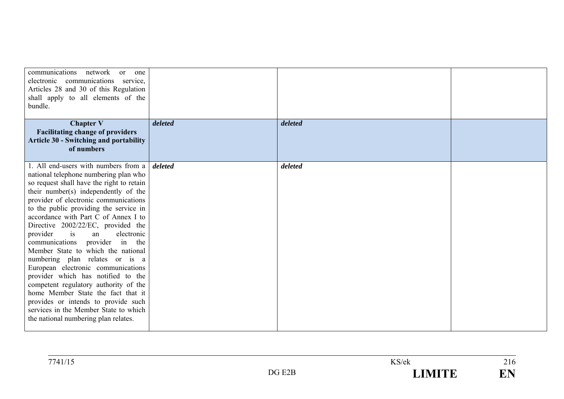| communications<br>network<br><sub>or</sub><br>one<br>electronic communications service,<br>Articles 28 and 30 of this Regulation<br>shall apply to all elements of the<br>bundle. |         |         |  |
|-----------------------------------------------------------------------------------------------------------------------------------------------------------------------------------|---------|---------|--|
| <b>Chapter V</b>                                                                                                                                                                  | deleted | deleted |  |
| <b>Facilitating change of providers</b>                                                                                                                                           |         |         |  |
| <b>Article 30 - Switching and portability</b><br>of numbers                                                                                                                       |         |         |  |
|                                                                                                                                                                                   |         |         |  |
| 1. All end-users with numbers from a                                                                                                                                              | deleted | deleted |  |
| national telephone numbering plan who                                                                                                                                             |         |         |  |
| so request shall have the right to retain                                                                                                                                         |         |         |  |
| their number(s) independently of the                                                                                                                                              |         |         |  |
| provider of electronic communications                                                                                                                                             |         |         |  |
| to the public providing the service in<br>accordance with Part C of Annex I to                                                                                                    |         |         |  |
|                                                                                                                                                                                   |         |         |  |
| Directive 2002/22/EC, provided the<br>is<br>provider<br>electronic<br>an                                                                                                          |         |         |  |
| communications provider in the                                                                                                                                                    |         |         |  |
| Member State to which the national                                                                                                                                                |         |         |  |
| numbering plan relates or is a                                                                                                                                                    |         |         |  |
| European electronic communications                                                                                                                                                |         |         |  |
| provider which has notified to the                                                                                                                                                |         |         |  |
| competent regulatory authority of the                                                                                                                                             |         |         |  |
| home Member State the fact that it                                                                                                                                                |         |         |  |
| provides or intends to provide such                                                                                                                                               |         |         |  |
| services in the Member State to which                                                                                                                                             |         |         |  |
| the national numbering plan relates.                                                                                                                                              |         |         |  |
|                                                                                                                                                                                   |         |         |  |

| 7741/15 |                                       | KS/ek | $\sim$<br>210 |
|---------|---------------------------------------|-------|---------------|
|         | FAP<br>$\mathsf{D}\mathsf{C}$<br>புடப | IMITE | TI T<br>ட்ட   |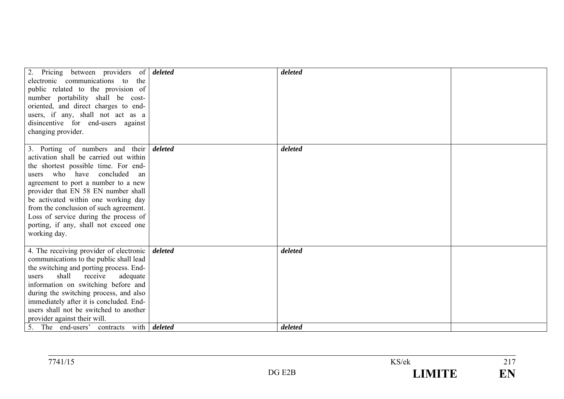| 2. Pricing between providers of <i>deleted</i><br>electronic communications to the<br>public related to the provision of<br>number portability shall be cost-<br>oriented, and direct charges to end-<br>users, if any, shall not act as a<br>disincentive for end-users against<br>changing provider.                                                                                                                          |         | deleted            |  |
|---------------------------------------------------------------------------------------------------------------------------------------------------------------------------------------------------------------------------------------------------------------------------------------------------------------------------------------------------------------------------------------------------------------------------------|---------|--------------------|--|
| 3. Porting of numbers and their<br>activation shall be carried out within<br>the shortest possible time. For end-<br>users who have concluded<br>an<br>agreement to port a number to a new<br>provider that EN 58 EN number shall<br>be activated within one working day<br>from the conclusion of such agreement.<br>Loss of service during the process of<br>porting, if any, shall not exceed one<br>working day.            | deleted | deleted            |  |
| 4. The receiving provider of electronic<br>communications to the public shall lead<br>the switching and porting process. End-<br>shall<br>receive<br>adequate<br>users<br>information on switching before and<br>during the switching process, and also<br>immediately after it is concluded. End-<br>users shall not be switched to another<br>provider against their will.<br>5. The end-users' contracts with <i>deleted</i> | deleted | deleted<br>deleted |  |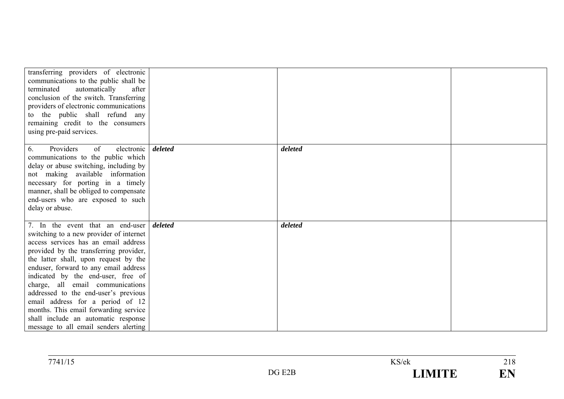| transferring providers of electronic<br>communications to the public shall be<br>terminated<br>automatically<br>after<br>conclusion of the switch. Transferring<br>providers of electronic communications<br>to the public shall refund any<br>remaining credit to the consumers<br>using pre-paid services.                                                                                                                                                                                                                                  |         |         |  |
|-----------------------------------------------------------------------------------------------------------------------------------------------------------------------------------------------------------------------------------------------------------------------------------------------------------------------------------------------------------------------------------------------------------------------------------------------------------------------------------------------------------------------------------------------|---------|---------|--|
| Providers<br>of<br>electronic<br>6.<br>communications to the public which<br>delay or abuse switching, including by<br>not making available information<br>necessary for porting in a timely<br>manner, shall be obliged to compensate<br>end-users who are exposed to such<br>delay or abuse.                                                                                                                                                                                                                                                | deleted | deleted |  |
| 7. In the event that an end-user <i>deleted</i><br>switching to a new provider of internet<br>access services has an email address<br>provided by the transferring provider,<br>the latter shall, upon request by the<br>enduser, forward to any email address<br>indicated by the end-user, free of<br>charge, all email communications<br>addressed to the end-user's previous<br>email address for a period of 12<br>months. This email forwarding service<br>shall include an automatic response<br>message to all email senders alerting |         | deleted |  |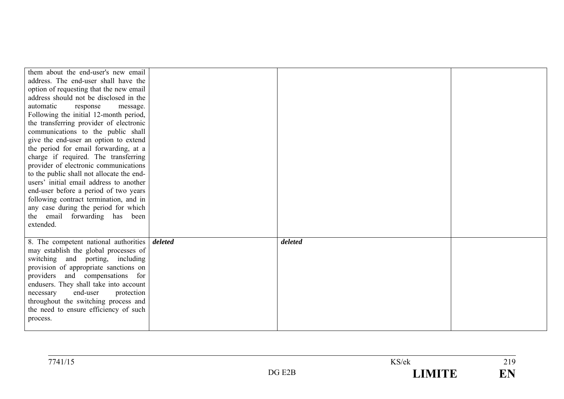| them about the end-user's new email<br>address. The end-user shall have the<br>option of requesting that the new email<br>address should not be disclosed in the<br>automatic<br>response<br>message.<br>Following the initial 12-month period,<br>the transferring provider of electronic<br>communications to the public shall<br>give the end-user an option to extend<br>the period for email forwarding, at a<br>charge if required. The transferring<br>provider of electronic communications<br>to the public shall not allocate the end-<br>users' initial email address to another<br>end-user before a period of two years<br>following contract termination, and in<br>any case during the period for which<br>the email forwarding has been |         |         |  |
|---------------------------------------------------------------------------------------------------------------------------------------------------------------------------------------------------------------------------------------------------------------------------------------------------------------------------------------------------------------------------------------------------------------------------------------------------------------------------------------------------------------------------------------------------------------------------------------------------------------------------------------------------------------------------------------------------------------------------------------------------------|---------|---------|--|
| extended.<br>8. The competent national authorities<br>may establish the global processes of<br>switching and porting, including<br>provision of appropriate sanctions on<br>providers and compensations for<br>endusers. They shall take into account<br>end-user<br>necessary<br>protection<br>throughout the switching process and<br>the need to ensure efficiency of such<br>process.                                                                                                                                                                                                                                                                                                                                                               | deleted | deleted |  |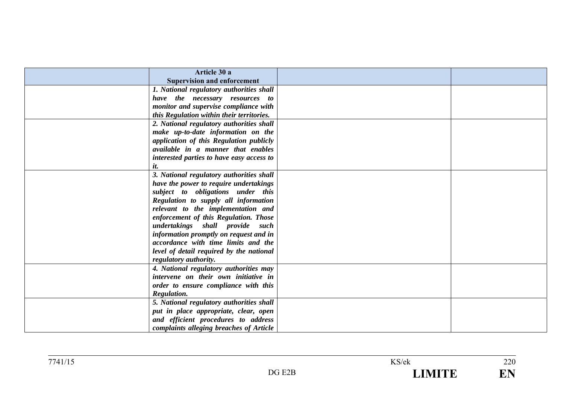|     | Article 30 a                              |  |
|-----|-------------------------------------------|--|
|     | <b>Supervision and enforcement</b>        |  |
|     | 1. National regulatory authorities shall  |  |
|     | have the necessary resources to           |  |
|     | monitor and supervise compliance with     |  |
|     | this Regulation within their territories. |  |
|     | 2. National regulatory authorities shall  |  |
|     | make up-to-date information on the        |  |
|     | application of this Regulation publicly   |  |
|     | available in a manner that enables        |  |
|     | interested parties to have easy access to |  |
| it. |                                           |  |
|     | 3. National regulatory authorities shall  |  |
|     | have the power to require undertakings    |  |
|     | subject to obligations under this         |  |
|     | Regulation to supply all information      |  |
|     | relevant to the implementation and        |  |
|     | enforcement of this Regulation. Those     |  |
|     | undertakings shall provide such           |  |
|     | information promptly on request and in    |  |
|     | accordance with time limits and the       |  |
|     | level of detail required by the national  |  |
|     | regulatory authority.                     |  |
|     | 4. National regulatory authorities may    |  |
|     | intervene on their own initiative in      |  |
|     | order to ensure compliance with this      |  |
|     | Regulation.                               |  |
|     | 5. National regulatory authorities shall  |  |
|     | put in place appropriate, clear, open     |  |
|     | and efficient procedures to address       |  |
|     | complaints alleging breaches of Article   |  |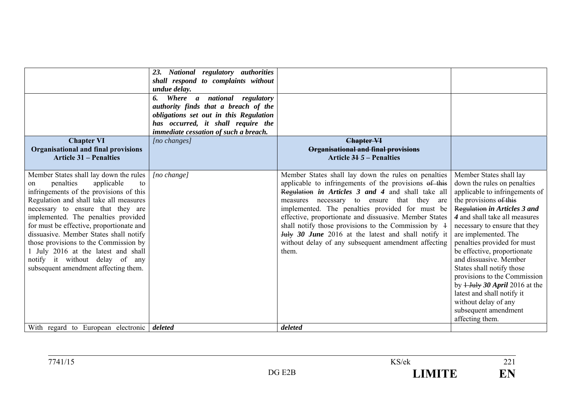| <b>Chapter VI</b><br><b>Organisational and final provisions</b><br><b>Article 31 – Penalties</b>                                                                                                                                                                                                                                                                                                                                                                                               | 23. National regulatory authorities<br>shall respond to complaints without<br>undue delay.<br>Where a national regulatory<br>6.<br>authority finds that a breach of the<br>obligations set out in this Regulation<br>has occurred, it shall require the<br>immediate cessation of such a breach.<br>[no changes] | <b>Chapter VI</b><br><b>Organisational and final provisions</b><br>Article $315$ – Penalties                                                                                                                                                                                                                                                                                                                                                                                                                                 |                                                                                                                                                                                                                                                                                                                                                                                                                                                                                                                                         |
|------------------------------------------------------------------------------------------------------------------------------------------------------------------------------------------------------------------------------------------------------------------------------------------------------------------------------------------------------------------------------------------------------------------------------------------------------------------------------------------------|------------------------------------------------------------------------------------------------------------------------------------------------------------------------------------------------------------------------------------------------------------------------------------------------------------------|------------------------------------------------------------------------------------------------------------------------------------------------------------------------------------------------------------------------------------------------------------------------------------------------------------------------------------------------------------------------------------------------------------------------------------------------------------------------------------------------------------------------------|-----------------------------------------------------------------------------------------------------------------------------------------------------------------------------------------------------------------------------------------------------------------------------------------------------------------------------------------------------------------------------------------------------------------------------------------------------------------------------------------------------------------------------------------|
| Member States shall lay down the rules<br>penalties<br>applicable<br>to<br>on<br>infringements of the provisions of this<br>Regulation and shall take all measures<br>necessary to ensure that they are<br>implemented. The penalties provided<br>for must be effective, proportionate and<br>dissuasive. Member States shall notify<br>those provisions to the Commission by<br>1 July 2016 at the latest and shall<br>notify it without delay of any<br>subsequent amendment affecting them. | $[no \space change]$                                                                                                                                                                                                                                                                                             | Member States shall lay down the rules on penalties<br>applicable to infringements of the provisions of this<br>Regulation in Articles 3 and 4 and shall take all<br>necessary to ensure that they<br>measures<br>are<br>implemented. The penalties provided for must be<br>effective, proportionate and dissuasive. Member States<br>shall notify those provisions to the Commission by $\pm$<br><b>July 30 June</b> 2016 at the latest and shall notify it<br>without delay of any subsequent amendment affecting<br>them. | Member States shall lay<br>down the rules on penalties<br>applicable to infringements of<br>the provisions of this<br>Regulation in Articles 3 and<br>4 and shall take all measures<br>necessary to ensure that they<br>are implemented. The<br>penalties provided for must<br>be effective, proportionate<br>and dissuasive. Member<br>States shall notify those<br>provisions to the Commission<br>by $1$ -July 30 April 2016 at the<br>latest and shall notify it<br>without delay of any<br>subsequent amendment<br>affecting them. |
| With regard to European electronic <i>deleted</i>                                                                                                                                                                                                                                                                                                                                                                                                                                              |                                                                                                                                                                                                                                                                                                                  | deleted                                                                                                                                                                                                                                                                                                                                                                                                                                                                                                                      |                                                                                                                                                                                                                                                                                                                                                                                                                                                                                                                                         |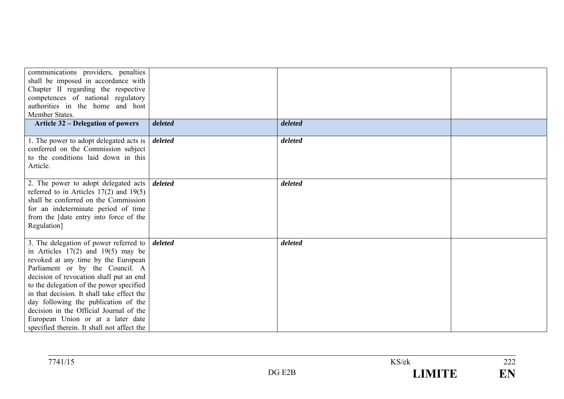| communications providers, penalties<br>shall be imposed in accordance with<br>Chapter II regarding the respective<br>competences of national regulatory<br>authorities in the home and host<br>Member States.                                                                                                                                                                                                                                                         |         |         |  |
|-----------------------------------------------------------------------------------------------------------------------------------------------------------------------------------------------------------------------------------------------------------------------------------------------------------------------------------------------------------------------------------------------------------------------------------------------------------------------|---------|---------|--|
| <b>Article 32 – Delegation of powers</b>                                                                                                                                                                                                                                                                                                                                                                                                                              | deleted | deleted |  |
| 1. The power to adopt delegated acts is<br>conferred on the Commission subject<br>to the conditions laid down in this<br>Article.                                                                                                                                                                                                                                                                                                                                     | deleted | deleted |  |
| 2. The power to adopt delegated acts<br>referred to in Articles $17(2)$ and $19(5)$<br>shall be conferred on the Commission<br>for an indeterminate period of time<br>from the [date entry into force of the<br>Regulation]                                                                                                                                                                                                                                           | deleted | deleted |  |
| 3. The delegation of power referred to<br>in Articles $17(2)$ and $19(5)$ may be<br>revoked at any time by the European<br>Parliament or by the Council. A<br>decision of revocation shall put an end<br>to the delegation of the power specified<br>in that decision. It shall take effect the<br>day following the publication of the<br>decision in the Official Journal of the<br>European Union or at a later date<br>specified therein. It shall not affect the | deleted | deleted |  |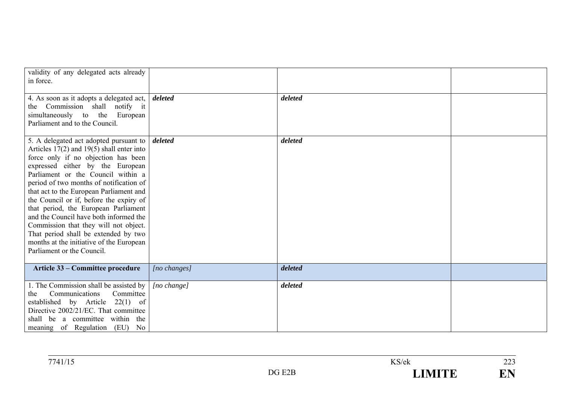| validity of any delegated acts already<br>in force.                                                                                                                                                                                                                                                                                                                                                                                                                                                                                                                                    |                 |         |  |
|----------------------------------------------------------------------------------------------------------------------------------------------------------------------------------------------------------------------------------------------------------------------------------------------------------------------------------------------------------------------------------------------------------------------------------------------------------------------------------------------------------------------------------------------------------------------------------------|-----------------|---------|--|
| 4. As soon as it adopts a delegated act,<br>the Commission shall notify it<br>simultaneously to the European<br>Parliament and to the Council.                                                                                                                                                                                                                                                                                                                                                                                                                                         | deleted         | deleted |  |
| 5. A delegated act adopted pursuant to<br>Articles $17(2)$ and $19(5)$ shall enter into<br>force only if no objection has been<br>expressed either by the European<br>Parliament or the Council within a<br>period of two months of notification of<br>that act to the European Parliament and<br>the Council or if, before the expiry of<br>that period, the European Parliament<br>and the Council have both informed the<br>Commission that they will not object.<br>That period shall be extended by two<br>months at the initiative of the European<br>Parliament or the Council. | deleted         | deleted |  |
| Article 33 – Committee procedure                                                                                                                                                                                                                                                                                                                                                                                                                                                                                                                                                       | $[no\ changes]$ | deleted |  |
| 1. The Commission shall be assisted by<br>Communications<br>Committee<br>the<br>established by Article 22(1) of<br>Directive 2002/21/EC. That committee<br>shall be a committee within the<br>meaning of Regulation (EU) No                                                                                                                                                                                                                                                                                                                                                            | [no change]     | deleted |  |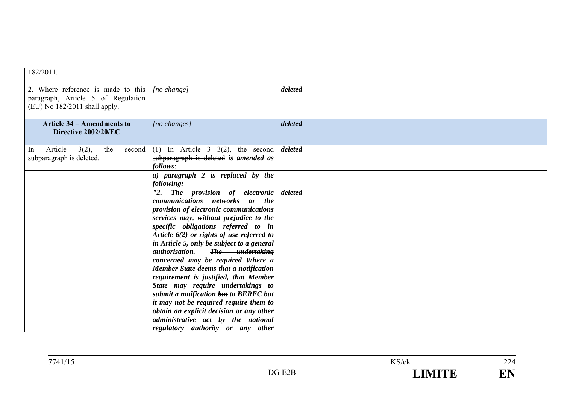| 182/2011.                                                                                                   |                                                                                                                                                                                                                                                                                                                                                                                                                                                                                                                                                                                                                                                                                                                      |         |  |
|-------------------------------------------------------------------------------------------------------------|----------------------------------------------------------------------------------------------------------------------------------------------------------------------------------------------------------------------------------------------------------------------------------------------------------------------------------------------------------------------------------------------------------------------------------------------------------------------------------------------------------------------------------------------------------------------------------------------------------------------------------------------------------------------------------------------------------------------|---------|--|
| 2. Where reference is made to this<br>paragraph, Article 5 of Regulation<br>$(EU)$ No 182/2011 shall apply. | $[no \space change]$                                                                                                                                                                                                                                                                                                                                                                                                                                                                                                                                                                                                                                                                                                 | deleted |  |
| <b>Article 34 – Amendments to</b><br>Directive 2002/20/EC                                                   | $[no\ changes]$                                                                                                                                                                                                                                                                                                                                                                                                                                                                                                                                                                                                                                                                                                      | deleted |  |
| 3(2),<br>Article<br>the<br>second<br><sub>In</sub><br>subparagraph is deleted.                              | (1) In Article 3 $3(2)$ , the second<br>subparagraph is deleted is amended as<br>follows:                                                                                                                                                                                                                                                                                                                                                                                                                                                                                                                                                                                                                            | deleted |  |
|                                                                                                             | a) paragraph 2 is replaced by the<br>following:                                                                                                                                                                                                                                                                                                                                                                                                                                                                                                                                                                                                                                                                      |         |  |
|                                                                                                             | "2. The provision of electronic<br>communications networks or the<br>provision of electronic communications<br>services may, without prejudice to the<br>specific obligations referred to in<br>Article $6(2)$ or rights of use referred to<br>in Article 5, only be subject to a general<br><i>authorisation.</i><br>The <i>undertaking</i><br>concerned may be required Where a<br>Member State deems that a notification<br>requirement is justified, that Member<br>State may require undertakings to<br>submit a notification but to BEREC but<br>it may not be required require them to<br>obtain an explicit decision or any other<br>administrative act by the national<br>regulatory authority or any other | deleted |  |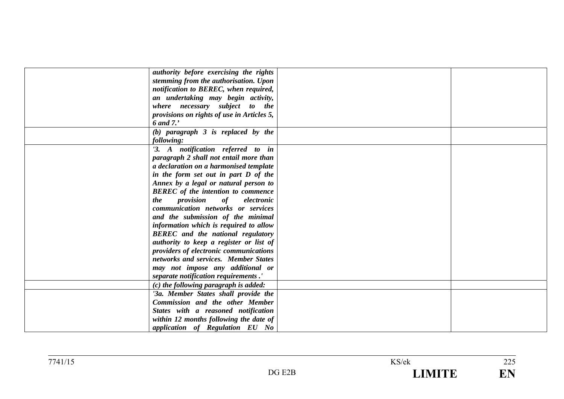| authority before exercising the rights     |  |
|--------------------------------------------|--|
| stemming from the authorisation. Upon      |  |
| notification to BEREC, when required,      |  |
| an undertaking may begin activity,         |  |
| where necessary subject to the             |  |
| provisions on rights of use in Articles 5, |  |
| 6 and 7.'                                  |  |
| $(b)$ paragraph $3$ is replaced by the     |  |
| following:                                 |  |
| '3. A notification referred to in          |  |
| paragraph 2 shall not entail more than     |  |
| a declaration on a harmonised template     |  |
| in the form set out in part D of the       |  |
| Annex by a legal or natural person to      |  |
| <b>BEREC</b> of the intention to commence  |  |
| <i>provision</i> of<br>electronic<br>the   |  |
| communication networks or services         |  |
| and the submission of the minimal          |  |
| information which is required to allow     |  |
| <b>BEREC</b> and the national regulatory   |  |
| authority to keep a register or list of    |  |
| providers of electronic communications     |  |
| networks and services. Member States       |  |
| may not impose any additional or           |  |
| separate notification requirements.'       |  |
| $(c)$ the following paragraph is added:    |  |
| '3a. Member States shall provide the       |  |
| <b>Commission and the other Member</b>     |  |
| States with a reasoned notification        |  |
| within 12 months following the date of     |  |
| application of Regulation EU No            |  |
|                                            |  |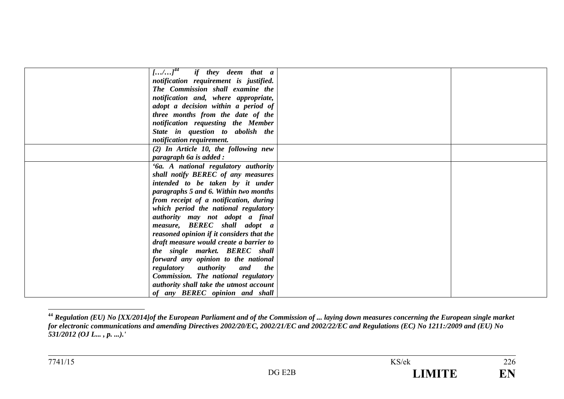| $\left[\ldots/\ldots\right]^{44}$ if they deem that a |  |
|-------------------------------------------------------|--|
| notification requirement is justified.                |  |
| The Commission shall examine the                      |  |
| notification and, where appropriate,                  |  |
| adopt a decision within a period of                   |  |
| three months from the date of the                     |  |
| notification requesting the Member                    |  |
| State in question to abolish the                      |  |
| notification requirement.                             |  |
| $(2)$ In Article 10, the following new                |  |
| paragraph 6a is added :                               |  |
| '6a. A national regulatory authority                  |  |
| shall notify BEREC of any measures                    |  |
| intended to be taken by it under                      |  |
| paragraphs 5 and 6. Within two months                 |  |
| from receipt of a notification, during                |  |
| which period the national regulatory                  |  |
| authority may not adopt a final                       |  |
| measure, BEREC shall adopt a                          |  |
| reasoned opinion if it considers that the             |  |
| draft measure would create a barrier to               |  |
| the single market. BEREC shall                        |  |
| forward any opinion to the national                   |  |
| regulatory authority and the                          |  |
| Commission. The national regulatory                   |  |
| authority shall take the utmost account               |  |
| of any <b>BEREC</b> opinion and shall                 |  |

**<sup>44</sup>** *Regulation (EU) No [XX/2014]of the European Parliament and of the Commission of ... laying down measures concerning the European single market for electronic communications and amending Directives 2002/20/EC, 2002/21/EC and 2002/22/EC and Regulations (EC) No 1211:/2009 and (EU) No 531/2012 (OJ L... , p. ...).'*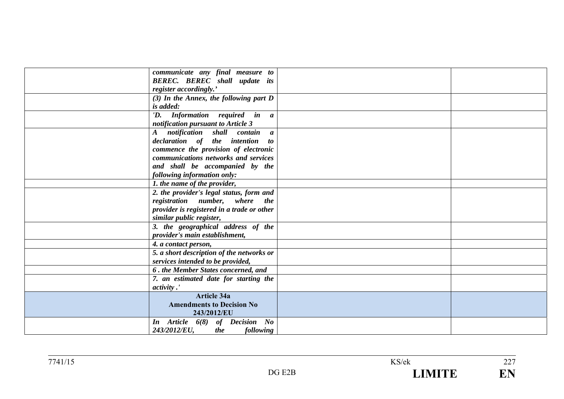| communicate any final measure to                 |  |
|--------------------------------------------------|--|
| <b>BEREC.</b> BEREC shall update its             |  |
| register accordingly.'                           |  |
| $(3)$ In the Annex, the following part D         |  |
| is added:                                        |  |
| 'D. Information required in a                    |  |
| notification pursuant to Article 3               |  |
| notification shall contain a<br>$\boldsymbol{A}$ |  |
| declaration of the intention to                  |  |
| commence the provision of electronic             |  |
| communications networks and services             |  |
| and shall be accompanied by the                  |  |
| following information only:                      |  |
| 1. the name of the provider,                     |  |
| 2. the provider's legal status, form and         |  |
| registration number, where the                   |  |
| provider is registered in a trade or other       |  |
| similar public register,                         |  |
| 3. the geographical address of the               |  |
| provider's main establishment,                   |  |
| 4. a contact person,                             |  |
| 5. a short description of the networks or        |  |
| services intended to be provided,                |  |
| 6. the Member States concerned, and              |  |
| 7. an estimated date for starting the            |  |
| <i>activity</i> .'                               |  |
| <b>Article 34a</b>                               |  |
| <b>Amendments to Decision No</b>                 |  |
| 243/2012/EU                                      |  |
| In Article 6(8) of Decision No                   |  |
| 243/2012/EU,<br>the<br><i>following</i>          |  |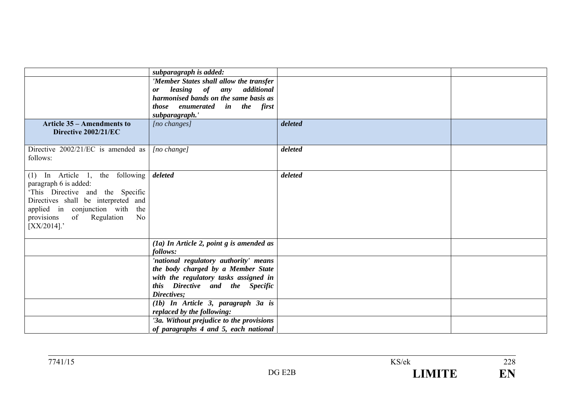|                                                                         | subparagraph is added:                                                   |         |  |
|-------------------------------------------------------------------------|--------------------------------------------------------------------------|---------|--|
|                                                                         | 'Member States shall allow the transfer                                  |         |  |
|                                                                         | leasing of any additional<br><b>or</b>                                   |         |  |
|                                                                         | harmonised bands on the same basis as                                    |         |  |
|                                                                         | those enumerated in the first<br>subparagraph.'                          |         |  |
| <b>Article 35 – Amendments to</b>                                       | $[no \; changes]$                                                        | deleted |  |
| Directive 2002/21/EC                                                    |                                                                          |         |  |
|                                                                         |                                                                          |         |  |
| Directive $2002/21/EC$ is amended as                                    | [no change]                                                              | deleted |  |
| follows:                                                                |                                                                          |         |  |
|                                                                         |                                                                          |         |  |
| (1) In Article 1, the following                                         | deleted                                                                  | deleted |  |
| paragraph 6 is added:                                                   |                                                                          |         |  |
| 'This Directive and the Specific<br>Directives shall be interpreted and |                                                                          |         |  |
| applied in conjunction with<br>the                                      |                                                                          |         |  |
| of<br>Regulation<br>provisions<br>N <sub>0</sub>                        |                                                                          |         |  |
| $[XX/2014]$ .                                                           |                                                                          |         |  |
|                                                                         |                                                                          |         |  |
|                                                                         | $(a)$ In Article 2, point g is amended as                                |         |  |
|                                                                         | follows:                                                                 |         |  |
|                                                                         | 'national regulatory authority' means                                    |         |  |
|                                                                         | the body charged by a Member State                                       |         |  |
|                                                                         | with the regulatory tasks assigned in<br>this Directive and the Specific |         |  |
|                                                                         | Directives;                                                              |         |  |
|                                                                         | (1b) In Article 3, paragraph 3a is                                       |         |  |
|                                                                         | replaced by the following:                                               |         |  |
|                                                                         | '3a. Without prejudice to the provisions                                 |         |  |
|                                                                         | of paragraphs 4 and 5, each national                                     |         |  |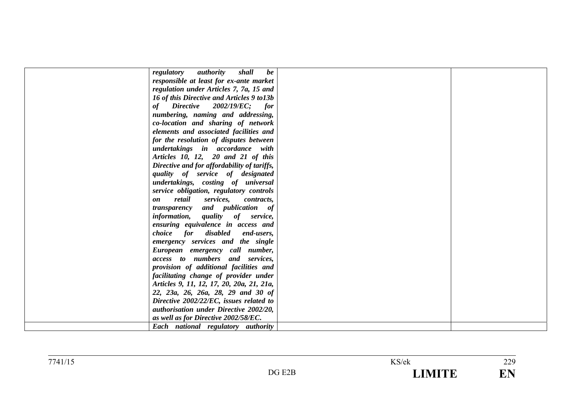| shall<br>regulatory authority<br>be         |  |
|---------------------------------------------|--|
| responsible at least for ex-ante market     |  |
| regulation under Articles 7, 7a, 15 and     |  |
| 16 of this Directive and Articles 9 to 13b  |  |
| $Directive$ 2002/19/EC; for<br>of           |  |
| numbering, naming and addressing,           |  |
| co-location and sharing of network          |  |
| elements and associated facilities and      |  |
| for the resolution of disputes between      |  |
| undertakings in accordance with             |  |
| Articles 10, 12, 20 and 21 of this          |  |
| Directive and for affordability of tariffs, |  |
| quality of service of designated            |  |
| undertakings, costing of universal          |  |
| service obligation, regulatory controls     |  |
| retail services, contracts,<br>on           |  |
| transparency and publication of             |  |
| information, quality of service,            |  |
| ensuring equivalence in access and          |  |
| choice for disabled end-users,              |  |
| emergency services and the single           |  |
| European emergency call number,             |  |
| access to numbers and services,             |  |
| provision of additional facilities and      |  |
| facilitating change of provider under       |  |
| Articles 9, 11, 12, 17, 20, 20a, 21, 21a,   |  |
| 22, 23a, 26, 26a, 28, 29 and 30 of          |  |
| Directive 2002/22/EC, issues related to     |  |
| authorisation under Directive 2002/20,      |  |
| as well as for Directive 2002/58/EC.        |  |
| Each national regulatory authority          |  |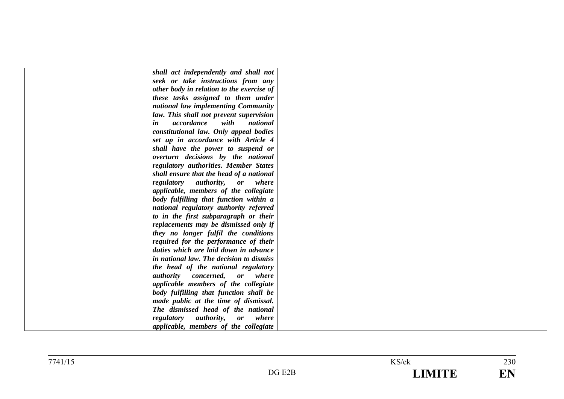| shall act independently and shall not        |  |
|----------------------------------------------|--|
| seek or take instructions from any           |  |
| other body in relation to the exercise of    |  |
| these tasks assigned to them under           |  |
| national law implementing Community          |  |
| law. This shall not prevent supervision      |  |
| accordance<br>with<br>national<br>in         |  |
| constitutional law. Only appeal bodies       |  |
| set up in accordance with Article 4          |  |
| shall have the power to suspend or           |  |
| overturn decisions by the national           |  |
| regulatory authorities. Member States        |  |
| shall ensure that the head of a national     |  |
| regulatory authority, or where               |  |
| applicable, members of the collegiate        |  |
| body fulfilling that function within a       |  |
| national regulatory authority referred       |  |
| to in the first subparagraph or their        |  |
| replacements may be dismissed only if        |  |
| they no longer fulfil the conditions         |  |
| required for the performance of their        |  |
| duties which are laid down in advance        |  |
| in national law. The decision to dismiss     |  |
| the head of the national regulatory          |  |
| <i>authority concerned</i> , <i>or</i> where |  |
| applicable members of the collegiate         |  |
| body fulfilling that function shall be       |  |
| made public at the time of dismissal.        |  |
| The dismissed head of the national           |  |
| regulatory authority, or where               |  |
| applicable, members of the collegiate        |  |
|                                              |  |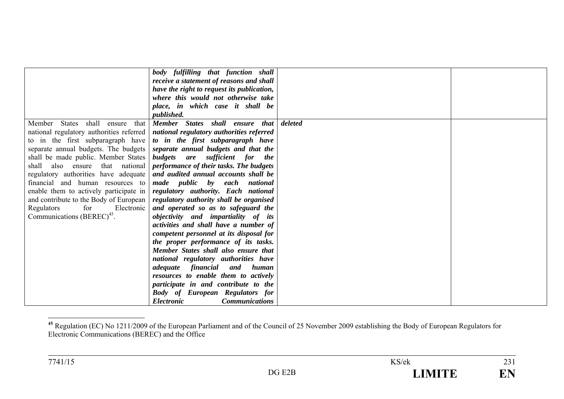|                                          | body fulfilling that function shall                                                        |         |  |
|------------------------------------------|--------------------------------------------------------------------------------------------|---------|--|
|                                          | receive a statement of reasons and shall                                                   |         |  |
|                                          | have the right to request its publication,                                                 |         |  |
|                                          | where this would not otherwise take                                                        |         |  |
|                                          | place, in which case it shall be                                                           |         |  |
|                                          | <i>published.</i>                                                                          |         |  |
| shall<br>Member States<br>that<br>ensure | Member States shall ensure that                                                            | deleted |  |
|                                          | national regulatory authorities referred   <i>national regulatory authorities referred</i> |         |  |
| to in the first subparagraph have        | to in the first subparagraph have                                                          |         |  |
|                                          | separate annual budgets. The budgets separate annual budgets and that the                  |         |  |
| shall be made public. Member States      | budgets are sufficient for<br><i>the</i>                                                   |         |  |
| shall also ensure that national          | performance of their tasks. The budgets                                                    |         |  |
|                                          | regulatory authorities have adequate and audited annual accounts shall be                  |         |  |
| financial and human resources to         | made public by each national                                                               |         |  |
| enable them to actively participate in   | regulatory authority. Each national                                                        |         |  |
|                                          | and contribute to the Body of European   regulatory authority shall be organised           |         |  |
| Regulators<br>for<br>Electronic          | and operated so as to safeguard the                                                        |         |  |
| Communications $(BEREC)^{45}$ .          | objectivity and impartiality of its                                                        |         |  |
|                                          | activities and shall have a number of                                                      |         |  |
|                                          | competent personnel at its disposal for                                                    |         |  |
|                                          | the proper performance of its tasks.                                                       |         |  |
|                                          | Member States shall also ensure that                                                       |         |  |
|                                          | national regulatory authorities have                                                       |         |  |
|                                          | human                                                                                      |         |  |
|                                          | <i>adequate financial</i> and<br>resources to enable them to actively                      |         |  |
|                                          |                                                                                            |         |  |
|                                          | participate in and contribute to the                                                       |         |  |
|                                          | <b>Body of European Regulators for</b>                                                     |         |  |
|                                          | <b>Electronic</b><br><b>Communications</b>                                                 |         |  |

**<sup>45</sup>** Regulation (EC) No 1211/2009 of the European Parliament and of the Council of 25 November 2009 establishing the Body of European Regulators for Electronic Communications (BEREC) and the Office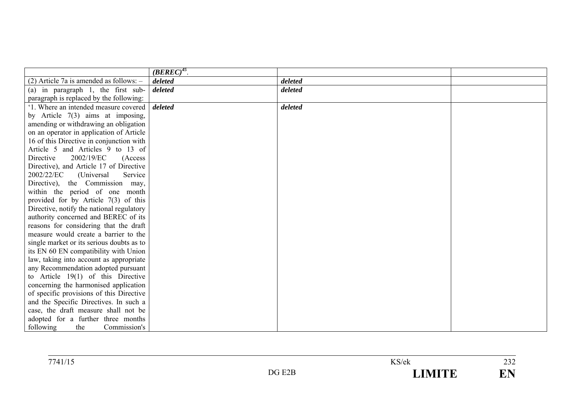|                                             | $(BEREC)^{45}$ . |         |  |
|---------------------------------------------|------------------|---------|--|
| $(2)$ Article 7a is amended as follows: $-$ | deleted          | deleted |  |
| (a) in paragraph $1$ , the first sub-       | deleted          | deleted |  |
| paragraph is replaced by the following:     |                  |         |  |
| '1. Where an intended measure covered       | deleted          | deleted |  |
| by Article $7(3)$ aims at imposing,         |                  |         |  |
| amending or withdrawing an obligation       |                  |         |  |
| on an operator in application of Article    |                  |         |  |
| 16 of this Directive in conjunction with    |                  |         |  |
| Article 5 and Articles 9 to 13 of           |                  |         |  |
| 2002/19/EC<br>Directive<br>(Access)         |                  |         |  |
| Directive), and Article 17 of Directive     |                  |         |  |
| 2002/22/EC<br>(Universal<br>Service         |                  |         |  |
| Directive), the Commission may,             |                  |         |  |
| within the period of one month              |                  |         |  |
| provided for by Article $7(3)$ of this      |                  |         |  |
| Directive, notify the national regulatory   |                  |         |  |
| authority concerned and BEREC of its        |                  |         |  |
| reasons for considering that the draft      |                  |         |  |
| measure would create a barrier to the       |                  |         |  |
| single market or its serious doubts as to   |                  |         |  |
| its EN 60 EN compatibility with Union       |                  |         |  |
| law, taking into account as appropriate     |                  |         |  |
| any Recommendation adopted pursuant         |                  |         |  |
| to Article $19(1)$ of this Directive        |                  |         |  |
| concerning the harmonised application       |                  |         |  |
| of specific provisions of this Directive    |                  |         |  |
| and the Specific Directives. In such a      |                  |         |  |
| case, the draft measure shall not be        |                  |         |  |
| adopted for a further three months          |                  |         |  |
| following<br>Commission's<br>the            |                  |         |  |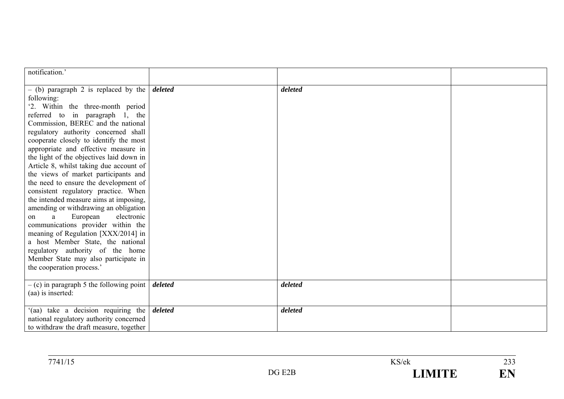| notification.'                                                                                                                                                                                                                                                                                                                                                                                                                                                                                                                                                                                                                                                                                                                                                                                                                                                  |         |         |  |
|-----------------------------------------------------------------------------------------------------------------------------------------------------------------------------------------------------------------------------------------------------------------------------------------------------------------------------------------------------------------------------------------------------------------------------------------------------------------------------------------------------------------------------------------------------------------------------------------------------------------------------------------------------------------------------------------------------------------------------------------------------------------------------------------------------------------------------------------------------------------|---------|---------|--|
| $-$ (b) paragraph 2 is replaced by the<br>following:<br>'2. Within the three-month period<br>referred to in paragraph 1, the<br>Commission, BEREC and the national<br>regulatory authority concerned shall<br>cooperate closely to identify the most<br>appropriate and effective measure in<br>the light of the objectives laid down in<br>Article 8, whilst taking due account of<br>the views of market participants and<br>the need to ensure the development of<br>consistent regulatory practice. When<br>the intended measure aims at imposing,<br>amending or withdrawing an obligation<br>European<br>electronic<br>a<br>on<br>communications provider within the<br>meaning of Regulation [XXX/2014] in<br>a host Member State, the national<br>regulatory authority of the home<br>Member State may also participate in<br>the cooperation process.' | deleted | deleted |  |
| $-$ (c) in paragraph 5 the following point  <br>(aa) is inserted:                                                                                                                                                                                                                                                                                                                                                                                                                                                                                                                                                                                                                                                                                                                                                                                               | deleted | deleted |  |
| '(aa) take a decision requiring the<br>national regulatory authority concerned<br>to withdraw the draft measure, together                                                                                                                                                                                                                                                                                                                                                                                                                                                                                                                                                                                                                                                                                                                                       | deleted | deleted |  |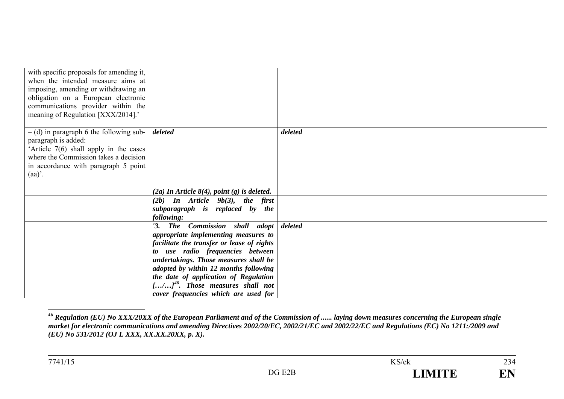| with specific proposals for amending it,<br>when the intended measure aims at<br>imposing, amending or withdrawing an<br>obligation on a European electronic<br>communications provider within the<br>meaning of Regulation [XXX/2014].' |                                                                                                                                                                                                                                                                                                                                                                      |         |  |
|------------------------------------------------------------------------------------------------------------------------------------------------------------------------------------------------------------------------------------------|----------------------------------------------------------------------------------------------------------------------------------------------------------------------------------------------------------------------------------------------------------------------------------------------------------------------------------------------------------------------|---------|--|
| $-$ (d) in paragraph 6 the following sub-<br>paragraph is added:<br>'Article 7(6) shall apply in the cases<br>where the Commission takes a decision<br>in accordance with paragraph 5 point<br>$(aa)$ .                                  | deleted                                                                                                                                                                                                                                                                                                                                                              | deleted |  |
|                                                                                                                                                                                                                                          | $(2a)$ In Article 8(4), point (g) is deleted.                                                                                                                                                                                                                                                                                                                        |         |  |
|                                                                                                                                                                                                                                          | $(2b)$ In Article $9b(3)$ , the first<br>subparagraph is replaced by the<br>following:                                                                                                                                                                                                                                                                               |         |  |
|                                                                                                                                                                                                                                          | '3. The Commission shall adopt<br>appropriate implementing measures to<br>facilitate the transfer or lease of rights<br>to use radio frequencies between<br>undertakings. Those measures shall be<br>adopted by within 12 months following<br>the date of application of Regulation<br>$[/]^{46}$ . Those measures shall not<br>cover frequencies which are used for | deleted |  |

**<sup>46</sup>** *Regulation (EU) No XXX/20XX of the European Parliament and of the Commission of ...... laying down measures concerning the European single market for electronic communications and amending Directives 2002/20/EC, 2002/21/EC and 2002/22/EC and Regulations (EC) No 1211:/2009 and (EU) No 531/2012 (OJ L XXX, XX.XX.20XX, p. X).*

234

EN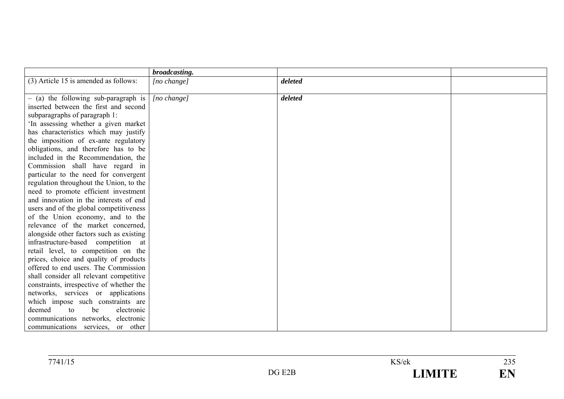|                                          | broadcasting. |         |  |
|------------------------------------------|---------------|---------|--|
| (3) Article 15 is amended as follows:    | [no change]   | deleted |  |
|                                          |               |         |  |
| $-$ (a) the following sub-paragraph is   | [no change]   | deleted |  |
| inserted between the first and second    |               |         |  |
| subparagraphs of paragraph 1:            |               |         |  |
| In assessing whether a given market      |               |         |  |
| has characteristics which may justify    |               |         |  |
| the imposition of ex-ante regulatory     |               |         |  |
| obligations, and therefore has to be     |               |         |  |
| included in the Recommendation, the      |               |         |  |
| Commission shall have regard in          |               |         |  |
| particular to the need for convergent    |               |         |  |
| regulation throughout the Union, to the  |               |         |  |
| need to promote efficient investment     |               |         |  |
| and innovation in the interests of end   |               |         |  |
| users and of the global competitiveness  |               |         |  |
| of the Union economy, and to the         |               |         |  |
| relevance of the market concerned,       |               |         |  |
| alongside other factors such as existing |               |         |  |
| infrastructure-based competition at      |               |         |  |
| retail level, to competition on the      |               |         |  |
| prices, choice and quality of products   |               |         |  |
| offered to end users. The Commission     |               |         |  |
| shall consider all relevant competitive  |               |         |  |
| constraints, irrespective of whether the |               |         |  |
| networks, services or applications       |               |         |  |
| which impose such constraints are        |               |         |  |
| deemed<br>be<br>to<br>electronic         |               |         |  |
| communications networks, electronic      |               |         |  |
| communications services, or other        |               |         |  |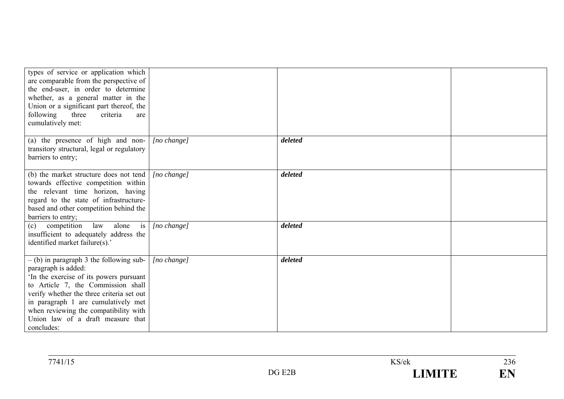| types of service or application which<br>are comparable from the perspective of<br>the end-user, in order to determine<br>whether, as a general matter in the<br>Union or a significant part thereof, the<br>following<br>three<br>criteria<br>are<br>cumulatively met:                                                          |                      |         |  |
|----------------------------------------------------------------------------------------------------------------------------------------------------------------------------------------------------------------------------------------------------------------------------------------------------------------------------------|----------------------|---------|--|
| (a) the presence of high and non-<br>transitory structural, legal or regulatory<br>barriers to entry;                                                                                                                                                                                                                            | [no change]          | deleted |  |
| (b) the market structure does not tend<br>towards effective competition within<br>the relevant time horizon, having<br>regard to the state of infrastructure-<br>based and other competition behind the<br>barriers to entry;                                                                                                    | $[no \space change]$ | deleted |  |
| (c) competition<br>law<br>alone is<br>insufficient to adequately address the<br>identified market failure(s).'                                                                                                                                                                                                                   | $[no \space change]$ | deleted |  |
| $-$ (b) in paragraph 3 the following sub-<br>paragraph is added:<br>In the exercise of its powers pursuant<br>to Article 7, the Commission shall<br>verify whether the three criteria set out<br>in paragraph 1 are cumulatively met<br>when reviewing the compatibility with<br>Union law of a draft measure that<br>concludes: | $[no \space change]$ | deleted |  |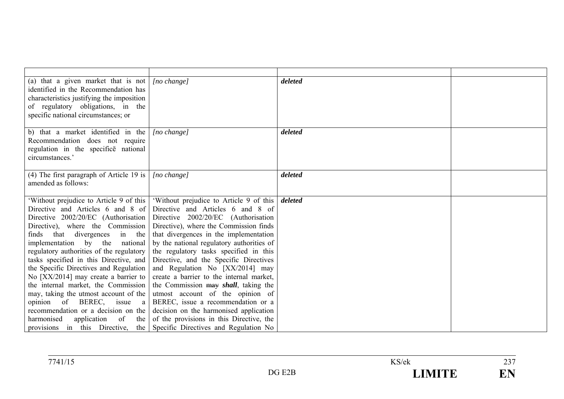| (a) that a given market that is not<br>identified in the Recommendation has<br>characteristics justifying the imposition<br>of regulatory obligations, in the<br>specific national circumstances; or | $[no \space change]$                                                    | deleted |  |
|------------------------------------------------------------------------------------------------------------------------------------------------------------------------------------------------------|-------------------------------------------------------------------------|---------|--|
| b) that a market identified in the<br>Recommendation does not require<br>regulation in the specifice national<br>circumstances.'                                                                     | [no change]                                                             | deleted |  |
| (4) The first paragraph of Article 19 is $\vert$<br>amended as follows:                                                                                                                              | $[no \ change]$                                                         | deleted |  |
| 'Without prejudice to Article 9 of this                                                                                                                                                              | 'Without prejudice to Article 9 of this                                 | deleted |  |
| Directive and Articles 6 and 8 of                                                                                                                                                                    | Directive and Articles 6 and 8 of                                       |         |  |
| Directive 2002/20/EC (Authorisation                                                                                                                                                                  | Directive 2002/20/EC (Authorisation                                     |         |  |
| Directive), where the Commission                                                                                                                                                                     | Directive), where the Commission finds                                  |         |  |
| finds that divergences<br>in the                                                                                                                                                                     | that divergences in the implementation                                  |         |  |
| implementation by the national                                                                                                                                                                       | by the national regulatory authorities of                               |         |  |
| regulatory authorities of the regulatory                                                                                                                                                             | the regulatory tasks specified in this                                  |         |  |
| tasks specified in this Directive, and                                                                                                                                                               | Directive, and the Specific Directives                                  |         |  |
| the Specific Directives and Regulation                                                                                                                                                               | and Regulation No [XX/2014] may                                         |         |  |
| No $[XX/2014]$ may create a barrier to                                                                                                                                                               | create a barrier to the internal market,                                |         |  |
| the internal market, the Commission                                                                                                                                                                  | the Commission may shall, taking the                                    |         |  |
| may, taking the utmost account of the                                                                                                                                                                | utmost account of the opinion of                                        |         |  |
| opinion of BEREC, issue a                                                                                                                                                                            | BEREC, issue a recommendation or a                                      |         |  |
| recommendation or a decision on the                                                                                                                                                                  | decision on the harmonised application                                  |         |  |
| harmonised<br>application of<br>the                                                                                                                                                                  | of the provisions in this Directive, the                                |         |  |
|                                                                                                                                                                                                      | provisions in this Directive, the Specific Directives and Regulation No |         |  |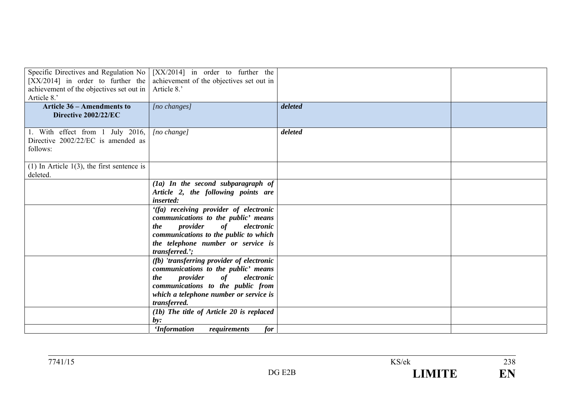| [XX/2014] in order to further the<br>achievement of the objectives set out in<br>Article 8.'<br><b>Article 36 – Amendments to</b><br>Directive 2002/22/EC | Specific Directives and Regulation No $\vert$ [XX/2014] in order to further the<br>achievement of the objectives set out in<br>Article 8.'<br>[no changes]                                                             | deleted |  |
|-----------------------------------------------------------------------------------------------------------------------------------------------------------|------------------------------------------------------------------------------------------------------------------------------------------------------------------------------------------------------------------------|---------|--|
| 1. With effect from 1 July 2016,<br>Directive 2002/22/EC is amended as<br>follows:                                                                        | [no change]                                                                                                                                                                                                            | deleted |  |
| (1) In Article $1(3)$ , the first sentence is<br>deleted.                                                                                                 |                                                                                                                                                                                                                        |         |  |
|                                                                                                                                                           | $(1a)$ In the second subparagraph of<br>Article 2, the following points are<br><i>inserted:</i>                                                                                                                        |         |  |
|                                                                                                                                                           | '(fa) receiving provider of electronic<br>communications to the public' means<br>provider<br>of<br>electronic<br>the<br>communications to the public to which<br>the telephone number or service is<br>transferred.';  |         |  |
|                                                                                                                                                           | (fb) 'transferring provider of electronic<br>communications to the public' means<br>provider<br>of<br>electronic<br>the<br>communications to the public from<br>which a telephone number or service is<br>transferred. |         |  |
|                                                                                                                                                           | (1b) The title of Article 20 is replaced<br>$b\nu$ :<br>for<br><i><b>Information</b></i><br>requirements                                                                                                               |         |  |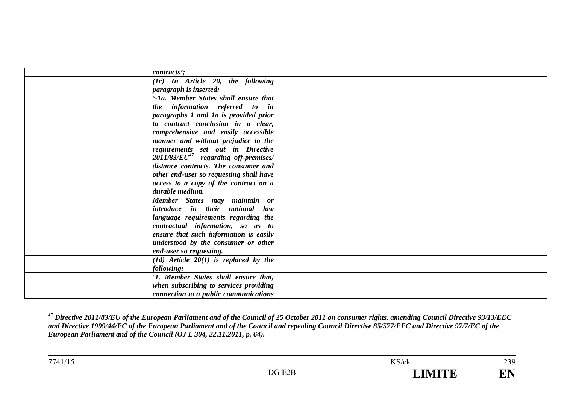| contracts';                               |  |
|-------------------------------------------|--|
| $(1c)$ In Article 20, the following       |  |
| <i>paragraph is inserted:</i>             |  |
| '-1a. Member States shall ensure that     |  |
| the information referred to in            |  |
| paragraphs 1 and 1a is provided prior     |  |
| to contract conclusion in a clear,        |  |
| comprehensive and easily accessible       |  |
| manner and without prejudice to the       |  |
| requirements set out in Directive         |  |
| $2011/83/EU47$ regarding off-premises/    |  |
| distance contracts. The consumer and      |  |
| other end-user so requesting shall have   |  |
| access to a copy of the contract on a     |  |
| durable medium.                           |  |
| Member States may maintain or             |  |
| introduce in their national law           |  |
| language requirements regarding the       |  |
| contractual information, so as to         |  |
| ensure that such information is easily    |  |
| understood by the consumer or other       |  |
| end-user so requesting.                   |  |
| $(1d)$ Article $20(1)$ is replaced by the |  |
| following:                                |  |
| '1. Member States shall ensure that,      |  |
| when subscribing to services providing    |  |
| connection to a public communications     |  |

**<sup>47</sup>** *Directive 2011/83/EU of the European Parliament and of the Council of 25 October 2011 on consumer rights, amending Council Directive 93/13/EEC and Directive 1999/44/EC of the European Parliament and of the Council and repealing Council Directive 85/577/EEC and Directive 97/7/EC of the European Parliament and of the Council (OJ L 304, 22.11.2011, p. 64).*

239

EN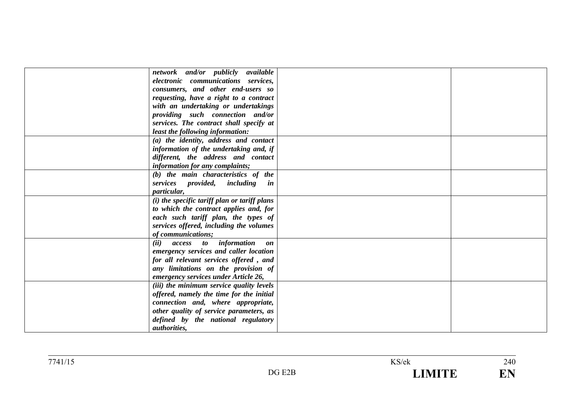| network and/or publicly available                         |  |
|-----------------------------------------------------------|--|
| electronic communications services,                       |  |
| consumers, and other end-users so                         |  |
| requesting, have a right to a contract                    |  |
| with an undertaking or undertakings                       |  |
| providing such connection and/or                          |  |
| services. The contract shall specify at                   |  |
| least the following information:                          |  |
| (a) the identity, address and contact                     |  |
| information of the undertaking and, if                    |  |
| different, the address and contact                        |  |
| information for any complaints;                           |  |
| (b) the main characteristics of the                       |  |
| services provided, including in                           |  |
| particular,                                               |  |
| $(i)$ the specific tariff plan or tariff plans            |  |
| to which the contract applies and, for                    |  |
| each such tariff plan, the types of                       |  |
| services offered, including the volumes                   |  |
| of communications;                                        |  |
| <i>access to information</i><br>(ii)<br>$\boldsymbol{on}$ |  |
| emergency services and caller location                    |  |
| for all relevant services offered, and                    |  |
| any limitations on the provision of                       |  |
| emergency services under Article 26,                      |  |
| (iii) the minimum service quality levels                  |  |
| offered, namely the time for the initial                  |  |
| connection and, where appropriate,                        |  |
| other quality of service parameters, as                   |  |
| defined by the national regulatory                        |  |
| <i>authorities,</i>                                       |  |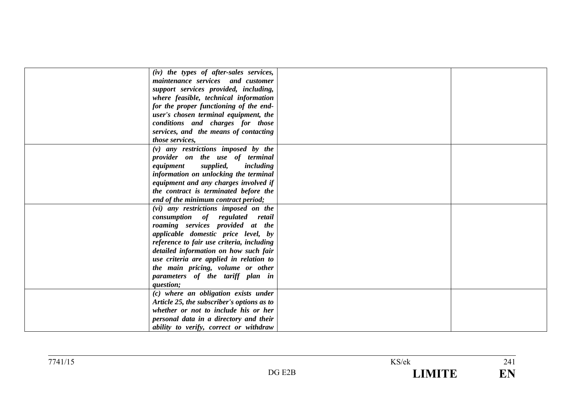| (iv) the types of after-sales services,    |  |
|--------------------------------------------|--|
| maintenance services and customer          |  |
| support services provided, including,      |  |
| where feasible, technical information      |  |
| for the proper functioning of the end-     |  |
| user's chosen terminal equipment, the      |  |
| conditions and charges for those           |  |
| services, and the means of contacting      |  |
| those services,                            |  |
| $(v)$ any restrictions imposed by the      |  |
| provider on the use of terminal            |  |
| supplied,<br>equipment<br>including        |  |
| information on unlocking the terminal      |  |
| equipment and any charges involved if      |  |
| the contract is terminated before the      |  |
| end of the minimum contract period;        |  |
| (vi) any restrictions imposed on the       |  |
| consumption of regulated retail            |  |
| roaming services provided at the           |  |
| applicable domestic price level, by        |  |
| reference to fair use criteria, including  |  |
| detailed information on how such fair      |  |
| use criteria are applied in relation to    |  |
| the main pricing, volume or other          |  |
| parameters of the tariff plan in           |  |
| question;                                  |  |
| (c) where an obligation exists under       |  |
| Article 25, the subscriber's options as to |  |
| whether or not to include his or her       |  |
| personal data in a directory and their     |  |
| ability to verify, correct or withdraw     |  |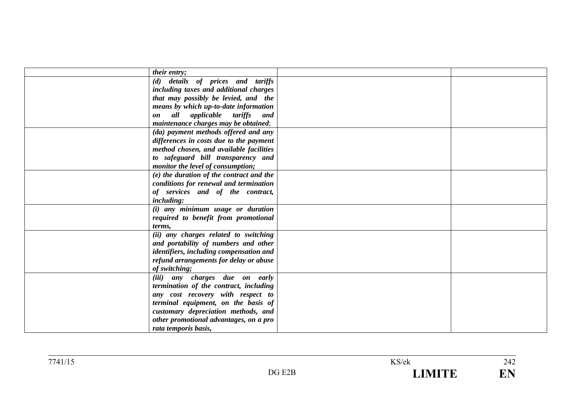| their entry;                                            |  |
|---------------------------------------------------------|--|
| (d) details of prices and tariffs                       |  |
| including taxes and additional charges                  |  |
| that may possibly be levied, and the                    |  |
| means by which up-to-date information                   |  |
| all applicable tariffs<br>and<br>$\mathbf{0}\mathbf{n}$ |  |
| maintenance charges may be obtained;                    |  |
| (da) payment methods offered and any                    |  |
| differences in costs due to the payment                 |  |
| method chosen, and available facilities                 |  |
| to safeguard bill transparency and                      |  |
| monitor the level of consumption;                       |  |
| (e) the duration of the contract and the                |  |
| conditions for renewal and termination                  |  |
| of services and of the contract,                        |  |
| <i>including:</i>                                       |  |
| (i) any minimum usage or duration                       |  |
| required to benefit from promotional                    |  |
| terms,                                                  |  |
| (ii) any charges related to switching                   |  |
| and portability of numbers and other                    |  |
| identifiers, including compensation and                 |  |
| refund arrangements for delay or abuse                  |  |
| of switching;                                           |  |
| (iii) any charges due on early                          |  |
| termination of the contract, including                  |  |
| any cost recovery with respect to                       |  |
| terminal equipment, on the basis of                     |  |
| customary depreciation methods, and                     |  |
| other promotional advantages, on a pro                  |  |
| rata temporis basis,                                    |  |
|                                                         |  |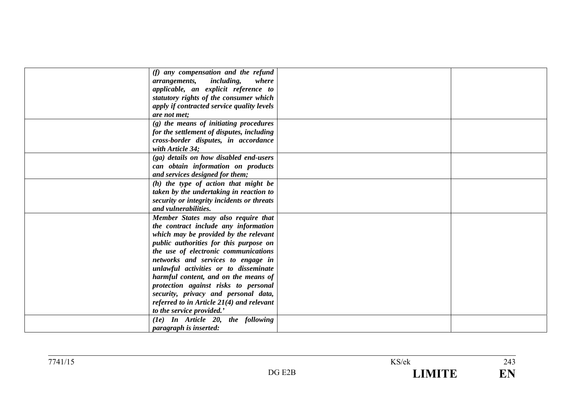| (f) any compensation and the refund<br><i>including,</i><br>where<br>arrangements,<br>applicable, an explicit reference to<br>statutory rights of the consumer which<br>apply if contracted service quality levels<br>are not met;                                                                                                                                                                                                                                                        |  |
|-------------------------------------------------------------------------------------------------------------------------------------------------------------------------------------------------------------------------------------------------------------------------------------------------------------------------------------------------------------------------------------------------------------------------------------------------------------------------------------------|--|
| (g) the means of initiating procedures<br>for the settlement of disputes, including<br>cross-border disputes, in accordance<br>with Article 34:                                                                                                                                                                                                                                                                                                                                           |  |
| (ga) details on how disabled end-users<br>can obtain information on products<br>and services designed for them;                                                                                                                                                                                                                                                                                                                                                                           |  |
| $(h)$ the type of action that might be<br>taken by the undertaking in reaction to<br>security or integrity incidents or threats<br>and vulnerabilities.                                                                                                                                                                                                                                                                                                                                   |  |
| Member States may also require that<br>the contract include any information<br>which may be provided by the relevant<br>public authorities for this purpose on<br>the use of electronic communications<br>networks and services to engage in<br>unlawful activities or to disseminate<br>harmful content, and on the means of<br>protection against risks to personal<br>security, privacy and personal data,<br>referred to in Article $2I(4)$ and relevant<br>to the service provided.' |  |
| $(1e)$ In Article 20, the following<br><i>paragraph is inserted:</i>                                                                                                                                                                                                                                                                                                                                                                                                                      |  |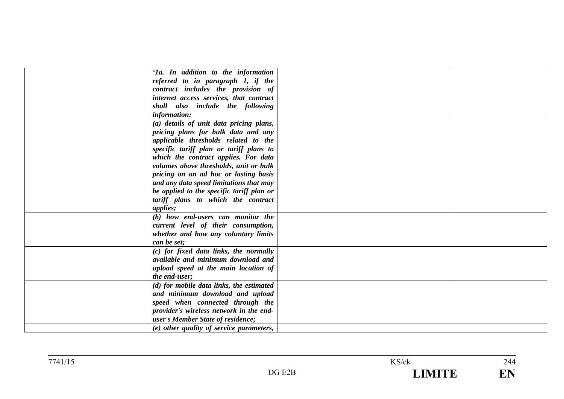| '1a. In addition to the information       |  |
|-------------------------------------------|--|
| referred to in paragraph 1, if the        |  |
| contract includes the provision of        |  |
| internet access services, that contract   |  |
| shall also include the following          |  |
| information:                              |  |
| (a) details of unit data pricing plans,   |  |
|                                           |  |
| pricing plans for bulk data and any       |  |
| applicable thresholds related to the      |  |
| specific tariff plan or tariff plans to   |  |
| which the contract applies. For data      |  |
| volumes above thresholds, unit or bulk    |  |
| pricing on an ad hoc or lasting basis     |  |
| and any data speed limitations that may   |  |
| be applied to the specific tariff plan or |  |
| tariff plans to which the contract        |  |
| <i>applies</i> ;                          |  |
| (b) how end-users can monitor the         |  |
| current level of their consumption,       |  |
| whether and how any voluntary limits      |  |
| can be set;                               |  |
| (c) for fixed data links, the normally    |  |
| available and minimum download and        |  |
| upload speed at the main location of      |  |
| the end-user;                             |  |
| (d) for mobile data links, the estimated  |  |
| and minimum download and upload           |  |
| speed when connected through the          |  |
| provider's wireless network in the end-   |  |
| user's Member State of residence;         |  |
| (e) other quality of service parameters,  |  |
|                                           |  |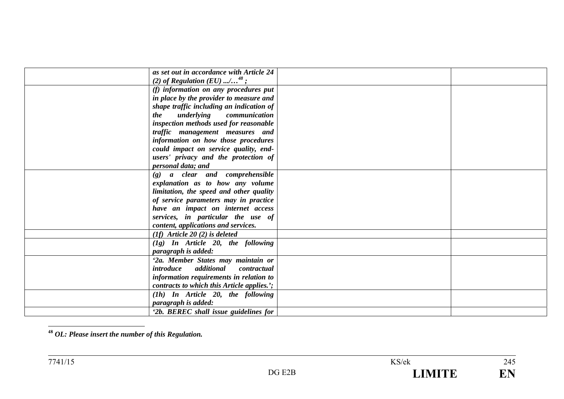| as set out in accordance with Article 24   |  |
|--------------------------------------------|--|
| (2) of Regulation (EU) / <sup>48</sup> ;   |  |
| (f) information on any procedures put      |  |
| in place by the provider to measure and    |  |
| shape traffic including an indication of   |  |
| underlying communication<br><i>the</i>     |  |
| inspection methods used for reasonable     |  |
| traffic management measures and            |  |
| information on how those procedures        |  |
| could impact on service quality, end-      |  |
| users' privacy and the protection of       |  |
| personal data; and                         |  |
| (g) a clear and comprehensible             |  |
| explanation as to how any volume           |  |
|                                            |  |
| limitation, the speed and other quality    |  |
| of service parameters may in practice      |  |
| have an impact on internet access          |  |
| services, in particular the use of         |  |
| content, applications and services.        |  |
| $(1f)$ Article 20 (2) is deleted           |  |
| $(1g)$ In Article 20, the following        |  |
| paragraph is added:                        |  |
| '2a. Member States may maintain or         |  |
| additional<br>introduce<br>contractual     |  |
| information requirements in relation to    |  |
| contracts to which this Article applies.'; |  |
| $(1h)$ In Article 20, the following        |  |
| paragraph is added:                        |  |
| '2b. BEREC shall issue guidelines for      |  |
|                                            |  |

**48** *OL: Please insert the number of this Regulation.*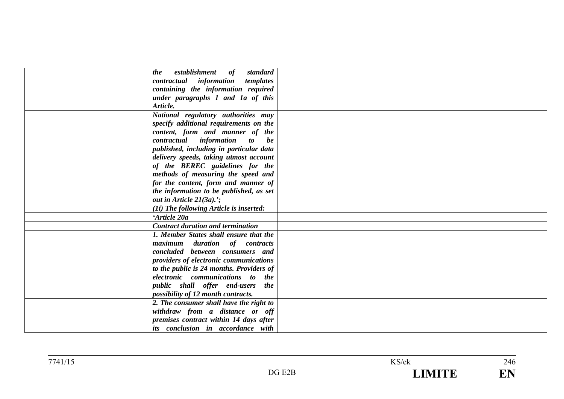| establishment<br><i>the</i><br>of<br>standard |  |
|-----------------------------------------------|--|
| contractual information<br>templates          |  |
| containing the information required           |  |
| under paragraphs 1 and 1a of this             |  |
| Article.                                      |  |
| National regulatory authorities may           |  |
| specify additional requirements on the        |  |
| content, form and manner of the               |  |
| contractual information to be                 |  |
| published, including in particular data       |  |
| delivery speeds, taking utmost account        |  |
| of the BEREC guidelines for the               |  |
| methods of measuring the speed and            |  |
| for the content, form and manner of           |  |
| the information to be published, as set       |  |
| out in Article $21(3a)$ .';                   |  |
| (1i) The following Article is inserted:       |  |
| 'Article 20a                                  |  |
| <b>Contract duration and termination</b>      |  |
| 1. Member States shall ensure that the        |  |
| maximum duration of contracts                 |  |
| concluded between consumers and               |  |
| providers of electronic communications        |  |
| to the public is 24 months. Providers of      |  |
| electronic communications to the              |  |
| public shall offer end-users the              |  |
| possibility of 12 month contracts.            |  |
| 2. The consumer shall have the right to       |  |
| withdraw from a distance or off               |  |
| premises contract within 14 days after        |  |
| its conclusion in accordance with             |  |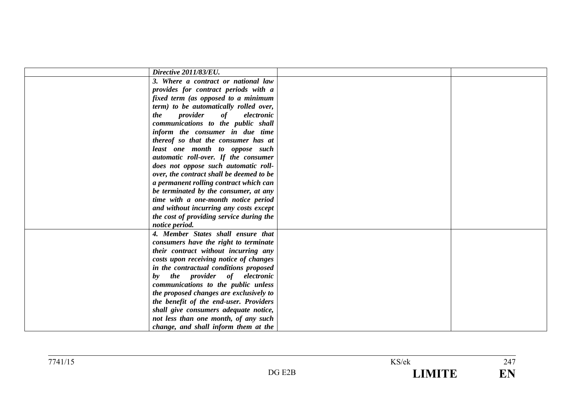| Directive 2011/83/EU.                    |  |
|------------------------------------------|--|
| 3. Where a contract or national law      |  |
| provides for contract periods with a     |  |
| fixed term (as opposed to a minimum      |  |
| term) to be automatically rolled over,   |  |
| provider<br>of<br>electronic<br>the      |  |
| communications to the public shall       |  |
| inform the consumer in due time          |  |
| thereof so that the consumer has at      |  |
| least one month to oppose such           |  |
| automatic roll-over. If the consumer     |  |
| does not oppose such automatic roll-     |  |
| over, the contract shall be deemed to be |  |
| a permanent rolling contract which can   |  |
| be terminated by the consumer, at any    |  |
| time with a one-month notice period      |  |
| and without incurring any costs except   |  |
| the cost of providing service during the |  |
| notice period.                           |  |
| 4. Member States shall ensure that       |  |
| consumers have the right to terminate    |  |
| their contract without incurring any     |  |
| costs upon receiving notice of changes   |  |
| in the contractual conditions proposed   |  |
| the provider of electronic<br>by         |  |
| communications to the public unless      |  |
| the proposed changes are exclusively to  |  |
| the benefit of the end-user. Providers   |  |
| shall give consumers adequate notice,    |  |
| not less than one month, of any such     |  |
| change, and shall inform them at the     |  |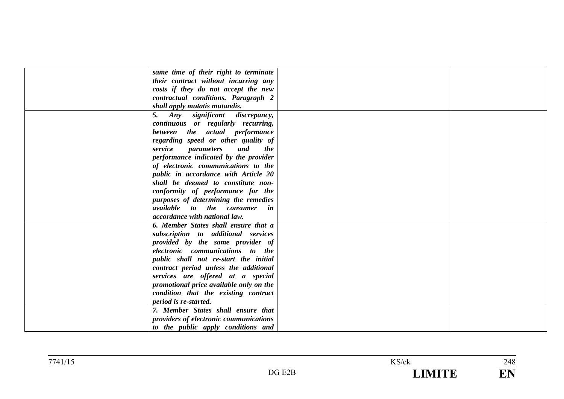| same time of their right to terminate             |  |
|---------------------------------------------------|--|
| their contract without incurring any              |  |
| costs if they do not accept the new               |  |
| contractual conditions. Paragraph 2               |  |
| shall apply mutatis mutandis.                     |  |
| Any significant<br>discrepancy,<br>5.             |  |
| continuous or regularly recurring,                |  |
| between the actual performance                    |  |
| regarding speed or other quality of               |  |
| service<br><i>parameters</i><br>and<br><i>the</i> |  |
| performance indicated by the provider             |  |
| of electronic communications to the               |  |
| public in accordance with Article 20              |  |
| shall be deemed to constitute non-                |  |
| conformity of performance for the                 |  |
| purposes of determining the remedies              |  |
| <i>available</i> to the consumer in               |  |
| accordance with national law.                     |  |
| 6. Member States shall ensure that a              |  |
| subscription to additional services               |  |
| provided by the same provider of                  |  |
| electronic communications to the                  |  |
| public shall not re-start the initial             |  |
| contract period unless the additional             |  |
| services are offered at a special                 |  |
| promotional price available only on the           |  |
| condition that the existing contract              |  |
| period is re-started.                             |  |
| 7. Member States shall ensure that                |  |
| providers of electronic communications            |  |
| to the public apply conditions and                |  |
|                                                   |  |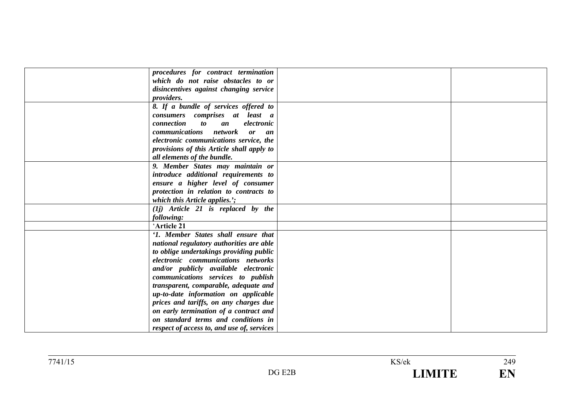| procedures for contract termination                 |  |
|-----------------------------------------------------|--|
| which do not raise obstacles to or                  |  |
| disincentives against changing service              |  |
| <i>providers.</i>                                   |  |
| 8. If a bundle of services offered to               |  |
| consumers comprises at least a                      |  |
| connection<br>electronic<br>$\boldsymbol{to}$<br>an |  |
| <i>communications</i><br>network<br>or<br>an        |  |
| electronic communications service, the              |  |
| provisions of this Article shall apply to           |  |
| all elements of the bundle.                         |  |
|                                                     |  |
| 9. Member States may maintain or                    |  |
| introduce additional requirements to                |  |
| ensure a higher level of consumer                   |  |
| protection in relation to contracts to              |  |
| which this Article applies.';                       |  |
| $(Ij)$ Article 21 is replaced by the                |  |
| following:                                          |  |
| 'Article 21                                         |  |
| '1. Member States shall ensure that                 |  |
| national regulatory authorities are able            |  |
| to oblige undertakings providing public             |  |
| electronic communications networks                  |  |
| and/or publicly available electronic                |  |
| communications services to publish                  |  |
| transparent, comparable, adequate and               |  |
| up-to-date information on applicable                |  |
| prices and tariffs, on any charges due              |  |
| on early termination of a contract and              |  |
| on standard terms and conditions in                 |  |
| respect of access to, and use of, services          |  |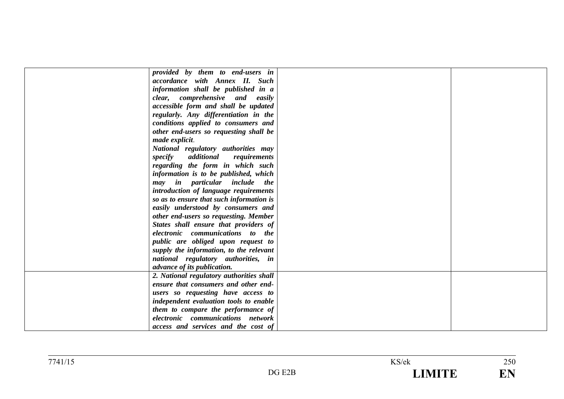| provided by them to end-users in         |  |
|------------------------------------------|--|
| accordance with Annex II. Such           |  |
| information shall be published in a      |  |
| clear, comprehensive and easily          |  |
| accessible form and shall be updated     |  |
| regularly. Any differentiation in the    |  |
| conditions applied to consumers and      |  |
| other end-users so requesting shall be   |  |
| made explicit.                           |  |
| National regulatory authorities may      |  |
| specify additional requirements          |  |
| regarding the form in which such         |  |
| information is to be published, which    |  |
| may in particular include the            |  |
| introduction of language requirements    |  |
| so as to ensure that such information is |  |
| easily understood by consumers and       |  |
| other end-users so requesting. Member    |  |
| States shall ensure that providers of    |  |
| electronic communications to the         |  |
| public are obliged upon request to       |  |
| supply the information, to the relevant  |  |
| national regulatory authorities, in      |  |
| advance of its publication.              |  |
|                                          |  |
| 2. National regulatory authorities shall |  |
| ensure that consumers and other end-     |  |
| users so requesting have access to       |  |
| independent evaluation tools to enable   |  |
| them to compare the performance of       |  |
| electronic communications network        |  |
| access and services and the cost of      |  |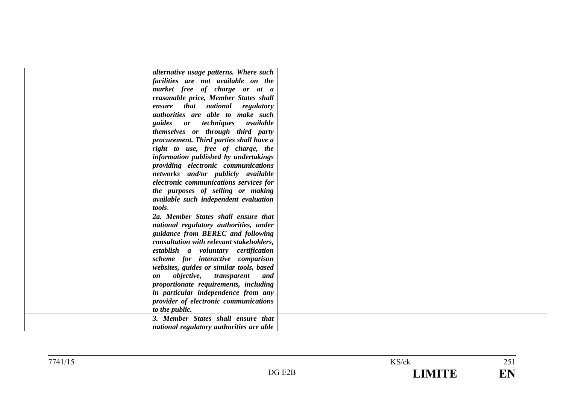| alternative usage patterns. Where such             |  |
|----------------------------------------------------|--|
| facilities are not available on the                |  |
| market free of charge or at a                      |  |
| reasonable price, Member States shall              |  |
| ensure that national regulatory                    |  |
| authorities are able to make such                  |  |
| guides or techniques available                     |  |
| themselves or through third party                  |  |
| procurement. Third parties shall have a            |  |
| right to use, free of charge, the                  |  |
| information published by undertakings              |  |
| providing electronic communications                |  |
| networks and/or publicly available                 |  |
| electronic communications services for             |  |
| the purposes of selling or making                  |  |
| available such independent evaluation              |  |
| tools.                                             |  |
| 2a. Member States shall ensure that                |  |
| national regulatory authorities, under             |  |
| guidance from BEREC and following                  |  |
| consultation with relevant stakeholders,           |  |
| establish a voluntary certification                |  |
| scheme for interactive comparison                  |  |
| websites, guides or similar tools, based           |  |
| <i>objective</i> , <i>transparent</i><br>and<br>on |  |
| proportionate requirements, including              |  |
| in particular independence from any                |  |
| provider of electronic communications              |  |
| to the public.                                     |  |
| 3. Member States shall ensure that                 |  |
|                                                    |  |
| national regulatory authorities are able           |  |

| $7741/1$ . |          | KS/ek | $\sim$ $\sim$<br>$\sim$ $\sim$ $\sim$ |
|------------|----------|-------|---------------------------------------|
|            | $\Gamma$ |       | <b>TIME</b><br>≖                      |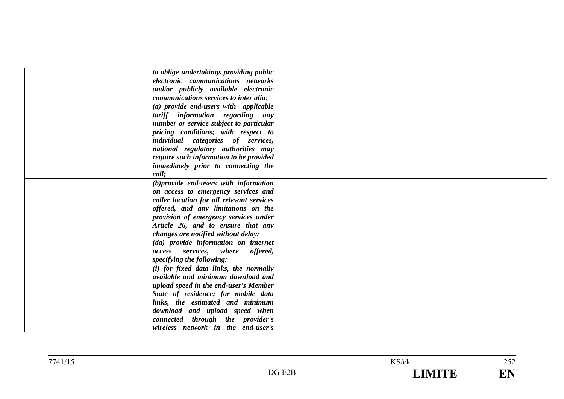| to oblige undertakings providing public   |  |
|-------------------------------------------|--|
| electronic communications networks        |  |
| and/or publicly available electronic      |  |
| communications services to inter alia:    |  |
| (a) provide end-users with applicable     |  |
| tariff information regarding any          |  |
| number or service subject to particular   |  |
| pricing conditions; with respect to       |  |
| individual categories of services,        |  |
| national regulatory authorities may       |  |
| require such information to be provided   |  |
| immediately prior to connecting the       |  |
| call;                                     |  |
| (b) provide end-users with information    |  |
| on access to emergency services and       |  |
| caller location for all relevant services |  |
| offered, and any limitations on the       |  |
| provision of emergency services under     |  |
| Article 26, and to ensure that any        |  |
| changes are notified without delay;       |  |
| (da) provide information on internet      |  |
| access services, where offered,           |  |
| specifying the following:                 |  |
| (i) for fixed data links, the normally    |  |
| available and minimum download and        |  |
| upload speed in the end-user's Member     |  |
| State of residence; for mobile data       |  |
| links, the estimated and minimum          |  |
| download and upload speed when            |  |
| connected through the provider's          |  |
| wireless network in the end-user's        |  |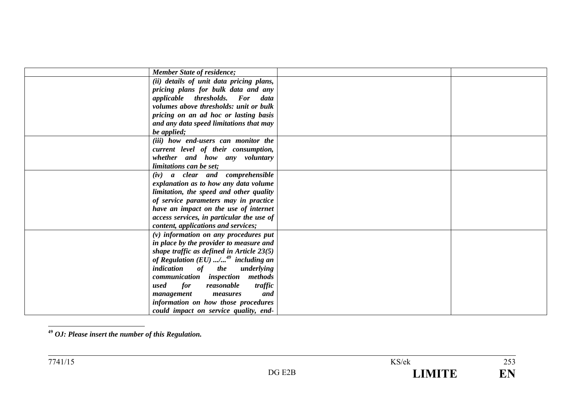| <b>Member State of residence;</b>                 |  |
|---------------------------------------------------|--|
| (ii) details of unit data pricing plans,          |  |
| pricing plans for bulk data and any               |  |
| applicable thresholds. For data                   |  |
| volumes above thresholds: unit or bulk            |  |
| pricing on an ad hoc or lasting basis             |  |
| and any data speed limitations that may           |  |
| be applied;                                       |  |
| (iii) how end-users can monitor the               |  |
| current level of their consumption,               |  |
| whether and how any voluntary                     |  |
| limitations can be set;                           |  |
| (iv) a clear and comprehensible                   |  |
| explanation as to how any data volume             |  |
| limitation, the speed and other quality           |  |
| of service parameters may in practice             |  |
| have an impact on the use of internet             |  |
| access services, in particular the use of         |  |
| content, applications and services;               |  |
| $(v)$ information on any procedures put           |  |
| in place by the provider to measure and           |  |
| shape traffic as defined in Article $23(5)$       |  |
| of Regulation $(EU)$ / <sup>49</sup> including an |  |
| indication of the underlying                      |  |
| communication inspection methods                  |  |
| for<br>reasonable<br>traffic<br>used              |  |
| and<br>management<br>measures                     |  |
| information on how those procedures               |  |
| could impact on service quality, end-             |  |

**49** *OJ: Please insert the number of this Regulation.*

 $\frac{1}{253}$ EN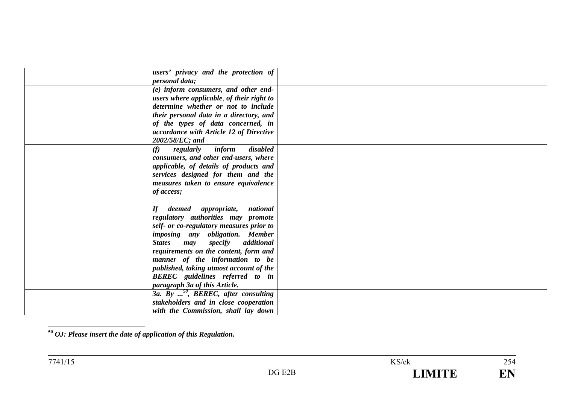| users' privacy and the protection of                |  |
|-----------------------------------------------------|--|
| <i>personal data;</i>                               |  |
| (e) inform consumers, and other end-                |  |
| users where applicable, of their right to           |  |
| determine whether or not to include                 |  |
| their personal data in a directory, and             |  |
| of the types of data concerned, in                  |  |
| accordance with Article 12 of Directive             |  |
| 2002/58/EC; and                                     |  |
| disabled<br>inform<br>regularly<br>(f)              |  |
| consumers, and other end-users, where               |  |
| applicable, of details of products and              |  |
| services designed for them and the                  |  |
| measures taken to ensure equivalence                |  |
| of access;                                          |  |
|                                                     |  |
| $\boldsymbol{H}$<br>national<br>deemed appropriate, |  |
| regulatory authorities may promote                  |  |
| self- or co-regulatory measures prior to            |  |
| imposing any obligation. Member                     |  |
| <b>States</b>                                       |  |
| specify additional<br>may                           |  |
| requirements on the content, form and               |  |
| manner of the information to be                     |  |
| published, taking utmost account of the             |  |
| BEREC guidelines referred to in                     |  |
| paragraph 3a of this Article.                       |  |
| 3a. By <sup>50</sup> , BEREC, after consulting      |  |
| stakeholders and in close cooperation               |  |
| with the Commission, shall lay down                 |  |

**<sup>50</sup>** *OJ: Please insert the date of application of this Regulation.*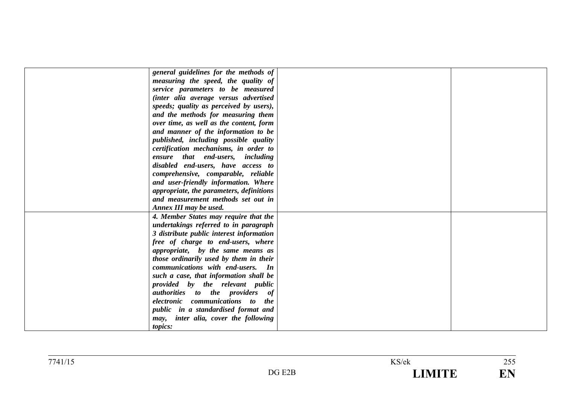| general guidelines for the methods of         |  |
|-----------------------------------------------|--|
| measuring the speed, the quality of           |  |
| service parameters to be measured             |  |
| (inter alia average versus advertised         |  |
| speeds; quality as perceived by users),       |  |
| and the methods for measuring them            |  |
| over time, as well as the content, form       |  |
| and manner of the information to be           |  |
| published, including possible quality         |  |
| certification mechanisms, in order to         |  |
| ensure that end-users, including              |  |
| disabled end-users, have access to            |  |
| comprehensive, comparable, reliable           |  |
| and user-friendly information. Where          |  |
| appropriate, the parameters, definitions      |  |
| and measurement methods set out in            |  |
| Annex III may be used.                        |  |
| 4. Member States may require that the         |  |
| undertakings referred to in paragraph         |  |
| 3 distribute public interest information      |  |
| free of charge to end-users, where            |  |
| appropriate, by the same means as             |  |
| those ordinarily used by them in their        |  |
| communications with end-users. In             |  |
|                                               |  |
| such a case, that information shall be        |  |
| provided by the relevant public               |  |
| <i>authorities</i> to the providers of        |  |
| communications to<br>electronic<br><i>the</i> |  |
| public in a standardised format and           |  |
| inter alia, cover the following<br>may,       |  |
| <i>topics:</i>                                |  |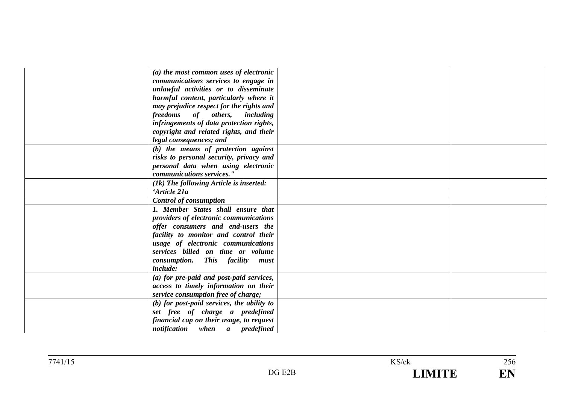| (a) the most common uses of electronic       |  |
|----------------------------------------------|--|
| communications services to engage in         |  |
| unlawful activities or to disseminate        |  |
| harmful content, particularly where it       |  |
| may prejudice respect for the rights and     |  |
| freedoms of others, including                |  |
| infringements of data protection rights,     |  |
| copyright and related rights, and their      |  |
| legal consequences; and                      |  |
| (b) the means of protection against          |  |
| risks to personal security, privacy and      |  |
| personal data when using electronic          |  |
| communications services."                    |  |
| (1k) The following Article is inserted:      |  |
| 'Article 21a                                 |  |
| <b>Control of consumption</b>                |  |
| 1. Member States shall ensure that           |  |
| providers of electronic communications       |  |
| offer consumers and end-users the            |  |
| facility to monitor and control their        |  |
| usage of electronic communications           |  |
| services billed on time or volume            |  |
| consumption. This facility<br>must           |  |
| <i>include:</i>                              |  |
| (a) for pre-paid and post-paid services,     |  |
| access to timely information on their        |  |
| service consumption free of charge;          |  |
| $(b)$ for post-paid services, the ability to |  |
| set free of charge a predefined              |  |
| financial cap on their usage, to request     |  |
| notification when a predefined               |  |
|                                              |  |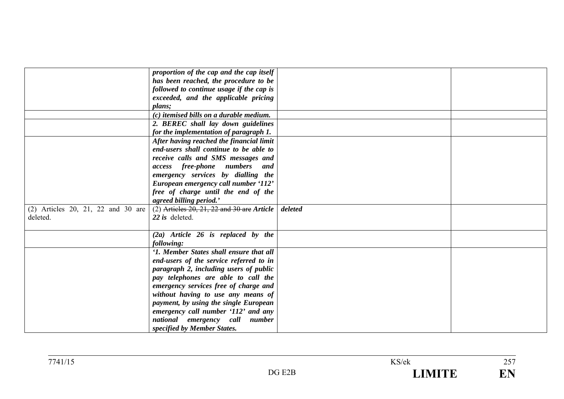| has been reached, the procedure to be<br>followed to continue usage if the cap is<br>exceeded, and the applicable pricing<br>plans;<br>$(c)$ itemised bills on a durable medium.<br>2. BEREC shall lay down guidelines<br>for the implementation of paragraph 1.<br>After having reached the financial limit<br>end-users shall continue to be able to<br>receive calls and SMS messages and<br><i>access free-phone numbers</i><br>and<br>emergency services by dialling the<br>European emergency call number '112'<br>free of charge until the end of the<br>agreed billing period.'<br>$(2)$ Articles 20, 21, 22 and 30 are Article<br>(2) Articles 20, 21, 22 and 30 are<br>deleted<br>deleted.<br>22 is deleted.<br>$(2a)$ Article 26 is replaced by the<br>following:<br>'1. Member States shall ensure that all<br>end-users of the service referred to in<br>paragraph 2, including users of public<br>pay telephones are able to call the<br>emergency services free of charge and<br>without having to use any means of<br>payment, by using the single European<br>emergency call number '112' and any<br>national emergency call number<br>specified by Member States. |                                          |  |
|-------------------------------------------------------------------------------------------------------------------------------------------------------------------------------------------------------------------------------------------------------------------------------------------------------------------------------------------------------------------------------------------------------------------------------------------------------------------------------------------------------------------------------------------------------------------------------------------------------------------------------------------------------------------------------------------------------------------------------------------------------------------------------------------------------------------------------------------------------------------------------------------------------------------------------------------------------------------------------------------------------------------------------------------------------------------------------------------------------------------------------------------------------------------------------------|------------------------------------------|--|
|                                                                                                                                                                                                                                                                                                                                                                                                                                                                                                                                                                                                                                                                                                                                                                                                                                                                                                                                                                                                                                                                                                                                                                                     | proportion of the cap and the cap itself |  |
|                                                                                                                                                                                                                                                                                                                                                                                                                                                                                                                                                                                                                                                                                                                                                                                                                                                                                                                                                                                                                                                                                                                                                                                     |                                          |  |
|                                                                                                                                                                                                                                                                                                                                                                                                                                                                                                                                                                                                                                                                                                                                                                                                                                                                                                                                                                                                                                                                                                                                                                                     |                                          |  |
|                                                                                                                                                                                                                                                                                                                                                                                                                                                                                                                                                                                                                                                                                                                                                                                                                                                                                                                                                                                                                                                                                                                                                                                     |                                          |  |
|                                                                                                                                                                                                                                                                                                                                                                                                                                                                                                                                                                                                                                                                                                                                                                                                                                                                                                                                                                                                                                                                                                                                                                                     |                                          |  |
|                                                                                                                                                                                                                                                                                                                                                                                                                                                                                                                                                                                                                                                                                                                                                                                                                                                                                                                                                                                                                                                                                                                                                                                     |                                          |  |
|                                                                                                                                                                                                                                                                                                                                                                                                                                                                                                                                                                                                                                                                                                                                                                                                                                                                                                                                                                                                                                                                                                                                                                                     |                                          |  |
|                                                                                                                                                                                                                                                                                                                                                                                                                                                                                                                                                                                                                                                                                                                                                                                                                                                                                                                                                                                                                                                                                                                                                                                     |                                          |  |
|                                                                                                                                                                                                                                                                                                                                                                                                                                                                                                                                                                                                                                                                                                                                                                                                                                                                                                                                                                                                                                                                                                                                                                                     |                                          |  |
|                                                                                                                                                                                                                                                                                                                                                                                                                                                                                                                                                                                                                                                                                                                                                                                                                                                                                                                                                                                                                                                                                                                                                                                     |                                          |  |
|                                                                                                                                                                                                                                                                                                                                                                                                                                                                                                                                                                                                                                                                                                                                                                                                                                                                                                                                                                                                                                                                                                                                                                                     |                                          |  |
|                                                                                                                                                                                                                                                                                                                                                                                                                                                                                                                                                                                                                                                                                                                                                                                                                                                                                                                                                                                                                                                                                                                                                                                     |                                          |  |
|                                                                                                                                                                                                                                                                                                                                                                                                                                                                                                                                                                                                                                                                                                                                                                                                                                                                                                                                                                                                                                                                                                                                                                                     |                                          |  |
|                                                                                                                                                                                                                                                                                                                                                                                                                                                                                                                                                                                                                                                                                                                                                                                                                                                                                                                                                                                                                                                                                                                                                                                     |                                          |  |
|                                                                                                                                                                                                                                                                                                                                                                                                                                                                                                                                                                                                                                                                                                                                                                                                                                                                                                                                                                                                                                                                                                                                                                                     |                                          |  |
|                                                                                                                                                                                                                                                                                                                                                                                                                                                                                                                                                                                                                                                                                                                                                                                                                                                                                                                                                                                                                                                                                                                                                                                     |                                          |  |
|                                                                                                                                                                                                                                                                                                                                                                                                                                                                                                                                                                                                                                                                                                                                                                                                                                                                                                                                                                                                                                                                                                                                                                                     |                                          |  |
|                                                                                                                                                                                                                                                                                                                                                                                                                                                                                                                                                                                                                                                                                                                                                                                                                                                                                                                                                                                                                                                                                                                                                                                     |                                          |  |
|                                                                                                                                                                                                                                                                                                                                                                                                                                                                                                                                                                                                                                                                                                                                                                                                                                                                                                                                                                                                                                                                                                                                                                                     |                                          |  |
|                                                                                                                                                                                                                                                                                                                                                                                                                                                                                                                                                                                                                                                                                                                                                                                                                                                                                                                                                                                                                                                                                                                                                                                     |                                          |  |
|                                                                                                                                                                                                                                                                                                                                                                                                                                                                                                                                                                                                                                                                                                                                                                                                                                                                                                                                                                                                                                                                                                                                                                                     |                                          |  |
|                                                                                                                                                                                                                                                                                                                                                                                                                                                                                                                                                                                                                                                                                                                                                                                                                                                                                                                                                                                                                                                                                                                                                                                     |                                          |  |
|                                                                                                                                                                                                                                                                                                                                                                                                                                                                                                                                                                                                                                                                                                                                                                                                                                                                                                                                                                                                                                                                                                                                                                                     |                                          |  |
|                                                                                                                                                                                                                                                                                                                                                                                                                                                                                                                                                                                                                                                                                                                                                                                                                                                                                                                                                                                                                                                                                                                                                                                     |                                          |  |
|                                                                                                                                                                                                                                                                                                                                                                                                                                                                                                                                                                                                                                                                                                                                                                                                                                                                                                                                                                                                                                                                                                                                                                                     |                                          |  |
|                                                                                                                                                                                                                                                                                                                                                                                                                                                                                                                                                                                                                                                                                                                                                                                                                                                                                                                                                                                                                                                                                                                                                                                     |                                          |  |
|                                                                                                                                                                                                                                                                                                                                                                                                                                                                                                                                                                                                                                                                                                                                                                                                                                                                                                                                                                                                                                                                                                                                                                                     |                                          |  |
|                                                                                                                                                                                                                                                                                                                                                                                                                                                                                                                                                                                                                                                                                                                                                                                                                                                                                                                                                                                                                                                                                                                                                                                     |                                          |  |
|                                                                                                                                                                                                                                                                                                                                                                                                                                                                                                                                                                                                                                                                                                                                                                                                                                                                                                                                                                                                                                                                                                                                                                                     |                                          |  |
|                                                                                                                                                                                                                                                                                                                                                                                                                                                                                                                                                                                                                                                                                                                                                                                                                                                                                                                                                                                                                                                                                                                                                                                     |                                          |  |
|                                                                                                                                                                                                                                                                                                                                                                                                                                                                                                                                                                                                                                                                                                                                                                                                                                                                                                                                                                                                                                                                                                                                                                                     |                                          |  |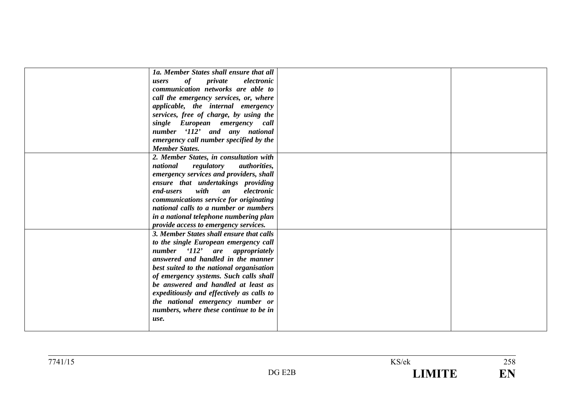| 1a. Member States shall ensure that all       |  |
|-----------------------------------------------|--|
| of<br>private<br>electronic<br>users          |  |
| communication networks are able to            |  |
| call the emergency services, or, where        |  |
| applicable, the internal emergency            |  |
| services, free of charge, by using the        |  |
| single European emergency call                |  |
| number '112' and any national                 |  |
| emergency call number specified by the        |  |
| <b>Member States.</b>                         |  |
| 2. Member States, in consultation with        |  |
| national<br>regulatory<br><i>authorities,</i> |  |
| emergency services and providers, shall       |  |
| ensure that undertakings providing            |  |
| with<br>electronic<br>an<br>end-users         |  |
| communications service for originating        |  |
| national calls to a number or numbers         |  |
| in a national telephone numbering plan        |  |
| provide access to emergency services.         |  |
| 3. Member States shall ensure that calls      |  |
| to the single European emergency call         |  |
| '112' are appropriately<br>number             |  |
| answered and handled in the manner            |  |
| best suited to the national organisation      |  |
| of emergency systems. Such calls shall        |  |
| be answered and handled at least as           |  |
| expeditiously and effectively as calls to     |  |
| the national emergency number or              |  |
| numbers, where these continue to be in        |  |
| use.                                          |  |
|                                               |  |
|                                               |  |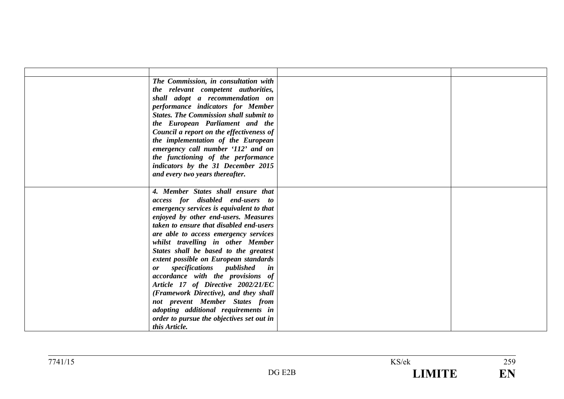| The Commission, in consultation with<br>the relevant competent authorities,<br>shall adopt a recommendation on<br>performance indicators for Member<br><b>States. The Commission shall submit to</b><br>the European Parliament and the<br>Council a report on the effectiveness of<br>the implementation of the European<br>emergency call number '112' and on<br>the functioning of the performance<br>indicators by the 31 December 2015<br>and every two years thereafter.                                                                                                                                                                                                  |  |
|---------------------------------------------------------------------------------------------------------------------------------------------------------------------------------------------------------------------------------------------------------------------------------------------------------------------------------------------------------------------------------------------------------------------------------------------------------------------------------------------------------------------------------------------------------------------------------------------------------------------------------------------------------------------------------|--|
| 4. Member States shall ensure that<br>access for disabled end-users to<br>emergency services is equivalent to that<br>enjoyed by other end-users. Measures<br>taken to ensure that disabled end-users<br>are able to access emergency services<br>whilst travelling in other Member<br>States shall be based to the greatest<br>extent possible on European standards<br>specifications published<br>in<br><b>or</b><br>accordance with the provisions of<br>Article 17 of Directive 2002/21/EC<br>(Framework Directive), and they shall<br>not prevent Member States from<br>adopting additional requirements in<br>order to pursue the objectives set out in<br>this Article. |  |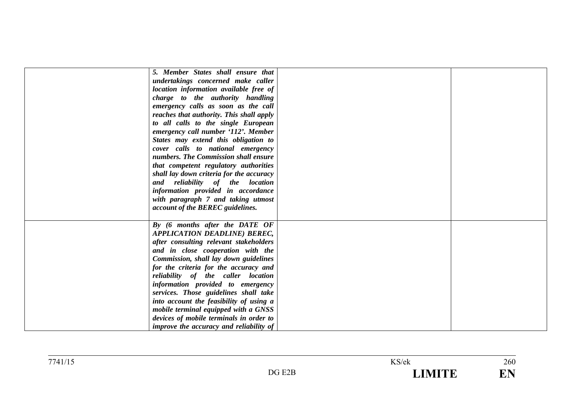| 5. Member States shall ensure that             |  |
|------------------------------------------------|--|
| undertakings concerned make caller             |  |
| location information available free of         |  |
| charge to the authority handling               |  |
| emergency calls as soon as the call            |  |
| reaches that authority. This shall apply       |  |
| to all calls to the single European            |  |
| emergency call number '112'. Member            |  |
| States may extend this obligation to           |  |
| cover calls to national emergency              |  |
| numbers. The Commission shall ensure           |  |
| that competent regulatory authorities          |  |
| shall lay down criteria for the accuracy       |  |
| and reliability of the location                |  |
| information provided in accordance             |  |
| with paragraph 7 and taking utmost             |  |
| account of the BEREC guidelines.               |  |
|                                                |  |
| By (6 months after the DATE OF                 |  |
| <b>APPLICATION DEADLINE) BEREC,</b>            |  |
| after consulting relevant stakeholders         |  |
| and in close cooperation with the              |  |
| Commission, shall lay down guidelines          |  |
| for the criteria for the accuracy and          |  |
| reliability of the caller location             |  |
| information provided to emergency              |  |
| services. Those guidelines shall take          |  |
| into account the feasibility of using a        |  |
| mobile terminal equipped with a GNSS           |  |
| devices of mobile terminals in order to        |  |
| <i>improve the accuracy and reliability of</i> |  |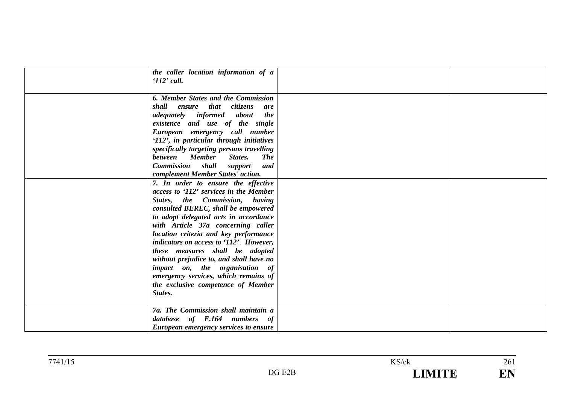| the caller location information of a<br>$112$ ' call.                                                                                                                                                                                                                                                                                                                                                                                                                                                                                                                          |  |
|--------------------------------------------------------------------------------------------------------------------------------------------------------------------------------------------------------------------------------------------------------------------------------------------------------------------------------------------------------------------------------------------------------------------------------------------------------------------------------------------------------------------------------------------------------------------------------|--|
| 6. Member States and the Commission<br>shall ensure that citizens<br>are<br><i>adequately informed about</i><br><i>the</i><br>existence and use of the single<br>European emergency call number<br>'112', in particular through initiatives<br>specifically targeting persons travelling<br>between Member<br>States.<br><b>The</b><br><b>Commission</b> shall support<br>and                                                                                                                                                                                                  |  |
| complement Member States' action.<br>7. In order to ensure the effective<br>access to '112' services in the Member<br>States, the Commission, having<br>consulted BEREC, shall be empowered<br>to adopt delegated acts in accordance<br>with Article 37a concerning caller<br>location criteria and key performance<br>indicators on access to '112'. However,<br>these measures shall be adopted<br>without prejudice to, and shall have no<br><i>impact</i> on, the organisation of<br>emergency services, which remains of<br>the exclusive competence of Member<br>States. |  |
| 7a. The Commission shall maintain a<br>database of E.164 numbers of<br><b>European emergency services to ensure</b>                                                                                                                                                                                                                                                                                                                                                                                                                                                            |  |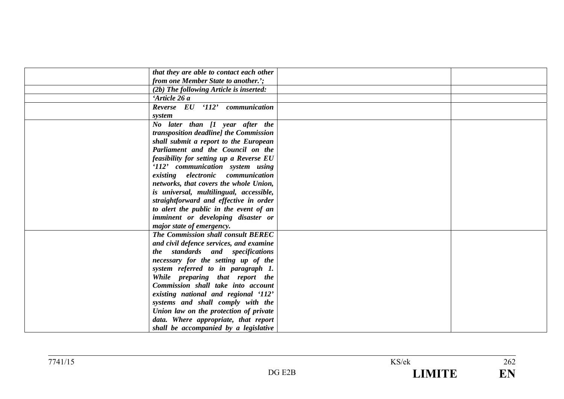| that they are able to contact each other |  |
|------------------------------------------|--|
| from one Member State to another.';      |  |
| (2b) The following Article is inserted:  |  |
| 'Article 26 a                            |  |
| Reverse EU '112' communication           |  |
| system                                   |  |
| No later than [1 year after the          |  |
| transposition deadline] the Commission   |  |
| shall submit a report to the European    |  |
| Parliament and the Council on the        |  |
| feasibility for setting up a Reverse EU  |  |
| '112' communication system using         |  |
| existing electronic communication        |  |
| networks, that covers the whole Union,   |  |
| is universal, multilingual, accessible,  |  |
| straightforward and effective in order   |  |
| to alert the public in the event of an   |  |
| imminent or developing disaster or       |  |
| major state of emergency.                |  |
| The Commission shall consult BEREC       |  |
| and civil defence services, and examine  |  |
| the standards and specifications         |  |
| necessary for the setting up of the      |  |
| system referred to in paragraph 1.       |  |
| While preparing that report the          |  |
| Commission shall take into account       |  |
| existing national and regional '112'     |  |
| systems and shall comply with the        |  |
| Union law on the protection of private   |  |
| data. Where appropriate, that report     |  |
| shall be accompanied by a legislative    |  |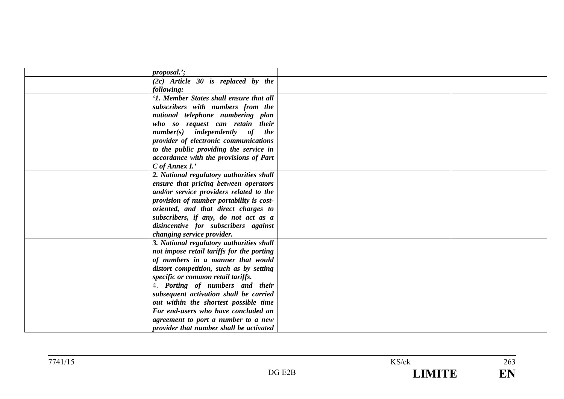| proposal.';                                |  |
|--------------------------------------------|--|
| $(2c)$ Article 30 is replaced by the       |  |
| following:                                 |  |
| '1. Member States shall ensure that all    |  |
| subscribers with numbers from the          |  |
| national telephone numbering plan          |  |
| who so request can retain their            |  |
| $number(s)$ independently of<br><i>the</i> |  |
| provider of electronic communications      |  |
| to the public providing the service in     |  |
| accordance with the provisions of Part     |  |
| $C$ of Annex I.'                           |  |
| 2. National regulatory authorities shall   |  |
| ensure that pricing between operators      |  |
| and/or service providers related to the    |  |
| provision of number portability is cost-   |  |
| oriented, and that direct charges to       |  |
| subscribers, if any, do not act as a       |  |
| disincentive for subscribers against       |  |
| changing service provider.                 |  |
| 3. National regulatory authorities shall   |  |
| not impose retail tariffs for the porting  |  |
| of numbers in a manner that would          |  |
| distort competition, such as by setting    |  |
| specific or common retail tariffs.         |  |
| 4. Porting of numbers and their            |  |
| subsequent activation shall be carried     |  |
| out within the shortest possible time      |  |
| For end-users who have concluded an        |  |
| agreement to port a number to a new        |  |
| provider that number shall be activated    |  |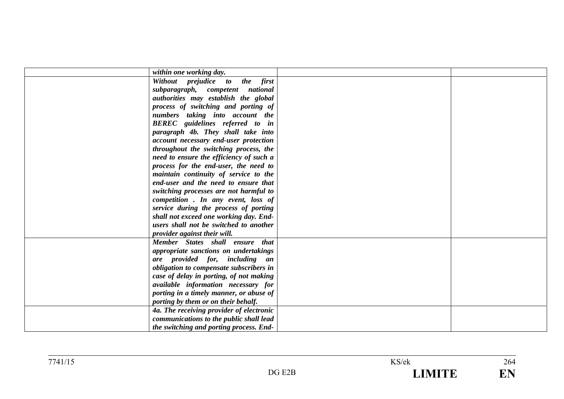| within one working day.                  |  |
|------------------------------------------|--|
| Without prejudice to the first           |  |
| subparagraph, competent national         |  |
| authorities may establish the global     |  |
| process of switching and porting of      |  |
| numbers taking into account the          |  |
| <b>BEREC</b> guidelines referred to in   |  |
| paragraph 4b. They shall take into       |  |
| account necessary end-user protection    |  |
| throughout the switching process, the    |  |
| need to ensure the efficiency of such a  |  |
| process for the end-user, the need to    |  |
| maintain continuity of service to the    |  |
| end-user and the need to ensure that     |  |
| switching processes are not harmful to   |  |
| competition. In any event, loss of       |  |
| service during the process of porting    |  |
| shall not exceed one working day. End-   |  |
| users shall not be switched to another   |  |
| provider against their will.             |  |
| Member States shall ensure that          |  |
| appropriate sanctions on undertakings    |  |
| are provided for, including an           |  |
| obligation to compensate subscribers in  |  |
| case of delay in porting, of not making  |  |
| available information necessary for      |  |
| porting in a timely manner, or abuse of  |  |
| porting by them or on their behalf.      |  |
| 4a. The receiving provider of electronic |  |
| communications to the public shall lead  |  |
| the switching and porting process. End-  |  |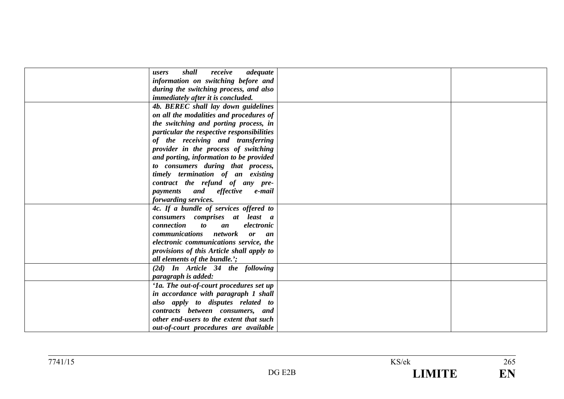| shall<br>receive<br>adequate<br>users               |  |
|-----------------------------------------------------|--|
| information on switching before and                 |  |
| during the switching process, and also              |  |
| <i>immediately after it is concluded.</i>           |  |
| 4b. BEREC shall lay down guidelines                 |  |
| on all the modalities and procedures of             |  |
| the switching and porting process, in               |  |
| particular the respective responsibilities          |  |
| of the receiving and transferring                   |  |
| provider in the process of switching                |  |
| and porting, information to be provided             |  |
| to consumers during that process,                   |  |
| timely termination of an existing                   |  |
| contract the refund of any pre-                     |  |
| and effective e-mail<br>payments                    |  |
| forwarding services.                                |  |
| 4c. If a bundle of services offered to              |  |
| consumers comprises at least a                      |  |
| connection<br>electronic<br>$\boldsymbol{to}$<br>an |  |
| <i>communications network</i><br>or<br>an           |  |
| electronic communications service, the              |  |
| provisions of this Article shall apply to           |  |
| all elements of the bundle.';                       |  |
| (2d) In Article 34 the following                    |  |
| paragraph is added:                                 |  |
| '1a. The out-of-court procedures set up             |  |
| in accordance with paragraph 1 shall                |  |
| also apply to disputes related to                   |  |
| contracts between consumers, and                    |  |
| other end-users to the extent that such             |  |
| out-of-court procedures are available               |  |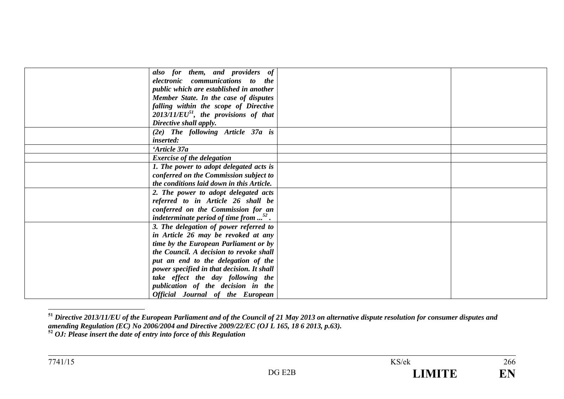| also for them, and providers of                            |  |
|------------------------------------------------------------|--|
| electronic communications to the                           |  |
| public which are established in another                    |  |
| Member State. In the case of disputes                      |  |
| falling within the scope of Directive                      |  |
| $2013/11/EU^{51}$ , the provisions of that                 |  |
| Directive shall apply.                                     |  |
| (2e) The following Article 37a is                          |  |
| <i>inserted:</i>                                           |  |
| 'Article 37a                                               |  |
| <b>Exercise of the delegation</b>                          |  |
| 1. The power to adopt delegated acts is                    |  |
| conferred on the Commission subject to                     |  |
| the conditions laid down in this Article.                  |  |
| 2. The power to adopt delegated acts                       |  |
| referred to in Article 26 shall be                         |  |
| conferred on the Commission for an                         |  |
| indeterminate period of time from $\ldots$ <sup>52</sup> . |  |
| 3. The delegation of power referred to                     |  |
| in Article 26 may be revoked at any                        |  |
| time by the European Parliament or by                      |  |
| the Council. A decision to revoke shall                    |  |
| put an end to the delegation of the                        |  |
| power specified in that decision. It shall                 |  |
| take effect the day following the                          |  |
| publication of the decision in the                         |  |
| Official Journal of the European                           |  |

**<sup>51</sup>** *Directive 2013/11/EU of the European Parliament and of the Council of 21 May 2013 on alternative dispute resolution for consumer disputes and amending Regulation (EC) No 2006/2004 and Directive 2009/22/EC (OJ L 165, 18 6 2013, p.63).* **52** *OJ: Please insert the date of entry into force of this Regulation*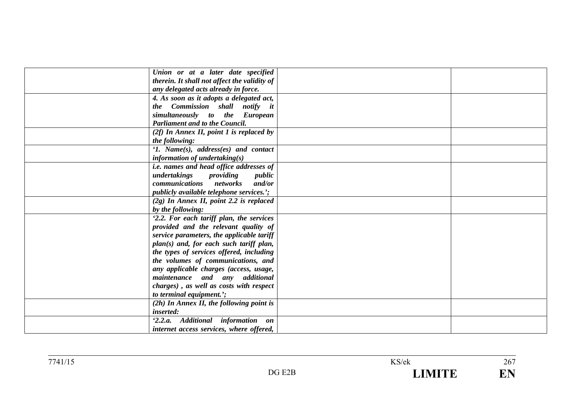| Union or at a later date specified              |  |
|-------------------------------------------------|--|
| therein. It shall not affect the validity of    |  |
| any delegated acts already in force.            |  |
| 4. As soon as it adopts a delegated act,        |  |
| the Commission shall notify it                  |  |
| simultaneously to the European                  |  |
| <b>Parliament and to the Council.</b>           |  |
| $(2f)$ In Annex II, point 1 is replaced by      |  |
| the following:                                  |  |
| '1. Name $(s)$ , address $(es)$ and contact     |  |
| information of undertaking $(s)$                |  |
| <i>i.e. names and head office addresses of</i>  |  |
| undertakings<br>providing<br>public             |  |
| <i>communications networks</i><br>and/or        |  |
| <i>publicly available telephone services.</i> ; |  |
| $(2g)$ In Annex II, point 2.2 is replaced       |  |
| by the following:                               |  |
| '2.2. For each tariff plan, the services        |  |
| provided and the relevant quality of            |  |
| service parameters, the applicable tariff       |  |
| plan(s) and, for each such tariff plan,         |  |
| the types of services offered, including        |  |
| the volumes of communications, and              |  |
| any applicable charges (access, usage,          |  |
| maintenance and any additional                  |  |
| charges), as well as costs with respect         |  |
| to terminal equipment.';                        |  |
| $(2h)$ In Annex II, the following point is      |  |
| inserted:                                       |  |
| '2.2.a. Additional information on               |  |
| internet access services, where offered,        |  |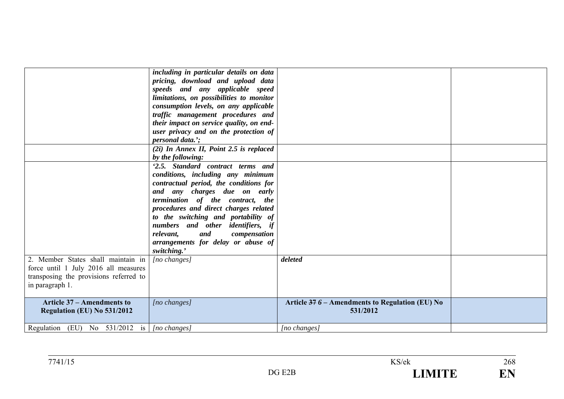| 2. Member States shall maintain in<br>force until 1 July 2016 all measures<br>transposing the provisions referred to<br>in paragraph 1. | including in particular details on data<br>pricing, download and upload data<br>speeds and any applicable speed<br>limitations, on possibilities to monitor<br>consumption levels, on any applicable<br>traffic management procedures and<br>their impact on service quality, on end-<br>user privacy and on the protection of<br><i>personal data.</i> ':<br>(2i) In Annex II, Point 2.5 is replaced<br>by the following:<br>'2.5. Standard contract terms and<br>conditions, including any minimum<br>contractual period, the conditions for<br>and any charges due on early<br>termination of the contract, the<br>procedures and direct charges related<br>to the switching and portability of<br>numbers and other identifiers, if<br>and<br>compensation<br>relevant,<br>arrangements for delay or abuse of<br>switching.'<br>[no changes] | deleted                                                      |  |
|-----------------------------------------------------------------------------------------------------------------------------------------|--------------------------------------------------------------------------------------------------------------------------------------------------------------------------------------------------------------------------------------------------------------------------------------------------------------------------------------------------------------------------------------------------------------------------------------------------------------------------------------------------------------------------------------------------------------------------------------------------------------------------------------------------------------------------------------------------------------------------------------------------------------------------------------------------------------------------------------------------|--------------------------------------------------------------|--|
| <b>Article 37 – Amendments to</b><br><b>Regulation (EU) No 531/2012</b>                                                                 | [no changes]                                                                                                                                                                                                                                                                                                                                                                                                                                                                                                                                                                                                                                                                                                                                                                                                                                     | Article $376$ – Amendments to Regulation (EU) No<br>531/2012 |  |
| Regulation (EU) No 531/2012 is [ <i>[no changes]</i>                                                                                    |                                                                                                                                                                                                                                                                                                                                                                                                                                                                                                                                                                                                                                                                                                                                                                                                                                                  | $[no \; changes]$                                            |  |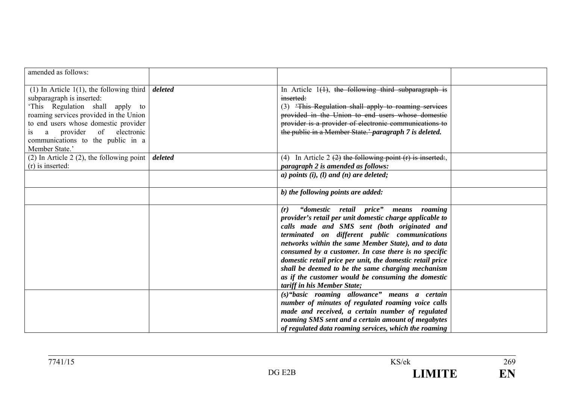| amended as follows:                                                                                                                                                                                                                                                                               |         |                                                                                                                                                                                                                                                                                                                                                                                                                                                                                                                                    |  |
|---------------------------------------------------------------------------------------------------------------------------------------------------------------------------------------------------------------------------------------------------------------------------------------------------|---------|------------------------------------------------------------------------------------------------------------------------------------------------------------------------------------------------------------------------------------------------------------------------------------------------------------------------------------------------------------------------------------------------------------------------------------------------------------------------------------------------------------------------------------|--|
|                                                                                                                                                                                                                                                                                                   |         |                                                                                                                                                                                                                                                                                                                                                                                                                                                                                                                                    |  |
| (1) In Article 1(1), the following third $\vert$<br>subparagraph is inserted:<br>'This Regulation shall apply to<br>roaming services provided in the Union<br>to end users whose domestic provider<br>provider<br>of electronic<br>a<br>1S<br>communications to the public in a<br>Member State.' | deleted | In Article $1(1)$ , the following third subparagraph is<br>inserted:<br>(3) This Regulation shall apply to roaming services<br>provided in the Union to end users whose domestic<br>provider is a provider of electronic communications to<br>the public in a Member State.' paragraph 7 is deleted.                                                                                                                                                                                                                               |  |
| (2) In Article 2 (2), the following point $\vert$<br>$(r)$ is inserted:                                                                                                                                                                                                                           | deleted | (4) In Article 2 $(2)$ the following point $(r)$ is inserted:<br>paragraph 2 is amended as follows:                                                                                                                                                                                                                                                                                                                                                                                                                                |  |
|                                                                                                                                                                                                                                                                                                   |         | $a)$ points (i), (l) and (n) are deleted;                                                                                                                                                                                                                                                                                                                                                                                                                                                                                          |  |
|                                                                                                                                                                                                                                                                                                   |         | b) the following points are added:                                                                                                                                                                                                                                                                                                                                                                                                                                                                                                 |  |
|                                                                                                                                                                                                                                                                                                   |         | "domestic retail price"<br>(r)<br>means roaming<br>provider's retail per unit domestic charge applicable to<br>calls made and SMS sent (both originated and<br>terminated on different public communications<br>networks within the same Member State), and to data<br>consumed by a customer. In case there is no specific<br>domestic retail price per unit, the domestic retail price<br>shall be deemed to be the same charging mechanism<br>as if the customer would be consuming the domestic<br>tariff in his Member State; |  |
|                                                                                                                                                                                                                                                                                                   |         | (s)"basic roaming allowance" means a certain<br>number of minutes of regulated roaming voice calls<br>made and received, a certain number of regulated<br>roaming SMS sent and a certain amount of megabytes<br>of regulated data roaming services, which the roaming                                                                                                                                                                                                                                                              |  |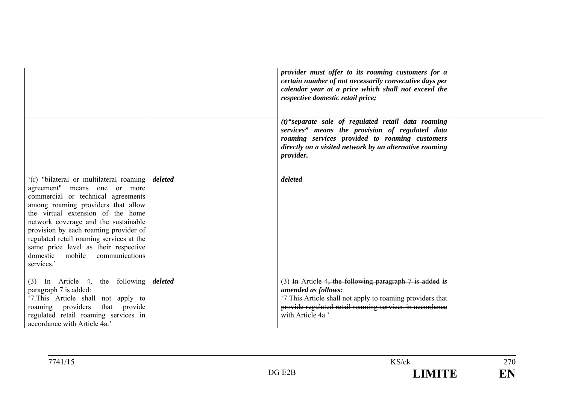|                                                                                                                                                                                                                                                                                                                                                                                                                     |         | provider must offer to its roaming customers for a<br>certain number of not necessarily consecutive days per<br>calendar year at a price which shall not exceed the<br>respective domestic retail price;                               |  |
|---------------------------------------------------------------------------------------------------------------------------------------------------------------------------------------------------------------------------------------------------------------------------------------------------------------------------------------------------------------------------------------------------------------------|---------|----------------------------------------------------------------------------------------------------------------------------------------------------------------------------------------------------------------------------------------|--|
|                                                                                                                                                                                                                                                                                                                                                                                                                     |         | (t)"separate sale of regulated retail data roaming<br>services" means the provision of regulated data<br>roaming services provided to roaming customers<br>directly on a visited network by an alternative roaming<br><i>provider.</i> |  |
| '(r) "bilateral or multilateral roaming<br>agreement" means one or more<br>commercial or technical agreements<br>among roaming providers that allow<br>the virtual extension of the home<br>network coverage and the sustainable<br>provision by each roaming provider of<br>regulated retail roaming services at the<br>same price level as their respective<br>domestic<br>mobile<br>communications<br>services.' | deleted | deleted                                                                                                                                                                                                                                |  |
| In Article 4, the following<br>(3)<br>paragraph 7 is added:<br>'7. This Article shall not apply to<br>roaming providers that provide<br>regulated retail roaming services in<br>accordance with Article 4a.'                                                                                                                                                                                                        | deleted | (3) In Article 4, the following paragraph $7$ is added is<br>amended as follows:<br>'7. This Article shall not apply to roaming providers that<br>provide regulated retail roaming services in accordance<br>with Article 4a.'         |  |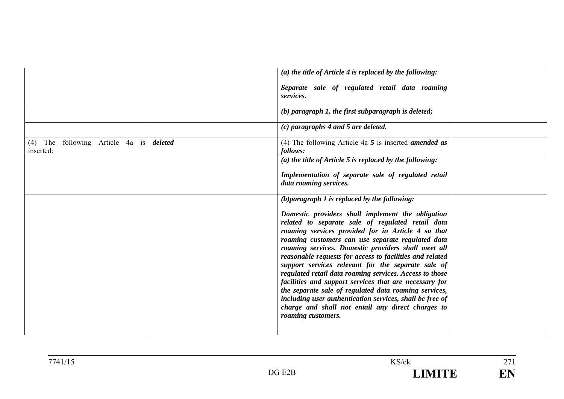|                                                    |         | (a) the title of Article 4 is replaced by the following:                                                                                                                                                                                                                                                                                                                                                                                                                                                                                                                                                                                                                                                        |  |
|----------------------------------------------------|---------|-----------------------------------------------------------------------------------------------------------------------------------------------------------------------------------------------------------------------------------------------------------------------------------------------------------------------------------------------------------------------------------------------------------------------------------------------------------------------------------------------------------------------------------------------------------------------------------------------------------------------------------------------------------------------------------------------------------------|--|
|                                                    |         | Separate sale of regulated retail data roaming<br>services.                                                                                                                                                                                                                                                                                                                                                                                                                                                                                                                                                                                                                                                     |  |
|                                                    |         | $(b)$ paragraph 1, the first subparagraph is deleted;                                                                                                                                                                                                                                                                                                                                                                                                                                                                                                                                                                                                                                                           |  |
|                                                    |         | (c) paragraphs 4 and 5 are deleted.                                                                                                                                                                                                                                                                                                                                                                                                                                                                                                                                                                                                                                                                             |  |
| following Article 4a is<br>The<br>(4)<br>inserted: | deleted | (4) The following Article $4a\ 5$ is inserted amended as<br>follows:                                                                                                                                                                                                                                                                                                                                                                                                                                                                                                                                                                                                                                            |  |
|                                                    |         | (a) the title of Article 5 is replaced by the following:                                                                                                                                                                                                                                                                                                                                                                                                                                                                                                                                                                                                                                                        |  |
|                                                    |         | Implementation of separate sale of regulated retail<br>data roaming services.                                                                                                                                                                                                                                                                                                                                                                                                                                                                                                                                                                                                                                   |  |
|                                                    |         | $(b)$ paragraph 1 is replaced by the following:                                                                                                                                                                                                                                                                                                                                                                                                                                                                                                                                                                                                                                                                 |  |
|                                                    |         | Domestic providers shall implement the obligation<br>related to separate sale of regulated retail data<br>roaming services provided for in Article 4 so that<br>roaming customers can use separate regulated data<br>roaming services. Domestic providers shall meet all<br>reasonable requests for access to facilities and related<br>support services relevant for the separate sale of<br>regulated retail data roaming services. Access to those<br>facilities and support services that are necessary for<br>the separate sale of regulated data roaming services,<br>including user authentication services, shall be free of<br>charge and shall not entail any direct charges to<br>roaming customers. |  |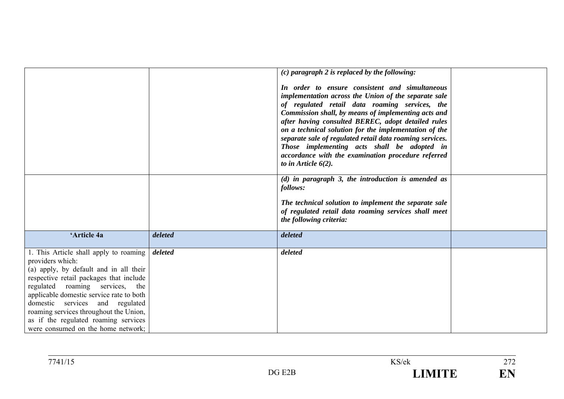|                                                                                                                                                                                                                                                                                                                                                                                           |         | $(c)$ paragraph 2 is replaced by the following:<br>In order to ensure consistent and simultaneous<br>implementation across the Union of the separate sale<br>of regulated retail data roaming services, the<br>Commission shall, by means of implementing acts and<br>after having consulted BEREC, adopt detailed rules<br>on a technical solution for the implementation of the<br>separate sale of regulated retail data roaming services.<br>Those implementing acts shall be adopted in<br>accordance with the examination procedure referred<br>to in Article $6(2)$ .<br>$(d)$ in paragraph 3, the introduction is amended as<br>follows:<br>The technical solution to implement the separate sale<br>of regulated retail data roaming services shall meet<br>the following criteria: |  |
|-------------------------------------------------------------------------------------------------------------------------------------------------------------------------------------------------------------------------------------------------------------------------------------------------------------------------------------------------------------------------------------------|---------|----------------------------------------------------------------------------------------------------------------------------------------------------------------------------------------------------------------------------------------------------------------------------------------------------------------------------------------------------------------------------------------------------------------------------------------------------------------------------------------------------------------------------------------------------------------------------------------------------------------------------------------------------------------------------------------------------------------------------------------------------------------------------------------------|--|
| 'Article 4a                                                                                                                                                                                                                                                                                                                                                                               | deleted | deleted                                                                                                                                                                                                                                                                                                                                                                                                                                                                                                                                                                                                                                                                                                                                                                                      |  |
| 1. This Article shall apply to roaming<br>providers which:<br>(a) apply, by default and in all their<br>respective retail packages that include<br>regulated roaming services, the<br>applicable domestic service rate to both<br>domestic services and regulated<br>roaming services throughout the Union,<br>as if the regulated roaming services<br>were consumed on the home network; | deleted | deleted                                                                                                                                                                                                                                                                                                                                                                                                                                                                                                                                                                                                                                                                                                                                                                                      |  |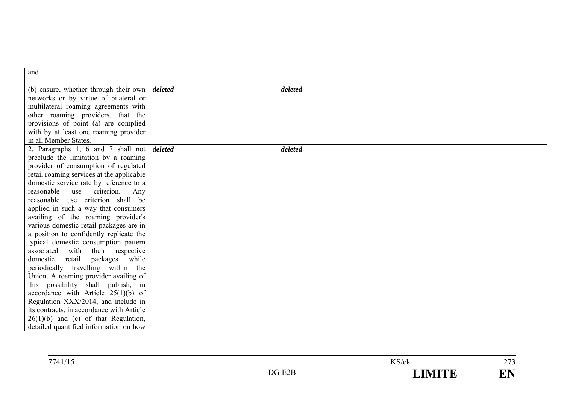| and                                                          |         |         |  |
|--------------------------------------------------------------|---------|---------|--|
|                                                              |         |         |  |
| (b) ensure, whether through their own $\vert$ <i>deleted</i> |         | deleted |  |
| networks or by virtue of bilateral or                        |         |         |  |
| multilateral roaming agreements with                         |         |         |  |
| other roaming providers, that the                            |         |         |  |
| provisions of point (a) are complied                         |         |         |  |
| with by at least one roaming provider                        |         |         |  |
| in all Member States.                                        |         |         |  |
| 2. Paragraphs 1, 6 and 7 shall not                           | deleted | deleted |  |
| preclude the limitation by a roaming                         |         |         |  |
| provider of consumption of regulated                         |         |         |  |
| retail roaming services at the applicable                    |         |         |  |
| domestic service rate by reference to a                      |         |         |  |
| reasonable<br>use<br>criterion.<br>Any                       |         |         |  |
| reasonable use criterion shall be                            |         |         |  |
| applied in such a way that consumers                         |         |         |  |
| availing of the roaming provider's                           |         |         |  |
| various domestic retail packages are in                      |         |         |  |
| a position to confidently replicate the                      |         |         |  |
| typical domestic consumption pattern                         |         |         |  |
| with their respective<br>associated                          |         |         |  |
| domestic<br>packages while<br>retail                         |         |         |  |
| periodically travelling within the                           |         |         |  |
| Union. A roaming provider availing of                        |         |         |  |
| this possibility shall publish, in                           |         |         |  |
| accordance with Article $25(1)(b)$ of                        |         |         |  |
| Regulation XXX/2014, and include in                          |         |         |  |
| its contracts, in accordance with Article                    |         |         |  |
| $26(1)(b)$ and (c) of that Regulation,                       |         |         |  |
| detailed quantified information on how                       |         |         |  |

| 7741/15 |                        | KS/ek                                                                                                                                                                                                                                                 | $\sim$<br>ر رے                  |
|---------|------------------------|-------------------------------------------------------------------------------------------------------------------------------------------------------------------------------------------------------------------------------------------------------|---------------------------------|
|         | E <sub>2</sub> B<br>DG | <b><i><u>ALLEY PARTIES AND LESS AND RESIDENCE AND RESIDENCE And the series of the series of the series are the series and the series are the series of the series of the series of the series of the series of the series of the ser</u></i></b><br>_ | $\blacksquare$<br>N<br>н<br>┻┹┻ |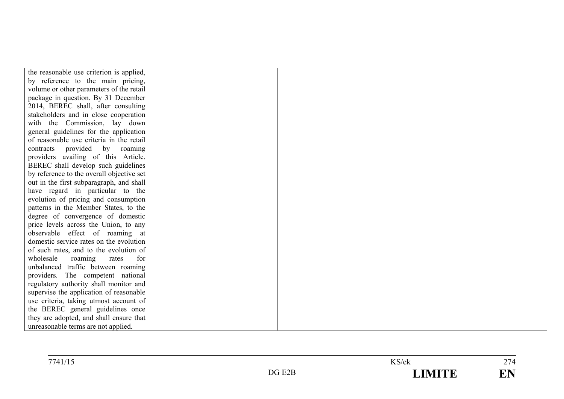| the reasonable use criterion is applied,  |  |  |
|-------------------------------------------|--|--|
| by reference to the main pricing,         |  |  |
| volume or other parameters of the retail  |  |  |
| package in question. By 31 December       |  |  |
| 2014, BEREC shall, after consulting       |  |  |
| stakeholders and in close cooperation     |  |  |
| with the Commission, lay down             |  |  |
| general guidelines for the application    |  |  |
| of reasonable use criteria in the retail  |  |  |
| provided by roaming<br>contracts          |  |  |
| providers availing of this Article.       |  |  |
| BEREC shall develop such guidelines       |  |  |
| by reference to the overall objective set |  |  |
| out in the first subparagraph, and shall  |  |  |
| have regard in particular to the          |  |  |
| evolution of pricing and consumption      |  |  |
| patterns in the Member States, to the     |  |  |
| degree of convergence of domestic         |  |  |
| price levels across the Union, to any     |  |  |
| observable effect of roaming at           |  |  |
| domestic service rates on the evolution   |  |  |
| of such rates, and to the evolution of    |  |  |
| wholesale<br>for<br>roaming<br>rates      |  |  |
| unbalanced traffic between roaming        |  |  |
| providers. The competent national         |  |  |
| regulatory authority shall monitor and    |  |  |
| supervise the application of reasonable   |  |  |
| use criteria, taking utmost account of    |  |  |
| the BEREC general guidelines once         |  |  |
| they are adopted, and shall ensure that   |  |  |
| unreasonable terms are not applied.       |  |  |

| 7741/15 |                         | KS/ek<br>$\cdots$ | $\sim$ $\sim$<br>2/4 |
|---------|-------------------------|-------------------|----------------------|
|         | $\mathcal{D}G$ .<br>E2R | <b>TRATITIE</b>   | <b>TA</b><br>--      |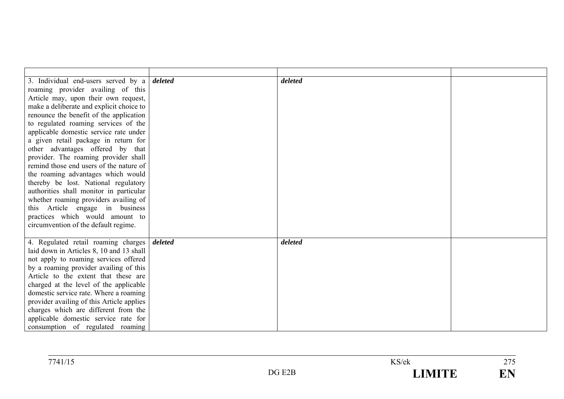| 3. Individual end-users served by a       | deleted | deleted |  |
|-------------------------------------------|---------|---------|--|
| roaming provider availing of this         |         |         |  |
| Article may, upon their own request,      |         |         |  |
| make a deliberate and explicit choice to  |         |         |  |
| renounce the benefit of the application   |         |         |  |
| to regulated roaming services of the      |         |         |  |
| applicable domestic service rate under    |         |         |  |
| a given retail package in return for      |         |         |  |
| other advantages offered by that          |         |         |  |
| provider. The roaming provider shall      |         |         |  |
| remind those end users of the nature of   |         |         |  |
| the roaming advantages which would        |         |         |  |
| thereby be lost. National regulatory      |         |         |  |
| authorities shall monitor in particular   |         |         |  |
| whether roaming providers availing of     |         |         |  |
| this Article engage in business           |         |         |  |
| practices which would amount to           |         |         |  |
| circumvention of the default regime.      |         |         |  |
|                                           |         |         |  |
| 4. Regulated retail roaming charges       | deleted | deleted |  |
| laid down in Articles 8, 10 and 13 shall  |         |         |  |
| not apply to roaming services offered     |         |         |  |
|                                           |         |         |  |
| by a roaming provider availing of this    |         |         |  |
| Article to the extent that these are      |         |         |  |
| charged at the level of the applicable    |         |         |  |
| domestic service rate. Where a roaming    |         |         |  |
| provider availing of this Article applies |         |         |  |
| charges which are different from the      |         |         |  |
| applicable domestic service rate for      |         |         |  |
| consumption of regulated roaming          |         |         |  |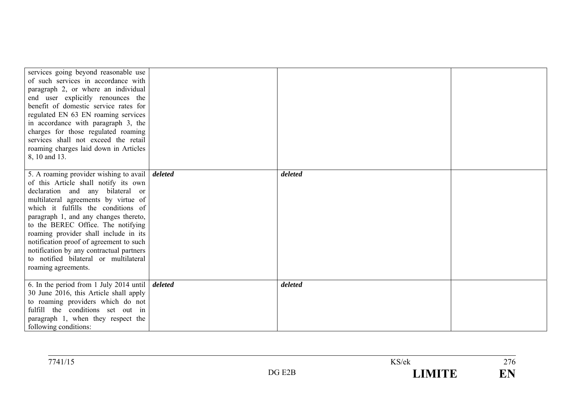| services going beyond reasonable use<br>of such services in accordance with<br>paragraph 2, or where an individual<br>end user explicitly renounces the<br>benefit of domestic service rates for<br>regulated EN 63 EN roaming services<br>in accordance with paragraph 3, the<br>charges for those regulated roaming<br>services shall not exceed the retail<br>roaming charges laid down in Articles<br>8, 10 and 13.                                                                                 |         |  |
|---------------------------------------------------------------------------------------------------------------------------------------------------------------------------------------------------------------------------------------------------------------------------------------------------------------------------------------------------------------------------------------------------------------------------------------------------------------------------------------------------------|---------|--|
| 5. A roaming provider wishing to avail $\vert$ <i>deleted</i><br>of this Article shall notify its own<br>declaration and any bilateral or<br>multilateral agreements by virtue of<br>which it fulfills the conditions of<br>paragraph 1, and any changes thereto,<br>to the BEREC Office. The notifying<br>roaming provider shall include in its<br>notification proof of agreement to such<br>notification by any contractual partners<br>to notified bilateral or multilateral<br>roaming agreements. | deleted |  |
| 6. In the period from 1 July 2014 until $\delta$ deleted<br>30 June 2016, this Article shall apply<br>to roaming providers which do not<br>fulfill the conditions set out in<br>paragraph 1, when they respect the<br>following conditions:                                                                                                                                                                                                                                                             | deleted |  |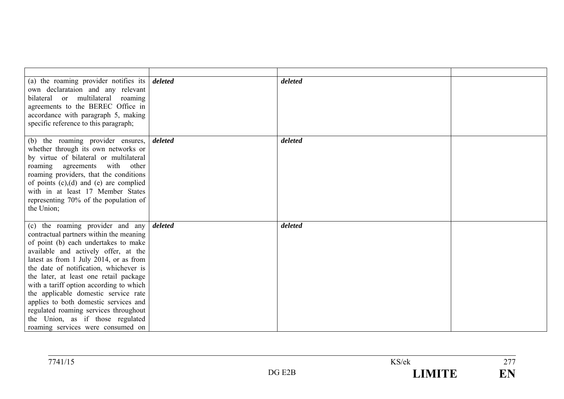| (a) the roaming provider notifies its $\delta$ <i>deleted</i><br>own declarataion and any relevant<br>bilateral or multilateral roaming<br>agreements to the BEREC Office in<br>accordance with paragraph 5, making<br>specific reference to this paragraph;                                                                                                                                                                                                                                                                            |         | deleted |  |
|-----------------------------------------------------------------------------------------------------------------------------------------------------------------------------------------------------------------------------------------------------------------------------------------------------------------------------------------------------------------------------------------------------------------------------------------------------------------------------------------------------------------------------------------|---------|---------|--|
| (b) the roaming provider ensures,<br>whether through its own networks or<br>by virtue of bilateral or multilateral<br>roaming agreements with other<br>roaming providers, that the conditions<br>of points $(c)$ , $(d)$ and $(e)$ are complied<br>with in at least 17 Member States<br>representing 70% of the population of<br>the Union;                                                                                                                                                                                             | deleted | deleted |  |
| (c) the roaming provider and any<br>contractual partners within the meaning<br>of point (b) each undertakes to make<br>available and actively offer, at the<br>latest as from 1 July 2014, or as from<br>the date of notification, whichever is<br>the later, at least one retail package<br>with a tariff option according to which<br>the applicable domestic service rate<br>applies to both domestic services and<br>regulated roaming services throughout<br>the Union, as if those regulated<br>roaming services were consumed on | deleted | deleted |  |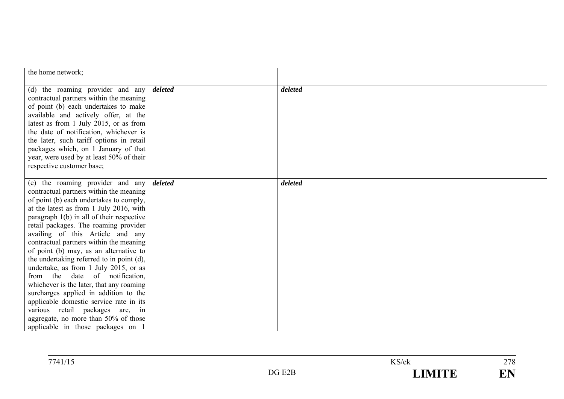| the home network;                                                                                                                                                                                                                                                                                                                                                                                                                                                                                                                                                                                                                                                                                                                                          |         |         |  |
|------------------------------------------------------------------------------------------------------------------------------------------------------------------------------------------------------------------------------------------------------------------------------------------------------------------------------------------------------------------------------------------------------------------------------------------------------------------------------------------------------------------------------------------------------------------------------------------------------------------------------------------------------------------------------------------------------------------------------------------------------------|---------|---------|--|
| (d) the roaming provider and any<br>contractual partners within the meaning<br>of point (b) each undertakes to make<br>available and actively offer, at the<br>latest as from 1 July 2015, or as from<br>the date of notification, whichever is<br>the later, such tariff options in retail<br>packages which, on 1 January of that<br>year, were used by at least 50% of their<br>respective customer base;                                                                                                                                                                                                                                                                                                                                               | deleted | deleted |  |
| (e) the roaming provider and any<br>contractual partners within the meaning<br>of point (b) each undertakes to comply,<br>at the latest as from 1 July 2016, with<br>paragraph $1(b)$ in all of their respective<br>retail packages. The roaming provider<br>availing of this Article and any<br>contractual partners within the meaning<br>of point (b) may, as an alternative to<br>the undertaking referred to in point (d),<br>undertake, as from 1 July 2015, or as<br>from the date of notification,<br>whichever is the later, that any roaming<br>surcharges applied in addition to the<br>applicable domestic service rate in its<br>various retail packages are, in<br>aggregate, no more than 50% of those<br>applicable in those packages on 1 | deleted | deleted |  |

| 771115<br>741/15 |                                                 | $\mathrm{Y}S/\mathrm{e}\mathrm{k}$ | $\sim$ $\sim$<br>$\sim$ $\prime$ $\circ$ |
|------------------|-------------------------------------------------|------------------------------------|------------------------------------------|
|                  | $\sqrt{P\Delta T}$<br>DG .<br><br>∸∸<br>$- - -$ |                                    | $\blacksquare$<br>┻┹┻                    |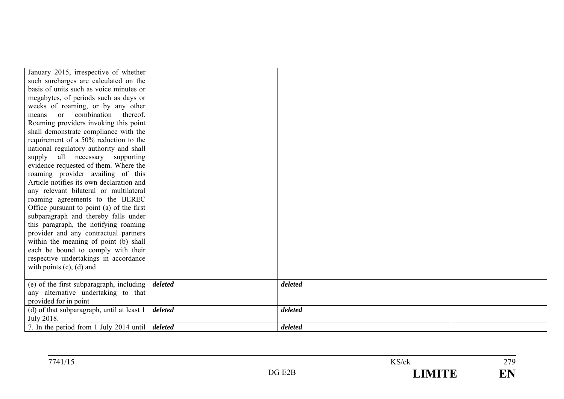| January 2015, irrespective of whether                  |         |         |  |
|--------------------------------------------------------|---------|---------|--|
| such surcharges are calculated on the                  |         |         |  |
| basis of units such as voice minutes or                |         |         |  |
| megabytes, of periods such as days or                  |         |         |  |
| weeks of roaming, or by any other                      |         |         |  |
| combination thereof.<br>$\alpha$<br>means              |         |         |  |
| Roaming providers invoking this point                  |         |         |  |
| shall demonstrate compliance with the                  |         |         |  |
| requirement of a 50% reduction to the                  |         |         |  |
| national regulatory authority and shall                |         |         |  |
| supply all necessary supporting                        |         |         |  |
| evidence requested of them. Where the                  |         |         |  |
| roaming provider availing of this                      |         |         |  |
| Article notifies its own declaration and               |         |         |  |
| any relevant bilateral or multilateral                 |         |         |  |
| roaming agreements to the BEREC                        |         |         |  |
| Office pursuant to point (a) of the first              |         |         |  |
| subparagraph and thereby falls under                   |         |         |  |
| this paragraph, the notifying roaming                  |         |         |  |
| provider and any contractual partners                  |         |         |  |
| within the meaning of point (b) shall                  |         |         |  |
| each be bound to comply with their                     |         |         |  |
| respective undertakings in accordance                  |         |         |  |
| with points $(c)$ , $(d)$ and                          |         |         |  |
|                                                        |         |         |  |
| (e) of the first subparagraph, including               | deleted | deleted |  |
| any alternative undertaking to that                    |         |         |  |
| provided for in point                                  |         |         |  |
| (d) of that subparagraph, until at least 1             | deleted | deleted |  |
| July 2018.                                             |         |         |  |
| 7. In the period from 1 July 2014 until <i>deleted</i> |         | deleted |  |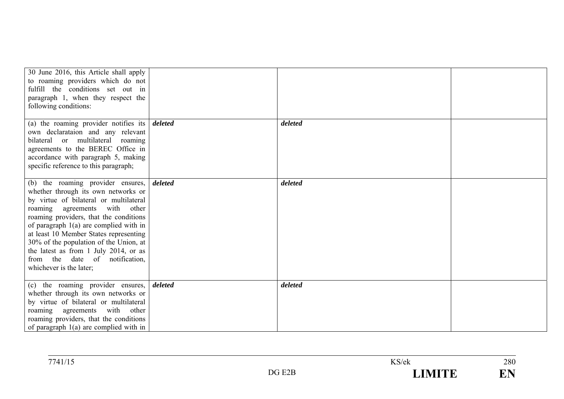| 30 June 2016, this Article shall apply<br>to roaming providers which do not<br>fulfill the conditions set out in<br>paragraph 1, when they respect the<br>following conditions:                                                                                                                                                                                                                                                        |         |         |  |
|----------------------------------------------------------------------------------------------------------------------------------------------------------------------------------------------------------------------------------------------------------------------------------------------------------------------------------------------------------------------------------------------------------------------------------------|---------|---------|--|
| (a) the roaming provider notifies its<br>own declarataion and any relevant<br>bilateral or multilateral roaming<br>agreements to the BEREC Office in<br>accordance with paragraph 5, making<br>specific reference to this paragraph;                                                                                                                                                                                                   | deleted | deleted |  |
| (b) the roaming provider ensures,<br>whether through its own networks or<br>by virtue of bilateral or multilateral<br>roaming agreements with other<br>roaming providers, that the conditions<br>of paragraph $1(a)$ are complied with in<br>at least 10 Member States representing<br>30% of the population of the Union, at<br>the latest as from 1 July 2014, or as<br>from the<br>date of notification,<br>whichever is the later; | deleted | deleted |  |
| (c) the roaming provider ensures,<br>whether through its own networks or<br>by virtue of bilateral or multilateral<br>roaming agreements<br>with other<br>roaming providers, that the conditions<br>of paragraph $1(a)$ are complied with in                                                                                                                                                                                           | deleted | deleted |  |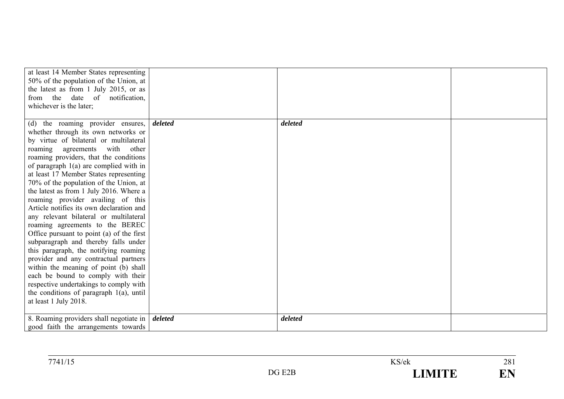| at least 14 Member States representing<br>50% of the population of the Union, at<br>the latest as from 1 July 2015, or as |         |         |  |
|---------------------------------------------------------------------------------------------------------------------------|---------|---------|--|
| from the date of notification,                                                                                            |         |         |  |
| whichever is the later;                                                                                                   |         |         |  |
|                                                                                                                           | deleted | deleted |  |
| (d) the roaming provider ensures,                                                                                         |         |         |  |
| whether through its own networks or                                                                                       |         |         |  |
| by virtue of bilateral or multilateral                                                                                    |         |         |  |
| roaming agreements with other                                                                                             |         |         |  |
| roaming providers, that the conditions                                                                                    |         |         |  |
| of paragraph $1(a)$ are complied with in                                                                                  |         |         |  |
| at least 17 Member States representing                                                                                    |         |         |  |
| 70% of the population of the Union, at                                                                                    |         |         |  |
| the latest as from 1 July 2016. Where a                                                                                   |         |         |  |
| roaming provider availing of this                                                                                         |         |         |  |
| Article notifies its own declaration and                                                                                  |         |         |  |
| any relevant bilateral or multilateral                                                                                    |         |         |  |
| roaming agreements to the BEREC                                                                                           |         |         |  |
| Office pursuant to point (a) of the first                                                                                 |         |         |  |
| subparagraph and thereby falls under                                                                                      |         |         |  |
| this paragraph, the notifying roaming                                                                                     |         |         |  |
| provider and any contractual partners                                                                                     |         |         |  |
| within the meaning of point (b) shall                                                                                     |         |         |  |
| each be bound to comply with their                                                                                        |         |         |  |
| respective undertakings to comply with                                                                                    |         |         |  |
| the conditions of paragraph 1(a), until                                                                                   |         |         |  |
| at least 1 July 2018.                                                                                                     |         |         |  |
|                                                                                                                           |         |         |  |
| 8. Roaming providers shall negotiate in   deleted                                                                         |         | deleted |  |
| good faith the arrangements towards                                                                                       |         |         |  |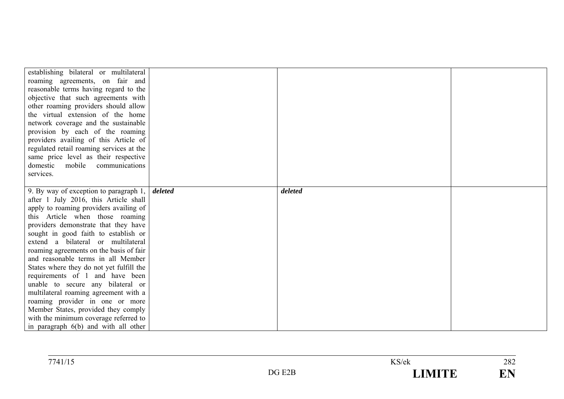| establishing bilateral or multilateral<br>roaming agreements, on fair and<br>reasonable terms having regard to the<br>objective that such agreements with<br>other roaming providers should allow<br>the virtual extension of the home<br>network coverage and the sustainable<br>provision by each of the roaming<br>providers availing of this Article of<br>regulated retail roaming services at the<br>same price level as their respective<br>domestic<br>mobile communications<br>services. |         |         |  |
|---------------------------------------------------------------------------------------------------------------------------------------------------------------------------------------------------------------------------------------------------------------------------------------------------------------------------------------------------------------------------------------------------------------------------------------------------------------------------------------------------|---------|---------|--|
| 9. By way of exception to paragraph 1,                                                                                                                                                                                                                                                                                                                                                                                                                                                            | deleted | deleted |  |
| after 1 July 2016, this Article shall                                                                                                                                                                                                                                                                                                                                                                                                                                                             |         |         |  |
| apply to roaming providers availing of                                                                                                                                                                                                                                                                                                                                                                                                                                                            |         |         |  |
| this Article when those roaming                                                                                                                                                                                                                                                                                                                                                                                                                                                                   |         |         |  |
| providers demonstrate that they have                                                                                                                                                                                                                                                                                                                                                                                                                                                              |         |         |  |
| sought in good faith to establish or                                                                                                                                                                                                                                                                                                                                                                                                                                                              |         |         |  |
| extend a bilateral or multilateral                                                                                                                                                                                                                                                                                                                                                                                                                                                                |         |         |  |
| roaming agreements on the basis of fair                                                                                                                                                                                                                                                                                                                                                                                                                                                           |         |         |  |
| and reasonable terms in all Member                                                                                                                                                                                                                                                                                                                                                                                                                                                                |         |         |  |
| States where they do not yet fulfill the                                                                                                                                                                                                                                                                                                                                                                                                                                                          |         |         |  |
| requirements of 1 and have been                                                                                                                                                                                                                                                                                                                                                                                                                                                                   |         |         |  |
| unable to secure any bilateral or                                                                                                                                                                                                                                                                                                                                                                                                                                                                 |         |         |  |
| multilateral roaming agreement with a                                                                                                                                                                                                                                                                                                                                                                                                                                                             |         |         |  |
| roaming provider in one or more                                                                                                                                                                                                                                                                                                                                                                                                                                                                   |         |         |  |
| Member States, provided they comply                                                                                                                                                                                                                                                                                                                                                                                                                                                               |         |         |  |
| with the minimum coverage referred to                                                                                                                                                                                                                                                                                                                                                                                                                                                             |         |         |  |
| in paragraph 6(b) and with all other                                                                                                                                                                                                                                                                                                                                                                                                                                                              |         |         |  |

| 7741/15<br>41/13 |                             | KS/ek | 282                   |
|------------------|-----------------------------|-------|-----------------------|
|                  | $\Gamma$<br>$\mathrm{DG}$ . |       | $\blacksquare$<br>┻┹┻ |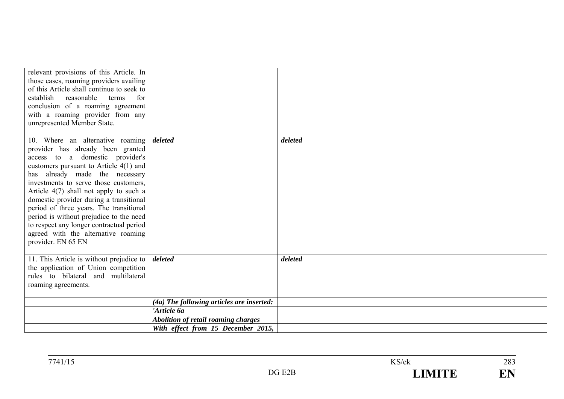| relevant provisions of this Article. In<br>those cases, roaming providers availing<br>of this Article shall continue to seek to<br>establish reasonable<br>for<br>terms<br>conclusion of a roaming agreement<br>with a roaming provider from any<br>unrepresented Member State.                                                                                                                                                                                                                                       |                                            |         |  |
|-----------------------------------------------------------------------------------------------------------------------------------------------------------------------------------------------------------------------------------------------------------------------------------------------------------------------------------------------------------------------------------------------------------------------------------------------------------------------------------------------------------------------|--------------------------------------------|---------|--|
| 10. Where an alternative roaming<br>provider has already been granted<br>access to a domestic provider's<br>customers pursuant to Article $4(1)$ and<br>has already made the necessary<br>investments to serve those customers.<br>Article $4(7)$ shall not apply to such a<br>domestic provider during a transitional<br>period of three years. The transitional<br>period is without prejudice to the need<br>to respect any longer contractual period<br>agreed with the alternative roaming<br>provider. EN 65 EN | deleted                                    | deleted |  |
| 11. This Article is without prejudice to $\vert$<br>the application of Union competition<br>rules to bilateral and multilateral<br>roaming agreements.                                                                                                                                                                                                                                                                                                                                                                | deleted                                    | deleted |  |
|                                                                                                                                                                                                                                                                                                                                                                                                                                                                                                                       | (4a) The following articles are inserted:  |         |  |
|                                                                                                                                                                                                                                                                                                                                                                                                                                                                                                                       | 'Article 6a                                |         |  |
|                                                                                                                                                                                                                                                                                                                                                                                                                                                                                                                       | <b>Abolition of retail roaming charges</b> |         |  |
|                                                                                                                                                                                                                                                                                                                                                                                                                                                                                                                       | With effect from 15 December 2015,         |         |  |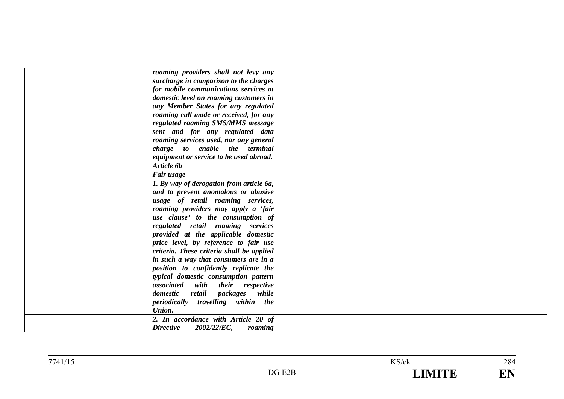| roaming providers shall not levy any       |  |
|--------------------------------------------|--|
| surcharge in comparison to the charges     |  |
| for mobile communications services at      |  |
| domestic level on roaming customers in     |  |
| any Member States for any regulated        |  |
| roaming call made or received, for any     |  |
| regulated roaming SMS/MMS message          |  |
| sent and for any regulated data            |  |
| roaming services used, nor any general     |  |
| charge to enable the terminal              |  |
| equipment or service to be used abroad.    |  |
| Article 6b                                 |  |
| Fair usage                                 |  |
| 1. By way of derogation from article 6a,   |  |
| and to prevent anomalous or abusive        |  |
| usage of retail roaming services,          |  |
| roaming providers may apply a 'fair        |  |
| use clause' to the consumption of          |  |
| regulated retail roaming services          |  |
| provided at the applicable domestic        |  |
| price level, by reference to fair use      |  |
| criteria. These criteria shall be applied  |  |
| in such a way that consumers are in a      |  |
| position to confidently replicate the      |  |
| typical domestic consumption pattern       |  |
| associated with their respective           |  |
| retail packages while<br>domestic          |  |
| periodically travelling within the         |  |
| Union.                                     |  |
| 2. In accordance with Article 20 of        |  |
| <b>Directive</b><br>2002/22/EC,<br>roaming |  |
|                                            |  |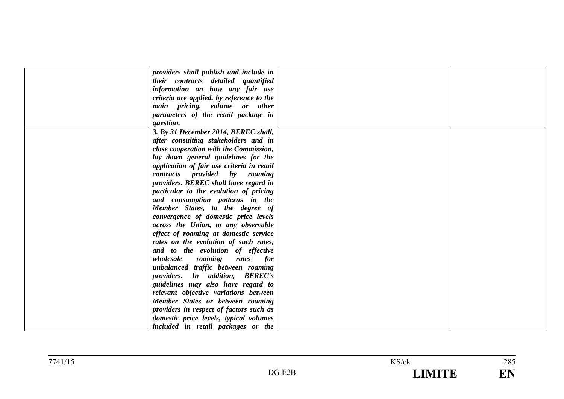| providers shall publish and include in     |  |
|--------------------------------------------|--|
| their contracts detailed quantified        |  |
| information on how any fair use            |  |
| criteria are applied, by reference to the  |  |
| main pricing, volume or other              |  |
| parameters of the retail package in        |  |
| question.                                  |  |
| 3. By 31 December 2014, BEREC shall,       |  |
| after consulting stakeholders and in       |  |
| close cooperation with the Commission,     |  |
| lay down general guidelines for the        |  |
| application of fair use criteria in retail |  |
| contracts provided by roaming              |  |
| providers. BEREC shall have regard in      |  |
| particular to the evolution of pricing     |  |
| and consumption patterns in the            |  |
| Member States, to the degree of            |  |
| convergence of domestic price levels       |  |
| across the Union, to any observable        |  |
| effect of roaming at domestic service      |  |
| rates on the evolution of such rates,      |  |
| and to the evolution of effective          |  |
| roaming<br>wholesale<br>rates<br>for       |  |
| unbalanced traffic between roaming         |  |
| providers. In addition, BEREC's            |  |
| guidelines may also have regard to         |  |
| relevant objective variations between      |  |
| Member States or between roaming           |  |
| providers in respect of factors such as    |  |
| domestic price levels, typical volumes     |  |
| included in retail packages or the         |  |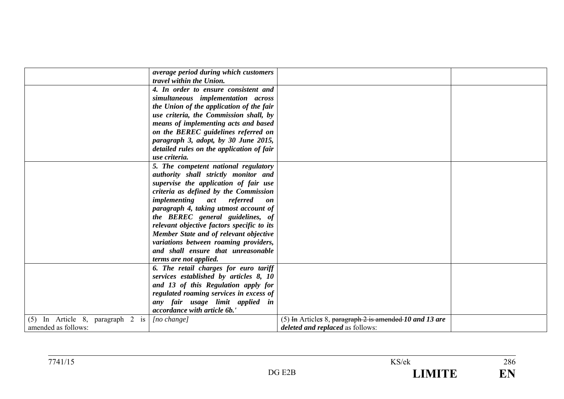|                                  | average period during which customers      |                                                           |  |
|----------------------------------|--------------------------------------------|-----------------------------------------------------------|--|
|                                  | travel within the Union.                   |                                                           |  |
|                                  | 4. In order to ensure consistent and       |                                                           |  |
|                                  | simultaneous implementation across         |                                                           |  |
|                                  | the Union of the application of the fair   |                                                           |  |
|                                  | use criteria, the Commission shall, by     |                                                           |  |
|                                  | means of implementing acts and based       |                                                           |  |
|                                  | on the BEREC guidelines referred on        |                                                           |  |
|                                  | paragraph 3, adopt, by 30 June 2015,       |                                                           |  |
|                                  | detailed rules on the application of fair  |                                                           |  |
|                                  | use criteria.                              |                                                           |  |
|                                  | 5. The competent national regulatory       |                                                           |  |
|                                  | authority shall strictly monitor and       |                                                           |  |
|                                  | supervise the application of fair use      |                                                           |  |
|                                  | criteria as defined by the Commission      |                                                           |  |
|                                  | <i>implementing</i> act referred<br>on     |                                                           |  |
|                                  | paragraph 4, taking utmost account of      |                                                           |  |
|                                  | the BEREC general guidelines, of           |                                                           |  |
|                                  | relevant objective factors specific to its |                                                           |  |
|                                  | Member State and of relevant objective     |                                                           |  |
|                                  | variations between roaming providers,      |                                                           |  |
|                                  | and shall ensure that unreasonable         |                                                           |  |
|                                  |                                            |                                                           |  |
|                                  | terms are not applied.                     |                                                           |  |
|                                  | 6. The retail charges for euro tariff      |                                                           |  |
|                                  | services established by articles 8, 10     |                                                           |  |
|                                  | and 13 of this Regulation apply for        |                                                           |  |
|                                  | regulated roaming services in excess of    |                                                           |  |
|                                  | any fair usage limit applied in            |                                                           |  |
|                                  | accordance with article 6b.'               |                                                           |  |
| (5) In Article 8, paragraph 2 is | [no change]                                | (5) In Articles 8, paragraph $2$ is amended 10 and 13 are |  |
| amended as follows:              |                                            | <i>deleted and replaced as follows:</i>                   |  |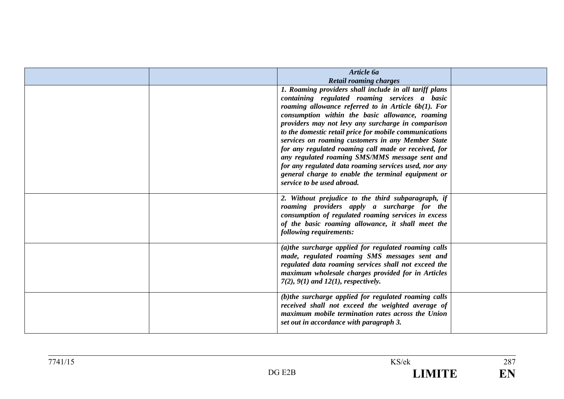| Article 6a                                             |  |
|--------------------------------------------------------|--|
| <b>Retail roaming charges</b>                          |  |
| 1. Roaming providers shall include in all tariff plans |  |
| containing regulated roaming services a basic          |  |
| roaming allowance referred to in Article $6b(1)$ . For |  |
| consumption within the basic allowance, roaming        |  |
| providers may not levy any surcharge in comparison     |  |
| to the domestic retail price for mobile communications |  |
| services on roaming customers in any Member State      |  |
| for any regulated roaming call made or received, for   |  |
| any regulated roaming SMS/MMS message sent and         |  |
| for any regulated data roaming services used, nor any  |  |
| general charge to enable the terminal equipment or     |  |
| service to be used abroad.                             |  |
|                                                        |  |
| 2. Without prejudice to the third subparagraph, if     |  |
| roaming providers apply a surcharge for the            |  |
| consumption of regulated roaming services in excess    |  |
| of the basic roaming allowance, it shall meet the      |  |
| following requirements:                                |  |
|                                                        |  |
| (a)the surcharge applied for regulated roaming calls   |  |
| made, regulated roaming SMS messages sent and          |  |
| regulated data roaming services shall not exceed the   |  |
| maximum wholesale charges provided for in Articles     |  |
| $7(2)$ , $9(1)$ and $12(1)$ , respectively.            |  |
|                                                        |  |
| (b)the surcharge applied for regulated roaming calls   |  |
| received shall not exceed the weighted average of      |  |
| maximum mobile termination rates across the Union      |  |
| set out in accordance with paragraph 3.                |  |
|                                                        |  |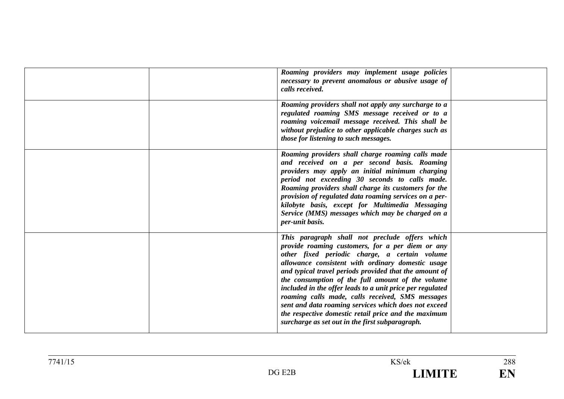|  | Roaming providers may implement usage policies<br>necessary to prevent anomalous or abusive usage of<br>calls received.                                                                                                                                                                                                                                                                                                                                                                                                                                                                                    |  |
|--|------------------------------------------------------------------------------------------------------------------------------------------------------------------------------------------------------------------------------------------------------------------------------------------------------------------------------------------------------------------------------------------------------------------------------------------------------------------------------------------------------------------------------------------------------------------------------------------------------------|--|
|  | Roaming providers shall not apply any surcharge to a<br>regulated roaming SMS message received or to a<br>roaming voicemail message received. This shall be<br>without prejudice to other applicable charges such as<br>those for listening to such messages.                                                                                                                                                                                                                                                                                                                                              |  |
|  | Roaming providers shall charge roaming calls made<br>and received on a per second basis. Roaming<br>providers may apply an initial minimum charging<br>period not exceeding 30 seconds to calls made.<br>Roaming providers shall charge its customers for the<br>provision of regulated data roaming services on a per-<br>kilobyte basis, except for Multimedia Messaging<br>Service (MMS) messages which may be charged on a<br>per-unit basis.                                                                                                                                                          |  |
|  | This paragraph shall not preclude offers which<br>provide roaming customers, for a per diem or any<br>other fixed periodic charge, a certain volume<br>allowance consistent with ordinary domestic usage<br>and typical travel periods provided that the amount of<br>the consumption of the full amount of the volume<br>included in the offer leads to a unit price per regulated<br>roaming calls made, calls received, SMS messages<br>sent and data roaming services which does not exceed<br>the respective domestic retail price and the maximum<br>surcharge as set out in the first subparagraph. |  |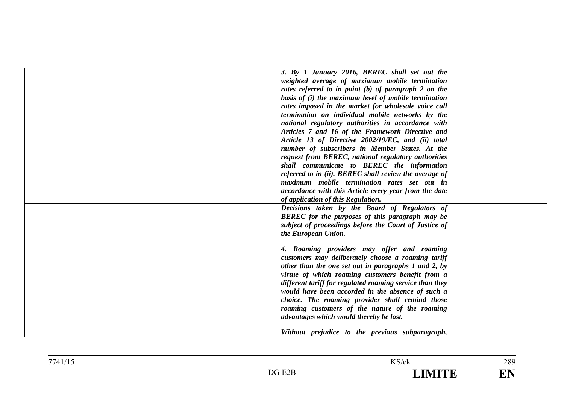| 3. By 1 January 2016, BEREC shall set out the<br>weighted average of maximum mobile termination<br>rates referred to in point (b) of paragraph 2 on the<br>basis of (i) the maximum level of mobile termination<br>rates imposed in the market for wholesale voice call<br>termination on individual mobile networks by the<br>national regulatory authorities in accordance with<br>Articles 7 and 16 of the Framework Directive and<br>Article 13 of Directive 2002/19/EC, and (ii) total<br>number of subscribers in Member States. At the<br>request from BEREC, national regulatory authorities<br>shall communicate to BEREC the information<br>referred to in (ii). BEREC shall review the average of<br>maximum mobile termination rates set out in |  |
|-------------------------------------------------------------------------------------------------------------------------------------------------------------------------------------------------------------------------------------------------------------------------------------------------------------------------------------------------------------------------------------------------------------------------------------------------------------------------------------------------------------------------------------------------------------------------------------------------------------------------------------------------------------------------------------------------------------------------------------------------------------|--|
| accordance with this Article every year from the date                                                                                                                                                                                                                                                                                                                                                                                                                                                                                                                                                                                                                                                                                                       |  |
| of application of this Regulation.                                                                                                                                                                                                                                                                                                                                                                                                                                                                                                                                                                                                                                                                                                                          |  |
| Decisions taken by the Board of Regulators of<br><b>BEREC</b> for the purposes of this paragraph may be<br>subject of proceedings before the Court of Justice of<br>the European Union.                                                                                                                                                                                                                                                                                                                                                                                                                                                                                                                                                                     |  |
| 4. Roaming providers may offer and roaming<br>customers may deliberately choose a roaming tariff<br>other than the one set out in paragraphs 1 and 2, by<br>virtue of which roaming customers benefit from a<br>different tariff for regulated roaming service than they<br>would have been accorded in the absence of such a<br>choice. The roaming provider shall remind those<br>roaming customers of the nature of the roaming<br>advantages which would thereby be lost.                                                                                                                                                                                                                                                                               |  |
| Without prejudice to the previous subparagraph,                                                                                                                                                                                                                                                                                                                                                                                                                                                                                                                                                                                                                                                                                                             |  |

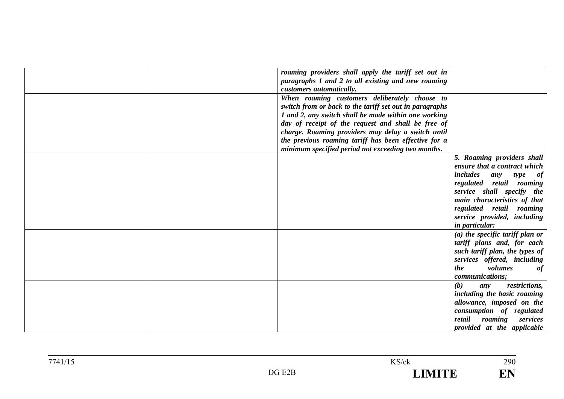| roaming providers shall apply the tariff set out in     |                                 |
|---------------------------------------------------------|---------------------------------|
| paragraphs 1 and 2 to all existing and new roaming      |                                 |
| customers automatically.                                |                                 |
| When roaming customers deliberately choose to           |                                 |
| switch from or back to the tariff set out in paragraphs |                                 |
| 1 and 2, any switch shall be made within one working    |                                 |
| day of receipt of the request and shall be free of      |                                 |
| charge. Roaming providers may delay a switch until      |                                 |
| the previous roaming tariff has been effective for a    |                                 |
| minimum specified period not exceeding two months.      |                                 |
|                                                         | 5. Roaming providers shall      |
|                                                         | ensure that a contract which    |
|                                                         | includes<br>type of<br>any      |
|                                                         | regulated retail roaming        |
|                                                         | service shall specify the       |
|                                                         | main characteristics of that    |
|                                                         | regulated retail roaming        |
|                                                         | service provided, including     |
|                                                         | <i>in particular:</i>           |
|                                                         | (a) the specific tariff plan or |
|                                                         | tariff plans and, for each      |
|                                                         | such tariff plan, the types of  |
|                                                         | services offered, including     |
|                                                         | volumes<br>the<br>of            |
|                                                         | communications;                 |
|                                                         | (b)<br>restrictions,<br>any     |
|                                                         | including the basic roaming     |
|                                                         | allowance, imposed on the       |
|                                                         | consumption of regulated        |
|                                                         | retail<br>roaming<br>services   |
|                                                         | provided at the applicable      |

 $\frac{1}{290}$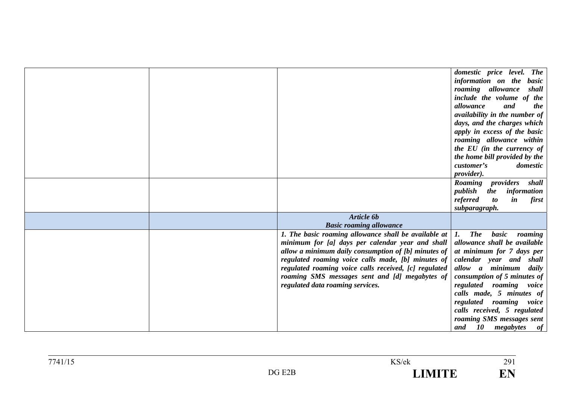|  |                                                                | domestic price level. The                                |
|--|----------------------------------------------------------------|----------------------------------------------------------|
|  |                                                                | information on the<br><b>basic</b>                       |
|  |                                                                | roaming allowance<br>shall                               |
|  |                                                                | include the volume of the                                |
|  |                                                                | allowance<br>and<br>the                                  |
|  |                                                                | availability in the number of                            |
|  |                                                                | days, and the charges which                              |
|  |                                                                | apply in excess of the basic                             |
|  |                                                                | roaming allowance within                                 |
|  |                                                                | the EU (in the currency of                               |
|  |                                                                | the home bill provided by the                            |
|  |                                                                | customer's<br>domestic                                   |
|  |                                                                | provider).                                               |
|  |                                                                | Roaming providers shall                                  |
|  |                                                                | publish<br>information<br>the                            |
|  |                                                                | referred<br>$\boldsymbol{to}$<br>$\mathbf{i}$ n<br>first |
|  |                                                                | subparagraph.                                            |
|  | Article 6b                                                     |                                                          |
|  | <b>Basic roaming allowance</b>                                 |                                                          |
|  | 1. The basic roaming allowance shall be available at $ 1.$ The | basic<br>roaming                                         |
|  | minimum for [a] days per calendar year and shall               | allowance shall be available                             |
|  | allow a minimum daily consumption of [b] minutes of            | at minimum for 7 days per                                |
|  | regulated roaming voice calls made, [b] minutes of             | calendar year and shall                                  |
|  | regulated roaming voice calls received, [c] regulated          | allow a minimum<br>daily                                 |
|  | roaming SMS messages sent and [d] megabytes of                 | consumption of 5 minutes of                              |
|  | regulated data roaming services.                               | regulated roaming voice                                  |
|  |                                                                | calls made, 5 minutes of                                 |
|  |                                                                | regulated roaming<br>voice                               |
|  |                                                                | calls received, 5 regulated                              |
|  |                                                                | roaming SMS messages sent                                |
|  |                                                                | 10 megabytes<br>and<br>of                                |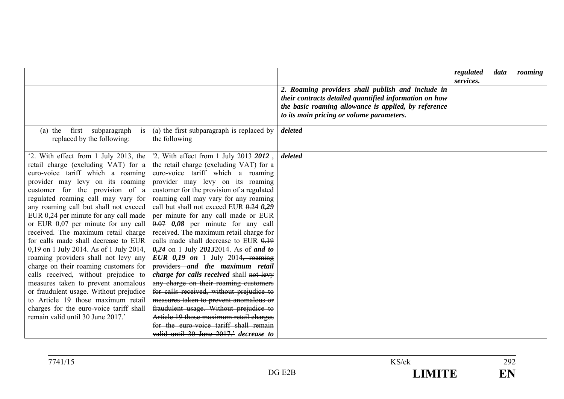|                                                                                                                                                                                                                                                                                                                                                                                                                                                                                                                                                                                                                                                                                                                                                                                                                      |                                                                                                                                                                                                                                                                                                                                                                                                                                                                                                                                                                                                                                                                                                                                                                                                                                                                                                                                           |                                                                                                                                                                                                                  | regulated<br>services. | data | roaming |
|----------------------------------------------------------------------------------------------------------------------------------------------------------------------------------------------------------------------------------------------------------------------------------------------------------------------------------------------------------------------------------------------------------------------------------------------------------------------------------------------------------------------------------------------------------------------------------------------------------------------------------------------------------------------------------------------------------------------------------------------------------------------------------------------------------------------|-------------------------------------------------------------------------------------------------------------------------------------------------------------------------------------------------------------------------------------------------------------------------------------------------------------------------------------------------------------------------------------------------------------------------------------------------------------------------------------------------------------------------------------------------------------------------------------------------------------------------------------------------------------------------------------------------------------------------------------------------------------------------------------------------------------------------------------------------------------------------------------------------------------------------------------------|------------------------------------------------------------------------------------------------------------------------------------------------------------------------------------------------------------------|------------------------|------|---------|
|                                                                                                                                                                                                                                                                                                                                                                                                                                                                                                                                                                                                                                                                                                                                                                                                                      |                                                                                                                                                                                                                                                                                                                                                                                                                                                                                                                                                                                                                                                                                                                                                                                                                                                                                                                                           | 2. Roaming providers shall publish and include in<br>their contracts detailed quantified information on how<br>the basic roaming allowance is applied, by reference<br>to its main pricing or volume parameters. |                        |      |         |
| first<br>$(a)$ the<br>subparagraph<br>is<br>replaced by the following:                                                                                                                                                                                                                                                                                                                                                                                                                                                                                                                                                                                                                                                                                                                                               | (a) the first subparagraph is replaced by<br>the following                                                                                                                                                                                                                                                                                                                                                                                                                                                                                                                                                                                                                                                                                                                                                                                                                                                                                | deleted                                                                                                                                                                                                          |                        |      |         |
| '2. With effect from 1 July 2013, the<br>retail charge (excluding VAT) for a<br>euro-voice tariff which a roaming<br>provider may levy on its roaming<br>customer for the provision of a<br>regulated roaming call may vary for<br>any roaming call but shall not exceed<br>EUR 0,24 per minute for any call made<br>or EUR $0.07$ per minute for any call<br>received. The maximum retail charge<br>for calls made shall decrease to EUR<br>0,19 on 1 July 2014. As of 1 July 2014,<br>roaming providers shall not levy any<br>charge on their roaming customers for<br>calls received, without prejudice to<br>measures taken to prevent anomalous<br>or fraudulent usage. Without prejudice<br>to Article 19 those maximum retail<br>charges for the euro-voice tariff shall<br>remain valid until 30 June 2017.' | '2. With effect from 1 July 2013 2012,<br>the retail charge (excluding VAT) for a<br>euro-voice tariff which a roaming<br>provider may levy on its roaming<br>customer for the provision of a regulated<br>roaming call may vary for any roaming<br>call but shall not exceed EUR $0.24$ 0.29<br>per minute for any call made or EUR<br>$0.07$ 0.08 per minute for any call<br>received. The maximum retail charge for<br>calls made shall decrease to EUR $0.19$<br>$0,24$ on 1 July 20132014. As of and to<br>EUR $0,19$ on 1 July 2014, roaming<br>providers and the maximum retail<br>charge for calls received shall not levy<br>any charge on their roaming customers<br>for calls received, without prejudice to<br>measures taken to prevent anomalous or<br>fraudulent usage. Without prejudice to<br>Article 19 those maximum retail charges<br>for the euro-voice tariff shall remain<br>valid until 30 June 2017. decrease to | deleted                                                                                                                                                                                                          |                        |      |         |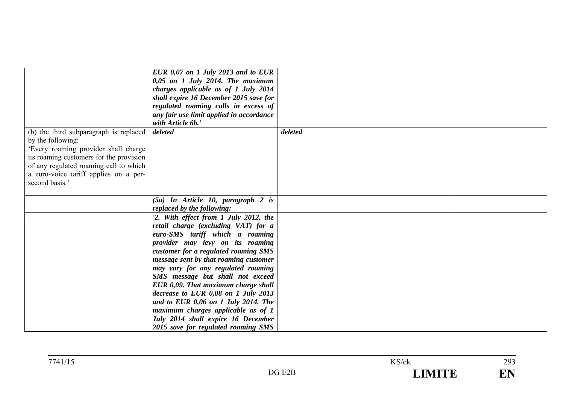|                                                                                                                                                                                                                                                     | EUR $0.07$ on 1 July 2013 and to EUR<br>$0,05$ on 1 July 2014. The maximum<br>charges applicable as of 1 July 2014<br>shall expire 16 December 2015 save for<br>regulated roaming calls in excess of<br>any fair use limit applied in accordance<br>with Article 6b.'                                                                                                                                                                                                                                                                                  |         |  |
|-----------------------------------------------------------------------------------------------------------------------------------------------------------------------------------------------------------------------------------------------------|--------------------------------------------------------------------------------------------------------------------------------------------------------------------------------------------------------------------------------------------------------------------------------------------------------------------------------------------------------------------------------------------------------------------------------------------------------------------------------------------------------------------------------------------------------|---------|--|
| (b) the third subparagraph is replaced<br>by the following:<br>'Every roaming provider shall charge<br>its roaming customers for the provision<br>of any regulated roaming call to which<br>a euro-voice tariff applies on a per-<br>second basis.' | deleted                                                                                                                                                                                                                                                                                                                                                                                                                                                                                                                                                | deleted |  |
|                                                                                                                                                                                                                                                     | $(5a)$ In Article 10, paragraph 2 is<br>replaced by the following:                                                                                                                                                                                                                                                                                                                                                                                                                                                                                     |         |  |
|                                                                                                                                                                                                                                                     | '2. With effect from 1 July 2012, the<br>retail charge (excluding VAT) for a<br>euro-SMS tariff which a roaming<br>provider may levy on its roaming<br>customer for a regulated roaming SMS<br>message sent by that roaming customer<br>may vary for any regulated roaming<br>SMS message but shall not exceed<br>EUR 0,09. That maximum charge shall<br>decrease to EUR 0,08 on 1 July 2013<br>and to EUR 0,06 on 1 July 2014. The<br>maximum charges applicable as of 1<br>July 2014 shall expire 16 December<br>2015 save for regulated roaming SMS |         |  |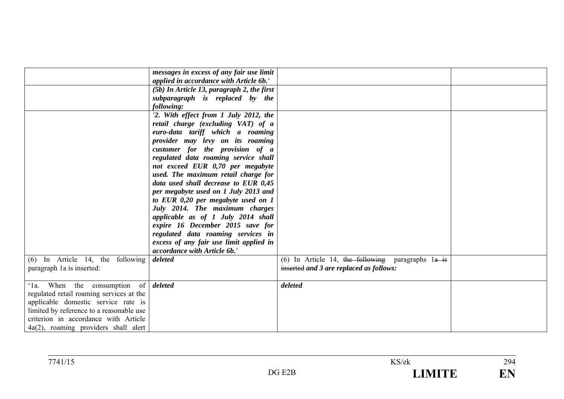|                                             | messages in excess of any fair use limit   |                                                       |  |
|---------------------------------------------|--------------------------------------------|-------------------------------------------------------|--|
|                                             | applied in accordance with Article 6b.'    |                                                       |  |
|                                             | (5b) In Article 13, paragraph 2, the first |                                                       |  |
|                                             | subparagraph is replaced by the            |                                                       |  |
|                                             | following:                                 |                                                       |  |
|                                             | '2. With effect from 1 July 2012, the      |                                                       |  |
|                                             | retail charge (excluding VAT) of a         |                                                       |  |
|                                             | euro-data tariff which a roaming           |                                                       |  |
|                                             | provider may levy on its roaming           |                                                       |  |
|                                             | customer for the provision of a            |                                                       |  |
|                                             | regulated data roaming service shall       |                                                       |  |
|                                             | not exceed EUR 0,70 per megabyte           |                                                       |  |
|                                             | used. The maximum retail charge for        |                                                       |  |
|                                             | data used shall decrease to EUR 0,45       |                                                       |  |
|                                             | per megabyte used on 1 July 2013 and       |                                                       |  |
|                                             | to EUR 0,20 per megabyte used on 1         |                                                       |  |
|                                             | July 2014. The maximum charges             |                                                       |  |
|                                             | applicable as of 1 July 2014 shall         |                                                       |  |
|                                             | expire 16 December 2015 save for           |                                                       |  |
|                                             | regulated data roaming services in         |                                                       |  |
|                                             | excess of any fair use limit applied in    |                                                       |  |
|                                             | accordance with Article 6b.                |                                                       |  |
| $(6)$ In Article 14, the following          | deleted                                    | (6) In Article 14, the following paragraphs $1a + is$ |  |
| paragraph 1a is inserted:                   |                                            | inserted and 3 are replaced as follows:               |  |
|                                             |                                            |                                                       |  |
| '1a. When the consumption of <i>deleted</i> |                                            | deleted                                               |  |
| regulated retail roaming services at the    |                                            |                                                       |  |
| applicable domestic service rate is         |                                            |                                                       |  |
| limited by reference to a reasonable use    |                                            |                                                       |  |
| criterion in accordance with Article        |                                            |                                                       |  |
| $4a(2)$ , roaming providers shall alert     |                                            |                                                       |  |
|                                             |                                            |                                                       |  |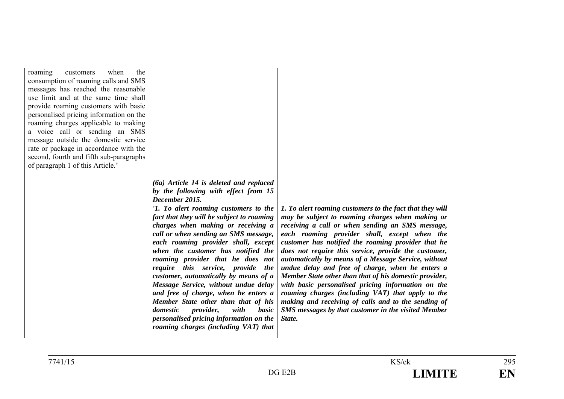| when<br>the<br>roaming<br>customers<br>consumption of roaming calls and SMS<br>messages has reached the reasonable<br>use limit and at the same time shall<br>provide roaming customers with basic<br>personalised pricing information on the<br>roaming charges applicable to making<br>a voice call or sending an SMS<br>message outside the domestic service<br>rate or package in accordance with the<br>second, fourth and fifth sub-paragraphs<br>of paragraph 1 of this Article.' |                                                                                                                                                                                                                                                                                                                                                                                                                                                                                                                                                                                                                             |                                                                                                                                                                                                                                                                                                                                                                                                                                                                                                                                                                                                                                                                                                                                         |  |
|------------------------------------------------------------------------------------------------------------------------------------------------------------------------------------------------------------------------------------------------------------------------------------------------------------------------------------------------------------------------------------------------------------------------------------------------------------------------------------------|-----------------------------------------------------------------------------------------------------------------------------------------------------------------------------------------------------------------------------------------------------------------------------------------------------------------------------------------------------------------------------------------------------------------------------------------------------------------------------------------------------------------------------------------------------------------------------------------------------------------------------|-----------------------------------------------------------------------------------------------------------------------------------------------------------------------------------------------------------------------------------------------------------------------------------------------------------------------------------------------------------------------------------------------------------------------------------------------------------------------------------------------------------------------------------------------------------------------------------------------------------------------------------------------------------------------------------------------------------------------------------------|--|
|                                                                                                                                                                                                                                                                                                                                                                                                                                                                                          | (6a) Article 14 is deleted and replaced<br>by the following with effect from 15<br>December 2015.                                                                                                                                                                                                                                                                                                                                                                                                                                                                                                                           |                                                                                                                                                                                                                                                                                                                                                                                                                                                                                                                                                                                                                                                                                                                                         |  |
|                                                                                                                                                                                                                                                                                                                                                                                                                                                                                          | '1. To alert roaming customers to the<br>fact that they will be subject to roaming<br>charges when making or receiving a<br>call or when sending an SMS message,<br>each roaming provider shall, except<br>when the customer has notified the<br>roaming provider that he does not<br>require this service, provide the<br>customer, automatically by means of a<br>Message Service, without undue delay<br>and free of charge, when he enters a<br>Member State other than that of his<br>domestic<br><i>provider,</i><br>with<br>basic<br>personalised pricing information on the<br>roaming charges (including VAT) that | 1. To alert roaming customers to the fact that they will<br>may be subject to roaming charges when making or<br>receiving a call or when sending an SMS message,<br>each roaming provider shall, except when the<br>customer has notified the roaming provider that he<br>does not require this service, provide the customer,<br>automatically by means of a Message Service, without<br>undue delay and free of charge, when he enters a<br>Member State other than that of his domestic provider,<br>with basic personalised pricing information on the<br>roaming charges (including VAT) that apply to the<br>making and receiving of calls and to the sending of<br>SMS messages by that customer in the visited Member<br>State. |  |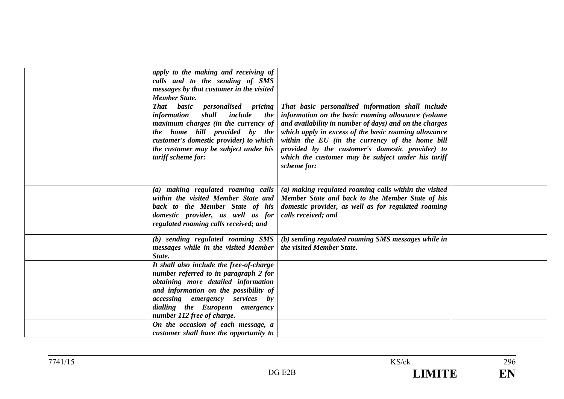| apply to the making and receiving of                                                                                                                                                                                                                                           |                                                                                                                                                                                                                                                                                                                                                                                        |  |
|--------------------------------------------------------------------------------------------------------------------------------------------------------------------------------------------------------------------------------------------------------------------------------|----------------------------------------------------------------------------------------------------------------------------------------------------------------------------------------------------------------------------------------------------------------------------------------------------------------------------------------------------------------------------------------|--|
| calls and to the sending of SMS                                                                                                                                                                                                                                                |                                                                                                                                                                                                                                                                                                                                                                                        |  |
| messages by that customer in the visited                                                                                                                                                                                                                                       |                                                                                                                                                                                                                                                                                                                                                                                        |  |
| <b>Member State.</b>                                                                                                                                                                                                                                                           |                                                                                                                                                                                                                                                                                                                                                                                        |  |
| basic<br><i>personalised pricing</i><br>That<br>information<br>shall<br>include<br><i>the</i><br>maximum charges (in the currency of<br>the home bill provided by the<br>customer's domestic provider) to which<br>the customer may be subject under his<br>tariff scheme for: | That basic personalised information shall include<br>information on the basic roaming allowance (volume<br>and availability in number of days) and on the charges<br>which apply in excess of the basic roaming allowance<br>within the EU (in the currency of the home bill<br>provided by the customer's domestic provider) to<br>which the customer may be subject under his tariff |  |
|                                                                                                                                                                                                                                                                                | scheme for:                                                                                                                                                                                                                                                                                                                                                                            |  |
| (a) making regulated roaming calls<br>within the visited Member State and<br>back to the Member State of his<br>domestic provider, as well as for<br>regulated roaming calls received; and                                                                                     | (a) making regulated roaming calls within the visited<br>Member State and back to the Member State of his<br>domestic provider, as well as for regulated roaming<br>calls received; and                                                                                                                                                                                                |  |
| (b) sending regulated roaming SMS<br>messages while in the visited Member<br>State.                                                                                                                                                                                            | (b) sending regulated roaming SMS messages while in<br>the visited Member State.                                                                                                                                                                                                                                                                                                       |  |
| It shall also include the free-of-charge<br>number referred to in paragraph 2 for<br>obtaining more detailed information<br>and information on the possibility of<br><i>accessing</i> emergency services by<br>dialling the European emergency<br>number 112 free of charge.   |                                                                                                                                                                                                                                                                                                                                                                                        |  |
| On the occasion of each message, a<br>customer shall have the opportunity to                                                                                                                                                                                                   |                                                                                                                                                                                                                                                                                                                                                                                        |  |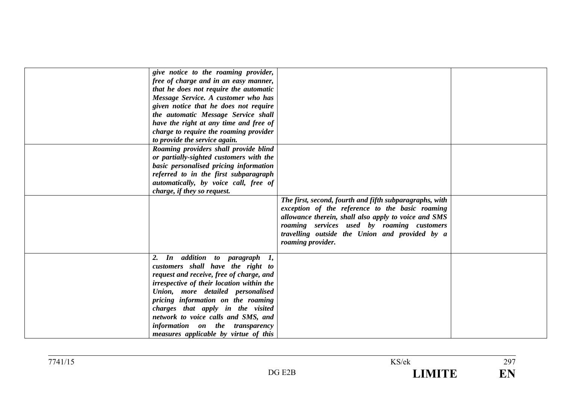| give notice to the roaming provider,<br>free of charge and in an easy manner,<br>that he does not require the automatic<br>Message Service. A customer who has<br>given notice that he does not require<br>the automatic Message Service shall<br>have the right at any time and free of<br>charge to require the roaming provider<br>to provide the service again.                          |                                                                                                                                                                                                                                                                                         |  |
|----------------------------------------------------------------------------------------------------------------------------------------------------------------------------------------------------------------------------------------------------------------------------------------------------------------------------------------------------------------------------------------------|-----------------------------------------------------------------------------------------------------------------------------------------------------------------------------------------------------------------------------------------------------------------------------------------|--|
| Roaming providers shall provide blind<br>or partially-sighted customers with the<br>basic personalised pricing information<br>referred to in the first subparagraph<br>automatically, by voice call, free of<br>charge, if they so request.                                                                                                                                                  |                                                                                                                                                                                                                                                                                         |  |
|                                                                                                                                                                                                                                                                                                                                                                                              | The first, second, fourth and fifth subparagraphs, with<br>exception of the reference to the basic roaming<br>allowance therein, shall also apply to voice and SMS<br>roaming services used by roaming customers<br>travelling outside the Union and provided by a<br>roaming provider. |  |
| In addition to paragraph 1,<br>customers shall have the right to<br>request and receive, free of charge, and<br>irrespective of their location within the<br>Union, more detailed personalised<br>pricing information on the roaming<br>charges that apply in the visited<br>network to voice calls and SMS, and<br>information on the transparency<br>measures applicable by virtue of this |                                                                                                                                                                                                                                                                                         |  |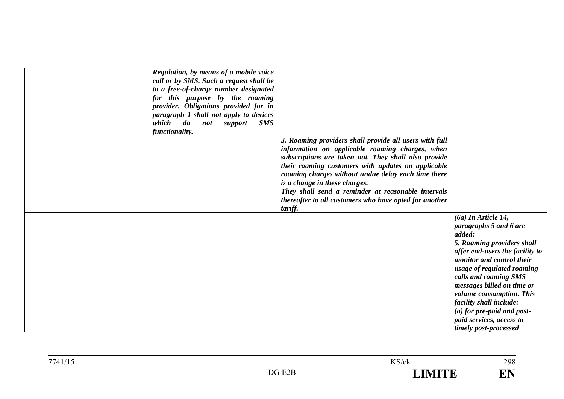| Regulation, by means of a mobile voice<br>call or by SMS. Such a request shall be<br>to a free-of-charge number designated<br>for this purpose by the roaming<br>provider. Obligations provided for in<br>paragraph 1 shall not apply to devices<br>which<br>$\boldsymbol{d}\boldsymbol{o}$<br><b>SMS</b><br><i>not</i><br>support |                                                                                                                                                                                                                                                                                                                 |                                                                                                                                                                                                                                        |
|------------------------------------------------------------------------------------------------------------------------------------------------------------------------------------------------------------------------------------------------------------------------------------------------------------------------------------|-----------------------------------------------------------------------------------------------------------------------------------------------------------------------------------------------------------------------------------------------------------------------------------------------------------------|----------------------------------------------------------------------------------------------------------------------------------------------------------------------------------------------------------------------------------------|
| functionality.                                                                                                                                                                                                                                                                                                                     |                                                                                                                                                                                                                                                                                                                 |                                                                                                                                                                                                                                        |
|                                                                                                                                                                                                                                                                                                                                    | 3. Roaming providers shall provide all users with full<br>information on applicable roaming charges, when<br>subscriptions are taken out. They shall also provide<br>their roaming customers with updates on applicable<br>roaming charges without undue delay each time there<br>is a change in these charges. |                                                                                                                                                                                                                                        |
|                                                                                                                                                                                                                                                                                                                                    | They shall send a reminder at reasonable intervals<br>thereafter to all customers who have opted for another<br>tariff.                                                                                                                                                                                         |                                                                                                                                                                                                                                        |
|                                                                                                                                                                                                                                                                                                                                    |                                                                                                                                                                                                                                                                                                                 | $(6a)$ In Article 14,<br>paragraphs 5 and 6 are<br>added:                                                                                                                                                                              |
|                                                                                                                                                                                                                                                                                                                                    |                                                                                                                                                                                                                                                                                                                 | 5. Roaming providers shall<br>offer end-users the facility to<br>monitor and control their<br>usage of regulated roaming<br>calls and roaming SMS<br>messages billed on time or<br>volume consumption. This<br>facility shall include: |
|                                                                                                                                                                                                                                                                                                                                    |                                                                                                                                                                                                                                                                                                                 | $(a)$ for pre-paid and post-<br>paid services, access to<br>timely post-processed                                                                                                                                                      |

298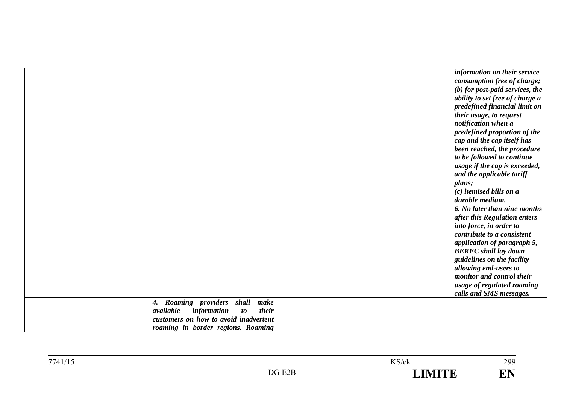|                                                | information on their service      |
|------------------------------------------------|-----------------------------------|
|                                                | consumption free of charge;       |
|                                                | $(b)$ for post-paid services, the |
|                                                | ability to set free of charge a   |
|                                                | predefined financial limit on     |
|                                                | their usage, to request           |
|                                                | notification when a               |
|                                                | predefined proportion of the      |
|                                                | cap and the cap itself has        |
|                                                | been reached, the procedure       |
|                                                | to be followed to continue        |
|                                                | usage if the cap is exceeded,     |
|                                                | and the applicable tariff         |
|                                                | plans;                            |
|                                                | $(c)$ itemised bills on a         |
|                                                | durable medium.                   |
|                                                | 6. No later than nine months      |
|                                                | after this Regulation enters      |
|                                                | into force, in order to           |
|                                                | contribute to a consistent        |
|                                                | application of paragraph 5,       |
|                                                | <b>BEREC</b> shall lay down       |
|                                                | guidelines on the facility        |
|                                                | allowing end-users to             |
|                                                | monitor and control their         |
|                                                | usage of regulated roaming        |
|                                                | calls and SMS messages.           |
| Roaming providers<br>shall<br>make<br>4.       |                                   |
| available<br>information<br>their<br><i>to</i> |                                   |
| customers on how to avoid inadvertent          |                                   |
| roaming in border regions. Roaming             |                                   |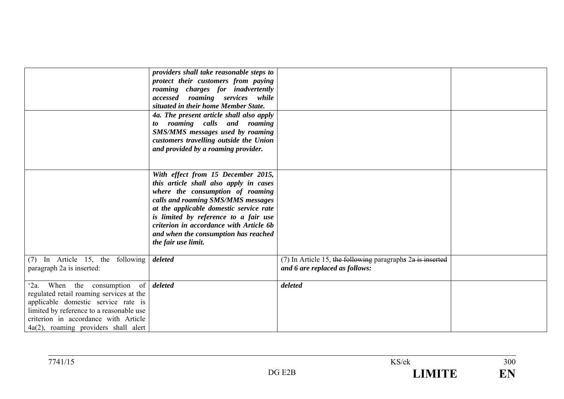|                                                                                                                                                                                                                                                                    | providers shall take reasonable steps to<br>protect their customers from paying<br>roaming charges for inadvertently<br>accessed roaming services while<br>situated in their home Member State.<br>4a. The present article shall also apply<br>roaming calls and roaming<br>to<br><b>SMS/MMS</b> messages used by roaming<br>customers travelling outside the Union<br>and provided by a roaming provider. |                                                                                                  |  |
|--------------------------------------------------------------------------------------------------------------------------------------------------------------------------------------------------------------------------------------------------------------------|------------------------------------------------------------------------------------------------------------------------------------------------------------------------------------------------------------------------------------------------------------------------------------------------------------------------------------------------------------------------------------------------------------|--------------------------------------------------------------------------------------------------|--|
|                                                                                                                                                                                                                                                                    | With effect from 15 December 2015,<br>this article shall also apply in cases<br>where the consumption of roaming<br>calls and roaming SMS/MMS messages<br>at the applicable domestic service rate<br>is limited by reference to a fair use<br>criterion in accordance with Article 6b<br>and when the consumption has reached<br>the fair use limit.                                                       |                                                                                                  |  |
| (7) In Article 15, the following<br>paragraph 2a is inserted:                                                                                                                                                                                                      | deleted                                                                                                                                                                                                                                                                                                                                                                                                    | $(7)$ In Article 15, the following paragraphs $2a$ is inserted<br>and 6 are replaced as follows: |  |
| When the consumption of <i>deleted</i><br>$2a$ .<br>regulated retail roaming services at the<br>applicable domestic service rate is<br>limited by reference to a reasonable use<br>criterion in accordance with Article<br>$4a(2)$ , roaming providers shall alert |                                                                                                                                                                                                                                                                                                                                                                                                            | deleted                                                                                          |  |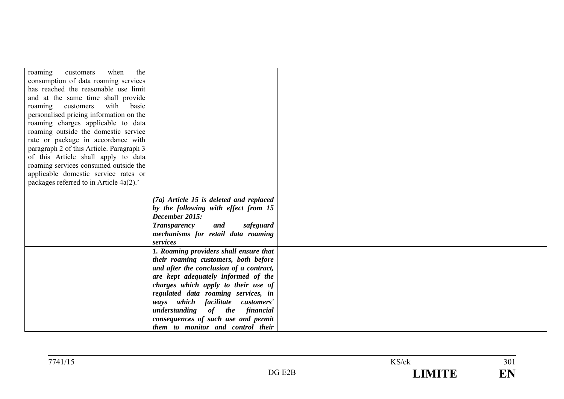| the<br>when<br>customers<br>roaming      |                                           |  |
|------------------------------------------|-------------------------------------------|--|
| consumption of data roaming services     |                                           |  |
| has reached the reasonable use limit     |                                           |  |
| and at the same time shall provide       |                                           |  |
| roaming customers with basic             |                                           |  |
| personalised pricing information on the  |                                           |  |
| roaming charges applicable to data       |                                           |  |
| roaming outside the domestic service     |                                           |  |
| rate or package in accordance with       |                                           |  |
| paragraph 2 of this Article. Paragraph 3 |                                           |  |
| of this Article shall apply to data      |                                           |  |
| roaming services consumed outside the    |                                           |  |
| applicable domestic service rates or     |                                           |  |
| packages referred to in Article 4a(2).'  |                                           |  |
|                                          |                                           |  |
|                                          | $(7a)$ Article 15 is deleted and replaced |  |
|                                          | by the following with effect from 15      |  |
|                                          | December 2015:                            |  |
|                                          | <b>Transparency</b><br>and<br>safeguard   |  |
|                                          | mechanisms for retail data roaming        |  |
|                                          | services                                  |  |
|                                          | 1. Roaming providers shall ensure that    |  |
|                                          | their roaming customers, both before      |  |
|                                          | and after the conclusion of a contract,   |  |
|                                          | are kept adequately informed of the       |  |
|                                          | charges which apply to their use of       |  |
|                                          | regulated data roaming services, in       |  |
|                                          | which facilitate customers'<br>ways       |  |
|                                          | understanding of the financial            |  |
|                                          | consequences of such use and permit       |  |
|                                          | them to monitor and control their         |  |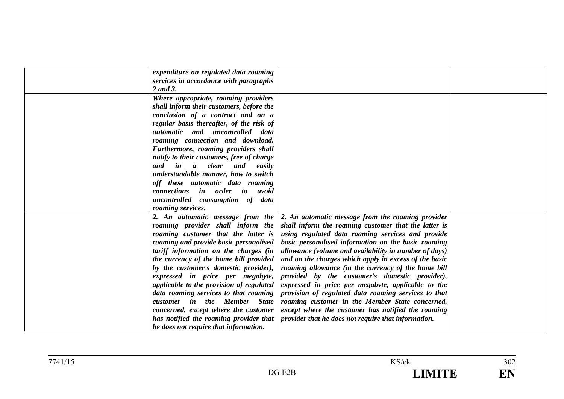| expenditure on regulated data roaming                   |                                                       |  |
|---------------------------------------------------------|-------------------------------------------------------|--|
| services in accordance with paragraphs                  |                                                       |  |
| 2 and 3.                                                |                                                       |  |
| Where appropriate, roaming providers                    |                                                       |  |
| shall inform their customers, before the                |                                                       |  |
| conclusion of a contract and on a                       |                                                       |  |
| regular basis thereafter, of the risk of                |                                                       |  |
| automatic and uncontrolled data                         |                                                       |  |
| roaming connection and download.                        |                                                       |  |
| Furthermore, roaming providers shall                    |                                                       |  |
| notify to their customers, free of charge               |                                                       |  |
| clear<br>and<br>in<br>$\boldsymbol{a}$<br>and<br>easily |                                                       |  |
| understandable manner, how to switch                    |                                                       |  |
| off these automatic data roaming                        |                                                       |  |
| connections in order to<br>avoid                        |                                                       |  |
| uncontrolled consumption of data                        |                                                       |  |
| roaming services.                                       |                                                       |  |
| 2. An automatic message from the                        | 2. An automatic message from the roaming provider     |  |
| roaming provider shall inform the                       | shall inform the roaming customer that the latter is  |  |
| roaming customer that the latter is                     | using regulated data roaming services and provide     |  |
| roaming and provide basic personalised                  | basic personalised information on the basic roaming   |  |
| tariff information on the charges (in                   | allowance (volume and availability in number of days) |  |
| the currency of the home bill provided                  | and on the charges which apply in excess of the basic |  |
| by the customer's domestic provider),                   | roaming allowance (in the currency of the home bill   |  |
| expressed in price per megabyte,                        | provided by the customer's domestic provider),        |  |
| applicable to the provision of regulated                | expressed in price per megabyte, applicable to the    |  |
| data roaming services to that roaming                   | provision of regulated data roaming services to that  |  |
| customer in the Member State                            | roaming customer in the Member State concerned,       |  |
| concerned, except where the customer                    | except where the customer has notified the roaming    |  |
| has notified the roaming provider that                  | provider that he does not require that information.   |  |
| he does not require that information.                   |                                                       |  |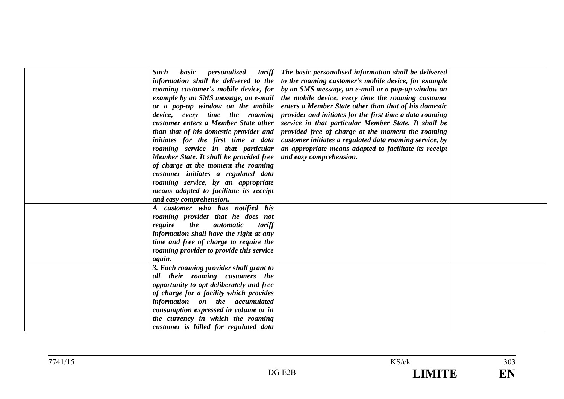| <b>Such</b><br>basic<br>personalised<br>tariff<br>information shall be delivered to the | The basic personalised information shall be delivered<br>to the roaming customer's mobile device, for example |  |
|-----------------------------------------------------------------------------------------|---------------------------------------------------------------------------------------------------------------|--|
| roaming customer's mobile device, for                                                   | by an SMS message, an e-mail or a pop-up window on                                                            |  |
|                                                                                         |                                                                                                               |  |
| example by an SMS message, an e-mail                                                    | the mobile device, every time the roaming customer                                                            |  |
| or a pop-up window on the mobile                                                        | enters a Member State other than that of his domestic                                                         |  |
| device, every time the roaming                                                          | provider and initiates for the first time a data roaming                                                      |  |
| customer enters a Member State other                                                    | service in that particular Member State. It shall be                                                          |  |
| than that of his domestic provider and                                                  | provided free of charge at the moment the roaming                                                             |  |
| initiates for the first time a data                                                     | customer initiates a regulated data roaming service, by                                                       |  |
| roaming service in that particular                                                      | an appropriate means adapted to facilitate its receipt                                                        |  |
| Member State. It shall be provided free                                                 | and easy comprehension.                                                                                       |  |
| of charge at the moment the roaming                                                     |                                                                                                               |  |
| customer initiates a regulated data                                                     |                                                                                                               |  |
| roaming service, by an appropriate                                                      |                                                                                                               |  |
| means adapted to facilitate its receipt                                                 |                                                                                                               |  |
| and easy comprehension.                                                                 |                                                                                                               |  |
| A customer who has notified his                                                         |                                                                                                               |  |
| roaming provider that he does not                                                       |                                                                                                               |  |
| require<br>the<br><i>automatic</i><br>tariff                                            |                                                                                                               |  |
| information shall have the right at any                                                 |                                                                                                               |  |
| time and free of charge to require the                                                  |                                                                                                               |  |
| roaming provider to provide this service                                                |                                                                                                               |  |
| again.                                                                                  |                                                                                                               |  |
|                                                                                         |                                                                                                               |  |
| 3. Each roaming provider shall grant to<br>all their roaming customers the              |                                                                                                               |  |
|                                                                                         |                                                                                                               |  |
| opportunity to opt deliberately and free                                                |                                                                                                               |  |
| of charge for a facility which provides                                                 |                                                                                                               |  |
| information on the accumulated                                                          |                                                                                                               |  |
| consumption expressed in volume or in                                                   |                                                                                                               |  |
| the currency in which the roaming                                                       |                                                                                                               |  |
| customer is billed for regulated data                                                   |                                                                                                               |  |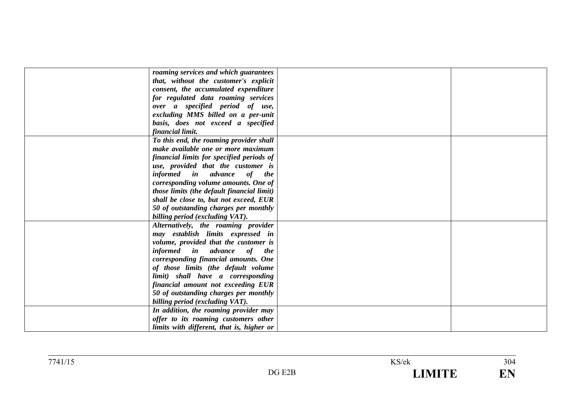| roaming services and which guarantees      |  |
|--------------------------------------------|--|
| that, without the customer's explicit      |  |
| consent, the accumulated expenditure       |  |
| for regulated data roaming services        |  |
| over a specified period of use,            |  |
| excluding MMS billed on a per-unit         |  |
| basis, does not exceed a specified         |  |
| financial limit.                           |  |
| To this end, the roaming provider shall    |  |
| make available one or more maximum         |  |
| financial limits for specified periods of  |  |
| use, provided that the customer is         |  |
| informed in advance of the                 |  |
| corresponding volume amounts. One of       |  |
| those limits (the default financial limit) |  |
| shall be close to, but not exceed, EUR     |  |
|                                            |  |
| 50 of outstanding charges per monthly      |  |
| billing period (excluding VAT).            |  |
| Alternatively, the roaming provider        |  |
| may establish limits expressed in          |  |
| volume, provided that the customer is      |  |
| informed in advance of the                 |  |
| corresponding financial amounts. One       |  |
| of those limits (the default volume        |  |
| limit) shall have a corresponding          |  |
| financial amount not exceeding EUR         |  |
| 50 of outstanding charges per monthly      |  |
| billing period (excluding VAT).            |  |
| In addition, the roaming provider may      |  |
| offer to its roaming customers other       |  |
| limits with different, that is, higher or  |  |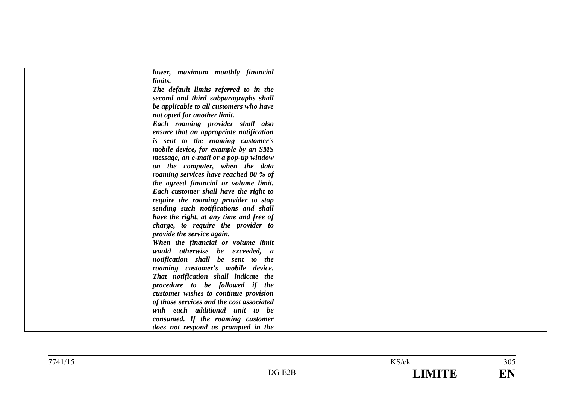| lower, maximum monthly financial          |  |
|-------------------------------------------|--|
| limits.                                   |  |
| The default limits referred to in the     |  |
| second and third subparagraphs shall      |  |
| be applicable to all customers who have   |  |
|                                           |  |
| not opted for another limit.              |  |
| Each roaming provider shall also          |  |
| ensure that an appropriate notification   |  |
| is sent to the roaming customer's         |  |
| mobile device, for example by an SMS      |  |
| message, an e-mail or a pop-up window     |  |
| on the computer, when the data            |  |
| roaming services have reached 80 % of     |  |
| the agreed financial or volume limit.     |  |
| Each customer shall have the right to     |  |
| require the roaming provider to stop      |  |
| sending such notifications and shall      |  |
| have the right, at any time and free of   |  |
| charge, to require the provider to        |  |
| provide the service again.                |  |
| When the financial or volume limit        |  |
| would otherwise be exceeded, a            |  |
| notification shall be sent to the         |  |
| roaming customer's mobile device.         |  |
| That notification shall indicate the      |  |
| procedure to be followed if the           |  |
| customer wishes to continue provision     |  |
| of those services and the cost associated |  |
| with each additional unit to be           |  |
| consumed. If the roaming customer         |  |
| does not respond as prompted in the       |  |
|                                           |  |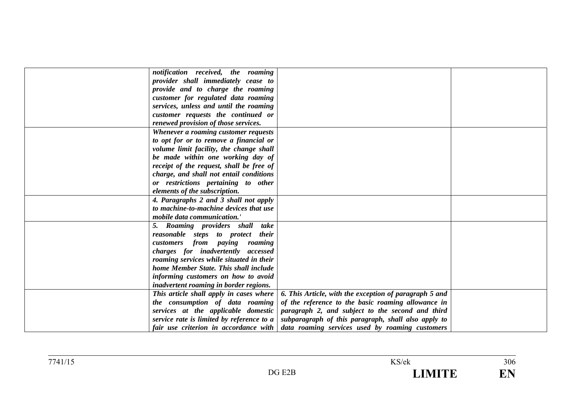| notification received, the roaming            |                                                        |  |
|-----------------------------------------------|--------------------------------------------------------|--|
| provider shall immediately cease to           |                                                        |  |
| provide and to charge the roaming             |                                                        |  |
| customer for regulated data roaming           |                                                        |  |
| services, unless and until the roaming        |                                                        |  |
| customer requests the continued or            |                                                        |  |
| renewed provision of those services.          |                                                        |  |
| Whenever a roaming customer requests          |                                                        |  |
| to opt for or to remove a financial or        |                                                        |  |
| volume limit facility, the change shall       |                                                        |  |
| be made within one working day of             |                                                        |  |
| receipt of the request, shall be free of      |                                                        |  |
| charge, and shall not entail conditions       |                                                        |  |
| or restrictions pertaining to other           |                                                        |  |
| elements of the subscription.                 |                                                        |  |
| 4. Paragraphs 2 and 3 shall not apply         |                                                        |  |
| to machine-to-machine devices that use        |                                                        |  |
| <i>mobile data communication.'</i>            |                                                        |  |
| 5. Roaming providers shall take               |                                                        |  |
| reasonable steps to protect their             |                                                        |  |
| customers from paying roaming                 |                                                        |  |
| charges for inadvertently accessed            |                                                        |  |
| roaming services while situated in their      |                                                        |  |
| home Member State. This shall include         |                                                        |  |
| informing customers on how to avoid           |                                                        |  |
| <i>inadvertent roaming in border regions.</i> |                                                        |  |
| This article shall apply in cases where       | 6. This Article, with the exception of paragraph 5 and |  |
| the consumption of data roaming               | of the reference to the basic roaming allowance in     |  |
| services at the applicable domestic           | paragraph 2, and subject to the second and third       |  |
| service rate is limited by reference to a     | subparagraph of this paragraph, shall also apply to    |  |
| fair use criterion in accordance with         | data roaming services used by roaming customers        |  |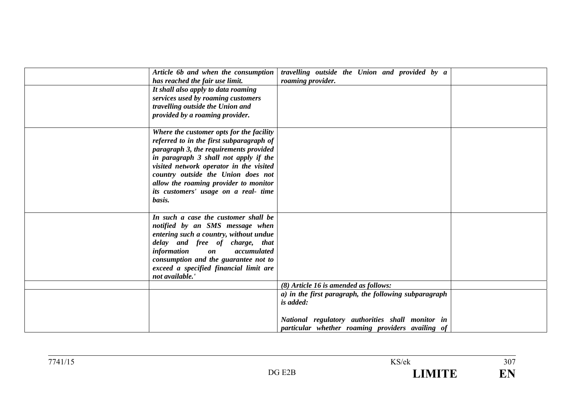| Article 6b and when the consumption                       | travelling outside the Union and provided by a        |  |
|-----------------------------------------------------------|-------------------------------------------------------|--|
| has reached the fair use limit.                           | roaming provider.                                     |  |
| It shall also apply to data roaming                       |                                                       |  |
| services used by roaming customers                        |                                                       |  |
| travelling outside the Union and                          |                                                       |  |
| provided by a roaming provider.                           |                                                       |  |
|                                                           |                                                       |  |
| Where the customer opts for the facility                  |                                                       |  |
| referred to in the first subparagraph of                  |                                                       |  |
| paragraph 3, the requirements provided                    |                                                       |  |
| in paragraph 3 shall not apply if the                     |                                                       |  |
| visited network operator in the visited                   |                                                       |  |
|                                                           |                                                       |  |
| country outside the Union does not                        |                                                       |  |
| allow the roaming provider to monitor                     |                                                       |  |
| its customers' usage on a real- time                      |                                                       |  |
| basis.                                                    |                                                       |  |
|                                                           |                                                       |  |
| In such a case the customer shall be                      |                                                       |  |
| notified by an SMS message when                           |                                                       |  |
| entering such a country, without undue                    |                                                       |  |
| delay and free of charge, that                            |                                                       |  |
| <i>information</i><br><i>accumulated</i><br>$\mathbf{on}$ |                                                       |  |
| consumption and the guarantee not to                      |                                                       |  |
| exceed a specified financial limit are                    |                                                       |  |
| not available.                                            |                                                       |  |
|                                                           | (8) Article 16 is amended as follows:                 |  |
|                                                           | a) in the first paragraph, the following subparagraph |  |
|                                                           | is added:                                             |  |
|                                                           |                                                       |  |
|                                                           | National regulatory authorities shall monitor in      |  |
|                                                           | particular whether roaming providers availing of      |  |
|                                                           |                                                       |  |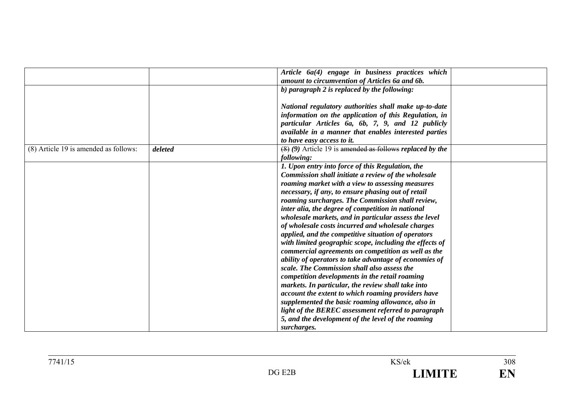|                                       |         | Article 6a(4) engage in business practices which<br>amount to circumvention of Articles 6a and 6b.             |
|---------------------------------------|---------|----------------------------------------------------------------------------------------------------------------|
|                                       |         | b) paragraph $2$ is replaced by the following:                                                                 |
|                                       |         | National regulatory authorities shall make up-to-date<br>information on the application of this Regulation, in |
|                                       |         | particular Articles 6a, 6b, 7, 9, and 12 publicly<br>available in a manner that enables interested parties     |
|                                       |         | to have easy access to it.                                                                                     |
| (8) Article 19 is amended as follows: | deleted | $(8)$ (9) Article 19 is amended as follows replaced by the<br>following:                                       |
|                                       |         | 1. Upon entry into force of this Regulation, the<br>Commission shall initiate a review of the wholesale        |
|                                       |         | roaming market with a view to assessing measures<br>necessary, if any, to ensure phasing out of retail         |
|                                       |         | roaming surcharges. The Commission shall review,                                                               |
|                                       |         | inter alia, the degree of competition in national                                                              |
|                                       |         | wholesale markets, and in particular assess the level<br>of wholesale costs incurred and wholesale charges     |
|                                       |         | applied, and the competitive situation of operators                                                            |
|                                       |         | with limited geographic scope, including the effects of                                                        |
|                                       |         | commercial agreements on competition as well as the<br>ability of operators to take advantage of economies of  |
|                                       |         | scale. The Commission shall also assess the                                                                    |
|                                       |         | competition developments in the retail roaming                                                                 |
|                                       |         | markets. In particular, the review shall take into                                                             |
|                                       |         | account the extent to which roaming providers have<br>supplemented the basic roaming allowance, also in        |
|                                       |         | light of the BEREC assessment referred to paragraph                                                            |
|                                       |         | 5, and the development of the level of the roaming                                                             |
|                                       |         | surcharges.                                                                                                    |

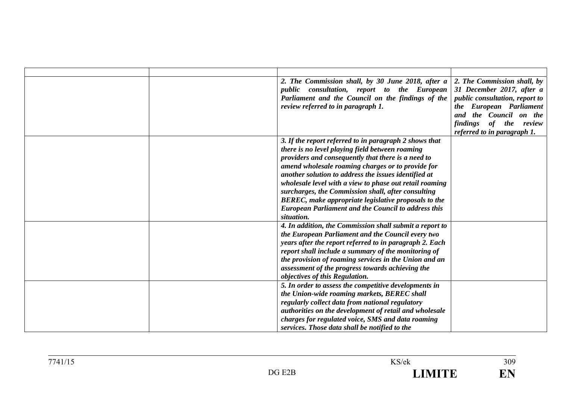| 2. The Commission shall, by 30 June 2018, after a          | 2. The Commission shall, by                   |
|------------------------------------------------------------|-----------------------------------------------|
| public consultation, report to the European                | 31 December 2017, after a                     |
| Parliament and the Council on the findings of the          | public consultation, report to                |
| review referred to in paragraph 1.                         | the European Parliament                       |
|                                                            | and the Council on the                        |
|                                                            | <i>findings</i><br><i>the</i><br>of<br>review |
|                                                            | referred to in paragraph 1.                   |
| 3. If the report referred to in paragraph 2 shows that     |                                               |
| there is no level playing field between roaming            |                                               |
| providers and consequently that there is a need to         |                                               |
| amend wholesale roaming charges or to provide for          |                                               |
| another solution to address the issues identified at       |                                               |
| wholesale level with a view to phase out retail roaming    |                                               |
| surcharges, the Commission shall, after consulting         |                                               |
| BEREC, make appropriate legislative proposals to the       |                                               |
| <b>European Parliament and the Council to address this</b> |                                               |
| situation.                                                 |                                               |
| 4. In addition, the Commission shall submit a report to    |                                               |
| the European Parliament and the Council every two          |                                               |
| years after the report referred to in paragraph 2. Each    |                                               |
| report shall include a summary of the monitoring of        |                                               |
| the provision of roaming services in the Union and an      |                                               |
| assessment of the progress towards achieving the           |                                               |
| objectives of this Regulation.                             |                                               |
| 5. In order to assess the competitive developments in      |                                               |
| the Union-wide roaming markets, BEREC shall                |                                               |
| regularly collect data from national regulatory            |                                               |
| authorities on the development of retail and wholesale     |                                               |
| charges for regulated voice, SMS and data roaming          |                                               |
| services. Those data shall be notified to the              |                                               |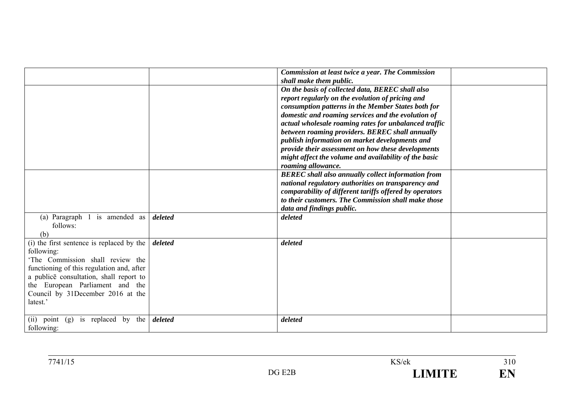|                                                                                                                                                                                                                                                                         |         | Commission at least twice a year. The Commission<br>shall make them public.                                                                                                                                                                                                                                                                                                                                                                                                                                         |  |
|-------------------------------------------------------------------------------------------------------------------------------------------------------------------------------------------------------------------------------------------------------------------------|---------|---------------------------------------------------------------------------------------------------------------------------------------------------------------------------------------------------------------------------------------------------------------------------------------------------------------------------------------------------------------------------------------------------------------------------------------------------------------------------------------------------------------------|--|
|                                                                                                                                                                                                                                                                         |         | On the basis of collected data, BEREC shall also<br>report regularly on the evolution of pricing and<br>consumption patterns in the Member States both for<br>domestic and roaming services and the evolution of<br>actual wholesale roaming rates for unbalanced traffic<br>between roaming providers. BEREC shall annually<br>publish information on market developments and<br>provide their assessment on how these developments<br>might affect the volume and availability of the basic<br>roaming allowance. |  |
|                                                                                                                                                                                                                                                                         |         | <b>BEREC</b> shall also annually collect information from<br>national regulatory authorities on transparency and<br>comparability of different tariffs offered by operators<br>to their customers. The Commission shall make those<br>data and findings public.                                                                                                                                                                                                                                                     |  |
| is amended as<br>(a) Paragraph<br>follows:<br>(b)                                                                                                                                                                                                                       | deleted | deleted                                                                                                                                                                                                                                                                                                                                                                                                                                                                                                             |  |
| (i) the first sentence is replaced by the<br>following:<br>'The Commission shall review the<br>functioning of this regulation and, after<br>a publice consultation, shall report to<br>the European Parliament and the<br>Council by 31December 2016 at the<br>latest.' | deleted | deleted                                                                                                                                                                                                                                                                                                                                                                                                                                                                                                             |  |
| is replaced by the<br>point<br>(g)<br>(ii)<br>following:                                                                                                                                                                                                                | deleted | deleted                                                                                                                                                                                                                                                                                                                                                                                                                                                                                                             |  |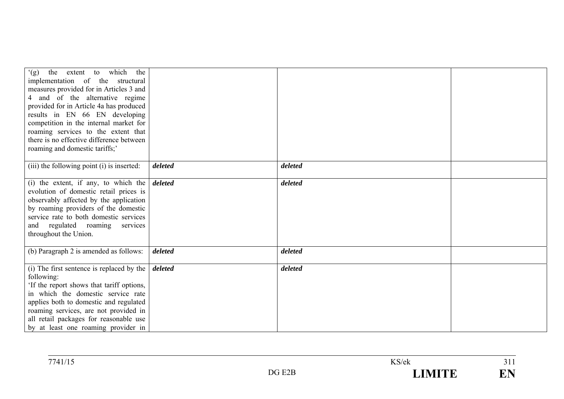| the extent to which the<br>(g)<br>implementation of the structural<br>measures provided for in Articles 3 and<br>4 and of the alternative regime<br>provided for in Article 4a has produced<br>results in EN 66 EN developing<br>competition in the internal market for<br>roaming services to the extent that<br>there is no effective difference between<br>roaming and domestic tariffs;' |         |         |  |
|----------------------------------------------------------------------------------------------------------------------------------------------------------------------------------------------------------------------------------------------------------------------------------------------------------------------------------------------------------------------------------------------|---------|---------|--|
| (iii) the following point (i) is inserted:                                                                                                                                                                                                                                                                                                                                                   | deleted | deleted |  |
| (i) the extent, if any, to which the $\delta$ deleted<br>evolution of domestic retail prices is<br>observably affected by the application<br>by roaming providers of the domestic<br>service rate to both domestic services<br>and regulated roaming services<br>throughout the Union.                                                                                                       |         | deleted |  |
| (b) Paragraph 2 is amended as follows:                                                                                                                                                                                                                                                                                                                                                       | deleted | deleted |  |
| (i) The first sentence is replaced by the $ $<br>following:<br>'If the report shows that tariff options,<br>in which the domestic service rate<br>applies both to domestic and regulated<br>roaming services, are not provided in<br>all retail packages for reasonable use<br>by at least one roaming provider in                                                                           | deleted | deleted |  |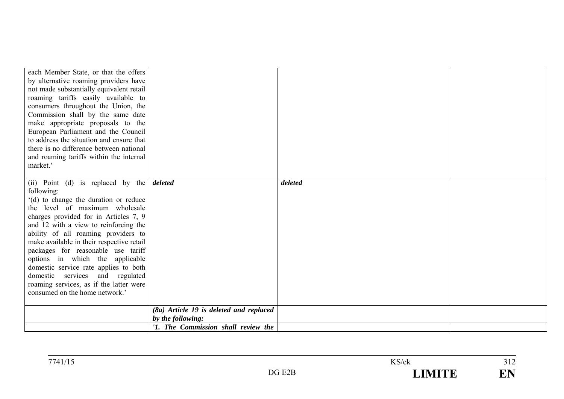| each Member State, or that the offers<br>by alternative roaming providers have<br>not made substantially equivalent retail<br>roaming tariffs easily available to<br>consumers throughout the Union, the<br>Commission shall by the same date<br>make appropriate proposals to the<br>European Parliament and the Council<br>to address the situation and ensure that<br>there is no difference between national<br>and roaming tariffs within the internal<br>market.'                                                            |                                                              |         |  |
|------------------------------------------------------------------------------------------------------------------------------------------------------------------------------------------------------------------------------------------------------------------------------------------------------------------------------------------------------------------------------------------------------------------------------------------------------------------------------------------------------------------------------------|--------------------------------------------------------------|---------|--|
| (ii) Point (d) is replaced by the<br>following:<br>'(d) to change the duration or reduce<br>the level of maximum wholesale<br>charges provided for in Articles 7, 9<br>and 12 with a view to reinforcing the<br>ability of all roaming providers to<br>make available in their respective retail<br>packages for reasonable use tariff<br>options in which the applicable<br>domestic service rate applies to both<br>domestic services and regulated<br>roaming services, as if the latter were<br>consumed on the home network.' | deleted                                                      | deleted |  |
|                                                                                                                                                                                                                                                                                                                                                                                                                                                                                                                                    | (8a) Article 19 is deleted and replaced<br>by the following: |         |  |
|                                                                                                                                                                                                                                                                                                                                                                                                                                                                                                                                    | '1. The Commission shall review the                          |         |  |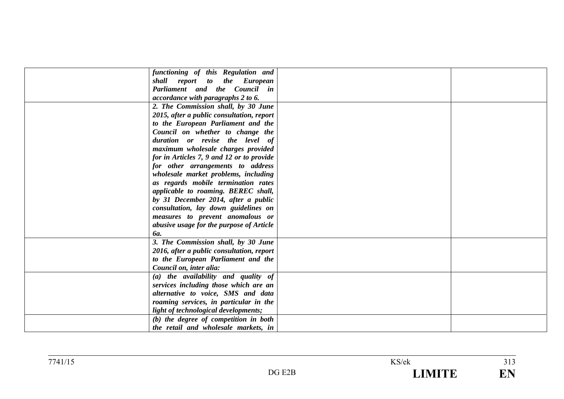| functioning of this Regulation and<br>shall report to the European<br>Parliament and the Council in<br>accordance with paragraphs 2 to 6.<br>2. The Commission shall, by 30 June |
|----------------------------------------------------------------------------------------------------------------------------------------------------------------------------------|
|                                                                                                                                                                                  |
|                                                                                                                                                                                  |
|                                                                                                                                                                                  |
|                                                                                                                                                                                  |
|                                                                                                                                                                                  |
| 2015, after a public consultation, report                                                                                                                                        |
| to the European Parliament and the                                                                                                                                               |
| Council on whether to change the                                                                                                                                                 |
| duration or revise the level of                                                                                                                                                  |
| maximum wholesale charges provided                                                                                                                                               |
| for in Articles 7, 9 and 12 or to provide                                                                                                                                        |
| for other arrangements to address                                                                                                                                                |
| wholesale market problems, including                                                                                                                                             |
| as regards mobile termination rates                                                                                                                                              |
| applicable to roaming. BEREC shall,                                                                                                                                              |
| by 31 December 2014, after a public                                                                                                                                              |
| consultation, lay down guidelines on                                                                                                                                             |
| measures to prevent anomalous or                                                                                                                                                 |
| abusive usage for the purpose of Article                                                                                                                                         |
| <b>6a.</b>                                                                                                                                                                       |
| 3. The Commission shall, by 30 June                                                                                                                                              |
| 2016, after a public consultation, report                                                                                                                                        |
| to the European Parliament and the                                                                                                                                               |
| Council on, inter alia:                                                                                                                                                          |
| (a) the availability and quality of                                                                                                                                              |
| services including those which are an                                                                                                                                            |
| alternative to voice, SMS and data                                                                                                                                               |
| roaming services, in particular in the                                                                                                                                           |
| light of technological developments;                                                                                                                                             |
| (b) the degree of competition in both                                                                                                                                            |
| the retail and wholesale markets, in                                                                                                                                             |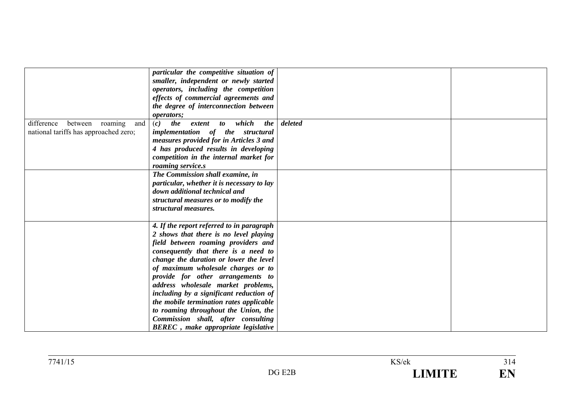|                                                                                  | particular the competitive situation of<br>smaller, independent or newly started<br>operators, including the competition<br>effects of commercial agreements and<br>the degree of interconnection between<br>operators;                                                                                                                                                                                                                                                                                                                          |         |  |
|----------------------------------------------------------------------------------|--------------------------------------------------------------------------------------------------------------------------------------------------------------------------------------------------------------------------------------------------------------------------------------------------------------------------------------------------------------------------------------------------------------------------------------------------------------------------------------------------------------------------------------------------|---------|--|
| difference<br>between<br>roaming<br>and<br>national tariffs has approached zero; | the<br>to which<br><i>the</i><br>(c)<br>extent<br>implementation of the structural<br>measures provided for in Articles 3 and<br>4 has produced results in developing<br>competition in the internal market for<br>roaming service.s                                                                                                                                                                                                                                                                                                             | deleted |  |
|                                                                                  | The Commission shall examine, in<br>particular, whether it is necessary to lay<br>down additional technical and<br>structural measures or to modify the<br>structural measures.                                                                                                                                                                                                                                                                                                                                                                  |         |  |
|                                                                                  | 4. If the report referred to in paragraph<br>2 shows that there is no level playing<br>field between roaming providers and<br>consequently that there is a need to<br>change the duration or lower the level<br>of maximum wholesale charges or to<br>provide for other arrangements to<br>address wholesale market problems,<br>including by a significant reduction of<br>the mobile termination rates applicable<br>to roaming throughout the Union, the<br>Commission shall, after consulting<br><b>BEREC</b> , make appropriate legislative |         |  |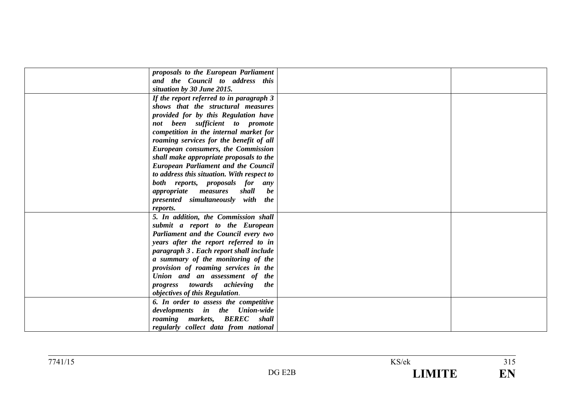| proposals to the European Parliament                                                                                                                                                                            |  |
|-----------------------------------------------------------------------------------------------------------------------------------------------------------------------------------------------------------------|--|
| and the Council to address this                                                                                                                                                                                 |  |
| situation by 30 June 2015.                                                                                                                                                                                      |  |
| If the report referred to in paragraph 3                                                                                                                                                                        |  |
| shows that the structural measures                                                                                                                                                                              |  |
| provided for by this Regulation have                                                                                                                                                                            |  |
| not been sufficient to promote                                                                                                                                                                                  |  |
| competition in the internal market for                                                                                                                                                                          |  |
| roaming services for the benefit of all                                                                                                                                                                         |  |
| European consumers, the Commission                                                                                                                                                                              |  |
| shall make appropriate proposals to the                                                                                                                                                                         |  |
| <b>European Parliament and the Council</b>                                                                                                                                                                      |  |
| to address this situation. With respect to                                                                                                                                                                      |  |
| both reports, proposals for any                                                                                                                                                                                 |  |
| <i>appropriate</i> measures<br>shall<br>be                                                                                                                                                                      |  |
| presented simultaneously with the                                                                                                                                                                               |  |
| reports.                                                                                                                                                                                                        |  |
| 5. In addition, the Commission shall                                                                                                                                                                            |  |
| submit a report to the European                                                                                                                                                                                 |  |
| Parliament and the Council every two                                                                                                                                                                            |  |
| years after the report referred to in                                                                                                                                                                           |  |
| paragraph 3. Each report shall include                                                                                                                                                                          |  |
| a summary of the monitoring of the                                                                                                                                                                              |  |
| provision of roaming services in the                                                                                                                                                                            |  |
|                                                                                                                                                                                                                 |  |
| the                                                                                                                                                                                                             |  |
|                                                                                                                                                                                                                 |  |
|                                                                                                                                                                                                                 |  |
| developments in the Union-wide                                                                                                                                                                                  |  |
|                                                                                                                                                                                                                 |  |
|                                                                                                                                                                                                                 |  |
| Union and an assessment of the<br>progress towards achieving<br>objectives of this Regulation.<br>6. In order to assess the competitive<br>roaming markets, BEREC shall<br>regularly collect data from national |  |

 $\frac{1}{315}$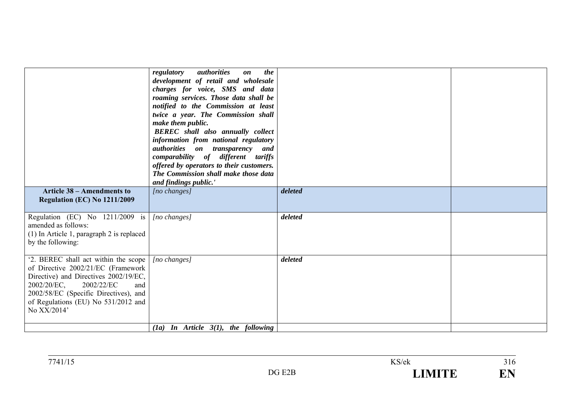| authorities on transparency and<br>comparability of different tariffs                                                                                                                                                                                  | offered by operators to their customers.<br>The Commission shall make those data<br>and findings public.' |         |  |
|--------------------------------------------------------------------------------------------------------------------------------------------------------------------------------------------------------------------------------------------------------|-----------------------------------------------------------------------------------------------------------|---------|--|
| <b>Article 38 – Amendments to</b><br>Regulation (EC) No 1211/2009                                                                                                                                                                                      | $[no \; changes]$                                                                                         | deleted |  |
| Regulation (EC) No 1211/2009 is<br>amended as follows:<br>(1) In Article 1, paragraph 2 is replaced<br>by the following:                                                                                                                               | $[no\ changes]$                                                                                           | deleted |  |
| '2. BEREC shall act within the scope<br>of Directive 2002/21/EC (Framework<br>Directive) and Directives 2002/19/EC,<br>2002/20/EC,<br>2002/22/EC<br>and<br>2002/58/EC (Specific Directives), and<br>of Regulations (EU) No 531/2012 and<br>No XX/2014' | [no changes]<br>(1a) In Article $3(1)$ , the following                                                    | deleted |  |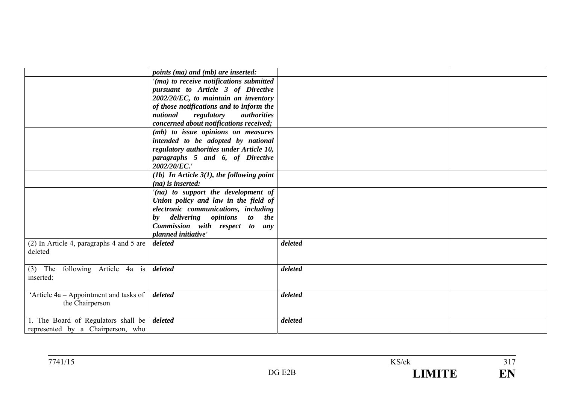|                                              | <i>points (ma) and (mb) are inserted:</i>                                   |         |  |
|----------------------------------------------|-----------------------------------------------------------------------------|---------|--|
|                                              | '(ma) to receive notifications submitted                                    |         |  |
|                                              | pursuant to Article 3 of Directive                                          |         |  |
|                                              | 2002/20/EC, to maintain an inventory                                        |         |  |
|                                              | of those notifications and to inform the                                    |         |  |
|                                              | regulatory<br>national<br>authorities                                       |         |  |
|                                              | concerned about notifications received;                                     |         |  |
|                                              | (mb) to issue opinions on measures                                          |         |  |
|                                              | intended to be adopted by national                                          |         |  |
|                                              | regulatory authorities under Article 10,                                    |         |  |
|                                              | paragraphs 5 and 6, of Directive<br>2002/20/EC.'                            |         |  |
|                                              |                                                                             |         |  |
|                                              | (1b) In Article $3(1)$ , the following point<br>$(na)$ is inserted:         |         |  |
|                                              |                                                                             |         |  |
|                                              | '(na) to support the development of<br>Union policy and law in the field of |         |  |
|                                              | electronic communications, including                                        |         |  |
|                                              | delivering opinions<br>to the<br>by                                         |         |  |
|                                              | Commission with respect to any                                              |         |  |
|                                              | planned initiative'                                                         |         |  |
| (2) In Article 4, paragraphs 4 and 5 are $ $ | deleted                                                                     | deleted |  |
| deleted                                      |                                                                             |         |  |
|                                              |                                                                             |         |  |
| $(3)$ The following Article 4a is            | deleted                                                                     | deleted |  |
| inserted:                                    |                                                                             |         |  |
|                                              |                                                                             |         |  |
| 'Article $4a -$ Appointment and tasks of     | deleted                                                                     | deleted |  |
| the Chairperson                              |                                                                             |         |  |
|                                              |                                                                             |         |  |
| 1. The Board of Regulators shall be deleted  |                                                                             | deleted |  |
| represented by a Chairperson, who            |                                                                             |         |  |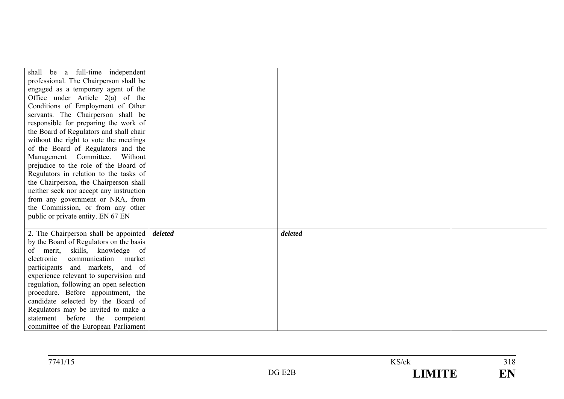| shall be a full-time independent                             |         |  |
|--------------------------------------------------------------|---------|--|
| professional. The Chairperson shall be                       |         |  |
| engaged as a temporary agent of the                          |         |  |
| Office under Article $2(a)$ of the                           |         |  |
| Conditions of Employment of Other                            |         |  |
| servants. The Chairperson shall be                           |         |  |
| responsible for preparing the work of                        |         |  |
| the Board of Regulators and shall chair                      |         |  |
| without the right to vote the meetings                       |         |  |
| of the Board of Regulators and the                           |         |  |
| Management Committee.<br>Without                             |         |  |
| prejudice to the role of the Board of                        |         |  |
| Regulators in relation to the tasks of                       |         |  |
| the Chairperson, the Chairperson shall                       |         |  |
| neither seek nor accept any instruction                      |         |  |
| from any government or NRA, from                             |         |  |
| the Commission, or from any other                            |         |  |
| public or private entity. EN 67 EN                           |         |  |
|                                                              |         |  |
| 2. The Chairperson shall be appointed $\vert$ <i>deleted</i> | deleted |  |
| by the Board of Regulators on the basis                      |         |  |
| merit, skills, knowledge of<br>of                            |         |  |
| communication<br>market<br>electronic                        |         |  |
| participants and markets, and of                             |         |  |
| experience relevant to supervision and                       |         |  |
| regulation, following an open selection                      |         |  |
| procedure. Before appointment, the                           |         |  |
| candidate selected by the Board of                           |         |  |
| Regulators may be invited to make a                          |         |  |
| before<br>the<br>competent<br>statement                      |         |  |
| committee of the European Parliament                         |         |  |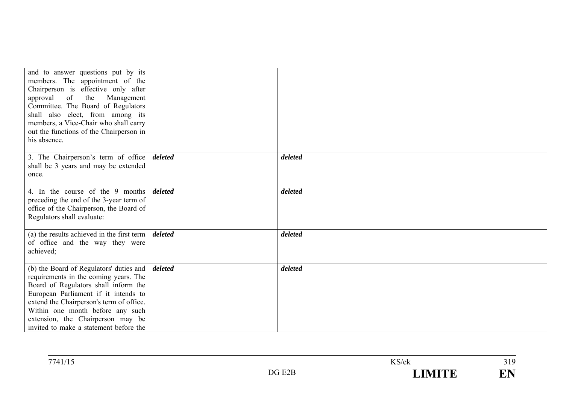| and to answer questions put by its<br>members. The appointment of the<br>Chairperson is effective only after<br>approval of<br>the<br>Management<br>Committee. The Board of Regulators<br>shall also elect, from among its<br>members, a Vice-Chair who shall carry<br>out the functions of the Chairperson in<br>his absence.                        |         |         |  |
|-------------------------------------------------------------------------------------------------------------------------------------------------------------------------------------------------------------------------------------------------------------------------------------------------------------------------------------------------------|---------|---------|--|
|                                                                                                                                                                                                                                                                                                                                                       |         |         |  |
| 3. The Chairperson's term of office<br>shall be 3 years and may be extended<br>once.                                                                                                                                                                                                                                                                  | deleted | deleted |  |
| 4. In the course of the 9 months<br>preceding the end of the 3-year term of<br>office of the Chairperson, the Board of<br>Regulators shall evaluate:                                                                                                                                                                                                  | deleted | deleted |  |
| (a) the results achieved in the first term $\vert$ <i>deleted</i><br>of office and the way they were<br>achieved;                                                                                                                                                                                                                                     |         | deleted |  |
| (b) the Board of Regulators' duties and $\int$ <i>deleted</i><br>requirements in the coming years. The<br>Board of Regulators shall inform the<br>European Parliament if it intends to<br>extend the Chairperson's term of office.<br>Within one month before any such<br>extension, the Chairperson may be<br>invited to make a statement before the |         | deleted |  |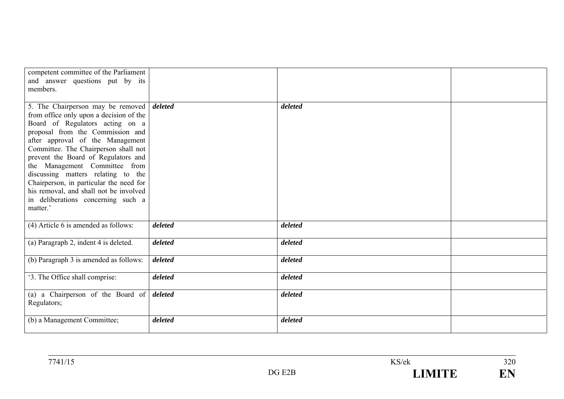| competent committee of the Parliament<br>and answer questions put by its<br>members.                                                                                                                                                                                                                                                                                                                                                                                                         |         |         |  |
|----------------------------------------------------------------------------------------------------------------------------------------------------------------------------------------------------------------------------------------------------------------------------------------------------------------------------------------------------------------------------------------------------------------------------------------------------------------------------------------------|---------|---------|--|
|                                                                                                                                                                                                                                                                                                                                                                                                                                                                                              |         |         |  |
| 5. The Chairperson may be removed deleted<br>from office only upon a decision of the<br>Board of Regulators acting on a<br>proposal from the Commission and<br>after approval of the Management<br>Committee. The Chairperson shall not<br>prevent the Board of Regulators and<br>the Management Committee from<br>discussing matters relating to the<br>Chairperson, in particular the need for<br>his removal, and shall not be involved<br>in deliberations concerning such a<br>matter.' |         | deleted |  |
| (4) Article 6 is amended as follows:                                                                                                                                                                                                                                                                                                                                                                                                                                                         | deleted | deleted |  |
| (a) Paragraph 2, indent 4 is deleted.                                                                                                                                                                                                                                                                                                                                                                                                                                                        | deleted | deleted |  |
| (b) Paragraph 3 is amended as follows:                                                                                                                                                                                                                                                                                                                                                                                                                                                       | deleted | deleted |  |
| '3. The Office shall comprise:                                                                                                                                                                                                                                                                                                                                                                                                                                                               | deleted | deleted |  |
| (a) a Chairperson of the Board of<br>Regulators;                                                                                                                                                                                                                                                                                                                                                                                                                                             | deleted | deleted |  |
| (b) a Management Committee;                                                                                                                                                                                                                                                                                                                                                                                                                                                                  | deleted | deleted |  |

 $\frac{1}{320}$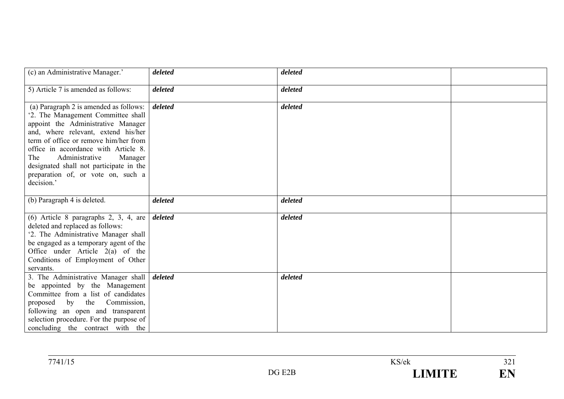| (c) an Administrative Manager.'                                                                                                                                                                                                                                                                                                                                               | deleted | deleted |  |
|-------------------------------------------------------------------------------------------------------------------------------------------------------------------------------------------------------------------------------------------------------------------------------------------------------------------------------------------------------------------------------|---------|---------|--|
| 5) Article 7 is amended as follows:                                                                                                                                                                                                                                                                                                                                           | deleted | deleted |  |
| (a) Paragraph 2 is amended as follows:<br>'2. The Management Committee shall<br>appoint the Administrative Manager<br>and, where relevant, extend his/her<br>term of office or remove him/her from<br>office in accordance with Article 8.<br>Administrative<br>The<br>Manager<br>designated shall not participate in the<br>preparation of, or vote on, such a<br>decision.' | deleted | deleted |  |
| (b) Paragraph 4 is deleted.                                                                                                                                                                                                                                                                                                                                                   | deleted | deleted |  |
| $(6)$ Article 8 paragraphs 2, 3, 4, are<br>deleted and replaced as follows:<br>'2. The Administrative Manager shall<br>be engaged as a temporary agent of the<br>Office under Article $2(a)$ of the<br>Conditions of Employment of Other<br>servants.                                                                                                                         | deleted | deleted |  |
| 3. The Administrative Manager shall<br>be appointed by the Management<br>Committee from a list of candidates<br>proposed by the<br>Commission,<br>following an open and transparent<br>selection procedure. For the purpose of<br>concluding the contract with the                                                                                                            | deleted | deleted |  |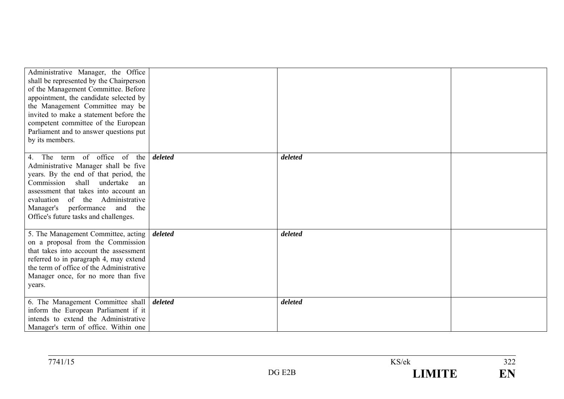| Administrative Manager, the Office<br>shall be represented by the Chairperson<br>of the Management Committee. Before<br>appointment, the candidate selected by<br>the Management Committee may be<br>invited to make a statement before the                                                                 |         |         |  |
|-------------------------------------------------------------------------------------------------------------------------------------------------------------------------------------------------------------------------------------------------------------------------------------------------------------|---------|---------|--|
| competent committee of the European<br>Parliament and to answer questions put<br>by its members.                                                                                                                                                                                                            |         |         |  |
| The term of office of the<br>Administrative Manager shall be five<br>years. By the end of that period, the<br>Commission shall<br>undertake<br>an<br>assessment that takes into account an<br>evaluation of the Administrative<br>Manager's performance and<br>the<br>Office's future tasks and challenges. | deleted | deleted |  |
| 5. The Management Committee, acting<br>on a proposal from the Commission<br>that takes into account the assessment<br>referred to in paragraph 4, may extend<br>the term of office of the Administrative<br>Manager once, for no more than five<br>years.                                                   | deleted | deleted |  |
| 6. The Management Committee shall<br>inform the European Parliament if it<br>intends to extend the Administrative<br>Manager's term of office. Within one                                                                                                                                                   | deleted | deleted |  |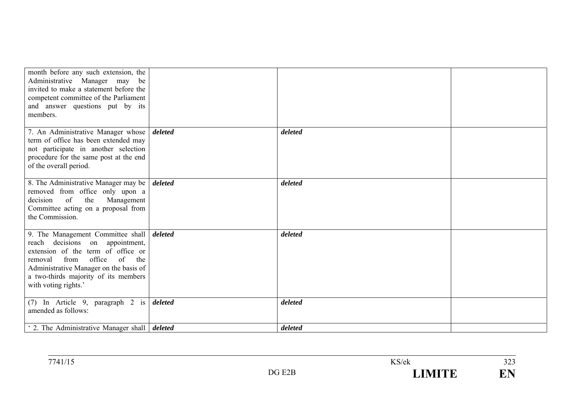| month before any such extension, the<br>Administrative Manager may<br>be<br>invited to make a statement before the<br>competent committee of the Parliament<br>and answer questions put by its<br>members.                                                               |         |         |  |
|--------------------------------------------------------------------------------------------------------------------------------------------------------------------------------------------------------------------------------------------------------------------------|---------|---------|--|
| 7. An Administrative Manager whose<br>term of office has been extended may<br>not participate in another selection<br>procedure for the same post at the end<br>of the overall period.                                                                                   | deleted | deleted |  |
| 8. The Administrative Manager may be<br>removed from office only upon a<br>of<br>decision<br>the<br>Management<br>Committee acting on a proposal from<br>the Commission.                                                                                                 | deleted | deleted |  |
| 9. The Management Committee shall   deleted<br>reach decisions on appointment,<br>extension of the term of office or<br>office<br>from<br>of<br>the<br>removal<br>Administrative Manager on the basis of<br>a two-thirds majority of its members<br>with voting rights.' |         | deleted |  |
| (7) In Article 9, paragraph 2 is<br>amended as follows:                                                                                                                                                                                                                  | deleted | deleted |  |
| 2. The Administrative Manager shall <i>deleted</i>                                                                                                                                                                                                                       |         | deleted |  |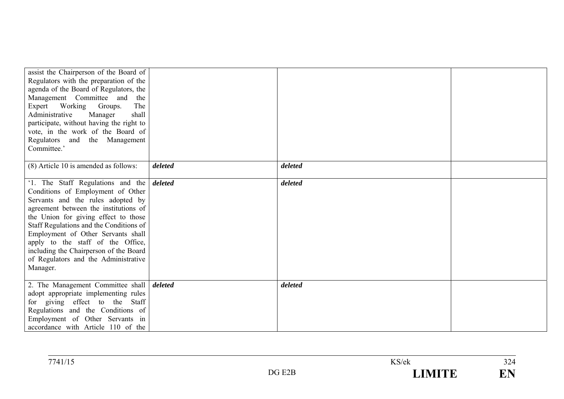| assist the Chairperson of the Board of<br>Regulators with the preparation of the<br>agenda of the Board of Regulators, the<br>Management Committee and<br>the<br>Expert Working Groups.<br>The<br>Administrative<br>Manager<br>shall<br>participate, without having the right to<br>vote, in the work of the Board of<br>Regulators and the Management<br>Committee.'                                                           |         |         |  |
|---------------------------------------------------------------------------------------------------------------------------------------------------------------------------------------------------------------------------------------------------------------------------------------------------------------------------------------------------------------------------------------------------------------------------------|---------|---------|--|
| (8) Article 10 is amended as follows:                                                                                                                                                                                                                                                                                                                                                                                           | deleted | deleted |  |
| '1. The Staff Regulations and the <i>deleted</i><br>Conditions of Employment of Other<br>Servants and the rules adopted by<br>agreement between the institutions of<br>the Union for giving effect to those<br>Staff Regulations and the Conditions of<br>Employment of Other Servants shall<br>apply to the staff of the Office,<br>including the Chairperson of the Board<br>of Regulators and the Administrative<br>Manager. |         | deleted |  |
| 2. The Management Committee shall   deleted<br>adopt appropriate implementing rules<br>for giving effect to the Staff<br>Regulations and the Conditions of<br>Employment of Other Servants in<br>accordance with Article 110 of the                                                                                                                                                                                             |         | deleted |  |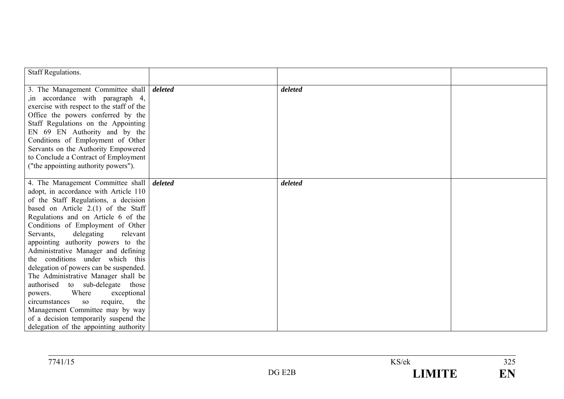| <b>Staff Regulations.</b>                         |         |         |  |
|---------------------------------------------------|---------|---------|--|
| 3. The Management Committee shall                 | deleted | deleted |  |
| in accordance with paragraph 4,                   |         |         |  |
| exercise with respect to the staff of the         |         |         |  |
| Office the powers conferred by the                |         |         |  |
| Staff Regulations on the Appointing               |         |         |  |
| EN 69 EN Authority and by the                     |         |         |  |
| Conditions of Employment of Other                 |         |         |  |
| Servants on the Authority Empowered               |         |         |  |
| to Conclude a Contract of Employment              |         |         |  |
| ("the appointing authority powers").              |         |         |  |
| 4. The Management Committee shall                 | deleted | deleted |  |
| adopt, in accordance with Article 110             |         |         |  |
| of the Staff Regulations, a decision              |         |         |  |
| based on Article 2.(1) of the Staff               |         |         |  |
| Regulations and on Article 6 of the               |         |         |  |
| Conditions of Employment of Other                 |         |         |  |
| delegating<br>Servants,<br>relevant               |         |         |  |
| appointing authority powers to the                |         |         |  |
| Administrative Manager and defining               |         |         |  |
| the conditions under which this                   |         |         |  |
| delegation of powers can be suspended.            |         |         |  |
| The Administrative Manager shall be               |         |         |  |
| authorised to sub-delegate those                  |         |         |  |
| Where<br>exceptional<br>powers.                   |         |         |  |
| circumstances<br>require,<br>the<br><sub>SO</sub> |         |         |  |
| Management Committee may by way                   |         |         |  |
| of a decision temporarily suspend the             |         |         |  |
| delegation of the appointing authority            |         |         |  |

| 7741/15 |            | KS/ek | $\Delta \Delta \tau$<br>ر 2 گ |
|---------|------------|-------|-------------------------------|
|         | E2B<br>DGE |       | F <sub>1</sub>                |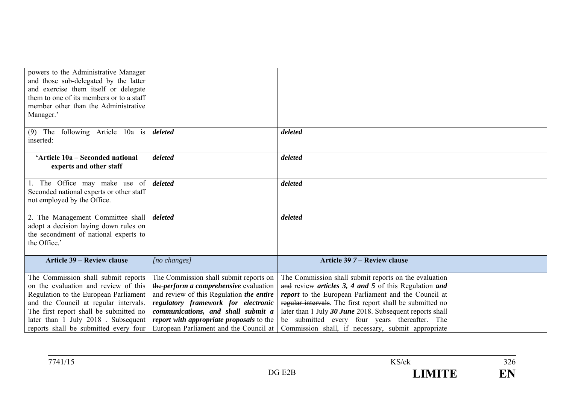| powers to the Administrative Manager<br>and those sub-delegated by the latter<br>and exercise them itself or delegate<br>them to one of its members or to a staff<br>member other than the Administrative                                                                              |                                                                                                                                                                                                                                                                                                        |                                                                                                                                                                                                                                                                                                                                                                                                        |  |
|----------------------------------------------------------------------------------------------------------------------------------------------------------------------------------------------------------------------------------------------------------------------------------------|--------------------------------------------------------------------------------------------------------------------------------------------------------------------------------------------------------------------------------------------------------------------------------------------------------|--------------------------------------------------------------------------------------------------------------------------------------------------------------------------------------------------------------------------------------------------------------------------------------------------------------------------------------------------------------------------------------------------------|--|
| Manager.'                                                                                                                                                                                                                                                                              |                                                                                                                                                                                                                                                                                                        |                                                                                                                                                                                                                                                                                                                                                                                                        |  |
| following Article 10a is<br>The<br>(9)<br>inserted:                                                                                                                                                                                                                                    | deleted                                                                                                                                                                                                                                                                                                | deleted                                                                                                                                                                                                                                                                                                                                                                                                |  |
| 'Article 10a – Seconded national<br>experts and other staff                                                                                                                                                                                                                            | deleted                                                                                                                                                                                                                                                                                                | deleted                                                                                                                                                                                                                                                                                                                                                                                                |  |
| 1. The Office may make use of<br>Seconded national experts or other staff<br>not employed by the Office.                                                                                                                                                                               | deleted                                                                                                                                                                                                                                                                                                | deleted                                                                                                                                                                                                                                                                                                                                                                                                |  |
| 2. The Management Committee shall<br>adopt a decision laying down rules on<br>the secondment of national experts to<br>the Office.'                                                                                                                                                    | deleted                                                                                                                                                                                                                                                                                                | deleted                                                                                                                                                                                                                                                                                                                                                                                                |  |
| <b>Article 39 – Review clause</b>                                                                                                                                                                                                                                                      | $[no\ changes]$                                                                                                                                                                                                                                                                                        | Article 39 7 – Review clause                                                                                                                                                                                                                                                                                                                                                                           |  |
| The Commission shall submit reports<br>on the evaluation and review of this<br>Regulation to the European Parliament<br>and the Council at regular intervals.<br>The first report shall be submitted no<br>later than 1 July 2018. Subsequent<br>reports shall be submitted every four | The Commission shall submit reports on<br>the <i>perform a comprehensive</i> evaluation<br>and review of this Regulation the entire<br>regulatory framework for electronic<br>communications, and shall submit a<br>report with appropriate proposals to the<br>European Parliament and the Council at | The Commission shall submit reports on the evaluation<br>and review articles 3, 4 and 5 of this Regulation and<br>report to the European Parliament and the Council at<br>regular intervals. The first report shall be submitted no<br>later than 1 July 30 June 2018. Subsequent reports shall<br>be submitted every four years thereafter. The<br>Commission shall, if necessary, submit appropriate |  |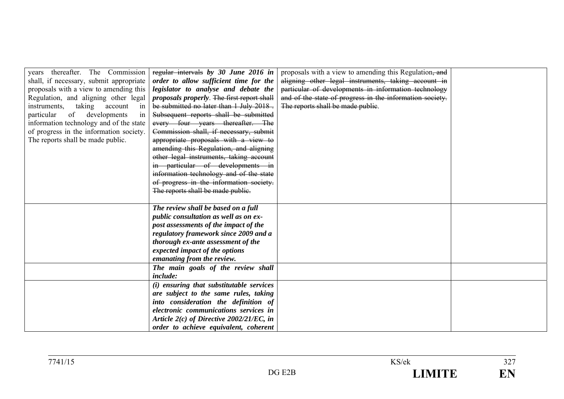| years thereafter. The Commission<br>shall, if necessary, submit appropriate<br>proposals with a view to amending this<br>Regulation, and aligning other legal  | regular intervals by 30 June 2016 in<br>order to allow sufficient time for the<br>legislator to analyse and debate the<br>proposals properly. The first report shall                                                                                      | proposals with a view to amending this Regulation, and<br>aligning other legal instruments, taking account in<br>particular of developments in information technology<br>and of the state of progress in the information society. |  |
|----------------------------------------------------------------------------------------------------------------------------------------------------------------|-----------------------------------------------------------------------------------------------------------------------------------------------------------------------------------------------------------------------------------------------------------|-----------------------------------------------------------------------------------------------------------------------------------------------------------------------------------------------------------------------------------|--|
| instruments, taking account<br>in<br>particular<br>of developments<br>in<br>information technology and of the state<br>of progress in the information society. | be submitted no later than 1 July 2018.<br>Subsequent reports shall be submitted<br>every four years thereafter. The<br>Commission shall, if necessary, submit                                                                                            | The reports shall be made public.                                                                                                                                                                                                 |  |
| The reports shall be made public.                                                                                                                              | appropriate proposals with a view to<br>amending this Regulation, and aligning<br>other legal instruments, taking account<br>in particular of developments in<br>information technology and of the state                                                  |                                                                                                                                                                                                                                   |  |
|                                                                                                                                                                | of progress in the information society.<br>The reports shall be made public.                                                                                                                                                                              |                                                                                                                                                                                                                                   |  |
|                                                                                                                                                                | The review shall be based on a full<br>public consultation as well as on ex-<br>post assessments of the impact of the<br>regulatory framework since 2009 and a<br>thorough ex-ante assessment of the<br>expected impact of the options                    |                                                                                                                                                                                                                                   |  |
|                                                                                                                                                                | emanating from the review.<br>The main goals of the review shall<br>include:                                                                                                                                                                              |                                                                                                                                                                                                                                   |  |
|                                                                                                                                                                | (i) ensuring that substitutable services<br>are subject to the same rules, taking<br>into consideration the definition of<br>electronic communications services in<br>Article $2(c)$ of Directive 2002/21/EC, in<br>order to achieve equivalent, coherent |                                                                                                                                                                                                                                   |  |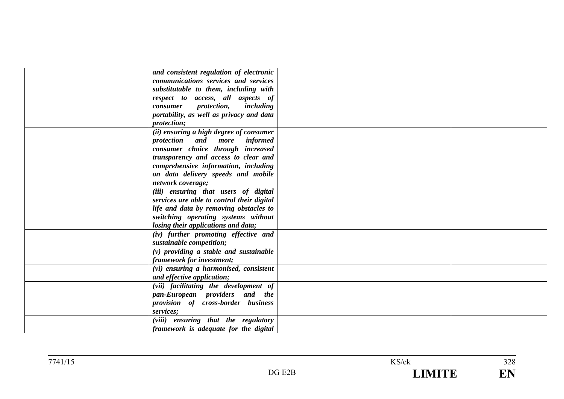| and consistent regulation of electronic    |  |
|--------------------------------------------|--|
| communications services and services       |  |
| substitutable to them, including with      |  |
| respect to access, all aspects of          |  |
| consumer protection, including             |  |
|                                            |  |
| portability, as well as privacy and data   |  |
| <i>protection</i> ;                        |  |
| (ii) ensuring a high degree of consumer    |  |
| protection and more informed               |  |
| consumer choice through increased          |  |
| transparency and access to clear and       |  |
| comprehensive information, including       |  |
| on data delivery speeds and mobile         |  |
| network coverage;                          |  |
| (iii) ensuring that users of digital       |  |
| services are able to control their digital |  |
| life and data by removing obstacles to     |  |
| switching operating systems without        |  |
| losing their applications and data;        |  |
| (iv) further promoting effective and       |  |
| sustainable competition;                   |  |
| $(v)$ providing a stable and sustainable   |  |
| framework for investment;                  |  |
| (vi) ensuring a harmonised, consistent     |  |
| and effective application;                 |  |
| (vii) facilitating the development of      |  |
| pan-European providers and the             |  |
| provision of cross-border business         |  |
| services;                                  |  |
| (viii) ensuring that the regulatory        |  |
| framework is adequate for the digital      |  |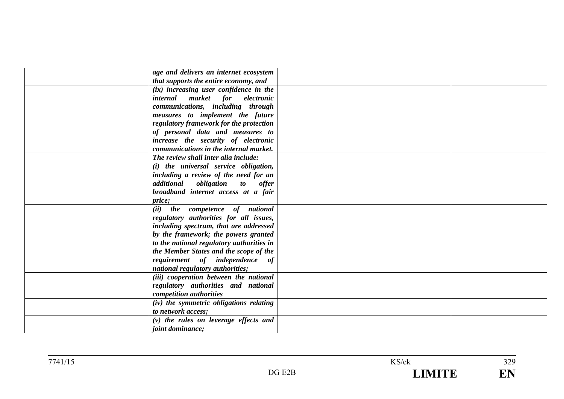| age and delivers an internet ecosystem    |  |
|-------------------------------------------|--|
| that supports the entire economy, and     |  |
| (ix) increasing user confidence in the    |  |
| internal market for electronic            |  |
| communications, including through         |  |
| measures to implement the future          |  |
| regulatory framework for the protection   |  |
| of personal data and measures to          |  |
| increase the security of electronic       |  |
| communications in the internal market.    |  |
| The review shall inter alia include:      |  |
| (i) the universal service obligation,     |  |
| including a review of the need for an     |  |
| additional obligation to offer            |  |
| broadband internet access at a fair       |  |
| <i>price</i> ;                            |  |
| (ii) the competence of national           |  |
| regulatory authorities for all issues,    |  |
| including spectrum, that are addressed    |  |
| by the framework; the powers granted      |  |
| to the national regulatory authorities in |  |
| the Member States and the scope of the    |  |
| requirement of independence of            |  |
| national regulatory authorities;          |  |
| (iii) cooperation between the national    |  |
| regulatory authorities and national       |  |
| competition authorities                   |  |
| (iv) the symmetric obligations relating   |  |
| to network access;                        |  |
| $(v)$ the rules on leverage effects and   |  |
| <i>joint dominance;</i>                   |  |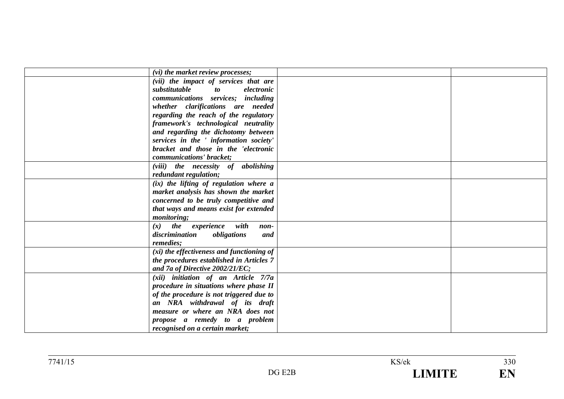| (vi) the market review processes;          |  |
|--------------------------------------------|--|
| (vii) the impact of services that are      |  |
| substitutable<br><i>to</i><br>electronic   |  |
| communications services; including         |  |
| whether clarifications are needed          |  |
| regarding the reach of the regulatory      |  |
| framework's technological neutrality       |  |
| and regarding the dichotomy between        |  |
| services in the ' information society'     |  |
| bracket and those in the 'electronic       |  |
| communications' bracket;                   |  |
| (viii) the necessity of abolishing         |  |
| redundant regulation;                      |  |
| $(ix)$ the lifting of regulation where $a$ |  |
| market analysis has shown the market       |  |
| concerned to be truly competitive and      |  |
| that ways and means exist for extended     |  |
| monitoring;                                |  |
| $(x)$ the experience with<br>non-          |  |
| obligations<br>discrimination<br>and       |  |
| remedies;                                  |  |
| (xi) the effectiveness and functioning of  |  |
| the procedures established in Articles 7   |  |
| and 7a of Directive 2002/21/EC;            |  |
| (xii) initiation of an Article 7/7a        |  |
| procedure in situations where phase II     |  |
| of the procedure is not triggered due to   |  |
| an NRA withdrawal of its draft             |  |
| measure or where an NRA does not           |  |
| propose a remedy to a problem              |  |
| recognised on a certain market;            |  |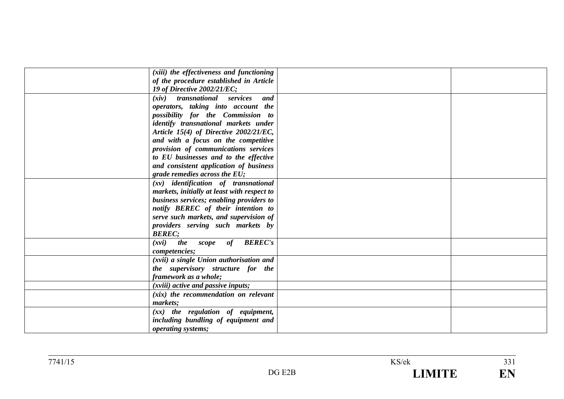| (xiii) the effectiveness and functioning       |  |
|------------------------------------------------|--|
| of the procedure established in Article        |  |
| 19 of Directive 2002/21/EC;                    |  |
| (xiv) transnational services<br>and            |  |
| operators, taking into account the             |  |
| possibility for the Commission to              |  |
| identify transnational markets under           |  |
| Article 15(4) of Directive 2002/21/EC,         |  |
| and with a focus on the competitive            |  |
| provision of communications services           |  |
| to EU businesses and to the effective          |  |
| and consistent application of business         |  |
| grade remedies across the $EU$ ;               |  |
| $(xv)$ identification of transnational         |  |
| markets, initially at least with respect to    |  |
| business services; enabling providers to       |  |
| notify BEREC of their intention to             |  |
| serve such markets, and supervision of         |  |
| providers serving such markets by              |  |
| <b>BEREC:</b>                                  |  |
| scope of <b>BEREC's</b><br><i>the</i><br>(xvi) |  |
| competencies;                                  |  |
| (xvii) a single Union authorisation and        |  |
| the supervisory structure for the              |  |
| framework as a whole;                          |  |
| (xviii) active and passive inputs;             |  |
| $(xix)$ the recommendation on relevant         |  |
| markets;                                       |  |
| $(xx)$ the regulation of equipment,            |  |
| including bundling of equipment and            |  |
| operating systems;                             |  |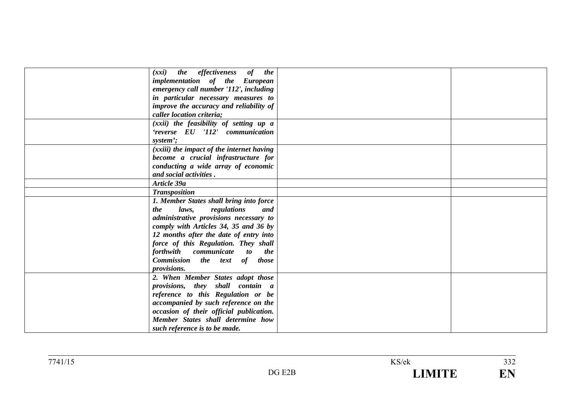| the effectiveness of the<br>(xxi)                       |  |
|---------------------------------------------------------|--|
| implementation of the European                          |  |
| emergency call number '112', including                  |  |
| in particular necessary measures to                     |  |
| improve the accuracy and reliability of                 |  |
| caller location criteria;                               |  |
|                                                         |  |
| (xxii) the feasibility of setting up a                  |  |
| 'reverse EU '112' communication                         |  |
| system';                                                |  |
| (xxiii) the impact of the internet having               |  |
| become a crucial infrastructure for                     |  |
| conducting a wide array of economic                     |  |
| and social activities.                                  |  |
| Article 39a                                             |  |
| <b>Transposition</b>                                    |  |
| 1. Member States shall bring into force                 |  |
| laws,<br>regulations<br>the<br>and                      |  |
| administrative provisions necessary to                  |  |
| comply with Articles 34, 35 and 36 by                   |  |
| 12 months after the date of entry into                  |  |
| force of this Regulation. They shall                    |  |
| forthwith communicate<br>$\boldsymbol{t}$<br><i>the</i> |  |
| Commission the text of those                            |  |
| <i>provisions.</i>                                      |  |
| 2. When Member States adopt those                       |  |
| provisions, they shall contain a                        |  |
| reference to this Regulation or be                      |  |
| accompanied by such reference on the                    |  |
| occasion of their official publication.                 |  |
| Member States shall determine how                       |  |
| such reference is to be made.                           |  |
|                                                         |  |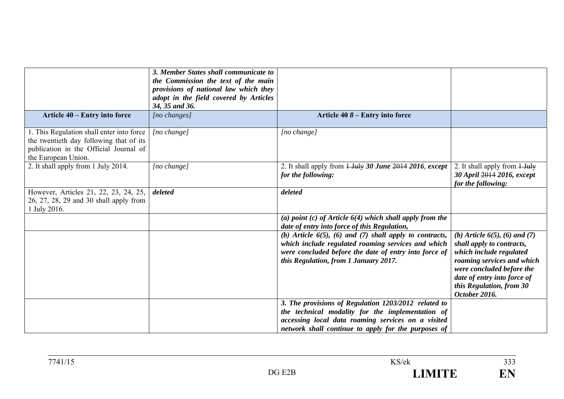|                                                                                                                                                       | 3. Member States shall communicate to<br>the Commission the text of the main<br>provisions of national law which they<br>adopt in the field covered by Articles<br>34, 35 and 36. |                                                                                                                                                                                                                       |                                                                                                                                                                                                                                     |
|-------------------------------------------------------------------------------------------------------------------------------------------------------|-----------------------------------------------------------------------------------------------------------------------------------------------------------------------------------|-----------------------------------------------------------------------------------------------------------------------------------------------------------------------------------------------------------------------|-------------------------------------------------------------------------------------------------------------------------------------------------------------------------------------------------------------------------------------|
| Article 40 – Entry into force                                                                                                                         | [no changes]                                                                                                                                                                      | Article $408 -$ Entry into force                                                                                                                                                                                      |                                                                                                                                                                                                                                     |
| 1. This Regulation shall enter into force<br>the twentieth day following that of its<br>publication in the Official Journal of<br>the European Union. | [no change]                                                                                                                                                                       | [no change]                                                                                                                                                                                                           |                                                                                                                                                                                                                                     |
| 2. It shall apply from 1 July 2014.                                                                                                                   | $[no \space change]$                                                                                                                                                              | 2. It shall apply from $\frac{1 \text{ July } 30 \text{ June } 2014 \text{ 2016}}{2016 \text{ except }}$<br>for the following:                                                                                        | 2. It shall apply from $1$ -July<br>30 April 2014 2016, except<br>for the following:                                                                                                                                                |
| However, Articles 21, 22, 23, 24, 25,<br>26, 27, 28, 29 and 30 shall apply from<br>1 July 2016.                                                       | deleted                                                                                                                                                                           | deleted                                                                                                                                                                                                               |                                                                                                                                                                                                                                     |
|                                                                                                                                                       |                                                                                                                                                                                   | (a) point (c) of Article $6(4)$ which shall apply from the<br>date of entry into force of this Regulation,                                                                                                            |                                                                                                                                                                                                                                     |
|                                                                                                                                                       |                                                                                                                                                                                   | (b) Article $6(5)$ , (6) and (7) shall apply to contracts,<br>which include regulated roaming services and which<br>were concluded before the date of entry into force of<br>this Regulation, from 1 January 2017.    | (b) Article $6(5)$ , $(6)$ and $(7)$<br>shall apply to contracts,<br>which include regulated<br>roaming services and which<br>were concluded before the<br>date of entry into force of<br>this Regulation, from 30<br>October 2016. |
|                                                                                                                                                       |                                                                                                                                                                                   | 3. The provisions of Regulation 1203/2012 related to<br>the technical modality for the implementation of<br>accessing local data roaming services on a visited<br>network shall continue to apply for the purposes of |                                                                                                                                                                                                                                     |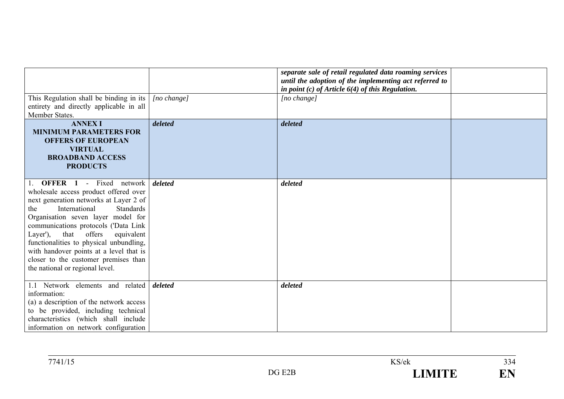|                                                                                                                                                                                                                                                                                                                                                                                                                                                          |                      | separate sale of retail regulated data roaming services<br>until the adoption of the implementing act referred to<br>in point $(c)$ of Article $6(4)$ of this Regulation. |  |
|----------------------------------------------------------------------------------------------------------------------------------------------------------------------------------------------------------------------------------------------------------------------------------------------------------------------------------------------------------------------------------------------------------------------------------------------------------|----------------------|---------------------------------------------------------------------------------------------------------------------------------------------------------------------------|--|
| This Regulation shall be binding in its<br>entirety and directly applicable in all<br>Member States.                                                                                                                                                                                                                                                                                                                                                     | $[no \space change]$ | $[no \ change]$                                                                                                                                                           |  |
| <b>ANNEX I</b><br><b>MINIMUM PARAMETERS FOR</b><br><b>OFFERS OF EUROPEAN</b><br><b>VIRTUAL</b><br><b>BROADBAND ACCESS</b><br><b>PRODUCTS</b>                                                                                                                                                                                                                                                                                                             | deleted              | deleted                                                                                                                                                                   |  |
| <b>OFFER</b> 1 - Fixed network<br>wholesale access product offered over<br>next generation networks at Layer 2 of<br>International<br><b>Standards</b><br>the<br>Organisation seven layer model for<br>communications protocols ('Data Link<br>offers<br>that<br>equivalent<br>Layer'),<br>functionalities to physical unbundling,<br>with handover points at a level that is<br>closer to the customer premises than<br>the national or regional level. | deleted              | deleted                                                                                                                                                                   |  |
| 1.1 Network elements and related<br>information:<br>(a) a description of the network access<br>to be provided, including technical<br>characteristics (which shall include<br>information on network configuration                                                                                                                                                                                                                                       | deleted              | deleted                                                                                                                                                                   |  |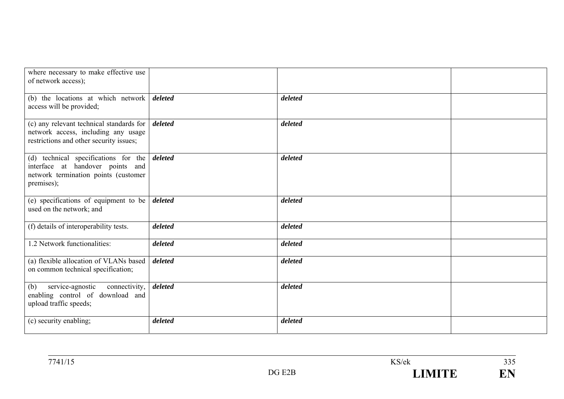| where necessary to make effective use<br>of network access);                                                                   |         |         |  |
|--------------------------------------------------------------------------------------------------------------------------------|---------|---------|--|
| (b) the locations at which network<br>access will be provided;                                                                 | deleted | deleted |  |
| (c) any relevant technical standards for<br>network access, including any usage<br>restrictions and other security issues;     | deleted | deleted |  |
| (d) technical specifications for the<br>interface at handover points and<br>network termination points (customer<br>premises); | deleted | deleted |  |
| (e) specifications of equipment to be<br>used on the network; and                                                              | deleted | deleted |  |
| (f) details of interoperability tests.                                                                                         | deleted | deleted |  |
| 1.2 Network functionalities:                                                                                                   | deleted | deleted |  |
| (a) flexible allocation of VLANs based<br>on common technical specification;                                                   | deleted | deleted |  |
| service-agnostic<br>connectivity,<br>(b)<br>enabling control of download and<br>upload traffic speeds;                         | deleted | deleted |  |
| (c) security enabling;                                                                                                         | deleted | deleted |  |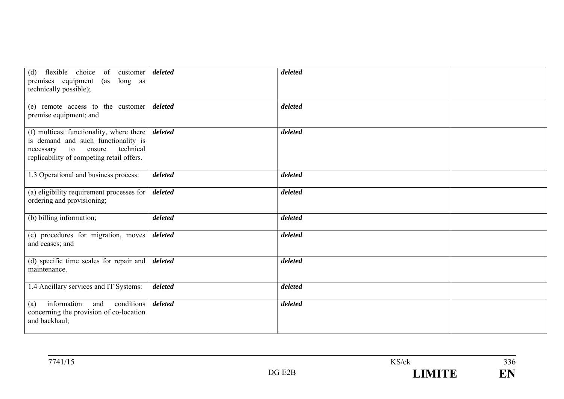| flexible choice of customer<br>(d)<br>premises equipment<br>long as<br>(as<br>technically possible);                                                                   | deleted | deleted |  |
|------------------------------------------------------------------------------------------------------------------------------------------------------------------------|---------|---------|--|
| (e) remote access to the customer<br>premise equipment; and                                                                                                            | deleted | deleted |  |
| (f) multicast functionality, where there<br>is demand and such functionality is<br>technical<br>ensure<br>to<br>necessary<br>replicability of competing retail offers. | deleted | deleted |  |
| 1.3 Operational and business process:                                                                                                                                  | deleted | deleted |  |
| (a) eligibility requirement processes for<br>ordering and provisioning;                                                                                                | deleted | deleted |  |
| (b) billing information;                                                                                                                                               | deleted | deleted |  |
| (c) procedures for migration, moves<br>and ceases; and                                                                                                                 | deleted | deleted |  |
| (d) specific time scales for repair and<br>maintenance.                                                                                                                | deleted | deleted |  |
| 1.4 Ancillary services and IT Systems:                                                                                                                                 | deleted | deleted |  |
| information<br>conditions<br>and<br>(a)<br>concerning the provision of co-location<br>and backhaul;                                                                    | deleted | deleted |  |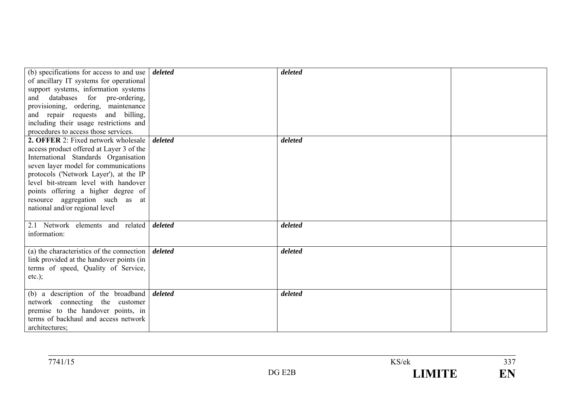| (b) specifications for access to and use<br>of ancillary IT systems for operational<br>support systems, information systems<br>and databases for pre-ordering,<br>provisioning, ordering, maintenance                                                                                                                                                               | deleted | deleted |  |
|---------------------------------------------------------------------------------------------------------------------------------------------------------------------------------------------------------------------------------------------------------------------------------------------------------------------------------------------------------------------|---------|---------|--|
| and repair requests and billing,<br>including their usage restrictions and<br>procedures to access those services.                                                                                                                                                                                                                                                  |         |         |  |
| <b>2. OFFER 2:</b> Fixed network wholesale<br>access product offered at Layer 3 of the<br>International Standards Organisation<br>seven layer model for communications<br>protocols ('Network Layer'), at the IP<br>level bit-stream level with handover<br>points offering a higher degree of<br>resource aggregation such as at<br>national and/or regional level | deleted | deleted |  |
| 2.1 Network elements and related<br>information:                                                                                                                                                                                                                                                                                                                    | deleted | deleted |  |
| (a) the characteristics of the connection<br>link provided at the handover points (in<br>terms of speed, Quality of Service,<br>$etc.$ ;                                                                                                                                                                                                                            | deleted | deleted |  |
| (b) a description of the broadband<br>network connecting the customer<br>premise to the handover points, in<br>terms of backhaul and access network<br>architectures;                                                                                                                                                                                               | deleted | deleted |  |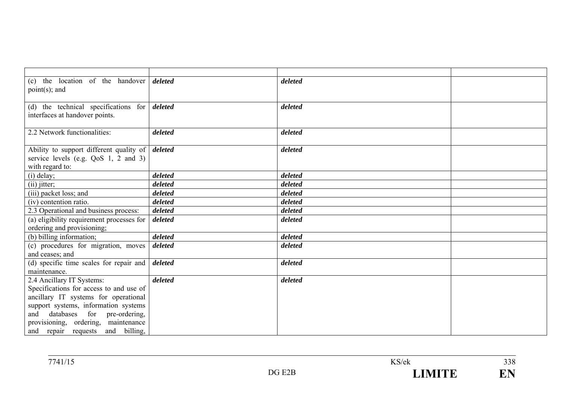| (c) the location of the handover                                                                 | deleted | deleted |  |
|--------------------------------------------------------------------------------------------------|---------|---------|--|
| $point(s)$ ; and                                                                                 |         |         |  |
|                                                                                                  |         |         |  |
| (d) the technical specifications for $\boldsymbol{delta}$                                        |         | deleted |  |
| interfaces at handover points.                                                                   |         |         |  |
|                                                                                                  |         |         |  |
| 2.2 Network functionalities:                                                                     | deleted | deleted |  |
|                                                                                                  |         | deleted |  |
| Ability to support different quality of <i>deleted</i><br>service levels (e.g. $QoS$ 1, 2 and 3) |         |         |  |
| with regard to:                                                                                  |         |         |  |
|                                                                                                  | deleted | deleted |  |
| (i) delay;                                                                                       | deleted | deleted |  |
| $(ii)$ jitter;                                                                                   |         |         |  |
| (iii) packet loss; and                                                                           | deleted | deleted |  |
| (iv) contention ratio.                                                                           | deleted | deleted |  |
| 2.3 Operational and business process:                                                            | deleted | deleted |  |
| (a) eligibility requirement processes for                                                        | deleted | deleted |  |
| ordering and provisioning;                                                                       |         |         |  |
| (b) billing information;                                                                         | deleted | deleted |  |
| (c) procedures for migration, moves                                                              | deleted | deleted |  |
| and ceases; and                                                                                  |         |         |  |
| (d) specific time scales for repair and $\frac{d}{dt}$ deleted                                   |         | deleted |  |
| maintenance.                                                                                     |         |         |  |
| 2.4 Ancillary IT Systems:                                                                        | deleted | deleted |  |
| Specifications for access to and use of                                                          |         |         |  |
| ancillary IT systems for operational                                                             |         |         |  |
| support systems, information systems                                                             |         |         |  |
| and databases for pre-ordering,                                                                  |         |         |  |
| provisioning, ordering, maintenance                                                              |         |         |  |
| and repair requests and billing,                                                                 |         |         |  |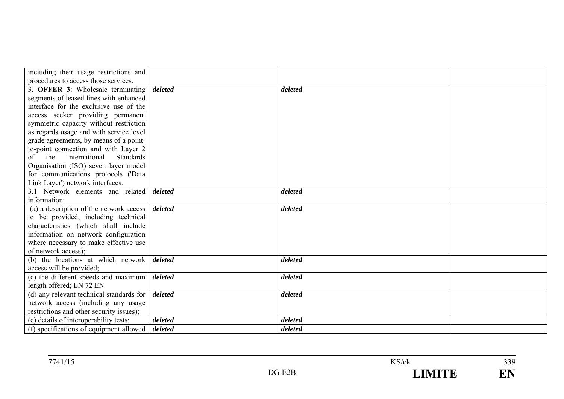| including their usage restrictions and         |         |         |  |
|------------------------------------------------|---------|---------|--|
| procedures to access those services.           |         |         |  |
| 3. OFFER 3: Wholesale terminating              | deleted | deleted |  |
| segments of leased lines with enhanced         |         |         |  |
| interface for the exclusive use of the         |         |         |  |
| access seeker providing permanent              |         |         |  |
| symmetric capacity without restriction         |         |         |  |
| as regards usage and with service level        |         |         |  |
| grade agreements, by means of a point-         |         |         |  |
| to-point connection and with Layer 2           |         |         |  |
| International<br><b>Standards</b><br>the<br>of |         |         |  |
| Organisation (ISO) seven layer model           |         |         |  |
| for communications protocols ('Data            |         |         |  |
| Link Layer') network interfaces.               |         |         |  |
| 3.1 Network elements and related               | deleted | deleted |  |
| information:                                   |         |         |  |
| (a) a description of the network access        | deleted | deleted |  |
| to be provided, including technical            |         |         |  |
| characteristics (which shall include           |         |         |  |
| information on network configuration           |         |         |  |
| where necessary to make effective use          |         |         |  |
| of network access);                            |         |         |  |
| (b) the locations at which network             | deleted | deleted |  |
| access will be provided;                       |         |         |  |
| (c) the different speeds and maximum           | deleted | deleted |  |
| length offered; EN 72 EN                       |         |         |  |
| (d) any relevant technical standards for       | deleted | deleted |  |
| network access (including any usage            |         |         |  |
| restrictions and other security issues);       |         |         |  |
| (e) details of interoperability tests;         | deleted | deleted |  |
| (f) specifications of equipment allowed        | deleted | deleted |  |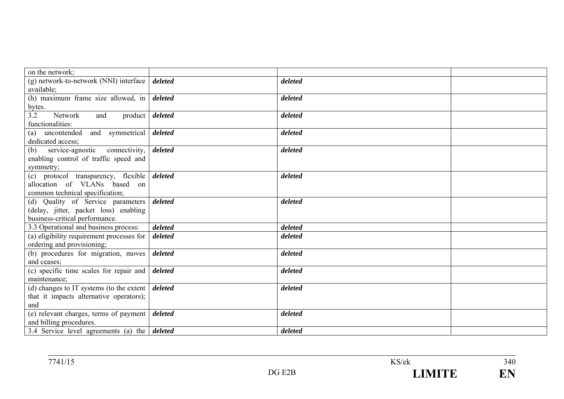| on the network;                                                 |                        |         |  |
|-----------------------------------------------------------------|------------------------|---------|--|
| (g) network-to-network (NNI) interface                          | deleted                | deleted |  |
| available;                                                      |                        |         |  |
| (h) maximum frame size allowed, in $\frac{d}{dt}$               |                        | deleted |  |
| bytes.                                                          |                        |         |  |
| Network<br>3.2<br>and                                           | product <i>deleted</i> | deleted |  |
| functionalities:                                                |                        |         |  |
| (a) uncontended and symmetrical <i>deleted</i>                  |                        | deleted |  |
| dedicated access;                                               |                        |         |  |
| service-agnostic connectivity,<br>(b)                           | deleted                | deleted |  |
| enabling control of traffic speed and                           |                        |         |  |
| symmetry;                                                       |                        |         |  |
| (c) protocol transparency, flexible                             | deleted                | deleted |  |
| allocation of VLANs based on                                    |                        |         |  |
| common technical specification;                                 |                        |         |  |
| (d) Quality of Service parameters                               | deleted                | deleted |  |
| (delay, jitter, packet loss) enabling                           |                        |         |  |
| business-critical performance.                                  |                        |         |  |
| 3.3 Operational and business process:                           | deleted                | deleted |  |
| (a) eligibility requirement processes for                       | deleted                | deleted |  |
| ordering and provisioning;                                      |                        |         |  |
| (b) procedures for migration, moves                             | deleted                | deleted |  |
| and ceases;                                                     |                        |         |  |
| (c) specific time scales for repair and                         | deleted                | deleted |  |
| maintenance;                                                    |                        |         |  |
| (d) changes to IT systems (to the extent $\vert$ <i>deleted</i> |                        | deleted |  |
| that it impacts alternative operators);                         |                        |         |  |
| and                                                             |                        |         |  |
| (e) relevant charges, terms of payment   deleted                |                        | deleted |  |
| and billing procedures.                                         |                        |         |  |
| 3.4 Service level agreements (a) the $\vert$ deleted            |                        | deleted |  |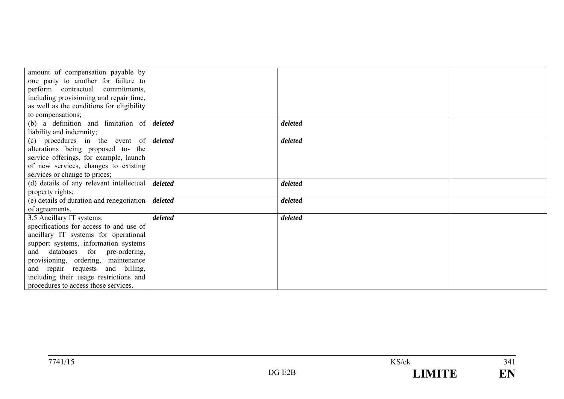| amount of compensation payable by                  |         |         |  |
|----------------------------------------------------|---------|---------|--|
| one party to another for failure to                |         |         |  |
| perform contractual commitments,                   |         |         |  |
| including provisioning and repair time,            |         |         |  |
| as well as the conditions for eligibility          |         |         |  |
| to compensations;                                  |         |         |  |
| (b) a definition and limitation of $\delta$        |         | deleted |  |
| liability and indemnity;                           |         |         |  |
| (c) procedures in the event of $\delta$            |         | deleted |  |
| alterations being proposed to- the                 |         |         |  |
| service offerings, for example, launch             |         |         |  |
| of new services, changes to existing               |         |         |  |
| services or change to prices;                      |         |         |  |
| (d) details of any relevant intellectual   deleted |         | deleted |  |
| property rights;                                   |         |         |  |
| (e) details of duration and renegotiation          | deleted | deleted |  |
| of agreements.                                     |         |         |  |
| 3.5 Ancillary IT systems:                          | deleted | deleted |  |
| specifications for access to and use of            |         |         |  |
| ancillary IT systems for operational               |         |         |  |
| support systems, information systems               |         |         |  |
| and databases for pre-ordering,                    |         |         |  |
| provisioning, ordering, maintenance                |         |         |  |
| and repair requests and billing,                   |         |         |  |
| including their usage restrictions and             |         |         |  |
| procedures to access those services.               |         |         |  |